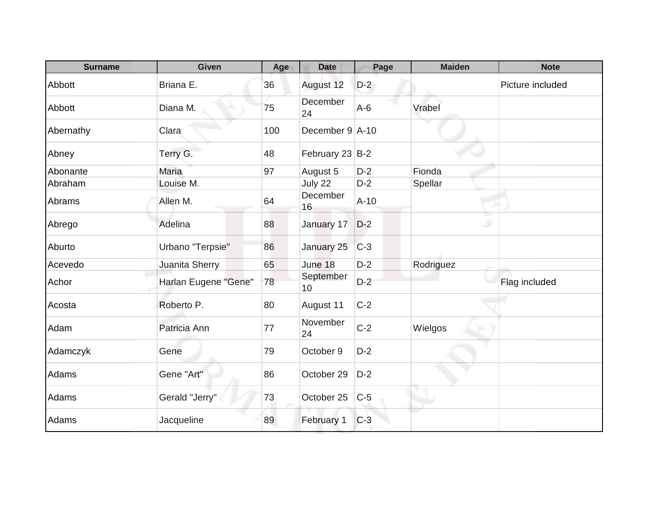| <b>Surname</b> | <b>Given</b>         | Age | <b>Date</b>            | Page   | <b>Maiden</b> | <b>Note</b>      |
|----------------|----------------------|-----|------------------------|--------|---------------|------------------|
| Abbott         | Briana E.            | 36  | August 12              | $D-2$  |               | Picture included |
| Abbott         | Diana M.             | 75  | December<br>24         | $A-6$  | Vrabel        |                  |
| Abernathy      | Clara                | 100 | December $9 \mid A-10$ |        |               |                  |
| Abney          | Terry G.             | 48  | February 23 B-2        |        |               |                  |
| Abonante       | Maria                | 97  | August 5               | $D-2$  | Fionda        |                  |
| Abraham        | Louise M.            |     | July 22                | $D-2$  | Spellar       |                  |
| Abrams         | Allen M.             | 64  | December<br>16         | $A-10$ |               |                  |
| Abrego         | Adelina              | 88  | January 17             | $D-2$  | ی             |                  |
| Aburto         | Urbano "Terpsie"     | 86  | January 25             | $C-3$  |               |                  |
| Acevedo        | Juanita Sherry       | 65  | June 18                | $D-2$  | Rodriguez     |                  |
| Achor          | Harlan Eugene "Gene" | 78  | September<br>10        | $D-2$  |               | Flag included    |
| Acosta         | Roberto P.           | 80  | August 11              | $C-2$  |               |                  |
| Adam           | Patricia Ann         | 77  | November<br>24         | $C-2$  | Wielgos       |                  |
| Adamczyk       | Gene                 | 79  | October 9              | $D-2$  |               |                  |
| Adams          | Gene "Art"           | 86  | October 29             | $D-2$  |               |                  |
| Adams          | Gerald "Jerry"       | 73  | October 25             | $C-5$  |               |                  |
| Adams          | Jacqueline           | 89  | February 1             | $C-3$  |               |                  |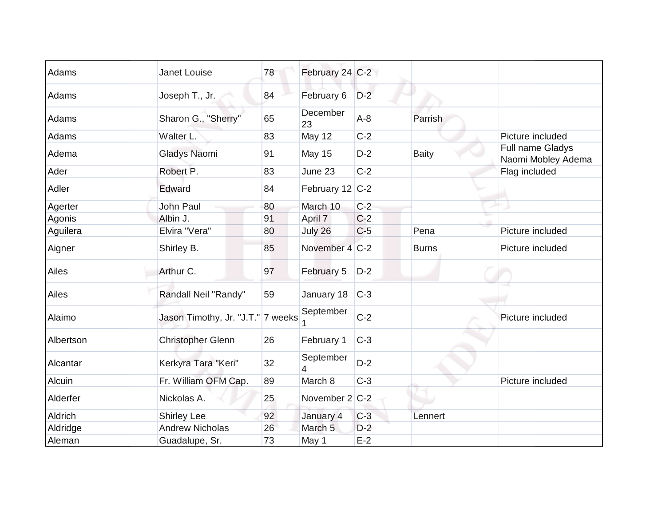| Adams     | Janet Louise                      | 78 | February 24 C-2    |       |              |                                        |
|-----------|-----------------------------------|----|--------------------|-------|--------------|----------------------------------------|
| Adams     | Joseph T., Jr.                    | 84 | February 6         | $D-2$ |              |                                        |
| Adams     | Sharon G., "Sherry"               | 65 | December<br>23     | $A-8$ | Parrish      |                                        |
| Adams     | Walter L.                         | 83 | May 12             | $C-2$ |              | Picture included                       |
| Adema     | Gladys Naomi                      | 91 | May 15             | $D-2$ | <b>Baity</b> | Full name Gladys<br>Naomi Mobley Adema |
| Ader      | Robert P.                         | 83 | June 23            | $C-2$ |              | Flag included                          |
| Adler     | Edward                            | 84 | February 12 C-2    |       |              |                                        |
| Agerter   | <b>John Paul</b>                  | 80 | March 10           | $C-2$ |              |                                        |
| Agonis    | Albin J.                          | 91 | April 7            | $C-2$ |              |                                        |
| Aguilera  | Elvira "Vera"                     | 80 | July 26            | $C-5$ | Pena         | Picture included                       |
| Aigner    | Shirley B.                        | 85 | November 4 C-2     |       | <b>Burns</b> | Picture included                       |
| Ailes     | Arthur C.                         | 97 | February 5         | $D-2$ |              |                                        |
| Ailes     | Randall Neil "Randy"              | 59 | January 18         | $C-3$ |              |                                        |
| Alaimo    | Jason Timothy, Jr. "J.T." 7 weeks |    | September          | $C-2$ |              | Picture included                       |
| Albertson | <b>Christopher Glenn</b>          | 26 | February 1         | $C-3$ |              |                                        |
| Alcantar  | Kerkyra Tara "Keri"               | 32 | September          | $D-2$ |              |                                        |
| Alcuin    | Fr. William OFM Cap.              | 89 | March 8            | $C-3$ |              | Picture included                       |
| Alderfer  | Nickolas A.                       | 25 | November 2 C-2     |       |              |                                        |
| Aldrich   | <b>Shirley Lee</b>                | 92 | January 4          | $C-3$ | Lennert      |                                        |
| Aldridge  | <b>Andrew Nicholas</b>            | 26 | March <sub>5</sub> | $D-2$ |              |                                        |
| Aleman    | Guadalupe, Sr.                    | 73 | May 1              | $E-2$ |              |                                        |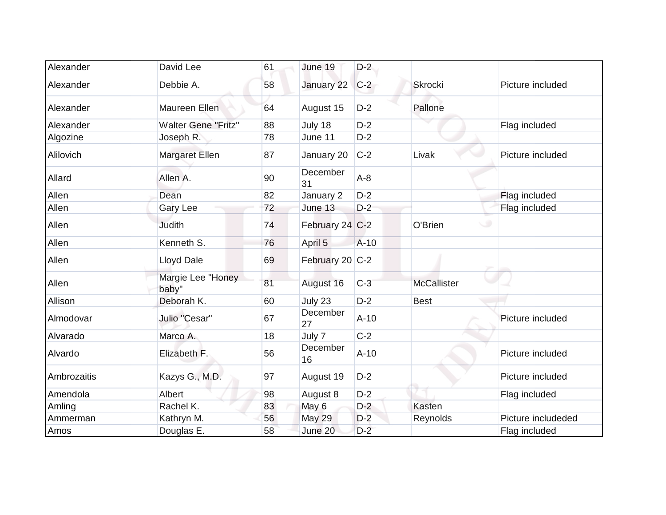| Alexander   | David Lee                  | 61 | June 19         | $D-2$  |                    |                    |
|-------------|----------------------------|----|-----------------|--------|--------------------|--------------------|
| Alexander   | Debbie A.                  | 58 | January 22      | $C-2$  | <b>Skrocki</b>     | Picture included   |
| Alexander   | Maureen Ellen              | 64 | August 15       | $D-2$  | Pallone            |                    |
| Alexander   | <b>Walter Gene "Fritz"</b> | 88 | July 18         | $D-2$  |                    | Flag included      |
| Algozine    | Joseph R.                  | 78 | June 11         | $D-2$  |                    |                    |
| Alilovich   | <b>Margaret Ellen</b>      | 87 | January 20      | $C-2$  | Livak              | Picture included   |
| Allard      | Allen A.                   | 90 | December<br>31  | $A-8$  |                    |                    |
| Allen       | Dean                       | 82 | January 2       | $D-2$  |                    | Flag included      |
| Allen       | <b>Gary Lee</b>            | 72 | June 13         | $D-2$  |                    | Flag included      |
| Allen       | <b>Judith</b>              | 74 | February 24 C-2 |        | w<br>O'Brien       |                    |
| Allen       | Kenneth S.                 | 76 | April 5         | $A-10$ |                    |                    |
| Allen       | Lloyd Dale                 | 69 | February 20 C-2 |        |                    |                    |
| Allen       | Margie Lee "Honey<br>baby" | 81 | August 16       | $C-3$  | <b>McCallister</b> |                    |
| Allison     | Deborah K.                 | 60 | July 23         | $D-2$  | <b>Best</b>        |                    |
| Almodovar   | Julio "Cesar"              | 67 | December<br>27  | $A-10$ |                    | Picture included   |
| Alvarado    | Marco A.                   | 18 | July 7          | $C-2$  |                    |                    |
| Alvardo     | Elizabeth F.               | 56 | December<br>16  | $A-10$ |                    | Picture included   |
| Ambrozaitis | Kazys G., M.D.             | 97 | August 19       | $D-2$  |                    | Picture included   |
| Amendola    | Albert                     | 98 | August 8        | $D-2$  |                    | Flag included      |
| Amling      | Rachel K.                  | 83 | May 6           | $D-2$  | Kasten             |                    |
| Ammerman    | Kathryn M.                 | 56 | <b>May 29</b>   | $D-2$  | Reynolds           | Picture includeded |
| Amos        | Douglas E.                 | 58 | June 20         | $D-2$  |                    | Flag included      |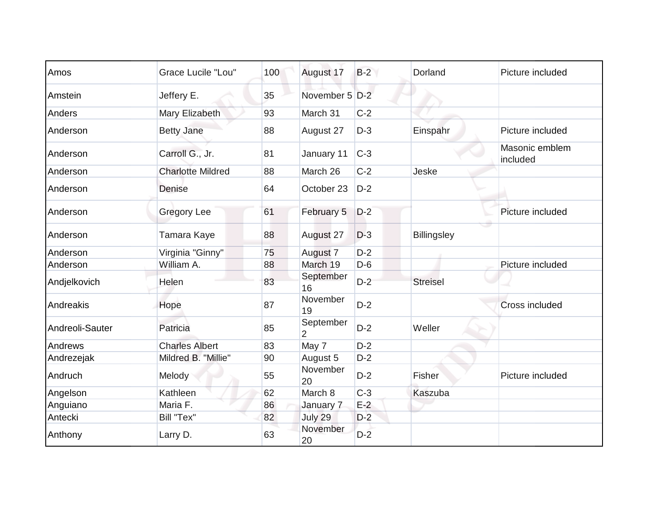| Amos            | <b>Grace Lucile "Lou"</b> | 100 | August 17                   | $B-2$ | Dorland            | Picture included           |
|-----------------|---------------------------|-----|-----------------------------|-------|--------------------|----------------------------|
| Amstein         | Jeffery E.                | 35  | November 5 D-2              |       |                    |                            |
| Anders          | Mary Elizabeth            | 93  | March 31                    | $C-2$ |                    |                            |
| Anderson        | <b>Betty Jane</b>         | 88  | August 27                   | $D-3$ | Einspahr           | Picture included           |
| Anderson        | Carroll G., Jr.           | 81  | January 11                  | $C-3$ |                    | Masonic emblem<br>included |
| Anderson        | <b>Charlotte Mildred</b>  | 88  | March 26                    | $C-2$ | Jeske              |                            |
| Anderson        | <b>Denise</b>             | 64  | October 23                  | $D-2$ |                    |                            |
| Anderson        | <b>Gregory Lee</b>        | 61  | February 5                  | $D-2$ |                    | Picture included           |
| Anderson        | Tamara Kaye               | 88  | August 27                   | $D-3$ | <b>Billingsley</b> |                            |
| Anderson        | Virginia "Ginny"          | 75  | August 7                    | $D-2$ |                    |                            |
| Anderson        | William A.                | 88  | March 19                    | $D-6$ |                    | Picture included           |
| Andjelkovich    | Helen                     | 83  | September<br>16             | $D-2$ | <b>Streisel</b>    |                            |
| Andreakis       | Hope                      | 87  | November<br>19              | $D-2$ |                    | <b>Cross included</b>      |
| Andreoli-Sauter | Patricia                  | 85  | September<br>$\overline{2}$ | $D-2$ | Weller             |                            |
| Andrews         | <b>Charles Albert</b>     | 83  | May 7                       | $D-2$ |                    |                            |
| Andrezejak      | Mildred B. "Millie"       | 90  | August 5                    | $D-2$ |                    |                            |
| Andruch         | Melody                    | 55  | November<br>20              | $D-2$ | <b>Fisher</b>      | Picture included           |
| Angelson        | Kathleen                  | 62  | March 8                     | $C-3$ | Kaszuba            |                            |
| Anguiano        | Maria F.                  | 86  | January 7                   | $E-2$ |                    |                            |
| Antecki         | Bill "Tex"                | 82  | July 29                     | $D-2$ |                    |                            |
| Anthony         | Larry D.                  | 63  | November<br>20              | $D-2$ |                    |                            |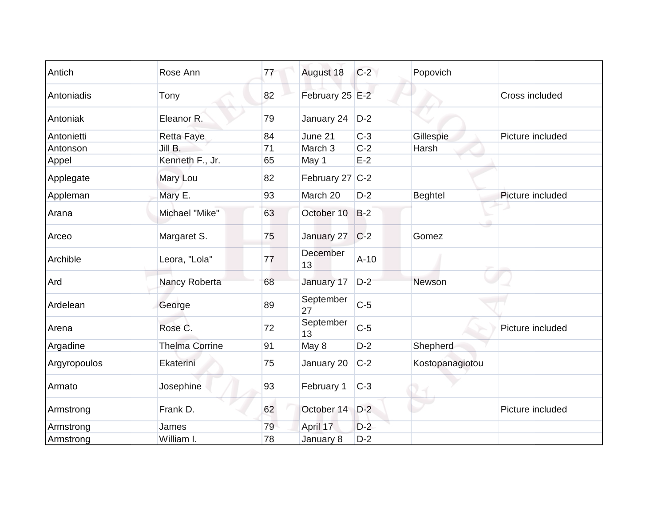| Antich       | Rose Ann              | 77 | August 18       | $C-2$  | Popovich        |                  |
|--------------|-----------------------|----|-----------------|--------|-----------------|------------------|
| Antoniadis   | Tony                  | 82 | February 25 E-2 |        |                 | Cross included   |
| Antoniak     | Eleanor R.            | 79 | January 24      | $D-2$  |                 |                  |
| Antonietti   | <b>Retta Faye</b>     | 84 | June 21         | $C-3$  | Gillespie       | Picture included |
| Antonson     | Jill B.               | 71 | March 3         | $C-2$  | Harsh           |                  |
| Appel        | Kenneth F., Jr.       | 65 | May 1           | $E-2$  |                 |                  |
| Applegate    | Mary Lou              | 82 | February 27 C-2 |        |                 |                  |
| Appleman     | Mary E.               | 93 | March 20        | $D-2$  | Beghtel         | Picture included |
| Arana        | Michael "Mike"        | 63 | October 10      | $B-2$  |                 |                  |
| Arceo        | Margaret S.           | 75 | January 27      | $C-2$  | Gomez           |                  |
| Archible     | Leora, "Lola"         | 77 | December<br>13  | $A-10$ |                 |                  |
| Ard          | Nancy Roberta         | 68 | January 17      | $D-2$  | Newson          |                  |
| Ardelean     | George                | 89 | September<br>27 | $C-5$  |                 |                  |
| Arena        | Rose C.               | 72 | September<br>13 | $C-5$  |                 | Picture included |
| Argadine     | <b>Thelma Corrine</b> | 91 | May 8           | $D-2$  | Shepherd        |                  |
| Argyropoulos | Ekaterini             | 75 | January 20      | $C-2$  | Kostopanagiotou |                  |
| Armato       | Josephine             | 93 | February 1      | $C-3$  |                 |                  |
| Armstrong    | Frank D.              | 62 | October 14      | $D-2$  |                 | Picture included |
| Armstrong    | James                 | 79 | April 17        | $D-2$  |                 |                  |
| Armstrong    | William I.            | 78 | January 8       | $D-2$  |                 |                  |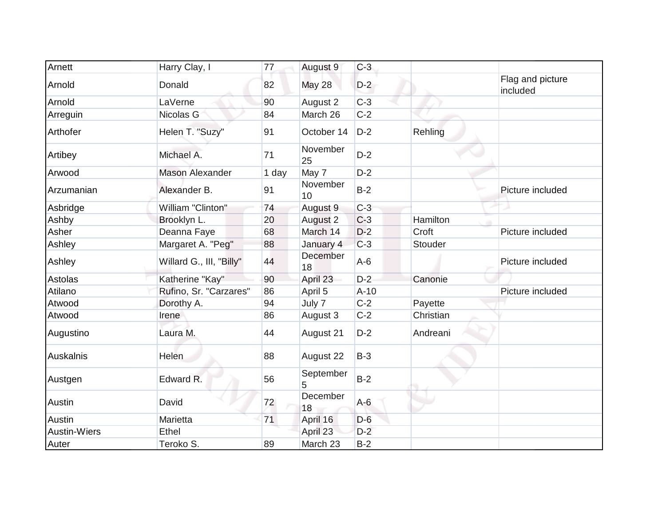| Arnett              | Harry Clay, I            | 77    | August 9       | $C-3$  |           |                              |
|---------------------|--------------------------|-------|----------------|--------|-----------|------------------------------|
| Arnold              | Donald                   | 82    | <b>May 28</b>  | $D-2$  |           | Flag and picture<br>included |
| Arnold              | LaVerne                  | 90    | August 2       | $C-3$  |           |                              |
| Arreguin            | Nicolas G                | 84    | March 26       | $C-2$  |           |                              |
| Arthofer            | Helen T. "Suzy"          | 91    | October 14     | $D-2$  | Rehling   |                              |
| Artibey             | Michael A.               | 71    | November<br>25 | $D-2$  |           |                              |
| Arwood              | <b>Mason Alexander</b>   | 1 day | May 7          | $D-2$  |           |                              |
| Arzumanian          | Alexander B.             | 91    | November<br>10 | $B-2$  |           | Picture included             |
| Asbridge            | William "Clinton"        | 74    | August 9       | $C-3$  |           |                              |
| Ashby               | Brooklyn L.              | 20    | August 2       | $C-3$  | Hamilton  |                              |
| Asher               | Deanna Faye              | 68    | March 14       | $D-2$  | Croft     | Picture included             |
| Ashley              | Margaret A. "Peg"        | 88    | January 4      | $C-3$  | Stouder   |                              |
| Ashley              | Willard G., III, "Billy" | 44    | December<br>18 | $A-6$  |           | Picture included             |
| Astolas             | Katherine "Kay"          | 90    | April 23       | $D-2$  | Canonie   |                              |
| Atilano             | Rufino, Sr. "Carzares"   | 86    | April 5        | $A-10$ |           | Picture included             |
| Atwood              | Dorothy A.               | 94    | July 7         | $C-2$  | Payette   |                              |
| Atwood              | Irene                    | 86    | August 3       | $C-2$  | Christian |                              |
| Augustino           | Laura M.                 | 44    | August 21      | $D-2$  | Andreani  |                              |
| Auskalnis           | Helen                    | 88    | August 22      | $B-3$  |           |                              |
| Austgen             | Edward R.                | 56    | September<br>5 | $B-2$  |           |                              |
| Austin              | David                    | 72    | December<br>18 | $A-6$  |           |                              |
| Austin              | Marietta                 | 71    | April 16       | $D-6$  |           |                              |
| <b>Austin-Wiers</b> | Ethel                    |       | April 23       | $D-2$  |           |                              |
| Auter               | Teroko S.                | 89    | March 23       | $B-2$  |           |                              |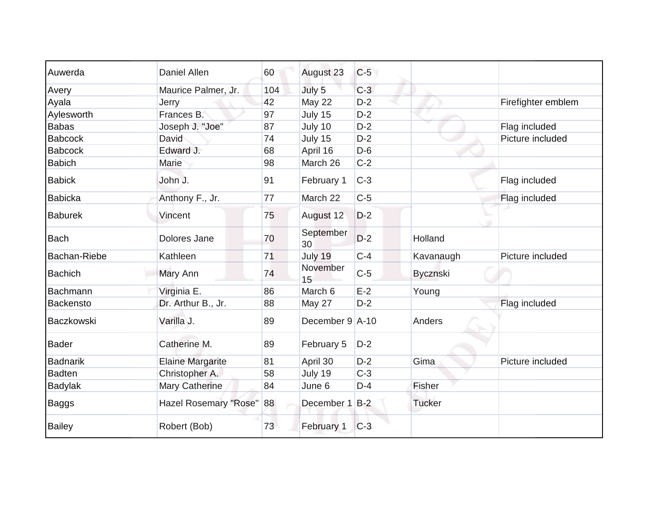| Auwerda             | Daniel Allen            | 60  | August 23              | $C-5$ |                 |                    |
|---------------------|-------------------------|-----|------------------------|-------|-----------------|--------------------|
| Avery               | Maurice Palmer, Jr.     | 104 | July 5                 | $C-3$ |                 |                    |
| Ayala               | Jerry                   | 42  | May 22                 | $D-2$ |                 | Firefighter emblem |
| Aylesworth          | Frances B.              | 97  | July 15                | $D-2$ |                 |                    |
| <b>Babas</b>        | Joseph J. "Joe"         | 87  | July 10                | $D-2$ |                 | Flag included      |
| <b>Babcock</b>      | David                   | 74  | July 15                | $D-2$ |                 | Picture included   |
| <b>Babcock</b>      | Edward J.               | 68  | April 16               | $D-6$ |                 |                    |
| <b>Babich</b>       | Marie                   | 98  | March 26               | $C-2$ |                 |                    |
| <b>Babick</b>       | John J.                 | 91  | February 1             | $C-3$ |                 | Flag included      |
| <b>Babicka</b>      | Anthony F., Jr.         | 77  | March 22               | $C-5$ |                 | Flag included      |
| <b>Baburek</b>      | Vincent                 | 75  | August 12              | $D-2$ |                 |                    |
| Bach                | Dolores Jane            | 70  | September<br>30        | $D-2$ | Holland         |                    |
| <b>Bachan-Riebe</b> | Kathleen                | 71  | July 19                | $C-4$ | Kavanaugh       | Picture included   |
| <b>Bachich</b>      | Mary Ann                | 74  | November<br>15         | $C-5$ | <b>Bycznski</b> |                    |
| Bachmann            | Virginia E.             | 86  | March 6                | $E-2$ | Young           |                    |
| <b>Backensto</b>    | Dr. Arthur B., Jr.      | 88  | May 27                 | $D-2$ |                 | Flag included      |
| Baczkowski          | Varilla J.              | 89  | December $9 \mid A-10$ |       | Anders          |                    |
| <b>Bader</b>        | Catherine M.            | 89  | February 5             | $D-2$ |                 |                    |
| Badnarik            | <b>Elaine Margarite</b> | 81  | April 30               | $D-2$ | Gima            | Picture included   |
| <b>Badten</b>       | Christopher A.          | 58  | July 19                | $C-3$ |                 |                    |
| Badylak             | Mary Catherine          | 84  | June 6                 | $D-4$ | Fisher          |                    |
| <b>Baggs</b>        | Hazel Rosemary "Rose"   | 88  | December 1             | $B-2$ | <b>Tucker</b>   |                    |
| <b>Bailey</b>       | Robert (Bob)            | 73  | February 1             | $C-3$ |                 |                    |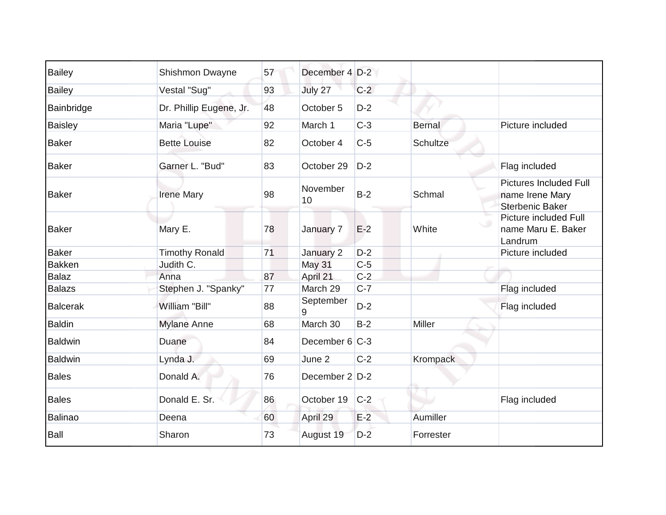| <b>Bailey</b>   | Shishmon Dwayne         | 57 | December 4 D-2 |       |                 |                                                                            |
|-----------------|-------------------------|----|----------------|-------|-----------------|----------------------------------------------------------------------------|
| <b>Bailey</b>   | Vestal "Sug"            | 93 | July 27        | $C-2$ |                 |                                                                            |
| Bainbridge      | Dr. Phillip Eugene, Jr. | 48 | October 5      | $D-2$ |                 |                                                                            |
| <b>Baisley</b>  | Maria "Lupe"            | 92 | March 1        | $C-3$ | <b>Bernal</b>   | Picture included                                                           |
| <b>Baker</b>    | <b>Bette Louise</b>     | 82 | October 4      | $C-5$ | <b>Schultze</b> |                                                                            |
| <b>Baker</b>    | Garner L. "Bud"         | 83 | October 29     | $D-2$ |                 | Flag included                                                              |
| <b>Baker</b>    | <b>Irene Mary</b>       | 98 | November<br>10 | $B-2$ | Schmal          | <b>Pictures Included Full</b><br>name Irene Mary<br><b>Sterbenic Baker</b> |
| <b>Baker</b>    | Mary E.                 | 78 | January 7      | $E-2$ | White           | Picture included Full<br>name Maru E. Baker<br>Landrum                     |
| <b>Baker</b>    | <b>Timothy Ronald</b>   | 71 | January 2      | $D-2$ |                 | Picture included                                                           |
| <b>Bakken</b>   | Judith C.               |    | May 31         | $C-5$ |                 |                                                                            |
| <b>Balaz</b>    | Anna                    | 87 | April 21       | $C-2$ |                 |                                                                            |
| <b>Balazs</b>   | Stephen J. "Spanky"     | 77 | March 29       | $C-7$ |                 | Flag included                                                              |
| <b>Balcerak</b> | William "Bill"          | 88 | September<br>9 | $D-2$ |                 | Flag included                                                              |
| <b>Baldin</b>   | <b>Mylane Anne</b>      | 68 | March 30       | $B-2$ | Miller          |                                                                            |
| <b>Baldwin</b>  | Duane                   | 84 | December 6 C-3 |       |                 |                                                                            |
| <b>Baldwin</b>  | Lynda J.                | 69 | June 2         | $C-2$ | Krompack        |                                                                            |
| <b>Bales</b>    | Donald A.               | 76 | December 2 D-2 |       |                 |                                                                            |
| <b>Bales</b>    | Donald E. Sr.           | 86 | October 19     | $C-2$ |                 | Flag included                                                              |
| <b>Balinao</b>  | Deena                   | 60 | April 29       | $E-2$ | Aumiller        |                                                                            |
| Ball            | Sharon                  | 73 | August 19      | $D-2$ | Forrester       |                                                                            |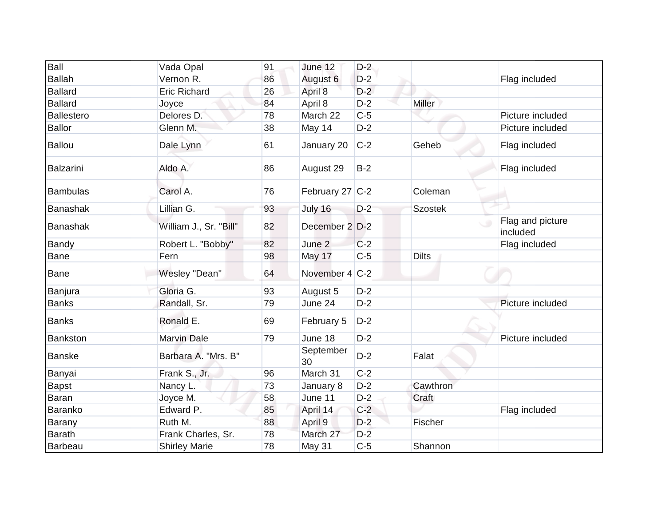| Ball             | Vada Opal              | 91 | June 12             | $D-2$ |                |                              |
|------------------|------------------------|----|---------------------|-------|----------------|------------------------------|
| <b>Ballah</b>    | Vernon R.              | 86 | August 6            | $D-2$ |                | Flag included                |
| <b>Ballard</b>   | <b>Eric Richard</b>    | 26 | April 8             | $D-2$ |                |                              |
| <b>Ballard</b>   | Joyce                  | 84 | April 8             | $D-2$ | <b>Miller</b>  |                              |
| Ballestero       | Delores D.             | 78 | March 22            | $C-5$ |                | Picture included             |
| <b>Ballor</b>    | Glenn M.               | 38 | May 14              | $D-2$ |                | Picture included             |
| <b>Ballou</b>    | Dale Lynn              | 61 | January 20          | $C-2$ | Geheb          | Flag included                |
| <b>Balzarini</b> | Aldo A.                | 86 | August 29           | $B-2$ |                | Flag included                |
| <b>Bambulas</b>  | Carol A.               | 76 | February 27 $ C-2 $ |       | Coleman        |                              |
| <b>Banashak</b>  | Lillian G.             | 93 | July 16             | $D-2$ | <b>Szostek</b> |                              |
| <b>Banashak</b>  | William J., Sr. "Bill" | 82 | December 2 D-2      |       |                | Flag and picture<br>included |
| Bandy            | Robert L. "Bobby"      | 82 | June 2              | $C-2$ |                | Flag included                |
| Bane             | Fern                   | 98 | May 17              | $C-5$ | <b>Dilts</b>   |                              |
| Bane             | Wesley "Dean"          | 64 | November 4 C-2      |       |                |                              |
| Banjura          | Gloria G.              | 93 | August 5            | $D-2$ |                |                              |
| <b>Banks</b>     | Randall, Sr.           | 79 | June 24             | $D-2$ |                | Picture included             |
| <b>Banks</b>     | Ronald E.              | 69 | February 5          | $D-2$ |                |                              |
| <b>Bankston</b>  | <b>Marvin Dale</b>     | 79 | June 18             | $D-2$ |                | Picture included             |
| <b>Banske</b>    | Barbara A. "Mrs. B"    |    | September<br>30     | $D-2$ | Falat          |                              |
| Banyai           | Frank S., Jr.          | 96 | March 31            | $C-2$ |                |                              |
| <b>Bapst</b>     | Nancy L.               | 73 | January 8           | $D-2$ | Cawthron       |                              |
| Baran            | Joyce M.               | 58 | June 11             | $D-2$ | Craft          |                              |
| Baranko          | Edward P.              | 85 | April 14            | $C-2$ |                | Flag included                |
| Barany           | Ruth M.                | 88 | April 9             | $D-2$ | Fischer        |                              |
| <b>Barath</b>    | Frank Charles, Sr.     | 78 | March 27            | $D-2$ |                |                              |
| <b>Barbeau</b>   | <b>Shirley Marie</b>   | 78 | May 31              | $C-5$ | Shannon        |                              |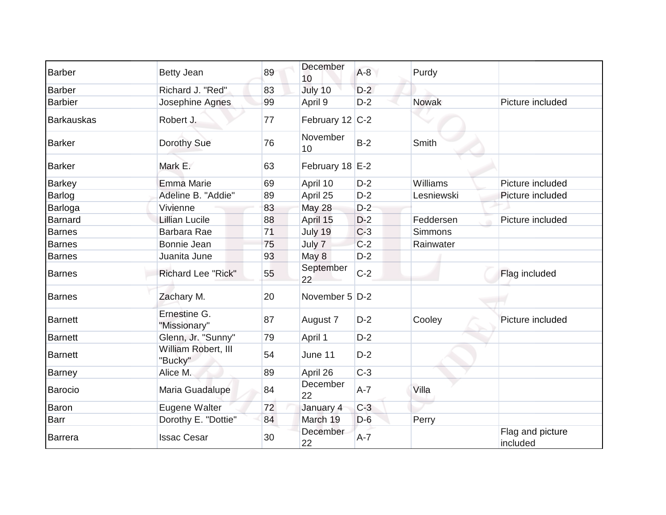| <b>Barber</b>     | <b>Betty Jean</b>              | 89 | December<br>10        | $A-8$   | Purdy        |                              |
|-------------------|--------------------------------|----|-----------------------|---------|--------------|------------------------------|
| <b>Barber</b>     | Richard J. "Red"               | 83 | July 10               | $D-2$   |              |                              |
| <b>Barbier</b>    | Josephine Agnes                | 99 | April 9               | $D-2$   | <b>Nowak</b> | Picture included             |
| <b>Barkauskas</b> | Robert J.                      | 77 | February 12 C-2       |         |              |                              |
| <b>Barker</b>     | Dorothy Sue                    | 76 | November<br>10        | $B-2$   | Smith        |                              |
| <b>Barker</b>     | Mark E.                        | 63 | February 18 E-2       |         |              |                              |
| <b>Barkey</b>     | Emma Marie                     | 69 | April 10              | $D-2$   | Williams     | Picture included             |
| Barlog            | Adeline B. "Addie"             | 89 | April 25              | $D-2$   | Lesniewski   | Picture included             |
| Barloga           | Vivienne                       | 83 | <b>May 28</b>         | $D-2$   |              |                              |
| <b>Barnard</b>    | <b>Lillian Lucile</b>          | 88 | April 15              | $D-2$   | Feddersen    | Picture included             |
| <b>Barnes</b>     | Barbara Rae                    | 71 | July 19               | $C-3$   | Simmons      |                              |
| Barnes            | Bonnie Jean                    | 75 | July 7                | $C-2$   | Rainwater    |                              |
| <b>Barnes</b>     | Juanita June                   | 93 | May 8                 | $D-2$   |              |                              |
| <b>Barnes</b>     | <b>Richard Lee "Rick"</b>      | 55 | September<br>22       | $C-2$   |              | Flag included                |
| <b>Barnes</b>     | Zachary M.                     | 20 | November 5 D-2        |         |              |                              |
| <b>Barnett</b>    | Ernestine G.<br>"Missionary"   | 87 | August 7              | $D-2$   | Cooley       | Picture included             |
| <b>Barnett</b>    | Glenn, Jr. "Sunny"             | 79 | April 1               | $D-2$   |              |                              |
| Barnett           | William Robert, III<br>"Bucky" | 54 | June 11               | $D-2$   |              |                              |
| <b>Barney</b>     | Alice M.                       | 89 | April 26              | $C-3$   |              |                              |
| Barocio           | Maria Guadalupe                | 84 | December<br>22        | $A - 7$ | Villa        |                              |
| Baron             | Eugene Walter                  | 72 | January 4             | $C-3$   |              |                              |
| Barr              | Dorothy E. "Dottie"            | 84 | March 19              | $D-6$   | Perry        |                              |
| Barrera           | <b>Issac Cesar</b>             | 30 | <b>December</b><br>22 | $A-7$   |              | Flag and picture<br>included |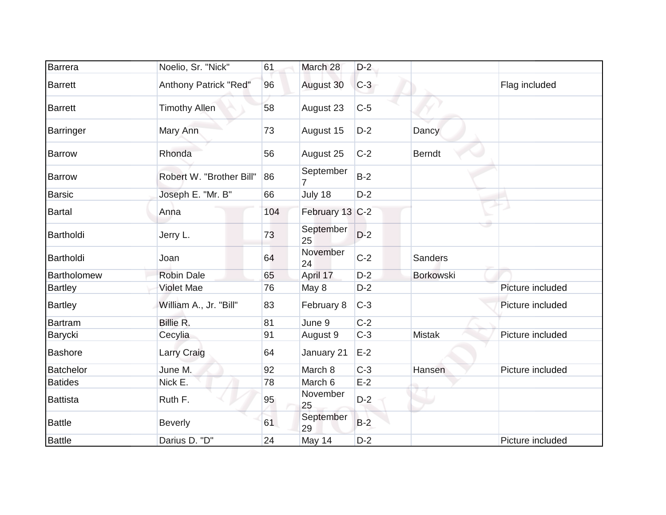| <b>Barrera</b>     | Noelio, Sr. "Nick"       | 61  | March 28                    | $D-2$ |                  |                  |
|--------------------|--------------------------|-----|-----------------------------|-------|------------------|------------------|
| <b>Barrett</b>     | Anthony Patrick "Red"    | 96  | August 30                   | $C-3$ |                  | Flag included    |
| <b>Barrett</b>     | <b>Timothy Allen</b>     | 58  | August 23                   | $C-5$ |                  |                  |
| Barringer          | Mary Ann                 | 73  | August 15                   | $D-2$ | Dancy            |                  |
| <b>Barrow</b>      | Rhonda                   | 56  | August 25                   | $C-2$ | <b>Berndt</b>    |                  |
| Barrow             | Robert W. "Brother Bill" | 86  | September<br>$\overline{7}$ | $B-2$ |                  |                  |
| <b>Barsic</b>      | Joseph E. "Mr. B"        | 66  | July 18                     | $D-2$ |                  |                  |
| <b>Bartal</b>      | Anna                     | 104 | February 13 C-2             |       |                  |                  |
| Bartholdi          | Jerry L.                 | 73  | September<br>25             | $D-2$ |                  |                  |
| Bartholdi          | Joan                     | 64  | November<br>24              | $C-2$ | <b>Sanders</b>   |                  |
| <b>Bartholomew</b> | <b>Robin Dale</b>        | 65  | April 17                    | $D-2$ | <b>Borkowski</b> |                  |
| <b>Bartley</b>     | <b>Violet Mae</b>        | 76  | May 8                       | $D-2$ |                  | Picture included |
| <b>Bartley</b>     | William A., Jr. "Bill"   | 83  | February 8                  | $C-3$ |                  | Picture included |
| Bartram            | Billie R.                | 81  | June 9                      | $C-2$ |                  |                  |
| Barycki            | Cecylia                  | 91  | August 9                    | $C-3$ | <b>Mistak</b>    | Picture included |
| <b>Bashore</b>     | <b>Larry Craig</b>       | 64  | January 21                  | $E-2$ |                  |                  |
| <b>Batchelor</b>   | June M.                  | 92  | March 8                     | $C-3$ | Hansen           | Picture included |
| <b>Batides</b>     | Nick E.                  | 78  | March 6                     | $E-2$ |                  |                  |
| <b>Battista</b>    | Ruth F.                  | 95  | November<br>25              | $D-2$ |                  |                  |
| <b>Battle</b>      | <b>Beverly</b>           | 61  | September<br>29             | $B-2$ |                  |                  |
| <b>Battle</b>      | Darius D. "D"            | 24  | May 14                      | $D-2$ |                  | Picture included |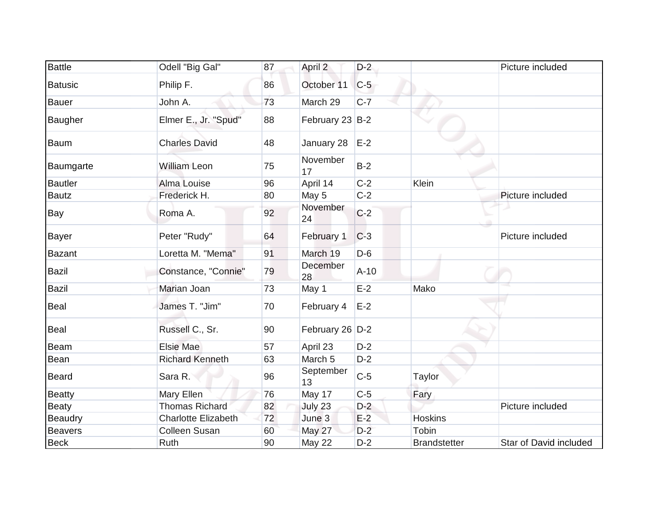| <b>Battle</b>  | Odell "Big Gal"            | 87 | April 2         | $D-2$  |                     | Picture included       |
|----------------|----------------------------|----|-----------------|--------|---------------------|------------------------|
| <b>Batusic</b> | Philip F.                  | 86 | October 11      | $C-5$  |                     |                        |
| <b>Bauer</b>   | John A.                    | 73 | March 29        | $C-7$  |                     |                        |
| Baugher        | Elmer E., Jr. "Spud"       | 88 | February 23 B-2 |        |                     |                        |
| <b>Baum</b>    | <b>Charles David</b>       | 48 | January 28      | $E-2$  |                     |                        |
| Baumgarte      | <b>William Leon</b>        | 75 | November<br>17  | $B-2$  |                     |                        |
| <b>Bautler</b> | Alma Louise                | 96 | April 14        | $C-2$  | Klein               |                        |
| <b>Bautz</b>   | Frederick H.               | 80 | May 5           | $C-2$  |                     | Picture included       |
| Bay            | Roma A.                    | 92 | November<br>24  | $C-2$  |                     |                        |
| <b>Bayer</b>   | Peter "Rudy"               | 64 | February 1      | $C-3$  |                     | Picture included       |
| <b>Bazant</b>  | Loretta M. "Mema"          | 91 | March 19        | $D-6$  |                     |                        |
| <b>Bazil</b>   | Constance, "Connie"        | 79 | December<br>28  | $A-10$ |                     |                        |
| <b>Bazil</b>   | Marian Joan                | 73 | May 1           | $E-2$  | Mako                |                        |
| Beal           | James T. "Jim"             | 70 | February 4      | $E-2$  |                     |                        |
| Beal           | Russell C., Sr.            | 90 | February 26 D-2 |        |                     |                        |
| <b>Beam</b>    | Elsie Mae                  | 57 | April 23        | $D-2$  |                     |                        |
| Bean           | <b>Richard Kenneth</b>     | 63 | March 5         | $D-2$  |                     |                        |
| <b>Beard</b>   | Sara R.                    | 96 | September<br>13 | $C-5$  | Taylor              |                        |
| <b>Beatty</b>  | Mary Ellen                 | 76 | May 17          | $C-5$  | Fary                |                        |
| Beaty          | <b>Thomas Richard</b>      | 82 | July 23         | $D-2$  |                     | Picture included       |
| <b>Beaudry</b> | <b>Charlotte Elizabeth</b> | 72 | June 3          | $E-2$  | <b>Hoskins</b>      |                        |
| <b>Beavers</b> | Colleen Susan              | 60 | May 27          | $D-2$  | Tobin               |                        |
| <b>Beck</b>    | Ruth                       | 90 | May 22          | $D-2$  | <b>Brandstetter</b> | Star of David included |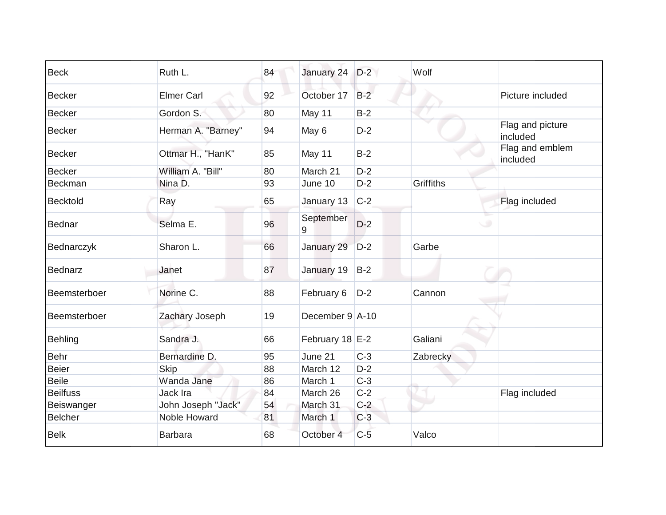| <b>Beck</b>     | Ruth L.            | 84 | January 24             | $D-2$ | Wolf             |                              |
|-----------------|--------------------|----|------------------------|-------|------------------|------------------------------|
| <b>Becker</b>   | <b>Elmer Carl</b>  | 92 | October 17             | $B-2$ |                  | Picture included             |
| <b>Becker</b>   | Gordon S.          | 80 | May 11                 | $B-2$ |                  |                              |
| <b>Becker</b>   | Herman A. "Barney" | 94 | May 6                  | $D-2$ |                  | Flag and picture<br>included |
| <b>Becker</b>   | Ottmar H., "HanK"  | 85 | May 11                 | $B-2$ |                  | Flag and emblem<br>included  |
| <b>Becker</b>   | William A. "Bill"  | 80 | March 21               | $D-2$ |                  |                              |
| Beckman         | Nina D.            | 93 | June 10                | $D-2$ | <b>Griffiths</b> |                              |
| Becktold        | Ray                | 65 | January 13             | $C-2$ |                  | Flag included                |
| Bednar          | Selma E.           | 96 | September<br>9         | $D-2$ |                  | $\cup$                       |
| Bednarczyk      | Sharon L.          | 66 | January 29             | $D-2$ | Garbe            |                              |
| Bednarz         | Janet              | 87 | January 19             | $B-2$ |                  |                              |
| Beemsterboer    | Norine C.          | 88 | February 6             | $D-2$ | Cannon           |                              |
| Beemsterboer    | Zachary Joseph     | 19 | December $9 \mid A-10$ |       |                  |                              |
| Behling         | Sandra J.          | 66 | February 18 E-2        |       | Galiani          |                              |
| <b>Behr</b>     | Bernardine D.      | 95 | June 21                | $C-3$ | Zabrecky         |                              |
| <b>Beier</b>    | <b>Skip</b>        | 88 | March 12               | $D-2$ |                  |                              |
| <b>Beile</b>    | Wanda Jane         | 86 | March 1                | $C-3$ |                  |                              |
| <b>Beilfuss</b> | Jack Ira           | 84 | March 26               | $C-2$ |                  | Flag included                |
| Beiswanger      | John Joseph "Jack" | 54 | March 31               | $C-2$ |                  |                              |
| <b>Belcher</b>  | Noble Howard       | 81 | March 1                | $C-3$ |                  |                              |
| <b>Belk</b>     | <b>Barbara</b>     | 68 | October 4              | $C-5$ | Valco            |                              |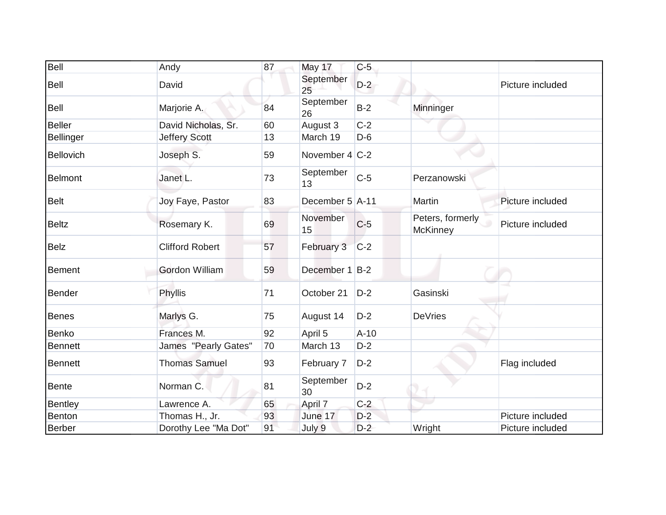| Bell           | Andy                   | 87 | May 17            | $C-5$  |                                     |                  |
|----------------|------------------------|----|-------------------|--------|-------------------------------------|------------------|
| Bell           | David                  |    | September<br>25   | $D-2$  |                                     | Picture included |
| Bell           | Marjorie A.            | 84 | September<br>26   | $B-2$  | Minninger                           |                  |
| <b>Beller</b>  | David Nicholas, Sr.    | 60 | August 3          | $C-2$  |                                     |                  |
| Bellinger      | <b>Jeffery Scott</b>   | 13 | March 19          | $D-6$  |                                     |                  |
| Bellovich      | Joseph S.              | 59 | November $4 C-2 $ |        |                                     |                  |
| Belmont        | Janet L.               | 73 | September<br>13   | $C-5$  | Perzanowski                         |                  |
| Belt           | Joy Faye, Pastor       | 83 | December 5 A-11   |        | Martin                              | Picture included |
| <b>Beltz</b>   | Rosemary K.            | 69 | November<br>15    | $C-5$  | Peters, formerly<br><b>McKinney</b> | Picture included |
| <b>Belz</b>    | <b>Clifford Robert</b> | 57 | February 3        | $C-2$  |                                     |                  |
| <b>Bement</b>  | <b>Gordon William</b>  | 59 | December 1 B-2    |        |                                     |                  |
| Bender         | Phyllis                | 71 | October 21        | $D-2$  | Gasinski                            |                  |
| Benes          | Marlys G.              | 75 | August 14         | $D-2$  | <b>DeVries</b>                      |                  |
| Benko          | Frances M.             | 92 | April 5           | $A-10$ |                                     |                  |
| <b>Bennett</b> | James "Pearly Gates"   | 70 | March 13          | $D-2$  |                                     |                  |
| <b>Bennett</b> | <b>Thomas Samuel</b>   | 93 | February 7        | $D-2$  |                                     | Flag included    |
| <b>Bente</b>   | Norman C.              | 81 | September<br>30   | $D-2$  |                                     |                  |
| Bentley        | Lawrence A.            | 65 | April 7           | $C-2$  |                                     |                  |
| Benton         | Thomas H., Jr.         | 93 | June 17           | $D-2$  |                                     | Picture included |
| Berber         | Dorothy Lee "Ma Dot"   | 91 | July 9            | $D-2$  | Wright                              | Picture included |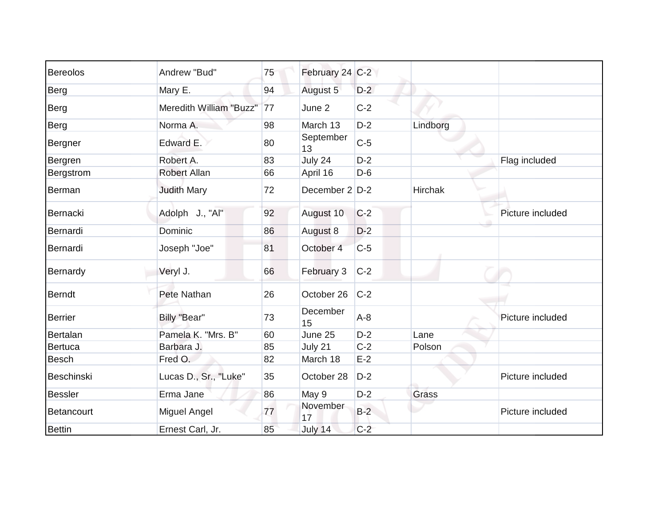| <b>Bereolos</b> | Andrew "Bud"            | 75           | February 24 C-2 |       |                |                  |
|-----------------|-------------------------|--------------|-----------------|-------|----------------|------------------|
| Berg            | Mary E.                 | 94           | August 5        | $D-2$ |                |                  |
| Berg            | Meredith William "Buzz" | $\boxed{77}$ | June 2          | $C-2$ |                |                  |
| <b>Berg</b>     | Norma A.                | 98           | March 13        | $D-2$ | Lindborg       |                  |
| Bergner         | Edward E.               | 80           | September<br>13 | $C-5$ |                |                  |
| Bergren         | Robert A.               | 83           | July 24         | $D-2$ |                | Flag included    |
| Bergstrom       | <b>Robert Allan</b>     | 66           | April 16        | $D-6$ |                |                  |
| Berman          | <b>Judith Mary</b>      | 72           | December 2 D-2  |       | <b>Hirchak</b> |                  |
| Bernacki        | Adolph J., "Al"         | 92           | August 10       | $C-2$ |                | Picture included |
| Bernardi        | Dominic                 | 86           | August 8        | $D-2$ |                |                  |
| Bernardi        | Joseph "Joe"            | 81           | October 4       | $C-5$ |                |                  |
| Bernardy        | Veryl J.                | 66           | February 3      | $C-2$ |                |                  |
| <b>Berndt</b>   | Pete Nathan             | 26           | October 26      | $C-2$ |                |                  |
| <b>Berrier</b>  | Billy "Bear"            | 73           | December<br>15  | $A-8$ |                | Picture included |
| Bertalan        | Pamela K. "Mrs. B"      | 60           | June 25         | $D-2$ | Lane           |                  |
| Bertuca         | Barbara J.              | 85           | July 21         | $C-2$ | Polson         |                  |
| <b>Besch</b>    | Fred O.                 | 82           | March 18        | $E-2$ |                |                  |
| Beschinski      | Lucas D., Sr., "Luke"   | 35           | October 28      | $D-2$ |                | Picture included |
| <b>Bessler</b>  | Erma Jane               | 86           | May 9           | $D-2$ | Grass          |                  |
| Betancourt      | Miguel Angel            | 77           | November<br>17  | $B-2$ |                | Picture included |
| <b>Bettin</b>   | Ernest Carl, Jr.        | 85           | July 14         | $C-2$ |                |                  |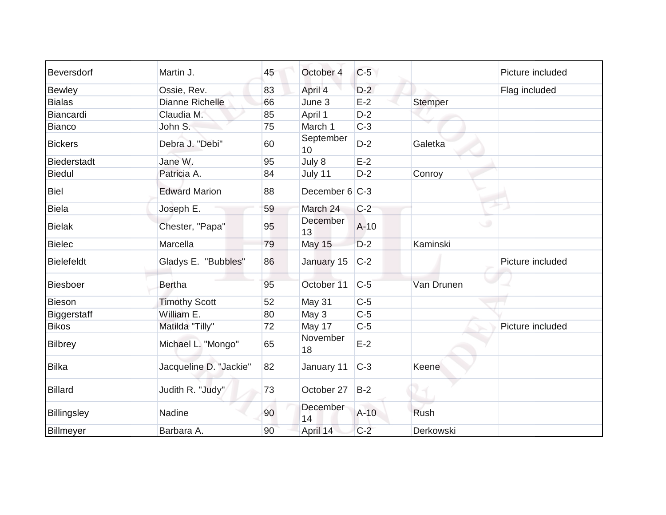| Beversdorf         | Martin J.              | 45 | October 4       | $C-5$  |                | Picture included |
|--------------------|------------------------|----|-----------------|--------|----------------|------------------|
| <b>Bewley</b>      | Ossie, Rev.            | 83 | April 4         | $D-2$  |                | Flag included    |
| <b>Bialas</b>      | Dianne Richelle        | 66 | June 3          | $E-2$  | <b>Stemper</b> |                  |
| Biancardi          | Claudia M.             | 85 | April 1         | $D-2$  |                |                  |
| Bianco             | John S.                | 75 | March 1         | $C-3$  |                |                  |
| <b>Bickers</b>     | Debra J. "Debi"        | 60 | September<br>10 | $D-2$  | Galetka        |                  |
| Biederstadt        | Jane W.                | 95 | July 8          | $E-2$  |                |                  |
| <b>Biedul</b>      | Patricia A.            | 84 | July 11         | $D-2$  | Conroy         |                  |
| <b>Biel</b>        | <b>Edward Marion</b>   | 88 | December 6 C-3  |        |                |                  |
| <b>Biela</b>       | Joseph E.              | 59 | March 24        | $C-2$  |                |                  |
| Bielak             | Chester, "Papa"        | 95 | December<br>13  | $A-10$ | ی              |                  |
| <b>Bielec</b>      | Marcella               | 79 | <b>May 15</b>   | $D-2$  | Kaminski       |                  |
| <b>Bielefeldt</b>  | Gladys E. "Bubbles"    | 86 | January 15      | $C-2$  |                | Picture included |
| Biesboer           | <b>Bertha</b>          | 95 | October 11      | $C-5$  | Van Drunen     |                  |
| Bieson             | <b>Timothy Scott</b>   | 52 | May 31          | $C-5$  |                |                  |
| <b>Biggerstaff</b> | William E.             | 80 | May 3           | $C-5$  |                |                  |
| <b>Bikos</b>       | Matilda "Tilly"        | 72 | May 17          | $C-5$  |                | Picture included |
| Bilbrey            | Michael L. "Mongo"     | 65 | November<br>18  | $E-2$  |                |                  |
| <b>Bilka</b>       | Jacqueline D. "Jackie" | 82 | January 11      | $C-3$  | Keene          |                  |
| <b>Billard</b>     | Judith R. "Judy"       | 73 | October 27      | $B-2$  |                |                  |
| Billingsley        | Nadine                 | 90 | December<br>14  | $A-10$ | Rush           |                  |
| Billmeyer          | Barbara A.             | 90 | April 14        | $C-2$  | Derkowski      |                  |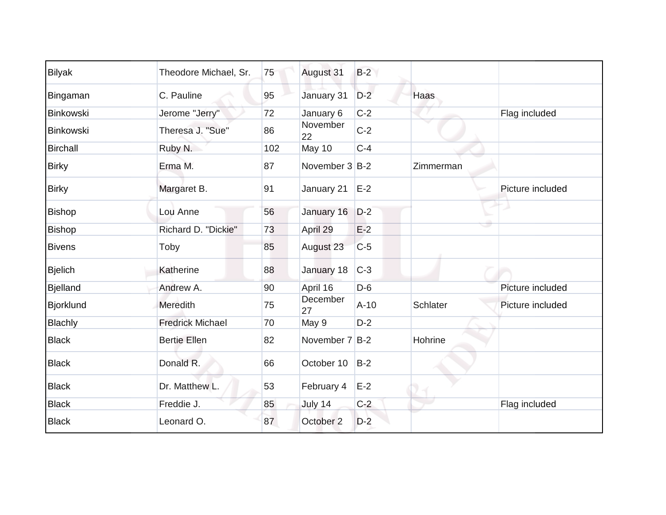| <b>Bilyak</b>    | Theodore Michael, Sr.   | 75  | August 31      | $B-2$  |           |                  |
|------------------|-------------------------|-----|----------------|--------|-----------|------------------|
| Bingaman         | C. Pauline              | 95  | January 31     | $D-2$  | Haas      |                  |
| Binkowski        | Jerome "Jerry"          | 72  | January 6      | $C-2$  |           | Flag included    |
| Binkowski        | Theresa J. "Sue"        | 86  | November<br>22 | $C-2$  | ▽         |                  |
| <b>Birchall</b>  | Ruby N.                 | 102 | May 10         | $C-4$  |           |                  |
| <b>Birky</b>     | Erma M.                 | 87  | November 3 B-2 |        | Zimmerman |                  |
| <b>Birky</b>     | Margaret B.             | 91  | January 21     | $E-2$  |           | Picture included |
| <b>Bishop</b>    | Lou Anne                | 56  | January 16     | $D-2$  |           |                  |
| Bishop           | Richard D. "Dickie"     | 73  | April 29       | $E-2$  |           |                  |
| <b>Bivens</b>    | Toby                    | 85  | August 23      | $C-5$  |           |                  |
| <b>Bjelich</b>   | Katherine               | 88  | January 18     | $C-3$  |           |                  |
| <b>Bjelland</b>  | Andrew A.               | 90  | April 16       | $D-6$  |           | Picture included |
| <b>Bjorklund</b> | Meredith                | 75  | December<br>27 | $A-10$ | Schlater  | Picture included |
| <b>Blachly</b>   | <b>Fredrick Michael</b> | 70  | May 9          | $D-2$  |           |                  |
| <b>Black</b>     | <b>Bertie Ellen</b>     | 82  | November 7 B-2 |        | Hohrine   |                  |
| <b>Black</b>     | Donald R.               | 66  | October 10     | $B-2$  |           |                  |
| <b>Black</b>     | Dr. Matthew L.          | 53  | February 4     | $E-2$  |           |                  |
| <b>Black</b>     | Freddie J.              | 85  | July 14        | $C-2$  |           | Flag included    |
| <b>Black</b>     | Leonard O.              | 87  | October 2      | $D-2$  |           |                  |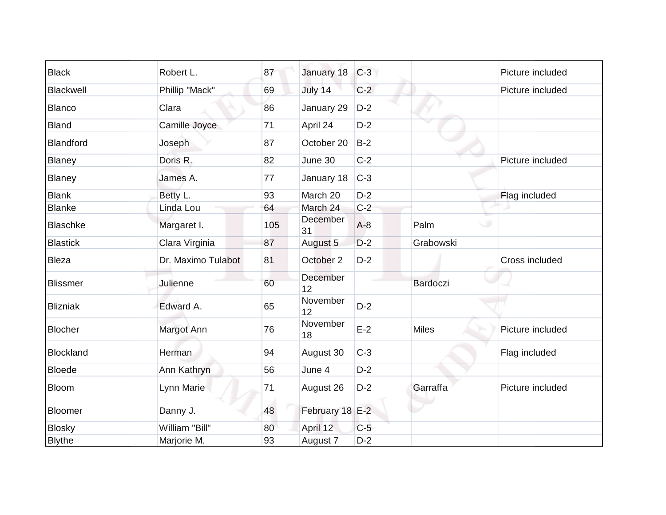| <b>Black</b>    | Robert L.          | 87  | January 18      | $C-3$ |                 | Picture included |
|-----------------|--------------------|-----|-----------------|-------|-----------------|------------------|
| Blackwell       | Phillip "Mack"     | 69  | July 14         | $C-2$ |                 | Picture included |
| <b>Blanco</b>   | Clara              | 86  | January 29      | $D-2$ |                 |                  |
| <b>Bland</b>    | Camille Joyce      | 71  | April 24        | $D-2$ |                 |                  |
| Blandford       | Joseph             | 87  | October 20      | $B-2$ |                 |                  |
| Blaney          | Doris R.           | 82  | June 30         | $C-2$ |                 | Picture included |
| Blaney          | James A.           | 77  | January 18      | $C-3$ |                 |                  |
| <b>Blank</b>    | Betty L.           | 93  | March 20        | $D-2$ |                 | Flag included    |
| <b>Blanke</b>   | Linda Lou          | 64  | March 24        | $C-2$ |                 |                  |
| <b>Blaschke</b> | Margaret I.        | 105 | December<br>31  | $A-8$ | Palm            |                  |
| <b>Blastick</b> | Clara Virginia     | 87  | August 5        | $D-2$ | Grabowski       |                  |
| <b>Bleza</b>    | Dr. Maximo Tulabot | 81  | October 2       | $D-2$ |                 | Cross included   |
| <b>Blissmer</b> | Julienne           | 60  | December<br>12  |       | <b>Bardoczi</b> |                  |
| <b>Blizniak</b> | Edward A.          | 65  | November<br>12  | $D-2$ |                 |                  |
| <b>Blocher</b>  | Margot Ann         | 76  | November<br>18  | $E-2$ | <b>Miles</b>    | Picture included |
| Blockland       | Herman             | 94  | August 30       | $C-3$ |                 | Flag included    |
| <b>Bloede</b>   | Ann Kathryn        | 56  | June 4          | $D-2$ |                 |                  |
| Bloom           | Lynn Marie         | 71  | August 26       | $D-2$ | Garraffa        | Picture included |
| Bloomer         | Danny J.           | 48  | February 18 E-2 |       |                 |                  |
| <b>Blosky</b>   | William "Bill"     | 80  | April 12        | $C-5$ |                 |                  |
| <b>Blythe</b>   | Marjorie M.        | 93  | August 7        | $D-2$ |                 |                  |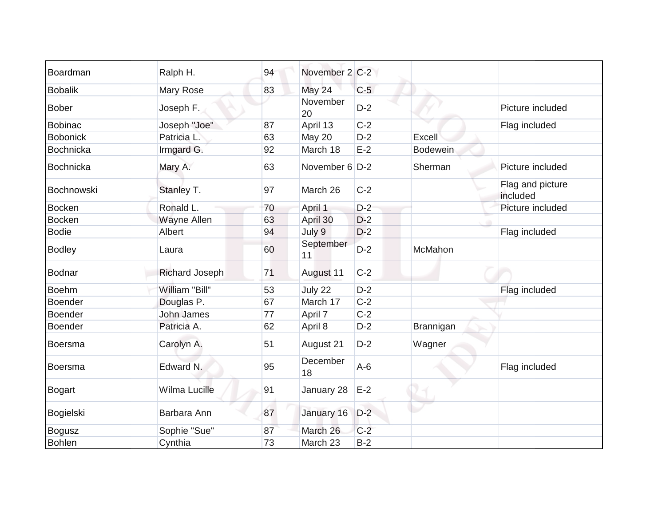| Boardman        | Ralph H.              | 94 | November 2 C-2  |       |                 |                              |
|-----------------|-----------------------|----|-----------------|-------|-----------------|------------------------------|
| <b>Bobalik</b>  | Mary Rose             | 83 | May 24          | $C-5$ |                 |                              |
| <b>Bober</b>    | Joseph F.             |    | November<br>20  | $D-2$ |                 | Picture included             |
| <b>Bobinac</b>  | Joseph "Joe"          | 87 | April 13        | $C-2$ |                 | Flag included                |
| <b>Bobonick</b> | Patricia L.           | 63 | May 20          | $D-2$ | Excell          |                              |
| Bochnicka       | Irmgard G.            | 92 | March 18        | $E-2$ | <b>Bodewein</b> |                              |
| Bochnicka       | Mary A.               | 63 | November 6 D-2  |       | Sherman         | Picture included             |
| Bochnowski      | Stanley T.            | 97 | March 26        | $C-2$ |                 | Flag and picture<br>included |
| <b>Bocken</b>   | Ronald L.             | 70 | April 1         | $D-2$ |                 | Picture included             |
| <b>Bocken</b>   | Wayne Allen           | 63 | April 30        | $D-2$ |                 |                              |
| <b>Bodie</b>    | Albert                | 94 | July 9          | $D-2$ |                 | Flag included                |
| <b>Bodley</b>   | Laura                 | 60 | September<br>11 | $D-2$ | McMahon         |                              |
| Bodnar          | <b>Richard Joseph</b> | 71 | August 11       | $C-2$ |                 |                              |
| <b>Boehm</b>    | William "Bill"        | 53 | July 22         | $D-2$ |                 | Flag included                |
| Boender         | Douglas P.            | 67 | March 17        | $C-2$ |                 |                              |
| <b>Boender</b>  | <b>John James</b>     | 77 | April 7         | $C-2$ |                 |                              |
| Boender         | Patricia A.           | 62 | April 8         | $D-2$ | Brannigan       |                              |
| Boersma         | Carolyn A.            | 51 | August 21       | $D-2$ | Wagner          |                              |
| Boersma         | Edward N.             | 95 | December<br>18  | $A-6$ |                 | Flag included                |
| Bogart          | Wilma Lucille         | 91 | January 28      | $E-2$ |                 |                              |
| Bogielski       | Barbara Ann           | 87 | January 16      | $D-2$ |                 |                              |
| <b>Bogusz</b>   | Sophie "Sue"          | 87 | March 26        | $C-2$ |                 |                              |
| <b>Bohlen</b>   | Cynthia               | 73 | March 23        | $B-2$ |                 |                              |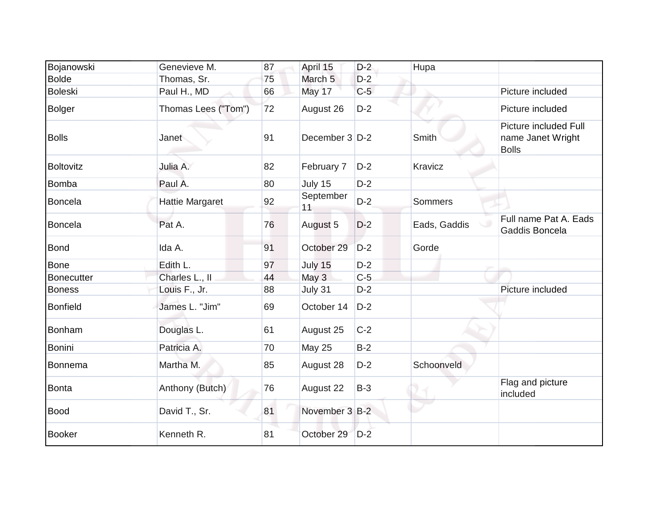| Bojanowski        | Genevieve M.           | 87 | April 15           | $D-2$ | Hupa         |                                                            |
|-------------------|------------------------|----|--------------------|-------|--------------|------------------------------------------------------------|
| <b>Bolde</b>      | Thomas, Sr.            | 75 | March <sub>5</sub> | $D-2$ |              |                                                            |
| <b>Boleski</b>    | Paul H., MD            | 66 | May 17             | $C-5$ |              | Picture included                                           |
| <b>Bolger</b>     | Thomas Lees ("Tom")    | 72 | August 26          | $D-2$ |              | Picture included                                           |
| <b>Bolls</b>      | Janet                  | 91 | December 3 D-2     |       | Smith        | Picture included Full<br>name Janet Wright<br><b>Bolls</b> |
| Boltovitz         | Julia A.               | 82 | February 7         | $D-2$ | Kravicz      |                                                            |
| <b>Bomba</b>      | Paul A.                | 80 | July 15            | $D-2$ |              |                                                            |
| Boncela           | <b>Hattie Margaret</b> | 92 | September<br>11    | $D-2$ | Sommers      |                                                            |
| Boncela           | Pat A.                 | 76 | August 5           | $D-2$ | Eads, Gaddis | Full name Pat A. Eads<br>Gaddis Boncela                    |
| Bond              | Ida A.                 | 91 | October 29         | $D-2$ | Gorde        |                                                            |
| <b>Bone</b>       | Edith L.               | 97 | July 15            | $D-2$ |              |                                                            |
| <b>Bonecutter</b> | Charles L., II         | 44 | May 3              | $C-5$ |              |                                                            |
| <b>Boness</b>     | Louis F., Jr.          | 88 | July 31            | $D-2$ |              | Picture included                                           |
| <b>Bonfield</b>   | James L. "Jim"         | 69 | October 14         | $D-2$ |              |                                                            |
| Bonham            | Douglas L.             | 61 | August 25          | $C-2$ |              |                                                            |
| <b>Bonini</b>     | Patricia A.            | 70 | <b>May 25</b>      | $B-2$ |              |                                                            |
| Bonnema           | Martha M.              | 85 | August 28          | $D-2$ | Schoonveld   |                                                            |
| Bonta             | Anthony (Butch)        | 76 | August 22          | $B-3$ |              | Flag and picture<br>included                               |
| <b>Bood</b>       | David T., Sr.          | 81 | November 3 B-2     |       |              |                                                            |
| <b>Booker</b>     | Kenneth R.             | 81 | October 29         | $D-2$ |              |                                                            |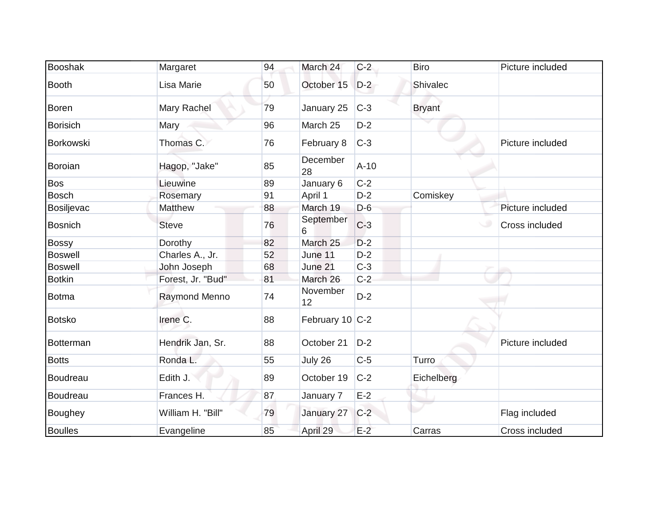| <b>Booshak</b>  | Margaret          | 94 | March 24        | $C-2$  | <b>Biro</b>   | Picture included |
|-----------------|-------------------|----|-----------------|--------|---------------|------------------|
| <b>Booth</b>    | Lisa Marie        | 50 | October 15      | $D-2$  | Shivalec      |                  |
| <b>Boren</b>    | Mary Rachel       | 79 | January 25      | $C-3$  | <b>Bryant</b> |                  |
| <b>Borisich</b> | Mary              | 96 | March 25        | $D-2$  |               |                  |
| Borkowski       | Thomas C.         | 76 | February 8      | $C-3$  |               | Picture included |
| Boroian         | Hagop, "Jake"     | 85 | December<br>28  | $A-10$ |               |                  |
| <b>Bos</b>      | Lieuwine          | 89 | January 6       | $C-2$  |               |                  |
| <b>Bosch</b>    | Rosemary          | 91 | April 1         | $D-2$  | Comiskey      |                  |
| Bosiljevac      | Matthew           | 88 | March 19        | $D-6$  |               | Picture included |
| <b>Bosnich</b>  | <b>Steve</b>      | 76 | September<br>6  | $C-3$  |               | Cross included   |
| <b>Bossy</b>    | Dorothy           | 82 | March 25        | $D-2$  |               |                  |
| <b>Boswell</b>  | Charles A., Jr.   | 52 | June 11         | $D-2$  |               |                  |
| <b>Boswell</b>  | John Joseph       | 68 | June 21         | $C-3$  |               |                  |
| <b>Botkin</b>   | Forest, Jr. "Bud" | 81 | March 26        | $C-2$  |               |                  |
| Botma           | Raymond Menno     | 74 | November<br>12  | $D-2$  |               |                  |
| <b>Botsko</b>   | Irene C.          | 88 | February 10 C-2 |        |               |                  |
| Botterman       | Hendrik Jan, Sr.  | 88 | October 21      | $D-2$  |               | Picture included |
| <b>Botts</b>    | Ronda L.          | 55 | July 26         | $C-5$  | Turro         |                  |
| Boudreau        | Edith J.          | 89 | October 19      | $C-2$  | Eichelberg    |                  |
| Boudreau        | Frances H.        | 87 | January 7       | $E-2$  |               |                  |
| Boughey         | William H. "Bill" | 79 | January 27      | $C-2$  |               | Flag included    |
| <b>Boulles</b>  | Evangeline        | 85 | April 29        | $E-2$  | Carras        | Cross included   |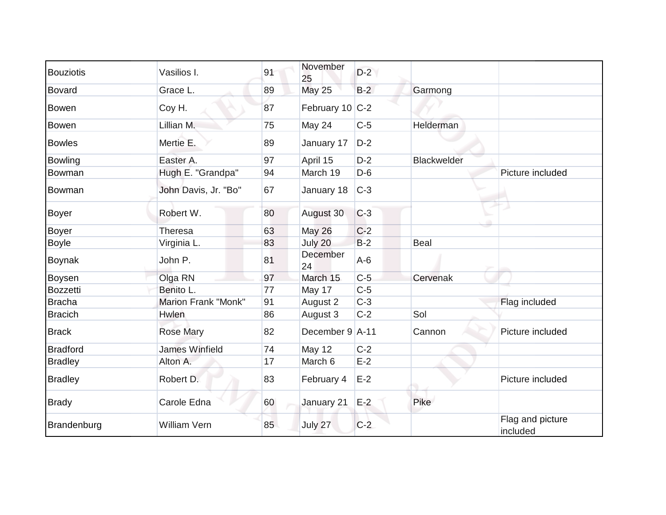| <b>Bouziotis</b> | Vasilios I.                | 91 | November<br>25  | $D-2$ |                    |                              |
|------------------|----------------------------|----|-----------------|-------|--------------------|------------------------------|
| Bovard           | Grace L.                   | 89 | <b>May 25</b>   | $B-2$ | Garmong            |                              |
| <b>Bowen</b>     | Coy H.                     | 87 | February 10 C-2 |       |                    |                              |
| <b>Bowen</b>     | Lillian M.                 | 75 | May 24          | $C-5$ | Helderman          |                              |
| <b>Bowles</b>    | Mertie E.                  | 89 | January 17      | $D-2$ |                    |                              |
| <b>Bowling</b>   | Easter A.                  | 97 | April 15        | $D-2$ | <b>Blackwelder</b> |                              |
| Bowman           | Hugh E. "Grandpa"          | 94 | March 19        | $D-6$ |                    | Picture included             |
| Bowman           | John Davis, Jr. "Bo"       | 67 | January 18      | $C-3$ |                    |                              |
| Boyer            | Robert W.                  | 80 | August 30       | $C-3$ |                    |                              |
| <b>Boyer</b>     | Theresa                    | 63 | May 26          | $C-2$ |                    |                              |
| <b>Boyle</b>     | Virginia L.                | 83 | July 20         | $B-2$ | <b>Beal</b>        |                              |
| <b>Boynak</b>    | John P.                    | 81 | December<br>24  | $A-6$ |                    |                              |
| Boysen           | Olga RN                    | 97 | March 15        | $C-5$ | Cervenak           |                              |
| Bozzetti         | Benito L.                  | 77 | May 17          | $C-5$ |                    |                              |
| <b>Bracha</b>    | <b>Marion Frank "Monk"</b> | 91 | August 2        | $C-3$ |                    | Flag included                |
| <b>Bracich</b>   | Hwlen                      | 86 | August 3        | $C-2$ | Sol                |                              |
| <b>Brack</b>     | <b>Rose Mary</b>           | 82 | December 9 A-11 |       | Cannon             | Picture included             |
| <b>Bradford</b>  | <b>James Winfield</b>      | 74 | May 12          | $C-2$ |                    |                              |
| <b>Bradley</b>   | Alton A.                   | 17 | March 6         | $E-2$ |                    |                              |
| <b>Bradley</b>   | Robert D.                  | 83 | February 4      | $E-2$ |                    | Picture included             |
| <b>Brady</b>     | Carole Edna                | 60 | January 21      | $E-2$ | Pike               |                              |
| Brandenburg      | <b>William Vern</b>        | 85 | July 27         | $C-2$ |                    | Flag and picture<br>included |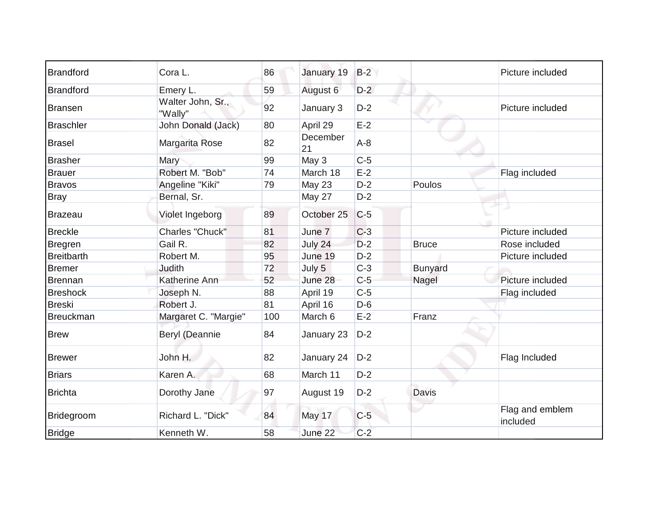| <b>Brandford</b>  | Cora L.                      | 86  | January 19     | $B-2$ |                | Picture included            |
|-------------------|------------------------------|-----|----------------|-------|----------------|-----------------------------|
| <b>Brandford</b>  | Emery L.                     | 59  | August 6       | $D-2$ |                |                             |
| <b>Bransen</b>    | Walter John, Sr.,<br>"Wally" | 92  | January 3      | $D-2$ |                | Picture included            |
| <b>Braschler</b>  | John Donald (Jack)           | 80  | April 29       | $E-2$ |                |                             |
| <b>Brasel</b>     | Margarita Rose               | 82  | December<br>21 | $A-8$ |                |                             |
| <b>Brasher</b>    | Mary                         | 99  | May 3          | $C-5$ |                |                             |
| <b>Brauer</b>     | Robert M. "Bob"              | 74  | March 18       | $E-2$ |                | Flag included               |
| <b>Bravos</b>     | Angeline "Kiki"              | 79  | <b>May 23</b>  | $D-2$ | Poulos         |                             |
| <b>Bray</b>       | Bernal, Sr.                  |     | May 27         | $D-2$ |                |                             |
| <b>Brazeau</b>    | Violet Ingeborg              | 89  | October 25     | $C-5$ |                |                             |
| <b>Breckle</b>    | Charles "Chuck"              | 81  | June 7         | $C-3$ |                | Picture included            |
| <b>Bregren</b>    | Gail R.                      | 82  | July 24        | $D-2$ | <b>Bruce</b>   | Rose included               |
| <b>Breitbarth</b> | Robert M.                    | 95  | June 19        | $D-2$ |                | Picture included            |
| <b>Bremer</b>     | Judith                       | 72  | July 5         | $C-3$ | <b>Bunyard</b> |                             |
| <b>Brennan</b>    | Katherine Ann                | 52  | June 28        | $C-5$ | Nagel          | Picture included            |
| <b>Breshock</b>   | Joseph N.                    | 88  | April 19       | $C-5$ |                | Flag included               |
| <b>Breski</b>     | Robert J.                    | 81  | April 16       | $D-6$ |                |                             |
| <b>Breuckman</b>  | Margaret C. "Margie"         | 100 | March 6        | $E-2$ | Franz          |                             |
| <b>Brew</b>       | Beryl (Deannie               | 84  | January 23     | $D-2$ |                |                             |
| <b>Brewer</b>     | John H.                      | 82  | January 24     | $D-2$ |                | Flag Included               |
| <b>Briars</b>     | Karen A.                     | 68  | March 11       | $D-2$ |                |                             |
| <b>Brichta</b>    | Dorothy Jane                 | 97  | August 19      | $D-2$ | Davis          |                             |
| Bridegroom        | Richard L. "Dick"            | 84  | May 17         | $C-5$ |                | Flag and emblem<br>included |
| <b>Bridge</b>     | Kenneth W.                   | 58  | June 22        | $C-2$ |                |                             |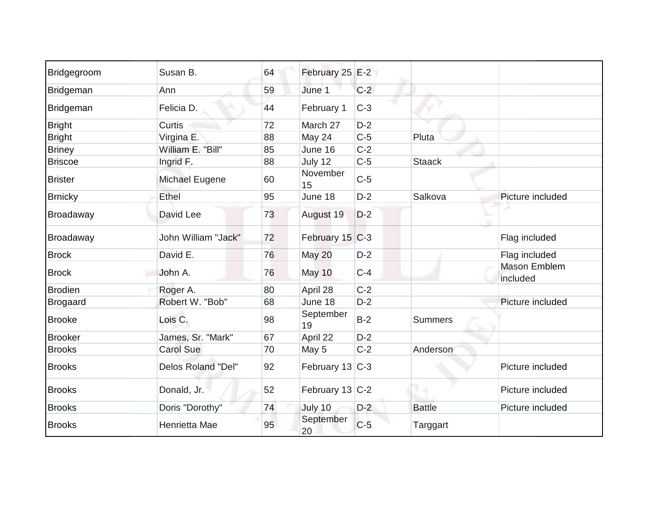| Bridgegroom     | Susan B.              | 64 | February 25 E-2 |       |                |                          |
|-----------------|-----------------------|----|-----------------|-------|----------------|--------------------------|
| Bridgeman       | Ann                   | 59 | June 1          | $C-2$ |                |                          |
| Bridgeman       | Felicia D.            | 44 | February 1      | $C-3$ |                |                          |
| <b>Bright</b>   | Curtis                | 72 | March 27        | $D-2$ |                |                          |
| <b>Bright</b>   | Virgina E.            | 88 | May 24          | $C-5$ | Pluta          |                          |
| <b>Briney</b>   | William E. "Bill"     | 85 | June 16         | $C-2$ |                |                          |
| <b>Briscoe</b>  | Ingrid F.             | 88 | July 12         | $C-5$ | <b>Staack</b>  |                          |
| <b>Brister</b>  | <b>Michael Eugene</b> | 60 | November<br>15  | $C-5$ |                |                          |
| <b>Brnicky</b>  | Ethel                 | 95 | June 18         | $D-2$ | Salkova        | Picture included         |
| Broadaway       | David Lee             | 73 | August 19       | $D-2$ |                |                          |
| Broadaway       | John William "Jack"   | 72 | February 15 C-3 |       |                | Flag included            |
| <b>Brock</b>    | David E.              | 76 | May 20          | $D-2$ |                | Flag included            |
| <b>Brock</b>    | John A.               | 76 | May 10          | $C-4$ |                | Mason Emblem<br>included |
| <b>Brodien</b>  | Roger A.              | 80 | April 28        | $C-2$ |                |                          |
| <b>Brogaard</b> | Robert W. "Bob"       | 68 | June 18         | $D-2$ |                | Picture included         |
| <b>Brooke</b>   | Lois C.               | 98 | September<br>19 | $B-2$ | <b>Summers</b> |                          |
| <b>Brooker</b>  | James, Sr. "Mark"     | 67 | April 22        | $D-2$ |                |                          |
| <b>Brooks</b>   | <b>Carol Sue</b>      | 70 | May 5           | $C-2$ | Anderson       |                          |
| <b>Brooks</b>   | Delos Roland "Del"    | 92 | February 13 C-3 |       |                | Picture included         |
| <b>Brooks</b>   | Donald, Jr.           | 52 | February 13 C-2 |       |                | Picture included         |
| <b>Brooks</b>   | Doris "Dorothy"       | 74 | July 10         | $D-2$ | <b>Battle</b>  | Picture included         |
| <b>Brooks</b>   | Henrietta Mae         | 95 | September<br>20 | $C-5$ | Targgart       |                          |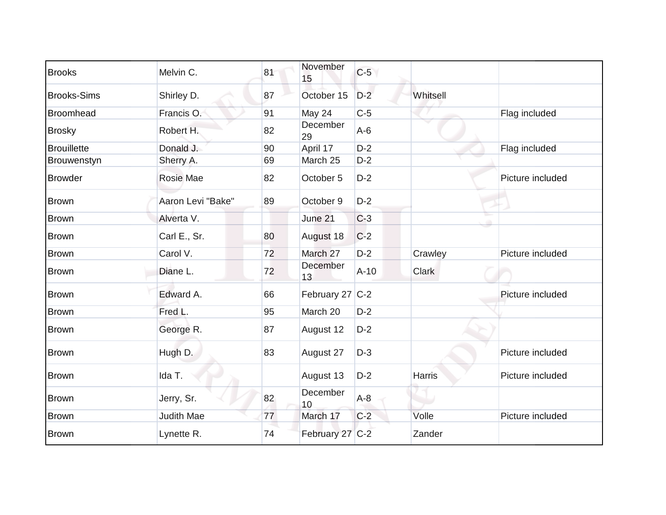| <b>Brooks</b>      | Melvin C.         | 81 | November<br>15  | $C-5$  |               |                  |
|--------------------|-------------------|----|-----------------|--------|---------------|------------------|
| <b>Brooks-Sims</b> | Shirley D.        | 87 | October 15      | $D-2$  | Whitsell      |                  |
| Broomhead          | Francis O.        | 91 | May 24          | $C-5$  |               | Flag included    |
| <b>Brosky</b>      | Robert H.         | 82 | December<br>29  | $A-6$  |               |                  |
| <b>Brouillette</b> | Donald J.         | 90 | April 17        | $D-2$  |               | Flag included    |
| Brouwenstyn        | Sherry A.         | 69 | March 25        | $D-2$  |               |                  |
| <b>Browder</b>     | Rosie Mae         | 82 | October 5       | $D-2$  |               | Picture included |
| <b>Brown</b>       | Aaron Levi "Bake" | 89 | October 9       | $D-2$  |               |                  |
| <b>Brown</b>       | Alverta V.        |    | June 21         | $C-3$  |               |                  |
| <b>Brown</b>       | Carl E., Sr.      | 80 | August 18       | $C-2$  |               |                  |
| <b>Brown</b>       | Carol V.          | 72 | March 27        | $D-2$  | Crawley       | Picture included |
| <b>Brown</b>       | Diane L.          | 72 | December<br>13  | $A-10$ | <b>Clark</b>  |                  |
| <b>Brown</b>       | Edward A.         | 66 | February 27 C-2 |        |               | Picture included |
| <b>Brown</b>       | Fred L.           | 95 | March 20        | $D-2$  |               |                  |
| <b>Brown</b>       | George R.         | 87 | August 12       | $D-2$  |               |                  |
| <b>Brown</b>       | Hugh D.           | 83 | August 27       | $D-3$  |               | Picture included |
| <b>Brown</b>       | Ida T.            |    | August 13       | $D-2$  | <b>Harris</b> | Picture included |
| <b>Brown</b>       | Jerry, Sr.        | 82 | December<br>10  | $A-8$  |               |                  |
| <b>Brown</b>       | <b>Judith Mae</b> | 77 | March 17        | $C-2$  | Volle         | Picture included |
| <b>Brown</b>       | Lynette R.        | 74 | February 27 C-2 |        | Zander        |                  |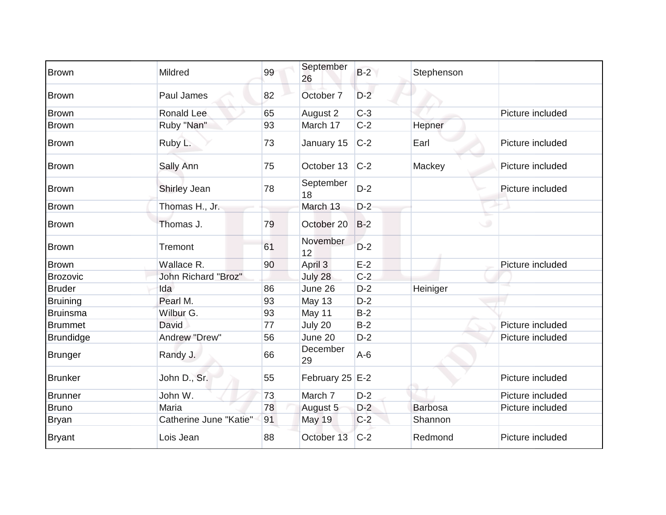| <b>Brown</b>     | Mildred                | 99 | September<br>26   | $B-2$ | Stephenson     |                  |
|------------------|------------------------|----|-------------------|-------|----------------|------------------|
| <b>Brown</b>     | Paul James             | 82 | October 7         | $D-2$ |                |                  |
| <b>Brown</b>     | Ronald Lee             | 65 | August 2          | $C-3$ |                | Picture included |
| <b>Brown</b>     | Ruby "Nan"             | 93 | March 17          | $C-2$ | Hepner         |                  |
| Brown            | Ruby L.                | 73 | January 15        | $C-2$ | Earl           | Picture included |
| <b>Brown</b>     | Sally Ann              | 75 | October 13        | $C-2$ | Mackey         | Picture included |
| <b>Brown</b>     | Shirley Jean           | 78 | September<br>18   | $D-2$ |                | Picture included |
| <b>Brown</b>     | Thomas H., Jr.         |    | March 13          | $D-2$ |                |                  |
| <b>Brown</b>     | Thomas J.              | 79 | October 20        | $B-2$ |                | ی                |
| <b>Brown</b>     | Tremont                | 61 | November<br>12    | $D-2$ |                |                  |
| <b>Brown</b>     | Wallace R.             | 90 | April 3           | $E-2$ |                | Picture included |
| <b>Brozovic</b>  | John Richard "Broz"    |    | July 28           | $C-2$ |                |                  |
| <b>Bruder</b>    | Ida                    | 86 | June 26           | $D-2$ | Heiniger       |                  |
| <b>Bruining</b>  | Pearl M.               | 93 | May 13            | $D-2$ |                |                  |
| <b>Bruinsma</b>  | Wilbur G.              | 93 | May 11            | $B-2$ |                |                  |
| <b>Brummet</b>   | David                  | 77 | July 20           | $B-2$ |                | Picture included |
| <b>Brundidge</b> | Andrew "Drew"          | 56 | June 20           | $D-2$ |                | Picture included |
| <b>Brunger</b>   | Randy J.               | 66 | December<br>29    | $A-6$ |                |                  |
| <b>Brunker</b>   | John D., Sr.           | 55 | February 25 $E-2$ |       |                | Picture included |
| <b>Brunner</b>   | John W.                | 73 | March 7           | $D-2$ |                | Picture included |
| <b>Bruno</b>     | Maria                  | 78 | August 5          | $D-2$ | <b>Barbosa</b> | Picture included |
| <b>Bryan</b>     | Catherine June "Katie" | 91 | <b>May 19</b>     | $C-2$ | Shannon        |                  |
| <b>Bryant</b>    | Lois Jean              | 88 | October 13        | $C-2$ | Redmond        | Picture included |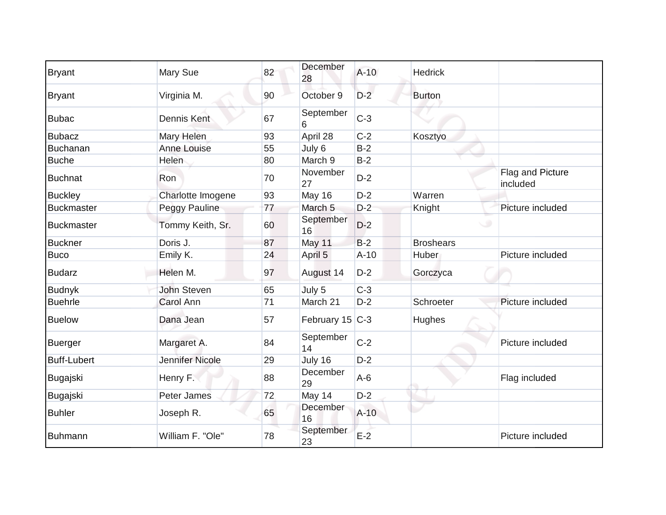| Bryant             | Mary Sue           | 82 | December<br>28  | $A-10$ | <b>Hedrick</b>   |                              |
|--------------------|--------------------|----|-----------------|--------|------------------|------------------------------|
| <b>Bryant</b>      | Virginia M.        | 90 | October 9       | $D-2$  | <b>Burton</b>    |                              |
| <b>Bubac</b>       | Dennis Kent        | 67 | September<br>6  | $C-3$  |                  |                              |
| <b>Bubacz</b>      | Mary Helen         | 93 | April 28        | $C-2$  | Kosztyo          |                              |
| Buchanan           | Anne Louise        | 55 | July 6          | $B-2$  |                  |                              |
| <b>Buche</b>       | Helen              | 80 | March 9         | $B-2$  |                  |                              |
| <b>Buchnat</b>     | Ron                | 70 | November<br>27  | $D-2$  |                  | Flag and Picture<br>included |
| <b>Buckley</b>     | Charlotte Imogene  | 93 | May 16          | $D-2$  | Warren           |                              |
| <b>Buckmaster</b>  | Peggy Pauline      | 77 | March 5         | $D-2$  | Knight           | Picture included             |
| <b>Buckmaster</b>  | Tommy Keith, Sr.   | 60 | September<br>16 | $D-2$  |                  | ت                            |
| <b>Buckner</b>     | Doris J.           | 87 | May 11          | $B-2$  | <b>Broshears</b> |                              |
| <b>Buco</b>        | Emily K.           | 24 | April 5         | $A-10$ | Huber            | Picture included             |
| <b>Budarz</b>      | Helen M.           | 97 | August 14       | $D-2$  | Gorczyca         |                              |
| <b>Budnyk</b>      | <b>John Steven</b> | 65 | July 5          | $C-3$  |                  |                              |
| <b>Buehrle</b>     | <b>Carol Ann</b>   | 71 | March 21        | $D-2$  | Schroeter        | Picture included             |
| <b>Buelow</b>      | Dana Jean          | 57 | February 15 C-3 |        | Hughes           |                              |
| Buerger            | Margaret A.        | 84 | September<br>14 | $C-2$  |                  | Picture included             |
| <b>Buff-Lubert</b> | Jennifer Nicole    | 29 | July 16         | $D-2$  |                  |                              |
| Bugajski           | Henry F.           | 88 | December<br>29  | $A-6$  |                  | Flag included                |
| Bugajski           | Peter James        | 72 | May 14          | $D-2$  |                  |                              |
| <b>Buhler</b>      | Joseph R.          | 65 | December<br>16  | $A-10$ |                  |                              |
| Buhmann            | William F. "Ole"   | 78 | September<br>23 | $E-2$  |                  | Picture included             |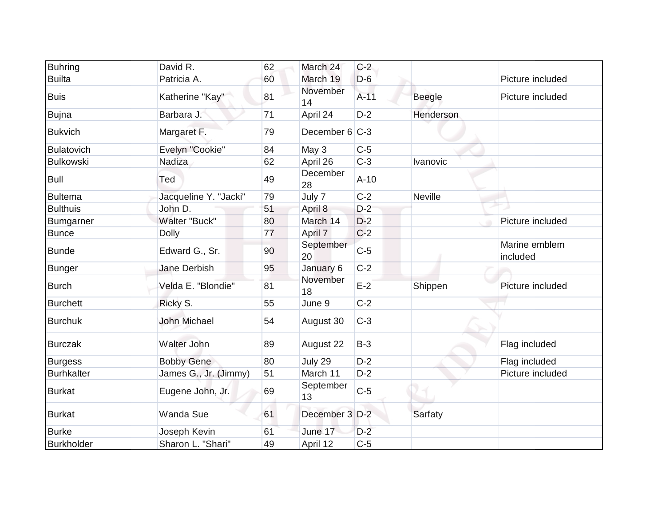| <b>Buhring</b>    | David R.              | 62 | March 24        | $C-2$  |                |                           |
|-------------------|-----------------------|----|-----------------|--------|----------------|---------------------------|
| <b>Builta</b>     | Patricia A.           | 60 | March 19        | $D-6$  |                | Picture included          |
| <b>Buis</b>       | Katherine "Kay"       | 81 | November<br>14  | $A-11$ | <b>Beegle</b>  | Picture included          |
| <b>Bujna</b>      | Barbara J.            | 71 | April 24        | $D-2$  | Henderson      |                           |
| <b>Bukvich</b>    | Margaret F.           | 79 | December 6 C-3  |        |                |                           |
| Bulatovich        | Evelyn "Cookie"       | 84 | May 3           | $C-5$  |                |                           |
| <b>Bulkowski</b>  | <b>Nadiza</b>         | 62 | April 26        | $C-3$  | Ivanovic       |                           |
| <b>Bull</b>       | Ted                   | 49 | December<br>28  | $A-10$ |                |                           |
| <b>Bultema</b>    | Jacqueline Y. "Jacki" | 79 | July 7          | $C-2$  | <b>Neville</b> |                           |
| <b>Bulthuis</b>   | John D.               | 51 | April 8         | $D-2$  |                |                           |
| <b>Bumgarner</b>  | Walter "Buck"         | 80 | March 14        | $D-2$  |                | Picture included          |
| <b>Bunce</b>      | <b>Dolly</b>          | 77 | April 7         | $C-2$  |                |                           |
| <b>Bunde</b>      | Edward G., Sr.        | 90 | September<br>20 | $C-5$  |                | Marine emblem<br>included |
| <b>Bunger</b>     | Jane Derbish          | 95 | January 6       | $C-2$  |                |                           |
| <b>Burch</b>      | Velda E. "Blondie"    | 81 | November<br>18  | $E-2$  | Shippen        | Picture included          |
| <b>Burchett</b>   | Ricky S.              | 55 | June 9          | $C-2$  |                |                           |
| <b>Burchuk</b>    | <b>John Michael</b>   | 54 | August 30       | $C-3$  |                |                           |
| <b>Burczak</b>    | Walter John           | 89 | August 22       | $B-3$  |                | Flag included             |
| <b>Burgess</b>    | <b>Bobby Gene</b>     | 80 | July 29         | $D-2$  |                | Flag included             |
| <b>Burhkalter</b> | James G., Jr. (Jimmy) | 51 | March 11        | $D-2$  |                | Picture included          |
| <b>Burkat</b>     | Eugene John, Jr.      | 69 | September<br>13 | $C-5$  |                |                           |
| <b>Burkat</b>     | <b>Wanda Sue</b>      | 61 | December 3 D-2  |        | Sarfaty        |                           |
| <b>Burke</b>      | Joseph Kevin          | 61 | June 17         | $D-2$  |                |                           |
| Burkholder        | Sharon L. "Shari"     | 49 | April 12        | $C-5$  |                |                           |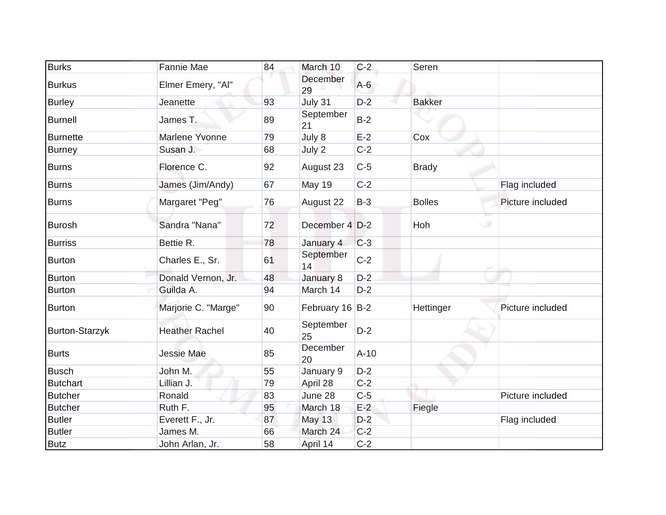| <b>Burks</b>          | <b>Fannie Mae</b>     | 84 | March 10        | $C-2$  | Seren         |                  |
|-----------------------|-----------------------|----|-----------------|--------|---------------|------------------|
| <b>Burkus</b>         | Elmer Emery, "Al"     |    | December<br>29  | $A-6$  |               |                  |
| <b>Burley</b>         | Jeanette              | 93 | July 31         | $D-2$  | <b>Bakker</b> |                  |
| <b>Burnell</b>        | James T.              | 89 | September<br>21 | $B-2$  |               |                  |
| <b>Burnette</b>       | Marlene Yvonne        | 79 | July 8          | $E-2$  | Cox           |                  |
| <b>Burney</b>         | Susan J.              | 68 | July 2          | $C-2$  |               |                  |
| <b>Burns</b>          | Florence C.           | 92 | August 23       | $C-5$  | <b>Brady</b>  |                  |
| <b>Burns</b>          | James (Jim/Andy)      | 67 | May 19          | $C-2$  |               | Flag included    |
| <b>Burns</b>          | Margaret "Peg"        | 76 | August 22       | $B-3$  | <b>Bolles</b> | Picture included |
| <b>Burosh</b>         | Sandra "Nana"         | 72 | December 4 D-2  |        | Hoh           |                  |
| <b>Burriss</b>        | Bettie R.             | 78 | January 4       | $C-3$  |               |                  |
| <b>Burton</b>         | Charles E., Sr.       | 61 | September<br>14 | $C-2$  |               |                  |
| <b>Burton</b>         | Donald Vernon, Jr.    | 48 | January 8       | $D-2$  |               |                  |
| <b>Burton</b>         | Guilda A.             | 94 | March 14        | $D-2$  |               |                  |
| <b>Burton</b>         | Marjorie C. "Marge"   | 90 | February 16 B-2 |        | Hettinger     | Picture included |
| <b>Burton-Starzyk</b> | <b>Heather Rachel</b> | 40 | September<br>25 | $D-2$  |               |                  |
| <b>Burts</b>          | Jessie Mae            | 85 | December<br>20  | $A-10$ |               |                  |
| <b>Busch</b>          | John M.               | 55 | January 9       | $D-2$  |               |                  |
| <b>Butchart</b>       | Lillian J.            | 79 | April 28        | $C-2$  |               |                  |
| <b>Butcher</b>        | Ronald                | 83 | June 28         | $C-5$  |               | Picture included |
| <b>Butcher</b>        | Ruth F.               | 95 | March 18        | $E-2$  | Fiegle        |                  |
| <b>Butler</b>         | Everett F., Jr.       | 87 | <b>May 13</b>   | $D-2$  |               | Flag included    |
| <b>Butler</b>         | James M.              | 66 | March 24        | $C-2$  |               |                  |
| <b>Butz</b>           | John Arlan, Jr.       | 58 | April 14        | $C-2$  |               |                  |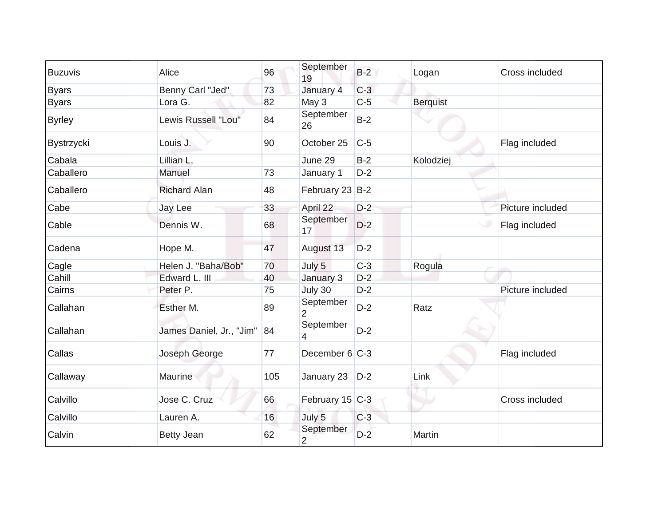| <b>Buzuvis</b> | Alice                       | 96  | September<br>19             | $B-2$ | Logan           | Cross included   |
|----------------|-----------------------------|-----|-----------------------------|-------|-----------------|------------------|
| <b>Byars</b>   | Benny Carl "Jed"            | 73  | January 4                   | $C-3$ |                 |                  |
| <b>Byars</b>   | Lora G.                     | 82  | May 3                       | $C-5$ | <b>Berquist</b> |                  |
| <b>Byrley</b>  | Lewis Russell "Lou"         | 84  | September<br>26             | $B-2$ |                 |                  |
| Bystrzycki     | Louis J.                    | 90  | October 25                  | $C-5$ |                 | Flag included    |
| Cabala         | Lillian L.                  |     | June 29                     | $B-2$ | Kolodziej       |                  |
| Caballero      | Manuel                      | 73  | January 1                   | $D-2$ |                 |                  |
| Caballero      | <b>Richard Alan</b>         | 48  | February 23 B-2             |       |                 |                  |
| Cabe           | Jay Lee                     | 33  | April 22                    | $D-2$ |                 | Picture included |
| Cable          | Dennis W.                   | 68  | September<br>17             | $D-2$ |                 | Flag included    |
| Cadena         | Hope M.                     | 47  | August 13                   | $D-2$ |                 |                  |
| Cagle          | Helen J. "Baha/Bob"         | 70  | July 5                      | $C-3$ | Rogula          |                  |
| Cahill         | Edward L. III               | 40  | January 3                   | $D-2$ |                 |                  |
| Cairns         | Peter P.                    | 75  | July 30                     | $D-2$ |                 | Picture included |
| Callahan       | Esther M.                   | 89  | September<br>$\overline{2}$ | $D-2$ | Ratz            |                  |
| Callahan       | James Daniel, Jr., "Jim" 84 |     | September<br>4              | $D-2$ |                 |                  |
| Callas         | Joseph George               | 77  | December 6 C-3              |       |                 | Flag included    |
| Callaway       | Maurine                     | 105 | January 23                  | $D-2$ | Link            |                  |
| Calvillo       | Jose C. Cruz                | 66  | February 15 C-3             |       |                 | Cross included   |
| Calvillo       | Lauren A.                   | 16  | July 5                      | $C-3$ |                 |                  |
| Calvin         | <b>Betty Jean</b>           | 62  | September<br>2              | $D-2$ | Martin          |                  |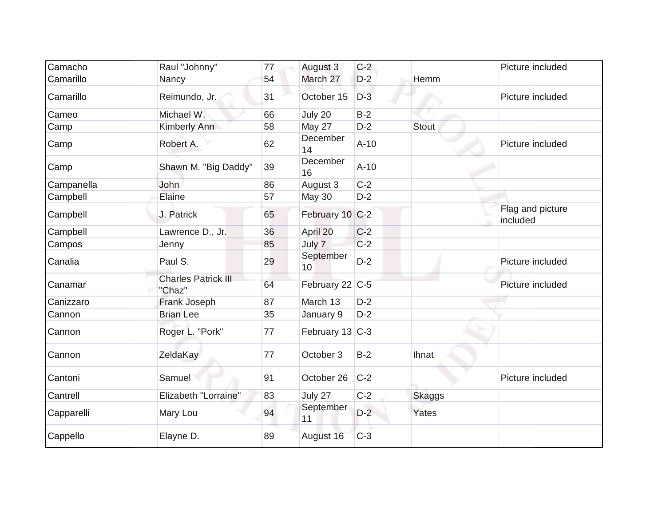| Camacho    | Raul "Johnny"                        | 77 | August 3          | $C-2$  |               | Picture included             |
|------------|--------------------------------------|----|-------------------|--------|---------------|------------------------------|
| Camarillo  | Nancy                                | 54 | March 27          | $D-2$  | Hemm          |                              |
| Camarillo  | Reimundo, Jr.                        | 31 | October 15        | $D-3$  |               | Picture included             |
| Cameo      | Michael W.                           | 66 | July 20           | $B-2$  |               |                              |
| Camp       | Kimberly Ann                         | 58 | May 27            | $D-2$  | <b>Stout</b>  |                              |
| Camp       | Robert A.                            | 62 | December<br>14    | $A-10$ |               | Picture included             |
| Camp       | Shawn M. "Big Daddy"                 | 39 | December<br>16    | $A-10$ |               |                              |
| Campanella | John                                 | 86 | August 3          | $C-2$  |               |                              |
| Campbell   | Elaine                               | 57 | May 30            | $D-2$  |               |                              |
| Campbell   | J. Patrick                           | 65 | February 10 C-2   |        |               | Flag and picture<br>included |
| Campbell   | Lawrence D., Jr.                     | 36 | April 20          | $C-2$  |               |                              |
| Campos     | Jenny                                | 85 | July 7            | $C-2$  |               |                              |
| Canalia    | Paul S.                              | 29 | September<br>10   | $D-2$  |               | Picture included             |
| Canamar    | <b>Charles Patrick III</b><br>"Chaz" | 64 | February 22 C-5   |        |               | Picture included             |
| Canizzaro  | Frank Joseph                         | 87 | March 13          | $D-2$  |               |                              |
| Cannon     | <b>Brian Lee</b>                     | 35 | January 9         | $D-2$  |               |                              |
| Cannon     | Roger L. "Pork"                      | 77 | February 13 $C-3$ |        |               |                              |
| Cannon     | ZeldaKay                             | 77 | October 3         | $B-2$  | <b>Ihnat</b>  |                              |
| Cantoni    | Samuel                               | 91 | October 26        | $C-2$  |               | Picture included             |
| Cantrell   | Elizabeth "Lorraine"                 | 83 | July 27           | $C-2$  | <b>Skaggs</b> |                              |
| Capparelli | Mary Lou                             | 94 | September<br>11   | $D-2$  | Yates         |                              |
| Cappello   | Elayne D.                            | 89 | August 16         | $C-3$  |               |                              |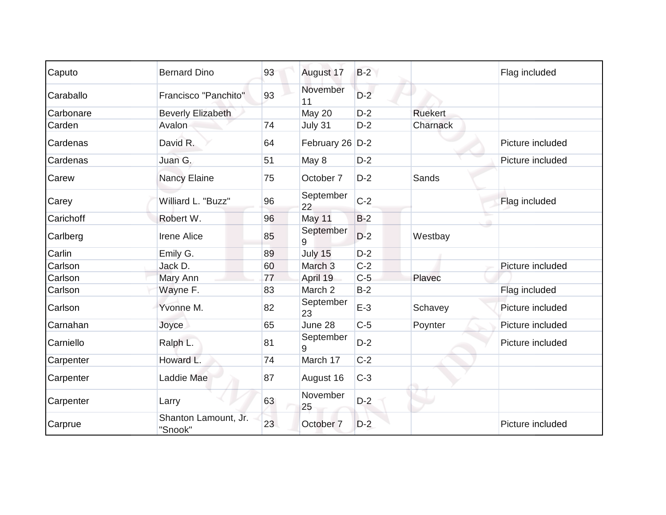| Caputo    | <b>Bernard Dino</b>             | 93 | August 17          | $B-2$ |                | Flag included    |
|-----------|---------------------------------|----|--------------------|-------|----------------|------------------|
| Caraballo | Francisco "Panchito"            | 93 | November<br>11     | $D-2$ |                |                  |
| Carbonare | <b>Beverly Elizabeth</b>        |    | May 20             | $D-2$ | <b>Ruekert</b> |                  |
| Carden    | Avalon                          | 74 | July 31            | $D-2$ | Charnack       |                  |
| Cardenas  | David R.                        | 64 | February 26 D-2    |       |                | Picture included |
| Cardenas  | Juan G.                         | 51 | May 8              | $D-2$ |                | Picture included |
| Carew     | <b>Nancy Elaine</b>             | 75 | October 7          | $D-2$ | Sands          |                  |
| Carey     | Williard L. "Buzz"              | 96 | September<br>22    | $C-2$ |                | Flag included    |
| Carichoff | Robert W.                       | 96 | May 11             | $B-2$ |                |                  |
| Carlberg  | <b>Irene Alice</b>              | 85 | September<br>9     | $D-2$ | Westbay        |                  |
| Carlin    | Emily G.                        | 89 | July 15            | $D-2$ |                |                  |
| Carlson   | Jack D.                         | 60 | March <sub>3</sub> | $C-2$ |                | Picture included |
| Carlson   | Mary Ann                        | 77 | April 19           | $C-5$ | Plavec         |                  |
| Carlson   | Wayne F.                        | 83 | March 2            | $B-2$ |                | Flag included    |
| Carlson   | Yvonne M.                       | 82 | September<br>23    | $E-3$ | Schavey        | Picture included |
| Carnahan  | Joyce                           | 65 | June 28            | $C-5$ | Poynter        | Picture included |
| Carniello | Ralph L.                        | 81 | September<br>9     | $D-2$ |                | Picture included |
| Carpenter | Howard L.                       | 74 | March 17           | $C-2$ |                |                  |
| Carpenter | Laddie Mae                      | 87 | August 16          | $C-3$ |                |                  |
| Carpenter | Larry                           | 63 | November<br>25     | $D-2$ |                |                  |
| Carprue   | Shanton Lamount, Jr.<br>"Snook" | 23 | October 7          | $D-2$ |                | Picture included |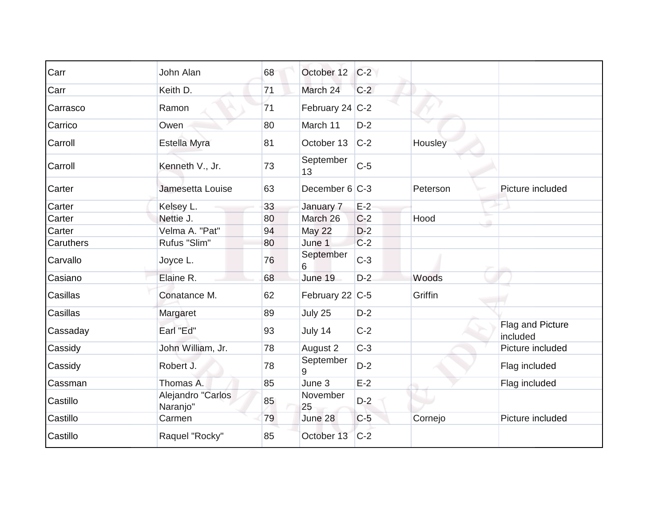| Carr      | John Alan                     | 68 | October 12        | $C-2$ |          |                              |
|-----------|-------------------------------|----|-------------------|-------|----------|------------------------------|
| Carr      | Keith D.                      | 71 | March 24          | $C-2$ |          |                              |
| Carrasco  | Ramon                         | 71 | February 24 $C-2$ |       |          |                              |
| Carrico   | Owen                          | 80 | March 11          | $D-2$ |          |                              |
| Carroll   | Estella Myra                  | 81 | October 13        | $C-2$ | Housley  |                              |
| Carroll   | Kenneth V., Jr.               | 73 | September<br>13   | $C-5$ |          |                              |
| Carter    | Jamesetta Louise              | 63 | December 6 C-3    |       | Peterson | Picture included             |
| Carter    | Kelsey L.                     | 33 | January 7         | $E-2$ |          |                              |
| Carter    | Nettie J.                     | 80 | March 26          | $C-2$ | Hood     |                              |
| Carter    | Velma A. "Pat"                | 94 | May 22            | $D-2$ |          |                              |
| Caruthers | Rufus "Slim"                  | 80 | June 1            | $C-2$ |          |                              |
| Carvallo  | Joyce L.                      | 76 | September<br>6    | $C-3$ |          |                              |
| Casiano   | Elaine R.                     | 68 | June 19           | $D-2$ | Woods    |                              |
| Casillas  | Conatance M.                  | 62 | February 22 C-5   |       | Griffin  |                              |
| Casillas  | Margaret                      | 89 | July 25           | $D-2$ |          |                              |
| Cassaday  | Earl "Ed"                     | 93 | July 14           | $C-2$ |          | Flag and Picture<br>included |
| Cassidy   | John William, Jr.             | 78 | August 2          | $C-3$ |          | Picture included             |
| Cassidy   | Robert J.                     | 78 | September<br>9    | $D-2$ |          | Flag included                |
| Cassman   | Thomas A.                     | 85 | June 3            | $E-2$ |          | Flag included                |
| Castillo  | Alejandro "Carlos<br>Naranjo" | 85 | November<br>25    | $D-2$ |          |                              |
| Castillo  | Carmen                        | 79 | June 28           | $C-5$ | Cornejo  | Picture included             |
| Castillo  | Raquel "Rocky"                | 85 | October 13        | $C-2$ |          |                              |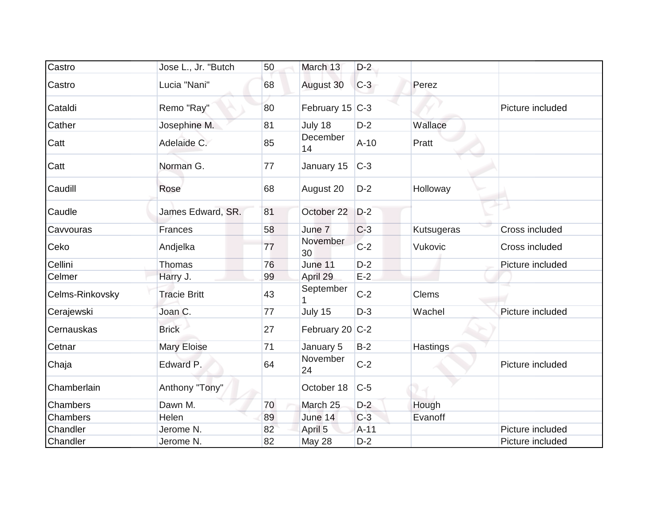| Castro          | Jose L., Jr. "Butch | 50 | March 13          | $D-2$  |            |                  |
|-----------------|---------------------|----|-------------------|--------|------------|------------------|
| Castro          | Lucia "Nani"        | 68 | August 30         | $C-3$  | Perez      |                  |
| Cataldi         | Remo "Ray"          | 80 | February $15$ C-3 |        |            | Picture included |
| Cather          | Josephine M.        | 81 | July 18           | $D-2$  | Wallace    |                  |
| Catt            | Adelaide C.         | 85 | December<br>14    | $A-10$ | Pratt      |                  |
| Catt            | Norman G.           | 77 | January 15        | $C-3$  |            |                  |
| Caudill         | Rose                | 68 | August 20         | $D-2$  | Holloway   |                  |
| Caudle          | James Edward, SR.   | 81 | October 22        | $D-2$  |            |                  |
| Cavvouras       | Frances             | 58 | June 7            | $C-3$  | Kutsugeras | Cross included   |
| Ceko            | Andjelka            | 77 | November<br>30    | $C-2$  | Vukovic    | Cross included   |
| Cellini         | <b>Thomas</b>       | 76 | June 11           | $D-2$  |            | Picture included |
| Celmer          | Harry J.            | 99 | April 29          | $E-2$  |            |                  |
| Celms-Rinkovsky | <b>Tracie Britt</b> | 43 | September         | $C-2$  | Clems      |                  |
| Cerajewski      | Joan C.             | 77 | July 15           | $D-3$  | Wachel     | Picture included |
| Cernauskas      | <b>Brick</b>        | 27 | February 20 C-2   |        |            |                  |
| Cetnar          | Mary Eloise         | 71 | January 5         | $B-2$  | Hastings   |                  |
| Chaja           | Edward P.           | 64 | November<br>24    | $C-2$  |            | Picture included |
| Chamberlain     | Anthony "Tony"      |    | October 18        | $C-5$  |            |                  |
| Chambers        | Dawn M.             | 70 | March 25          | $D-2$  | Hough      |                  |
| Chambers        | Helen               | 89 | June 14           | $C-3$  | Evanoff    |                  |
| Chandler        | Jerome N.           | 82 | April 5           | $A-11$ |            | Picture included |
| Chandler        | Jerome N.           | 82 | May 28            | $D-2$  |            | Picture included |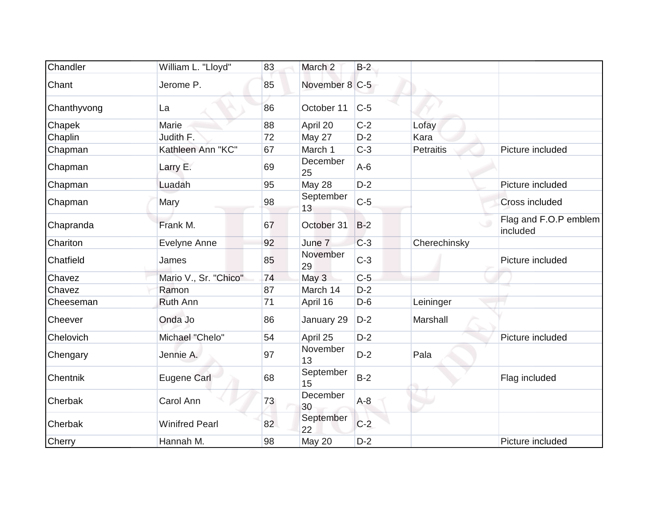| Chandler    | William L. "Lloyd"    | 83 | March <sub>2</sub> | $B-2$ |              |                                   |
|-------------|-----------------------|----|--------------------|-------|--------------|-----------------------------------|
| Chant       | Jerome P.             | 85 | November 8 C-5     |       |              |                                   |
| Chanthyvong | La                    | 86 | October 11         | $C-5$ |              |                                   |
| Chapek      | Marie                 | 88 | April 20           | $C-2$ | Lofay        |                                   |
| Chaplin     | Judith F.             | 72 | May 27             | $D-2$ | Kara         |                                   |
| Chapman     | Kathleen Ann "KC"     | 67 | March 1            | $C-3$ | Petraitis    | Picture included                  |
| Chapman     | Larry E.              | 69 | December<br>25     | $A-6$ |              |                                   |
| Chapman     | Luadah                | 95 | <b>May 28</b>      | $D-2$ |              | Picture included                  |
| Chapman     | Mary                  | 98 | September<br>13    | $C-5$ |              | Cross included                    |
| Chapranda   | Frank M.              | 67 | October 31         | $B-2$ |              | Flag and F.O.P emblem<br>included |
| Chariton    | Evelyne Anne          | 92 | June 7             | $C-3$ | Cherechinsky |                                   |
| Chatfield   | James                 | 85 | November<br>29     | $C-3$ |              | Picture included                  |
| Chavez      | Mario V., Sr. "Chico" | 74 | May 3              | $C-5$ |              |                                   |
| Chavez      | Ramon                 | 87 | March 14           | $D-2$ |              |                                   |
| Cheeseman   | Ruth Ann              | 71 | April 16           | $D-6$ | Leininger    |                                   |
| Cheever     | Onda Jo               | 86 | January 29         | $D-2$ | Marshall     |                                   |
| Chelovich   | Michael "Chelo"       | 54 | April 25           | $D-2$ |              | Picture included                  |
| Chengary    | Jennie A.             | 97 | November<br>13     | $D-2$ | Pala         |                                   |
| Chentnik    | Eugene Carl           | 68 | September<br>15    | $B-2$ |              | Flag included                     |
| Cherbak     | Carol Ann             | 73 | December<br>30     | $A-8$ |              |                                   |
| Cherbak     | <b>Winifred Pearl</b> | 82 | September<br>22    | $C-2$ |              |                                   |
| Cherry      | Hannah M.             | 98 | <b>May 20</b>      | $D-2$ |              | Picture included                  |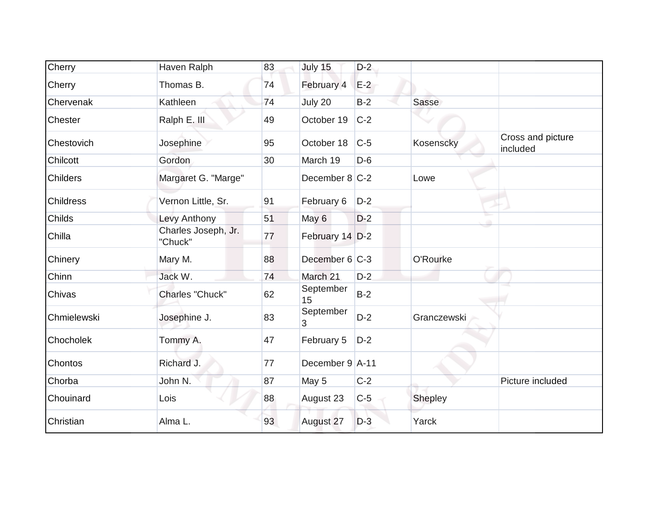| Cherry           | Haven Ralph                    | 83 | July 15           | $D-2$ |             |                               |
|------------------|--------------------------------|----|-------------------|-------|-------------|-------------------------------|
| Cherry           | Thomas B.                      | 74 | February 4        | $E-2$ |             |                               |
| Chervenak        | Kathleen                       | 74 | July 20           | $B-2$ | Sasse       |                               |
| Chester          | Ralph E. III                   | 49 | October 19        | $C-2$ |             |                               |
| Chestovich       | Josephine                      | 95 | October 18        | $C-5$ | Kosenscky   | Cross and picture<br>included |
| Chilcott         | Gordon                         | 30 | March 19          | $D-6$ |             |                               |
| <b>Childers</b>  | Margaret G. "Marge"            |    | December $8 C-2 $ |       | Lowe        |                               |
| <b>Childress</b> | Vernon Little, Sr.             | 91 | February 6        | $D-2$ |             |                               |
| Childs           | Levy Anthony                   | 51 | May 6             | $D-2$ |             |                               |
| Chilla           | Charles Joseph, Jr.<br>"Chuck" | 77 | February 14 D-2   |       |             |                               |
| Chinery          | Mary M.                        | 88 | December 6 C-3    |       | O'Rourke    |                               |
| Chinn            | Jack W.                        | 74 | March 21          | $D-2$ |             |                               |
| Chivas           | Charles "Chuck"                | 62 | September<br>15   | $B-2$ |             |                               |
| Chmielewski      | Josephine J.                   | 83 | September<br>3    | $D-2$ | Granczewski |                               |
| Chocholek        | Tommy A.                       | 47 | February 5        | $D-2$ |             |                               |
| Chontos          | Richard J.                     | 77 | December 9 A-11   |       |             |                               |
| Chorba           | John N.                        | 87 | May 5             | $C-2$ |             | Picture included              |
| Chouinard        | Lois                           | 88 | August 23         | $C-5$ | Shepley     |                               |
| Christian        | Alma L.                        | 93 | August 27         | $D-3$ | Yarck       |                               |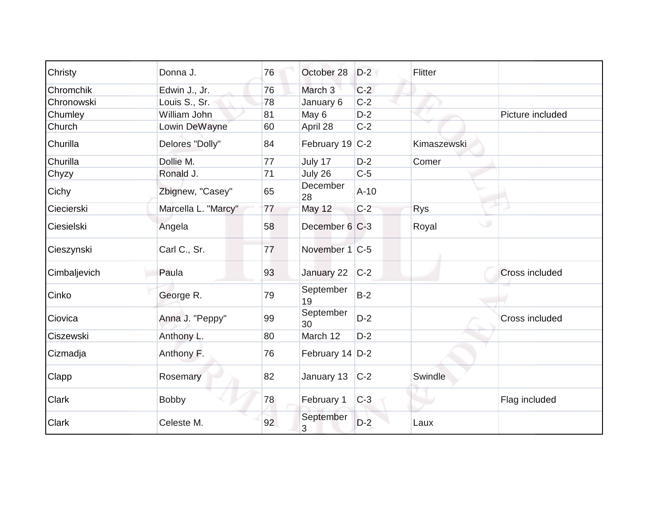| Christy      | Donna J.            | 76 | October 28         | $D-2$  | Flitter         |                       |
|--------------|---------------------|----|--------------------|--------|-----------------|-----------------------|
| Chromchik    | Edwin J., Jr.       | 76 | March <sub>3</sub> | $C-2$  |                 |                       |
| Chronowski   | Louis S., Sr.       | 78 | January 6          | $C-2$  |                 |                       |
| Chumley      | William John        | 81 | May 6              | $D-2$  |                 | Picture included      |
| Church       | Lowin DeWayne       | 60 | April 28           | $C-2$  |                 |                       |
| Churilla     | Delores "Dolly"     | 84 | February 19 C-2    |        | Kimaszewski     |                       |
| Churilla     | Dollie M.           | 77 | July 17            | $D-2$  | Comer           |                       |
| Chyzy        | Ronald J.           | 71 | July 26            | $C-5$  |                 |                       |
| Cichy        | Zbignew, "Casey"    | 65 | December<br>28     | $A-10$ |                 |                       |
| Ciecierski   | Marcella L. "Marcy" | 77 | <b>May 12</b>      | $C-2$  | <b>Rys</b>      |                       |
| Ciesielski   | Angela              | 58 | December 6 C-3     |        | $\cup$<br>Royal |                       |
| Cieszynski   | Carl C., Sr.        | 77 | November 1 C-5     |        |                 |                       |
| Cimbaljevich | Paula               | 93 | January 22         | $C-2$  |                 | Cross included        |
| Cinko        | George R.           | 79 | September<br>19    | $B-2$  |                 |                       |
| Ciovica      | Anna J. "Peppy"     | 99 | September<br>30    | $D-2$  |                 | <b>Cross included</b> |
| Ciszewski    | Anthony L.          | 80 | March 12           | $D-2$  |                 |                       |
| Cizmadja     | Anthony F.          | 76 | February 14 D-2    |        |                 |                       |
| Clapp        | Rosemary            | 82 | January 13         | $C-2$  | Swindle         |                       |
| <b>Clark</b> | <b>Bobby</b>        | 78 | February 1         | $C-3$  |                 | Flag included         |
| <b>Clark</b> | Celeste M.          | 92 | September<br>3     | $D-2$  | Laux            |                       |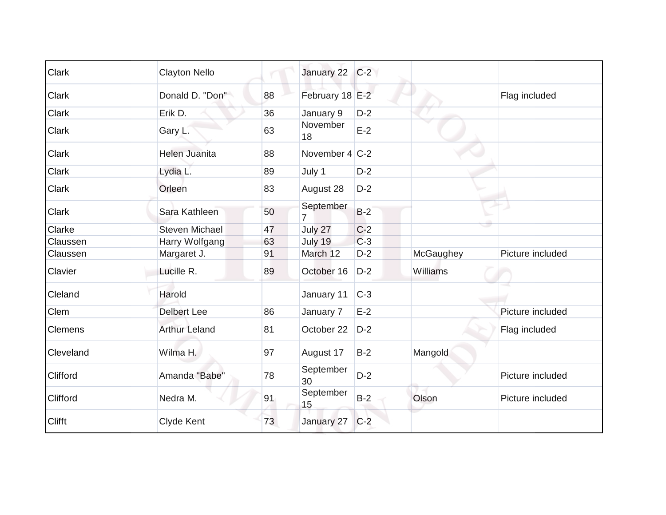| <b>Clark</b>   | <b>Clayton Nello</b>  |    | January 22                  | $C-2$ |           |                  |
|----------------|-----------------------|----|-----------------------------|-------|-----------|------------------|
| Clark          | Donald D. "Don"       | 88 | February 18 E-2             |       |           | Flag included    |
| Clark          | Erik D.               | 36 | January 9                   | $D-2$ |           |                  |
| Clark          | Gary L.               | 63 | November<br>18              | $E-2$ |           |                  |
| Clark          | <b>Helen Juanita</b>  | 88 | November 4 C-2              |       |           |                  |
| Clark          | Lydia L.              | 89 | July 1                      | $D-2$ |           |                  |
| Clark          | Orleen                | 83 | August 28                   | $D-2$ |           |                  |
| Clark          | Sara Kathleen         | 50 | September<br>$\overline{7}$ | $B-2$ |           |                  |
| Clarke         | <b>Steven Michael</b> | 47 | July 27                     | $C-2$ |           |                  |
| Claussen       | Harry Wolfgang        | 63 | July 19                     | $C-3$ |           |                  |
| Claussen       | Margaret J.           | 91 | March 12                    | $D-2$ | McGaughey | Picture included |
| Clavier        | Lucille R.            | 89 | October 16                  | $D-2$ | Williams  |                  |
| Cleland        | Harold                |    | January 11                  | $C-3$ |           |                  |
| Clem           | <b>Delbert Lee</b>    | 86 | January 7                   | $E-2$ |           | Picture included |
| <b>Clemens</b> | <b>Arthur Leland</b>  | 81 | October 22                  | $D-2$ |           | Flag included    |
| Cleveland      | Wilma H.              | 97 | August 17                   | $B-2$ | Mangold   |                  |
| Clifford       | Amanda "Babe"         | 78 | September<br>30             | $D-2$ |           | Picture included |
| Clifford       | Nedra M.              | 91 | September<br>15             | $B-2$ | Olson     | Picture included |
| Clifft         | Clyde Kent            | 73 | January 27                  | $C-2$ |           |                  |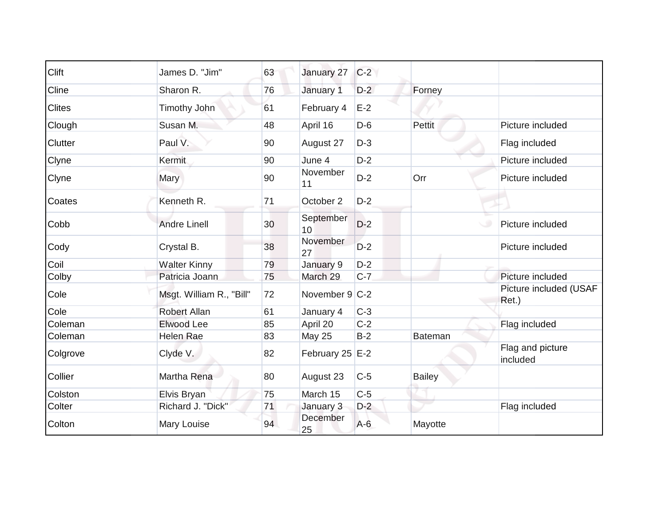| Clift          | James D. "Jim"           | 63 | January 27      | $C-2$ |               |                                 |
|----------------|--------------------------|----|-----------------|-------|---------------|---------------------------------|
| Cline          | Sharon R.                | 76 | January 1       | $D-2$ | Forney        |                                 |
| <b>Clites</b>  | <b>Timothy John</b>      | 61 | February 4      | $E-2$ |               |                                 |
| Clough         | Susan M.                 | 48 | April 16        | $D-6$ | <b>Pettit</b> | Picture included                |
| <b>Clutter</b> | Paul V.                  | 90 | August 27       | $D-3$ |               | Flag included                   |
| Clyne          | <b>Kermit</b>            | 90 | June 4          | $D-2$ |               | Picture included                |
| Clyne          | Mary                     | 90 | November<br>11  | $D-2$ | Orr           | Picture included                |
| Coates         | Kenneth R.               | 71 | October 2       | $D-2$ |               |                                 |
| Cobb           | <b>Andre Linell</b>      | 30 | September<br>10 | $D-2$ |               | Picture included                |
| Cody           | Crystal B.               | 38 | November<br>27  | $D-2$ |               | Picture included                |
| Coil           | <b>Walter Kinny</b>      | 79 | January 9       | $D-2$ |               |                                 |
| Colby          | Patricia Joann           | 75 | March 29        | $C-7$ |               | Picture included                |
| Cole           | Msgt. William R., "Bill" | 72 | November 9 C-2  |       |               | Picture included (USAF<br>Ret.) |
| Cole           | <b>Robert Allan</b>      | 61 | January 4       | $C-3$ |               |                                 |
| Coleman        | Elwood Lee               | 85 | April 20        | $C-2$ |               | Flag included                   |
| Coleman        | Helen Rae                | 83 | <b>May 25</b>   | $B-2$ | Bateman       |                                 |
| Colgrove       | Clyde V.                 | 82 | February 25 E-2 |       |               | Flag and picture<br>included    |
| Collier        | Martha Rena              | 80 | August 23       | $C-5$ | Bailey        |                                 |
| Colston        | Elvis Bryan              | 75 | March 15        | $C-5$ |               |                                 |
| Colter         | Richard J. "Dick"        | 71 | January 3       | $D-2$ |               | Flag included                   |
| Colton         | Mary Louise              | 94 | December<br>25  | $A-6$ | Mayotte       |                                 |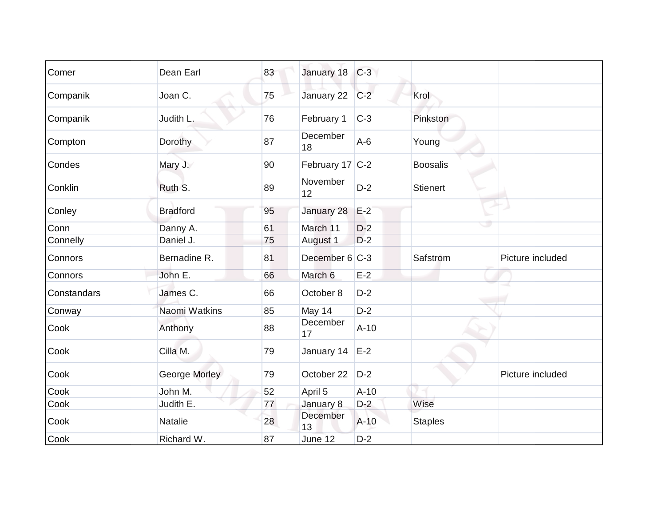| Comer       | Dean Earl       | 83 | January 18      | $C-3$  |                 |                  |
|-------------|-----------------|----|-----------------|--------|-----------------|------------------|
|             |                 |    |                 |        |                 |                  |
| Companik    | Joan C.         | 75 | January 22      | $C-2$  | Krol            |                  |
| Companik    | Judith L.       | 76 | February 1      | $C-3$  | Pinkston        |                  |
| Compton     | Dorothy         | 87 | December<br>18  | $A-6$  | Young           |                  |
| Condes      | Mary J.         | 90 | February 17 C-2 |        | <b>Boosalis</b> |                  |
| Conklin     | Ruth S.         | 89 | November<br>12  | $D-2$  | <b>Stienert</b> |                  |
| Conley      | <b>Bradford</b> | 95 | January 28      | $E-2$  |                 |                  |
| Conn        | Danny A.        | 61 | March 11        | $D-2$  |                 |                  |
| Connelly    | Daniel J.       | 75 | August 1        | $D-2$  |                 |                  |
| Connors     | Bernadine R.    | 81 | December 6 C-3  |        | Safstrom        | Picture included |
| Connors     | John E.         | 66 | March 6         | $E-2$  |                 |                  |
| Constandars | James C.        | 66 | October 8       | $D-2$  |                 |                  |
| Conway      | Naomi Watkins   | 85 | May 14          | $D-2$  |                 |                  |
| Cook        | Anthony         | 88 | December<br>17  | $A-10$ |                 |                  |
| Cook        | Cilla M.        | 79 | January 14      | $E-2$  |                 |                  |
| Cook        | George Morley   | 79 | October 22      | $D-2$  |                 | Picture included |
| Cook        | John M.         | 52 | April 5         | $A-10$ |                 |                  |
| Cook        | Judith E.       | 77 | January 8       | $D-2$  | Wise            |                  |
| Cook        | <b>Natalie</b>  | 28 | December<br>13  | $A-10$ | <b>Staples</b>  |                  |
| Cook        | Richard W.      | 87 | June 12         | $D-2$  |                 |                  |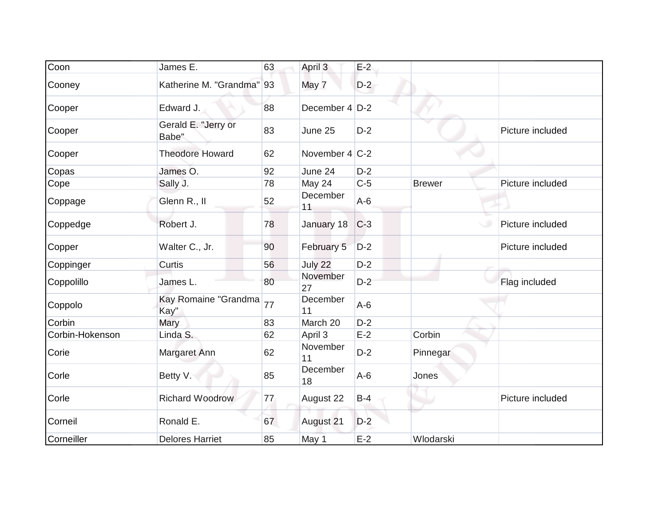| Coon            | James E.                     | 63 | April 3           | $E-2$ |               |                  |
|-----------------|------------------------------|----|-------------------|-------|---------------|------------------|
| Cooney          | Katherine M. "Grandma" 93    |    | May 7             | $D-2$ |               |                  |
| Cooper          | Edward J.                    | 88 | December $4$ D-2  |       |               |                  |
| Cooper          | Gerald E. "Jerry or<br>Babe" | 83 | June 25           | $D-2$ |               | Picture included |
| Cooper          | <b>Theodore Howard</b>       | 62 | November $4 C-2 $ |       |               |                  |
| Copas           | James O.                     | 92 | June 24           | $D-2$ |               |                  |
| Cope            | Sally J.                     | 78 | May 24            | $C-5$ | <b>Brewer</b> | Picture included |
| Coppage         | Glenn R., II                 | 52 | December<br>11    | $A-6$ |               |                  |
| Coppedge        | Robert J.                    | 78 | January 18        | $C-3$ |               | Picture included |
| Copper          | Walter C., Jr.               | 90 | February 5        | $D-2$ |               | Picture included |
| Coppinger       | Curtis                       | 56 | July 22           | $D-2$ |               |                  |
| Coppolillo      | James L.                     | 80 | November<br>27    | $D-2$ |               | Flag included    |
| Coppolo         | Kay Romaine "Grandma<br>Kay" | 77 | December<br>11    | $A-6$ |               |                  |
| Corbin          | Mary                         | 83 | March 20          | $D-2$ |               |                  |
| Corbin-Hokenson | Linda S.                     | 62 | April 3           | $E-2$ | Corbin        |                  |
| Corie           | Margaret Ann                 | 62 | November<br>11    | $D-2$ | Pinnegar      |                  |
| Corle           | Betty V.                     | 85 | December<br>18    | $A-6$ | Jones         |                  |
| Corle           | <b>Richard Woodrow</b>       | 77 | August 22         | $B-4$ | u             | Picture included |
| Corneil         | Ronald E.                    | 67 | August 21         | $D-2$ |               |                  |
| Corneiller      | <b>Delores Harriet</b>       | 85 | May 1             | $E-2$ | Wlodarski     |                  |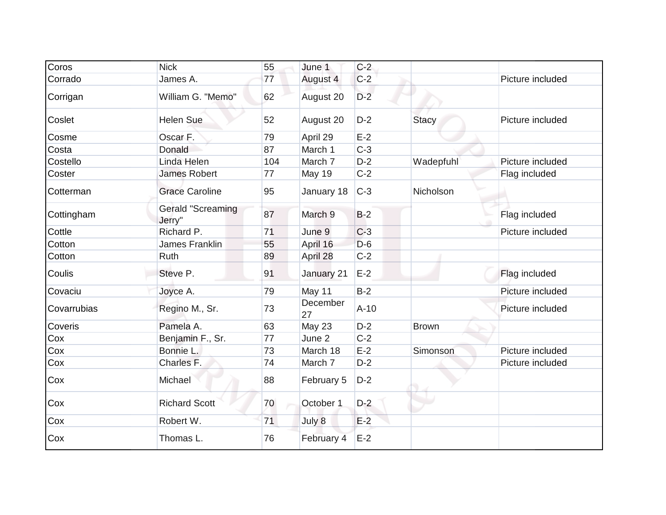| Coros       | <b>Nick</b>                 | 55  | June 1         | $C-2$  |              |                  |
|-------------|-----------------------------|-----|----------------|--------|--------------|------------------|
| Corrado     | James A.                    | 77  | August 4       | $C-2$  |              | Picture included |
| Corrigan    | William G. "Memo"           | 62  | August 20      | $D-2$  |              |                  |
| Coslet      | <b>Helen Sue</b>            | 52  | August 20      | $D-2$  | <b>Stacy</b> | Picture included |
| Cosme       | Oscar F.                    | 79  | April 29       | $E-2$  |              |                  |
| Costa       | Donald                      | 87  | March 1        | $C-3$  |              |                  |
| Costello    | Linda Helen                 | 104 | March 7        | $D-2$  | Wadepfuhl    | Picture included |
| Coster      | <b>James Robert</b>         | 77  | May 19         | $C-2$  |              | Flag included    |
| Cotterman   | <b>Grace Caroline</b>       | 95  | January 18     | $C-3$  | Nicholson    |                  |
| Cottingham  | Gerald "Screaming<br>Jerry" | 87  | March 9        | $B-2$  |              | Flag included    |
| Cottle      | Richard P.                  | 71  | June 9         | $C-3$  |              | Picture included |
| Cotton      | James Franklin              | 55  | April 16       | $D-6$  |              |                  |
| Cotton      | Ruth                        | 89  | April 28       | $C-2$  |              |                  |
| Coulis      | Steve P.                    | 91  | January 21     | $E-2$  |              | Flag included    |
| Covaciu     | Joyce A.                    | 79  | May 11         | $B-2$  |              | Picture included |
| Covarrubias | Regino M., Sr.              | 73  | December<br>27 | $A-10$ |              | Picture included |
| Coveris     | Pamela A.                   | 63  | May 23         | $D-2$  | <b>Brown</b> |                  |
| Cox         | Benjamin F., Sr.            | 77  | June 2         | $C-2$  |              |                  |
| Cox         | Bonnie L.                   | 73  | March 18       | $E-2$  | Simonson     | Picture included |
| Cox         | Charles F.                  | 74  | March 7        | $D-2$  |              | Picture included |
| Cox         | Michael                     | 88  | February 5     | $D-2$  |              |                  |
| Cox         | <b>Richard Scott</b>        | 70  | October 1      | $D-2$  |              |                  |
| Cox         | Robert W.                   | 71  | July 8         | $E-2$  |              |                  |
| Cox         | Thomas L.                   | 76  | February 4     | $E-2$  |              |                  |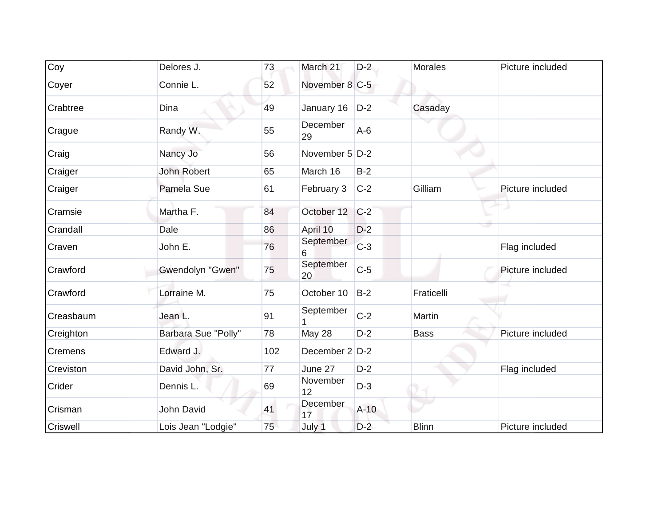| Coy            | Delores J.          | 73  | March 21        | $D-2$  | <b>Morales</b> | Picture included |
|----------------|---------------------|-----|-----------------|--------|----------------|------------------|
| Coyer          | Connie L.           | 52  | November 8 C-5  |        |                |                  |
| Crabtree       | <b>Dina</b>         | 49  | January 16      | $D-2$  | Casaday        |                  |
| Crague         | Randy W.            | 55  | December<br>29  | $A-6$  |                |                  |
| Craig          | Nancy Jo            | 56  | November 5 D-2  |        |                |                  |
| Craiger        | <b>John Robert</b>  | 65  | March 16        | $B-2$  |                |                  |
| Craiger        | Pamela Sue          | 61  | February 3      | $C-2$  | Gilliam        | Picture included |
| Cramsie        | Martha F.           | 84  | October 12      | $C-2$  |                |                  |
| Crandall       | Dale                | 86  | April 10        | $D-2$  |                |                  |
| Craven         | John E.             | 76  | September<br>6  | $C-3$  |                | Flag included    |
| Crawford       | Gwendolyn "Gwen"    | 75  | September<br>20 | $C-5$  |                | Picture included |
| Crawford       | Lorraine M.         | 75  | October 10      | $B-2$  | Fraticelli     |                  |
| Creasbaum      | Jean L.             | 91  | September       | $C-2$  | Martin         |                  |
| Creighton      | Barbara Sue "Polly" | 78  | May 28          | $D-2$  | <b>Bass</b>    | Picture included |
| <b>Cremens</b> | Edward J.           | 102 | December 2 D-2  |        |                |                  |
| Creviston      | David John, Sr.     | 77  | June 27         | $D-2$  |                | Flag included    |
| Crider         | Dennis L.           | 69  | November<br>12  | $D-3$  |                |                  |
| Crisman        | John David          | 41  | December<br>17  | $A-10$ |                |                  |
| Criswell       | Lois Jean "Lodgie"  | 75  | July 1          | $D-2$  | <b>Blinn</b>   | Picture included |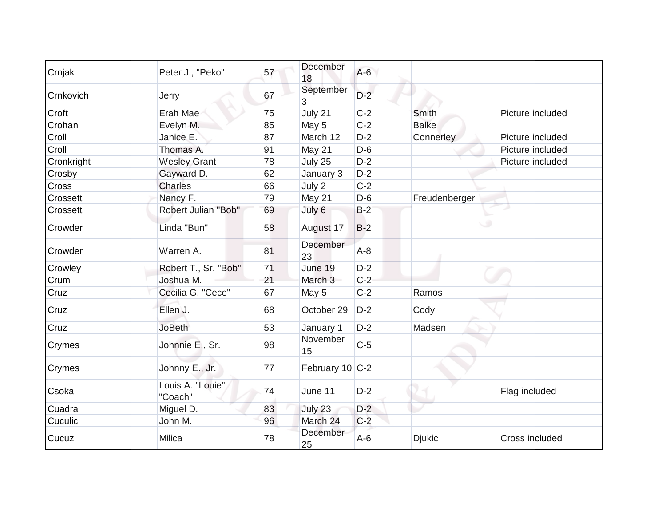| Crnjak     | Peter J., "Peko"            | 57 | December<br>18  | $A-6$ |               |                  |
|------------|-----------------------------|----|-----------------|-------|---------------|------------------|
| Crnkovich  | Jerry                       | 67 | September<br>3  | $D-2$ |               |                  |
| Croft      | Erah Mae                    | 75 | July 21         | $C-2$ | Smith         | Picture included |
| Crohan     | Evelyn M.                   | 85 | May 5           | $C-2$ | <b>Balke</b>  |                  |
| Croll      | Janice E.                   | 87 | March 12        | $D-2$ | Connerley     | Picture included |
| Croll      | Thomas A.                   | 91 | May 21          | $D-6$ |               | Picture included |
| Cronkright | <b>Wesley Grant</b>         | 78 | July 25         | $D-2$ |               | Picture included |
| Crosby     | Gayward D.                  | 62 | January 3       | $D-2$ |               |                  |
| Cross      | <b>Charles</b>              | 66 | July 2          | $C-2$ |               |                  |
| Crossett   | Nancy F.                    | 79 | May 21          | $D-6$ | Freudenberger |                  |
| Crossett   | Robert Julian "Bob"         | 69 | July 6          | $B-2$ |               |                  |
| Crowder    | Linda "Bun"                 | 58 | August 17       | $B-2$ | پ             |                  |
| Crowder    | Warren A.                   | 81 | December<br>23  | $A-8$ |               |                  |
| Crowley    | Robert T., Sr. "Bob"        | 71 | June 19         | $D-2$ |               |                  |
| Crum       | Joshua M.                   | 21 | March 3         | $C-2$ |               |                  |
| Cruz       | Cecilia G. "Cece"           | 67 | May 5           | $C-2$ | Ramos         |                  |
| Cruz       | Ellen J.                    | 68 | October 29      | $D-2$ | Cody          |                  |
| Cruz       | <b>JoBeth</b>               | 53 | January 1       | $D-2$ | Madsen        |                  |
| Crymes     | Johnnie E., Sr.             | 98 | November<br>15  | $C-5$ |               |                  |
| Crymes     | Johnny E., Jr.              | 77 | February 10 C-2 |       |               |                  |
| Csoka      | Louis A. "Louie"<br>"Coach" | 74 | June 11         | $D-2$ |               | Flag included    |
| Cuadra     | Miguel D.                   | 83 | July 23         | $D-2$ |               |                  |
| Cuculic    | John M.                     | 96 | March 24        | $C-2$ |               |                  |
| Cucuz      | <b>Milica</b>               | 78 | December<br>25  | $A-6$ | <b>Djukic</b> | Cross included   |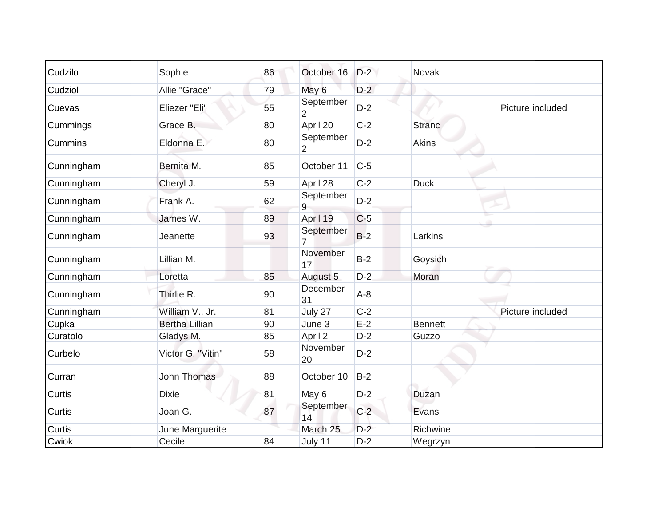| Cudzilo        | Sophie                | 86 | October 16                  | $D-2$ | Novak          |                  |
|----------------|-----------------------|----|-----------------------------|-------|----------------|------------------|
| Cudziol        | Allie "Grace"         | 79 | May 6                       | $D-2$ |                |                  |
| Cuevas         | Eliezer "Eli"         | 55 | September<br>2              | $D-2$ |                | Picture included |
| Cummings       | Grace B.              | 80 | April 20                    | $C-2$ | <b>Stranc</b>  |                  |
| <b>Cummins</b> | Eldonna E.            | 80 | September<br>$\overline{2}$ | $D-2$ | Akins          |                  |
| Cunningham     | Bernita M.            | 85 | October 11                  | $C-5$ |                |                  |
| Cunningham     | Cheryl J.             | 59 | April 28                    | $C-2$ | <b>Duck</b>    |                  |
| Cunningham     | Frank A.              | 62 | September<br>9              | $D-2$ |                |                  |
| Cunningham     | James W.              | 89 | April 19                    | $C-5$ |                |                  |
| Cunningham     | Jeanette              | 93 | September<br>$\overline{7}$ | $B-2$ | Larkins        |                  |
| Cunningham     | Lillian M.            |    | November<br>17              | $B-2$ | Goysich        |                  |
| Cunningham     | Loretta               | 85 | August 5                    | $D-2$ | Moran          |                  |
| Cunningham     | Thirlie R.            | 90 | December<br>31              | $A-8$ |                |                  |
| Cunningham     | William V., Jr.       | 81 | July 27                     | $C-2$ |                | Picture included |
| Cupka          | <b>Bertha Lillian</b> | 90 | June 3                      | $E-2$ | <b>Bennett</b> |                  |
| Curatolo       | Gladys M.             | 85 | April 2                     | $D-2$ | Guzzo          |                  |
| Curbelo        | Victor G. "Vitin"     | 58 | November<br>20              | $D-2$ |                |                  |
| Curran         | <b>John Thomas</b>    | 88 | October 10                  | $B-2$ |                |                  |
| Curtis         | <b>Dixie</b>          | 81 | May 6                       | $D-2$ | Duzan          |                  |
| Curtis         | Joan G.               | 87 | September<br>14             | $C-2$ | Evans          |                  |
| <b>Curtis</b>  | June Marguerite       |    | March 25                    | $D-2$ | Richwine       |                  |
| Cwiok          | Cecile                | 84 | July 11                     | $D-2$ | Wegrzyn        |                  |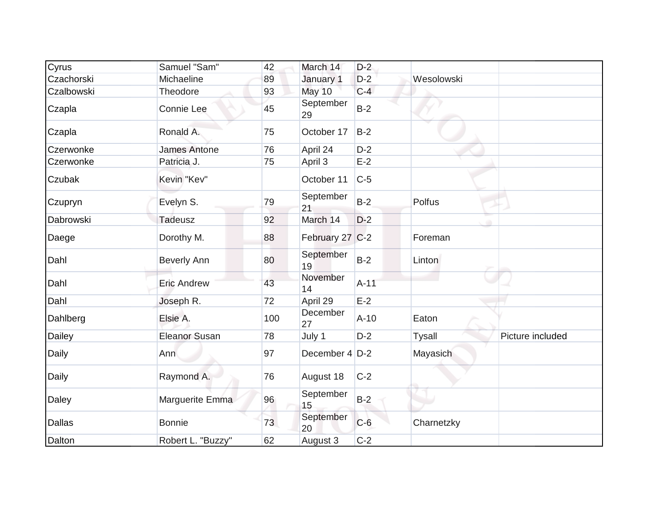| Cyrus         | Samuel "Sam"         | 42  | March 14        | $D-2$  |                                   |
|---------------|----------------------|-----|-----------------|--------|-----------------------------------|
| Czachorski    | Michaeline           | 89  | January 1       | $D-2$  | Wesolowski                        |
| Czalbowski    | Theodore             | 93  | May 10          | $C-4$  |                                   |
| Czapla        | Connie Lee           | 45  | September<br>29 | $B-2$  |                                   |
| Czapla        | Ronald A.            | 75  | October 17      | $B-2$  |                                   |
| Czerwonke     | <b>James Antone</b>  | 76  | April 24        | $D-2$  |                                   |
| Czerwonke     | Patricia J.          | 75  | April 3         | $E-2$  |                                   |
| Czubak        | Kevin "Kev"          |     | October 11      | $C-5$  |                                   |
| Czupryn       | Evelyn S.            | 79  | September<br>21 | $B-2$  | Polfus                            |
| Dabrowski     | <b>Tadeusz</b>       | 92  | March 14        | $D-2$  |                                   |
| Daege         | Dorothy M.           | 88  | February 27 C-2 |        | Foreman                           |
| Dahl          | <b>Beverly Ann</b>   | 80  | September<br>19 | $B-2$  | Linton                            |
| Dahl          | <b>Eric Andrew</b>   | 43  | November<br>14  | $A-11$ |                                   |
| Dahl          | Joseph R.            | 72  | April 29        | $E-2$  |                                   |
| Dahlberg      | Elsie A.             | 100 | December<br>27  | $A-10$ | Eaton                             |
| Dailey        | <b>Eleanor Susan</b> | 78  | July 1          | $D-2$  | Picture included<br><b>Tysall</b> |
| <b>Daily</b>  | Ann                  | 97  | December 4 D-2  |        | Mayasich                          |
| Daily         | Raymond A.           | 76  | August 18       | $C-2$  |                                   |
| Daley         | Marguerite Emma      | 96  | September<br>15 | $B-2$  |                                   |
| <b>Dallas</b> | <b>Bonnie</b>        | 73  | September<br>20 | $C-6$  | Charnetzky                        |
| Dalton        | Robert L. "Buzzy"    | 62  | August 3        | $C-2$  |                                   |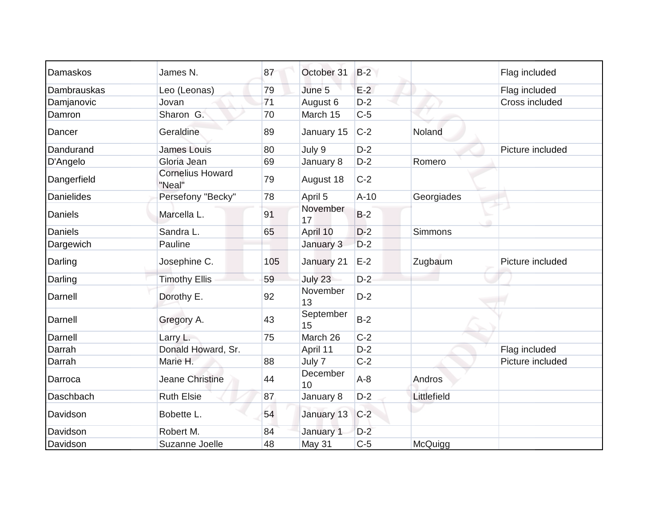| Damaskos          | James N.                          | 87  | October 31      | $B-2$  |                | Flag included    |
|-------------------|-----------------------------------|-----|-----------------|--------|----------------|------------------|
| Dambrauskas       | Leo (Leonas)                      | 79  | June 5          | $E-2$  |                | Flag included    |
| Damjanovic        | Jovan                             | 71  | August 6        | $D-2$  |                | Cross included   |
| Damron            | Sharon G.                         | 70  | March 15        | $C-5$  |                |                  |
| Dancer            | Geraldine                         | 89  | January 15      | $C-2$  | Noland         |                  |
| Dandurand         | James Louis                       | 80  | July 9          | $D-2$  |                | Picture included |
| D'Angelo          | Gloria Jean                       | 69  | January 8       | $D-2$  | Romero         |                  |
| Dangerfield       | <b>Cornelius Howard</b><br>"Neal" | 79  | August 18       | $C-2$  |                |                  |
| <b>Danielides</b> | Persefony "Becky"                 | 78  | April 5         | $A-10$ | Georgiades     |                  |
| Daniels           | Marcella L.                       | 91  | November<br>17  | $B-2$  |                |                  |
| <b>Daniels</b>    | Sandra L.                         | 65  | April 10        | $D-2$  | <b>Simmons</b> |                  |
| Dargewich         | Pauline                           |     | January 3       | $D-2$  |                |                  |
| Darling           | Josephine C.                      | 105 | January 21      | $E-2$  | Zugbaum        | Picture included |
| Darling           | <b>Timothy Ellis</b>              | 59  | July 23         | $D-2$  |                |                  |
| Darnell           | Dorothy E.                        | 92  | November<br>13  | $D-2$  |                |                  |
| Darnell           | Gregory A.                        | 43  | September<br>15 | $B-2$  |                |                  |
| Darnell           | Larry L.                          | 75  | March 26        | $C-2$  |                |                  |
| Darrah            | Donald Howard, Sr.                |     | April 11        | $D-2$  |                | Flag included    |
| Darrah            | Marie H.                          | 88  | July 7          | $C-2$  |                | Picture included |
| Darroca           | <b>Jeane Christine</b>            | 44  | December<br>10  | $A-8$  | Andros         |                  |
| Daschbach         | <b>Ruth Elsie</b>                 | 87  | January 8       | $D-2$  | Littlefield    |                  |
| Davidson          | Bobette L.                        | 54  | January 13      | $C-2$  |                |                  |
| Davidson          | Robert M.                         | 84  | January 1       | $D-2$  |                |                  |
| Davidson          | Suzanne Joelle                    | 48  | May 31          | $C-5$  | McQuigg        |                  |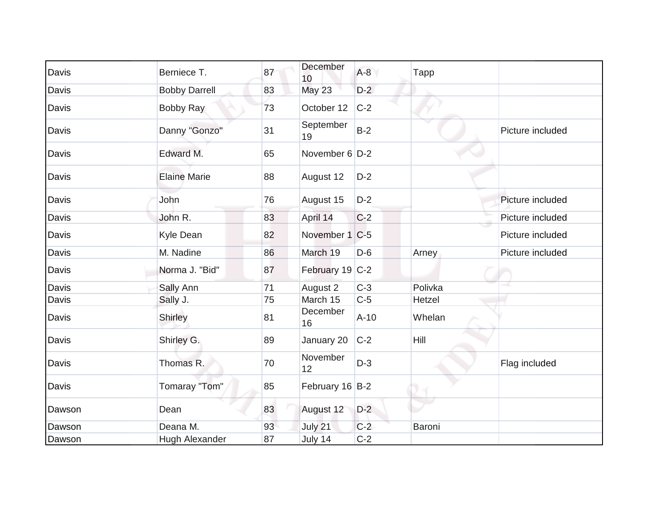| Davis  | Berniece T.          | 87 | December<br>10  | $A-8$  | Tapp        |                  |
|--------|----------------------|----|-----------------|--------|-------------|------------------|
| Davis  | <b>Bobby Darrell</b> | 83 | May 23          | $D-2$  |             |                  |
| Davis  | <b>Bobby Ray</b>     | 73 | October 12      | $C-2$  |             |                  |
| Davis  | Danny "Gonzo"        | 31 | September<br>19 | $B-2$  |             | Picture included |
| Davis  | Edward M.            | 65 | November 6 D-2  |        |             |                  |
| Davis  | <b>Elaine Marie</b>  | 88 | August 12       | $D-2$  |             |                  |
| Davis  | John                 | 76 | August 15       | $D-2$  |             | Picture included |
| Davis  | John R.              | 83 | April 14        | $C-2$  |             | Picture included |
| Davis  | Kyle Dean            | 82 | November 1 C-5  |        |             | Picture included |
| Davis  | M. Nadine            | 86 | March 19        | $D-6$  | Arney       | Picture included |
| Davis  | Norma J. "Bid"       | 87 | February 19 C-2 |        |             |                  |
| Davis  | Sally Ann            | 71 | August 2        | $C-3$  | Polivka     |                  |
| Davis  | Sally J.             | 75 | March 15        | $C-5$  | Hetzel      |                  |
| Davis  | Shirley              | 81 | December<br>16  | $A-10$ | Whelan      |                  |
| Davis  | Shirley G.           | 89 | January 20      | $C-2$  | <b>Hill</b> |                  |
| Davis  | Thomas R.            | 70 | November<br>12  | $D-3$  |             | Flag included    |
| Davis  | Tomaray "Tom"        | 85 | February 16 B-2 |        |             |                  |
| Dawson | Dean                 | 83 | August 12       | $D-2$  |             |                  |
| Dawson | Deana M.             | 93 | July 21         | $C-2$  | Baroni      |                  |
| Dawson | Hugh Alexander       | 87 | July 14         | $C-2$  |             |                  |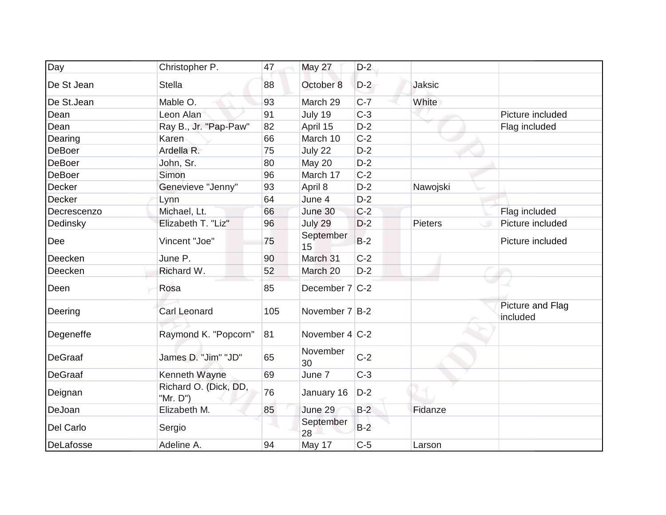| Day            | Christopher P.                    | 47  | May 27           | $D-2$ |                |                              |
|----------------|-----------------------------------|-----|------------------|-------|----------------|------------------------------|
| De St Jean     | <b>Stella</b>                     | 88  | October 8        | $D-2$ | Jaksic         |                              |
| De St.Jean     | Mable O.                          | 93  | March 29         | $C-7$ | White          |                              |
| Dean           | Leon Alan                         | 91  | July 19          | $C-3$ |                | Picture included             |
| Dean           | Ray B., Jr. "Pap-Paw"             | 82  | April 15         | $D-2$ |                | Flag included                |
| Dearing        | Karen                             | 66  | March 10         | $C-2$ |                |                              |
| DeBoer         | Ardella R.                        | 75  | July 22          | $D-2$ |                |                              |
| <b>DeBoer</b>  | John, Sr.                         | 80  | May 20           | $D-2$ |                |                              |
| <b>DeBoer</b>  | Simon                             | 96  | March 17         | $C-2$ |                |                              |
| Decker         | Genevieve "Jenny"                 | 93  | April 8          | $D-2$ | Nawojski       |                              |
| Decker         | Lynn                              | 64  | June 4           | $D-2$ |                |                              |
| Decrescenzo    | Michael, Lt.                      | 66  | June 30          | $C-2$ |                | Flag included                |
| Dedinsky       | Elizabeth T. "Liz"                | 96  | July 29          | $D-2$ | <b>Pieters</b> | Picture included             |
| Dee            | Vincent "Joe"                     | 75  | September<br>15  | $B-2$ |                | Picture included             |
| Deecken        | June P.                           | 90  | March 31         | $C-2$ |                |                              |
| Deecken        | Richard W.                        | 52  | March 20         | $D-2$ |                |                              |
| Deen           | Rosa                              | 85  | December 7 C-2   |       |                |                              |
| Deering        | <b>Carl Leonard</b>               | 105 | November 7 B-2   |       |                | Picture and Flag<br>included |
| Degeneffe      | Raymond K. "Popcorn"              | 81  | November $4 C-2$ |       |                |                              |
| <b>DeGraaf</b> | James D. "Jim" "JD"               | 65  | November<br>30   | $C-2$ |                |                              |
| <b>DeGraaf</b> | Kenneth Wayne                     | 69  | June 7           | $C-3$ |                |                              |
| Deignan        | Richard O. (Dick, DD,<br>"Mr. D") | 76  | January 16       | $D-2$ |                |                              |
| DeJoan         | Elizabeth M.                      | 85  | June 29          | $B-2$ | Fidanze        |                              |
| Del Carlo      | Sergio                            |     | September<br>28  | $B-2$ |                |                              |
| DeLafosse      | Adeline A.                        | 94  | May 17           | $C-5$ | Larson         |                              |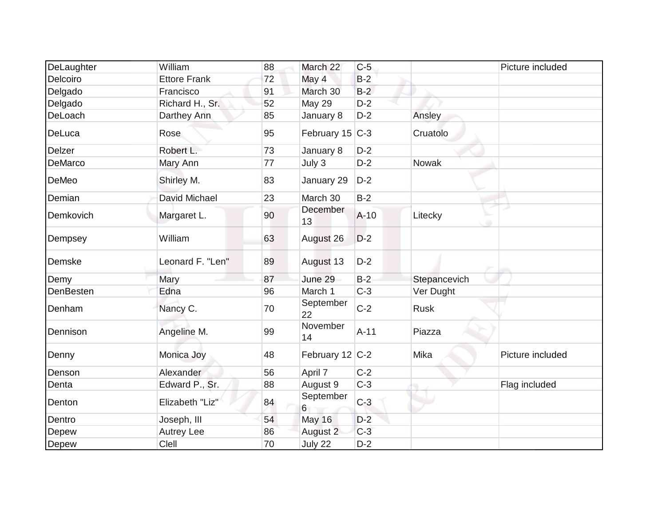| DeLaughter | William             | 88 | March 22          | $C-5$  |              | Picture included |
|------------|---------------------|----|-------------------|--------|--------------|------------------|
| Delcoiro   | <b>Ettore Frank</b> | 72 | May 4             | $B-2$  |              |                  |
| Delgado    | Francisco           | 91 | March 30          | $B-2$  |              |                  |
| Delgado    | Richard H., Sr.     | 52 | May 29            | $D-2$  |              |                  |
| DeLoach    | Darthey Ann         | 85 | January 8         | $D-2$  | Ansley       |                  |
| DeLuca     | Rose                | 95 | February 15 C-3   |        | Cruatolo     |                  |
| Delzer     | Robert L.           | 73 | January 8         | $D-2$  |              |                  |
| DeMarco    | Mary Ann            | 77 | July 3            | $D-2$  | Nowak        |                  |
| DeMeo      | Shirley M.          | 83 | January 29        | $D-2$  |              |                  |
| Demian     | David Michael       | 23 | March 30          | $B-2$  |              |                  |
| Demkovich  | Margaret L.         | 90 | December<br>13    | $A-10$ | Litecky      |                  |
| Dempsey    | William             | 63 | August 26         | $D-2$  |              |                  |
| Demske     | Leonard F. "Len"    | 89 | August 13         | $D-2$  |              |                  |
| Demy       | Mary                | 87 | June 29           | $B-2$  | Stepancevich |                  |
| DenBesten  | Edna                | 96 | March 1           | $C-3$  | Ver Dught    |                  |
| Denham     | Nancy C.            | 70 | September<br>22   | $C-2$  | <b>Rusk</b>  |                  |
| Dennison   | Angeline M.         | 99 | November<br>14    | $A-11$ | Piazza       |                  |
| Denny      | Monica Joy          | 48 | February 12 $C-2$ |        | Mika         | Picture included |
| Denson     | Alexander           | 56 | April 7           | $C-2$  |              |                  |
| Denta      | Edward P., Sr.      | 88 | August 9          | $C-3$  |              | Flag included    |
| Denton     | Elizabeth "Liz"     | 84 | September<br>6    | $C-3$  |              |                  |
| Dentro     | Joseph, III         | 54 | <b>May 16</b>     | $D-2$  |              |                  |
| Depew      | <b>Autrey Lee</b>   | 86 | August 2          | $C-3$  |              |                  |
| Depew      | Clell               | 70 | July 22           | $D-2$  |              |                  |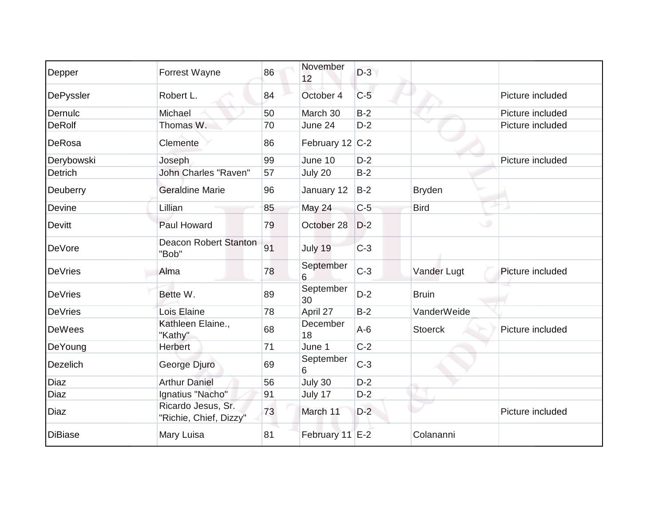| Depper         | Forrest Wayne                                | 86 | November<br>12  | $D-3$ |                |                  |
|----------------|----------------------------------------------|----|-----------------|-------|----------------|------------------|
| DePyssler      | Robert L.                                    | 84 | October 4       | $C-5$ |                | Picture included |
| Dernulc        | Michael                                      | 50 | March 30        | $B-2$ |                | Picture included |
| <b>DeRolf</b>  | Thomas W.                                    | 70 | June 24         | $D-2$ |                | Picture included |
| DeRosa         | Clemente                                     | 86 | February 12 C-2 |       |                |                  |
| Derybowski     | Joseph                                       | 99 | June 10         | $D-2$ |                | Picture included |
| Detrich        | <b>John Charles "Raven"</b>                  | 57 | July 20         | $B-2$ |                |                  |
| Deuberry       | <b>Geraldine Marie</b>                       | 96 | January 12      | $B-2$ | <b>Bryden</b>  |                  |
| Devine         | Lillian                                      | 85 | May 24          | $C-5$ | <b>Bird</b>    |                  |
| <b>Devitt</b>  | Paul Howard                                  | 79 | October 28      | $D-2$ |                |                  |
| DeVore         | <b>Deacon Robert Stanton</b><br>"Bob"        | 91 | July 19         | $C-3$ |                |                  |
| <b>DeVries</b> | Alma                                         | 78 | September<br>6  | $C-3$ | Vander Lugt    | Picture included |
| <b>DeVries</b> | Bette W.                                     | 89 | September<br>30 | $D-2$ | <b>Bruin</b>   |                  |
| <b>DeVries</b> | Lois Elaine                                  | 78 | April 27        | $B-2$ | VanderWeide    |                  |
| <b>DeWees</b>  | Kathleen Elaine.,<br>"Kathy"                 | 68 | December<br>18  | $A-6$ | <b>Stoerck</b> | Picture included |
| DeYoung        | Herbert                                      | 71 | June 1          | $C-2$ |                |                  |
| Dezelich       | George Djuro                                 | 69 | September<br>6  | $C-3$ |                |                  |
| <b>Diaz</b>    | <b>Arthur Daniel</b>                         | 56 | July 30         | $D-2$ |                |                  |
| <b>Diaz</b>    | Ignatius "Nacho"                             | 91 | July 17         | $D-2$ |                |                  |
| Diaz           | Ricardo Jesus, Sr.<br>"Richie, Chief, Dizzy" | 73 | March 11        | $D-2$ |                | Picture included |
| <b>DiBiase</b> | Mary Luisa                                   | 81 | February 11 E-2 |       | Colananni      |                  |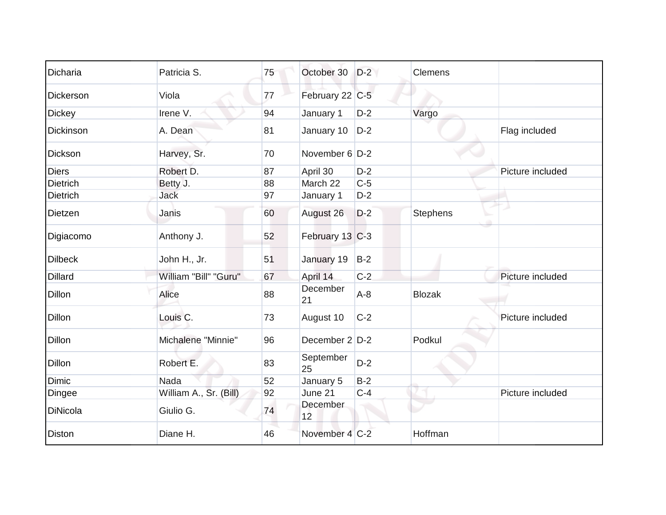| Dicharia        | Patricia S.            | 75 | October 30        | $D-2$ | <b>Clemens</b>  |                  |
|-----------------|------------------------|----|-------------------|-------|-----------------|------------------|
| Dickerson       | Viola                  | 77 | February 22 C-5   |       |                 |                  |
| <b>Dickey</b>   | Irene V.               | 94 | January 1         | $D-2$ | Vargo           |                  |
| Dickinson       | A. Dean                | 81 | January 10        | $D-2$ |                 | Flag included    |
| Dickson         | Harvey, Sr.            | 70 | November 6 D-2    |       |                 |                  |
| <b>Diers</b>    | Robert D.              | 87 | April 30          | $D-2$ |                 | Picture included |
| <b>Dietrich</b> | Betty J.               | 88 | March 22          | $C-5$ |                 |                  |
| <b>Dietrich</b> | <b>Jack</b>            | 97 | January 1         | $D-2$ |                 |                  |
| Dietzen         | Janis                  | 60 | August 26         | $D-2$ | <b>Stephens</b> |                  |
| Digiacomo       | Anthony J.             | 52 | February 13 C-3   |       |                 |                  |
| <b>Dilbeck</b>  | John H., Jr.           | 51 | January 19        | $B-2$ |                 |                  |
| <b>Dillard</b>  | William "Bill" "Guru"  | 67 | April 14          | $C-2$ |                 | Picture included |
| <b>Dillon</b>   | <b>Alice</b>           | 88 | December<br>21    | $A-8$ | <b>Blozak</b>   |                  |
| <b>Dillon</b>   | Louis C.               | 73 | August 10         | $C-2$ |                 | Picture included |
| Dillon          | Michalene "Minnie"     | 96 | December $2 D-2 $ |       | Podkul          |                  |
| Dillon          | Robert E.              | 83 | September<br>25   | $D-2$ |                 |                  |
| <b>Dimic</b>    | Nada                   | 52 | January 5         | $B-2$ |                 |                  |
| <b>Dingee</b>   | William A., Sr. (Bill) | 92 | June 21           | $C-4$ |                 | Picture included |
| DiNicola        | Giulio G.              | 74 | December<br>12    |       |                 |                  |
| <b>Diston</b>   | Diane H.               | 46 | November 4 C-2    |       | Hoffman         |                  |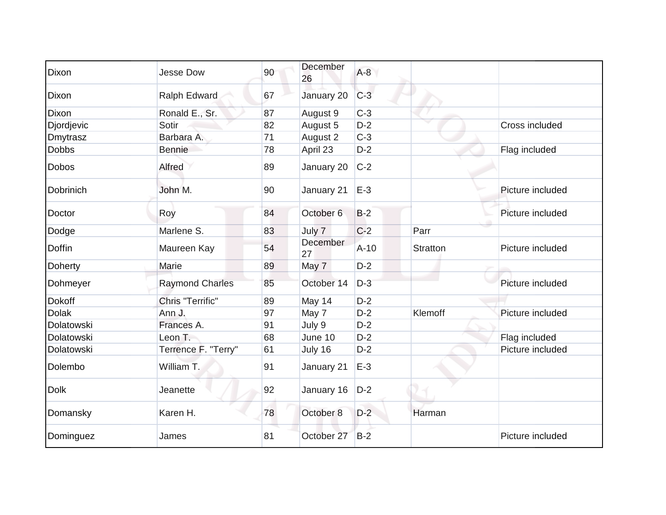| Dixon         | <b>Jesse Dow</b>       | 90 | December<br>26        | $A-8$  |                 |                  |
|---------------|------------------------|----|-----------------------|--------|-----------------|------------------|
| Dixon         | Ralph Edward           | 67 | January 20            | $C-3$  |                 |                  |
| Dixon         | Ronald E., Sr.         | 87 | August 9              | $C-3$  |                 |                  |
| Djordjevic    | Sotir                  | 82 | August 5              | $D-2$  |                 | Cross included   |
| Dmytrasz      | Barbara A.             | 71 | August 2              | $C-3$  |                 |                  |
| <b>Dobbs</b>  | <b>Bennie</b>          | 78 | April 23              | $D-2$  |                 | Flag included    |
| <b>Dobos</b>  | Alfred                 | 89 | January 20            | $C-2$  |                 |                  |
| Dobrinich     | John M.                | 90 | January 21            | $E-3$  |                 | Picture included |
| Doctor        | Roy                    | 84 | October <sub>6</sub>  | $B-2$  |                 | Picture included |
| Dodge         | Marlene S.             | 83 | July 7                | $C-2$  | Parr            |                  |
| <b>Doffin</b> | Maureen Kay            | 54 | <b>December</b><br>27 | $A-10$ | <b>Stratton</b> | Picture included |
| Doherty       | Marie                  | 89 | May 7                 | $D-2$  |                 |                  |
| Dohmeyer      | <b>Raymond Charles</b> | 85 | October 14            | $D-3$  |                 | Picture included |
| <b>Dokoff</b> | Chris "Terrific"       | 89 | May 14                | $D-2$  |                 |                  |
| <b>Dolak</b>  | Ann J.                 | 97 | May 7                 | $D-2$  | Klemoff         | Picture included |
| Dolatowski    | Frances A.             | 91 | July 9                | $D-2$  |                 |                  |
| Dolatowski    | Leon T.                | 68 | June 10               | $D-2$  |                 | Flag included    |
| Dolatowski    | Terrence F. "Terry"    | 61 | July 16               | $D-2$  |                 | Picture included |
| Dolembo       | William T.             | 91 | January 21            | $E-3$  |                 |                  |
| <b>Dolk</b>   | Jeanette               | 92 | January 16            | $D-2$  |                 |                  |
| Domansky      | Karen H.               | 78 | October 8             | $D-2$  | Harman          |                  |
| Dominguez     | James                  | 81 | October 27            | $B-2$  |                 | Picture included |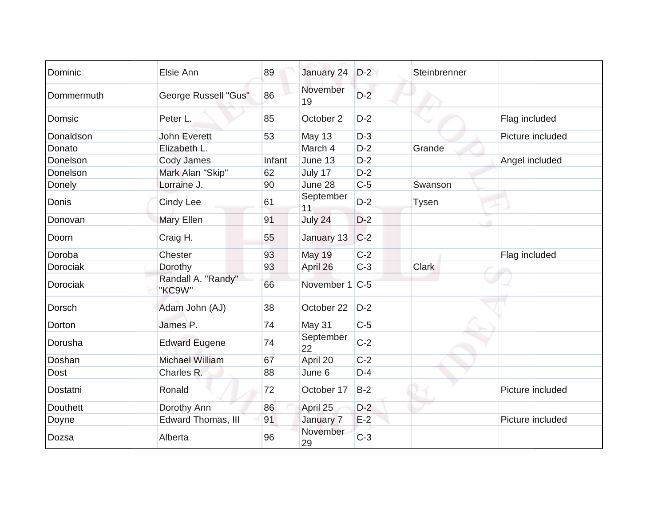| Dominic         | Elsie Ann                    | 89     | January 24      | $D-2$ | Steinbrenner |                  |
|-----------------|------------------------------|--------|-----------------|-------|--------------|------------------|
| Dommermuth      | <b>George Russell "Gus"</b>  | 86     | November<br>19  | $D-2$ |              |                  |
| Domsic          | Peter L.                     | 85     | October 2       | $D-2$ |              | Flag included    |
| Donaldson       | <b>John Everett</b>          | 53     | <b>May 13</b>   | $D-3$ |              | Picture included |
| Donato          | Elizabeth L.                 |        | March 4         | $D-2$ | Grande       |                  |
| Donelson        | Cody James                   | Infant | June 13         | $D-2$ |              | Angel included   |
| Donelson        | Mark Alan "Skip"             | 62     | July 17         | $D-2$ |              |                  |
| Donely          | Lorraine J.                  | 90     | June 28         | $C-5$ | Swanson      |                  |
| Donis           | <b>Cindy Lee</b>             | 61     | September<br>11 | $D-2$ | <b>Tysen</b> |                  |
| Donovan         | Mary Ellen                   | 91     | July 24         | $D-2$ |              |                  |
| Doorn           | Craig H.                     | 55     | January 13      | $C-2$ |              |                  |
| Doroba          | Chester                      | 93     | May 19          | $C-2$ |              | Flag included    |
| Dorociak        | Dorothy                      | 93     | April 26        | $C-3$ | <b>Clark</b> |                  |
| Dorociak        | Randall A. "Randy"<br>"KC9W" | 66     | November 1 C-5  |       |              |                  |
| Dorsch          | Adam John (AJ)               | 38     | October 22      | $D-2$ |              |                  |
| Dorton          | James P.                     | 74     | May 31          | $C-5$ |              |                  |
| Dorusha         | <b>Edward Eugene</b>         | 74     | September<br>22 | $C-2$ |              |                  |
| Doshan          | Michael William              | 67     | April 20        | $C-2$ |              |                  |
| <b>Dost</b>     | Charles R.                   | 88     | June 6          | $D-4$ |              |                  |
| Dostatni        | Ronald                       | 72     | October 17      | $B-2$ |              | Picture included |
| <b>Douthett</b> | Dorothy Ann                  | 86     | April 25        | $D-2$ |              |                  |
| Doyne           | Edward Thomas, III           | 91     | January 7       | $E-2$ |              | Picture included |
| Dozsa           | Alberta                      | 96     | November<br>29  | $C-3$ |              |                  |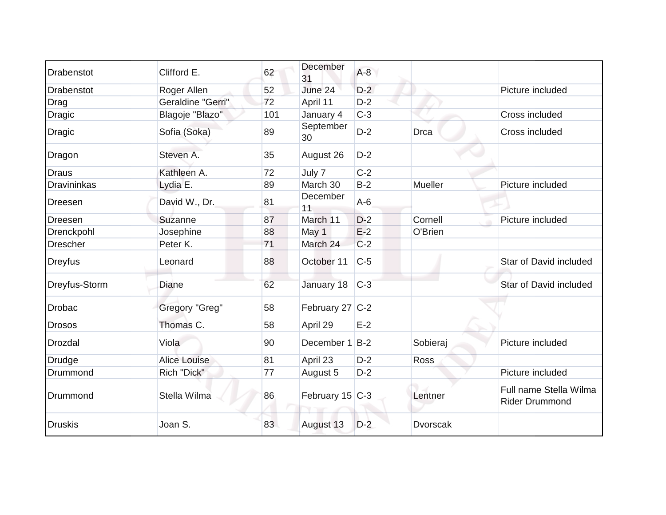| Drabenstot         | Clifford E.         | 62  | December<br>31  | $A-8$ |                 |                                                 |
|--------------------|---------------------|-----|-----------------|-------|-----------------|-------------------------------------------------|
| <b>Drabenstot</b>  | Roger Allen         | 52  | June 24         | $D-2$ |                 | Picture included                                |
| Drag               | Geraldine "Gerri"   | 72  | April 11        | $D-2$ |                 |                                                 |
| <b>Dragic</b>      | Blagoje "Blazo"     | 101 | January 4       | $C-3$ |                 | Cross included                                  |
| Dragic             | Sofia (Soka)        | 89  | September<br>30 | $D-2$ | <b>Drca</b>     | Cross included                                  |
| Dragon             | Steven A.           | 35  | August 26       | $D-2$ |                 |                                                 |
| <b>Draus</b>       | Kathleen A.         | 72  | July 7          | $C-2$ |                 |                                                 |
| <b>Dravininkas</b> | Lydia E.            | 89  | March 30        | $B-2$ | Mueller         | Picture included                                |
| <b>Dreesen</b>     | David W., Dr.       | 81  | December<br>11  | $A-6$ |                 |                                                 |
| Dreesen            | Suzanne             | 87  | March 11        | $D-2$ | Cornell         | Picture included                                |
| Drenckpohl         | Josephine           | 88  | May 1           | $E-2$ | O'Brien         |                                                 |
| <b>Drescher</b>    | Peter K.            | 71  | March 24        | $C-2$ |                 |                                                 |
| <b>Dreyfus</b>     | Leonard             | 88  | October 11      | $C-5$ |                 | Star of David included                          |
| Dreyfus-Storm      | Diane               | 62  | January 18      | $C-3$ |                 | Star of David included                          |
| <b>Drobac</b>      | Gregory "Greg"      | 58  | February 27 C-2 |       |                 |                                                 |
| <b>Drosos</b>      | Thomas C.           | 58  | April 29        | $E-2$ |                 |                                                 |
| Drozdal            | Viola               | 90  | December 1      | $B-2$ | Sobieraj        | Picture included                                |
| Drudge             | <b>Alice Louise</b> | 81  | April 23        | $D-2$ | <b>Ross</b>     |                                                 |
| Drummond           | Rich "Dick"         | 77  | August 5        | $D-2$ |                 | Picture included                                |
| Drummond           | Stella Wilma        | 86  | February 15 C-3 |       | Lentner         | Full name Stella Wilma<br><b>Rider Drummond</b> |
| <b>Druskis</b>     | Joan S.             | 83  | August 13       | $D-2$ | <b>Dvorscak</b> |                                                 |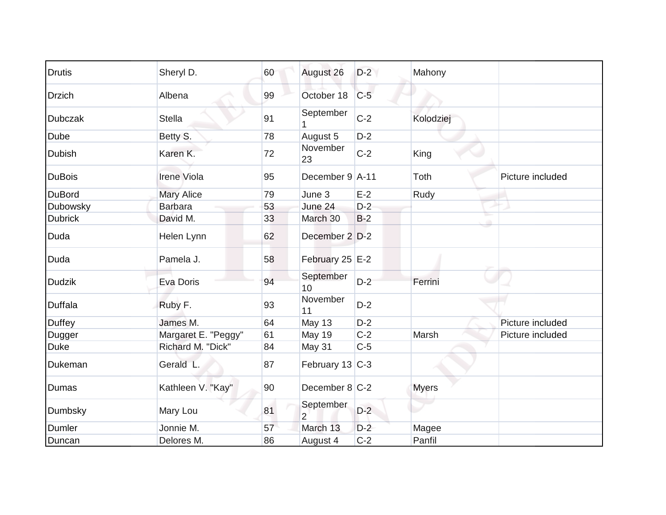| <b>Drutis</b>  | Sheryl D.           | 60 | August 26                   | $D-2$ | Mahony       |                  |
|----------------|---------------------|----|-----------------------------|-------|--------------|------------------|
| <b>Drzich</b>  | Albena              | 99 | October 18                  | $C-5$ |              |                  |
| <b>Dubczak</b> | <b>Stella</b>       | 91 | September                   | $C-2$ | Kolodziej    |                  |
| Dube           | Betty S.            | 78 | August 5                    | $D-2$ |              |                  |
| <b>Dubish</b>  | Karen K.            | 72 | November<br>23              | $C-2$ | King         |                  |
| <b>DuBois</b>  | Irene Viola         | 95 | December 9 A-11             |       | Toth         | Picture included |
| <b>DuBord</b>  | <b>Mary Alice</b>   | 79 | June 3                      | $E-2$ | Rudy         |                  |
| Dubowsky       | <b>Barbara</b>      | 53 | June 24                     | $D-2$ |              |                  |
| <b>Dubrick</b> | David M.            | 33 | March 30                    | $B-2$ |              |                  |
| Duda           | Helen Lynn          | 62 | December 2 D-2              |       |              |                  |
| Duda           | Pamela J.           | 58 | February 25 E-2             |       |              |                  |
| <b>Dudzik</b>  | Eva Doris           | 94 | September<br>10             | $D-2$ | Ferrini      |                  |
| <b>Duffala</b> | Ruby F.             | 93 | November<br>11              | $D-2$ |              |                  |
| Duffey         | James M.            | 64 | May 13                      | $D-2$ |              | Picture included |
| Dugger         | Margaret E. "Peggy" | 61 | May 19                      | $C-2$ | Marsh        | Picture included |
| <b>Duke</b>    | Richard M. "Dick"   | 84 | May 31                      | $C-5$ |              |                  |
| Dukeman        | Gerald L.           | 87 | February 13 C-3             |       |              |                  |
| Dumas          | Kathleen V. "Kay"   | 90 | December 8 C-2              |       | <b>Myers</b> |                  |
| Dumbsky        | Mary Lou            | 81 | September<br>$\overline{2}$ | $D-2$ |              |                  |
| Dumler         | Jonnie M.           | 57 | March 13                    | $D-2$ | Magee        |                  |
| Duncan         | Delores M.          | 86 | August 4                    | $C-2$ | Panfil       |                  |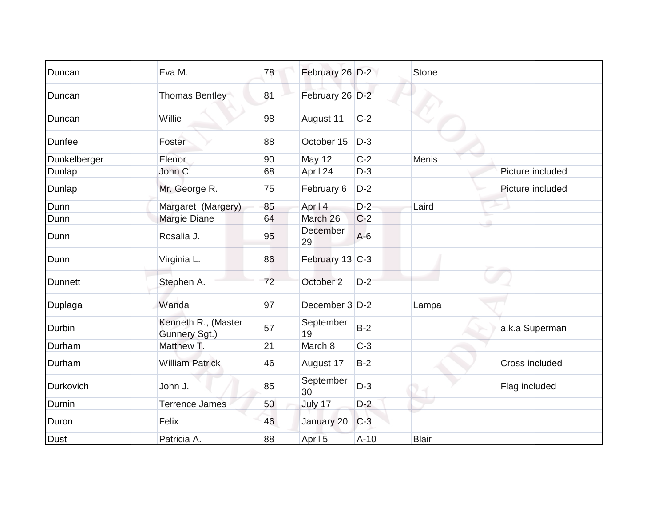| Duncan         | Eva M.                               | 78 | February 26 D-2  |        | <b>Stone</b> |                  |
|----------------|--------------------------------------|----|------------------|--------|--------------|------------------|
| Duncan         | <b>Thomas Bentley</b>                | 81 | February 26 D-2  |        |              |                  |
| Duncan         | Willie                               | 98 | August 11        | $C-2$  |              |                  |
| Dunfee         | Foster                               | 88 | October 15       | $D-3$  |              |                  |
| Dunkelberger   | Elenor                               | 90 | <b>May 12</b>    | $C-2$  | Menis        |                  |
| Dunlap         | John C.                              | 68 | April 24         | $D-3$  |              | Picture included |
| Dunlap         | Mr. George R.                        | 75 | February 6       | $D-2$  |              | Picture included |
| Dunn           | Margaret (Margery)                   | 85 | April 4          | $D-2$  | Laird        |                  |
| Dunn           | Margie Diane                         | 64 | March 26         | $C-2$  |              |                  |
| Dunn           | Rosalia J.                           | 95 | December<br>29   | $A-6$  |              |                  |
| Dunn           | Virginia L.                          | 86 | February 13 C-3  |        |              |                  |
| <b>Dunnett</b> | Stephen A.                           | 72 | October 2        | $D-2$  |              |                  |
| Duplaga        | Wanda                                | 97 | December $3$ D-2 |        | Lampa        |                  |
| Durbin         | Kenneth R., (Master<br>Gunnery Sgt.) | 57 | September<br>19  | $B-2$  |              | a.k.a Superman   |
| Durham         | Matthew T.                           | 21 | March 8          | $C-3$  |              |                  |
| Durham         | <b>William Patrick</b>               | 46 | August 17        | $B-2$  |              | Cross included   |
| Durkovich      | John J.                              | 85 | September<br>30  | $D-3$  |              | Flag included    |
| Durnin         | <b>Terrence James</b>                | 50 | July 17          | $D-2$  |              |                  |
| Duron          | Felix                                | 46 | January 20       | $C-3$  |              |                  |
| <b>Dust</b>    | Patricia A.                          | 88 | April 5          | $A-10$ | <b>Blair</b> |                  |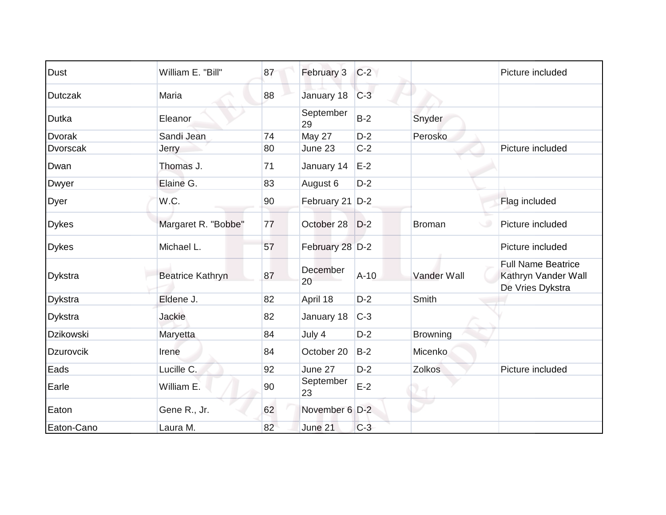| <b>Dust</b>      | William E. "Bill"       | 87 | February 3      | $C-2$  |               | Picture included                                                     |
|------------------|-------------------------|----|-----------------|--------|---------------|----------------------------------------------------------------------|
| <b>Dutczak</b>   | Maria                   | 88 | January 18      | $C-3$  |               |                                                                      |
| <b>Dutka</b>     | Eleanor                 |    | September<br>29 | $B-2$  | Snyder        |                                                                      |
| <b>Dvorak</b>    | Sandi Jean              | 74 | <b>May 27</b>   | $D-2$  | Perosko       |                                                                      |
| <b>Dvorscak</b>  | Jerry                   | 80 | June 23         | $C-2$  |               | Picture included                                                     |
| Dwan             | Thomas J.               | 71 | January 14      | $E-2$  |               |                                                                      |
| Dwyer            | Elaine G.               | 83 | August 6        | $D-2$  |               |                                                                      |
| Dyer             | W.C.                    | 90 | February 21 D-2 |        |               | Flag included                                                        |
| <b>Dykes</b>     | Margaret R. "Bobbe"     | 77 | October 28      | $D-2$  | <b>Broman</b> | Picture included                                                     |
| <b>Dykes</b>     | Michael L.              | 57 | February 28 D-2 |        |               | Picture included                                                     |
| Dykstra          | <b>Beatrice Kathryn</b> | 87 | December<br>20  | $A-10$ | Vander Wall   | <b>Full Name Beatrice</b><br>Kathryn Vander Wall<br>De Vries Dykstra |
| <b>Dykstra</b>   | Eldene J.               | 82 | April 18        | $D-2$  | Smith         |                                                                      |
| <b>Dykstra</b>   | Jackie                  | 82 | January 18      | $C-3$  |               |                                                                      |
| <b>Dzikowski</b> | Maryetta                | 84 | July 4          | $D-2$  | Browning      |                                                                      |
| <b>Dzurovcik</b> | Irene                   | 84 | October 20      | $B-2$  | Micenko       |                                                                      |
| Eads             | Lucille C.              | 92 | June 27         | $D-2$  | Zolkos        | Picture included                                                     |
| Earle            | William E.              | 90 | September<br>23 | $E-2$  |               |                                                                      |
| Eaton            | Gene R., Jr.            | 62 | November 6 D-2  |        |               |                                                                      |
| Eaton-Cano       | Laura M.                | 82 | June 21         | $C-3$  |               |                                                                      |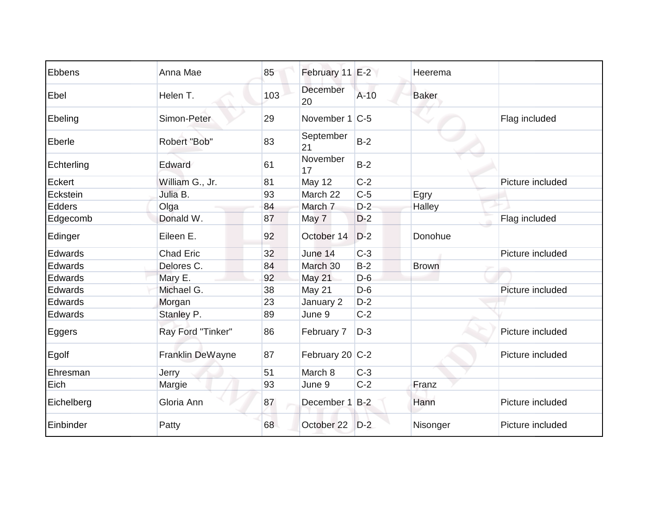| Ebbens     | Anna Mae          | 85  | February 11 E-2 |        | Heerema      |                  |
|------------|-------------------|-----|-----------------|--------|--------------|------------------|
| Ebel       | Helen T.          | 103 | December<br>20  | $A-10$ | <b>Baker</b> |                  |
| Ebeling    | Simon-Peter       | 29  | November 1 C-5  |        |              | Flag included    |
| Eberle     | Robert "Bob"      | 83  | September<br>21 | $B-2$  |              |                  |
| Echterling | Edward            | 61  | November<br>17  | $B-2$  |              |                  |
| Eckert     | William G., Jr.   | 81  | <b>May 12</b>   | $C-2$  |              | Picture included |
| Eckstein   | Julia B.          | 93  | March 22        | $C-5$  | Egry         |                  |
| Edders     | Olga              | 84  | March 7         | $D-2$  | Halley       |                  |
| Edgecomb   | Donald W.         | 87  | May 7           | $D-2$  |              | Flag included    |
| Edinger    | Eileen E.         | 92  | October 14      | $D-2$  | Donohue      |                  |
| Edwards    | <b>Chad Eric</b>  | 32  | June 14         | $C-3$  |              | Picture included |
| Edwards    | Delores C.        | 84  | March 30        | $B-2$  | <b>Brown</b> |                  |
| Edwards    | Mary E.           | 92  | <b>May 21</b>   | $D-6$  |              |                  |
| Edwards    | Michael G.        | 38  | May 21          | $D-6$  |              | Picture included |
| Edwards    | Morgan            | 23  | January 2       | $D-2$  |              |                  |
| Edwards    | Stanley P.        | 89  | June 9          | $C-2$  |              |                  |
| Eggers     | Ray Ford "Tinker" | 86  | February 7      | $D-3$  |              | Picture included |
| Egolf      | Franklin DeWayne  | 87  | February 20 C-2 |        |              | Picture included |
| Ehresman   | Jerry             | 51  | March 8         | $C-3$  |              |                  |
| Eich       | Margie            | 93  | June 9          | $C-2$  | Franz        |                  |
| Eichelberg | Gloria Ann        | 87  | December 1 B-2  |        | Hann         | Picture included |
| Einbinder  | Patty             | 68  | October 22      | $D-2$  | Nisonger     | Picture included |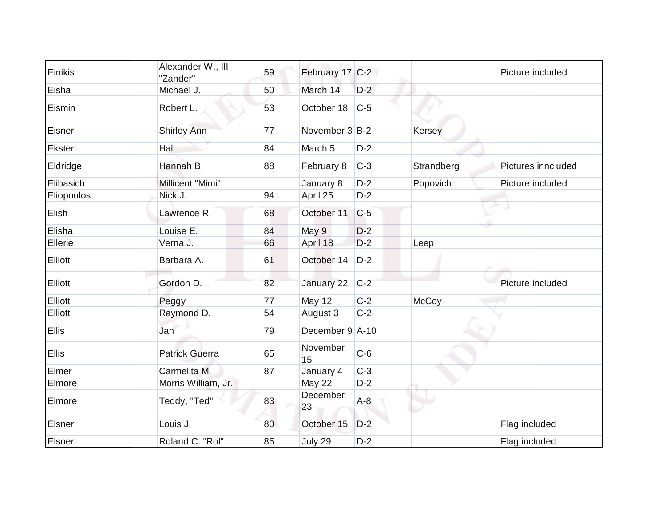| Einikis        | Alexander W., III<br>"Zander" | 59 | February 17 C-2    |       |            | Picture included   |
|----------------|-------------------------------|----|--------------------|-------|------------|--------------------|
| Eisha          | Michael J.                    | 50 | March 14           | $D-2$ |            |                    |
| Eismin         | Robert L.                     | 53 | October 18         | $C-5$ |            |                    |
| Eisner         | Shirley Ann                   | 77 | November $3 B-2$   |       | Kersey     |                    |
| Eksten         | Hal                           | 84 | March <sub>5</sub> | $D-2$ |            |                    |
| Eldridge       | Hannah B.                     | 88 | February 8         | $C-3$ | Strandberg | Pictures inncluded |
| Elibasich      | Millicent "Mimi"              |    | January 8          | $D-2$ | Popovich   | Picture included   |
| Eliopoulos     | Nick J.                       | 94 | April 25           | $D-2$ |            |                    |
| Elish          | Lawrence R.                   | 68 | October 11         | $C-5$ |            |                    |
| Elisha         | Louise E.                     | 84 | May 9              | $D-2$ |            |                    |
| Ellerie        | Verna J.                      | 66 | April 18           | $D-2$ | Leep       |                    |
| <b>Elliott</b> | Barbara A.                    | 61 | October 14         | $D-2$ |            |                    |
| <b>Elliott</b> | Gordon D.                     | 82 | January 22         | $C-2$ |            | Picture included   |
| Elliott        | Peggy                         | 77 | <b>May 12</b>      | $C-2$ | McCoy      |                    |
| Elliott        | Raymond D.                    | 54 | August 3           | $C-2$ |            |                    |
| <b>Ellis</b>   | Jan                           | 79 | December 9 A-10    |       |            |                    |
| Ellis          | <b>Patrick Guerra</b>         | 65 | November<br>15     | $C-6$ |            |                    |
| Elmer          | Carmelita M.                  | 87 | January 4          | $C-3$ |            |                    |
| Elmore         | Morris William, Jr.           |    | <b>May 22</b>      | $D-2$ |            |                    |
| Elmore         | Teddy, "Ted"                  | 83 | December<br>23     | $A-8$ |            |                    |
| Elsner         | Louis J.                      | 80 | October 15         | $D-2$ |            | Flag included      |
| Elsner         | Roland C. "Rol"               | 85 | July 29            | $D-2$ |            | Flag included      |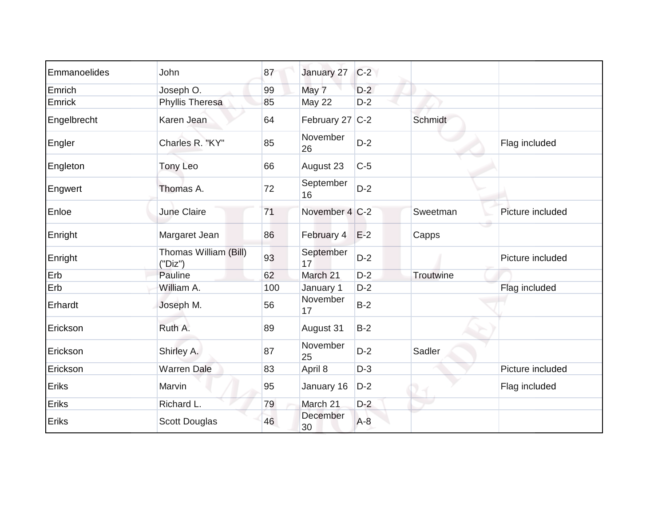| Emmanoelides | John                             | 87  | January 27      | $C-2$ |           |                  |
|--------------|----------------------------------|-----|-----------------|-------|-----------|------------------|
| Emrich       | Joseph O.                        | 99  | May 7           | $D-2$ |           |                  |
| Emrick       | Phyllis Theresa                  | 85  | <b>May 22</b>   | $D-2$ |           |                  |
| Engelbrecht  | Karen Jean                       | 64  | February 27 C-2 |       | Schmidt   |                  |
| Engler       | Charles R. "KY"                  | 85  | November<br>26  | $D-2$ |           | Flag included    |
| Engleton     | <b>Tony Leo</b>                  | 66  | August 23       | $C-5$ |           |                  |
| Engwert      | Thomas A.                        | 72  | September<br>16 | $D-2$ |           |                  |
| Enloe        | June Claire                      | 71  | November 4 C-2  |       | Sweetman  | Picture included |
| Enright      | Margaret Jean                    | 86  | February 4      | $E-2$ | Capps     |                  |
| Enright      | Thomas William (Bill)<br>("Dis") | 93  | September<br>17 | $D-2$ |           | Picture included |
| Erb          | Pauline                          | 62  | March 21        | $D-2$ | Troutwine |                  |
| Erb          | William A.                       | 100 | January 1       | $D-2$ |           | Flag included    |
| Erhardt      | Joseph M.                        | 56  | November<br>17  | $B-2$ |           |                  |
| Erickson     | Ruth A.                          | 89  | August 31       | $B-2$ |           |                  |
| Erickson     | Shirley A.                       | 87  | November<br>25  | $D-2$ | Sadler    |                  |
| Erickson     | <b>Warren Dale</b>               | 83  | April 8         | $D-3$ |           | Picture included |
| Eriks        | Marvin                           | 95  | January 16      | $D-2$ |           | Flag included    |
| Eriks        | Richard L.                       | 79  | March 21        | $D-2$ |           |                  |
| Eriks        | <b>Scott Douglas</b>             | 46  | December<br>30  | $A-8$ |           |                  |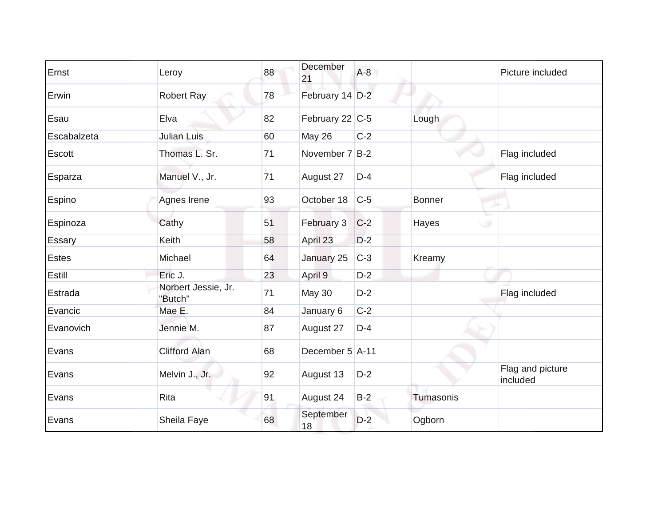| Ernst        | Leroy                          | 88 | December<br>21  | $A-8$ |                 | Picture included             |
|--------------|--------------------------------|----|-----------------|-------|-----------------|------------------------------|
| Erwin        | <b>Robert Ray</b>              | 78 | February 14 D-2 |       |                 |                              |
| Esau         | Elva                           | 82 | February 22 C-5 |       | Lough           |                              |
| Escabalzeta  | Julian Luis                    | 60 | <b>May 26</b>   | $C-2$ |                 |                              |
| Escott       | Thomas L. Sr.                  | 71 | November 7 B-2  |       |                 | Flag included                |
| Esparza      | Manuel V., Jr.                 | 71 | August 27       | $D-4$ |                 | Flag included                |
| Espino       | Agnes Irene                    | 93 | October 18      | $C-5$ | <b>Bonner</b>   |                              |
| Espinoza     | Cathy                          | 51 | February 3      | $C-2$ | Hayes<br>$\cup$ |                              |
| Essary       | Keith                          | 58 | April 23        | $D-2$ |                 |                              |
| <b>Estes</b> | Michael                        | 64 | January 25      | $C-3$ | Kreamy          |                              |
| Estill       | Eric J.                        | 23 | April 9         | $D-2$ |                 |                              |
| Estrada      | Norbert Jessie, Jr.<br>"Butch" | 71 | <b>May 30</b>   | $D-2$ |                 | Flag included                |
| Evancic      | Mae E.                         | 84 | January 6       | $C-2$ |                 |                              |
| Evanovich    | Jennie M.                      | 87 | August 27       | $D-4$ |                 |                              |
| Evans        | <b>Clifford Alan</b>           | 68 | December 5 A-11 |       |                 |                              |
| Evans        | Melvin J., Jr.                 | 92 | August 13       | $D-2$ |                 | Flag and picture<br>included |
| Evans        | Rita                           | 91 | August 24       | $B-2$ | Tumasonis       |                              |
| Evans        | Sheila Faye                    | 68 | September<br>18 | $D-2$ | Ogborn          |                              |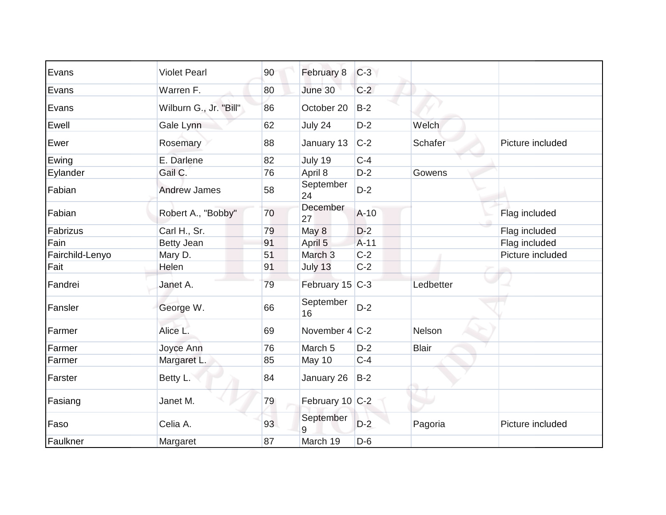| Evans           | <b>Violet Pearl</b>    | 90 | February 8         | $C-3$  |              |                  |
|-----------------|------------------------|----|--------------------|--------|--------------|------------------|
| Evans           | Warren F.              | 80 | June 30            | $C-2$  |              |                  |
| Evans           | Wilburn G., Jr. "Bill" | 86 | October 20         | $B-2$  |              |                  |
| Ewell           | Gale Lynn              | 62 | July 24            | $D-2$  | Welch        |                  |
| Ewer            | Rosemary               | 88 | January 13         | $C-2$  | Schafer      | Picture included |
| Ewing           | E. Darlene             | 82 | July 19            | $C-4$  |              |                  |
| Eylander        | Gail C.                | 76 | April 8            | $D-2$  | Gowens       |                  |
| Fabian          | <b>Andrew James</b>    | 58 | September<br>24    | $D-2$  |              |                  |
| Fabian          | Robert A., "Bobby"     | 70 | December<br>27     | $A-10$ |              | Flag included    |
| Fabrizus        | Carl H., Sr.           | 79 | May 8              | $D-2$  |              | Flag included    |
| Fain            | <b>Betty Jean</b>      | 91 | April 5            | $A-11$ |              | Flag included    |
| Fairchild-Lenyo | Mary D.                | 51 | March <sub>3</sub> | $C-2$  |              | Picture included |
| Fait            | Helen                  | 91 | July 13            | $C-2$  |              |                  |
| Fandrei         | Janet A.               | 79 | February 15 C-3    |        | Ledbetter    |                  |
| Fansler         | George W.              | 66 | September<br>16    | $D-2$  |              |                  |
| Farmer          | Alice L.               | 69 | November 4 C-2     |        | Nelson       |                  |
| Farmer          | Joyce Ann              | 76 | March 5            | $D-2$  | <b>Blair</b> |                  |
| Farmer          | Margaret L.            | 85 | May 10             | $C-4$  |              |                  |
| Farster         | Betty L.               | 84 | January 26         | $B-2$  |              |                  |
| Fasiang         | Janet M.               | 79 | February 10 C-2    |        |              |                  |
| Faso            | Celia A.               | 93 | September<br>9     | $D-2$  | Pagoria      | Picture included |
| Faulkner        | Margaret               | 87 | March 19           | $D-6$  |              |                  |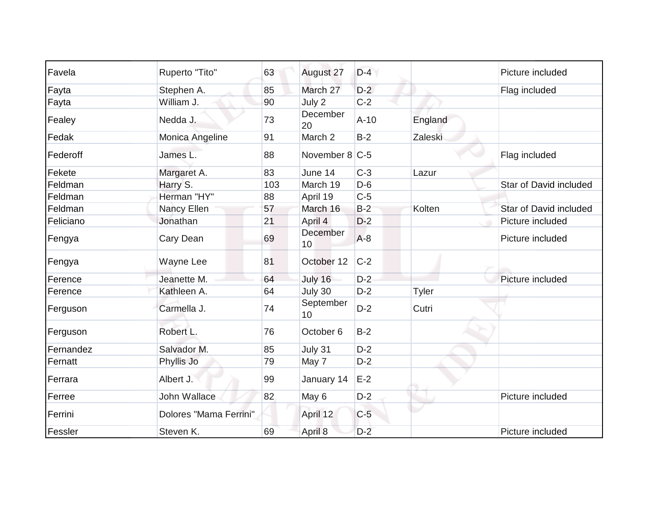| Favela    | Ruperto "Tito"         | 63  | August 27       | $D-4$  |              | Picture included       |
|-----------|------------------------|-----|-----------------|--------|--------------|------------------------|
| Fayta     | Stephen A.             | 85  | March 27        | $D-2$  |              | Flag included          |
| Fayta     | William J.             | 90  | July 2          | $C-2$  |              |                        |
| Fealey    | Nedda J.               | 73  | December<br>20  | $A-10$ | England      |                        |
| Fedak     | Monica Angeline        | 91  | March 2         | $B-2$  | Zaleski      |                        |
| Federoff  | James L.               | 88  | November 8 C-5  |        |              | Flag included          |
| Fekete    | Margaret A.            | 83  | June 14         | $C-3$  | Lazur        |                        |
| Feldman   | Harry S.               | 103 | March 19        | $D-6$  |              | Star of David included |
| Feldman   | Herman "HY"            | 88  | April 19        | $C-5$  |              |                        |
| Feldman   | Nancy Ellen            | 57  | March 16        | $B-2$  | Kolten       | Star of David included |
| Feliciano | Jonathan               | 21  | April 4         | $D-2$  |              | Picture included       |
| Fengya    | Cary Dean              | 69  | December<br>10  | $A-8$  |              | Picture included       |
| Fengya    | Wayne Lee              | 81  | October 12      | $C-2$  |              |                        |
| Ference   | Jeanette M.            | 64  | July 16         | $D-2$  |              | Picture included       |
| Ference   | Kathleen A.            | 64  | July 30         | $D-2$  | <b>Tyler</b> |                        |
| Ferguson  | Carmella J.            | 74  | September<br>10 | $D-2$  | Cutri        |                        |
| Ferguson  | Robert L.              | 76  | October 6       | $B-2$  |              |                        |
| Fernandez | Salvador M.            | 85  | July 31         | $D-2$  |              |                        |
| Fernatt   | Phyllis Jo             | 79  | May 7           | $D-2$  |              |                        |
| Ferrara   | Albert J.              | 99  | January 14      | $E-2$  |              |                        |
| Ferree    | John Wallace           | 82  | May 6           | $D-2$  |              | Picture included       |
| Ferrini   | Dolores "Mama Ferrini" |     | April 12        | $C-5$  |              |                        |
| Fessler   | Steven K.              | 69  | April 8         | $D-2$  |              | Picture included       |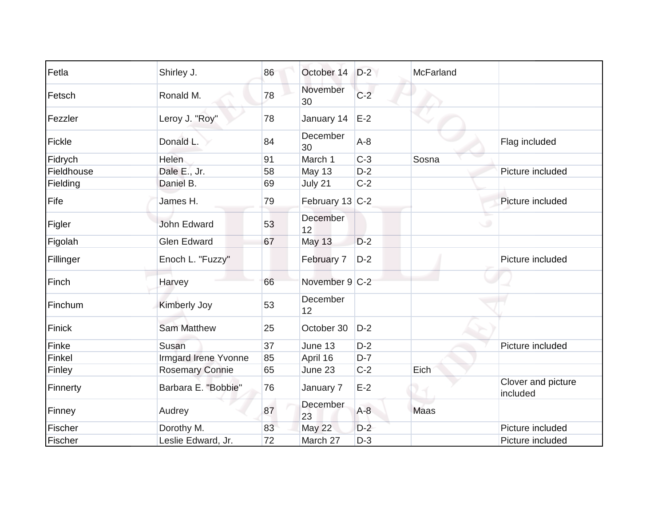| Fetla      | Shirley J.             | 86 | October 14      | $D-2$ | McFarland   |                                |
|------------|------------------------|----|-----------------|-------|-------------|--------------------------------|
| Fetsch     | Ronald M.              | 78 | November<br>30  | $C-2$ |             |                                |
| Fezzler    | Leroy J. "Roy"         | 78 | January 14      | $E-2$ |             |                                |
| Fickle     | Donald L.              | 84 | December<br>30  | $A-8$ |             | Flag included                  |
| Fidrych    | <b>Helen</b>           | 91 | March 1         | $C-3$ | Sosna       |                                |
| Fieldhouse | Dale E., Jr.           | 58 | May 13          | $D-2$ |             | Picture included               |
| Fielding   | Daniel B.              | 69 | July 21         | $C-2$ |             |                                |
| Fife       | James H.               | 79 | February 13 C-2 |       |             | Picture included               |
| Figler     | <b>John Edward</b>     | 53 | December<br>12  |       |             |                                |
| Figolah    | <b>Glen Edward</b>     | 67 | <b>May 13</b>   | $D-2$ |             |                                |
| Fillinger  | Enoch L. "Fuzzy"       |    | February 7      | $D-2$ |             | Picture included               |
| Finch      | Harvey                 | 66 | November 9 C-2  |       |             |                                |
| Finchum    | <b>Kimberly Joy</b>    | 53 | December<br>12  |       |             |                                |
| Finick     | <b>Sam Matthew</b>     | 25 | October 30      | $D-2$ |             |                                |
| Finke      | Susan                  | 37 | June 13         | $D-2$ |             | Picture included               |
| Finkel     | Irmgard Irene Yvonne   | 85 | April 16        | $D-7$ |             |                                |
| Finley     | <b>Rosemary Connie</b> | 65 | June 23         | $C-2$ | Eich        |                                |
| Finnerty   | Barbara E. "Bobbie"    | 76 | January 7       | $E-2$ |             | Clover and picture<br>included |
| Finney     | Audrey                 | 87 | December<br>23  | $A-8$ | <b>Maas</b> |                                |
| Fischer    | Dorothy M.             | 83 | May 22          | $D-2$ |             | Picture included               |
| Fischer    | Leslie Edward, Jr.     | 72 | March 27        | $D-3$ |             | Picture included               |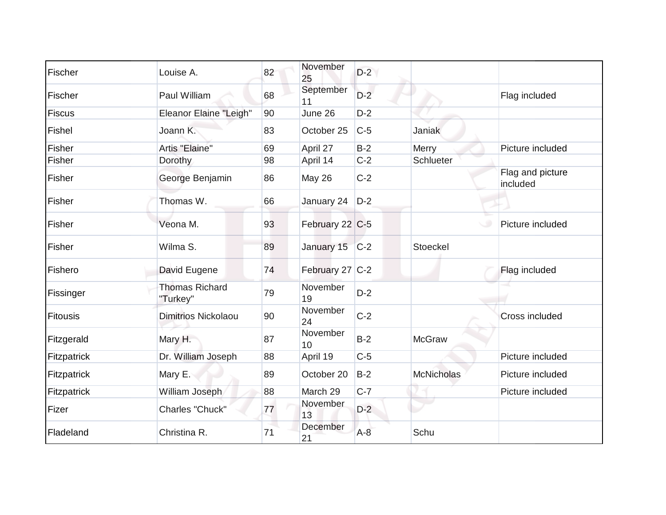| Fischer         | Louise A.                         | 82 | November<br>25  | $D-2$ |                   |                              |
|-----------------|-----------------------------------|----|-----------------|-------|-------------------|------------------------------|
| Fischer         | Paul William                      | 68 | September<br>11 | $D-2$ |                   | Flag included                |
| <b>Fiscus</b>   | <b>Eleanor Elaine "Leigh"</b>     | 90 | June 26         | $D-2$ |                   |                              |
| Fishel          | Joann K.                          | 83 | October 25      | $C-5$ | Janiak            |                              |
| Fisher          | Artis "Elaine"                    | 69 | April 27        | $B-2$ | Merry             | Picture included             |
| Fisher          | Dorothy                           | 98 | April 14        | $C-2$ | Schlueter         |                              |
| Fisher          | George Benjamin                   | 86 | May 26          | $C-2$ |                   | Flag and picture<br>included |
| Fisher          | Thomas W.                         | 66 | January 24      | $D-2$ |                   |                              |
| Fisher          | Veona M.                          | 93 | February 22 C-5 |       |                   | Picture included             |
| Fisher          | Wilma S.                          | 89 | January 15 C-2  |       | Stoeckel          |                              |
| Fishero         | David Eugene                      | 74 | February 27 C-2 |       |                   | Flag included                |
| Fissinger       | <b>Thomas Richard</b><br>"Turkey" | 79 | November<br>19  | $D-2$ |                   |                              |
| <b>Fitousis</b> | <b>Dimitrios Nickolaou</b>        | 90 | November<br>24  | $C-2$ |                   | Cross included               |
| Fitzgerald      | Mary H.                           | 87 | November<br>10  | $B-2$ | <b>McGraw</b>     |                              |
| Fitzpatrick     | Dr. William Joseph                | 88 | April 19        | $C-5$ |                   | Picture included             |
| Fitzpatrick     | Mary E.                           | 89 | October 20      | $B-2$ | <b>McNicholas</b> | Picture included             |
| Fitzpatrick     | William Joseph                    | 88 | March 29        | $C-7$ |                   | Picture included             |
| Fizer           | Charles "Chuck"                   | 77 | November<br>13  | $D-2$ |                   |                              |
| Fladeland       | Christina R.                      | 71 | December<br>21  | $A-8$ | Schu              |                              |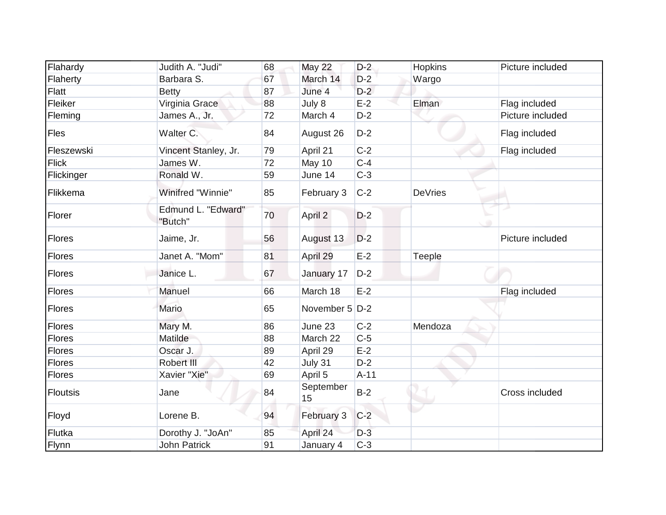| Flahardy        | Judith A. "Judi"              | 68 | <b>May 22</b>   | $D-2$  | Hopkins | Picture included |
|-----------------|-------------------------------|----|-----------------|--------|---------|------------------|
| Flaherty        | Barbara S.                    | 67 | March 14        | $D-2$  | Wargo   |                  |
| <b>Flatt</b>    | <b>Betty</b>                  | 87 | June 4          | $D-2$  |         |                  |
| Fleiker         | Virginia Grace                | 88 | July 8          | $E-2$  | Elman   | Flag included    |
| Fleming         | James A., Jr.                 | 72 | March 4         | $D-2$  |         | Picture included |
| Fles            | Walter C.                     | 84 | August 26       | $D-2$  |         | Flag included    |
| Fleszewski      | Vincent Stanley, Jr.          | 79 | April 21        | $C-2$  |         | Flag included    |
| <b>Flick</b>    | James W.                      | 72 | May 10          | $C-4$  |         |                  |
| Flickinger      | Ronald W.                     | 59 | June 14         | $C-3$  |         |                  |
| Flikkema        | Winifred "Winnie"             | 85 | February 3      | $C-2$  | DeVries |                  |
| Florer          | Edmund L. "Edward"<br>"Butch" | 70 | April 2         | $D-2$  |         |                  |
| <b>Flores</b>   | Jaime, Jr.                    | 56 | August 13       | $D-2$  |         | Picture included |
| Flores          | Janet A. "Mom"                | 81 | April 29        | $E-2$  | Teeple  |                  |
| Flores          | Janice L.                     | 67 | January 17      | $D-2$  |         |                  |
| Flores          | Manuel                        | 66 | March 18        | $E-2$  |         | Flag included    |
| Flores          | Mario                         | 65 | November 5 D-2  |        |         |                  |
| <b>Flores</b>   | Mary M.                       | 86 | June 23         | $C-2$  | Mendoza |                  |
| Flores          | Matilde                       | 88 | March 22        | $C-5$  |         |                  |
| <b>Flores</b>   | Oscar J.                      | 89 | April 29        | $E-2$  |         |                  |
| <b>Flores</b>   | Robert III                    | 42 | July 31         | $D-2$  |         |                  |
| Flores          | Xavier "Xie"                  | 69 | April 5         | $A-11$ |         |                  |
| <b>Floutsis</b> | Jane                          | 84 | September<br>15 | $B-2$  |         | Cross included   |
| Floyd           | Lorene B.                     | 94 | February 3      | $C-2$  |         |                  |
| Flutka          | Dorothy J. "JoAn"             | 85 | April 24        | $D-3$  |         |                  |
| Flynn           | <b>John Patrick</b>           | 91 | January 4       | $C-3$  |         |                  |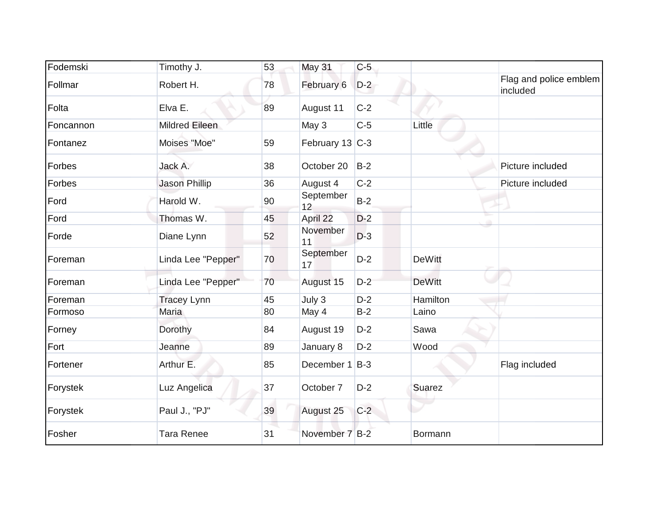| Fodemski  | Timothy J.            | 53 | <b>May 31</b>   | $C-5$ |               |                                    |
|-----------|-----------------------|----|-----------------|-------|---------------|------------------------------------|
| Follmar   | Robert H.             | 78 | February 6      | $D-2$ |               | Flag and police emblem<br>included |
| Folta     | Elva E.               | 89 | August 11       | $C-2$ |               |                                    |
| Foncannon | <b>Mildred Eileen</b> |    | May 3           | $C-5$ | Little        |                                    |
| Fontanez  | Moises "Moe"          | 59 | February 13 C-3 |       |               |                                    |
| Forbes    | Jack A.               | 38 | October 20      | $B-2$ |               | Picture included                   |
| Forbes    | Jason Phillip         | 36 | August 4        | $C-2$ |               | Picture included                   |
| Ford      | Harold W.             | 90 | September<br>12 | $B-2$ |               |                                    |
| Ford      | Thomas W.             | 45 | April 22        | $D-2$ |               |                                    |
| Forde     | Diane Lynn            | 52 | November<br>11  | $D-3$ |               |                                    |
| Foreman   | Linda Lee "Pepper"    | 70 | September<br>17 | $D-2$ | <b>DeWitt</b> |                                    |
| Foreman   | Linda Lee "Pepper"    | 70 | August 15       | $D-2$ | <b>DeWitt</b> |                                    |
| Foreman   | <b>Tracey Lynn</b>    | 45 | July 3          | $D-2$ | Hamilton      |                                    |
| Formoso   | Maria                 | 80 | May 4           | $B-2$ | Laino         |                                    |
| Forney    | Dorothy               | 84 | August 19       | $D-2$ | Sawa          |                                    |
| Fort      | Jeanne                | 89 | January 8       | $D-2$ | Wood          |                                    |
| Fortener  | Arthur E.             | 85 | December 1 B-3  |       |               | Flag included                      |
| Forystek  | Luz Angelica          | 37 | October 7       | $D-2$ | Suarez        |                                    |
| Forystek  | Paul J., "PJ"         | 39 | August 25       | $C-2$ |               |                                    |
| Fosher    | <b>Tara Renee</b>     | 31 | November 7 B-2  |       | Bormann       |                                    |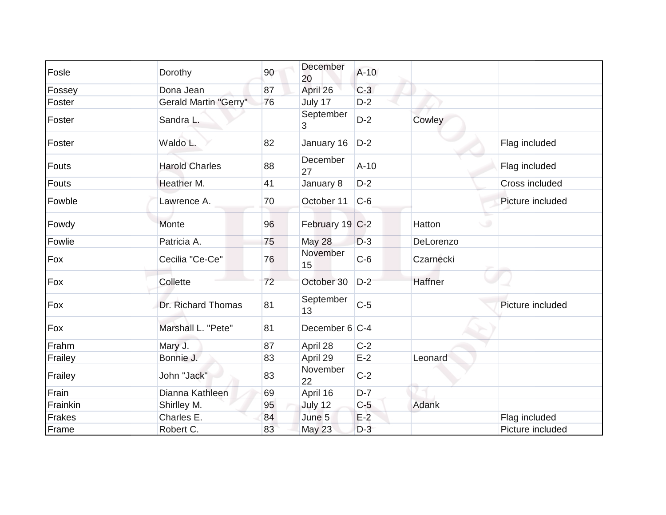| Fosle    | Dorothy                      | 90 | December<br>20  | $A-10$ |           |                  |
|----------|------------------------------|----|-----------------|--------|-----------|------------------|
| Fossey   | Dona Jean                    | 87 | April 26        | $C-3$  |           |                  |
| Foster   | <b>Gerald Martin "Gerry"</b> | 76 | July 17         | $D-2$  |           |                  |
| Foster   | Sandra L.                    |    | September<br>3  | $D-2$  | Cowley    |                  |
| Foster   | Waldo L.                     | 82 | January 16      | $D-2$  |           | Flag included    |
| Fouts    | <b>Harold Charles</b>        | 88 | December<br>27  | $A-10$ |           | Flag included    |
| Fouts    | Heather M.                   | 41 | January 8       | $D-2$  |           | Cross included   |
| Fowble   | Lawrence A.                  | 70 | October 11      | $C-6$  |           | Picture included |
| Fowdy    | Monte                        | 96 | February 19 C-2 |        | Hatton    |                  |
| Fowlie   | Patricia A.                  | 75 | May 28          | $D-3$  | DeLorenzo |                  |
| Fox      | Cecilia "Ce-Ce"              | 76 | November<br>15  | $C-6$  | Czarnecki |                  |
| Fox      | Collette                     | 72 | October 30      | $D-2$  | Haffner   |                  |
| Fox      | Dr. Richard Thomas           | 81 | September<br>13 | $C-5$  |           | Picture included |
| Fox      | Marshall L. "Pete"           | 81 | December 6 C-4  |        |           |                  |
| Frahm    | Mary J.                      | 87 | April 28        | $C-2$  |           |                  |
| Frailey  | Bonnie J.                    | 83 | April 29        | $E-2$  | Leonard   |                  |
| Frailey  | John "Jack"                  | 83 | November<br>22  | $C-2$  |           |                  |
| Frain    | Dianna Kathleen              | 69 | April 16        | $D-7$  |           |                  |
| Frainkin | Shirlley M.                  | 95 | July 12         | $C-5$  | Adank     |                  |
| Frakes   | Charles E.                   | 84 | June 5          | $E-2$  |           | Flag included    |
| Frame    | Robert C.                    | 83 | May 23          | $D-3$  |           | Picture included |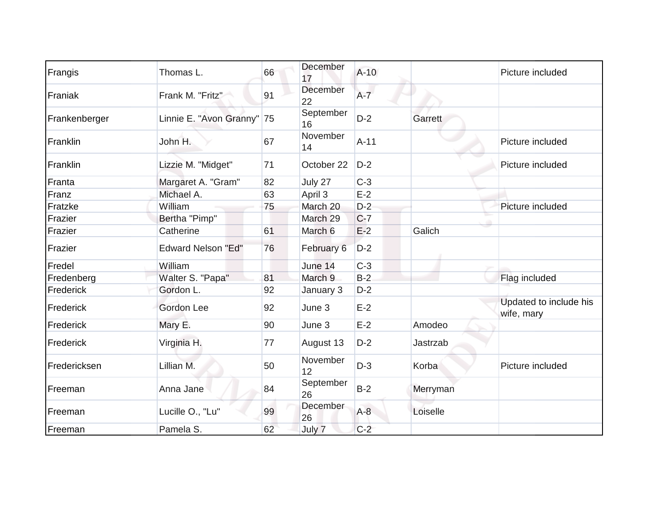| Frangis       | Thomas L.                  | 66 | December<br>17  | $A-10$  |          | Picture included                     |
|---------------|----------------------------|----|-----------------|---------|----------|--------------------------------------|
| Franiak       | Frank M. "Fritz"           | 91 | December<br>22  | $A - 7$ |          |                                      |
| Frankenberger | Linnie E. "Avon Granny" 75 |    | September<br>16 | $D-2$   | Garrett  |                                      |
| Franklin      | John H.                    | 67 | November<br>14  | $A-11$  |          | Picture included                     |
| Franklin      | Lizzie M. "Midget"         | 71 | October 22      | $D-2$   |          | Picture included                     |
| Franta        | Margaret A. "Gram"         | 82 | July 27         | $C-3$   |          |                                      |
| Franz         | Michael A.                 | 63 | April 3         | $E-2$   |          |                                      |
| Fratzke       | William                    | 75 | March 20        | $D-2$   |          | Picture included                     |
| Frazier       | Bertha "Pimp"              |    | March 29        | $C-7$   |          |                                      |
| Frazier       | Catherine                  | 61 | March 6         | $E-2$   | Galich   |                                      |
| Frazier       | <b>Edward Nelson "Ed"</b>  | 76 | February 6      | $D-2$   |          |                                      |
| Fredel        | William                    |    | June 14         | $C-3$   |          |                                      |
| Fredenberg    | Walter S. "Papa"           | 81 | March 9         | $B-2$   |          | Flag included                        |
| Frederick     | Gordon L.                  | 92 | January 3       | $D-2$   |          |                                      |
| Frederick     | Gordon Lee                 | 92 | June 3          | $E-2$   |          | Updated to include his<br>wife, mary |
| Frederick     | Mary E.                    | 90 | June 3          | $E-2$   | Amodeo   |                                      |
| Frederick     | Virginia H.                | 77 | August 13       | $D-2$   | Jastrzab |                                      |
| Fredericksen  | Lillian M.                 | 50 | November<br>12  | $D-3$   | Korba    | Picture included                     |
| Freeman       | Anna Jane                  | 84 | September<br>26 | $B-2$   | Merryman |                                      |
| Freeman       | Lucille O., "Lu"           | 99 | December<br>26  | $A-8$   | Loiselle |                                      |
| Freeman       | Pamela S.                  | 62 | July 7          | $C-2$   |          |                                      |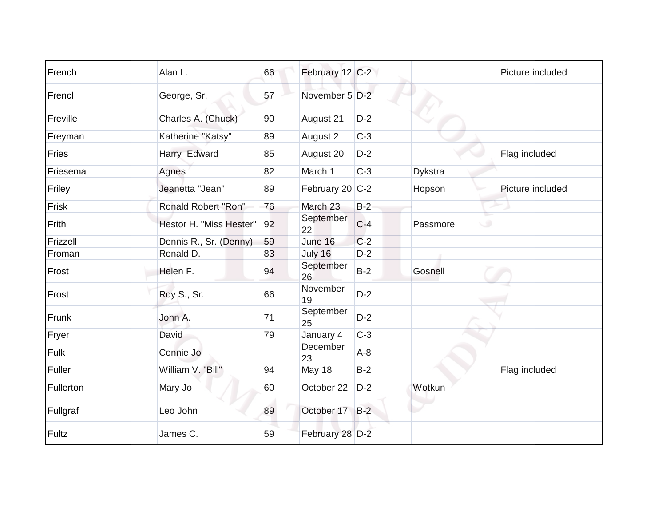| French    | Alan L.                    | 66 | February 12 C-2 |       |                | Picture included |
|-----------|----------------------------|----|-----------------|-------|----------------|------------------|
| Frencl    | George, Sr.                | 57 | November 5 D-2  |       |                |                  |
| Freville  | Charles A. (Chuck)         | 90 | August 21       | $D-2$ |                |                  |
| Freyman   | Katherine "Katsy"          | 89 | August 2        | $C-3$ |                |                  |
| Fries     | Harry Edward               | 85 | August 20       | $D-2$ |                | Flag included    |
| Friesema  | Agnes                      | 82 | March 1         | $C-3$ | <b>Dykstra</b> |                  |
| Friley    | Jeanetta "Jean"            | 89 | February 20 C-2 |       | Hopson         | Picture included |
| Frisk     | <b>Ronald Robert "Ron"</b> | 76 | March 23        | $B-2$ |                |                  |
| Frith     | Hestor H. "Miss Hester"    | 92 | September<br>22 | $C-4$ | Passmore<br>ن  |                  |
| Frizzell  | Dennis R., Sr. (Denny)     | 59 | June 16         | $C-2$ |                |                  |
| Froman    | Ronald D.                  | 83 | July 16         | $D-2$ |                |                  |
| Frost     | Helen F.                   | 94 | September<br>26 | $B-2$ | Gosnell        |                  |
| Frost     | Roy S., Sr.                | 66 | November<br>19  | $D-2$ |                |                  |
| Frunk     | John A.                    | 71 | September<br>25 | $D-2$ |                |                  |
| Fryer     | David                      | 79 | January 4       | $C-3$ |                |                  |
| Fulk      | Connie Jo                  |    | December<br>23  | $A-8$ |                |                  |
| Fuller    | William V. "Bill"          | 94 | May 18          | $B-2$ |                | Flag included    |
| Fullerton | Mary Jo                    | 60 | October 22      | $D-2$ | Wotkun         |                  |
| Fullgraf  | Leo John                   | 89 | October 17      | $B-2$ |                |                  |
| Fultz     | James C.                   | 59 | February 28 D-2 |       |                |                  |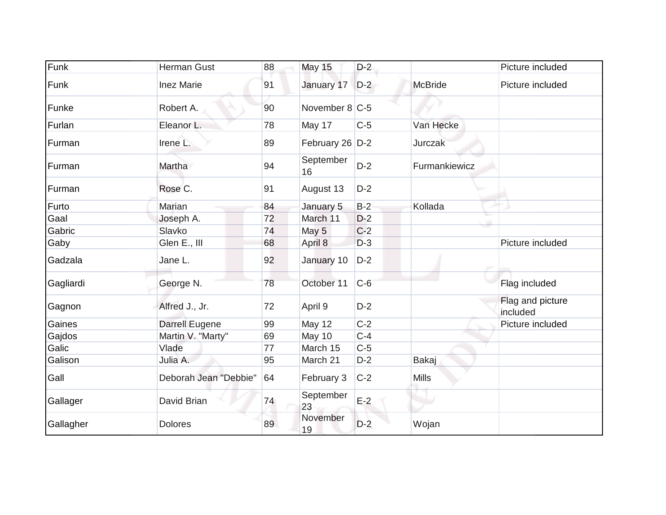| Funk      | <b>Herman Gust</b>    | 88 | <b>May 15</b>    | $D-2$ |                | Picture included             |
|-----------|-----------------------|----|------------------|-------|----------------|------------------------------|
| Funk      | <b>Inez Marie</b>     | 91 | January 17       | $D-2$ | <b>McBride</b> | Picture included             |
| Funke     | Robert A.             | 90 | November $8 C-5$ |       |                |                              |
| Furlan    | Eleanor L.            | 78 | May 17           | $C-5$ | Van Hecke      |                              |
| Furman    | Irene L.              | 89 | February 26 D-2  |       | Jurczak        |                              |
| Furman    | Martha                | 94 | September<br>16  | $D-2$ | Furmankiewicz  |                              |
| Furman    | Rose C.               | 91 | August 13        | $D-2$ |                |                              |
| Furto     | Marian                | 84 | January 5        | $B-2$ | Kollada        |                              |
| Gaal      | Joseph A.             | 72 | March 11         | $D-2$ |                |                              |
| Gabric    | Slavko                | 74 | May 5            | $C-2$ |                |                              |
| Gaby      | Glen E., III          | 68 | April 8          | $D-3$ |                | Picture included             |
| Gadzala   | Jane L.               | 92 | January 10       | $D-2$ |                |                              |
| Gagliardi | George N.             | 78 | October 11       | $C-6$ |                | Flag included                |
| Gagnon    | Alfred J., Jr.        | 72 | April 9          | $D-2$ |                | Flag and picture<br>included |
| Gaines    | Darrell Eugene        | 99 | May 12           | $C-2$ |                | Picture included             |
| Gajdos    | Martin V. "Marty"     | 69 | May 10           | $C-4$ |                |                              |
| Galic     | Vlade                 | 77 | March 15         | $C-5$ |                |                              |
| Galison   | Julia A.              | 95 | March 21         | $D-2$ | Bakaj          |                              |
| Gall      | Deborah Jean "Debbie" | 64 | February 3       | $C-2$ | <b>Mills</b>   |                              |
| Gallager  | David Brian           | 74 | September<br>23  | $E-2$ | ٠              |                              |
| Gallagher | <b>Dolores</b>        | 89 | November<br>19   | $D-2$ | Wojan          |                              |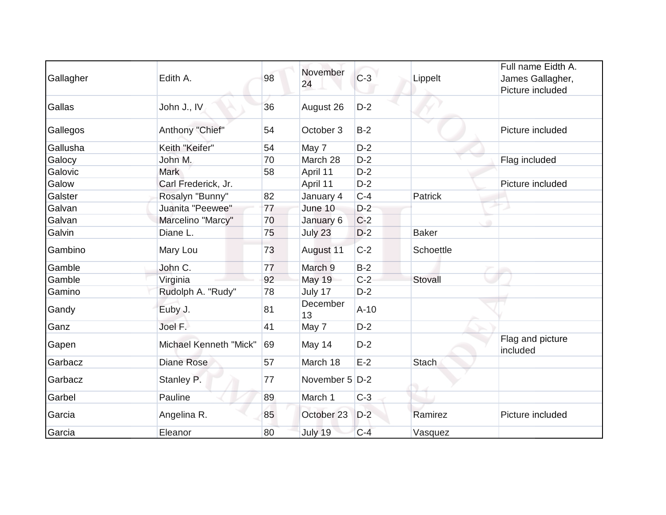|           |                        |    | November         |        |                  | Full name Eidth A.           |
|-----------|------------------------|----|------------------|--------|------------------|------------------------------|
| Gallagher | Edith A.               | 98 | 24               | $C-3$  | Lippelt          | James Gallagher,             |
|           |                        |    |                  |        |                  | Picture included             |
| Gallas    | John J., IV            | 36 | August 26        | $D-2$  |                  |                              |
| Gallegos  | Anthony "Chief"        | 54 | October 3        | $B-2$  |                  | Picture included             |
| Gallusha  | Keith "Keifer"         | 54 | May 7            | $D-2$  |                  |                              |
| Galocy    | John M.                | 70 | March 28         | $D-2$  |                  | Flag included                |
| Galovic   | <b>Mark</b>            | 58 | April 11         | $D-2$  |                  |                              |
| Galow     | Carl Frederick, Jr.    |    | April 11         | $D-2$  |                  | Picture included             |
| Galster   | Rosalyn "Bunny"        | 82 | January 4        | $C-4$  | Patrick          |                              |
| Galvan    | Juanita "Peewee"       | 77 | June 10          | $D-2$  |                  |                              |
| Galvan    | Marcelino "Marcy"      | 70 | January 6        | $C-2$  |                  |                              |
| Galvin    | Diane L.               | 75 | July 23          | $D-2$  | <b>Baker</b>     |                              |
| Gambino   | Mary Lou               | 73 | August 11        | $C-2$  | <b>Schoettle</b> |                              |
| Gamble    | John C.                | 77 | March 9          | $B-2$  |                  | 40                           |
| Gamble    | Virginia               | 92 | <b>May 19</b>    | $C-2$  | Stovall          |                              |
| Gamino    | Rudolph A. "Rudy"      | 78 | July 17          | $D-2$  |                  |                              |
| Gandy     | Euby J.                | 81 | December<br>13   | $A-10$ |                  |                              |
| Ganz      | Joel F.                | 41 | May 7            | $D-2$  |                  |                              |
| Gapen     | Michael Kenneth "Mick" | 69 | May 14           | $D-2$  |                  | Flag and picture<br>included |
| Garbacz   | <b>Diane Rose</b>      | 57 | March 18         | $E-2$  | <b>Stach</b>     |                              |
| Garbacz   | Stanley P.             | 77 | November 5   D-2 |        |                  |                              |
| Garbel    | Pauline                | 89 | March 1          | $C-3$  |                  |                              |
| Garcia    | Angelina R.            | 85 | October 23       | $D-2$  | Ramirez          | Picture included             |
| Garcia    | Eleanor                | 80 | July 19          | $C-4$  | Vasquez          |                              |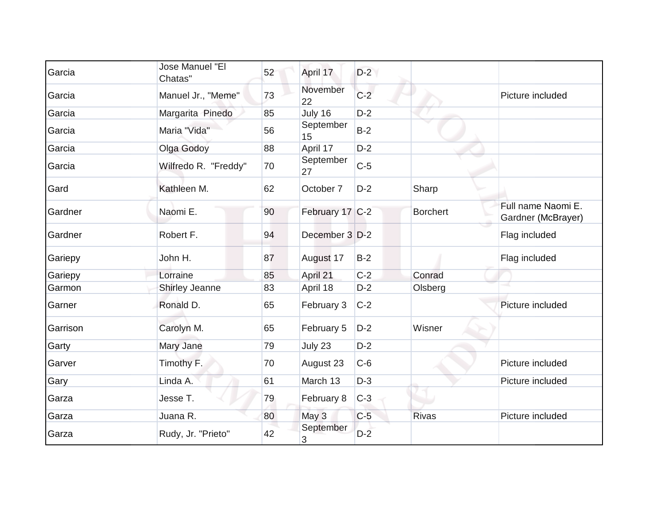| Garcia   | Jose Manuel "El<br>Chatas" | 52 | April 17        | $D-2$ |                 |                                          |
|----------|----------------------------|----|-----------------|-------|-----------------|------------------------------------------|
| Garcia   | Manuel Jr., "Meme"         | 73 | November<br>22  | $C-2$ |                 | Picture included                         |
| Garcia   | Margarita Pinedo           | 85 | July 16         | $D-2$ |                 |                                          |
| Garcia   | Maria "Vida"               | 56 | September<br>15 | $B-2$ |                 |                                          |
| Garcia   | Olga Godoy                 | 88 | April 17        | $D-2$ |                 |                                          |
| Garcia   | Wilfredo R. "Freddy"       | 70 | September<br>27 | $C-5$ |                 |                                          |
| Gard     | Kathleen M.                | 62 | October 7       | $D-2$ | Sharp           |                                          |
| Gardner  | Naomi E.                   | 90 | February 17 C-2 |       | <b>Borchert</b> | Full name Naomi E.<br>Gardner (McBrayer) |
| Gardner  | Robert F.                  | 94 | December 3 D-2  |       |                 | Flag included                            |
| Gariepy  | John H.                    | 87 | August 17       | $B-2$ |                 | Flag included                            |
| Gariepy  | Lorraine                   | 85 | April 21        | $C-2$ | Conrad          |                                          |
| Garmon   | Shirley Jeanne             | 83 | April 18        | $D-2$ | Olsberg         |                                          |
| Garner   | Ronald D.                  | 65 | February 3      | $C-2$ |                 | Picture included                         |
| Garrison | Carolyn M.                 | 65 | February 5      | $D-2$ | Wisner          |                                          |
| Garty    | Mary Jane                  | 79 | July 23         | $D-2$ |                 |                                          |
| Garver   | Timothy F.                 | 70 | August 23       | $C-6$ |                 | Picture included                         |
| Gary     | Linda A.                   | 61 | March 13        | $D-3$ |                 | Picture included                         |
| Garza    | Jesse T.                   | 79 | February 8      | $C-3$ |                 |                                          |
| Garza    | Juana R.                   | 80 | May 3           | $C-5$ | <b>Rivas</b>    | Picture included                         |
| Garza    | Rudy, Jr. "Prieto"         | 42 | September<br>3  | $D-2$ |                 |                                          |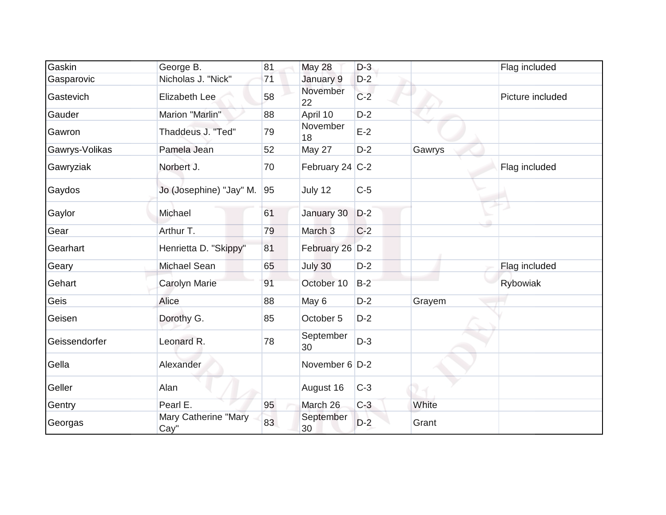| Gaskin         | George B.                    | 81 | <b>May 28</b>      | $D-3$ |        | Flag included    |
|----------------|------------------------------|----|--------------------|-------|--------|------------------|
| Gasparovic     | Nicholas J. "Nick"           | 71 | January 9          | $D-2$ |        |                  |
| Gastevich      | Elizabeth Lee                | 58 | November<br>22     | $C-2$ |        | Picture included |
| Gauder         | Marion "Marlin"              | 88 | April 10           | $D-2$ |        |                  |
| Gawron         | Thaddeus J. "Ted"            | 79 | November<br>18     | $E-2$ |        |                  |
| Gawrys-Volikas | Pamela Jean                  | 52 | May 27             | $D-2$ | Gawrys |                  |
| Gawryziak      | Norbert J.                   | 70 | February 24 C-2    |       |        | Flag included    |
| Gaydos         | Jo (Josephine) "Jay" M.      | 95 | July 12            | $C-5$ |        |                  |
| Gaylor         | Michael                      | 61 | January 30         | $D-2$ |        |                  |
| Gear           | Arthur T.                    | 79 | March <sub>3</sub> | $C-2$ |        |                  |
| Gearhart       | Henrietta D. "Skippy"        | 81 | February 26 D-2    |       |        |                  |
| Geary          | Michael Sean                 | 65 | July 30            | $D-2$ |        | Flag included    |
| Gehart         | Carolyn Marie                | 91 | October 10         | $B-2$ |        | Rybowiak         |
| Geis           | Alice                        | 88 | May 6              | $D-2$ | Grayem |                  |
| Geisen         | Dorothy G.                   | 85 | October 5          | $D-2$ |        |                  |
| Geissendorfer  | Leonard R.                   | 78 | September<br>30    | $D-3$ |        |                  |
| Gella          | Alexander                    |    | November $6$ D-2   |       |        |                  |
| Geller         | Alan                         |    | August 16          | $C-3$ |        |                  |
| Gentry         | Pearl E.                     | 95 | March 26           | $C-3$ | White  |                  |
| Georgas        | Mary Catherine "Mary<br>Cay" | 83 | September<br>30    | $D-2$ | Grant  |                  |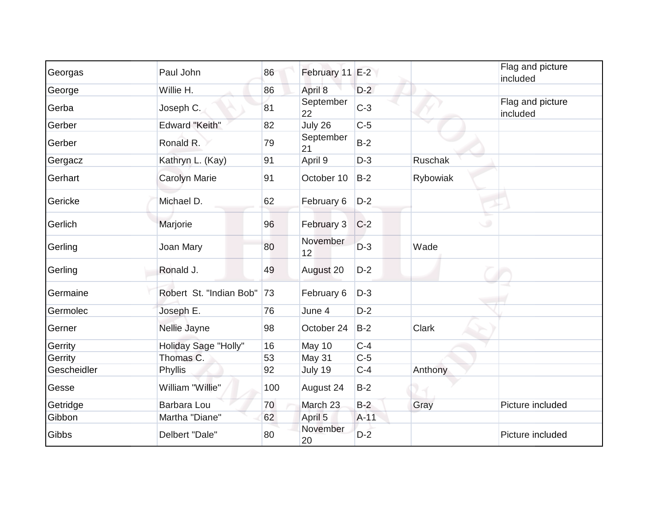| Georgas     | Paul John               | 86  | February 11 E-2 |        |              | Flag and picture<br>included |
|-------------|-------------------------|-----|-----------------|--------|--------------|------------------------------|
| George      | Willie H.               | 86  | April 8         | $D-2$  |              |                              |
| Gerba       | Joseph C.               | 81  | September<br>22 | $C-3$  |              | Flag and picture<br>included |
| Gerber      | <b>Edward "Keith"</b>   | 82  | July 26         | $C-5$  |              |                              |
| Gerber      | Ronald R.               | 79  | September<br>21 | $B-2$  |              |                              |
| Gergacz     | Kathryn L. (Kay)        | 91  | April 9         | $D-3$  | Ruschak      |                              |
| Gerhart     | <b>Carolyn Marie</b>    | 91  | October 10      | $B-2$  | Rybowiak     |                              |
| Gericke     | Michael D.              | 62  | February 6      | $D-2$  |              |                              |
| Gerlich     | Marjorie                | 96  | February 3      | $C-2$  |              |                              |
| Gerling     | Joan Mary               | 80  | November<br>12  | $D-3$  | Wade         |                              |
| Gerling     | Ronald J.               | 49  | August 20       | $D-2$  |              |                              |
| Germaine    | Robert St. "Indian Bob" | 73  | February 6      | $D-3$  |              |                              |
| Germolec    | Joseph E.               | 76  | June 4          | $D-2$  |              |                              |
| Gerner      | Nellie Jayne            | 98  | October 24      | $B-2$  | <b>Clark</b> |                              |
| Gerrity     | Holiday Sage "Holly"    | 16  | May 10          | $C-4$  |              |                              |
| Gerrity     | Thomas C.               | 53  | May 31          | $C-5$  |              |                              |
| Gescheidler | Phyllis                 | 92  | July 19         | $C-4$  | Anthony      |                              |
| Gesse       | William "Willie"        | 100 | August 24       | $B-2$  |              |                              |
| Getridge    | Barbara Lou             | 70  | March 23        | $B-2$  | Gray         | Picture included             |
| Gibbon      | Martha "Diane"          | 62  | April 5         | $A-11$ |              |                              |
| Gibbs       | Delbert "Dale"          | 80  | November<br>20  | $D-2$  |              | Picture included             |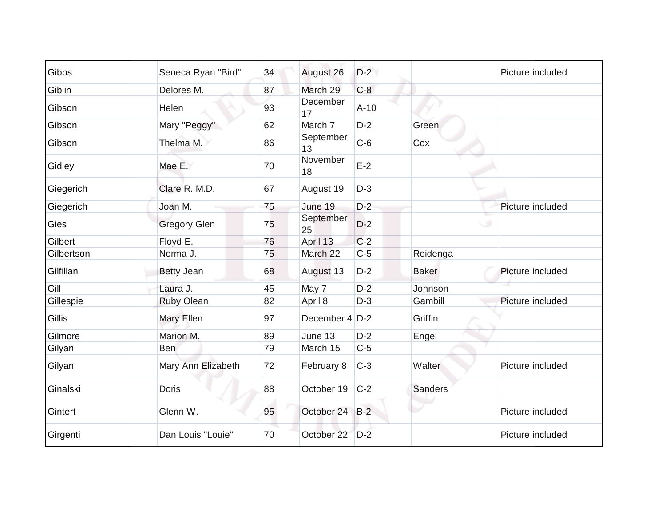| Gibbs         | Seneca Ryan "Bird"  | 34 | August 26        | $D-2$  |                | Picture included |
|---------------|---------------------|----|------------------|--------|----------------|------------------|
| Giblin        | Delores M.          | 87 | March 29         | $C-8$  |                |                  |
| Gibson        | Helen               | 93 | December<br>17   | $A-10$ |                |                  |
| Gibson        | Mary "Peggy"        | 62 | March 7          | $D-2$  | Green          |                  |
| Gibson        | Thelma M.           | 86 | September<br>13  | $C-6$  | Cox            |                  |
| Gidley        | Mae E.              | 70 | November<br>18   | $E-2$  |                |                  |
| Giegerich     | Clare R. M.D.       | 67 | August 19        | $D-3$  |                |                  |
| Giegerich     | Joan M.             | 75 | June 19          | $D-2$  |                | Picture included |
| <b>Gies</b>   | <b>Gregory Glen</b> | 75 | September<br>25  | $D-2$  | $\cup$         |                  |
| Gilbert       | Floyd E.            | 76 | April 13         | $C-2$  |                |                  |
| Gilbertson    | Norma J.            | 75 | March 22         | $C-5$  | Reidenga       |                  |
| Gilfillan     | <b>Betty Jean</b>   | 68 | August 13        | $D-2$  | <b>Baker</b>   | Picture included |
| Gill          | Laura J.            | 45 | May 7            | $D-2$  | Johnson        |                  |
| Gillespie     | <b>Ruby Olean</b>   | 82 | April 8          | $D-3$  | Gambill        | Picture included |
| <b>Gillis</b> | Mary Ellen          | 97 | December $4$ D-2 |        | Griffin        |                  |
| Gilmore       | Marion M.           | 89 | June 13          | $D-2$  | Engel          |                  |
| Gilyan        | <b>Ben</b>          | 79 | March 15         | $C-5$  |                |                  |
| Gilyan        | Mary Ann Elizabeth  | 72 | February 8       | $C-3$  | Walter         | Picture included |
| Ginalski      | <b>Doris</b>        | 88 | October 19       | $C-2$  | <b>Sanders</b> |                  |
| Gintert       | Glenn W.            | 95 | October 24 B-2   |        |                | Picture included |
| Girgenti      | Dan Louis "Louie"   | 70 | October 22 D-2   |        |                | Picture included |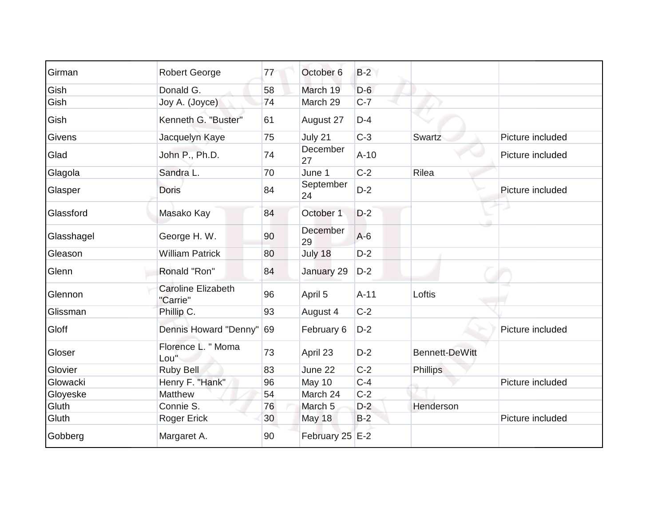| Girman     | <b>Robert George</b>                  | 77 | October 6       | $B-2$  |                       |                  |
|------------|---------------------------------------|----|-----------------|--------|-----------------------|------------------|
| Gish       | Donald G.                             | 58 | March 19        | $D-6$  |                       |                  |
| Gish       | Joy A. (Joyce)                        | 74 | March 29        | $C-7$  |                       |                  |
| Gish       | Kenneth G. "Buster"                   | 61 | August 27       | $D-4$  |                       |                  |
| Givens     | Jacquelyn Kaye                        | 75 | July 21         | $C-3$  | Swartz                | Picture included |
| Glad       | John P., Ph.D.                        | 74 | December<br>27  | $A-10$ |                       | Picture included |
| Glagola    | Sandra L.                             | 70 | June 1          | $C-2$  | Rilea                 |                  |
| Glasper    | <b>Doris</b>                          | 84 | September<br>24 | $D-2$  |                       | Picture included |
| Glassford  | Masako Kay                            | 84 | October 1       | $D-2$  |                       |                  |
| Glasshagel | George H. W.                          | 90 | December<br>29  | $A-6$  |                       |                  |
| Gleason    | <b>William Patrick</b>                | 80 | July 18         | $D-2$  |                       |                  |
| Glenn      | Ronald "Ron"                          | 84 | January 29      | $D-2$  |                       |                  |
| Glennon    | <b>Caroline Elizabeth</b><br>"Carrie" | 96 | April 5         | $A-11$ | Loftis                |                  |
| Glissman   | Phillip C.                            | 93 | August 4        | $C-2$  |                       |                  |
| Gloff      | Dennis Howard "Denny" 69              |    | February 6      | $D-2$  |                       | Picture included |
| Gloser     | Florence L. " Moma<br>Lou"            | 73 | April 23        | $D-2$  | <b>Bennett-DeWitt</b> |                  |
| Glovier    | Ruby Bell                             | 83 | June 22         | $C-2$  | <b>Phillips</b>       |                  |
| Glowacki   | Henry F. "Hank"                       | 96 | May 10          | $C-4$  |                       | Picture included |
| Gloyeske   | Matthew                               | 54 | March 24        | $C-2$  |                       |                  |
| Gluth      | Connie S.                             | 76 | March 5         | $D-2$  | Henderson             |                  |
| Gluth      | <b>Roger Erick</b>                    | 30 | <b>May 18</b>   | $B-2$  |                       | Picture included |
| Gobberg    | Margaret A.                           | 90 | February 25 E-2 |        |                       |                  |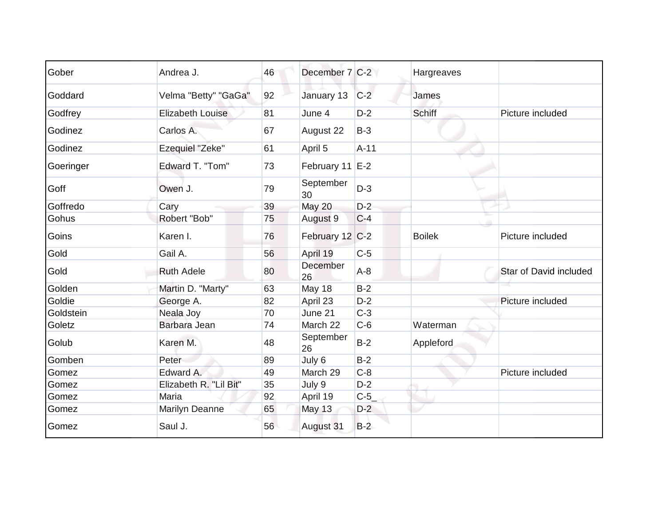| Gober     | Andrea J.               | 46 | December 7 C-2      |        | Hargreaves    |                        |
|-----------|-------------------------|----|---------------------|--------|---------------|------------------------|
| Goddard   | Velma "Betty" "GaGa"    | 92 | January 13          | $C-2$  | James         |                        |
| Godfrey   | <b>Elizabeth Louise</b> | 81 | June 4              | $D-2$  | <b>Schiff</b> | Picture included       |
| Godinez   | Carlos A.               | 67 | August 22           | $B-3$  |               |                        |
| Godinez   | Ezequiel "Zeke"         | 61 | April 5             | $A-11$ |               |                        |
| Goeringer | Edward T. "Tom"         | 73 | February 11 E-2     |        |               |                        |
| Goff      | Owen J.                 | 79 | September<br>30     | $D-3$  |               |                        |
| Goffredo  | Cary                    | 39 | May 20              | $D-2$  |               |                        |
| Gohus     | Robert "Bob"            | 75 | August <sub>9</sub> | $C-4$  |               |                        |
| Goins     | Karen I.                | 76 | February 12 C-2     |        | <b>Boilek</b> | Picture included       |
| Gold      | Gail A.                 | 56 | April 19            | $C-5$  |               |                        |
| Gold      | <b>Ruth Adele</b>       | 80 | December<br>26      | $A-8$  |               | Star of David included |
| Golden    | Martin D. "Marty"       | 63 | May 18              | $B-2$  |               |                        |
| Goldie    | George A.               | 82 | April 23            | $D-2$  |               | Picture included       |
| Goldstein | Neala Joy               | 70 | June 21             | $C-3$  |               |                        |
| Goletz    | Barbara Jean            | 74 | March 22            | $C-6$  | Waterman      |                        |
| Golub     | Karen M.                | 48 | September<br>26     | $B-2$  | Appleford     |                        |
| Gomben    | Peter                   | 89 | July 6              | $B-2$  |               |                        |
| Gomez     | Edward A.               | 49 | March 29            | $C-8$  |               | Picture included       |
| Gomez     | Elizabeth R. "Lil Bit"  | 35 | July 9              | $D-2$  |               |                        |
| Gomez     | Maria                   | 92 | April 19            | $C-5$  |               |                        |
| Gomez     | Marilyn Deanne          | 65 | <b>May 13</b>       | $D-2$  |               |                        |
| Gomez     | Saul J.                 | 56 | August 31           | $B-2$  |               |                        |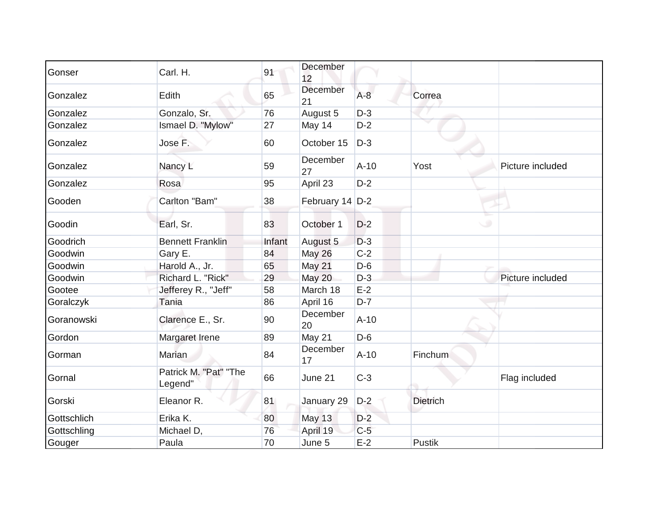| Gonser      | Carl. H.                         | 91     | December<br>12      |        |                 |                  |
|-------------|----------------------------------|--------|---------------------|--------|-----------------|------------------|
| Gonzalez    | Edith                            | 65     | December<br>21      | $A-8$  | Correa          |                  |
| Gonzalez    | Gonzalo, Sr.                     | 76     | August 5            | $D-3$  |                 |                  |
| Gonzalez    | Ismael D. "Mylow"                | 27     | May 14              | $D-2$  |                 |                  |
| Gonzalez    | Jose F.                          | 60     | October 15          | $D-3$  |                 |                  |
| Gonzalez    | Nancy L                          | 59     | December<br>27      | $A-10$ | Yost            | Picture included |
| Gonzalez    | Rosa                             | 95     | April 23            | $D-2$  |                 |                  |
| Gooden      | Carlton "Bam"                    | 38     | February 14 D-2     |        |                 |                  |
| Goodin      | Earl, Sr.                        | 83     | October 1           | $D-2$  |                 |                  |
| Goodrich    | <b>Bennett Franklin</b>          | Infant | August <sub>5</sub> | $D-3$  |                 |                  |
| Goodwin     | Gary E.                          | 84     | <b>May 26</b>       | $C-2$  |                 |                  |
| Goodwin     | Harold A., Jr.                   | 65     | May 21              | $D-6$  |                 |                  |
| Goodwin     | Richard L. "Rick"                | 29     | <b>May 20</b>       | $D-3$  |                 | Picture included |
| Gootee      | Jefferey R., "Jeff"              | 58     | March 18            | $E-2$  |                 |                  |
| Goralczyk   | Tania                            | 86     | April 16            | $D-7$  |                 |                  |
| Goranowski  | Clarence E., Sr.                 | 90     | December<br>20      | $A-10$ |                 |                  |
| Gordon      | Margaret Irene                   | 89     | May 21              | $D-6$  |                 |                  |
| Gorman      | Marian                           | 84     | December<br>17      | $A-10$ | <b>Finchum</b>  |                  |
| Gornal      | Patrick M. "Pat" "The<br>Legend" | 66     | June 21             | $C-3$  |                 | Flag included    |
| Gorski      | Eleanor R.                       | 81     | January 29          | $D-2$  | <b>Dietrich</b> |                  |
| Gottschlich | Erika K.                         | 80     | <b>May 13</b>       | $D-2$  |                 |                  |
| Gottschling | Michael D,                       | 76     | April 19            | $C-5$  |                 |                  |
| Gouger      | Paula                            | 70     | June 5              | $E-2$  | <b>Pustik</b>   |                  |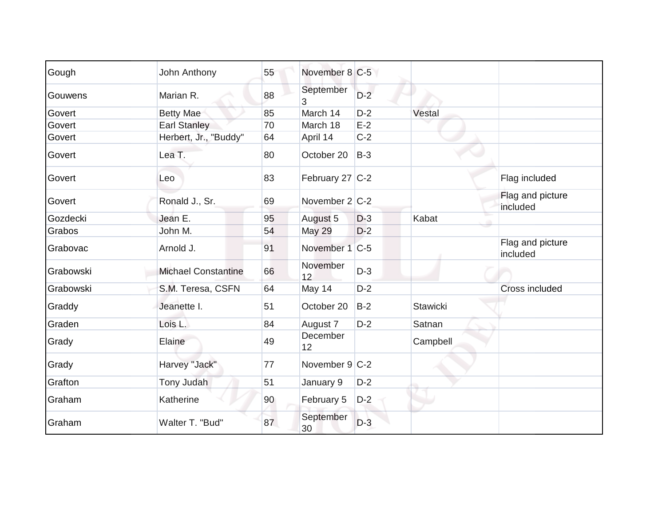| Gough     | John Anthony               | 55 | November 8 C-5    |       |                 |                              |
|-----------|----------------------------|----|-------------------|-------|-----------------|------------------------------|
| Gouwens   | Marian R.                  | 88 | September<br>3    | $D-2$ |                 |                              |
| Govert    | Betty Mae                  | 85 | March 14          | $D-2$ | Vestal          |                              |
| Govert    | <b>Earl Stanley</b>        | 70 | March 18          | $E-2$ |                 |                              |
| Govert    | Herbert, Jr., "Buddy"      | 64 | April 14          | $C-2$ |                 |                              |
| Govert    | Lea T.                     | 80 | October 20        | $B-3$ |                 |                              |
| Govert    | Leo                        | 83 | February 27 C-2   |       |                 | Flag included                |
| Govert    | Ronald J., Sr.             | 69 | November $2 C-2 $ |       |                 | Flag and picture<br>included |
| Gozdecki  | Jean E.                    | 95 | August 5          | $D-3$ | Kabat           |                              |
| Grabos    | John M.                    | 54 | <b>May 29</b>     | $D-2$ |                 |                              |
| Grabovac  | Arnold J.                  | 91 | November 1 C-5    |       |                 | Flag and picture<br>included |
| Grabowski | <b>Michael Constantine</b> | 66 | November<br>12    | $D-3$ |                 |                              |
| Grabowski | S.M. Teresa, CSFN          | 64 | May 14            | $D-2$ |                 | Cross included               |
| Graddy    | Jeanette I.                | 51 | October 20        | $B-2$ | <b>Stawicki</b> |                              |
| Graden    | Lois L.                    | 84 | August 7          | $D-2$ | Satnan          |                              |
| Grady     | Elaine                     | 49 | December<br>12    |       | Campbell        |                              |
| Grady     | Harvey "Jack"              | 77 | November 9 C-2    |       |                 |                              |
| Grafton   | Tony Judah                 | 51 | January 9         | $D-2$ |                 |                              |
| Graham    | Katherine                  | 90 | February 5        | $D-2$ |                 |                              |
| Graham    | Walter T. "Bud"            | 87 | September<br>30   | $D-3$ |                 |                              |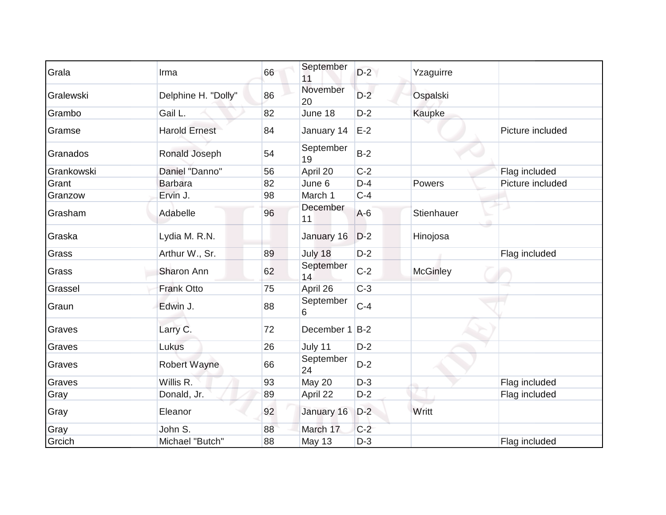| Grala      | Irma                 | 66 | September<br>11       | $D-2$ | Yzaguirre       |                  |
|------------|----------------------|----|-----------------------|-------|-----------------|------------------|
| Gralewski  | Delphine H. "Dolly"  | 86 | November<br>20        | $D-2$ | Ospalski        |                  |
| Grambo     | Gail L.              | 82 | June 18               | $D-2$ | Kaupke          |                  |
| Gramse     | <b>Harold Ernest</b> | 84 | January 14            | $E-2$ |                 | Picture included |
| Granados   | Ronald Joseph        | 54 | September<br>19       | $B-2$ |                 |                  |
| Grankowski | Daniel "Danno"       | 56 | April 20              | $C-2$ |                 | Flag included    |
| Grant      | Barbara              | 82 | June 6                | $D-4$ | Powers          | Picture included |
| Granzow    | Ervin J.             | 98 | March 1               | $C-4$ |                 |                  |
| Grasham    | Adabelle             | 96 | <b>December</b><br>11 | $A-6$ | Stienhauer      |                  |
| Graska     | Lydia M. R.N.        |    | January 16            | $D-2$ | Hinojosa        |                  |
| Grass      | Arthur W., Sr.       | 89 | July 18               | $D-2$ |                 | Flag included    |
| Grass      | Sharon Ann           | 62 | September<br>14       | $C-2$ | <b>McGinley</b> |                  |
| Grassel    | <b>Frank Otto</b>    | 75 | April 26              | $C-3$ |                 |                  |
| Graun      | Edwin J.             | 88 | September<br>6        | $C-4$ |                 |                  |
| Graves     | Larry C.             | 72 | December 1 B-2        |       |                 |                  |
| Graves     | Lukus                | 26 | July 11               | $D-2$ |                 |                  |
| Graves     | <b>Robert Wayne</b>  | 66 | September<br>24       | $D-2$ |                 |                  |
| Graves     | Willis R.            | 93 | May 20                | $D-3$ |                 | Flag included    |
| Gray       | Donald, Jr.          | 89 | April 22              | $D-2$ |                 | Flag included    |
| Gray       | Eleanor              | 92 | January 16            | $D-2$ | Writt           |                  |
| Gray       | John S.              | 88 | March 17              | $C-2$ |                 |                  |
| Grcich     | Michael "Butch"      | 88 | May 13                | $D-3$ |                 | Flag included    |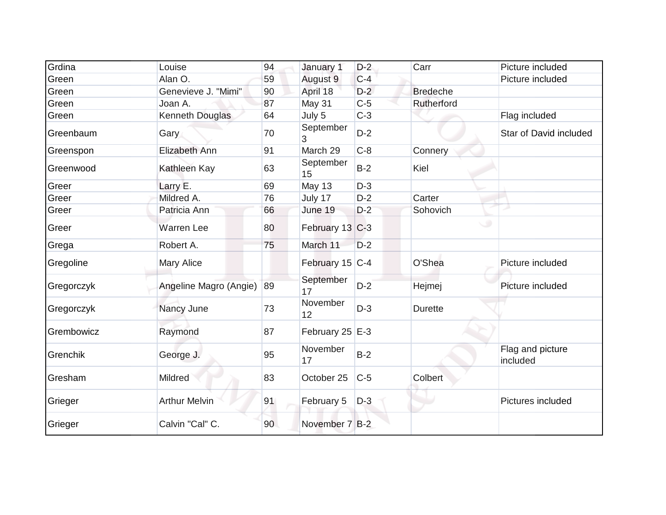| Grdina     | Louise                 | 94 | January 1         | $D-2$ | Carr            | Picture included             |
|------------|------------------------|----|-------------------|-------|-----------------|------------------------------|
| Green      | Alan O.                | 59 | August 9          | $C-4$ |                 | Picture included             |
| Green      | Genevieve J. "Mimi"    | 90 | April 18          | $D-2$ | <b>Bredeche</b> |                              |
| Green      | Joan A.                | 87 | May 31            | $C-5$ | Rutherford      |                              |
| Green      | Kenneth Douglas        | 64 | July 5            | $C-3$ |                 | Flag included                |
| Greenbaum  | Gary                   | 70 | September         | $D-2$ |                 | Star of David included       |
| Greenspon  | Elizabeth Ann          | 91 | March 29          | $C-8$ | Connery         |                              |
| Greenwood  | Kathleen Kay           | 63 | September<br>15   | $B-2$ | Kiel            |                              |
| Greer      | Larry E.               | 69 | May 13            | $D-3$ |                 |                              |
| Greer      | Mildred A.             | 76 | July 17           | $D-2$ | Carter          |                              |
| Greer      | Patricia Ann           | 66 | June 19           | $D-2$ | Sohovich        |                              |
| Greer      | <b>Warren Lee</b>      | 80 | February 13 C-3   |       |                 | ◡                            |
| Grega      | Robert A.              | 75 | March 11          | $D-2$ |                 |                              |
| Gregoline  | <b>Mary Alice</b>      |    | February 15 C-4   |       | O'Shea          | Picture included             |
| Gregorczyk | Angeline Magro (Angie) | 89 | September<br>17   | $D-2$ | Hejmej          | Picture included             |
| Gregorczyk | Nancy June             | 73 | November<br>12    | $D-3$ | <b>Durette</b>  |                              |
| Grembowicz | Raymond                | 87 | February 25 $E-3$ |       |                 |                              |
| Grenchik   | George J.              | 95 | November<br>17    | $B-2$ |                 | Flag and picture<br>included |
| Gresham    | <b>Mildred</b>         | 83 | October 25        | $C-5$ | Colbert         |                              |
| Grieger    | <b>Arthur Melvin</b>   | 91 | February 5        | $D-3$ | ٠               | Pictures included            |
| Grieger    | Calvin "Cal" C.        | 90 | November 7 B-2    |       |                 |                              |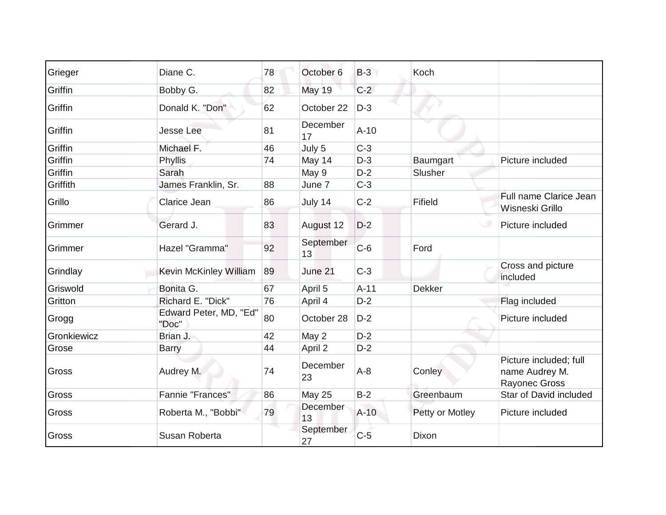| Grieger     | Diane C.                        | 78 | October 6       | $B-3$  | Koch            |                                                           |
|-------------|---------------------------------|----|-----------------|--------|-----------------|-----------------------------------------------------------|
| Griffin     | Bobby G.                        | 82 | <b>May 19</b>   | $C-2$  |                 |                                                           |
| Griffin     | Donald K. "Don"                 | 62 | October 22      | $D-3$  |                 |                                                           |
| Griffin     | <b>Jesse Lee</b>                | 81 | December<br>17  | $A-10$ |                 |                                                           |
| Griffin     | Michael F.                      | 46 | July 5          | $C-3$  |                 |                                                           |
| Griffin     | Phyllis                         | 74 | May 14          | $D-3$  | Baumgart        | Picture included                                          |
| Griffin     | Sarah                           |    | May 9           | $D-2$  | Slusher         |                                                           |
| Griffith    | James Franklin, Sr.             | 88 | June 7          | $C-3$  |                 |                                                           |
| Grillo      | Clarice Jean                    | 86 | July 14         | $C-2$  | Fifield         | Full name Clarice Jean<br>Wisneski Grillo                 |
| Grimmer     | Gerard J.                       | 83 | August 12       | $D-2$  |                 | Picture included                                          |
| Grimmer     | Hazel "Gramma"                  | 92 | September<br>13 | $C-6$  | Ford            |                                                           |
| Grindlay    | Kevin McKinley William          | 89 | June 21         | $C-3$  |                 | Cross and picture<br>included                             |
| Griswold    | Bonita G.                       | 67 | April 5         | $A-11$ | <b>Dekker</b>   |                                                           |
| Gritton     | Richard E. "Dick"               | 76 | April 4         | $D-2$  |                 | Flag included                                             |
| Grogg       | Edward Peter, MD, "Ed"<br>"Doc" | 80 | October 28      | $D-2$  |                 | Picture included                                          |
| Gronkiewicz | Brian J.                        | 42 | May 2           | $D-2$  |                 |                                                           |
| Grose       | <b>Barry</b>                    | 44 | April 2         | $D-2$  |                 |                                                           |
| Gross       | Audrey M.                       | 74 | December<br>23  | $A-8$  | Conley          | Picture included; full<br>name Audrey M.<br>Rayonec Gross |
| Gross       | Fannie "Frances"                | 86 | <b>May 25</b>   | $B-2$  | Greenbaum       | Star of David included                                    |
| Gross       | Roberta M., "Bobbi"             | 79 | December<br>13  | $A-10$ | Petty or Motley | Picture included                                          |
| Gross       | Susan Roberta                   |    | September<br>27 | $C-5$  | Dixon           |                                                           |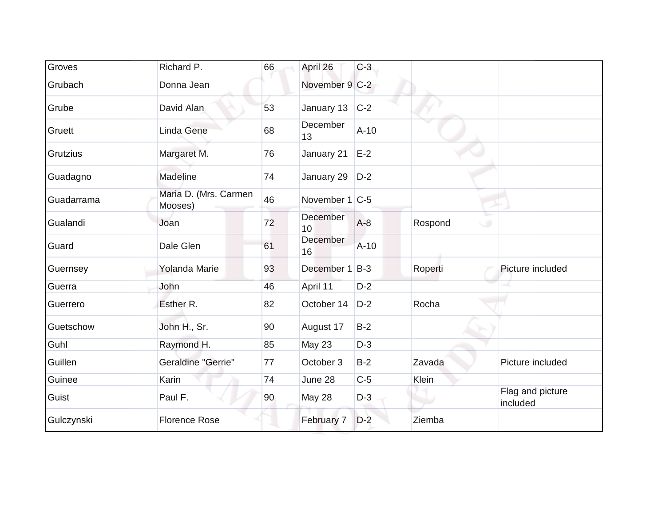| Groves          | Richard P.                       | 66 | April 26         | $C-3$  |                   |                              |
|-----------------|----------------------------------|----|------------------|--------|-------------------|------------------------------|
| Grubach         | Donna Jean                       |    | November 9 C-2   |        |                   |                              |
| Grube           | David Alan                       | 53 | January 13       | $C-2$  |                   |                              |
| Gruett          | Linda Gene                       | 68 | December<br>13   | $A-10$ |                   |                              |
| <b>Grutzius</b> | Margaret M.                      | 76 | January 21       | $E-2$  |                   |                              |
| Guadagno        | Madeline                         | 74 | January 29       | $D-2$  |                   |                              |
| Guadarrama      | Maria D. (Mrs. Carmen<br>Mooses) | 46 | November $1 C-5$ |        |                   |                              |
| Gualandi        | Joan                             | 72 | December<br>10   | $A-8$  | Rospond<br>$\cup$ |                              |
| Guard           | Dale Glen                        | 61 | December<br>16   | $A-10$ |                   |                              |
| Guernsey        | <b>Yolanda Marie</b>             | 93 | December 1 B-3   |        | Roperti           | Picture included             |
| Guerra          | John                             | 46 | April 11         | $D-2$  |                   |                              |
| Guerrero        | Esther R.                        | 82 | October 14       | $D-2$  | Rocha             |                              |
| Guetschow       | John H., Sr.                     | 90 | August 17        | $B-2$  |                   |                              |
| Guhl            | Raymond H.                       | 85 | <b>May 23</b>    | $D-3$  |                   |                              |
| Guillen         | Geraldine "Gerrie"               | 77 | October 3        | $B-2$  | Zavada            | Picture included             |
| Guinee          | Karin                            | 74 | June 28          | $C-5$  | Klein             |                              |
| Guist           | Paul F.                          | 90 | May 28           | $D-3$  |                   | Flag and picture<br>included |
| Gulczynski      | <b>Florence Rose</b>             |    | February 7       | $D-2$  | Ziemba            |                              |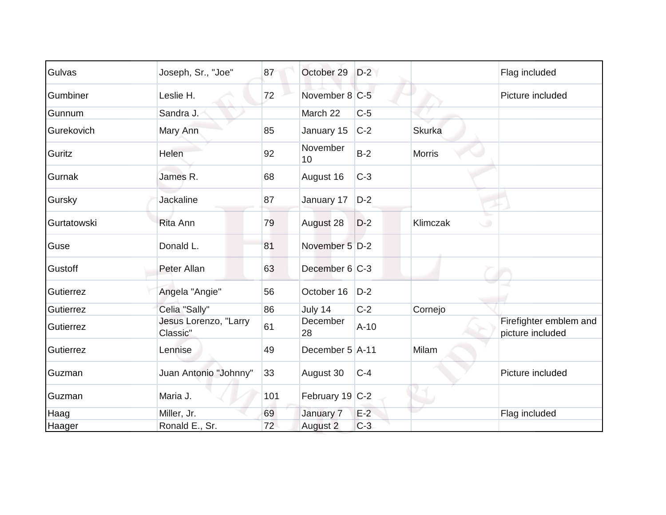| Gulvas      | Joseph, Sr., "Joe"                | 87  | October 29      | $D-2$  |               | Flag included                              |
|-------------|-----------------------------------|-----|-----------------|--------|---------------|--------------------------------------------|
| Gumbiner    | Leslie H.                         | 72  | November 8 C-5  |        |               | Picture included                           |
| Gunnum      | Sandra J.                         |     | March 22        | $C-5$  |               |                                            |
| Gurekovich  | Mary Ann                          | 85  | January 15      | $C-2$  | <b>Skurka</b> |                                            |
| Guritz      | Helen                             | 92  | November<br>10  | $B-2$  | <b>Morris</b> |                                            |
| Gurnak      | James R.                          | 68  | August 16       | $C-3$  |               |                                            |
| Gursky      | <b>Jackaline</b>                  | 87  | January 17      | $D-2$  |               |                                            |
| Gurtatowski | <b>Rita Ann</b>                   | 79  | August 28       | $D-2$  | Klimczak      | $\circ$                                    |
| Guse        | Donald L.                         | 81  | November 5 D-2  |        |               |                                            |
| Gustoff     | Peter Allan                       | 63  | December 6 C-3  |        |               |                                            |
| Gutierrez   | Angela "Angie"                    | 56  | October 16      | $D-2$  |               |                                            |
| Gutierrez   | Celia "Sally"                     | 86  | July 14         | $C-2$  | Cornejo       |                                            |
| Gutierrez   | Jesus Lorenzo, "Larry<br>Classic" | 61  | December<br>28  | $A-10$ |               | Firefighter emblem and<br>picture included |
| Gutierrez   | Lennise                           | 49  | December 5 A-11 |        | Milam         |                                            |
| Guzman      | Juan Antonio "Johnny"             | 33  | August 30       | $C-4$  |               | Picture included                           |
| Guzman      | Maria J.                          | 101 | February 19 C-2 |        |               |                                            |
| Haag        | Miller, Jr.                       | 69  | January 7       | $E-2$  |               | Flag included                              |
| Haager      | Ronald E., Sr.                    | 72  | August 2        | $C-3$  |               |                                            |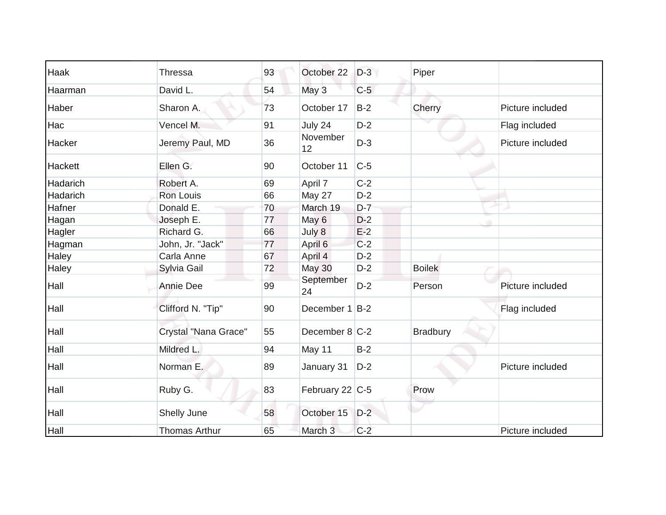| Haak     | <b>Thressa</b>       | 93 | October 22      | $D-3$ | Piper           |                  |
|----------|----------------------|----|-----------------|-------|-----------------|------------------|
| Haarman  | David L.             | 54 | May 3           | $C-5$ |                 |                  |
| Haber    | Sharon A.            | 73 | October 17      | $B-2$ | Cherry          | Picture included |
| Hac      | Vencel M.            | 91 | July 24         | $D-2$ |                 | Flag included    |
| Hacker   | Jeremy Paul, MD      | 36 | November<br>12  | $D-3$ |                 | Picture included |
| Hackett  | Ellen G.             | 90 | October 11      | $C-5$ |                 |                  |
| Hadarich | Robert A.            | 69 | April 7         | $C-2$ |                 |                  |
| Hadarich | Ron Louis            | 66 | May 27          | $D-2$ |                 |                  |
| Hafner   | Donald E.            | 70 | March 19        | $D-7$ |                 |                  |
| Hagan    | Joseph E.            | 77 | May 6           | $D-2$ |                 |                  |
| Hagler   | Richard G.           | 66 | July 8          | $E-2$ |                 |                  |
| Hagman   | John, Jr. "Jack"     | 77 | April 6         | $C-2$ |                 |                  |
| Haley    | Carla Anne           | 67 | April 4         | $D-2$ |                 |                  |
| Haley    | Sylvia Gail          | 72 | <b>May 30</b>   | $D-2$ | <b>Boilek</b>   |                  |
| Hall     | <b>Annie Dee</b>     | 99 | September<br>24 | $D-2$ | Person          | Picture included |
| Hall     | Clifford N. "Tip"    | 90 | December 1 B-2  |       |                 | Flag included    |
| Hall     | Crystal "Nana Grace" | 55 | December 8 C-2  |       | <b>Bradbury</b> |                  |
| Hall     | Mildred L.           | 94 | May 11          | $B-2$ |                 |                  |
| Hall     | Norman E.            | 89 | January 31      | $D-2$ |                 | Picture included |
| Hall     | Ruby G.              | 83 | February 22 C-5 |       | Prow            |                  |
| Hall     | Shelly June          | 58 | October 15      | $D-2$ |                 |                  |
| Hall     | <b>Thomas Arthur</b> | 65 | March 3         | $C-2$ |                 | Picture included |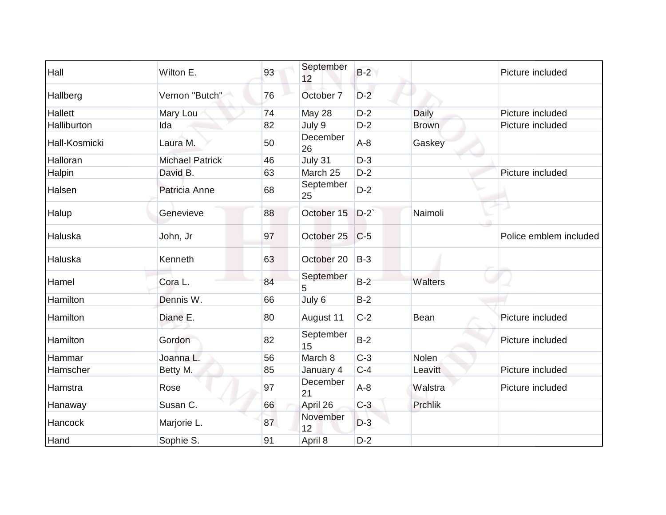| Hall           | Wilton E.              | 93 | September<br>12 | $B-2$ |              | Picture included       |
|----------------|------------------------|----|-----------------|-------|--------------|------------------------|
| Hallberg       | Vernon "Butch"         | 76 | October 7       | $D-2$ |              |                        |
| <b>Hallett</b> | Mary Lou               | 74 | May 28          | $D-2$ | Daily        | Picture included       |
| Halliburton    | Ida                    | 82 | July 9          | $D-2$ | <b>Brown</b> | Picture included       |
| Hall-Kosmicki  | Laura M.               | 50 | December<br>26  | $A-8$ | Gaskey       |                        |
| Halloran       | <b>Michael Patrick</b> | 46 | July 31         | $D-3$ |              |                        |
| Halpin         | David B.               | 63 | March 25        | $D-2$ |              | Picture included       |
| Halsen         | Patricia Anne          | 68 | September<br>25 | $D-2$ |              |                        |
| Halup          | Genevieve              | 88 | October 15      | $D-2$ | Naimoli      |                        |
| Haluska        | John, Jr               | 97 | October 25      | $C-5$ |              | Police emblem included |
| Haluska        | Kenneth                | 63 | October 20      | $B-3$ |              |                        |
| Hamel          | Cora L.                | 84 | September<br>5  | $B-2$ | Walters      |                        |
| Hamilton       | Dennis W.              | 66 | July 6          | $B-2$ |              |                        |
| Hamilton       | Diane E.               | 80 | August 11       | $C-2$ | Bean         | Picture included       |
| Hamilton       | Gordon                 | 82 | September<br>15 | $B-2$ |              | Picture included       |
| Hammar         | Joanna L.              | 56 | March 8         | $C-3$ | <b>Nolen</b> |                        |
| Hamscher       | Betty M.               | 85 | January 4       | $C-4$ | Leavitt      | Picture included       |
| Hamstra        | Rose                   | 97 | December<br>21  | $A-8$ | Walstra      | Picture included       |
| Hanaway        | Susan C.               | 66 | April 26        | $C-3$ | Prchlik      |                        |
| Hancock        | Marjorie L.            | 87 | November<br>12  | $D-3$ |              |                        |
| Hand           | Sophie S.              | 91 | April 8         | $D-2$ |              |                        |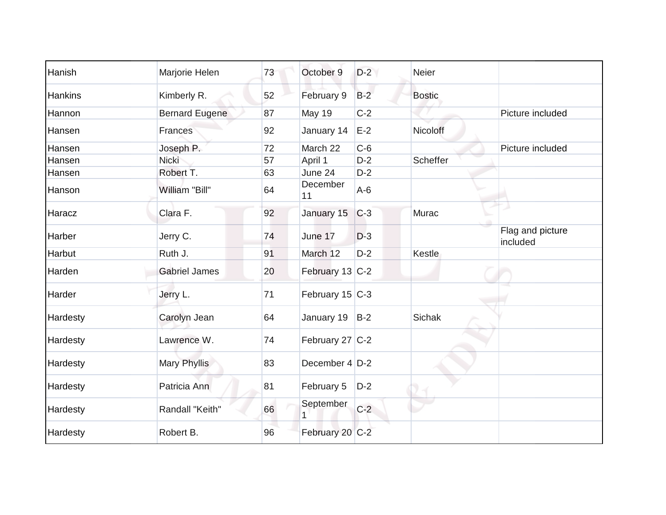| Hanish   | Marjorie Helen        | 73 | October 9           | $D-2$ | <b>Neier</b>  |                              |
|----------|-----------------------|----|---------------------|-------|---------------|------------------------------|
| Hankins  | Kimberly R.           | 52 | February 9          | $B-2$ | <b>Bostic</b> |                              |
| Hannon   | <b>Bernard Eugene</b> | 87 | <b>May 19</b>       | $C-2$ |               | Picture included             |
| Hansen   | Frances               | 92 | January 14          | $E-2$ | Nicoloff      |                              |
| Hansen   | Joseph P.             | 72 | March 22            | $C-6$ |               | Picture included             |
| Hansen   | Nicki                 | 57 | April 1             | $D-2$ | Scheffer      |                              |
| Hansen   | Robert T.             | 63 | June 24             | $D-2$ |               |                              |
| Hanson   | William "Bill"        | 64 | December<br>11      | $A-6$ |               |                              |
| Haracz   | Clara F.              | 92 | January 15          | $C-3$ | Murac         |                              |
| Harber   | Jerry C.              | 74 | June 17             | $D-3$ |               | Flag and picture<br>included |
| Harbut   | Ruth J.               | 91 | March 12            | $D-2$ | Kestle        |                              |
| Harden   | <b>Gabriel James</b>  | 20 | February 13 C-2     |       |               |                              |
| Harder   | Jerry L.              | 71 | February $15$ C-3   |       |               |                              |
| Hardesty | Carolyn Jean          | 64 | January 19          | $B-2$ | <b>Sichak</b> |                              |
| Hardesty | Lawrence W.           | 74 | February 27 $ C-2 $ |       |               |                              |
| Hardesty | Mary Phyllis          | 83 | December 4   D-2    |       |               |                              |
| Hardesty | Patricia Ann          | 81 | February 5          | $D-2$ |               |                              |
| Hardesty | Randall "Keith"       | 66 | September           | $C-2$ |               |                              |
| Hardesty | Robert B.             | 96 | February 20 C-2     |       |               |                              |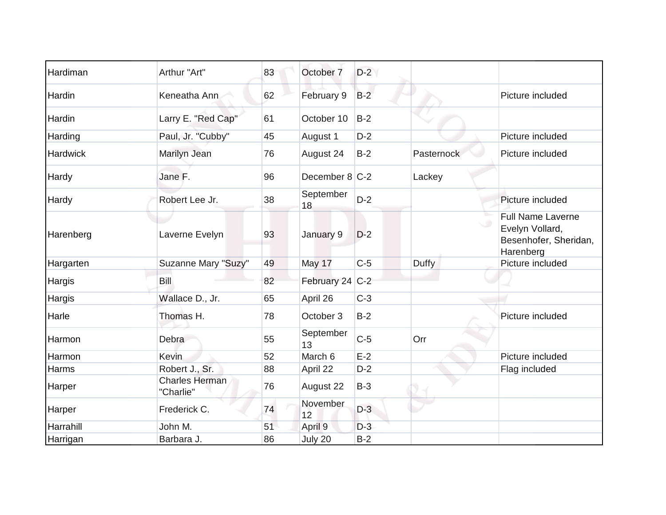| Hardiman  | Arthur "Art"                       | 83 | October 7        | $D-2$ |                   |                                                                                   |
|-----------|------------------------------------|----|------------------|-------|-------------------|-----------------------------------------------------------------------------------|
| Hardin    | Keneatha Ann                       | 62 | February 9       | $B-2$ |                   | Picture included                                                                  |
| Hardin    | Larry E. "Red Cap"                 | 61 | October 10       | $B-2$ |                   |                                                                                   |
| Harding   | Paul, Jr. "Cubby"                  | 45 | August 1         | $D-2$ |                   | Picture included                                                                  |
| Hardwick  | Marilyn Jean                       | 76 | August 24        | $B-2$ | <b>Pasternock</b> | Picture included                                                                  |
| Hardy     | Jane F.                            | 96 | December $8 C-2$ |       | Lackey            |                                                                                   |
| Hardy     | Robert Lee Jr.                     | 38 | September<br>18  | $D-2$ |                   | Picture included                                                                  |
| Harenberg | Laverne Evelyn                     | 93 | January 9        | $D-2$ |                   | <b>Full Name Laverne</b><br>Evelyn Vollard,<br>Besenhofer, Sheridan,<br>Harenberg |
| Hargarten | Suzanne Mary "Suzy"                | 49 | May 17           | $C-5$ | Duffy             | Picture included                                                                  |
| Hargis    | Bill                               | 82 | February 24 C-2  |       |                   |                                                                                   |
| Hargis    | Wallace D., Jr.                    | 65 | April 26         | $C-3$ |                   |                                                                                   |
| Harle     | Thomas H.                          | 78 | October 3        | $B-2$ |                   | Picture included                                                                  |
| Harmon    | Debra                              | 55 | September<br>13  | $C-5$ | Orr               |                                                                                   |
| Harmon    | Kevin                              | 52 | March 6          | $E-2$ |                   | Picture included                                                                  |
| Harms     | Robert J., Sr.                     | 88 | April 22         | $D-2$ |                   | Flag included                                                                     |
| Harper    | <b>Charles Herman</b><br>"Charlie" | 76 | August 22        | $B-3$ |                   |                                                                                   |
| Harper    | Frederick C.                       | 74 | November<br>12   | $D-3$ |                   |                                                                                   |
| Harrahill | John M.                            | 51 | April 9          | $D-3$ |                   |                                                                                   |
| Harrigan  | Barbara J.                         | 86 | July 20          | $B-2$ |                   |                                                                                   |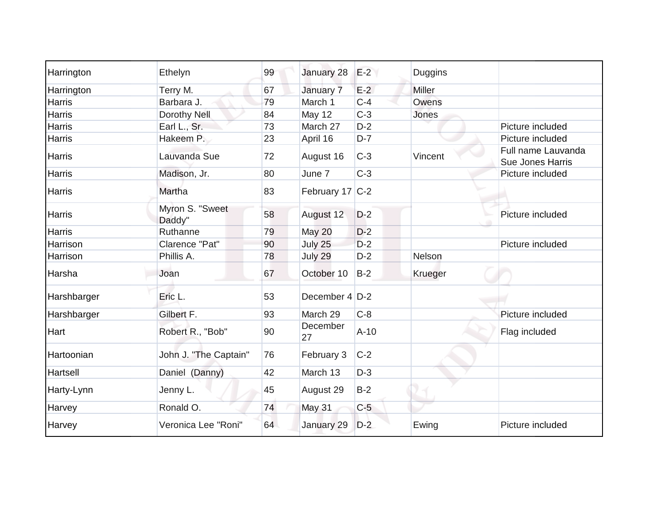| Harrington    | Ethelyn                   | 99 | January 28      | $E-2$  | Duggins |                                        |
|---------------|---------------------------|----|-----------------|--------|---------|----------------------------------------|
| Harrington    | Terry M.                  | 67 | January 7       | $E-2$  | Miller  |                                        |
| <b>Harris</b> | Barbara J.                | 79 | March 1         | $C-4$  | Owens   |                                        |
| Harris        | Dorothy Nell              | 84 | May 12          | $C-3$  | Jones   |                                        |
| Harris        | Earl L., Sr.              | 73 | March 27        | $D-2$  |         | Picture included                       |
| Harris        | Hakeem P.                 | 23 | April 16        | $D-7$  |         | Picture included                       |
| Harris        | Lauvanda Sue              | 72 | August 16       | $C-3$  | Vincent | Full name Lauvanda<br>Sue Jones Harris |
| Harris        | Madison, Jr.              | 80 | June 7          | $C-3$  |         | Picture included                       |
| Harris        | Martha                    | 83 | February 17 C-2 |        |         |                                        |
| Harris        | Myron S. "Sweet<br>Daddy" | 58 | August 12       | $D-2$  |         | Picture included                       |
| Harris        | Ruthanne                  | 79 | May 20          | $D-2$  |         |                                        |
| Harrison      | Clarence "Pat"            | 90 | July 25         | $D-2$  |         | Picture included                       |
| Harrison      | Phillis A.                | 78 | July 29         | $D-2$  | Nelson  |                                        |
| Harsha        | Joan                      | 67 | October 10      | $B-2$  | Krueger |                                        |
| Harshbarger   | Eric L.                   | 53 | December 4 D-2  |        |         |                                        |
| Harshbarger   | Gilbert F.                | 93 | March 29        | $C-8$  |         | Picture included                       |
| Hart          | Robert R., "Bob"          | 90 | December<br>27  | $A-10$ |         | Flag included                          |
| Hartoonian    | John J. "The Captain"     | 76 | February 3      | $C-2$  |         |                                        |
| Hartsell      | Daniel (Danny)            | 42 | March 13        | $D-3$  |         |                                        |
| Harty-Lynn    | Jenny L.                  | 45 | August 29       | $B-2$  |         |                                        |
| Harvey        | Ronald O.                 | 74 | May 31          | $C-5$  |         |                                        |
| Harvey        | Veronica Lee "Roni"       | 64 | January 29      | $D-2$  | Ewing   | Picture included                       |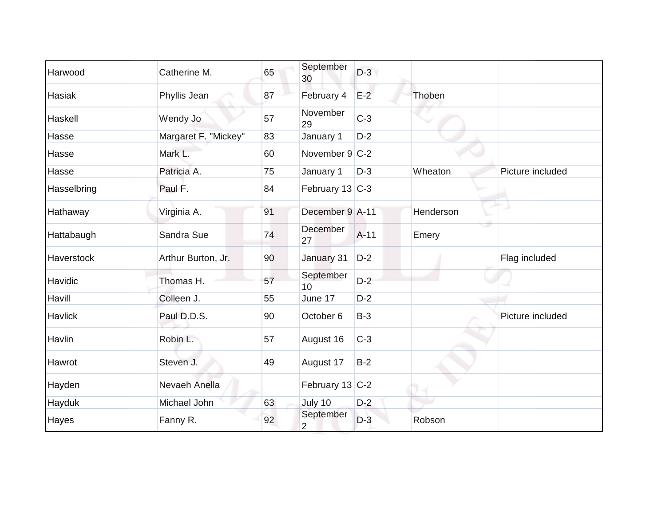| Harwood           | Catherine M.         | 65 | September<br>30             | $D-3$  |           |                  |
|-------------------|----------------------|----|-----------------------------|--------|-----------|------------------|
| Hasiak            | Phyllis Jean         | 87 | February 4                  | $E-2$  | Thoben    |                  |
| Haskell           | Wendy Jo             | 57 | November<br>29              | $C-3$  |           |                  |
| Hasse             | Margaret F. "Mickey" | 83 | January 1                   | $D-2$  |           |                  |
| Hasse             | Mark L.              | 60 | November $9 C-2$            |        |           |                  |
| Hasse             | Patricia A.          | 75 | January 1                   | $D-3$  | Wheaton   | Picture included |
| Hasselbring       | Paul F.              | 84 | February 13 C-3             |        |           |                  |
| Hathaway          | Virginia A.          | 91 | December 9 A-11             |        | Henderson |                  |
| Hattabaugh        | Sandra Sue           | 74 | December<br>27              | $A-11$ | Emery     |                  |
| <b>Haverstock</b> | Arthur Burton, Jr.   | 90 | January 31                  | $D-2$  |           | Flag included    |
| Havidic           | Thomas H.            | 57 | September<br>10             | $D-2$  |           |                  |
| Havill            | Colleen J.           | 55 | June 17                     | $D-2$  |           |                  |
| Havlick           | Paul D.D.S.          | 90 | October 6                   | $B-3$  |           | Picture included |
| Havlin            | Robin L.             | 57 | August 16                   | $C-3$  |           |                  |
| Hawrot            | Steven J.            | 49 | August 17                   | $B-2$  |           |                  |
| Hayden            | Nevaeh Anella        |    | February 13 C-2             |        |           |                  |
| Hayduk            | Michael John         | 63 | July 10                     | $D-2$  |           |                  |
| Hayes             | Fanny R.             | 92 | September<br>$\overline{2}$ | $D-3$  | Robson    |                  |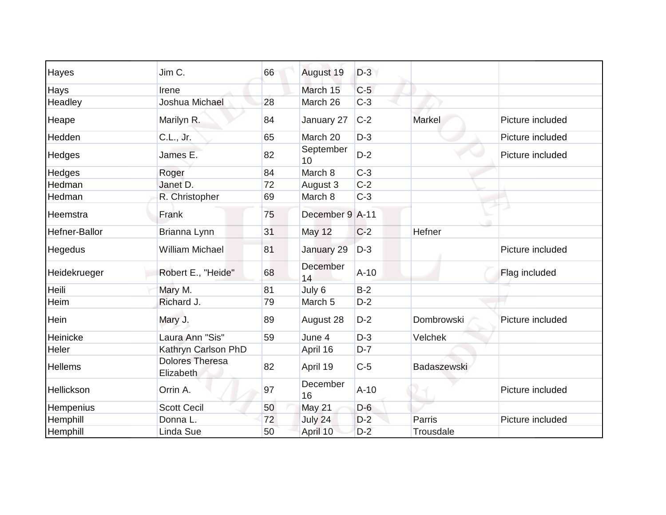| Hayes         | Jim C.                              | 66 | August 19          | $D-3$  |             |                  |
|---------------|-------------------------------------|----|--------------------|--------|-------------|------------------|
| Hays          | Irene                               |    | March 15           | $C-5$  |             |                  |
| Headley       | Joshua Michael                      | 28 | March 26           | $C-3$  |             |                  |
| Heape         | Marilyn R.                          | 84 | January 27         | $C-2$  | Markel      | Picture included |
| Hedden        | C.L., Jr.                           | 65 | March 20           | $D-3$  |             | Picture included |
| Hedges        | James E.                            | 82 | September<br>10    | $D-2$  |             | Picture included |
| Hedges        | Roger                               | 84 | March 8            | $C-3$  |             |                  |
| Hedman        | Janet D.                            | 72 | August 3           | $C-2$  |             |                  |
| Hedman        | R. Christopher                      | 69 | March 8            | $C-3$  |             |                  |
| Heemstra      | Frank                               | 75 | December 9 A-11    |        |             |                  |
| Hefner-Ballor | Brianna Lynn                        | 31 | May 12             | $C-2$  | Hefner      |                  |
| Hegedus       | <b>William Michael</b>              | 81 | January 29         | $D-3$  |             | Picture included |
| Heidekrueger  | Robert E., "Heide"                  | 68 | December<br>14     | $A-10$ |             | Flag included    |
| Heili         | Mary M.                             | 81 | July 6             | $B-2$  |             |                  |
| Heim          | Richard J.                          | 79 | March <sub>5</sub> | $D-2$  |             |                  |
| Hein          | Mary J.                             | 89 | August 28          | $D-2$  | Dombrowski  | Picture included |
| Heinicke      | Laura Ann "Sis"                     | 59 | June 4             | $D-3$  | Velchek     |                  |
| Heler         | Kathryn Carlson PhD                 |    | April 16           | $D-7$  |             |                  |
| Hellems       | <b>Dolores Theresa</b><br>Elizabeth | 82 | April 19           | $C-5$  | Badaszewski |                  |
| Hellickson    | Orrin A.                            | 97 | December<br>16     | $A-10$ |             | Picture included |
| Hempenius     | <b>Scott Cecil</b>                  | 50 | May 21             | $D-6$  |             |                  |
| Hemphill      | Donna L.                            | 72 | July 24            | $D-2$  | Parris      | Picture included |
| Hemphill      | Linda Sue                           | 50 | April 10           | $D-2$  | Trousdale   |                  |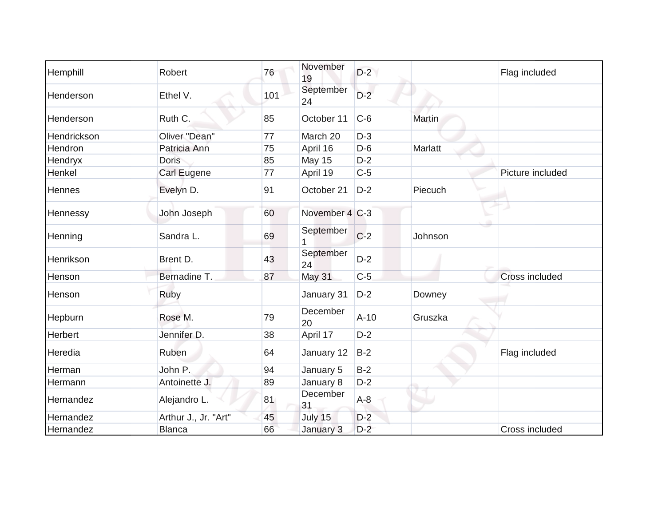| Hemphill        | Robert               | 76  | November<br>19  | $D-2$  |         | Flag included    |
|-----------------|----------------------|-----|-----------------|--------|---------|------------------|
| Henderson       | Ethel V.             | 101 | September<br>24 | $D-2$  |         |                  |
| Henderson       | Ruth C.              | 85  | October 11      | $C-6$  | Martin  |                  |
| Hendrickson     | Oliver "Dean"        | 77  | March 20        | $D-3$  |         |                  |
| Hendron         | Patricia Ann         | 75  | April 16        | $D-6$  | Marlatt |                  |
| Hendryx         | <b>Doris</b>         | 85  | May 15          | $D-2$  |         |                  |
| Henkel          | Carl Eugene          | 77  | April 19        | $C-5$  |         | Picture included |
| Hennes          | Evelyn D.            | 91  | October 21      | $D-2$  | Piecuch |                  |
| <b>Hennessy</b> | John Joseph          | 60  | November 4 C-3  |        |         |                  |
| Henning         | Sandra L.            | 69  | September<br>1  | $C-2$  | Johnson |                  |
| Henrikson       | Brent D.             | 43  | September<br>24 | $D-2$  |         |                  |
| Henson          | Bernadine T.         | 87  | <b>May 31</b>   | $C-5$  |         | Cross included   |
| Henson          | Ruby                 |     | January 31      | $D-2$  | Downey  |                  |
| Hepburn         | Rose M.              | 79  | December<br>20  | $A-10$ | Gruszka |                  |
| Herbert         | Jennifer D.          | 38  | April 17        | $D-2$  |         |                  |
| Heredia         | Ruben                | 64  | January 12      | $B-2$  |         | Flag included    |
| Herman          | John P.              | 94  | January 5       | $B-2$  |         |                  |
| Hermann         | Antoinette J.        | 89  | January 8       | $D-2$  |         |                  |
| Hernandez       | Alejandro L.         | 81  | December<br>31  | $A-8$  |         |                  |
| Hernandez       | Arthur J., Jr. "Art" | 45  | July 15         | $D-2$  |         |                  |
| Hernandez       | <b>Blanca</b>        | 66  | January 3       | $D-2$  |         | Cross included   |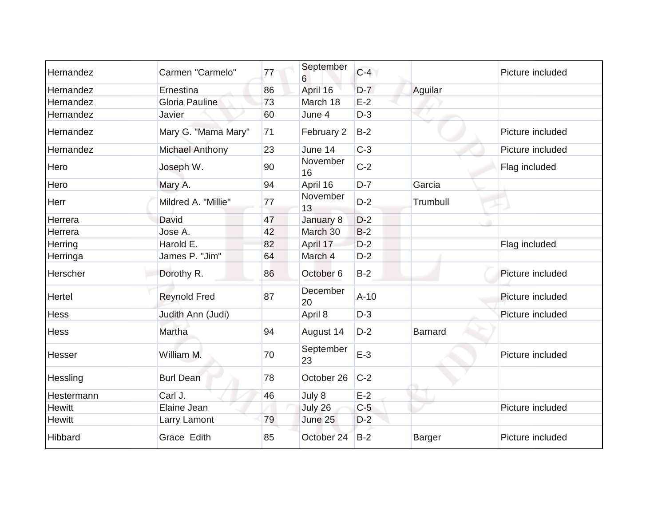| Hernandez     | Carmen "Carmelo"       | 77 | September<br>6  | $C-4$  |                | Picture included |
|---------------|------------------------|----|-----------------|--------|----------------|------------------|
| Hernandez     | Ernestina              | 86 | April 16        | $D-7$  | Aguilar        |                  |
| Hernandez     | Gloria Pauline         | 73 | March 18        | $E-2$  |                |                  |
| Hernandez     | Javier                 | 60 | June 4          | $D-3$  |                |                  |
| Hernandez     | Mary G. "Mama Mary"    | 71 | February 2      | $B-2$  |                | Picture included |
| Hernandez     | <b>Michael Anthony</b> | 23 | June 14         | $C-3$  |                | Picture included |
| Hero          | Joseph W.              | 90 | November<br>16  | $C-2$  |                | Flag included    |
| Hero          | Mary A.                | 94 | April 16        | $D-7$  | Garcia         |                  |
| Herr          | Mildred A. "Millie"    | 77 | November<br>13  | $D-2$  | Trumbull       |                  |
| Herrera       | David                  | 47 | January 8       | $D-2$  |                |                  |
| Herrera       | Jose A.                | 42 | March 30        | $B-2$  |                |                  |
| Herring       | Harold E.              | 82 | April 17        | $D-2$  |                | Flag included    |
| Herringa      | James P. "Jim"         | 64 | March 4         | $D-2$  |                |                  |
| Herscher      | Dorothy R.             | 86 | October 6       | $B-2$  |                | Picture included |
| Hertel        | <b>Reynold Fred</b>    | 87 | December<br>20  | $A-10$ |                | Picture included |
| Hess          | Judith Ann (Judi)      |    | April 8         | $D-3$  |                | Picture included |
| <b>Hess</b>   | Martha                 | 94 | August 14       | $D-2$  | <b>Barnard</b> |                  |
| Hesser        | William M.             | 70 | September<br>23 | $E-3$  |                | Picture included |
| Hessling      | <b>Burl Dean</b>       | 78 | October 26      | $C-2$  |                |                  |
| Hestermann    | Carl J.                | 46 | July 8          | $E-2$  |                |                  |
| <b>Hewitt</b> | Elaine Jean            |    | July 26         | $C-5$  |                | Picture included |
| <b>Hewitt</b> | Larry Lamont           | 79 | June 25         | $D-2$  |                |                  |
| Hibbard       | Grace Edith            | 85 | October 24      | $B-2$  | <b>Barger</b>  | Picture included |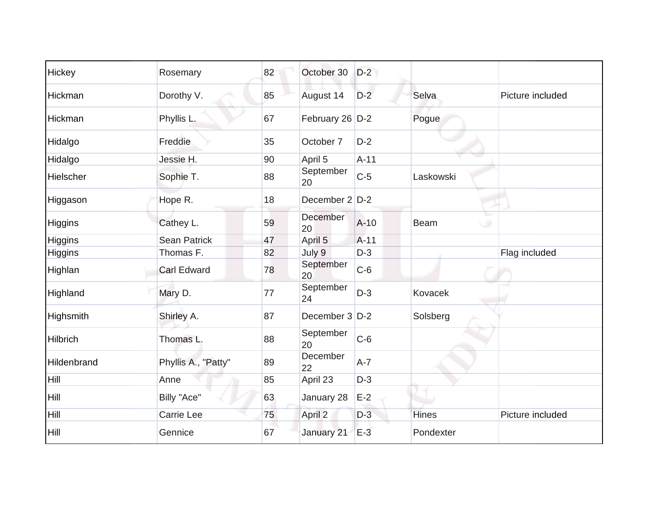| Hickey         | Rosemary            | 82 | October 30      | $D-2$  |              |                  |
|----------------|---------------------|----|-----------------|--------|--------------|------------------|
| Hickman        | Dorothy V.          | 85 | August 14       | $D-2$  | Selva        | Picture included |
| Hickman        | Phyllis L.          | 67 | February 26 D-2 |        | Pogue        |                  |
| Hidalgo        | Freddie             | 35 | October 7       | $D-2$  |              |                  |
| Hidalgo        | Jessie H.           | 90 | April 5         | $A-11$ |              |                  |
| Hielscher      | Sophie T.           | 88 | September<br>20 | $C-5$  | Laskowski    |                  |
| Higgason       | Hope R.             | 18 | December 2 D-2  |        |              |                  |
| <b>Higgins</b> | Cathey L.           | 59 | December<br>20  | $A-10$ | <b>Beam</b>  | $\cup$           |
| Higgins        | Sean Patrick        | 47 | April 5         | $A-11$ |              |                  |
| Higgins        | Thomas F.           | 82 | July 9          | $D-3$  |              | Flag included    |
| Highlan        | <b>Carl Edward</b>  | 78 | September<br>20 | $C-6$  |              |                  |
| Highland       | Mary D.             | 77 | September<br>24 | $D-3$  | Kovacek      |                  |
| Highsmith      | Shirley A.          | 87 | December 3 D-2  |        | Solsberg     |                  |
| Hilbrich       | Thomas L.           | 88 | September<br>20 | $C-6$  |              |                  |
| Hildenbrand    | Phyllis A., "Patty" | 89 | December<br>22  | $A-7$  |              |                  |
| Hill           | Anne                | 85 | April 23        | $D-3$  |              |                  |
| Hill           | Billy "Ace"         | 63 | January 28      | $E-2$  |              |                  |
| Hill           | Carrie Lee          | 75 | April 2         | $D-3$  | <b>Hines</b> | Picture included |
| Hill           | Gennice             | 67 | January 21      | $E-3$  | Pondexter    |                  |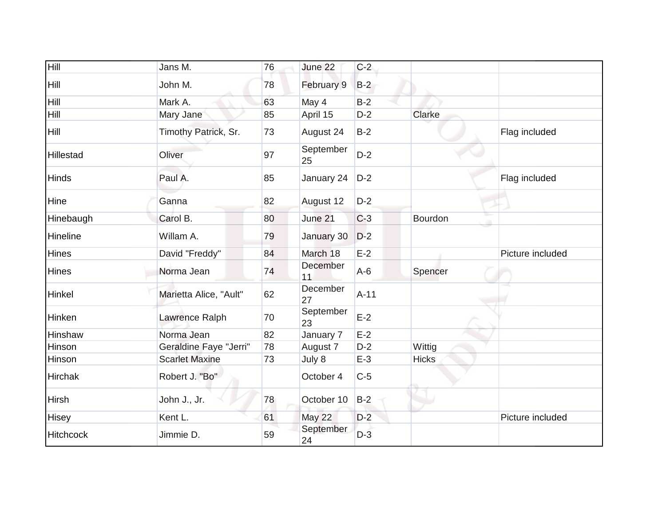| Hill             | Jans M.                | 76 | June 22         | $C-2$  |              |                  |
|------------------|------------------------|----|-----------------|--------|--------------|------------------|
| Hill             | John M.                | 78 | February 9      | $B-2$  |              |                  |
| Hill             | Mark A.                | 63 | May 4           | $B-2$  |              |                  |
| Hill             | Mary Jane              | 85 | April 15        | $D-2$  | Clarke       |                  |
| Hill             | Timothy Patrick, Sr.   | 73 | August 24       | $B-2$  |              | Flag included    |
| <b>Hillestad</b> | Oliver                 | 97 | September<br>25 | $D-2$  |              |                  |
| <b>Hinds</b>     | Paul A.                | 85 | January 24      | $D-2$  |              | Flag included    |
| Hine             | Ganna                  | 82 | August 12       | $D-2$  |              |                  |
| Hinebaugh        | Carol B.               | 80 | June 21         | $C-3$  | Bourdon      |                  |
| Hineline         | Willam A.              | 79 | January 30      | $D-2$  |              |                  |
| <b>Hines</b>     | David "Freddy"         | 84 | March 18        | $E-2$  |              | Picture included |
| <b>Hines</b>     | Norma Jean             | 74 | December<br>11  | $A-6$  | Spencer      |                  |
| Hinkel           | Marietta Alice, "Ault" | 62 | December<br>27  | $A-11$ |              |                  |
| Hinken           | Lawrence Ralph         | 70 | September<br>23 | $E-2$  |              |                  |
| Hinshaw          | Norma Jean             | 82 | January 7       | $E-2$  |              |                  |
| Hinson           | Geraldine Faye "Jerri" | 78 | August 7        | $D-2$  | Wittig       |                  |
| Hinson           | <b>Scarlet Maxine</b>  | 73 | July 8          | $E-3$  | <b>Hicks</b> |                  |
| <b>Hirchak</b>   | Robert J. "Bo"         |    | October 4       | $C-5$  |              |                  |
| <b>Hirsh</b>     | John J., Jr.           | 78 | October 10      | $B-2$  |              |                  |
| <b>Hisey</b>     | Kent L.                | 61 | <b>May 22</b>   | $D-2$  |              | Picture included |
| <b>Hitchcock</b> | Jimmie D.              | 59 | September<br>24 | $D-3$  |              |                  |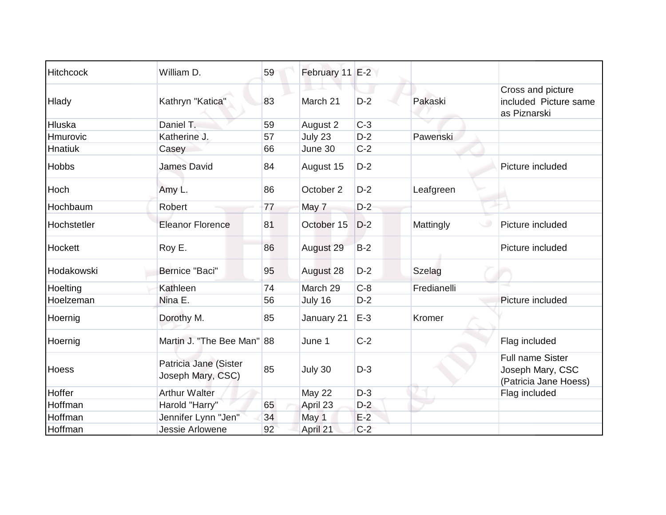| <b>Hitchcock</b> | William D.                                 | 59 | February 11 E-2 |       |             |                                                               |
|------------------|--------------------------------------------|----|-----------------|-------|-------------|---------------------------------------------------------------|
| Hlady            | Kathryn "Katica"                           | 83 | March 21        | $D-2$ | Pakaski     | Cross and picture<br>included Picture same<br>as Piznarski    |
| Hluska           | Daniel T.                                  | 59 | August 2        | $C-3$ |             |                                                               |
| Hmurovic         | Katherine J.                               | 57 | July 23         | $D-2$ | Pawenski    |                                                               |
| Hnatiuk          | Casey                                      | 66 | June 30         | $C-2$ |             |                                                               |
| <b>Hobbs</b>     | <b>James David</b>                         | 84 | August 15       | $D-2$ |             | Picture included                                              |
| Hoch             | Amy L.                                     | 86 | October 2       | $D-2$ | Leafgreen   |                                                               |
| Hochbaum         | Robert                                     | 77 | May 7           | $D-2$ |             |                                                               |
| Hochstetler      | <b>Eleanor Florence</b>                    | 81 | October 15      | $D-2$ | Mattingly   | Picture included                                              |
| Hockett          | Roy E.                                     | 86 | August 29       | $B-2$ |             | Picture included                                              |
| Hodakowski       | Bernice "Baci"                             | 95 | August 28       | $D-2$ | Szelag      |                                                               |
| Hoelting         | Kathleen                                   | 74 | March 29        | $C-8$ | Fredianelli |                                                               |
| Hoelzeman        | Nina E.                                    | 56 | July 16         | $D-2$ |             | Picture included                                              |
| Hoernig          | Dorothy M.                                 | 85 | January 21      | $E-3$ | Kromer      |                                                               |
| Hoernig          | Martin J. "The Bee Man" 88                 |    | June 1          | $C-2$ |             | Flag included                                                 |
| <b>Hoess</b>     | Patricia Jane (Sister<br>Joseph Mary, CSC) | 85 | July 30         | $D-3$ |             | Full name Sister<br>Joseph Mary, CSC<br>(Patricia Jane Hoess) |
| Hoffer           | <b>Arthur Walter</b>                       |    | May 22          | $D-3$ |             | Flag included                                                 |
| Hoffman          | Harold "Harry"                             | 65 | April 23        | $D-2$ |             |                                                               |
| Hoffman          | Jennifer Lynn "Jen"                        | 34 | May 1           | $E-2$ |             |                                                               |
| Hoffman          | Jessie Arlowene                            | 92 | April 21        | $C-2$ |             |                                                               |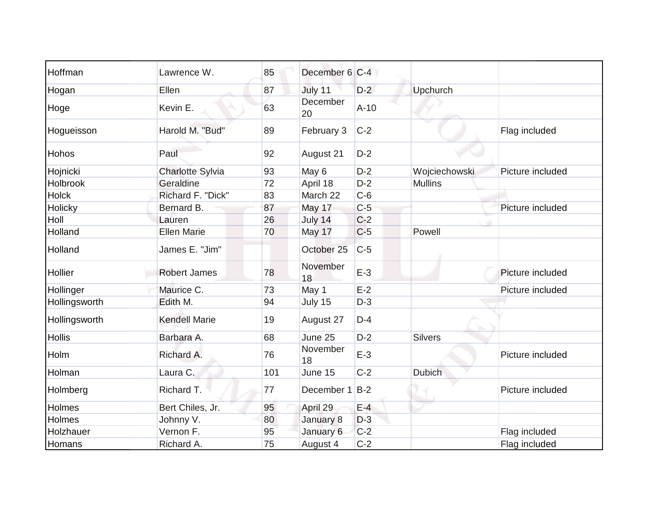| Hoffman       | Lawrence W.             | 85  | December 6 C-4 |        |                 |                  |
|---------------|-------------------------|-----|----------------|--------|-----------------|------------------|
| Hogan         | Ellen                   | 87  | July 11        | $D-2$  | <b>Upchurch</b> |                  |
| Hoge          | Kevin E.                | 63  | December<br>20 | $A-10$ |                 |                  |
| Hogueisson    | Harold M. "Bud"         | 89  | February 3     | $C-2$  |                 | Flag included    |
| Hohos         | Paul                    | 92  | August 21      | $D-2$  |                 |                  |
| Hojnicki      | <b>Charlotte Sylvia</b> | 93  | May 6          | $D-2$  | Wojciechowski   | Picture included |
| Holbrook      | Geraldine               | 72  | April 18       | $D-2$  | <b>Mullins</b>  |                  |
| <b>Holck</b>  | Richard F. "Dick"       | 83  | March 22       | $C-6$  |                 |                  |
| Holicky       | Bernard B.              | 87  | May 17         | $C-5$  |                 | Picture included |
| Holl          | Lauren                  | 26  | July 14        | $C-2$  |                 |                  |
| Holland       | <b>Ellen Marie</b>      | 70  | May 17         | $C-5$  | Powell          |                  |
| Holland       | James E. "Jim"          |     | October 25     | $C-5$  |                 |                  |
| Hollier       | <b>Robert James</b>     | 78  | November<br>18 | $E-3$  |                 | Picture included |
| Hollinger     | Maurice C.              | 73  | May 1          | $E-2$  |                 | Picture included |
| Hollingsworth | Edith M.                | 94  | July 15        | $D-3$  |                 |                  |
| Hollingsworth | <b>Kendell Marie</b>    | 19  | August 27      | $D-4$  |                 |                  |
| <b>Hollis</b> | Barbara A.              | 68  | June 25        | $D-2$  | <b>Silvers</b>  |                  |
| Holm          | Richard A.              | 76  | November<br>18 | $E-3$  |                 | Picture included |
| Holman        | Laura C.                | 101 | June 15        | $C-2$  | <b>Dubich</b>   |                  |
| Holmberg      | Richard T.              | 77  | December 1     | $B-2$  |                 | Picture included |
| Holmes        | Bert Chiles, Jr.        | 95  | April 29       | $E-4$  |                 |                  |
| Holmes        | Johnny V.               | 80  | January 8      | $D-3$  |                 |                  |
| Holzhauer     | Vernon F.               | 95  | January 6      | $C-2$  |                 | Flag included    |
| Homans        | Richard A.              | 75  | August 4       | $C-2$  |                 | Flag included    |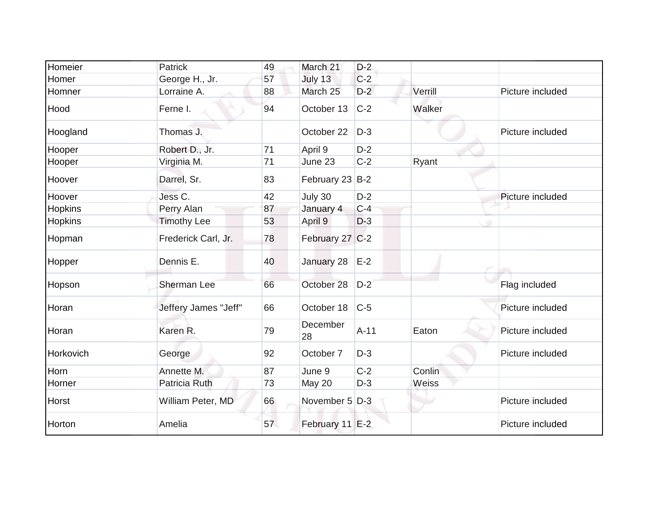| Homeier        | <b>Patrick</b>       | 49 | March 21        | $D-2$  |         |                  |
|----------------|----------------------|----|-----------------|--------|---------|------------------|
| Homer          | George H., Jr.       | 57 | July 13         | $C-2$  |         |                  |
| Homner         | Lorraine A.          | 88 | March 25        | $D-2$  | Verrill | Picture included |
| Hood           | Ferne I.             | 94 | October 13      | $C-2$  | Walker  |                  |
| Hoogland       | Thomas J.            |    | October 22      | $D-3$  |         | Picture included |
| Hooper         | Robert D., Jr.       | 71 | April 9         | $D-2$  |         |                  |
| Hooper         | Virginia M.          | 71 | June 23         | $C-2$  | Ryant   |                  |
| Hoover         | Darrel, Sr.          | 83 | February 23 B-2 |        |         |                  |
| Hoover         | Jess C.              | 42 | July 30         | $D-2$  |         | Picture included |
| Hopkins        | Perry Alan           | 87 | January 4       | $C-4$  |         |                  |
| <b>Hopkins</b> | <b>Timothy Lee</b>   | 53 | April 9         | $D-3$  |         |                  |
| Hopman         | Frederick Carl, Jr.  | 78 | February 27 C-2 |        |         |                  |
| Hopper         | Dennis E.            | 40 | January 28      | $E-2$  |         |                  |
| Hopson         | Sherman Lee          | 66 | October 28      | $D-2$  |         | Flag included    |
| Horan          | Jeffery James "Jeff" | 66 | October 18      | $C-5$  |         | Picture included |
| Horan          | Karen R.             | 79 | December<br>28  | $A-11$ | Eaton   | Picture included |
| Horkovich      | George               | 92 | October 7       | $D-3$  |         | Picture included |
| Horn           | Annette M.           | 87 | June 9          | $C-2$  | Conlin  |                  |
| Horner         | Patricia Ruth        | 73 | May 20          | $D-3$  | Weiss   |                  |
| Horst          | William Peter, MD    | 66 | November 5 D-3  |        |         | Picture included |
| Horton         | Amelia               | 57 | February 11 E-2 |        |         | Picture included |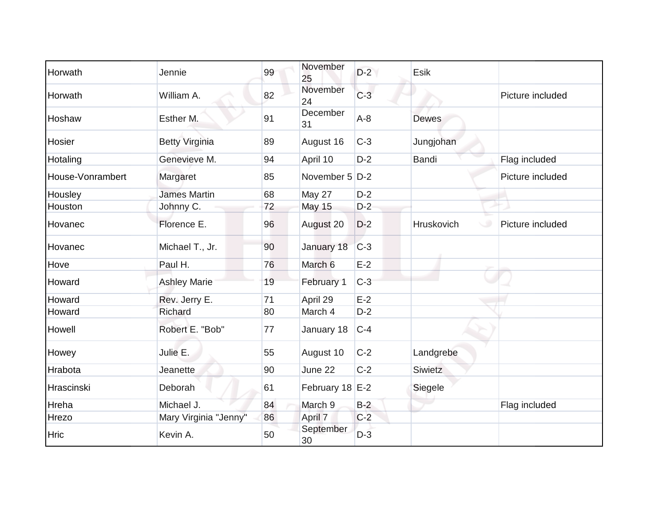| Horwath          | Jennie                | 99 | November<br>25  | $D-2$ | Esik         |                  |
|------------------|-----------------------|----|-----------------|-------|--------------|------------------|
| Horwath          | William A.            | 82 | November<br>24  | $C-3$ |              | Picture included |
| Hoshaw           | Esther M.             | 91 | December<br>31  | $A-8$ | Dewes        |                  |
| Hosier           | <b>Betty Virginia</b> | 89 | August 16       | $C-3$ | Jungjohan    |                  |
| Hotaling         | Genevieve M.          | 94 | April 10        | $D-2$ | <b>Bandi</b> | Flag included    |
| House-Vonrambert | Margaret              | 85 | November 5 D-2  |       |              | Picture included |
| Housley          | <b>James Martin</b>   | 68 | May 27          | $D-2$ |              |                  |
| Houston          | Johnny C.             | 72 | <b>May 15</b>   | $D-2$ |              |                  |
| Hovanec          | Florence E.           | 96 | August 20       | $D-2$ | Hruskovich   | Picture included |
| Hovanec          | Michael T., Jr.       | 90 | January 18      | $C-3$ |              |                  |
| Hove             | Paul H.               | 76 | March 6         | $E-2$ |              |                  |
| Howard           | <b>Ashley Marie</b>   | 19 | February 1      | $C-3$ |              |                  |
| Howard           | Rev. Jerry E.         | 71 | April 29        | $E-2$ |              |                  |
| Howard           | Richard               | 80 | March 4         | $D-2$ |              |                  |
| Howell           | Robert E. "Bob"       | 77 | January 18      | $C-4$ |              |                  |
| Howey            | Julie E.              | 55 | August 10       | $C-2$ | Landgrebe    |                  |
| Hrabota          | Jeanette              | 90 | June 22         | $C-2$ | Siwietz      |                  |
| Hrascinski       | Deborah               | 61 | February 18 E-2 |       | Siegele      |                  |
| Hreha            | Michael J.            | 84 | March 9         | $B-2$ |              | Flag included    |
| Hrezo            | Mary Virginia "Jenny" | 86 | April 7         | $C-2$ |              |                  |
| <b>Hric</b>      | Kevin A.              | 50 | September<br>30 | $D-3$ |              |                  |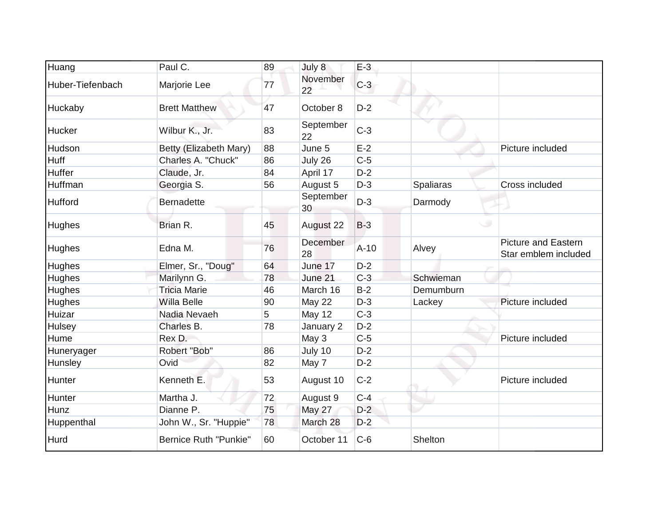| Huang            | Paul C.                | 89 | July 8          | $E-3$  |           |                                                    |
|------------------|------------------------|----|-----------------|--------|-----------|----------------------------------------------------|
| Huber-Tiefenbach | Marjorie Lee           | 77 | November<br>22  | $C-3$  |           |                                                    |
| Huckaby          | <b>Brett Matthew</b>   | 47 | October 8       | $D-2$  |           |                                                    |
| Hucker           | Wilbur K., Jr.         | 83 | September<br>22 | $C-3$  |           |                                                    |
| Hudson           | Betty (Elizabeth Mary) | 88 | June 5          | $E-2$  |           | Picture included                                   |
| <b>Huff</b>      | Charles A. "Chuck"     | 86 | July 26         | $C-5$  |           |                                                    |
| Huffer           | Claude, Jr.            | 84 | April 17        | $D-2$  |           |                                                    |
| Huffman          | Georgia S.             | 56 | August 5        | $D-3$  | Spaliaras | Cross included                                     |
| Hufford          | <b>Bernadette</b>      |    | September<br>30 | $D-3$  | Darmody   |                                                    |
| Hughes           | Brian R.               | 45 | August 22       | $B-3$  |           |                                                    |
| Hughes           | Edna M.                | 76 | December<br>28  | $A-10$ | Alvey     | <b>Picture and Eastern</b><br>Star emblem included |
| Hughes           | Elmer, Sr., "Doug"     | 64 | June 17         | $D-2$  |           |                                                    |
| Hughes           | Marilynn G.            | 78 | June 21         | $C-3$  | Schwieman |                                                    |
| Hughes           | <b>Tricia Marie</b>    | 46 | March 16        | $B-2$  | Demumburn |                                                    |
| Hughes           | Willa Belle            | 90 | May 22          | $D-3$  | Lackey    | Picture included                                   |
| Huizar           | Nadia Nevaeh           | 5  | May 12          | $C-3$  |           |                                                    |
| Hulsey           | Charles B.             | 78 | January 2       | $D-2$  |           |                                                    |
| Hume             | Rex D.                 |    | May 3           | $C-5$  |           | Picture included                                   |
| Huneryager       | Robert "Bob"           | 86 | July 10         | $D-2$  |           |                                                    |
| Hunsley          | Ovid                   | 82 | May 7           | $D-2$  |           |                                                    |
| Hunter           | Kenneth E.             | 53 | August 10       | $C-2$  |           | Picture included                                   |
| Hunter           | Martha J.              | 72 | August 9        | $C-4$  |           |                                                    |
| Hunz             | Dianne P.              | 75 | May 27          | $D-2$  |           |                                                    |
| Huppenthal       | John W., Sr. "Huppie"  | 78 | March 28        | $D-2$  |           |                                                    |
| Hurd             | Bernice Ruth "Punkie"  | 60 | October 11      | $C-6$  | Shelton   |                                                    |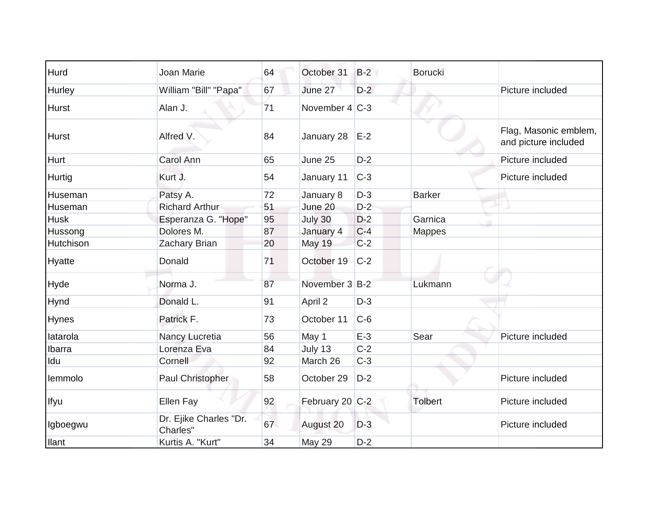| Hurd         | Joan Marie                         | 64 | October 31        | $B-2$ | <b>Borucki</b> |                                               |
|--------------|------------------------------------|----|-------------------|-------|----------------|-----------------------------------------------|
| Hurley       | William "Bill" "Papa"              | 67 | June 27           | $D-2$ |                | Picture included                              |
| <b>Hurst</b> | Alan J.                            | 71 | November $4 C-3 $ |       |                |                                               |
| <b>Hurst</b> | Alfred V.                          | 84 | January 28        | $E-2$ |                | Flag, Masonic emblem,<br>and picture included |
| <b>Hurt</b>  | <b>Carol Ann</b>                   | 65 | June 25           | $D-2$ |                | Picture included                              |
| Hurtig       | Kurt J.                            | 54 | January 11        | $C-3$ |                | Picture included                              |
| Huseman      | Patsy A.                           | 72 | January 8         | $D-3$ | <b>Barker</b>  |                                               |
| Huseman      | <b>Richard Arthur</b>              | 51 | June 20           | $D-2$ |                |                                               |
| <b>Husk</b>  | Esperanza G. "Hope"                | 95 | July 30           | $D-2$ | Garnica        |                                               |
| Hussong      | Dolores M.                         | 87 | January 4         | $C-4$ | <b>Mappes</b>  |                                               |
| Hutchison    | Zachary Brian                      | 20 | May 19            | $C-2$ |                |                                               |
| Hyatte       | Donald                             | 71 | October 19        | $C-2$ |                |                                               |
| Hyde         | Norma J.                           | 87 | November 3 B-2    |       | Lukmann        |                                               |
| Hynd         | Donald L.                          | 91 | April 2           | $D-3$ |                |                                               |
| <b>Hynes</b> | Patrick F.                         | 73 | October 11        | $C-6$ |                |                                               |
| latarola     | Nancy Lucretia                     | 56 | May 1             | $E-3$ | Sear           | Picture included                              |
| Ibarra       | Lorenza Eva                        | 84 | July 13           | $C-2$ |                |                                               |
| Idu          | Cornell                            | 92 | March 26          | $C-3$ |                |                                               |
| lemmolo      | Paul Christopher                   | 58 | October 29        | $D-2$ |                | Picture included                              |
| Ifyu         | Ellen Fay                          | 92 | February 20 C-2   |       | Tolbert        | Picture included                              |
| Igboegwu     | Dr. Ejike Charles "Dr.<br>Charles" | 67 | August 20         | $D-3$ |                | Picture included                              |
| llant        | Kurtis A. "Kurt"                   | 34 | <b>May 29</b>     | $D-2$ |                |                                               |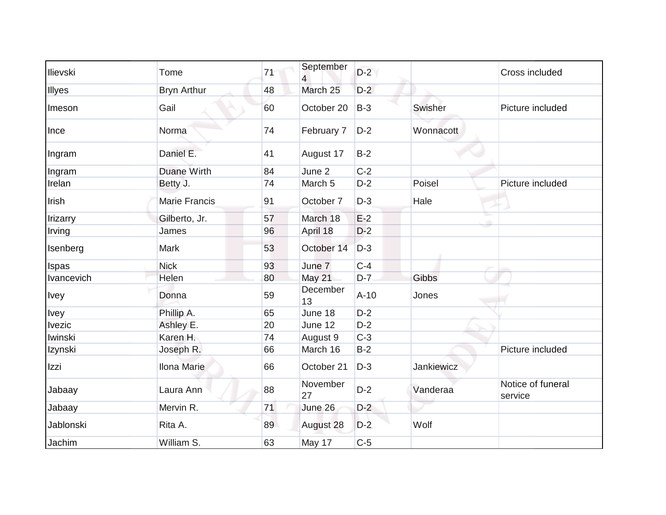| Ilievski       | Tome                 | 71 | September          | $D-2$  |            | Cross included               |
|----------------|----------------------|----|--------------------|--------|------------|------------------------------|
|                |                      |    | $\overline{4}$     | $D-2$  |            |                              |
| Illyes         | <b>Bryn Arthur</b>   | 48 | March 25           |        |            |                              |
| Imeson         | Gail                 | 60 | October 20         | $B-3$  | Swisher    | Picture included             |
| Ince           | Norma                | 74 | February 7         | $D-2$  | Wonnacott  |                              |
| Ingram         | Daniel E.            | 41 | August 17          | $B-2$  |            |                              |
| Ingram         | <b>Duane Wirth</b>   | 84 | June 2             | $C-2$  |            |                              |
| Irelan         | Betty J.             | 74 | March <sub>5</sub> | $D-2$  | Poisel     | Picture included             |
| Irish          | <b>Marie Francis</b> | 91 | October 7          | $D-3$  | Hale       |                              |
| Irizarry       | Gilberto, Jr.        | 57 | March 18           | $E-2$  |            |                              |
| Irving         | James                | 96 | April 18           | $D-2$  |            |                              |
| Isenberg       | Mark                 | 53 | October 14         | $D-3$  |            |                              |
| <b>Ispas</b>   | <b>Nick</b>          | 93 | June 7             | $C-4$  |            |                              |
| Ivancevich     | Helen                | 80 | May 21             | $D-7$  | Gibbs      |                              |
| <b>Ivey</b>    | Donna                | 59 | December<br>13     | $A-10$ | Jones      |                              |
| <b>Ivey</b>    | Phillip A.           | 65 | June 18            | $D-2$  |            |                              |
| <b>Ivezic</b>  | Ashley E.            | 20 | June 12            | $D-2$  |            |                              |
| <b>Iwinski</b> | Karen H.             | 74 | August 9           | $C-3$  |            |                              |
| Izynski        | Joseph R.            | 66 | March 16           | $B-2$  |            | Picture included             |
| Izzi           | <b>Ilona Marie</b>   | 66 | October 21         | $D-3$  | Jankiewicz |                              |
| Jabaay         | Laura Ann            | 88 | November<br>27     | $D-2$  | Vanderaa   | Notice of funeral<br>service |
| Jabaay         | Mervin R.            | 71 | June 26            | $D-2$  |            |                              |
| Jablonski      | Rita A.              | 89 | August 28          | $D-2$  | Wolf       |                              |
| Jachim         | William S.           | 63 | May 17             | $C-5$  |            |                              |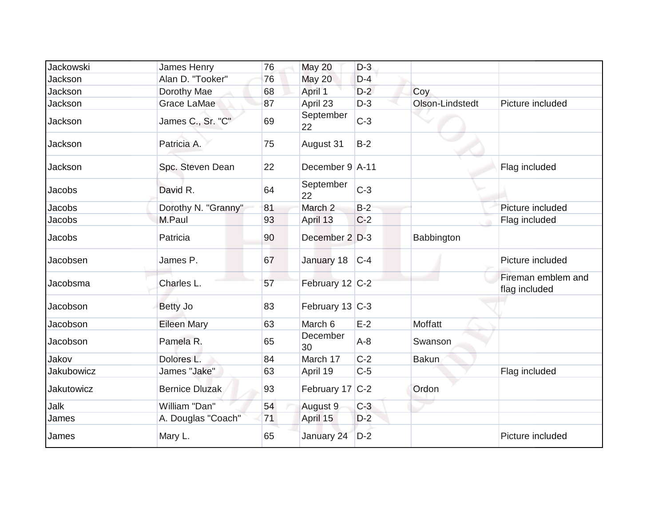| <b>Jackowski</b>  | James Henry           | 76 | May 20          | $D-3$   |                 |                                     |
|-------------------|-----------------------|----|-----------------|---------|-----------------|-------------------------------------|
| Jackson           | Alan D. "Tooker"      | 76 | <b>May 20</b>   | $D-4$   |                 |                                     |
| Jackson           | Dorothy Mae           | 68 | April 1         | $D-2$   | Coy             |                                     |
| Jackson           | Grace LaMae           | 87 | April 23        | $D-3$   | Olson-Lindstedt | Picture included                    |
| Jackson           | James C., Sr. "C"     | 69 | September<br>22 | $C-3$   |                 |                                     |
| Jackson           | Patricia A.           | 75 | August 31       | $B-2$   |                 |                                     |
| Jackson           | Spc. Steven Dean      | 22 | December 9 A-11 |         |                 | Flag included                       |
| <b>Jacobs</b>     | David R.              | 64 | September<br>22 | $C-3$   |                 |                                     |
| Jacobs            | Dorothy N. "Granny"   | 81 | March 2         | $B-2$   |                 | Picture included                    |
| Jacobs            | M.Paul                | 93 | April 13        | $C-2$   |                 | Flag included                       |
| <b>Jacobs</b>     | Patricia              | 90 | December 2 D-3  |         | Babbington      |                                     |
| Jacobsen          | James P.              | 67 | January 18      | $ C-4 $ |                 | Picture included                    |
| Jacobsma          | Charles L.            | 57 | February 12 C-2 |         |                 | Fireman emblem and<br>flag included |
| Jacobson          | Betty Jo              | 83 | February 13 C-3 |         |                 |                                     |
| Jacobson          | <b>Eileen Mary</b>    | 63 | March 6         | $E-2$   | Moffatt         |                                     |
| Jacobson          | Pamela R.             | 65 | December<br>30  | $A-8$   | Swanson         |                                     |
| Jakov             | Dolores L.            | 84 | March 17        | $C-2$   | <b>Bakun</b>    |                                     |
| <b>Jakubowicz</b> | James "Jake"          | 63 | April 19        | $C-5$   |                 | Flag included                       |
| <b>Jakutowicz</b> | <b>Bernice Dluzak</b> | 93 | February 17 C-2 |         | Ordon           |                                     |
| Jalk              | William "Dan"         | 54 | August 9        | $C-3$   |                 |                                     |
| James             | A. Douglas "Coach"    | 71 | April 15        | $D-2$   |                 |                                     |
| James             | Mary L.               | 65 | January 24      | $D-2$   |                 | Picture included                    |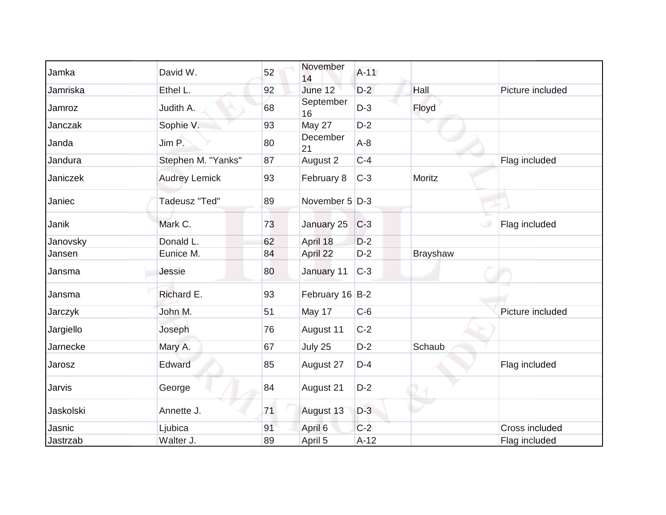| Jamka     | David W.             | 52 | November<br>14  | $A-11$ |                 |                  |
|-----------|----------------------|----|-----------------|--------|-----------------|------------------|
| Jamriska  | Ethel L.             | 92 | June 12         | $D-2$  | Hall            | Picture included |
| Jamroz    | Judith A.            | 68 | September<br>16 | $D-3$  | Floyd           |                  |
| Janczak   | Sophie V.            | 93 | May 27          | $D-2$  |                 |                  |
| Janda     | Jim P.               | 80 | December<br>21  | $A-8$  |                 |                  |
| Jandura   | Stephen M. "Yanks"   | 87 | August 2        | $C-4$  |                 | Flag included    |
| Janiczek  | <b>Audrey Lemick</b> | 93 | February 8      | $C-3$  | Moritz          |                  |
| Janiec    | Tadeusz "Ted"        | 89 | November 5 D-3  |        |                 |                  |
| Janik     | Mark C.              | 73 | January 25      | $C-3$  |                 | Flag included    |
| Janovsky  | Donald L.            | 62 | April 18        | $D-2$  |                 |                  |
| Jansen    | Eunice M.            | 84 | April 22        | $D-2$  | <b>Brayshaw</b> |                  |
| Jansma    | Jessie               | 80 | January 11      | $C-3$  |                 |                  |
| Jansma    | Richard E.           | 93 | February 16 B-2 |        |                 |                  |
| Jarczyk   | John M.              | 51 | May 17          | $C-6$  |                 | Picture included |
| Jargiello | Joseph               | 76 | August 11       | $C-2$  |                 |                  |
| Jarnecke  | Mary A.              | 67 | July 25         | $D-2$  | Schaub          |                  |
| Jarosz    | Edward               | 85 | August 27       | $D-4$  |                 | Flag included    |
| Jarvis    | George               | 84 | August 21       | $D-2$  |                 |                  |
| Jaskolski | Annette J.           | 71 | August 13       | $D-3$  |                 |                  |
| Jasnic    | Ljubica              | 91 | April 6         | $C-2$  |                 | Cross included   |
| Jastrzab  | Walter J.            | 89 | April 5         | $A-12$ |                 | Flag included    |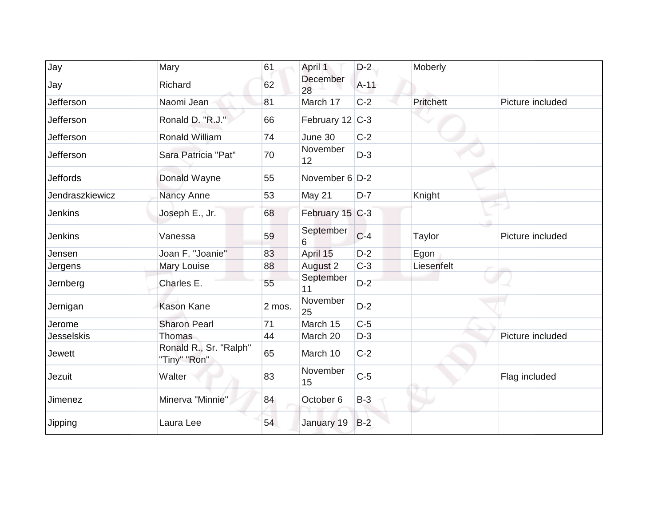| Jay               | Mary                                   | 61     | April 1          | $D-2$  | Moberly    |                  |
|-------------------|----------------------------------------|--------|------------------|--------|------------|------------------|
| Jay               | Richard                                | 62     | December<br>28   | $A-11$ |            |                  |
| Jefferson         | Naomi Jean                             | 81     | March 17         | $C-2$  | Pritchett  | Picture included |
| Jefferson         | Ronald D. "R.J."                       | 66     | February 12 C-3  |        |            |                  |
| Jefferson         | <b>Ronald William</b>                  | 74     | June 30          | $C-2$  |            |                  |
| Jefferson         | Sara Patricia "Pat"                    | 70     | November<br>12   | $D-3$  |            |                  |
| <b>Jeffords</b>   | Donald Wayne                           | 55     | November $6$ D-2 |        |            |                  |
| Jendraszkiewicz   | Nancy Anne                             | 53     | May 21           | $D-7$  | Knight     |                  |
| <b>Jenkins</b>    | Joseph E., Jr.                         | 68     | February 15 C-3  |        |            |                  |
| Jenkins           | Vanessa                                | 59     | September<br>6   | $C-4$  | Taylor     | Picture included |
| Jensen            | Joan F. "Joanie"                       | 83     | April 15         | $D-2$  | Egon       |                  |
| Jergens           | Mary Louise                            | 88     | August 2         | $C-3$  | Liesenfelt |                  |
| Jernberg          | Charles E.                             | 55     | September<br>11  | $D-2$  |            |                  |
| Jernigan          | <b>Kason Kane</b>                      | 2 mos. | November<br>25   | $D-2$  |            |                  |
| Jerome            | <b>Sharon Pearl</b>                    | 71     | March 15         | $C-5$  |            |                  |
| <b>Jesselskis</b> | Thomas                                 | 44     | March 20         | $D-3$  |            | Picture included |
| <b>Jewett</b>     | Ronald R., Sr. "Ralph"<br>"Tiny" "Ron" | 65     | March 10         | $C-2$  |            |                  |
| Jezuit            | Walter                                 | 83     | November<br>15   | $C-5$  |            | Flag included    |
| Jimenez           | Minerva "Minnie"                       | 84     | October 6        | $B-3$  |            |                  |
| Jipping           | Laura Lee                              | 54     | January 19       | $B-2$  |            |                  |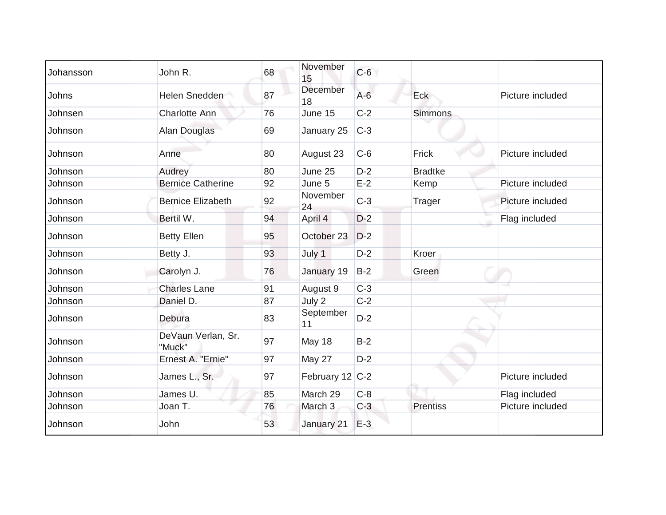| Johansson | John R.                      | 68 | November<br>15  | $C-6$ |                 |                  |
|-----------|------------------------------|----|-----------------|-------|-----------------|------------------|
| Johns     | Helen Snedden                | 87 | December<br>18  | $A-6$ | Eck             | Picture included |
| Johnsen   | <b>Charlotte Ann</b>         | 76 | June 15         | $C-2$ | <b>Simmons</b>  |                  |
| Johnson   | Alan Douglas                 | 69 | January 25      | $C-3$ |                 |                  |
| Johnson   | Anne                         | 80 | August 23       | $C-6$ | Frick           | Picture included |
| Johnson   | Audrey                       | 80 | June 25         | $D-2$ | <b>Bradtke</b>  |                  |
| Johnson   | <b>Bernice Catherine</b>     | 92 | June 5          | $E-2$ | Kemp            | Picture included |
| Johnson   | <b>Bernice Elizabeth</b>     | 92 | November<br>24  | $C-3$ | <b>Trager</b>   | Picture included |
| Johnson   | Bertil W.                    | 94 | April 4         | $D-2$ |                 | Flag included    |
| Johnson   | <b>Betty Ellen</b>           | 95 | October 23      | $D-2$ |                 |                  |
| Johnson   | Betty J.                     | 93 | July 1          | $D-2$ | Kroer           |                  |
| Johnson   | Carolyn J.                   | 76 | January 19      | $B-2$ | Green           |                  |
| Johnson   | <b>Charles Lane</b>          | 91 | August 9        | $C-3$ |                 |                  |
| Johnson   | Daniel D.                    | 87 | July 2          | $C-2$ |                 |                  |
| Johnson   | Debura                       | 83 | September<br>11 | $D-2$ |                 |                  |
| Johnson   | DeVaun Verlan, Sr.<br>"Muck" | 97 | May 18          | $B-2$ |                 |                  |
| Johnson   | Ernest A. "Ernie"            | 97 | May 27          | $D-2$ |                 |                  |
| Johnson   | James L., Sr.                | 97 | February 12 C-2 |       |                 | Picture included |
| Johnson   | James U.                     | 85 | March 29        | $C-8$ |                 | Flag included    |
| Johnson   | Joan T.                      | 76 | March 3         | $C-3$ | <b>Prentiss</b> | Picture included |
| Johnson   | John                         | 53 | January 21      | $E-3$ |                 |                  |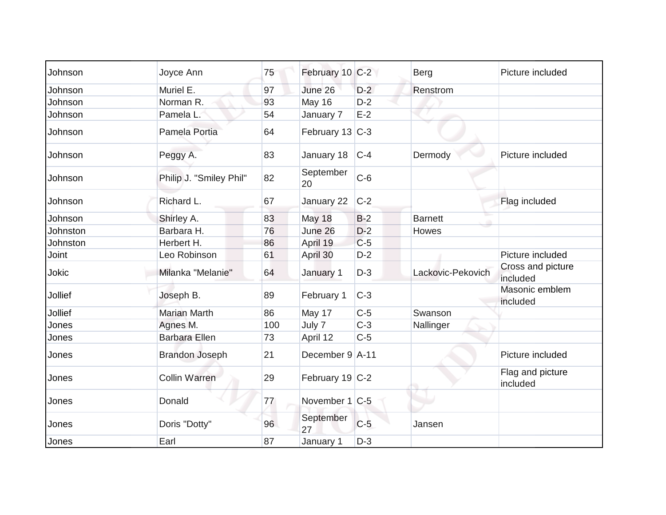| Johnson  | Joyce Ann               | 75  | February 10 C-2 |       | <b>Berg</b>       | Picture included              |
|----------|-------------------------|-----|-----------------|-------|-------------------|-------------------------------|
| Johnson  | Muriel E.               | 97  | June 26         | $D-2$ | Renstrom          |                               |
| Johnson  | Norman R.               | 93  | <b>May 16</b>   | $D-2$ |                   |                               |
| Johnson  | Pamela L.               | 54  | January 7       | $E-2$ |                   |                               |
| Johnson  | Pamela Portia           | 64  | February 13 C-3 |       |                   |                               |
| Johnson  | Peggy A.                | 83  | January 18      | $C-4$ | Dermody           | Picture included              |
| Johnson  | Philip J. "Smiley Phil" | 82  | September<br>20 | $C-6$ |                   |                               |
| Johnson  | Richard L.              | 67  | January 22      | $C-2$ |                   | Flag included                 |
| Johnson  | Shirley A.              | 83  | May 18          | $B-2$ | <b>Barnett</b>    |                               |
| Johnston | Barbara H.              | 76  | June 26         | $D-2$ | Howes             |                               |
| Johnston | Herbert H.              | 86  | April 19        | $C-5$ |                   |                               |
| Joint    | Leo Robinson            | 61  | April 30        | $D-2$ |                   | Picture included              |
| Jokic    | Milanka "Melanie"       | 64  | January 1       | $D-3$ | Lackovic-Pekovich | Cross and picture<br>included |
| Jollief  | Joseph B.               | 89  | February 1      | $C-3$ |                   | Masonic emblem<br>included    |
| Jollief  | <b>Marian Marth</b>     | 86  | May 17          | $C-5$ | Swanson           |                               |
| Jones    | Agnes M.                | 100 | July 7          | $C-3$ | Nallinger         |                               |
| Jones    | <b>Barbara Ellen</b>    | 73  | April 12        | $C-5$ |                   |                               |
| Jones    | <b>Brandon Joseph</b>   | 21  | December 9 A-11 |       |                   | Picture included              |
| Jones    | <b>Collin Warren</b>    | 29  | February 19 C-2 |       |                   | Flag and picture<br>included  |
| Jones    | Donald                  | 77  | November 1 C-5  |       |                   |                               |
| Jones    | Doris "Dotty"           | 96  | September<br>27 | $C-5$ | Jansen            |                               |
| Jones    | Earl                    | 87  | January 1       | $D-3$ |                   |                               |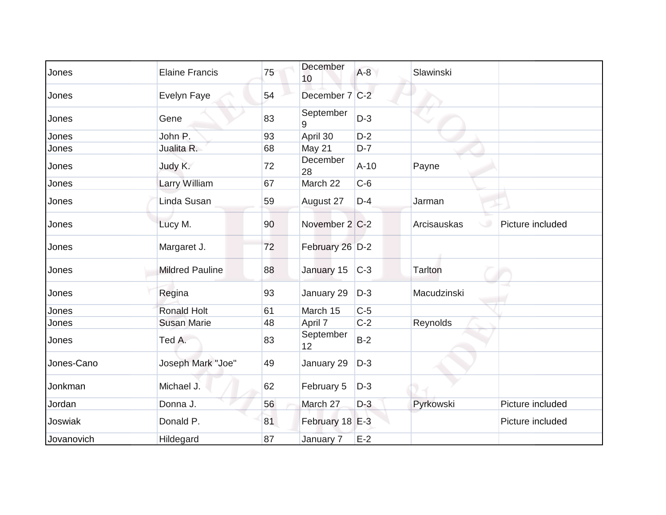| Jones      | <b>Elaine Francis</b>  | 75 | December<br>10  | $A-8$  | Slawinski                       |  |
|------------|------------------------|----|-----------------|--------|---------------------------------|--|
| Jones      | Evelyn Faye            | 54 | December 7 C-2  |        |                                 |  |
| Jones      | Gene                   | 83 | September<br>9  | $D-3$  |                                 |  |
| Jones      | John P.                | 93 | April 30        | $D-2$  |                                 |  |
| Jones      | Jualita R.             | 68 | <b>May 21</b>   | $D-7$  |                                 |  |
| Jones      | Judy K.                | 72 | December<br>28  | $A-10$ | Payne                           |  |
| Jones      | Larry William          | 67 | March 22        | $C-6$  |                                 |  |
| Jones      | Linda Susan            | 59 | August 27       | $D-4$  | Jarman                          |  |
| Jones      | Lucy M.                | 90 | November 2 C-2  |        | Picture included<br>Arcisauskas |  |
| Jones      | Margaret J.            | 72 | February 26 D-2 |        |                                 |  |
| Jones      | <b>Mildred Pauline</b> | 88 | January 15      | $C-3$  | <b>Tarlton</b>                  |  |
| Jones      | Regina                 | 93 | January 29      | $D-3$  | Macudzinski                     |  |
| Jones      | <b>Ronald Holt</b>     | 61 | March 15        | $C-5$  |                                 |  |
| Jones      | <b>Susan Marie</b>     | 48 | April 7         | $C-2$  | Reynolds                        |  |
| Jones      | Ted A.                 | 83 | September<br>12 | $B-2$  |                                 |  |
| Jones-Cano | Joseph Mark "Joe"      | 49 | January 29      | $D-3$  |                                 |  |
| Jonkman    | Michael J.             | 62 | February 5      | $D-3$  |                                 |  |
| Jordan     | Donna J.               | 56 | March 27        | $D-3$  | Pyrkowski<br>Picture included   |  |
| Joswiak    | Donald P.              | 81 | February 18 E-3 |        | Picture included                |  |
| Jovanovich | Hildegard              | 87 | January 7       | $E-2$  |                                 |  |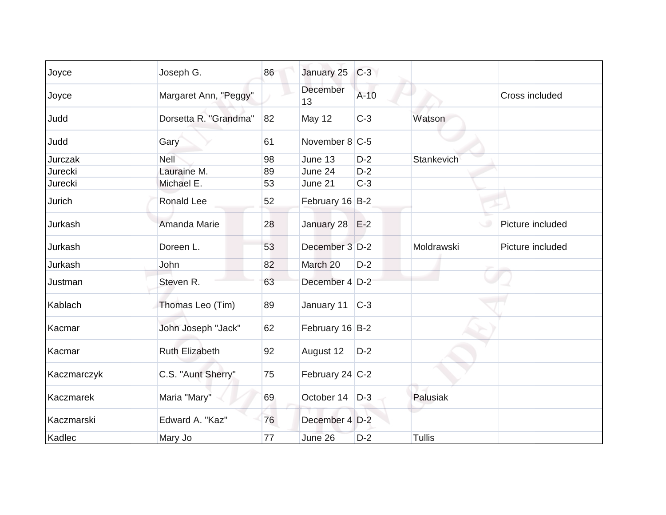| Joyce       | Joseph G.             | 86 | January 25       | $C-3$  |               |                  |
|-------------|-----------------------|----|------------------|--------|---------------|------------------|
| Joyce       | Margaret Ann, "Peggy" |    | December<br>13   | $A-10$ |               | Cross included   |
| Judd        | Dorsetta R. "Grandma" | 82 | May 12           | $C-3$  | Watson        |                  |
| Judd        | Gary                  | 61 | November 8 C-5   |        |               |                  |
| Jurczak     | Nell                  | 98 | June 13          | $D-2$  | Stankevich    |                  |
| Jurecki     | Lauraine M.           | 89 | June 24          | $D-2$  |               |                  |
| Jurecki     | Michael E.            | 53 | June 21          | $C-3$  |               |                  |
| Jurich      | Ronald Lee            | 52 | February 16 B-2  |        |               |                  |
| Jurkash     | Amanda Marie          | 28 | January 28 E-2   |        | w             | Picture included |
| Jurkash     | Doreen L.             | 53 | December 3 D-2   |        | Moldrawski    | Picture included |
| Jurkash     | John                  | 82 | March 20         | $D-2$  |               |                  |
| Justman     | Steven R.             | 63 | December 4 D-2   |        |               |                  |
| Kablach     | Thomas Leo (Tim)      | 89 | January 11       | $C-3$  |               |                  |
| Kacmar      | John Joseph "Jack"    | 62 | February 16 B-2  |        |               |                  |
| Kacmar      | <b>Ruth Elizabeth</b> | 92 | August 12        | $D-2$  |               |                  |
| Kaczmarczyk | C.S. "Aunt Sherry"    | 75 | February 24 C-2  |        |               |                  |
| Kaczmarek   | Maria "Mary"          | 69 | October 14   D-3 |        | Palusiak      |                  |
| Kaczmarski  | Edward A. "Kaz"       | 76 | December 4 D-2   |        |               |                  |
| Kadlec      | Mary Jo               | 77 | June 26          | $D-2$  | <b>Tullis</b> |                  |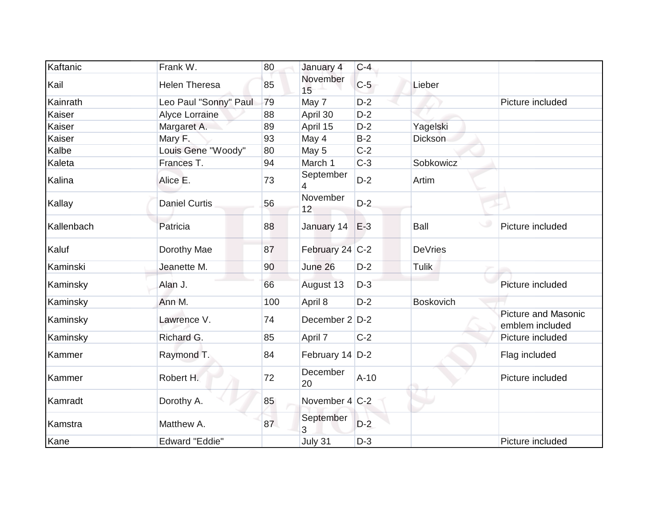| Kaftanic   | Frank W.              | 80  | January 4         | $C-4$  |                  |                                               |
|------------|-----------------------|-----|-------------------|--------|------------------|-----------------------------------------------|
| Kail       | <b>Helen Theresa</b>  | 85  | November<br>15    | $C-5$  | Lieber           |                                               |
| Kainrath   | Leo Paul "Sonny" Paul | 79  | May 7             | $D-2$  |                  | Picture included                              |
| Kaiser     | <b>Alyce Lorraine</b> | 88  | April 30          | $D-2$  |                  |                                               |
| Kaiser     | Margaret A.           | 89  | April 15          | $D-2$  | Yagelski         |                                               |
| Kaiser     | Mary F.               | 93  | May 4             | $B-2$  | <b>Dickson</b>   |                                               |
| Kalbe      | Louis Gene "Woody"    | 80  | May 5             | $C-2$  |                  |                                               |
| Kaleta     | Frances T.            | 94  | March 1           | $C-3$  | Sobkowicz        |                                               |
| Kalina     | Alice E.              | 73  | September<br>4    | $D-2$  | Artim            |                                               |
| Kallay     | <b>Daniel Curtis</b>  | 56  | November<br>12    | $D-2$  |                  |                                               |
| Kallenbach | Patricia              | 88  | January 14        | $E-3$  | Ball             | Picture included                              |
| Kaluf      | Dorothy Mae           | 87  | February 24 C-2   |        | <b>DeVries</b>   |                                               |
| Kaminski   | Jeanette M.           | 90  | June 26           | $D-2$  | <b>Tulik</b>     |                                               |
| Kaminsky   | Alan J.               | 66  | August 13         | $D-3$  |                  | Picture included                              |
| Kaminsky   | Ann M.                | 100 | April 8           | $D-2$  | <b>Boskovich</b> |                                               |
| Kaminsky   | Lawrence V.           | 74  | December $2 D-2 $ |        |                  | <b>Picture and Masonic</b><br>emblem included |
| Kaminsky   | Richard G.            | 85  | April 7           | $C-2$  |                  | Picture included                              |
| Kammer     | Raymond T.            | 84  | February 14 D-2   |        |                  | Flag included                                 |
| Kammer     | Robert H.             | 72  | December<br>20    | $A-10$ |                  | Picture included                              |
| Kamradt    | Dorothy A.            | 85  | November $4 C-2 $ |        |                  |                                               |
| Kamstra    | Matthew A.            | 87  | September<br>3    | $D-2$  |                  |                                               |
| Kane       | <b>Edward "Eddie"</b> |     | July 31           | $D-3$  |                  | Picture included                              |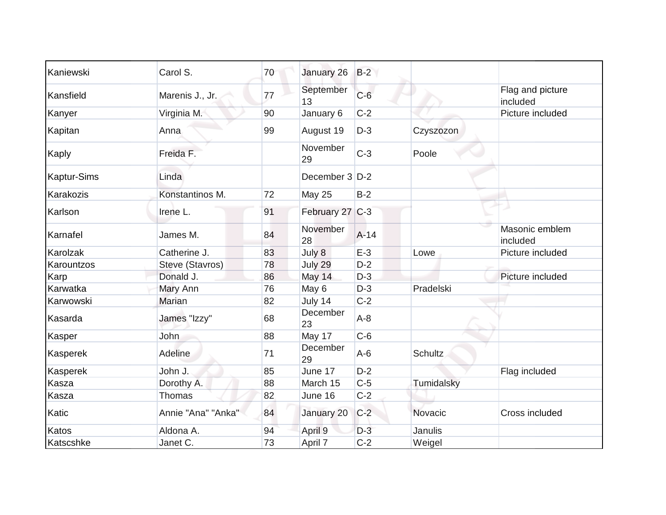| Kaniewski          | Carol S.           | 70 | January 26      | $B-2$  |                |                              |
|--------------------|--------------------|----|-----------------|--------|----------------|------------------------------|
| Kansfield          | Marenis J., Jr.    | 77 | September<br>13 | $C-6$  |                | Flag and picture<br>included |
| Kanyer             | Virginia M.        | 90 | January 6       | $C-2$  |                | Picture included             |
| Kapitan            | Anna               | 99 | August 19       | $D-3$  | Czyszozon      |                              |
| Kaply              | Freida F.          |    | November<br>29  | $C-3$  | Poole          |                              |
| <b>Kaptur-Sims</b> | Linda              |    | December 3 D-2  |        |                |                              |
| Karakozis          | Konstantinos M.    | 72 | <b>May 25</b>   | $B-2$  |                |                              |
| Karlson            | Irene L.           | 91 | February 27 C-3 |        |                |                              |
| Karnafel           | James M.           | 84 | November<br>28  | $A-14$ |                | Masonic emblem<br>included   |
| Karolzak           | Catherine J.       | 83 | July 8          | $E-3$  | Lowe           | Picture included             |
| Karountzos         | Steve (Stavros)    | 78 | July 29         | $D-2$  |                |                              |
| Karp               | Donald J.          | 86 | May 14          | $D-3$  |                | Picture included             |
| Karwatka           | Mary Ann           | 76 | May 6           | $D-3$  | Pradelski      |                              |
| Karwowski          | <b>Marian</b>      | 82 | July 14         | $C-2$  |                |                              |
| Kasarda            | James "Izzy"       | 68 | December<br>23  | $A-8$  |                |                              |
| Kasper             | John               | 88 | May 17          | $C-6$  |                |                              |
| Kasperek           | Adeline            | 71 | December<br>29  | $A-6$  | <b>Schultz</b> |                              |
| Kasperek           | John J.            | 85 | June 17         | $D-2$  |                | Flag included                |
| Kasza              | Dorothy A.         | 88 | March 15        | $C-5$  | Tumidalsky     |                              |
| Kasza              | Thomas             | 82 | June 16         | $C-2$  |                |                              |
| Katic              | Annie "Ana" "Anka" | 84 | January 20      | $C-2$  | Novacic        | Cross included               |
| Katos              | Aldona A.          | 94 | April 9         | $D-3$  | Janulis        |                              |
| Katscshke          | Janet C.           | 73 | April 7         | $C-2$  | Weigel         |                              |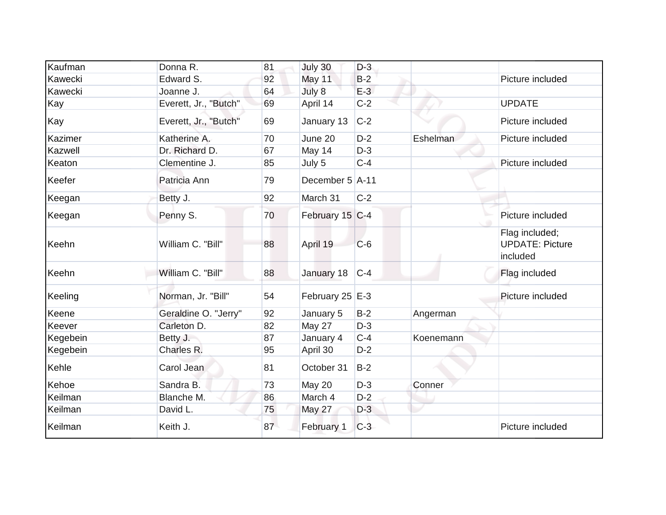| Kaufman        | Donna R.              | 81 | July 30           | $D-3$ |           |                                                      |
|----------------|-----------------------|----|-------------------|-------|-----------|------------------------------------------------------|
| Kawecki        | Edward S.             | 92 | May 11            | $B-2$ |           | Picture included                                     |
| Kawecki        | Joanne J.             | 64 | July 8            | $E-3$ |           |                                                      |
| Kay            | Everett, Jr., "Butch" | 69 | April 14          | $C-2$ |           | <b>UPDATE</b>                                        |
| Kay            | Everett, Jr., "Butch" | 69 | January 13        | $C-2$ |           | Picture included                                     |
| Kazimer        | Katherine A.          | 70 | June 20           | $D-2$ | Eshelman  | Picture included                                     |
| <b>Kazwell</b> | Dr. Richard D.        | 67 | May 14            | $D-3$ |           |                                                      |
| Keaton         | Clementine J.         | 85 | July 5            | $C-4$ |           | Picture included                                     |
| Keefer         | Patricia Ann          | 79 | December 5 A-11   |       |           |                                                      |
| Keegan         | Betty J.              | 92 | March 31          | $C-2$ |           |                                                      |
| Keegan         | Penny S.              | 70 | February 15 C-4   |       |           | Picture included                                     |
| Keehn          | William C. "Bill"     | 88 | April 19          | $C-6$ |           | Flag included;<br><b>UPDATE: Picture</b><br>included |
| Keehn          | William C. "Bill"     | 88 | January 18        | $C-4$ |           | Flag included                                        |
| Keeling        | Norman, Jr. "Bill"    | 54 | February 25   E-3 |       |           | Picture included                                     |
| Keene          | Geraldine O. "Jerry"  | 92 | January 5         | $B-2$ | Angerman  |                                                      |
| Keever         | Carleton D.           | 82 | May 27            | $D-3$ |           |                                                      |
| Kegebein       | Betty J.              | 87 | January 4         | $C-4$ | Koenemann |                                                      |
| Kegebein       | Charles R.            | 95 | April 30          | $D-2$ |           |                                                      |
| Kehle          | Carol Jean            | 81 | October 31        | $B-2$ |           |                                                      |
| Kehoe          | Sandra B.             | 73 | May 20            | $D-3$ | Conner    |                                                      |
| Keilman        | Blanche M.            | 86 | March 4           | $D-2$ |           |                                                      |
| Keilman        | David L.              | 75 | May 27            | $D-3$ |           |                                                      |
| Keilman        | Keith J.              | 87 | February 1        | $C-3$ |           | Picture included                                     |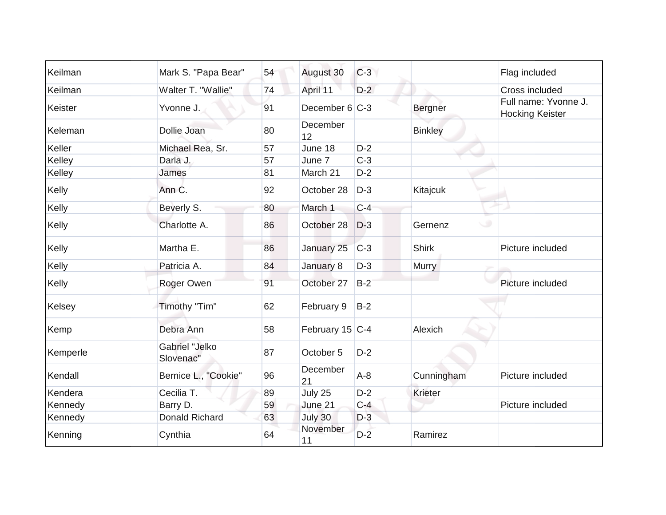| Keilman  | Mark S. "Papa Bear"                | 54 | August 30         | $C-3$ |                | Flag included                                  |
|----------|------------------------------------|----|-------------------|-------|----------------|------------------------------------------------|
| Keilman  | Walter T. "Wallie"                 | 74 | April 11          | $D-2$ |                | Cross included                                 |
| Keister  | Yvonne J.                          | 91 | December $6 C-3 $ |       | Bergner        | Full name: Yvonne J.<br><b>Hocking Keister</b> |
| Keleman  | Dollie Joan                        | 80 | December<br>12    |       | <b>Binkley</b> |                                                |
| Keller   | Michael Rea, Sr.                   | 57 | June 18           | $D-2$ |                |                                                |
| Kelley   | Darla J.                           | 57 | June 7            | $C-3$ |                |                                                |
| Kelley   | James                              | 81 | March 21          | $D-2$ |                |                                                |
| Kelly    | Ann C.                             | 92 | October 28        | $D-3$ | Kitajcuk       |                                                |
| Kelly    | Beverly S.                         | 80 | March 1           | $C-4$ |                |                                                |
| Kelly    | Charlotte A.                       | 86 | October 28        | $D-3$ | Gernenz        |                                                |
| Kelly    | Martha E.                          | 86 | January 25        | $C-3$ | <b>Shirk</b>   | Picture included                               |
| Kelly    | Patricia A.                        | 84 | January 8         | $D-3$ | <b>Murry</b>   |                                                |
| Kelly    | Roger Owen                         | 91 | October 27        | $B-2$ |                | Picture included                               |
| Kelsey   | Timothy "Tim"                      | 62 | February 9        | $B-2$ |                |                                                |
| Kemp     | Debra Ann                          | 58 | February 15 C-4   |       | Alexich        |                                                |
| Kemperle | <b>Gabriel "Jelko</b><br>Slovenac" | 87 | October 5         | $D-2$ |                |                                                |
| Kendall  | Bernice L., "Cookie"               | 96 | December<br>21    | $A-8$ | Cunningham     | Picture included                               |
| Kendera  | Cecilia T.                         | 89 | July 25           | $D-2$ | <b>Krieter</b> |                                                |
| Kennedy  | Barry D.                           | 59 | June 21           | $C-4$ |                | Picture included                               |
| Kennedy  | Donald Richard                     | 63 | July 30           | $D-3$ |                |                                                |
| Kenning  | Cynthia                            | 64 | November<br>11    | $D-2$ | Ramirez        |                                                |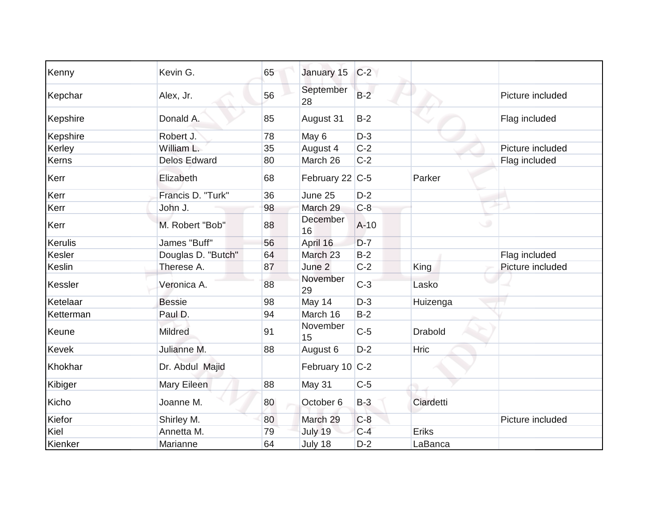| Kenny     | Kevin G.            | 65 | January 15            | $C-2$  |                |                  |
|-----------|---------------------|----|-----------------------|--------|----------------|------------------|
| Kepchar   | Alex, Jr.           | 56 | September<br>28       | $B-2$  |                | Picture included |
| Kepshire  | Donald A.           | 85 | August 31             | $B-2$  |                | Flag included    |
| Kepshire  | Robert J.           | 78 | May 6                 | $D-3$  |                |                  |
| Kerley    | William L.          | 35 | August 4              | $C-2$  |                | Picture included |
| Kerns     | <b>Delos Edward</b> | 80 | March 26              | $C-2$  |                | Flag included    |
| Kerr      | Elizabeth           | 68 | February 22 C-5       |        | Parker         |                  |
| Kerr      | Francis D. "Turk"   | 36 | June 25               | $D-2$  |                |                  |
| Kerr      | John J.             | 98 | March 29              | $C-8$  |                |                  |
| Kerr      | M. Robert "Bob"     | 88 | <b>December</b><br>16 | $A-10$ |                |                  |
| Kerulis   | James "Buff"        | 56 | April 16              | $D-7$  |                |                  |
| Kesler    | Douglas D. "Butch"  | 64 | March 23              | $B-2$  |                | Flag included    |
| Keslin    | Therese A.          | 87 | June 2                | $C-2$  | King           | Picture included |
| Kessler   | Veronica A.         | 88 | November<br>29        | $C-3$  | Lasko          |                  |
| Ketelaar  | <b>Bessie</b>       | 98 | May 14                | $D-3$  | Huizenga       |                  |
| Ketterman | Paul D.             | 94 | March 16              | $B-2$  |                |                  |
| Keune     | <b>Mildred</b>      | 91 | November<br>15        | $C-5$  | <b>Drabold</b> |                  |
| Kevek     | Julianne M.         | 88 | August 6              | $D-2$  | Hric           |                  |
| Khokhar   | Dr. Abdul Majid     |    | February 10 C-2       |        |                |                  |
| Kibiger   | Mary Eileen         | 88 | May 31                | $C-5$  |                |                  |
| Kicho     | Joanne M.           | 80 | October 6             | $B-3$  | Ciardetti      |                  |
| Kiefor    | Shirley M.          | 80 | March 29              | $C-8$  |                | Picture included |
| Kiel      | Annetta M.          | 79 | July 19               | $C-4$  | Eriks          |                  |
| Kienker   | Marianne            | 64 | July 18               | $D-2$  | LaBanca        |                  |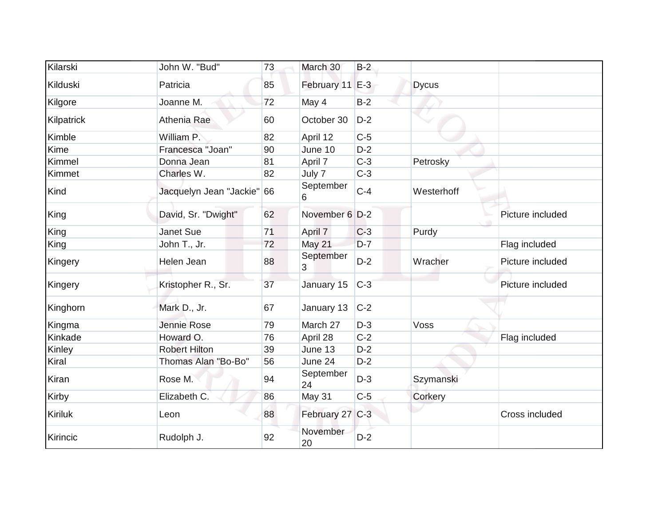| Kilarski       | John W. "Bud"              | 73 | March 30        | $B-2$ |              |                  |
|----------------|----------------------------|----|-----------------|-------|--------------|------------------|
| Kilduski       | Patricia                   | 85 | February 11 E-3 |       | <b>Dycus</b> |                  |
| Kilgore        | Joanne M.                  | 72 | May 4           | $B-2$ |              |                  |
| Kilpatrick     | Athenia Rae                | 60 | October 30      | $D-2$ |              |                  |
| Kimble         | William P.                 | 82 | April 12        | $C-5$ |              |                  |
| Kime           | Francesca "Joan"           | 90 | June 10         | $D-2$ |              |                  |
| Kimmel         | Donna Jean                 | 81 | April 7         | $C-3$ | Petrosky     |                  |
| Kimmet         | Charles W.                 | 82 | July 7          | $C-3$ |              |                  |
| Kind           | Jacquelyn Jean "Jackie" 66 |    | September<br>6  | $C-4$ | Westerhoff   |                  |
| King           | David, Sr. "Dwight"        | 62 | November 6 D-2  |       |              | Picture included |
| King           | Janet Sue                  | 71 | April 7         | $C-3$ | Purdy        |                  |
| King           | John T., Jr.               | 72 | <b>May 21</b>   | $D-7$ |              | Flag included    |
| Kingery        | Helen Jean                 | 88 | September<br>3  | $D-2$ | Wracher      | Picture included |
| Kingery        | Kristopher R., Sr.         | 37 | January 15      | $C-3$ |              | Picture included |
| Kinghorn       | Mark D., Jr.               | 67 | January 13      | $C-2$ |              |                  |
| Kingma         | Jennie Rose                | 79 | March 27        | $D-3$ | Voss         |                  |
| Kinkade        | Howard O.                  | 76 | April 28        | $C-2$ |              | Flag included    |
| Kinley         | <b>Robert Hilton</b>       | 39 | June 13         | $D-2$ |              |                  |
| Kiral          | Thomas Alan "Bo-Bo"        | 56 | June 24         | $D-2$ |              |                  |
| Kiran          | Rose M.                    | 94 | September<br>24 | $D-3$ | Szymanski    |                  |
| Kirby          | Elizabeth C.               | 86 | May 31          | $C-5$ | Corkery      |                  |
| <b>Kiriluk</b> | Leon                       | 88 | February 27 C-3 |       |              | Cross included   |
| Kirincic       | Rudolph J.                 | 92 | November<br>20  | $D-2$ |              |                  |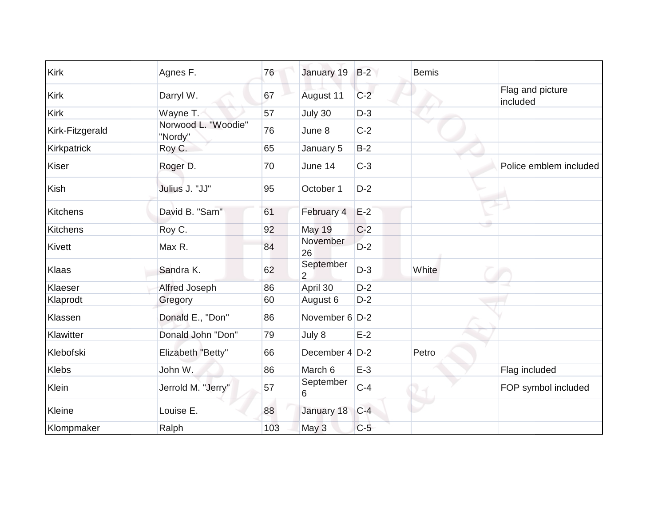| <b>Kirk</b>     | Agnes F.                       | 76  | January 19                  | $B-2$ | <b>Bemis</b> |                              |
|-----------------|--------------------------------|-----|-----------------------------|-------|--------------|------------------------------|
| <b>Kirk</b>     | Darryl W.                      | 67  | August 11                   | $C-2$ |              | Flag and picture<br>included |
| <b>Kirk</b>     | Wayne T.                       | 57  | July 30                     | $D-3$ |              |                              |
| Kirk-Fitzgerald | Norwood L. "Woodie"<br>"Nordy" | 76  | June 8                      | $C-2$ |              |                              |
| Kirkpatrick     | Roy C.                         | 65  | January 5                   | $B-2$ |              |                              |
| Kiser           | Roger D.                       | 70  | June 14                     | $C-3$ |              | Police emblem included       |
| <b>Kish</b>     | Julius J. "JJ"                 | 95  | October 1                   | $D-2$ |              |                              |
| <b>Kitchens</b> | David B. "Sam"                 | 61  | February 4                  | $E-2$ |              |                              |
| <b>Kitchens</b> | Roy C.                         | 92  | <b>May 19</b>               | $C-2$ |              |                              |
| Kivett          | Max R.                         | 84  | November<br>26              | $D-2$ |              |                              |
| Klaas           | Sandra K.                      | 62  | September<br>$\overline{2}$ | $D-3$ | White        |                              |
| Klaeser         | Alfred Joseph                  | 86  | April 30                    | $D-2$ |              |                              |
| Klaprodt        | Gregory                        | 60  | August 6                    | $D-2$ |              |                              |
| Klassen         | Donald E., "Don"               | 86  | November 6 D-2              |       |              |                              |
| Klawitter       | Donald John "Don"              | 79  | July 8                      | $E-2$ |              |                              |
| Klebofski       | Elizabeth "Betty"              | 66  | December $4$ D-2            |       | Petro        |                              |
| <b>Klebs</b>    | John W.                        | 86  | March 6                     | $E-3$ |              | Flag included                |
| Klein           | Jerrold M. "Jerry"             | 57  | September<br>6              | $C-4$ |              | FOP symbol included          |
| Kleine          | Louise E.                      | 88  | January 18                  | $C-4$ |              |                              |
| Klompmaker      | Ralph                          | 103 | May 3                       | $C-5$ |              |                              |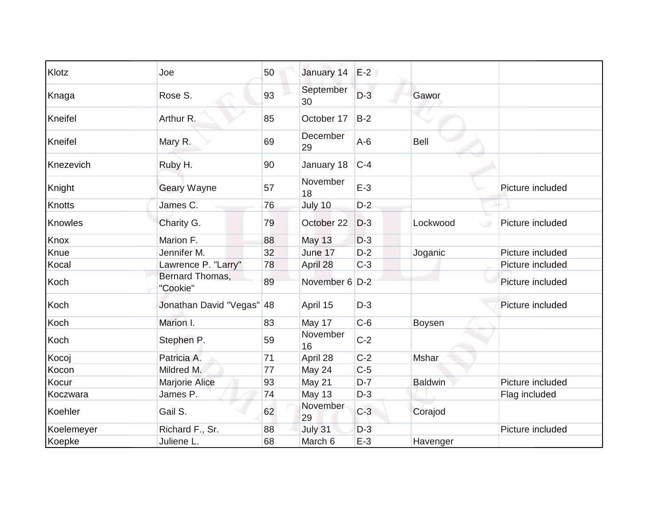| Klotz         | Joe                         | 50 | January 14      | $E-2$ |                |                  |
|---------------|-----------------------------|----|-----------------|-------|----------------|------------------|
| Knaga         | Rose S.                     | 93 | September<br>30 | $D-3$ | Gawor          |                  |
| Kneifel       | Arthur R.                   | 85 | October 17      | $B-2$ |                |                  |
| Kneifel       | Mary R.                     | 69 | December<br>29  | $A-6$ | Bell           |                  |
| Knezevich     | Ruby H.                     | 90 | January 18      | $C-4$ |                |                  |
| Knight        | <b>Geary Wayne</b>          | 57 | November<br>18  | $E-3$ |                | Picture included |
| <b>Knotts</b> | James C.                    | 76 | July 10         | $D-2$ |                |                  |
| Knowles       | Charity G.                  | 79 | October 22      | $D-3$ | Lockwood       | Picture included |
| Knox          | Marion F.                   | 88 | <b>May 13</b>   | $D-3$ |                |                  |
| Knue          | Jennifer M.                 | 32 | June 17         | $D-2$ | Joganic        | Picture included |
| Kocal         | Lawrence P. "Larry"         | 78 | April 28        | $C-3$ |                | Picture included |
| Koch          | Bernard Thomas,<br>"Cookie" | 89 | November 6 D-2  |       |                | Picture included |
| Koch          | Jonathan David "Vegas" 48   |    | April 15        | $D-3$ |                | Picture included |
| Koch          | Marion I.                   | 83 | May 17          | $C-6$ | Boysen         |                  |
| Koch          | Stephen P.                  | 59 | November<br>16  | $C-2$ |                |                  |
| Kocoj         | Patricia A.                 | 71 | April 28        | $C-2$ | Mshar          |                  |
| Kocon         | Mildred M.                  | 77 | May 24          | $C-5$ |                |                  |
| Kocur         | <b>Marjorie Alice</b>       | 93 | May 21          | $D-7$ | <b>Baldwin</b> | Picture included |
| Koczwara      | James P.                    | 74 | May 13          | $D-3$ |                | Flag included    |
| Koehler       | Gail S.                     | 62 | November<br>29  | $C-3$ | Corajod        |                  |
| Koelemeyer    | Richard F., Sr.             | 88 | July 31         | $D-3$ |                | Picture included |
| Koepke        | Juliene L.                  | 68 | March 6         | $E-3$ | Havenger       |                  |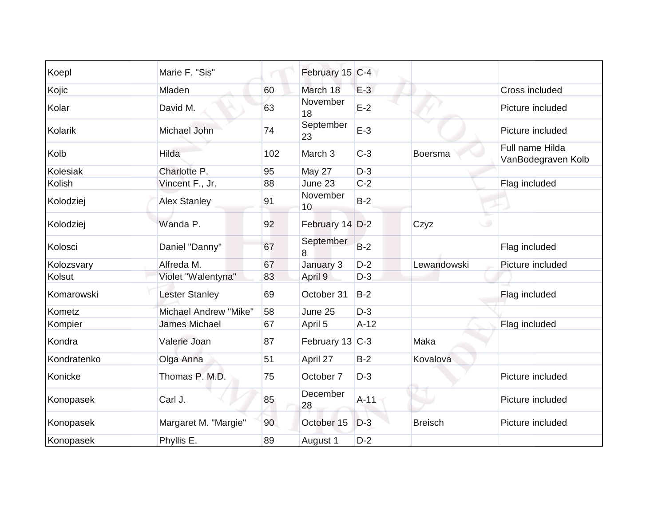| Koepl       | Marie F. "Sis"        |     | February 15 C-4    |        |                |                                       |
|-------------|-----------------------|-----|--------------------|--------|----------------|---------------------------------------|
| Kojic       | Mladen                | 60  | March 18           | $E-3$  |                | Cross included                        |
| Kolar       | David M.              | 63  | November<br>18     | $E-2$  |                | Picture included                      |
| Kolarik     | Michael John          | 74  | September<br>23    | $E-3$  |                | Picture included                      |
| Kolb        | Hilda                 | 102 | March <sub>3</sub> | $C-3$  | <b>Boersma</b> | Full name Hilda<br>VanBodegraven Kolb |
| Kolesiak    | Charlotte P.          | 95  | May 27             | $D-3$  |                |                                       |
| Kolish      | Vincent F., Jr.       | 88  | June 23            | $C-2$  |                | Flag included                         |
| Kolodziej   | <b>Alex Stanley</b>   | 91  | November<br>10     | $B-2$  |                |                                       |
| Kolodziej   | Wanda P.              | 92  | February 14 D-2    |        | Czyz           |                                       |
| Kolosci     | Daniel "Danny"        | 67  | September<br>8     | $B-2$  |                | Flag included                         |
| Kolozsvary  | Alfreda M.            | 67  | January 3          | $D-2$  | Lewandowski    | Picture included                      |
| Kolsut      | Violet "Walentyna"    | 83  | April 9            | $D-3$  |                |                                       |
| Komarowski  | <b>Lester Stanley</b> | 69  | October 31         | $B-2$  |                | Flag included                         |
| Kometz      | Michael Andrew "Mike' | 58  | June 25            | $D-3$  |                |                                       |
| Kompier     | <b>James Michael</b>  | 67  | April 5            | $A-12$ |                | Flag included                         |
| Kondra      | Valerie Joan          | 87  | February 13 C-3    |        | Maka           |                                       |
| Kondratenko | Olga Anna             | 51  | April 27           | $B-2$  | Kovalova       |                                       |
| Konicke     | Thomas P. M.D.        | 75  | October 7          | $D-3$  |                | Picture included                      |
| Konopasek   | Carl J.               | 85  | December<br>28     | $A-11$ |                | Picture included                      |
| Konopasek   | Margaret M. "Margie"  | 90  | October 15         | $D-3$  | <b>Breisch</b> | Picture included                      |
| Konopasek   | Phyllis E.            | 89  | August 1           | $D-2$  |                |                                       |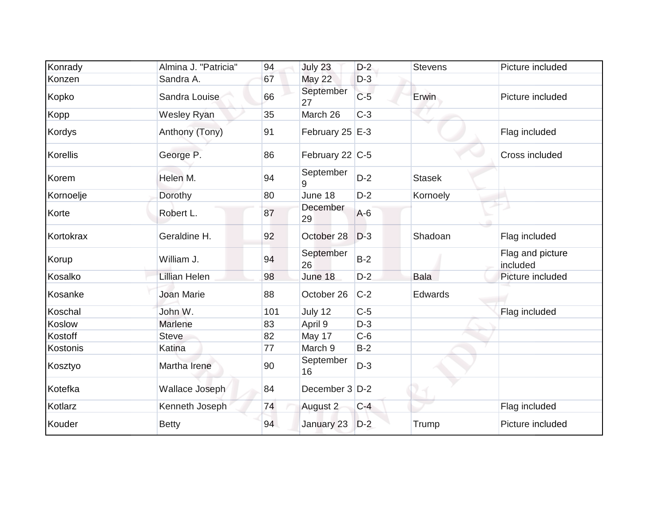| Konrady   | Almina J. "Patricia" | 94  | July 23           | $D-2$ | <b>Stevens</b> | Picture included             |
|-----------|----------------------|-----|-------------------|-------|----------------|------------------------------|
| Konzen    | Sandra A.            | 67  | <b>May 22</b>     | $D-3$ |                |                              |
| Kopko     | Sandra Louise        | 66  | September<br>27   | $C-5$ | Erwin          | Picture included             |
| Kopp      | <b>Wesley Ryan</b>   | 35  | March 26          | $C-3$ |                |                              |
| Kordys    | Anthony (Tony)       | 91  | February 25 $E-3$ |       |                | Flag included                |
| Korellis  | George P.            | 86  | February 22 C-5   |       |                | Cross included               |
| Korem     | Helen M.             | 94  | September<br>9    | $D-2$ | <b>Stasek</b>  |                              |
| Kornoelje | Dorothy              | 80  | June 18           | $D-2$ | Kornoely       |                              |
| Korte     | Robert L.            | 87  | December<br>29    | $A-6$ |                |                              |
| Kortokrax | Geraldine H.         | 92  | October 28        | $D-3$ | Shadoan        | Flag included                |
| Korup     | William J.           | 94  | September<br>26   | $B-2$ |                | Flag and picture<br>included |
| Kosalko   | Lillian Helen        | 98  | June 18           | $D-2$ | <b>Bala</b>    | Picture included             |
| Kosanke   | <b>Joan Marie</b>    | 88  | October 26        | $C-2$ | Edwards        |                              |
| Koschal   | John W.              | 101 | July 12           | $C-5$ |                | Flag included                |
| Koslow    | Marlene              | 83  | April 9           | $D-3$ |                |                              |
| Kostoff   | <b>Steve</b>         | 82  | May 17            | $C-6$ |                |                              |
| Kostonis  | Katina               | 77  | March 9           | $B-2$ |                |                              |
| Kosztyo   | Martha Irene         | 90  | September<br>16   | $D-3$ |                |                              |
| Kotefka   | Wallace Joseph       | 84  | December 3 D-2    |       |                |                              |
| Kotlarz   | Kenneth Joseph       | 74  | August 2          | $C-4$ |                | Flag included                |
| Kouder    | <b>Betty</b>         | 94  | January 23        | $D-2$ | Trump          | Picture included             |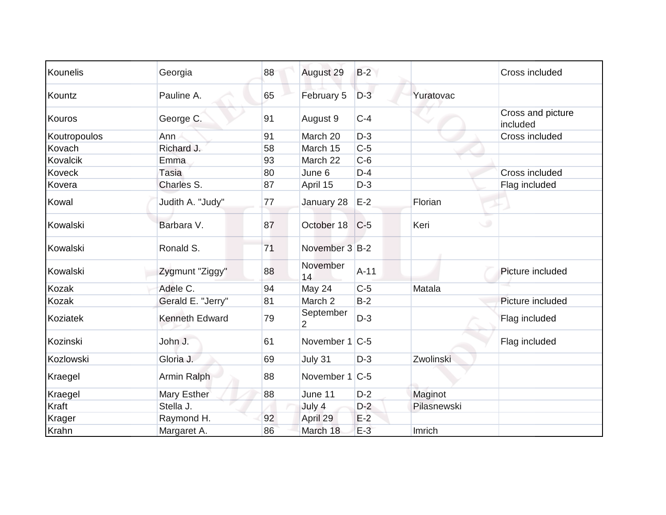| Kounelis     | Georgia               | 88 | August 29                   | $B-2$   |             | Cross included                |
|--------------|-----------------------|----|-----------------------------|---------|-------------|-------------------------------|
| Kountz       | Pauline A.            | 65 | February 5                  | $D-3$   | Yuratovac   |                               |
| Kouros       | George C.             | 91 | August 9                    | $C-4$   |             | Cross and picture<br>included |
| Koutropoulos | Ann                   | 91 | March 20                    | $D-3$   |             | Cross included                |
| Kovach       | Richard J.            | 58 | March 15                    | $C-5$   |             |                               |
| Kovalcik     | Emma                  | 93 | March 22                    | $C-6$   |             |                               |
| Koveck       | Tasia                 | 80 | June 6                      | $D-4$   |             | Cross included                |
| Kovera       | Charles S.            | 87 | April 15                    | $D-3$   |             | Flag included                 |
| Kowal        | Judith A. "Judy"      | 77 | January 28                  | $E-2$   | Florian     |                               |
| Kowalski     | Barbara V.            | 87 | October 18                  | $ C-5 $ | Keri        |                               |
| Kowalski     | Ronald S.             | 71 | November 3 B-2              |         |             |                               |
| Kowalski     | Zygmunt "Ziggy"       | 88 | November<br>14              | $A-11$  |             | Picture included              |
| Kozak        | Adele C.              | 94 | <b>May 24</b>               | $C-5$   | Matala      |                               |
| Kozak        | Gerald E. "Jerry"     | 81 | March 2                     | $B-2$   |             | Picture included              |
| Koziatek     | <b>Kenneth Edward</b> | 79 | September<br>$\overline{2}$ | $D-3$   |             | Flag included                 |
| Kozinski     | John J.               | 61 | November 1 C-5              |         |             | Flag included                 |
| Kozlowski    | Gloria J.             | 69 | July 31                     | $D-3$   | Zwolinski   |                               |
| Kraegel      | Armin Ralph           | 88 | November 1                  | $C-5$   |             |                               |
| Kraegel      | Mary Esther           | 88 | June 11                     | $D-2$   | Maginot     |                               |
| Kraft        | Stella J.             |    | July 4                      | $D-2$   | Pilasnewski |                               |
| Krager       | Raymond H.            | 92 | April 29                    | $E-2$   |             |                               |
| Krahn        | Margaret A.           | 86 | March 18                    | $E-3$   | Imrich      |                               |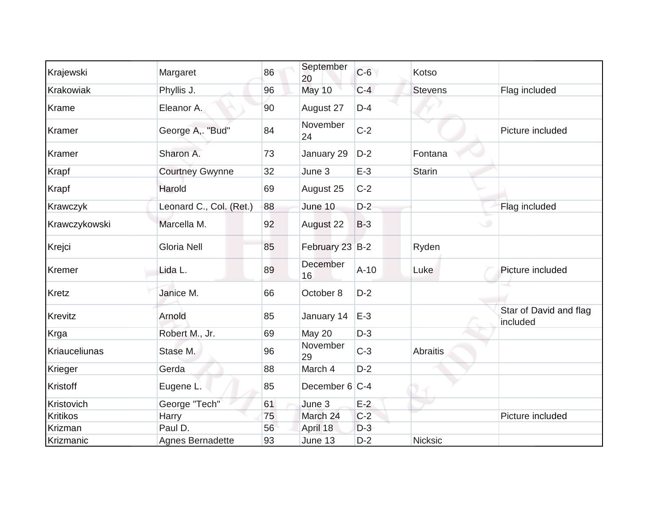| Krajewski       | Margaret                | 86 | September<br>20 | $C-6$  | Kotso          |                                    |
|-----------------|-------------------------|----|-----------------|--------|----------------|------------------------------------|
| Krakowiak       | Phyllis J.              | 96 | May 10          | $C-4$  | <b>Stevens</b> | Flag included                      |
| Krame           | Eleanor A.              | 90 | August 27       | $D-4$  |                |                                    |
| Kramer          | George A,. "Bud"        | 84 | November<br>24  | $C-2$  |                | Picture included                   |
| Kramer          | Sharon A.               | 73 | January 29      | $D-2$  | Fontana        |                                    |
| Krapf           | <b>Courtney Gwynne</b>  | 32 | June 3          | $E-3$  | <b>Starin</b>  |                                    |
| Krapf           | Harold                  | 69 | August 25       | $C-2$  |                |                                    |
| Krawczyk        | Leonard C., Col. (Ret.) | 88 | June 10         | $D-2$  |                | Flag included                      |
| Krawczykowski   | Marcella M.             | 92 | August 22       | $B-3$  |                |                                    |
| Krejci          | <b>Gloria Nell</b>      | 85 | February 23 B-2 |        | Ryden          |                                    |
| Kremer          | Lida L.                 | 89 | December<br>16  | $A-10$ | Luke           | Picture included                   |
| <b>Kretz</b>    | Janice M.               | 66 | October 8       | $D-2$  |                |                                    |
| Krevitz         | Arnold                  | 85 | January 14      | $E-3$  |                | Star of David and flag<br>included |
| Krga            | Robert M., Jr.          | 69 | <b>May 20</b>   | $D-3$  |                |                                    |
| Kriauceliunas   | Stase M.                | 96 | November<br>29  | $C-3$  | Abraitis       |                                    |
| Krieger         | Gerda                   | 88 | March 4         | $D-2$  |                |                                    |
| Kristoff        | Eugene L.               | 85 | December 6 C-4  |        |                |                                    |
| Kristovich      | George "Tech"           | 61 | June 3          | $E-2$  |                |                                    |
| <b>Kritikos</b> | Harry                   | 75 | March 24        | $C-2$  |                | Picture included                   |
| Krizman         | Paul D.                 | 56 | April 18        | $D-3$  |                |                                    |
| Krizmanic       | Agnes Bernadette        | 93 | June 13         | $D-2$  | Nicksic        |                                    |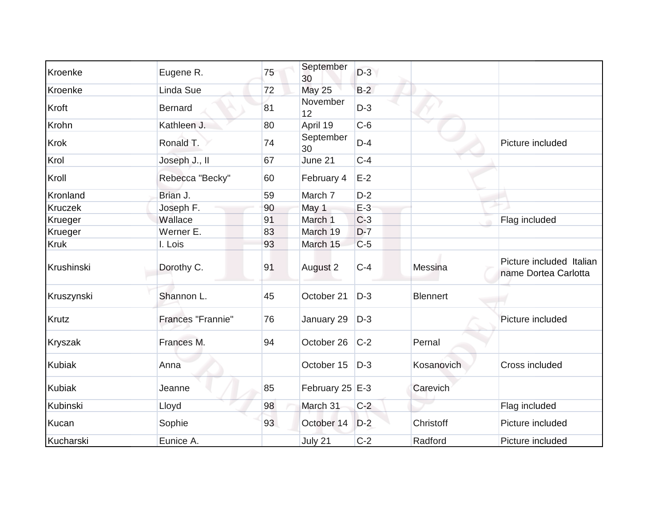| Kroenke        | Eugene R.         | 75 | September<br>30 | $D-3$ |                 |                                                  |
|----------------|-------------------|----|-----------------|-------|-----------------|--------------------------------------------------|
| Kroenke        | Linda Sue         | 72 | <b>May 25</b>   | $B-2$ |                 |                                                  |
| Kroft          | <b>Bernard</b>    | 81 | November<br>12  | $D-3$ |                 |                                                  |
| Krohn          | Kathleen J.       | 80 | April 19        | $C-6$ |                 |                                                  |
| <b>Krok</b>    | Ronald T.         | 74 | September<br>30 | $D-4$ |                 | Picture included                                 |
| Krol           | Joseph J., II     | 67 | June 21         | $C-4$ |                 |                                                  |
| Kroll          | Rebecca "Becky"   | 60 | February 4      | $E-2$ |                 |                                                  |
| Kronland       | Brian J.          | 59 | March 7         | $D-2$ |                 |                                                  |
| Kruczek        | Joseph F.         | 90 | May 1           | $E-3$ |                 |                                                  |
| Krueger        | Wallace           | 91 | March 1         | $C-3$ |                 | Flag included                                    |
| Krueger        | Werner E.         | 83 | March 19        | $D-7$ |                 |                                                  |
| <b>Kruk</b>    | I. Lois           | 93 | March 15        | $C-5$ |                 |                                                  |
| Krushinski     | Dorothy C.        | 91 | August 2        | $C-4$ | Messina         | Picture included Italian<br>name Dortea Carlotta |
| Kruszynski     | Shannon L.        | 45 | October 21      | $D-3$ | <b>Blennert</b> |                                                  |
| <b>Krutz</b>   | Frances "Frannie" | 76 | January 29      | $D-3$ |                 | Picture included                                 |
| <b>Kryszak</b> | Frances M.        | 94 | October 26      | $C-2$ | Pernal          |                                                  |
| <b>Kubiak</b>  | Anna              |    | October 15      | $D-3$ | Kosanovich      | Cross included                                   |
| <b>Kubiak</b>  | Jeanne            | 85 | February 25 E-3 |       | Carevich        |                                                  |
| Kubinski       | Lloyd             | 98 | March 31        | $C-2$ |                 | Flag included                                    |
| Kucan          | Sophie            | 93 | October 14      | $D-2$ | Christoff       | Picture included                                 |
| Kucharski      | Eunice A.         |    | July 21         | $C-2$ | Radford         | Picture included                                 |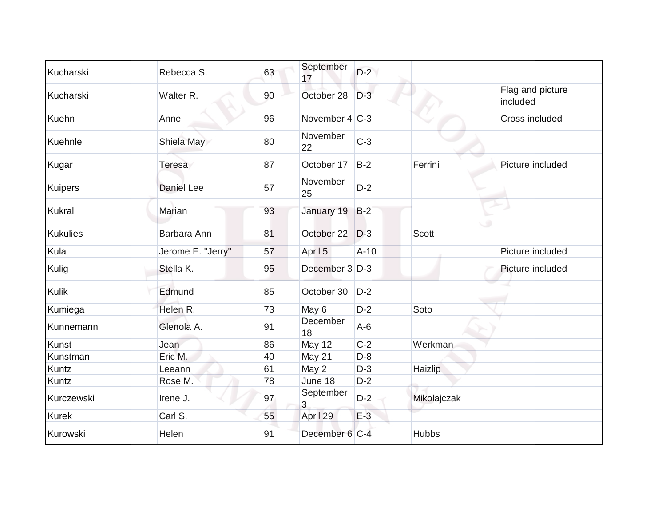| Kucharski       | Rebecca S.        | 63 | September<br>17   | $D-2$  |              |                              |
|-----------------|-------------------|----|-------------------|--------|--------------|------------------------------|
| Kucharski       | Walter R.         | 90 | October 28        | $D-3$  |              | Flag and picture<br>included |
| Kuehn           | Anne              | 96 | November $4 C-3 $ |        |              | Cross included               |
| Kuehnle         | Shiela May        | 80 | November<br>22    | $C-3$  |              |                              |
| Kugar           | Teresa            | 87 | October 17        | $B-2$  | Ferrini      | Picture included             |
| Kuipers         | <b>Daniel Lee</b> | 57 | November<br>25    | $D-2$  |              |                              |
| Kukral          | Marian            | 93 | January 19        | $B-2$  |              |                              |
| <b>Kukulies</b> | Barbara Ann       | 81 | October 22        | $D-3$  | <b>Scott</b> |                              |
| Kula            | Jerome E. "Jerry" | 57 | April 5           | $A-10$ |              | Picture included             |
| Kulig           | Stella K.         | 95 | December 3 D-3    |        |              | Picture included             |
| <b>Kulik</b>    | Edmund            | 85 | October 30        | $D-2$  |              |                              |
| Kumiega         | Helen R.          | 73 | May 6             | $D-2$  | Soto         |                              |
| Kunnemann       | Glenola A.        | 91 | December<br>18    | $A-6$  |              |                              |
| Kunst           | Jean              | 86 | <b>May 12</b>     | $C-2$  | Werkman      |                              |
| Kunstman        | Eric M.           | 40 | May 21            | $D-8$  |              |                              |
| <b>Kuntz</b>    | Leeann            | 61 | May 2             | $D-3$  | Haizlip      |                              |
| Kuntz           | Rose M.           | 78 | June 18           | $D-2$  |              |                              |
| Kurczewski      | Irene J.          | 97 | September<br>3    | $D-2$  | Mikolajczak  |                              |
| <b>Kurek</b>    | Carl S.           | 55 | April 29          | $E-3$  |              |                              |
| Kurowski        | Helen             | 91 | December 6 C-4    |        | <b>Hubbs</b> |                              |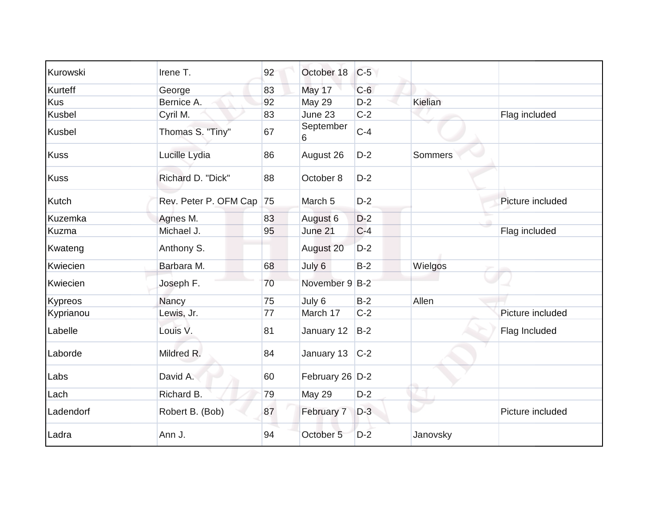| Kurowski    | Irene T.                 | 92 | October 18      | $C-5$ |                |                  |
|-------------|--------------------------|----|-----------------|-------|----------------|------------------|
| Kurteff     | George                   | 83 | May 17          | $C-6$ |                |                  |
| <b>Kus</b>  | Bernice A.               | 92 | <b>May 29</b>   | $D-2$ | Kielian        |                  |
| Kusbel      | Cyril M.                 | 83 | June 23         | $C-2$ |                | Flag included    |
| Kusbel      | Thomas S. "Tiny"         | 67 | September<br>6  | $C-4$ |                |                  |
| <b>Kuss</b> | Lucille Lydia            | 86 | August 26       | $D-2$ | <b>Sommers</b> |                  |
| <b>Kuss</b> | Richard D. "Dick"        | 88 | October 8       | $D-2$ |                |                  |
| Kutch       | Rev. Peter P. OFM Cap 75 |    | March 5         | $D-2$ |                | Picture included |
| Kuzemka     | Agnes M.                 | 83 | August 6        | $D-2$ |                |                  |
| Kuzma       | Michael J.               | 95 | June 21         | $C-4$ |                | Flag included    |
| Kwateng     | Anthony S.               |    | August 20       | $D-2$ |                |                  |
| Kwiecien    | Barbara M.               | 68 | July 6          | $B-2$ | Wielgos        |                  |
| Kwiecien    | Joseph F.                | 70 | November 9 B-2  |       |                |                  |
| Kypreos     | Nancy                    | 75 | July 6          | $B-2$ | Allen          |                  |
| Kyprianou   | Lewis, Jr.               | 77 | March 17        | $C-2$ |                | Picture included |
| Labelle     | Louis V.                 | 81 | January 12      | $B-2$ |                | Flag Included    |
| Laborde     | Mildred R.               | 84 | January 13      | $C-2$ |                |                  |
| Labs        | David A.                 | 60 | February 26 D-2 |       |                |                  |
| Lach        | Richard B.               | 79 | <b>May 29</b>   | $D-2$ |                |                  |
| Ladendorf   | Robert B. (Bob)          | 87 | February 7      | $D-3$ |                | Picture included |
| Ladra       | Ann J.                   | 94 | October 5       | $D-2$ | Janovsky       |                  |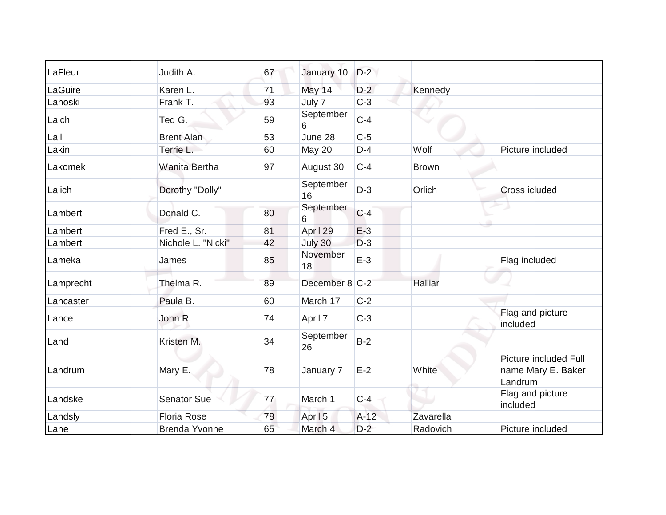| LaFleur   | Judith A.            | 67 | January 10      | $D-2$  |              |                                                        |
|-----------|----------------------|----|-----------------|--------|--------------|--------------------------------------------------------|
| LaGuire   | Karen L.             | 71 | May 14          | $D-2$  | Kennedy      |                                                        |
| Lahoski   | Frank T.             | 93 | July 7          | $C-3$  |              |                                                        |
| Laich     | Ted G.               | 59 | September<br>6  | $C-4$  |              |                                                        |
| Lail      | <b>Brent Alan</b>    | 53 | June 28         | $C-5$  |              |                                                        |
| Lakin     | Terrie L.            | 60 | May 20          | $D-4$  | Wolf         | Picture included                                       |
| Lakomek   | <b>Wanita Bertha</b> | 97 | August 30       | $C-4$  | <b>Brown</b> |                                                        |
| Lalich    | Dorothy "Dolly"      |    | September<br>16 | $D-3$  | Orlich       | Cross icluded                                          |
| Lambert   | Donald C.            | 80 | September<br>6  | $C-4$  |              |                                                        |
| Lambert   | Fred E., Sr.         | 81 | April 29        | $E-3$  |              |                                                        |
| Lambert   | Nichole L. "Nicki"   | 42 | July 30         | $D-3$  |              |                                                        |
| Lameka    | James                | 85 | November<br>18  | $E-3$  |              | Flag included                                          |
| Lamprecht | Thelma R.            | 89 | December 8 C-2  |        | Halliar      |                                                        |
| Lancaster | Paula B.             | 60 | March 17        | $C-2$  |              |                                                        |
| Lance     | John R.              | 74 | April 7         | $C-3$  |              | Flag and picture<br>included                           |
| Land      | Kristen M.           | 34 | September<br>26 | $B-2$  |              |                                                        |
| Landrum   | Mary E.              | 78 | January 7       | $E-2$  | White        | Picture included Full<br>name Mary E. Baker<br>Landrum |
| Landske   | <b>Senator Sue</b>   | 77 | March 1         | $C-4$  |              | Flag and picture<br>included                           |
| Landsly   | <b>Floria Rose</b>   | 78 | April 5         | $A-12$ | Zavarella    |                                                        |
| Lane      | <b>Brenda Yvonne</b> | 65 | March 4         | $D-2$  | Radovich     | Picture included                                       |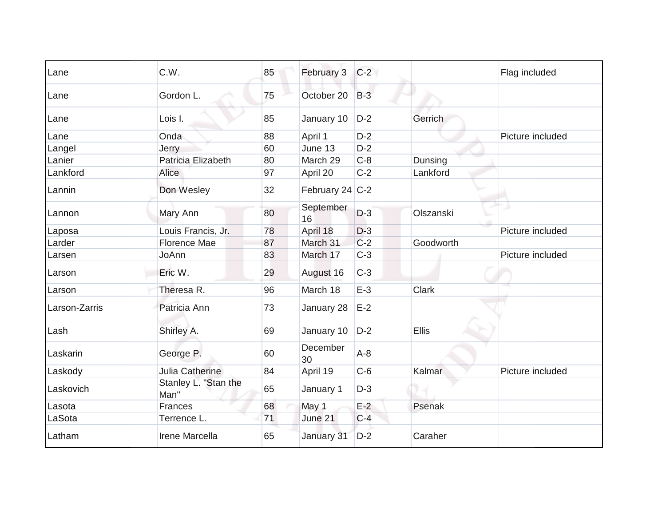| Lane          | C.W.                         | 85 | February 3      | $C-2$ |           | Flag included    |
|---------------|------------------------------|----|-----------------|-------|-----------|------------------|
| Lane          | Gordon L.                    | 75 | October 20      | $B-3$ |           |                  |
| Lane          | Lois I.                      | 85 | January 10      | $D-2$ | Gerrich   |                  |
| Lane          | Onda                         | 88 | April 1         | $D-2$ |           | Picture included |
| Langel        | <b>Jerry</b>                 | 60 | June 13         | $D-2$ |           |                  |
| Lanier        | Patricia Elizabeth           | 80 | March 29        | $C-8$ | Dunsing   |                  |
| Lankford      | Alice                        | 97 | April 20        | $C-2$ | Lankford  |                  |
| Lannin        | Don Wesley                   | 32 | February 24 C-2 |       |           |                  |
| Lannon        | Mary Ann                     | 80 | September<br>16 | $D-3$ | Olszanski |                  |
| Laposa        | Louis Francis, Jr.           | 78 | April 18        | $D-3$ |           | Picture included |
| Larder        | <b>Florence Mae</b>          | 87 | March 31        | $C-2$ | Goodworth |                  |
| Larsen        | JoAnn                        | 83 | March 17        | $C-3$ |           | Picture included |
| Larson        | Eric W.                      | 29 | August 16       | $C-3$ |           |                  |
| Larson        | Theresa R.                   | 96 | March 18        | $E-3$ | Clark     |                  |
| Larson-Zarris | Patricia Ann                 | 73 | January 28      | $E-2$ |           |                  |
| Lash          | Shirley A.                   | 69 | January 10      | $D-2$ | Ellis     |                  |
| Laskarin      | George P.                    | 60 | December<br>30  | $A-8$ |           |                  |
| Laskody       | Julia Catherine              | 84 | April 19        | $C-6$ | Kalmar    | Picture included |
| Laskovich     | Stanley L. "Stan the<br>Man" | 65 | January 1       | $D-3$ |           |                  |
| Lasota        | <b>Frances</b>               | 68 | May 1           | $E-2$ | Psenak    |                  |
| LaSota        | Terrence L.                  | 71 | June 21         | $C-4$ |           |                  |
| Latham        | Irene Marcella               | 65 | January 31      | $D-2$ | Caraher   |                  |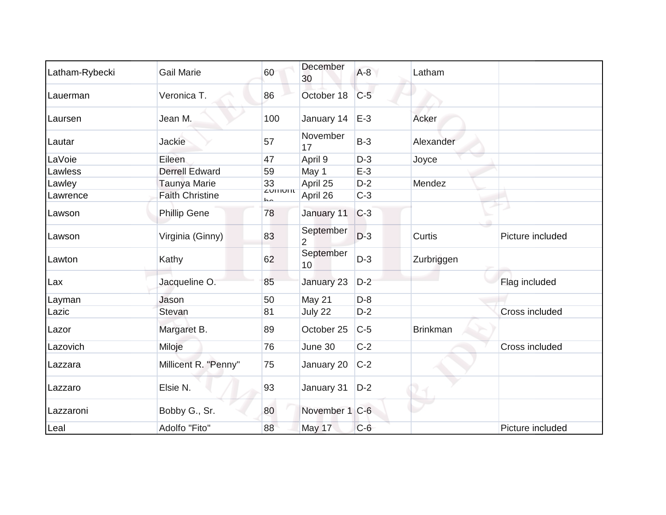| Latham-Rybecki | <b>Gail Marie</b>      | 60                                 | December<br>30              | $A-8$ | Latham          |                  |
|----------------|------------------------|------------------------------------|-----------------------------|-------|-----------------|------------------|
| Lauerman       | Veronica T.            | 86                                 | October 18                  | $C-5$ |                 |                  |
| Laursen        | Jean M.                | 100                                | January 14                  | $E-3$ | Acker           |                  |
| Lautar         | Jackie                 | 57                                 | November<br>17              | $B-3$ | Alexander       |                  |
| LaVoie         | Eileen                 | 47                                 | April 9                     | $D-3$ | Joyce           |                  |
| Lawless        | <b>Derrell Edward</b>  | 59                                 | May 1                       | $E-3$ |                 |                  |
| Lawley         | <b>Taunya Marie</b>    | 33                                 | April 25                    | $D-2$ | Mendez          |                  |
| Lawrence       | <b>Faith Christine</b> | <b>ZUITIUITI</b><br>$\overline{a}$ | April 26                    | $C-3$ |                 |                  |
| Lawson         | <b>Phillip Gene</b>    | 78                                 | January 11                  | $C-3$ |                 |                  |
| Lawson         | Virginia (Ginny)       | 83                                 | September<br>$\overline{2}$ | $D-3$ | Curtis          | Picture included |
| Lawton         | Kathy                  | 62                                 | September<br>10             | $D-3$ | Zurbriggen      |                  |
| Lax            | Jacqueline O.          | 85                                 | January 23                  | $D-2$ |                 | Flag included    |
| Layman         | Jason                  | 50                                 | May 21                      | $D-8$ |                 |                  |
| Lazic          | Stevan                 | 81                                 | July 22                     | $D-2$ |                 | Cross included   |
| Lazor          | Margaret B.            | 89                                 | October 25                  | $C-5$ | <b>Brinkman</b> |                  |
| Lazovich       | Miloje                 | 76                                 | June 30                     | $C-2$ |                 | Cross included   |
| Lazzara        | Millicent R. "Penny"   | 75                                 | January 20                  | $C-2$ |                 |                  |
| Lazzaro        | Elsie N.               | 93                                 | January 31                  | $D-2$ |                 |                  |
| Lazzaroni      | Bobby G., Sr.          | 80                                 | November 1 C-6              |       |                 |                  |
| Leal           | Adolfo "Fito"          | 88                                 | May 17                      | $C-6$ |                 | Picture included |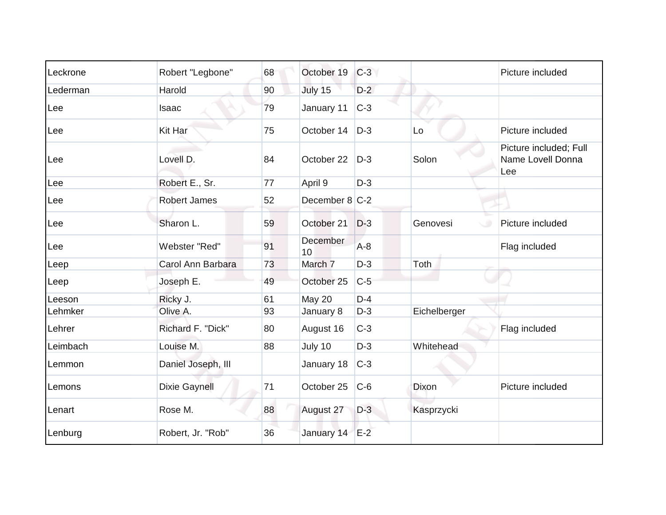| Leckrone | Robert "Legbone"     | 68 | October 19     | $C-3$ |              | Picture included                                   |
|----------|----------------------|----|----------------|-------|--------------|----------------------------------------------------|
| Lederman | Harold               | 90 | July 15        | $D-2$ |              |                                                    |
| Lee      | Isaac                | 79 | January 11     | $C-3$ |              |                                                    |
| Lee      | Kit Har              | 75 | October 14     | $D-3$ | Lo           | Picture included                                   |
| Lee      | Lovell D.            | 84 | October 22     | $D-3$ | Solon        | Picture included; Full<br>Name Lovell Donna<br>Lee |
| Lee      | Robert E., Sr.       | 77 | April 9        | $D-3$ |              |                                                    |
| Lee      | <b>Robert James</b>  | 52 | December 8 C-2 |       |              |                                                    |
| Lee      | Sharon L.            | 59 | October 21     | $D-3$ | Genovesi     | Picture included                                   |
| Lee      | Webster "Red"        | 91 | December<br>10 | $A-8$ |              | Flag included                                      |
| Leep     | Carol Ann Barbara    | 73 | March 7        | $D-3$ | Toth         |                                                    |
| Leep     | Joseph E.            | 49 | October 25     | $C-5$ |              |                                                    |
| Leeson   | Ricky J.             | 61 | May 20         | $D-4$ |              |                                                    |
| Lehmker  | Olive A.             | 93 | January 8      | $D-3$ | Eichelberger |                                                    |
| Lehrer   | Richard F. "Dick"    | 80 | August 16      | $C-3$ |              | Flag included                                      |
| Leimbach | Louise M.            | 88 | July 10        | $D-3$ | Whitehead    |                                                    |
| Lemmon   | Daniel Joseph, III   |    | January 18     | $C-3$ |              |                                                    |
| Lemons   | <b>Dixie Gaynell</b> | 71 | October 25     | $C-6$ | <b>Dixon</b> | Picture included                                   |
| Lenart   | Rose M.              | 88 | August 27      | $D-3$ | Kasprzycki   |                                                    |
| Lenburg  | Robert, Jr. "Rob"    | 36 | January 14     | $E-2$ |              |                                                    |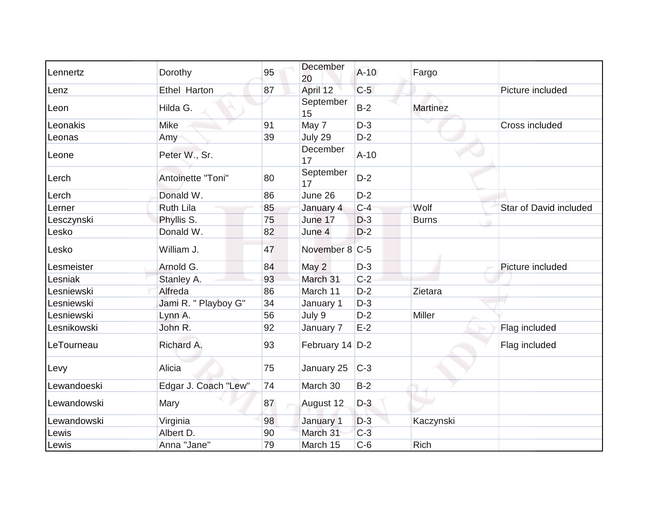| Lennertz    | Dorothy              | 95 | December<br>20  | $A-10$ | Fargo           |                               |
|-------------|----------------------|----|-----------------|--------|-----------------|-------------------------------|
| Lenz        | <b>Ethel Harton</b>  | 87 | April 12        | $C-5$  |                 | Picture included              |
| Leon        | Hilda G.             |    | September<br>15 | $B-2$  | <b>Martinez</b> |                               |
| Leonakis    | <b>Mike</b>          | 91 | May 7           | $D-3$  |                 | Cross included                |
| Leonas      | Amy                  | 39 | July 29         | $D-2$  |                 |                               |
| Leone       | Peter W., Sr.        |    | December<br>17  | $A-10$ |                 |                               |
| Lerch       | Antoinette "Toni"    | 80 | September<br>17 | $D-2$  |                 |                               |
| Lerch       | Donald W.            | 86 | June 26         | $D-2$  |                 |                               |
| Lerner      | <b>Ruth Lila</b>     | 85 | January 4       | $C-4$  | Wolf            | <b>Star of David included</b> |
| Lesczynski  | Phyllis S.           | 75 | June 17         | $D-3$  | <b>Burns</b>    |                               |
| Lesko       | Donald W.            | 82 | June 4          | $D-2$  |                 |                               |
| Lesko       | William J.           | 47 | November 8 C-5  |        |                 |                               |
| Lesmeister  | Arnold G.            | 84 | May 2           | $D-3$  |                 | Picture included              |
| Lesniak     | Stanley A.           | 93 | March 31        | $C-2$  |                 |                               |
| Lesniewski  | Alfreda              | 86 | March 11        | $D-2$  | Zietara         |                               |
| Lesniewski  | Jami R. " Playboy G" | 34 | January 1       | $D-3$  |                 |                               |
| Lesniewski  | Lynn A.              | 56 | July 9          | $D-2$  | Miller          |                               |
| Lesnikowski | John R.              | 92 | January 7       | $E-2$  |                 | Flag included                 |
| LeTourneau  | Richard A.           | 93 | February 14 D-2 |        |                 | Flag included                 |
| Levy        | Alicia               | 75 | January 25      | $C-3$  |                 |                               |
| Lewandoeski | Edgar J. Coach "Lew" | 74 | March 30        | $B-2$  |                 |                               |
| Lewandowski | Mary                 | 87 | August 12       | $D-3$  |                 |                               |
| Lewandowski | Virginia             | 98 | January 1       | $D-3$  | Kaczynski       |                               |
| Lewis       | Albert D.            | 90 | March 31        | $C-3$  |                 |                               |
| Lewis       | Anna "Jane"          | 79 | March 15        | $C-6$  | <b>Rich</b>     |                               |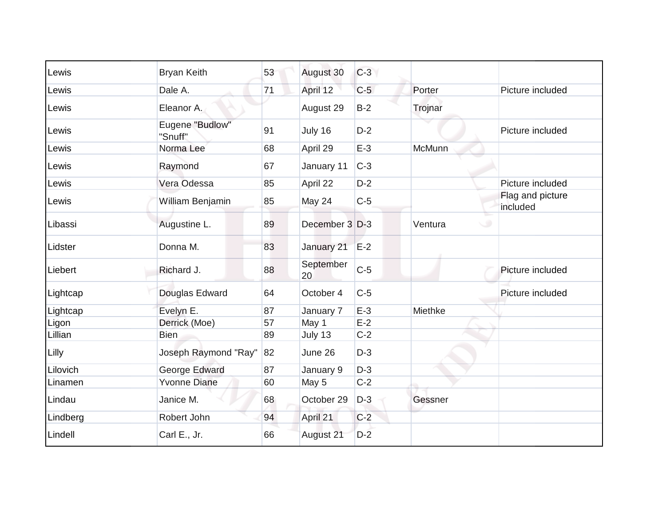| Lewis    | <b>Bryan Keith</b>         | 53 | August 30       | $C-3$ |              |                              |
|----------|----------------------------|----|-----------------|-------|--------------|------------------------------|
| Lewis    | Dale A.                    | 71 | April 12        | $C-5$ | Porter       | Picture included             |
| Lewis    | Eleanor A.                 |    | August 29       | $B-2$ | Trojnar      |                              |
| Lewis    | Eugene "Budlow"<br>"Snuff" | 91 | July 16         | $D-2$ |              | Picture included             |
| Lewis    | Norma Lee                  | 68 | April 29        | $E-3$ | McMunn       |                              |
| Lewis    | Raymond                    | 67 | January 11      | $C-3$ |              |                              |
| Lewis    | Vera Odessa                | 85 | April 22        | $D-2$ |              | Picture included             |
| Lewis    | William Benjamin           | 85 | May 24          | $C-5$ |              | Flag and picture<br>included |
| Libassi  | Augustine L.               | 89 | December 3 D-3  |       | Ventura<br>◡ |                              |
| Lidster  | Donna M.                   | 83 | January 21      | $E-2$ |              |                              |
| Liebert  | Richard J.                 | 88 | September<br>20 | $C-5$ |              | Picture included             |
| Lightcap | Douglas Edward             | 64 | October 4       | $C-5$ |              | Picture included             |
| Lightcap | Evelyn E.                  | 87 | January 7       | $E-3$ | Miethke      |                              |
| Ligon    | Derrick (Moe)              | 57 | May 1           | $E-2$ |              |                              |
| Lillian  | <b>Bien</b>                | 89 | July 13         | $C-2$ |              |                              |
| Lilly    | Joseph Raymond "Ray"       | 82 | June 26         | $D-3$ |              |                              |
| Lilovich | George Edward              | 87 | January 9       | $D-3$ |              |                              |
| Linamen  | <b>Yvonne Diane</b>        | 60 | May 5           | $C-2$ |              |                              |
| Lindau   | Janice M.                  | 68 | October 29      | $D-3$ | Gessner      |                              |
| Lindberg | Robert John                | 94 | April 21        | $C-2$ |              |                              |
| Lindell  | Carl E., Jr.               | 66 | August 21       | $D-2$ |              |                              |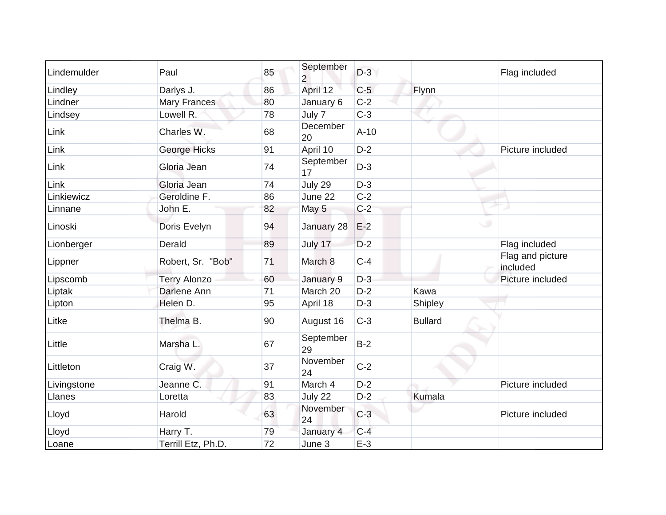| Lindemulder | Paul                | 85 | September<br>$\overline{2}$ | $D-3$  |                | Flag included                |
|-------------|---------------------|----|-----------------------------|--------|----------------|------------------------------|
| Lindley     | Darlys J.           | 86 | April 12                    | $C-5$  | Flynn          |                              |
| Lindner     | Mary Frances        | 80 | January 6                   | $C-2$  |                |                              |
| Lindsey     | Lowell R.           | 78 | July 7                      | $C-3$  |                |                              |
| Link        | Charles W.          | 68 | December<br>20              | $A-10$ |                |                              |
| Link        | George Hicks        | 91 | April 10                    | $D-2$  |                | Picture included             |
| Link        | Gloria Jean         | 74 | September<br>17             | $D-3$  |                |                              |
| Link        | Gloria Jean         | 74 | July 29                     | $D-3$  |                |                              |
| Linkiewicz  | Geroldine F.        | 86 | June 22                     | $C-2$  |                |                              |
| Linnane     | John E.             | 82 | May 5                       | $C-2$  |                |                              |
| Linoski     | Doris Evelyn        | 94 | January 28                  | $E-2$  | $\cup$         |                              |
| Lionberger  | Derald              | 89 | July 17                     | $D-2$  |                | Flag included                |
| Lippner     | Robert, Sr. "Bob"   | 71 | March 8                     | $C-4$  |                | Flag and picture<br>included |
| Lipscomb    | <b>Terry Alonzo</b> | 60 | January 9                   | $D-3$  |                | Picture included             |
| Liptak      | Darlene Ann         | 71 | March 20                    | $D-2$  | Kawa           |                              |
| Lipton      | Helen D.            | 95 | April 18                    | $D-3$  | Shipley        |                              |
| Litke       | Thelma B.           | 90 | August 16                   | $C-3$  | <b>Bullard</b> |                              |
| Little      | Marsha L.           | 67 | September<br>29             | $B-2$  |                |                              |
| Littleton   | Craig W.            | 37 | November<br>24              | $C-2$  |                |                              |
| Livingstone | Jeanne C.           | 91 | March 4                     | $D-2$  |                | Picture included             |
| Llanes      | Loretta             | 83 | July 22                     | $D-2$  | Kumala         |                              |
| Lloyd       | Harold              | 63 | November<br>24              | $C-3$  |                | Picture included             |
| Lloyd       | Harry T.            | 79 | January 4                   | $C-4$  |                |                              |
| Loane       | Terrill Etz, Ph.D.  | 72 | June 3                      | $E-3$  |                |                              |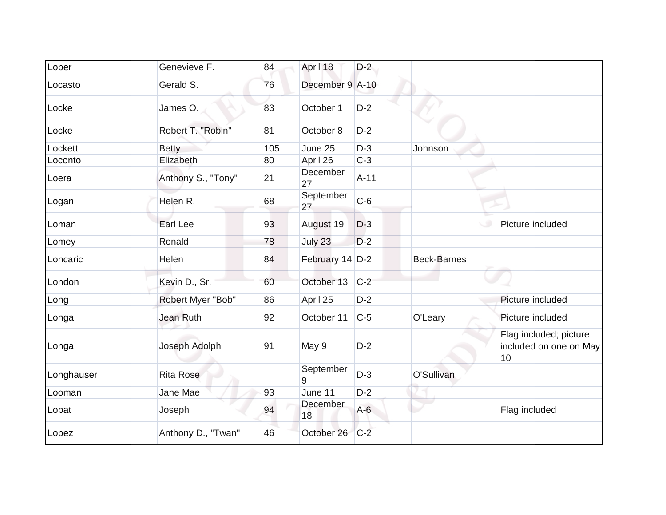| Lober      | Genevieve F.       | 84  | April 18        | $D-2$  |                    |                                                        |
|------------|--------------------|-----|-----------------|--------|--------------------|--------------------------------------------------------|
| Locasto    | Gerald S.          | 76  | December 9 A-10 |        |                    |                                                        |
| Locke      | James O.           | 83  | October 1       | $D-2$  |                    |                                                        |
| Locke      | Robert T. "Robin"  | 81  | October 8       | $D-2$  |                    |                                                        |
| Lockett    | <b>Betty</b>       | 105 | June 25         | $D-3$  | Johnson            |                                                        |
| Loconto    | Elizabeth          | 80  | April 26        | $C-3$  |                    |                                                        |
| Loera      | Anthony S., "Tony" | 21  | December<br>27  | $A-11$ |                    |                                                        |
| Logan      | Helen R.           | 68  | September<br>27 | $C-6$  |                    |                                                        |
| Loman      | Earl Lee           | 93  | August 19       | $D-3$  |                    | Picture included                                       |
| Lomey      | Ronald             | 78  | July 23         | $D-2$  |                    |                                                        |
| Loncaric   | Helen              | 84  | February 14 D-2 |        | <b>Beck-Barnes</b> |                                                        |
| London     | Kevin D., Sr.      | 60  | October 13      | $C-2$  |                    |                                                        |
| Long       | Robert Myer "Bob"  | 86  | April 25        | $D-2$  |                    | Picture included                                       |
| Longa      | Jean Ruth          | 92  | October 11      | $C-5$  | O'Leary            | Picture included                                       |
| Longa      | Joseph Adolph      | 91  | May 9           | $D-2$  |                    | Flag included; picture<br>included on one on May<br>10 |
| Longhauser | <b>Rita Rose</b>   |     | September<br>9  | $D-3$  | O'Sullivan         |                                                        |
| Looman     | Jane Mae           | 93  | June 11         | $D-2$  |                    |                                                        |
| Lopat      | Joseph             | 94  | December<br>18  | $A-6$  |                    | Flag included                                          |
| Lopez      | Anthony D., "Twan" | 46  | October 26      | $C-2$  |                    |                                                        |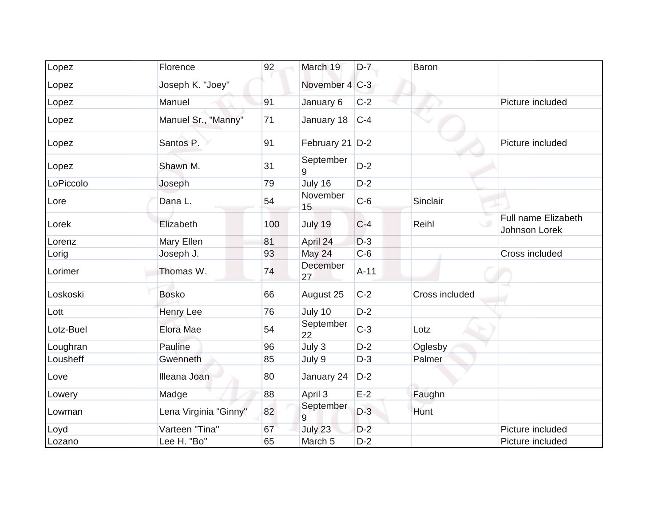| Lopez     | Florence              | 92  | March 19           | $D-7$  | Baron          |                                      |
|-----------|-----------------------|-----|--------------------|--------|----------------|--------------------------------------|
| Lopez     | Joseph K. "Joey"      |     | November 4 C-3     |        |                |                                      |
| Lopez     | Manuel                | 91  | January 6          | $C-2$  |                | Picture included                     |
| Lopez     | Manuel Sr., "Manny"   | 71  | January 18         | $C-4$  |                |                                      |
| Lopez     | Santos P.             | 91  | February 21 D-2    |        |                | Picture included                     |
| Lopez     | Shawn M.              | 31  | September<br>9     | $D-2$  |                |                                      |
| LoPiccolo | Joseph                | 79  | July 16            | $D-2$  |                |                                      |
| Lore      | Dana L.               | 54  | November<br>15     | $C-6$  | Sinclair       |                                      |
| Lorek     | Elizabeth             | 100 | July 19            | $C-4$  | Reihl          | Full name Elizabeth<br>Johnson Lorek |
| Lorenz    | Mary Ellen            | 81  | April 24           | $D-3$  |                |                                      |
| Lorig     | Joseph J.             | 93  | May 24             | $C-6$  |                | Cross included                       |
| Lorimer   | Thomas W.             | 74  | December<br>27     | $A-11$ |                |                                      |
| Loskoski  | <b>Bosko</b>          | 66  | August 25          | $C-2$  | Cross included |                                      |
| Lott      | Henry Lee             | 76  | July 10            | $D-2$  |                |                                      |
| Lotz-Buel | Elora Mae             | 54  | September<br>22    | $C-3$  | Lotz           |                                      |
| Loughran  | Pauline               | 96  | July 3             | $D-2$  | Oglesby        |                                      |
| Lousheff  | Gwenneth              | 85  | July 9             | $D-3$  | Palmer         |                                      |
| Love      | Illeana Joan          | 80  | January 24         | $D-2$  |                |                                      |
| Lowery    | Madge                 | 88  | April 3            | $E-2$  | Faughn         |                                      |
| Lowman    | Lena Virginia "Ginny" | 82  | September<br>9     | $D-3$  | Hunt           |                                      |
| Loyd      | Varteen "Tina"        | 67  | July 23            | $D-2$  |                | Picture included                     |
| Lozano    | Lee H. "Bo"           | 65  | March <sub>5</sub> | $D-2$  |                | Picture included                     |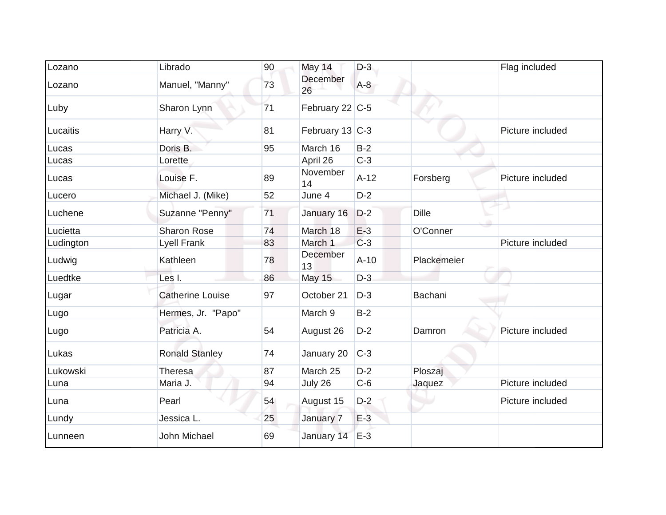| Lozano    | Librado                 | 90 | May 14          | $D-3$  |              | Flag included    |
|-----------|-------------------------|----|-----------------|--------|--------------|------------------|
| Lozano    | Manuel, "Manny"         | 73 | December<br>26  | $A-8$  |              |                  |
| Luby      | Sharon Lynn             | 71 | February 22 C-5 |        |              |                  |
| Lucaitis  | Harry V.                | 81 | February 13 C-3 |        |              | Picture included |
| Lucas     | Doris B.                | 95 | March 16        | $B-2$  |              |                  |
| Lucas     | Lorette                 |    | April 26        | $C-3$  |              |                  |
| Lucas     | Louise F.               | 89 | November<br>14  | $A-12$ | Forsberg     | Picture included |
| Lucero    | Michael J. (Mike)       | 52 | June 4          | $D-2$  |              |                  |
| Luchene   | Suzanne "Penny"         | 71 | January 16      | $D-2$  | <b>Dille</b> |                  |
| Lucietta  | <b>Sharon Rose</b>      | 74 | March 18        | $E-3$  | O'Conner     |                  |
| Ludington | <b>Lyell Frank</b>      | 83 | March 1         | $C-3$  |              | Picture included |
| Ludwig    | Kathleen                | 78 | December<br>13  | $A-10$ | Plackemeier  |                  |
| Luedtke   | Les I.                  | 86 | May 15          | $D-3$  |              |                  |
| Lugar     | <b>Catherine Louise</b> | 97 | October 21      | $D-3$  | Bachani      |                  |
| Lugo      | Hermes, Jr. "Papo"      |    | March 9         | $B-2$  |              |                  |
| Lugo      | Patricia A.             | 54 | August 26       | $D-2$  | Damron       | Picture included |
| Lukas     | <b>Ronald Stanley</b>   | 74 | January 20      | $C-3$  |              |                  |
| Lukowski  | Theresa                 | 87 | March 25        | $D-2$  | Ploszaj      |                  |
| Luna      | Maria J.                | 94 | July 26         | $C-6$  | Jaquez       | Picture included |
| Luna      | Pearl                   | 54 | August 15       | $D-2$  |              | Picture included |
| Lundy     | Jessica L.              | 25 | January 7       | $E-3$  |              |                  |
| Lunneen   | John Michael            | 69 | January 14      | $E-3$  |              |                  |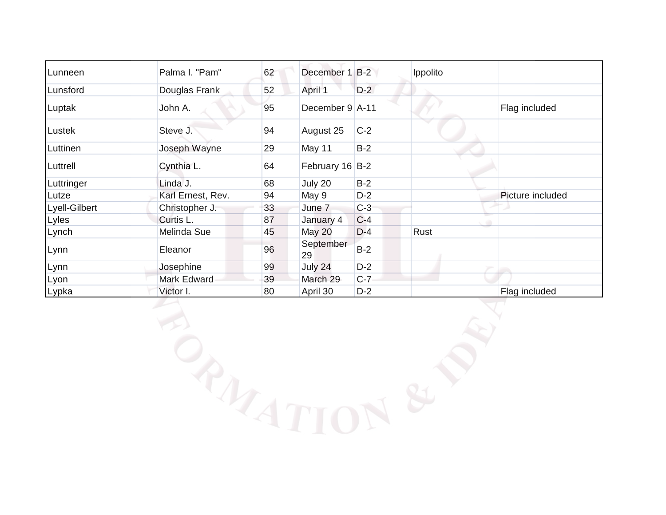| December 1 B-2  |       | Ippolito |                  |
|-----------------|-------|----------|------------------|
| April 1         | $D-2$ |          |                  |
| December 9 A-11 |       |          | Flag included    |
| August 25       | $C-2$ |          |                  |
| May 11          | $B-2$ |          |                  |
| February 16 B-2 |       |          |                  |
| July 20         | $B-2$ |          |                  |
| May 9           | $D-2$ |          | Picture included |
| June 7          | $C-3$ |          |                  |
| January 4       | $C-4$ |          |                  |
| May 20          | $D-4$ | Rust     |                  |
| September<br>29 | $B-2$ |          |                  |
| July 24         | $D-2$ |          |                  |
| March 29        | $C-7$ |          |                  |
| April 30        | $D-2$ |          | Flag included    |
|                 |       |          |                  |
|                 |       | PATTON   |                  |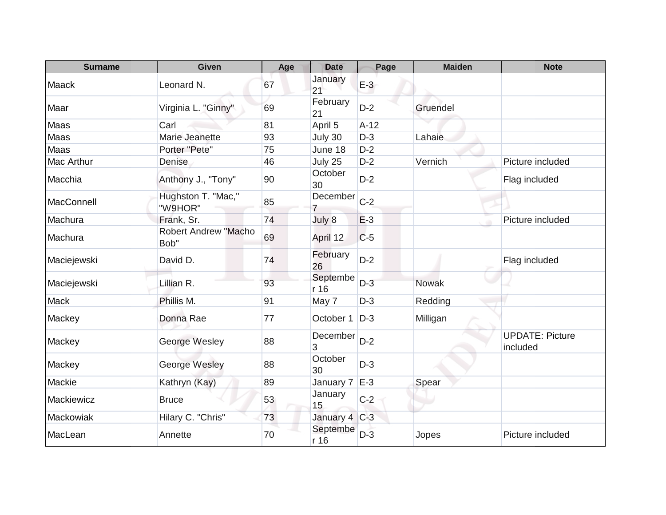| <b>Surname</b> | <b>Given</b>                        | Age | <b>Date</b>                | Page   | <b>Maiden</b> | <b>Note</b>                        |
|----------------|-------------------------------------|-----|----------------------------|--------|---------------|------------------------------------|
| Maack          | Leonard N.                          | 67  | January<br>21              | $E-3$  |               |                                    |
| Maar           | Virginia L. "Ginny"                 | 69  | February<br>21             | $D-2$  | Gruendel      |                                    |
| Maas           | Carl                                | 81  | April 5                    | $A-12$ |               |                                    |
| Maas           | Marie Jeanette                      | 93  | July 30                    | $D-3$  | Lahaie        |                                    |
| Maas           | Porter "Pete"                       | 75  | June 18                    | $D-2$  |               |                                    |
| Mac Arthur     | Denise                              | 46  | July 25                    | $D-2$  | Vernich       | Picture included                   |
| Macchia        | Anthony J., "Tony"                  | 90  | October<br>30              | $D-2$  |               | Flag included                      |
| MacConnell     | Hughston T. "Mac,"<br>"W9HOR"       | 85  | December<br>$\overline{7}$ | $C-2$  |               |                                    |
| Machura        | Frank, Sr.                          | 74  | July 8                     | $E-3$  |               | Picture included                   |
| Machura        | <b>Robert Andrew "Macho</b><br>Bob" | 69  | April 12                   | $C-5$  |               |                                    |
| Maciejewski    | David D.                            | 74  | February<br>26             | $D-2$  |               | Flag included                      |
| Maciejewski    | Lillian R.                          | 93  | Septembe<br>r16            | $D-3$  | <b>Nowak</b>  |                                    |
| Mack           | Phillis M.                          | 91  | May 7                      | $D-3$  | Redding       |                                    |
| Mackey         | Donna Rae                           | 77  | October 1                  | $D-3$  | Milligan      |                                    |
| Mackey         | George Wesley                       | 88  | December<br>3              | $D-2$  |               | <b>UPDATE: Picture</b><br>included |
| Mackey         | George Wesley                       | 88  | October<br>30              | $D-3$  |               |                                    |
| Mackie         | Kathryn (Kay)                       | 89  | January 7                  | $E-3$  | Spear         |                                    |
| Mackiewicz     | <b>Bruce</b>                        | 53  | January<br>15              | $C-2$  |               |                                    |
| Mackowiak      | Hilary C. "Chris"                   | 73  | January 4 C-3              |        |               |                                    |
| MacLean        | Annette                             | 70  | Septembe<br>r 16           | $D-3$  | Jopes         | Picture included                   |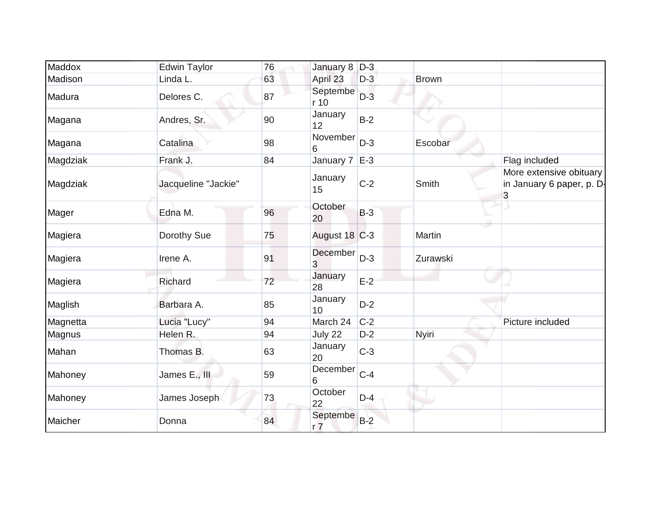| Maddox   | <b>Edwin Taylor</b> | 76 | January 8 D-3              |       |              |                                                           |
|----------|---------------------|----|----------------------------|-------|--------------|-----------------------------------------------------------|
| Madison  | Linda L.            | 63 | April 23                   | $D-3$ | <b>Brown</b> |                                                           |
| Madura   | Delores C.          | 87 | Septembe<br>r 10           | $D-3$ |              |                                                           |
| Magana   | Andres, Sr.         | 90 | January<br>12              | $B-2$ |              |                                                           |
| Magana   | Catalina            | 98 | November<br>6              | $D-3$ | Escobar      |                                                           |
| Magdziak | Frank J.            | 84 | January 7                  | $E-3$ |              | Flag included                                             |
| Magdziak | Jacqueline "Jackie" |    | January<br>15              | $C-2$ | Smith        | More extensive obituary<br>in January 6 paper, p. D-<br>3 |
| Mager    | Edna M.             | 96 | October<br>20              | $B-3$ |              |                                                           |
| Magiera  | Dorothy Sue         | 75 | August 18 C-3              |       | Martin       |                                                           |
| Magiera  | Irene A.            | 91 | December<br>3              | $D-3$ | Zurawski     |                                                           |
| Magiera  | Richard             | 72 | January<br>28              | $E-2$ |              |                                                           |
| Maglish  | Barbara A.          | 85 | January<br>10              | $D-2$ |              |                                                           |
| Magnetta | Lucia "Lucy"        | 94 | March 24                   | $C-2$ |              | Picture included                                          |
| Magnus   | Helen R.            | 94 | July 22                    | $D-2$ | <b>Nyiri</b> |                                                           |
| Mahan    | Thomas B.           | 63 | January<br>20              | $C-3$ |              |                                                           |
| Mahoney  | James E., III       | 59 | December<br>6              | $C-4$ |              |                                                           |
| Mahoney  | James Joseph        | 73 | October<br>22              | $D-4$ |              |                                                           |
| Maicher  | Donna               | 84 | Septembe<br>r <sub>7</sub> | $B-2$ |              |                                                           |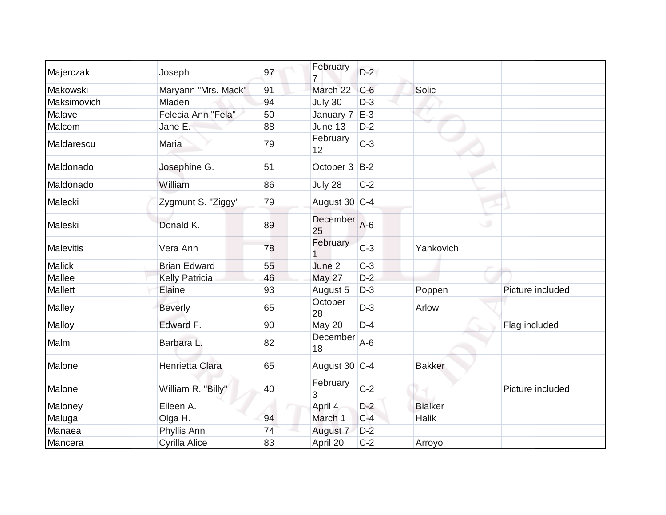| Majerczak        | Joseph                | 97 | February              | $D-2$ |                |                  |
|------------------|-----------------------|----|-----------------------|-------|----------------|------------------|
| Makowski         | Maryann "Mrs. Mack"   | 91 | March 22              | $C-6$ | Solic          |                  |
| Maksimovich      | Mladen                | 94 | July 30               | $D-3$ |                |                  |
| Malave           | Felecia Ann "Fela"    | 50 | January 7             | $E-3$ |                |                  |
| Malcom           | Jane E.               | 88 | June 13               | $D-2$ |                |                  |
| Maldarescu       | Maria                 | 79 | February<br>12        | $C-3$ |                |                  |
| Maldonado        | Josephine G.          | 51 | October 3             | $B-2$ |                |                  |
| Maldonado        | William               | 86 | July 28               | $C-2$ |                |                  |
| Malecki          | Zygmunt S. "Ziggy"    | 79 | August 30 C-4         |       |                |                  |
| Maleski          | Donald K.             | 89 | <b>December</b><br>25 | $A-6$ |                |                  |
| <b>Malevitis</b> | Vera Ann              | 78 | February              | $C-3$ | Yankovich      |                  |
| <b>Malick</b>    | <b>Brian Edward</b>   | 55 | June 2                | $C-3$ |                |                  |
| Mallee           | <b>Kelly Patricia</b> | 46 | <b>May 27</b>         | $D-2$ |                |                  |
| Mallett          | Elaine                | 93 | August 5              | $D-3$ | Poppen         | Picture included |
| Malley           | <b>Beverly</b>        | 65 | October<br>28         | $D-3$ | Arlow          |                  |
| Malloy           | Edward F.             | 90 | May 20                | $D-4$ |                | Flag included    |
| Malm             | Barbara L.            | 82 | December<br>18        | $A-6$ |                |                  |
| Malone           | Henrietta Clara       | 65 | August 30 C-4         |       | <b>Bakker</b>  |                  |
| Malone           | William R. "Billy"    | 40 | February<br>3         | $C-2$ |                | Picture included |
| Maloney          | Eileen A.             |    | April 4               | $D-2$ | <b>Bialker</b> |                  |
| Maluga           | Olga H.               | 94 | March 1               | $C-4$ | Halik          |                  |
| Manaea           | Phyllis Ann           | 74 | August 7              | $D-2$ |                |                  |
| Mancera          | Cyrilla Alice         | 83 | April 20              | $C-2$ | Arroyo         |                  |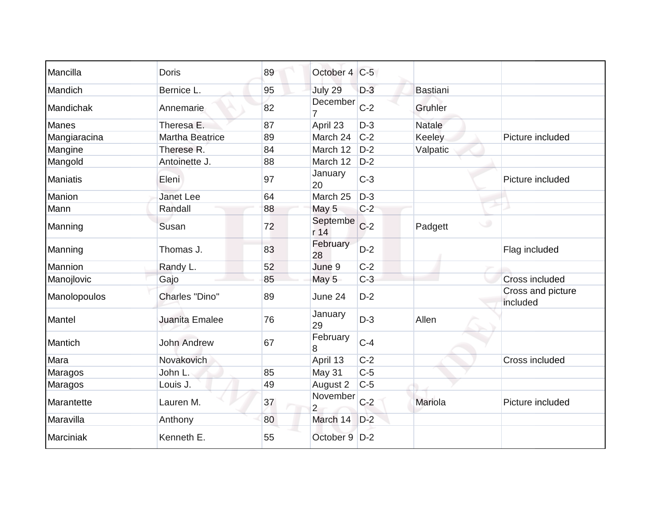| Mancilla        | <b>Doris</b>           | 89 | October 4                  | $C-5$ |                 |                               |
|-----------------|------------------------|----|----------------------------|-------|-----------------|-------------------------------|
| Mandich         | Bernice L.             | 95 | July 29                    | $D-3$ | <b>Bastiani</b> |                               |
| Mandichak       | Annemarie              | 82 | December                   | $C-2$ | Gruhler         |                               |
| <b>Manes</b>    | Theresa E.             | 87 | April 23                   | $D-3$ | <b>Natale</b>   |                               |
| Mangiaracina    | <b>Martha Beatrice</b> | 89 | March 24                   | $C-2$ | Keeley          | Picture included              |
| Mangine         | Therese R.             | 84 | March 12                   | $D-2$ | Valpatic        |                               |
| Mangold         | Antoinette J.          | 88 | March 12                   | $D-2$ |                 |                               |
| <b>Maniatis</b> | Eleni                  | 97 | January<br>20              | $C-3$ |                 | Picture included              |
| Manion          | <b>Janet Lee</b>       | 64 | March 25                   | $D-3$ |                 |                               |
| Mann            | Randall                | 88 | May 5                      | $C-2$ |                 |                               |
| Manning         | Susan                  | 72 | Septembe<br>r 14           | $C-2$ | w<br>Padgett    |                               |
| Manning         | Thomas J.              | 83 | February<br>28             | $D-2$ |                 | Flag included                 |
| Mannion         | Randy L.               | 52 | June 9                     | $C-2$ |                 |                               |
| Manojlovic      | Gajo                   | 85 | May 5                      | $C-3$ |                 | <b>Cross included</b>         |
| Manolopoulos    | <b>Charles "Dino"</b>  | 89 | June 24                    | $D-2$ |                 | Cross and picture<br>included |
| Mantel          | Juanita Emalee         | 76 | January<br>29              | $D-3$ | Allen           |                               |
| Mantich         | <b>John Andrew</b>     | 67 | February<br>8              | $C-4$ |                 |                               |
| Mara            | Novakovich             |    | April 13                   | $C-2$ |                 | Cross included                |
| Maragos         | John L.                | 85 | May 31                     | $C-5$ |                 |                               |
| Maragos         | Louis J.               | 49 | August 2                   | $C-5$ |                 |                               |
| Marantette      | Lauren M.              | 37 | November<br>$\overline{2}$ | $C-2$ | Mariola         | Picture included              |
| Maravilla       | Anthony                | 80 | March 14                   | $D-2$ |                 |                               |
| Marciniak       | Kenneth E.             | 55 | October 9                  | $D-2$ |                 |                               |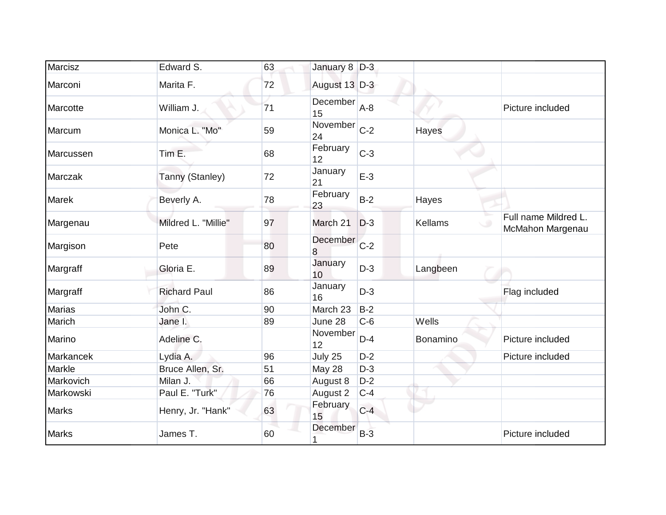| Marcisz       | Edward S.           | 63 | January 8 D-3                 |       |                |                                          |
|---------------|---------------------|----|-------------------------------|-------|----------------|------------------------------------------|
| Marconi       | Marita F.           | 72 | August 13 D-3                 |       |                |                                          |
| Marcotte      | William J.          | 71 | December<br>15                | $A-8$ |                | Picture included                         |
| Marcum        | Monica L. "Mo"      | 59 | November <sub>C-2</sub><br>24 |       | Hayes          |                                          |
| Marcussen     | Tim E.              | 68 | February<br>12                | $C-3$ |                |                                          |
| Marczak       | Tanny (Stanley)     | 72 | January<br>21                 | $E-3$ |                |                                          |
| <b>Marek</b>  | Beverly A.          | 78 | February<br>23                | $B-2$ | Hayes          |                                          |
| Margenau      | Mildred L. "Millie" | 97 | March 21                      | $D-3$ | <b>Kellams</b> | Full name Mildred L.<br>McMahon Margenau |
| Margison      | Pete                | 80 | December<br>8                 | $C-2$ |                |                                          |
| Margraff      | Gloria E.           | 89 | January<br>10                 | $D-3$ | Langbeen       |                                          |
| Margraff      | <b>Richard Paul</b> | 86 | January<br>16                 | $D-3$ |                | Flag included                            |
| <b>Marias</b> | John C.             | 90 | March 23                      | $B-2$ |                |                                          |
| Marich        | Jane I.             | 89 | June 28                       | $C-6$ | Wells          |                                          |
| Marino        | Adeline C.          |    | November<br>12                | $D-4$ | Bonamino       | Picture included                         |
| Markancek     | Lydia A.            | 96 | July 25                       | $D-2$ |                | Picture included                         |
| Markle        | Bruce Allen, Sr.    | 51 | May 28                        | $D-3$ |                |                                          |
| Markovich     | Milan J.            | 66 | August 8                      | $D-2$ |                |                                          |
| Markowski     | Paul E. "Turk"      | 76 | August 2                      | $C-4$ |                |                                          |
| <b>Marks</b>  | Henry, Jr. "Hank"   | 63 | February<br>15                | $C-4$ |                |                                          |
| <b>Marks</b>  | James T.            | 60 | December                      | $B-3$ |                | Picture included                         |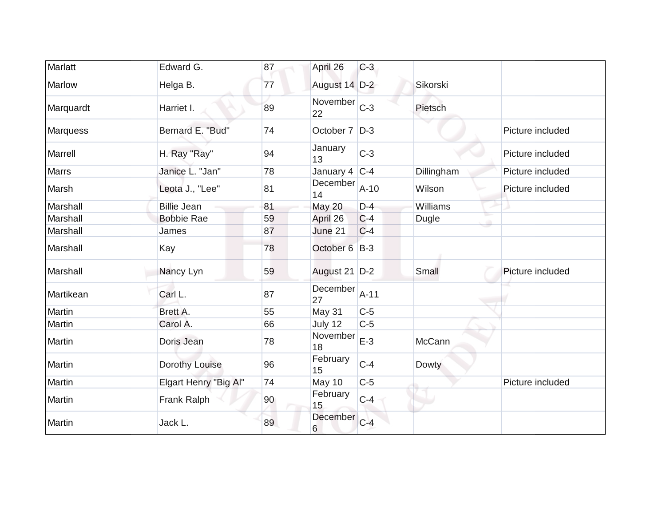| Marlatt         | Edward G.             | 87 | April 26          | $C-3$  |            |                  |
|-----------------|-----------------------|----|-------------------|--------|------------|------------------|
| <b>Marlow</b>   | Helga B.              | 77 | August 14 D-2     |        | Sikorski   |                  |
| Marquardt       | Harriet I.            | 89 | November<br>22    | $C-3$  | Pietsch    |                  |
| <b>Marquess</b> | Bernard E. "Bud"      | 74 | October 7   D-3   |        |            | Picture included |
| Marrell         | H. Ray "Ray"          | 94 | January<br>13     | $C-3$  |            | Picture included |
| <b>Marrs</b>    | Janice L. "Jan"       | 78 | January 4 $ C-4 $ |        | Dillingham | Picture included |
| Marsh           | Leota J., "Lee"       | 81 | December<br>14    | $A-10$ | Wilson     | Picture included |
| Marshall        | <b>Billie Jean</b>    | 81 | May 20            | $D-4$  | Williams   |                  |
| Marshall        | <b>Bobbie Rae</b>     | 59 | April 26          | $C-4$  | Dugle      |                  |
| Marshall        | James                 | 87 | June 21           | $C-4$  |            |                  |
| Marshall        | Kay                   | 78 | October 6 B-3     |        |            |                  |
| Marshall        | Nancy Lyn             | 59 | August 21 D-2     |        | Small      | Picture included |
| Martikean       | Carl L.               | 87 | December<br>27    | $A-11$ |            |                  |
| Martin          | Brett A.              | 55 | May 31            | $C-5$  |            |                  |
| Martin          | Carol A.              | 66 | July 12           | $C-5$  |            |                  |
| Martin          | Doris Jean            | 78 | November<br>18    | $E-3$  | McCann     |                  |
| Martin          | Dorothy Louise        | 96 | February<br>15    | $C-4$  | Dowty      |                  |
| Martin          | Elgart Henry "Big Al" | 74 | May 10            | $C-5$  |            | Picture included |
| Martin          | Frank Ralph           | 90 | February<br>15    | $C-4$  | ٠          |                  |
| Martin          | Jack L.               | 89 | December<br>6     | $C-4$  |            |                  |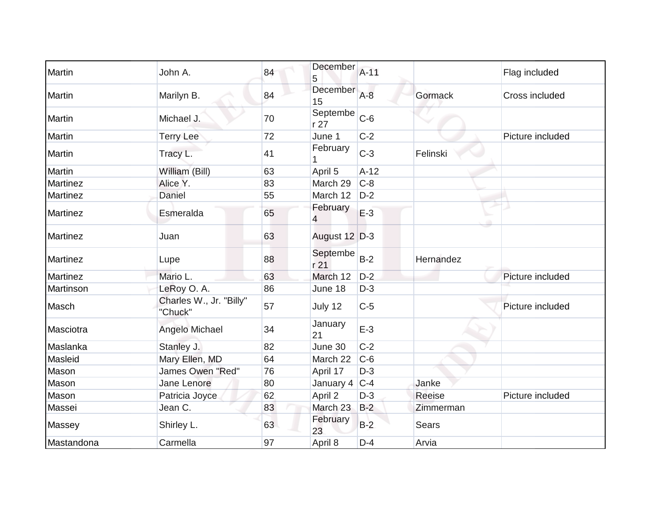| Martin          | John A.                            | 84 | <b>December</b><br>5        | $A-11$ |              | Flag included    |
|-----------------|------------------------------------|----|-----------------------------|--------|--------------|------------------|
| Martin          | Marilyn B.                         | 84 | December<br>15              | $A-8$  | Gormack      | Cross included   |
| Martin          | Michael J.                         | 70 | Septembe<br>r27             | $C-6$  |              |                  |
| Martin          | <b>Terry Lee</b>                   | 72 | June 1                      | $C-2$  |              | Picture included |
| Martin          | Tracy L.                           | 41 | February                    | $C-3$  | Felinski     |                  |
| Martin          | William (Bill)                     | 63 | April 5                     | $A-12$ |              |                  |
| Martinez        | Alice Y.                           | 83 | March 29                    | $C-8$  |              |                  |
| Martinez        | Daniel                             | 55 | March 12                    | $D-2$  |              |                  |
| <b>Martinez</b> | Esmeralda                          | 65 | February<br>4               | $E-3$  |              |                  |
| <b>Martinez</b> | Juan                               | 63 | August 12 D-3               |        |              |                  |
| <b>Martinez</b> | Lupe                               | 88 | Septembe<br>r <sub>21</sub> | $B-2$  | Hernandez    |                  |
| Martinez        | Mario L.                           | 63 | March 12                    | $D-2$  |              | Picture included |
| Martinson       | LeRoy O. A.                        | 86 | June 18                     | $D-3$  |              |                  |
| Masch           | Charles W., Jr. "Billy"<br>"Chuck" | 57 | July 12                     | $C-5$  |              | Picture included |
| Masciotra       | Angelo Michael                     | 34 | January<br>21               | $E-3$  |              |                  |
| Maslanka        | Stanley J.                         | 82 | June 30                     | $C-2$  |              |                  |
| Masleid         | Mary Ellen, MD                     | 64 | March 22                    | $C-6$  |              |                  |
| Mason           | <b>James Owen "Red"</b>            | 76 | April 17                    | $D-3$  |              |                  |
| Mason           | Jane Lenore                        | 80 | January 4                   | $C-4$  | Janke        |                  |
| Mason           | Patricia Joyce                     | 62 | April 2                     | $D-3$  | Reeise       | Picture included |
| Massei          | Jean C.                            | 83 | March 23                    | $B-2$  | Zimmerman    |                  |
| Massey          | Shirley L.                         | 63 | February<br>23              | $B-2$  | <b>Sears</b> |                  |
| Mastandona      | Carmella                           | 97 | April 8                     | $D-4$  | Arvia        |                  |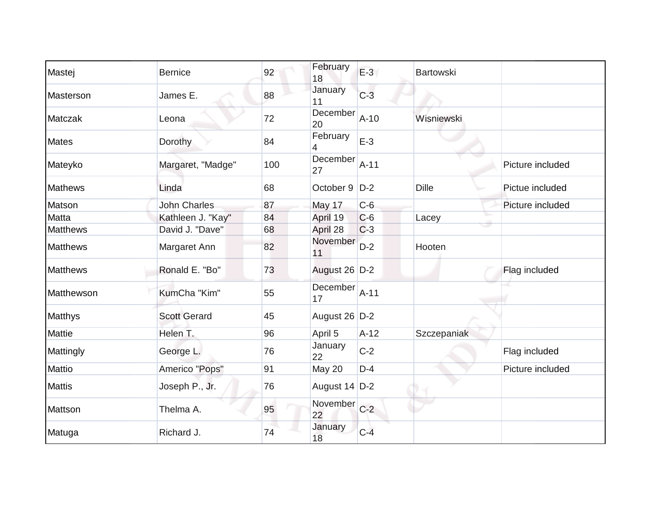| Mastej          | <b>Bernice</b>      | 92  | February<br>18  | $E-3$  | <b>Bartowski</b> |                  |
|-----------------|---------------------|-----|-----------------|--------|------------------|------------------|
| Masterson       | James E.            | 88  | January<br>11   | $C-3$  |                  |                  |
| Matczak         | Leona               | 72  | December<br>20  | $A-10$ | Wisniewski       |                  |
| <b>Mates</b>    | Dorothy             | 84  | February        | $E-3$  |                  |                  |
| Mateyko         | Margaret, "Madge"   | 100 | December<br>27  | $A-11$ |                  | Picture included |
| <b>Mathews</b>  | Linda               | 68  | October 9       | $D-2$  | <b>Dille</b>     | Pictue included  |
| Matson          | <b>John Charles</b> | 87  | May 17          | $C-6$  |                  | Picture included |
| <b>Matta</b>    | Kathleen J. "Kay"   | 84  | April 19        | $C-6$  | Lacey            |                  |
| <b>Matthews</b> | David J. "Dave"     | 68  | April 28        | $C-3$  |                  |                  |
| <b>Matthews</b> | Margaret Ann        | 82  | November<br>11  | $D-2$  | Hooten           |                  |
| <b>Matthews</b> | Ronald E. "Bo"      | 73  | August 26 D-2   |        |                  | Flag included    |
| Matthewson      | KumCha "Kim"        | 55  | December<br>17  | $A-11$ |                  |                  |
| Matthys         | <b>Scott Gerard</b> | 45  | August 26 D-2   |        |                  |                  |
| Mattie          | Helen T.            | 96  | April 5         | $A-12$ | Szczepaniak      |                  |
| Mattingly       | George L.           | 76  | January<br>22   | $C-2$  |                  | Flag included    |
| Mattio          | Americo "Pops"      | 91  | May 20          | $D-4$  |                  | Picture included |
| <b>Mattis</b>   | Joseph P., Jr.      | 76  | August $14$ D-2 |        |                  |                  |
| Mattson         | Thelma A.           | 95  | November<br>22  | $C-2$  |                  |                  |
| Matuga          | Richard J.          | 74  | January<br>18   | $C-4$  |                  |                  |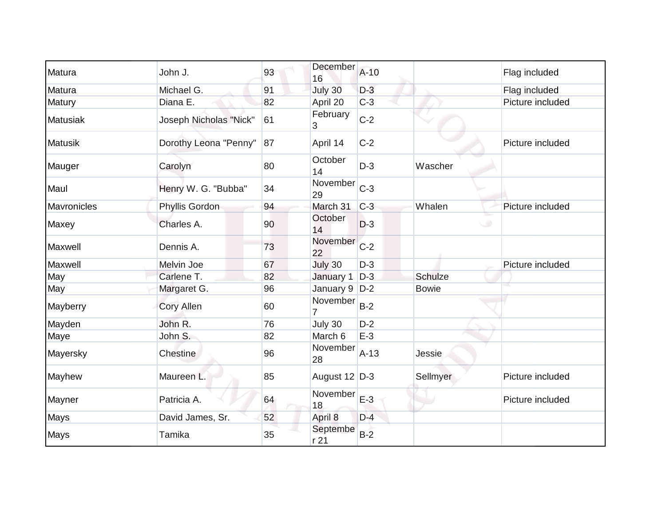| Matura          | John J.                | 93 | December<br>16   | $A-10$ |              | Flag included    |
|-----------------|------------------------|----|------------------|--------|--------------|------------------|
| Matura          | Michael G.             | 91 | July 30          | $D-3$  |              | Flag included    |
| Matury          | Diana E.               | 82 | April 20         | $C-3$  |              | Picture included |
| <b>Matusiak</b> | Joseph Nicholas "Nick" | 61 | February<br>3    | $C-2$  |              |                  |
| <b>Matusik</b>  | Dorothy Leona "Penny"  | 87 | April 14         | $C-2$  |              | Picture included |
| Mauger          | Carolyn                | 80 | October<br>14    | $D-3$  | Wascher      |                  |
| Maul            | Henry W. G. "Bubba"    | 34 | November<br>29   | $C-3$  |              |                  |
| Mavronicles     | Phyllis Gordon         | 94 | March 31         | $C-3$  | Whalen       | Picture included |
| Maxey           | Charles A.             | 90 | October<br>14    | $D-3$  | ه            |                  |
| Maxwell         | Dennis A.              | 73 | November<br>22   | $C-2$  |              |                  |
| Maxwell         | Melvin Joe             | 67 | July 30          | $D-3$  |              | Picture included |
| May             | Carlene T.             | 82 | January 1        | $D-3$  | Schulze      |                  |
| May             | Margaret G.            | 96 | January 9        | $D-2$  | <b>Bowie</b> |                  |
| Mayberry        | <b>Cory Allen</b>      | 60 | November         | $B-2$  |              |                  |
| Mayden          | John R.                | 76 | July 30          | $D-2$  |              |                  |
| Maye            | John S.                | 82 | March 6          | $E-3$  |              |                  |
| Mayersky        | Chestine               | 96 | November<br>28   | $A-13$ | Jessie       |                  |
| Mayhew          | Maureen L.             | 85 | August 12 D-3    |        | Sellmyer     | Picture included |
| Mayner          | Patricia A.            | 64 | November<br>18   | $E-3$  |              | Picture included |
| Mays            | David James, Sr.       | 52 | April 8          | $D-4$  |              |                  |
| Mays            | Tamika                 | 35 | Septembe<br>r 21 | $B-2$  |              |                  |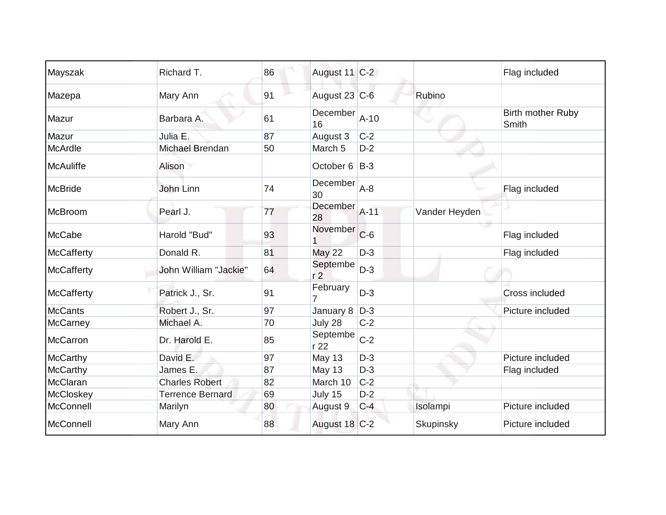| Mayszak           | Richard T.              | 86 | August 11 C-2              |        |               | Flag included                     |
|-------------------|-------------------------|----|----------------------------|--------|---------------|-----------------------------------|
| Mazepa            | Mary Ann                | 91 | August 23 C-6              |        | Rubino        |                                   |
| Mazur             | Barbara A.              | 61 | December<br>16             | $A-10$ |               | <b>Birth mother Ruby</b><br>Smith |
| Mazur             | Julia E.                | 87 | August 3                   | $C-2$  |               |                                   |
| <b>McArdle</b>    | Michael Brendan         | 50 | March 5                    | $D-2$  |               |                                   |
| <b>McAuliffe</b>  | Alison                  |    | October 6 B-3              |        |               |                                   |
| <b>McBride</b>    | John Linn               | 74 | December<br>30             | $A-8$  |               | Flag included                     |
| McBroom           | Pearl J.                | 77 | December<br>28             | $A-11$ | Vander Heyden |                                   |
| McCabe            | Harold "Bud"            | 93 | November                   | $C-6$  |               | Flag included                     |
| <b>McCafferty</b> | Donald R.               | 81 | <b>May 22</b>              | $D-3$  |               | Flag included                     |
| <b>McCafferty</b> | John William "Jackie"   | 64 | Septembe<br>r <sub>2</sub> | $D-3$  |               |                                   |
| <b>McCafferty</b> | Patrick J., Sr.         | 91 | February                   | $D-3$  |               | Cross included                    |
| <b>McCants</b>    | Robert J., Sr.          | 97 | January 8                  | $D-3$  |               | Picture included                  |
| McCarney          | Michael A.              | 70 | July 28                    | $C-2$  |               |                                   |
| McCarron          | Dr. Harold E.           | 85 | Septembe<br>r 22           | $C-2$  |               |                                   |
| <b>McCarthy</b>   | David E.                | 97 | <b>May 13</b>              | $D-3$  |               | Picture included                  |
| McCarthy          | James E.                | 87 | <b>May 13</b>              | $D-3$  |               | Flag included                     |
| McClaran          | <b>Charles Robert</b>   | 82 | March 10                   | $C-2$  |               |                                   |
| McCloskey         | <b>Terrence Bernard</b> | 69 | July 15                    | $D-2$  |               |                                   |
| McConnell         | Marilyn                 | 80 | August 9                   | $C-4$  | Isolampi      | Picture included                  |
| McConnell         | Mary Ann                | 88 | August 18 C-2              |        | Skupinsky     | Picture included                  |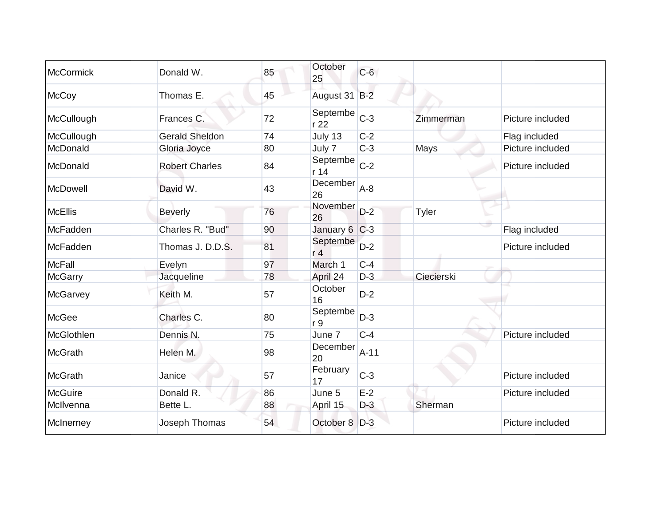| <b>McCormick</b> | Donald W.             | 85 | October<br>25              | $C-6$  |              |                  |
|------------------|-----------------------|----|----------------------------|--------|--------------|------------------|
| McCoy            | Thomas E.             | 45 | August 31 B-2              |        |              |                  |
| McCullough       | Frances C.            | 72 | Septembe<br>r 22           | $C-3$  | Zimmerman    | Picture included |
| McCullough       | <b>Gerald Sheldon</b> | 74 | July 13                    | $C-2$  |              | Flag included    |
| McDonald         | Gloria Joyce          | 80 | July 7                     | $C-3$  | Mays         | Picture included |
| McDonald         | <b>Robert Charles</b> | 84 | Septembe<br>r 14           | $C-2$  |              | Picture included |
| McDowell         | David W.              | 43 | December<br>26             | $A-8$  |              |                  |
| McEllis          | <b>Beverly</b>        | 76 | November<br>26             | $D-2$  | <b>Tyler</b> |                  |
| McFadden         | Charles R. "Bud"      | 90 | January 6 C-3              |        |              | Flag included    |
| McFadden         | Thomas J. D.D.S.      | 81 | Septembe<br>r <sub>4</sub> | $D-2$  |              | Picture included |
| <b>McFall</b>    | Evelyn                | 97 | March 1                    | $C-4$  |              |                  |
| <b>McGarry</b>   | Jacqueline            | 78 | April 24                   | $D-3$  | Ciecierski   |                  |
| McGarvey         | Keith M.              | 57 | October<br>16              | $D-2$  |              |                  |
| McGee            | Charles C.            | 80 | Septembe<br>r 9            | $D-3$  |              |                  |
| McGlothlen       | Dennis N.             | 75 | June 7                     | $C-4$  |              | Picture included |
| <b>McGrath</b>   | Helen M.              | 98 | December<br>20             | $A-11$ |              |                  |
| McGrath          | Janice                | 57 | February<br>17             | $C-3$  |              | Picture included |
| <b>McGuire</b>   | Donald R.             | 86 | June 5                     | $E-2$  |              | Picture included |
| McIlvenna        | Bette L.              | 88 | April 15                   | $D-3$  | Sherman      |                  |
| McInerney        | Joseph Thomas         | 54 | October 8                  | $D-3$  |              | Picture included |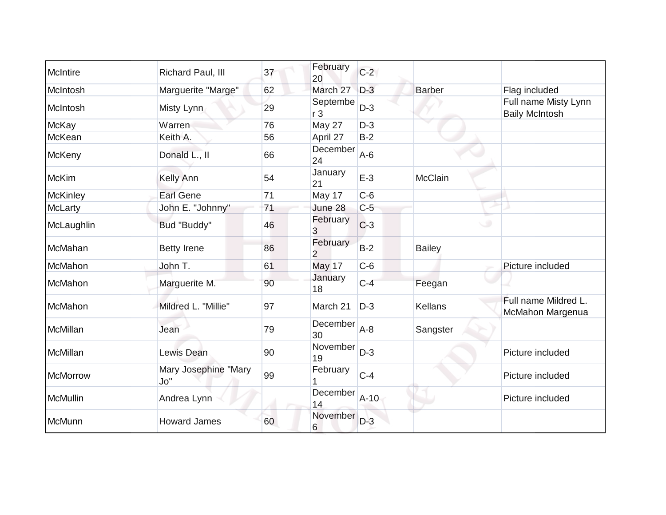| McIntire        | Richard Paul, III           | 37 | February<br>20 | $C-2$  |                |                                               |
|-----------------|-----------------------------|----|----------------|--------|----------------|-----------------------------------------------|
| McIntosh        | Marguerite "Marge"          | 62 | March 27       | $D-3$  | <b>Barber</b>  | Flag included                                 |
| McIntosh        | Misty Lynn                  | 29 | Septembe<br>r3 | $D-3$  |                | Full name Misty Lynn<br><b>Baily McIntosh</b> |
| <b>McKay</b>    | Warren                      | 76 | May 27         | $D-3$  |                |                                               |
| McKean          | Keith A.                    | 56 | April 27       | $B-2$  |                |                                               |
| McKeny          | Donald L., II               | 66 | December<br>24 | $A-6$  |                |                                               |
| <b>McKim</b>    | Kelly Ann                   | 54 | January<br>21  | $E-3$  | McClain        |                                               |
| <b>McKinley</b> | <b>Earl Gene</b>            | 71 | May 17         | $C-6$  |                |                                               |
| McLarty         | John E. "Johnny"            | 71 | June 28        | $C-5$  |                |                                               |
| McLaughlin      | Bud "Buddy"                 | 46 | February<br>3  | $C-3$  |                |                                               |
| McMahan         | <b>Betty Irene</b>          | 86 | February<br>2  | $B-2$  | <b>Bailey</b>  |                                               |
| McMahon         | John T.                     | 61 | <b>May 17</b>  | $C-6$  |                | Picture included                              |
| McMahon         | Marguerite M.               | 90 | January<br>18  | $C-4$  | Feegan         |                                               |
| McMahon         | Mildred L. "Millie"         | 97 | March 21       | $D-3$  | <b>Kellans</b> | Full name Mildred L.<br>McMahon Margenua      |
| McMillan        | Jean                        | 79 | December<br>30 | $A-8$  | Sangster       |                                               |
| McMillan        | Lewis Dean                  | 90 | November<br>19 | $D-3$  |                | Picture included                              |
| <b>McMorrow</b> | Mary Josephine "Mary<br>Jo" | 99 | February       | $C-4$  |                | Picture included                              |
| <b>McMullin</b> | Andrea Lynn                 |    | December<br>14 | $A-10$ |                | Picture included                              |
| McMunn          | <b>Howard James</b>         | 60 | November<br>6  | $D-3$  |                |                                               |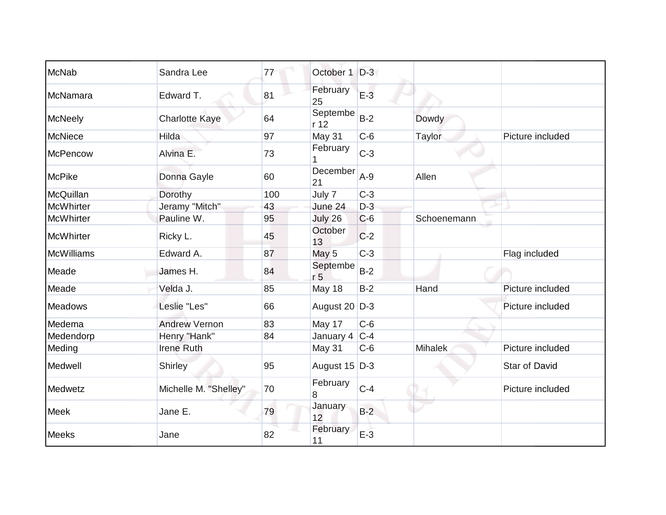| <b>McNab</b>      | Sandra Lee            | 77  | October 1                  | $D-3$ |                |                  |
|-------------------|-----------------------|-----|----------------------------|-------|----------------|------------------|
| McNamara          | Edward T.             | 81  | February<br>25             | $E-3$ |                |                  |
| <b>McNeely</b>    | <b>Charlotte Kaye</b> | 64  | Septembe<br>r 12           | $B-2$ | Dowdy          |                  |
| <b>McNiece</b>    | Hilda                 | 97  | May 31                     | $C-6$ | Taylor         | Picture included |
| <b>McPencow</b>   | Alvina E.             | 73  | February                   | $C-3$ |                |                  |
| <b>McPike</b>     | Donna Gayle           | 60  | December<br>21             | $A-9$ | Allen          |                  |
| McQuillan         | Dorothy               | 100 | July 7                     | $C-3$ |                |                  |
| <b>McWhirter</b>  | Jeramy "Mitch"        | 43  | June 24                    | $D-3$ |                |                  |
| <b>McWhirter</b>  | Pauline W.            | 95  | July 26                    | $C-6$ | Schoenemann    |                  |
| <b>McWhirter</b>  | Ricky L.              | 45  | October<br>13              | $C-2$ |                |                  |
| <b>McWilliams</b> | Edward A.             | 87  | May 5                      | $C-3$ |                | Flag included    |
| Meade             | James H.              | 84  | Septembe<br>r <sub>5</sub> | $B-2$ |                |                  |
| Meade             | Velda J.              | 85  | May 18                     | $B-2$ | Hand           | Picture included |
| <b>Meadows</b>    | Leslie "Les"          | 66  | August 20 D-3              |       |                | Picture included |
| Medema            | <b>Andrew Vernon</b>  | 83  | May 17                     | $C-6$ |                |                  |
| Medendorp         | Henry "Hank"          | 84  | January 4                  | $C-4$ |                |                  |
| Meding            | <b>Irene Ruth</b>     |     | May 31                     | $C-6$ | <b>Mihalek</b> | Picture included |
| Medwell           | Shirley               | 95  | August 15 D-3              |       |                | Star of David    |
| Medwetz           | Michelle M. "Shelley" | 70  | February<br>8              | $C-4$ |                | Picture included |
| <b>Meek</b>       | Jane E.               | 79  | January<br>12              | $B-2$ |                |                  |
| Meeks             | Jane                  | 82  | February<br>11             | $E-3$ |                |                  |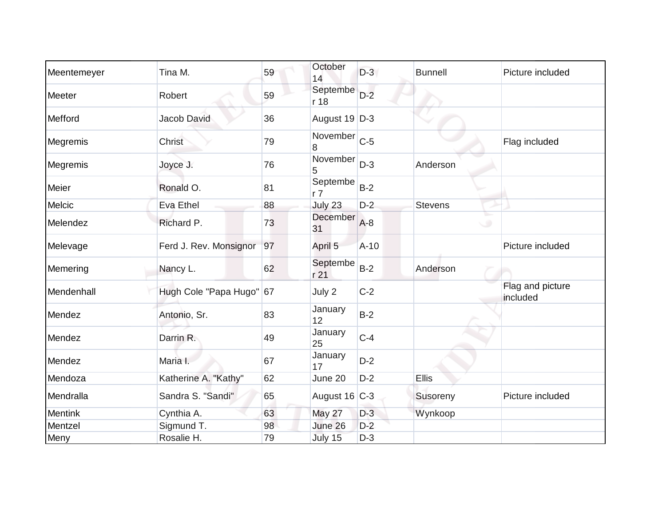| Meentemeyer    | Tina M.                  | 59 | October<br>14              | $D-3$  | <b>Bunnell</b> | Picture included             |
|----------------|--------------------------|----|----------------------------|--------|----------------|------------------------------|
| Meeter         | Robert                   | 59 | Septembe<br>r 18           | $D-2$  |                |                              |
| Mefford        | Jacob David              | 36 | August 19 D-3              |        |                |                              |
| Megremis       | Christ                   | 79 | November<br>8              | $C-5$  |                | Flag included                |
| Megremis       | Joyce J.                 | 76 | November<br>5              | $D-3$  | Anderson       |                              |
| Meier          | Ronald O.                | 81 | Septembe<br>r <sub>7</sub> | $B-2$  |                |                              |
| Melcic         | Eva Ethel                | 88 | July 23                    | $D-2$  | <b>Stevens</b> |                              |
| Melendez       | Richard P.               | 73 | December<br>31             | $A-8$  |                | ⊾<br>ن                       |
| Melevage       | Ferd J. Rev. Monsignor   | 97 | April 5                    | $A-10$ |                | Picture included             |
| Memering       | Nancy L.                 | 62 | Septembe<br>r 21           | $B-2$  | Anderson       |                              |
| Mendenhall     | Hugh Cole "Papa Hugo" 67 |    | July 2                     | $C-2$  |                | Flag and picture<br>included |
| Mendez         | Antonio, Sr.             | 83 | January<br>12              | $B-2$  |                |                              |
| Mendez         | Darrin R.                | 49 | January<br>25              | $C-4$  |                |                              |
| Mendez         | Maria I.                 | 67 | January<br>17              | $D-2$  |                |                              |
| Mendoza        | Katherine A. "Kathy"     | 62 | June 20                    | $D-2$  | <b>Ellis</b>   |                              |
| Mendralla      | Sandra S. "Sandi"        | 65 | August 16 C-3              |        | Susoreny       | Picture included             |
| <b>Mentink</b> | Cynthia A.               | 63 | May 27                     | $D-3$  | Wynkoop        |                              |
| Mentzel        | Sigmund T.               | 98 | June 26                    | $D-2$  |                |                              |
| Meny           | Rosalie H.               | 79 | July 15                    | $D-3$  |                |                              |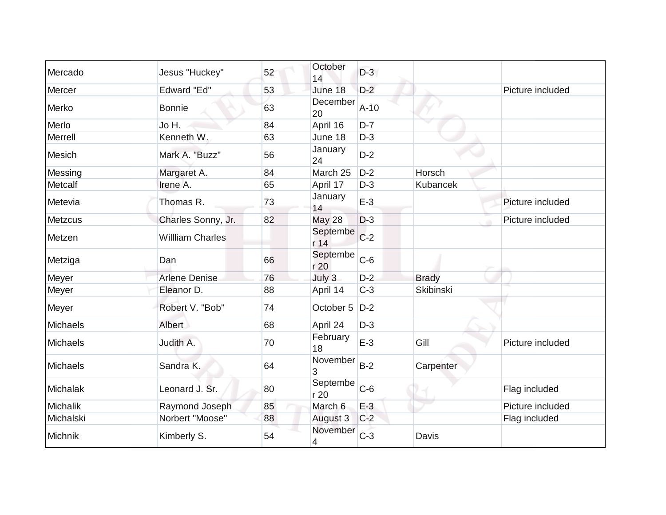| Mercado         | Jesus "Huckey"         | 52 | October<br>14    | $D-3$  |                  |                  |
|-----------------|------------------------|----|------------------|--------|------------------|------------------|
| Mercer          | <b>Edward "Ed"</b>     | 53 | June 18          | $D-2$  |                  | Picture included |
| Merko           | <b>Bonnie</b>          | 63 | December<br>20   | $A-10$ |                  |                  |
| Merlo           | Jo H.                  | 84 | April 16         | $D-7$  |                  |                  |
| Merrell         | Kenneth W.             | 63 | June 18          | $D-3$  |                  |                  |
| <b>Mesich</b>   | Mark A. "Buzz"         | 56 | January<br>24    | $D-2$  |                  |                  |
| Messing         | Margaret A.            | 84 | March 25         | $D-2$  | Horsch           |                  |
| Metcalf         | Irene A.               | 65 | April 17         | $D-3$  | <b>Kubancek</b>  |                  |
| Metevia         | Thomas R.              | 73 | January<br>14    | $E-3$  |                  | Picture included |
| <b>Metzcus</b>  | Charles Sonny, Jr.     | 82 | <b>May 28</b>    | $D-3$  |                  | Picture included |
| Metzen          | <b>William Charles</b> |    | Septembe<br>r 14 | $C-2$  |                  |                  |
| Metziga         | Dan                    | 66 | Septembe<br>r 20 | $C-6$  |                  |                  |
| Meyer           | <b>Arlene Denise</b>   | 76 | July 3           | $D-2$  | <b>Brady</b>     |                  |
| Meyer           | Eleanor D.             | 88 | April 14         | $C-3$  | <b>Skibinski</b> |                  |
| Meyer           | Robert V. "Bob"        | 74 | October 5        | $D-2$  |                  |                  |
| Michaels        | Albert                 | 68 | April 24         | $D-3$  |                  |                  |
| Michaels        | Judith A.              | 70 | February<br>18   | $E-3$  | Gill             | Picture included |
| Michaels        | Sandra K.              | 64 | November<br>3    | $B-2$  | Carpenter        |                  |
| Michalak        | Leonard J. Sr.         | 80 | Septembe<br>r 20 | $C-6$  |                  | Flag included    |
| <b>Michalik</b> | Raymond Joseph         | 85 | March 6          | $E-3$  |                  | Picture included |
| Michalski       | Norbert "Moose"        | 88 | August 3         | $C-2$  |                  | Flag included    |
| Michnik         | Kimberly S.            | 54 | November<br>4    | $C-3$  | Davis            |                  |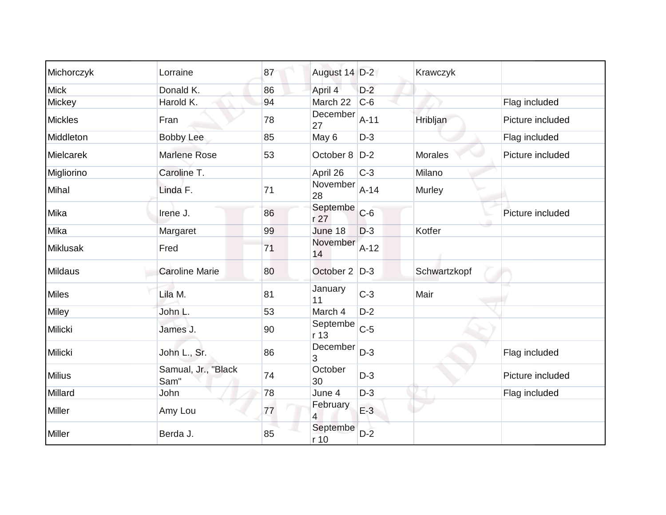| Michorczyk      | Lorraine                    | 87 | August 14 D-2    |        | Krawczyk       |                  |
|-----------------|-----------------------------|----|------------------|--------|----------------|------------------|
| <b>Mick</b>     | Donald K.                   | 86 | April 4          | $D-2$  |                |                  |
| Mickey          | Harold K.                   | 94 | March 22         | $C-6$  |                | Flag included    |
| <b>Mickles</b>  | Fran                        | 78 | December<br>27   | $A-11$ | Hribljan       | Picture included |
| Middleton       | <b>Bobby Lee</b>            | 85 | May 6            | $D-3$  |                | Flag included    |
| Mielcarek       | <b>Marlene Rose</b>         | 53 | October 8   D-2  |        | <b>Morales</b> | Picture included |
| Migliorino      | Caroline T.                 |    | April 26         | $C-3$  | Milano         |                  |
| Mihal           | Linda F.                    | 71 | November<br>28   | $A-14$ | Murley         |                  |
| Mika            | Irene J.                    | 86 | Septembe<br>r27  | $C-6$  |                | Picture included |
| Mika            | Margaret                    | 99 | June 18          | $D-3$  | Kotfer         |                  |
| <b>Miklusak</b> | Fred                        | 71 | November<br>14   | $A-12$ |                |                  |
| <b>Mildaus</b>  | <b>Caroline Marie</b>       | 80 | October 2 D-3    |        | Schwartzkopf   |                  |
| <b>Miles</b>    | Lila M.                     | 81 | January<br>11    | $C-3$  | Mair           |                  |
| Miley           | John L.                     | 53 | March 4          | $D-2$  |                |                  |
| Milicki         | James J.                    | 90 | Septembe<br>r 13 | $C-5$  |                |                  |
| <b>Milicki</b>  | John L., Sr.                | 86 | December<br>3    | $D-3$  |                | Flag included    |
| <b>Milius</b>   | Samual, Jr., "Black<br>Sam" | 74 | October<br>30    | $D-3$  |                | Picture included |
| Millard         | John                        | 78 | June 4           | $D-3$  |                | Flag included    |
| <b>Miller</b>   | Amy Lou                     | 77 | February<br>4    | $E-3$  |                |                  |
| Miller          | Berda J.                    | 85 | Septembe<br>r 10 | $D-2$  |                |                  |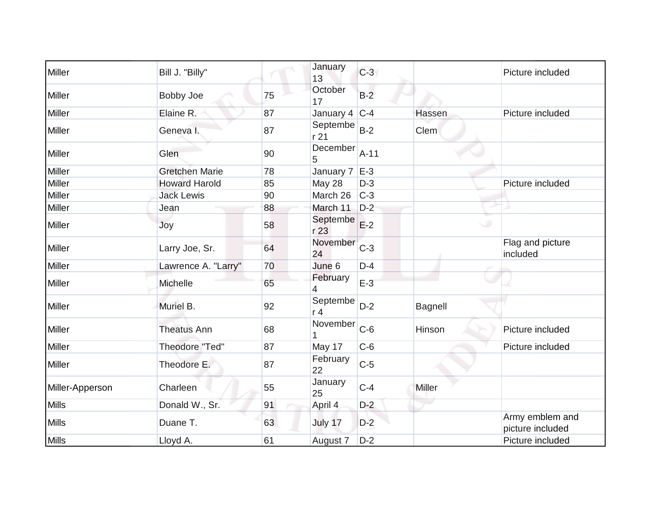| Miller          | Bill J. "Billy"       |    | January<br>13              | $C-3$  |                | Picture included                    |
|-----------------|-----------------------|----|----------------------------|--------|----------------|-------------------------------------|
| Miller          | Bobby Joe             | 75 | October<br>17              | $B-2$  |                |                                     |
| Miller          | Elaine R.             | 87 | January 4                  | $C-4$  | Hassen         | Picture included                    |
| Miller          | Geneva I.             | 87 | Septembe<br>r21            | $B-2$  | Clem           |                                     |
| Miller          | Glen                  | 90 | December<br>5              | $A-11$ |                |                                     |
| Miller          | <b>Gretchen Marie</b> | 78 | January 7                  | $E-3$  |                |                                     |
| Miller          | <b>Howard Harold</b>  | 85 | May 28                     | $D-3$  |                | Picture included                    |
| Miller          | <b>Jack Lewis</b>     | 90 | March 26                   | $C-3$  |                |                                     |
| Miller          | Jean                  | 88 | March 11                   | $D-2$  |                |                                     |
| Miller          | Joy                   | 58 | Septembe<br>r 23           | $E-2$  |                |                                     |
| Miller          | Larry Joe, Sr.        | 64 | November<br>24             | $C-3$  |                | Flag and picture<br>included        |
| Miller          | Lawrence A. "Larry"   | 70 | June 6                     | $D-4$  |                |                                     |
| Miller          | Michelle              | 65 | February<br>4              | $E-3$  |                |                                     |
| Miller          | Muriel B.             | 92 | Septembe<br>r <sub>4</sub> | $D-2$  | <b>Bagnell</b> |                                     |
| Miller          | <b>Theatus Ann</b>    | 68 | November                   | $C-6$  | Hinson         | Picture included                    |
| Miller          | <b>Theodore "Ted"</b> | 87 | May 17                     | $C-6$  |                | Picture included                    |
| Miller          | Theodore E.           | 87 | February<br>22             | $C-5$  |                |                                     |
| Miller-Apperson | Charleen              | 55 | January<br>25              | $C-4$  | <b>Miller</b>  |                                     |
| <b>Mills</b>    | Donald W., Sr.        | 91 | April 4                    | $D-2$  |                |                                     |
| <b>Mills</b>    | Duane T.              | 63 | July 17                    | $D-2$  |                | Army emblem and<br>picture included |
| <b>Mills</b>    | Lloyd A.              | 61 | August 7                   | $D-2$  |                | Picture included                    |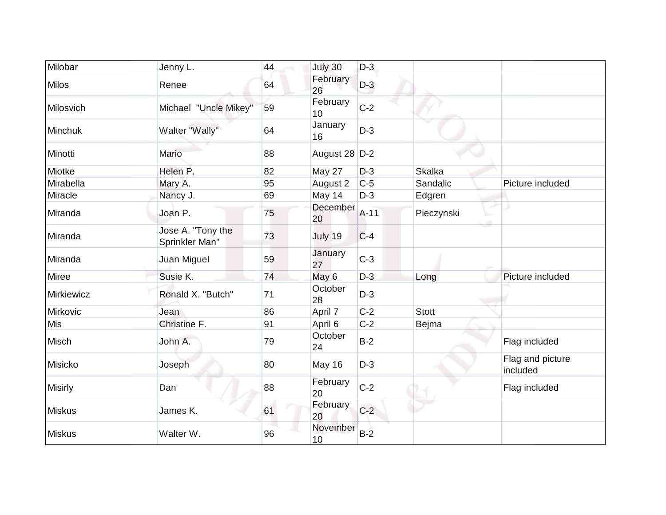| Milobar        | Jenny L.                            | 44 | July 30        | $D-3$  |               |                              |
|----------------|-------------------------------------|----|----------------|--------|---------------|------------------------------|
| <b>Milos</b>   | Renee                               | 64 | February<br>26 | $D-3$  |               |                              |
| Milosvich      | Michael "Uncle Mikey"               | 59 | February<br>10 | $C-2$  |               |                              |
| Minchuk        | Walter "Wally"                      | 64 | January<br>16  | $D-3$  |               |                              |
| Minotti        | Mario                               | 88 | August 28 D-2  |        |               |                              |
| Miotke         | Helen P.                            | 82 | May 27         | $D-3$  | <b>Skalka</b> |                              |
| Mirabella      | Mary A.                             | 95 | August 2       | $C-5$  | Sandalic      | Picture included             |
| Miracle        | Nancy J.                            | 69 | May 14         | $D-3$  | Edgren        |                              |
| Miranda        | Joan P.                             | 75 | December<br>20 | $A-11$ | Pieczynski    |                              |
| Miranda        | Jose A. "Tony the<br>Sprinkler Man" | 73 | July 19        | $C-4$  |               |                              |
| Miranda        | Juan Miguel                         | 59 | January<br>27  | $C-3$  |               |                              |
| Miree          | Susie K.                            | 74 | May 6          | $D-3$  | Long          | Picture included             |
| Mirkiewicz     | Ronald X. "Butch"                   | 71 | October<br>28  | $D-3$  |               |                              |
| Mirkovic       | Jean                                | 86 | April 7        | $C-2$  | <b>Stott</b>  |                              |
| Mis            | Christine F.                        | 91 | April 6        | $C-2$  | <b>Bejma</b>  |                              |
| Misch          | John A.                             | 79 | October<br>24  | $B-2$  |               | Flag included                |
| Misicko        | Joseph                              | 80 | May 16         | $D-3$  |               | Flag and picture<br>included |
| <b>Misirly</b> | Dan                                 | 88 | February<br>20 | $C-2$  |               | Flag included                |
| <b>Miskus</b>  | James K.                            | 61 | February<br>20 | $C-2$  |               |                              |
| <b>Miskus</b>  | Walter W.                           | 96 | November<br>10 | $B-2$  |               |                              |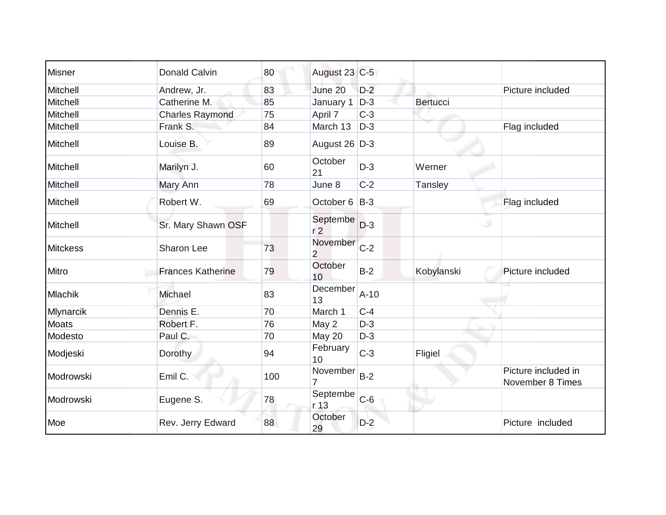| Misner          | Donald Calvin            | 80  | August 23 C-5              |        |                 |                                         |
|-----------------|--------------------------|-----|----------------------------|--------|-----------------|-----------------------------------------|
| Mitchell        | Andrew, Jr.              | 83  | June 20                    | $D-2$  |                 | Picture included                        |
| Mitchell        | Catherine M.             | 85  | January 1                  | $D-3$  | <b>Bertucci</b> |                                         |
| Mitchell        | <b>Charles Raymond</b>   | 75  | April 7                    | $C-3$  |                 |                                         |
| Mitchell        | Frank S.                 | 84  | March 13                   | $D-3$  |                 | Flag included                           |
| Mitchell        | Louise B.                | 89  | August 26 D-3              |        |                 |                                         |
| Mitchell        | Marilyn J.               | 60  | October<br>21              | $D-3$  | Werner          |                                         |
| Mitchell        | Mary Ann                 | 78  | June 8                     | $C-2$  | Tansley         |                                         |
| Mitchell        | Robert W.                | 69  | October 6 B-3              |        |                 | Flag included                           |
| Mitchell        | Sr. Mary Shawn OSF       |     | Septembe<br>r <sub>2</sub> | $D-3$  | $\cup$          |                                         |
| <b>Mitckess</b> | Sharon Lee               | 73  | November<br>$\overline{2}$ | $C-2$  |                 |                                         |
| Mitro           | <b>Frances Katherine</b> | 79  | October<br>10              | $B-2$  | Kobylanski      | Picture included                        |
| <b>Mlachik</b>  | Michael                  | 83  | December<br>13             | $A-10$ |                 |                                         |
| Mlynarcik       | Dennis E.                | 70  | March 1                    | $C-4$  |                 |                                         |
| <b>Moats</b>    | Robert F.                | 76  | May 2                      | $D-3$  |                 |                                         |
| Modesto         | Paul C.                  | 70  | May 20                     | $D-3$  |                 |                                         |
| Modjeski        | Dorothy                  | 94  | February<br>10             | $C-3$  | Fligiel         |                                         |
| Modrowski       | Emil C.                  | 100 | November                   | $B-2$  |                 | Picture included in<br>November 8 Times |
| Modrowski       | Eugene S.                | 78  | Septembe<br>r 13           | $C-6$  |                 |                                         |
| Moe             | Rev. Jerry Edward        | 88  | October<br>29              | $D-2$  |                 | Picture included                        |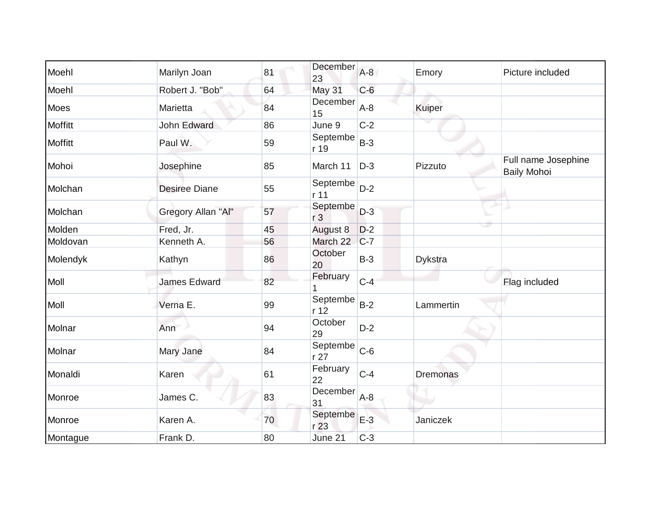| Moehl          | Marilyn Joan         | 81 | December<br>23             | $A-8$ | Emory           | Picture included                          |
|----------------|----------------------|----|----------------------------|-------|-----------------|-------------------------------------------|
| Moehl          | Robert J. "Bob"      | 64 | May 31                     | $C-6$ |                 |                                           |
| Moes           | Marietta             | 84 | December<br>15             | $A-8$ | <b>Kuiper</b>   |                                           |
| Moffitt        | John Edward          | 86 | June 9                     | $C-2$ |                 |                                           |
| <b>Moffitt</b> | Paul W.              | 59 | Septembe<br>r 19           | $B-3$ |                 |                                           |
| Mohoi          | Josephine            | 85 | March 11                   | $D-3$ | Pizzuto         | Full name Josephine<br><b>Baily Mohoi</b> |
| Molchan        | <b>Desiree Diane</b> | 55 | Septembe<br>r 11           | $D-2$ |                 |                                           |
| Molchan        | Gregory Allan "Al"   | 57 | Septembe<br>r <sub>3</sub> | $D-3$ |                 |                                           |
| Molden         | Fred, Jr.            | 45 | August 8                   | $D-2$ |                 |                                           |
| Moldovan       | Kenneth A.           | 56 | March 22                   | $C-7$ |                 |                                           |
| Molendyk       | Kathyn               | 86 | October<br>20              | $B-3$ | <b>Dykstra</b>  |                                           |
| Moll           | <b>James Edward</b>  | 82 | February                   | $C-4$ |                 | Flag included                             |
| Moll           | Verna E.             | 99 | Septembe<br>r 12           | $B-2$ | Lammertin       |                                           |
| Molnar         | Ann                  | 94 | October<br>29              | $D-2$ |                 |                                           |
| Molnar         | Mary Jane            | 84 | Septembe<br>r 27           | $C-6$ |                 |                                           |
| Monaldi        | Karen                | 61 | February<br>22             | $C-4$ | <b>Dremonas</b> |                                           |
| Monroe         | James C.             | 83 | December<br>31             | $A-8$ |                 |                                           |
| Monroe         | Karen A.             | 70 | Septembe<br>r 23           | $E-3$ | Janiczek        |                                           |
| Montague       | Frank D.             | 80 | June 21                    | $C-3$ |                 |                                           |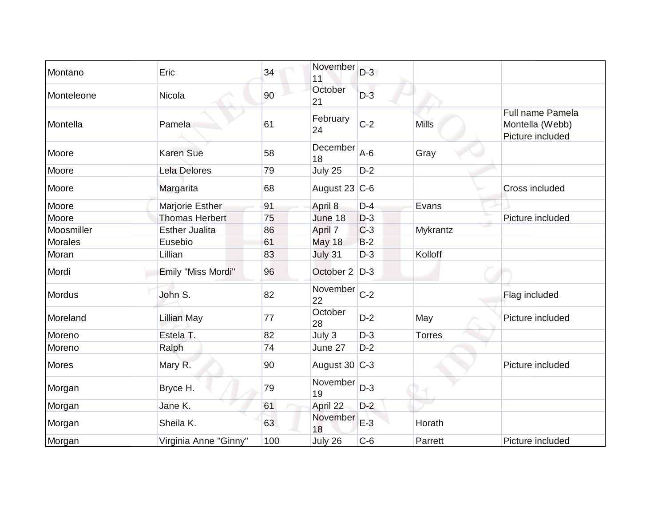| Montano        | Eric                  | 34  | November<br>11    | $D-3$ |               |                                                         |
|----------------|-----------------------|-----|-------------------|-------|---------------|---------------------------------------------------------|
| Monteleone     | Nicola                | 90  | October<br>21     | $D-3$ |               |                                                         |
| Montella       | Pamela                | 61  | February<br>24    | $C-2$ | <b>Mills</b>  | Full name Pamela<br>Montella (Webb)<br>Picture included |
| Moore          | <b>Karen Sue</b>      | 58  | December<br>18    | $A-6$ | Gray          |                                                         |
| Moore          | <b>Lela Delores</b>   | 79  | July 25           | $D-2$ |               |                                                         |
| Moore          | Margarita             | 68  | August 23 $ C-6 $ |       |               | Cross included                                          |
| Moore          | Marjorie Esther       | 91  | April 8           | $D-4$ | Evans         |                                                         |
| Moore          | <b>Thomas Herbert</b> | 75  | June 18           | $D-3$ |               | Picture included                                        |
| Moosmiller     | <b>Esther Jualita</b> | 86  | April 7           | $C-3$ | Mykrantz      |                                                         |
| <b>Morales</b> | Eusebio               | 61  | <b>May 18</b>     | $B-2$ |               |                                                         |
| Moran          | Lillian               | 83  | July 31           | $D-3$ | Kolloff       |                                                         |
| Mordi          | Emily "Miss Mordi"    | 96  | October 2 D-3     |       |               |                                                         |
| <b>Mordus</b>  | John S.               | 82  | November<br>22    | $C-2$ |               | Flag included                                           |
| Moreland       | <b>Lillian May</b>    | 77  | October<br>28     | $D-2$ | May           | Picture included                                        |
| Moreno         | Estela T.             | 82  | July 3            | $D-3$ | <b>Torres</b> |                                                         |
| Moreno         | Ralph                 | 74  | June 27           | $D-2$ |               |                                                         |
| <b>Mores</b>   | Mary R.               | 90  | August 30 C-3     |       |               | Picture included                                        |
| Morgan         | Bryce H.              | 79  | November<br>19    | $D-3$ |               |                                                         |
| Morgan         | Jane K.               | 61  | April 22          | $D-2$ |               |                                                         |
| Morgan         | Sheila K.             | 63  | November<br>18    | $E-3$ | Horath        |                                                         |
| Morgan         | Virginia Anne "Ginny" | 100 | July 26           | $C-6$ | Parrett       | Picture included                                        |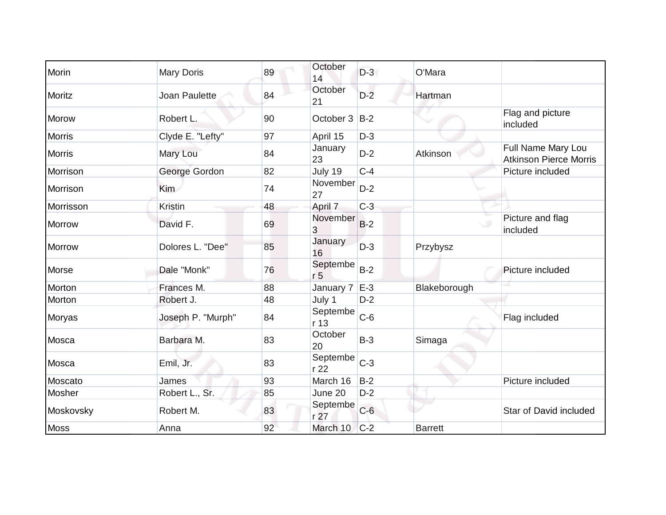| Morin         | <b>Mary Doris</b> | 89 | October<br>14               | $D-3$ | O'Mara         |                                                     |
|---------------|-------------------|----|-----------------------------|-------|----------------|-----------------------------------------------------|
| Moritz        | Joan Paulette     | 84 | October<br>21               | $D-2$ | Hartman        |                                                     |
| Morow         | Robert L.         | 90 | October 3                   | $B-2$ |                | Flag and picture<br>included                        |
| <b>Morris</b> | Clyde E. "Lefty"  | 97 | April 15                    | $D-3$ |                |                                                     |
| <b>Morris</b> | Mary Lou          | 84 | January<br>23               | $D-2$ | Atkinson       | Full Name Mary Lou<br><b>Atkinson Pierce Morris</b> |
| Morrison      | George Gordon     | 82 | July 19                     | $C-4$ |                | Picture included                                    |
| Morrison      | <b>Kim</b>        | 74 | November<br>27              | $D-2$ |                |                                                     |
| Morrisson     | <b>Kristin</b>    | 48 | April 7                     | $C-3$ |                |                                                     |
| <b>Morrow</b> | David F.          | 69 | November<br>3               | $B-2$ |                | Picture and flag<br>included                        |
| <b>Morrow</b> | Dolores L. "Dee"  | 85 | January<br>16               | $D-3$ | Przybysz       |                                                     |
| Morse         | Dale "Monk"       | 76 | Septembe<br>r <sub>5</sub>  | $B-2$ |                | Picture included                                    |
| Morton        | Frances M.        | 88 | January 7                   | $E-3$ | Blakeborough   |                                                     |
| Morton        | Robert J.         | 48 | July 1                      | $D-2$ |                |                                                     |
| Moryas        | Joseph P. "Murph" | 84 | Septembe<br>r 13            | $C-6$ |                | Flag included                                       |
| Mosca         | Barbara M.        | 83 | October<br>20               | $B-3$ | Simaga         |                                                     |
| Mosca         | Emil, Jr.         | 83 | Septembe<br>r22             | $C-3$ |                |                                                     |
| Moscato       | James             | 93 | March 16                    | $B-2$ |                | Picture included                                    |
| Mosher        | Robert L., Sr.    | 85 | June 20                     | $D-2$ |                |                                                     |
| Moskovsky     | Robert M.         | 83 | Septembe<br>r <sub>27</sub> | $C-6$ |                | Star of David included                              |
| <b>Moss</b>   | Anna              | 92 | March 10                    | $C-2$ | <b>Barrett</b> |                                                     |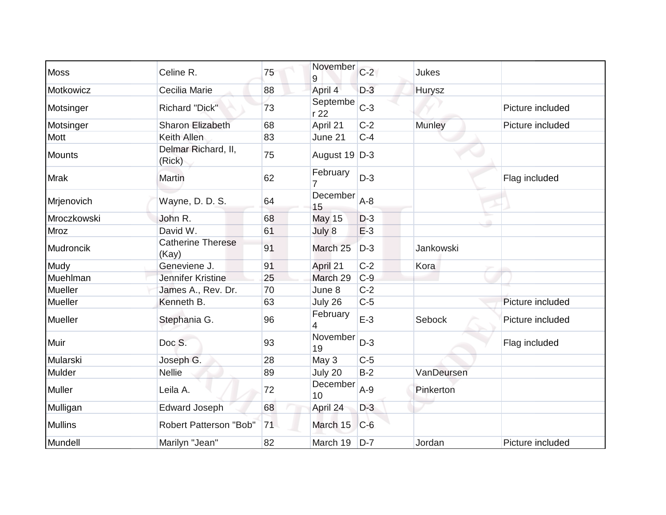| <b>Moss</b>    | Celine R.                         | 75 | November<br>9    | $C-2$ | Jukes         |                  |
|----------------|-----------------------------------|----|------------------|-------|---------------|------------------|
| Motkowicz      | Cecilia Marie                     | 88 | April 4          | $D-3$ | Hurysz        |                  |
| Motsinger      | <b>Richard "Dick"</b>             | 73 | Septembe<br>r 22 | $C-3$ |               | Picture included |
| Motsinger      | <b>Sharon Elizabeth</b>           | 68 | April 21         | $C-2$ | <b>Munley</b> | Picture included |
| <b>Mott</b>    | Keith Allen                       | 83 | June 21          | $C-4$ |               |                  |
| <b>Mounts</b>  | Delmar Richard, II,<br>(Rick)     | 75 | August 19 D-3    |       |               |                  |
| <b>Mrak</b>    | <b>Martin</b>                     | 62 | February         | $D-3$ |               | Flag included    |
| Mrjenovich     | Wayne, D. D. S.                   | 64 | December<br>15   | $A-8$ |               |                  |
| Mroczkowski    | John R.                           | 68 | <b>May 15</b>    | $D-3$ |               |                  |
| Mroz           | David W.                          | 61 | July 8           | $E-3$ |               |                  |
| Mudroncik      | <b>Catherine Therese</b><br>(Kay) | 91 | March 25         | $D-3$ | Jankowski     |                  |
| Mudy           | Geneviene J.                      | 91 | April 21         | $C-2$ | Kora          |                  |
| Muehlman       | Jennifer Kristine                 | 25 | March 29         | $C-9$ |               |                  |
| Mueller        | James A., Rev. Dr.                | 70 | June 8           | $C-2$ |               |                  |
| Mueller        | Kenneth B.                        | 63 | July 26          | $C-5$ |               | Picture included |
| Mueller        | Stephania G.                      | 96 | February<br>4    | $E-3$ | Sebock        | Picture included |
| Muir           | Doc S.                            | 93 | November<br>19   | $D-3$ |               | Flag included    |
| Mularski       | Joseph G.                         | 28 | May 3            | $C-5$ |               |                  |
| Mulder         | <b>Nellie</b>                     | 89 | July 20          | $B-2$ | VanDeursen    |                  |
| Muller         | Leila A.                          | 72 | December<br>10   | $A-9$ | Pinkerton     |                  |
| Mulligan       | <b>Edward Joseph</b>              | 68 | April 24         | $D-3$ |               |                  |
| <b>Mullins</b> | Robert Patterson "Bob"            | 71 | March 15         | $C-6$ |               |                  |
| Mundell        | Marilyn "Jean"                    | 82 | March 19         | $D-7$ | Jordan        | Picture included |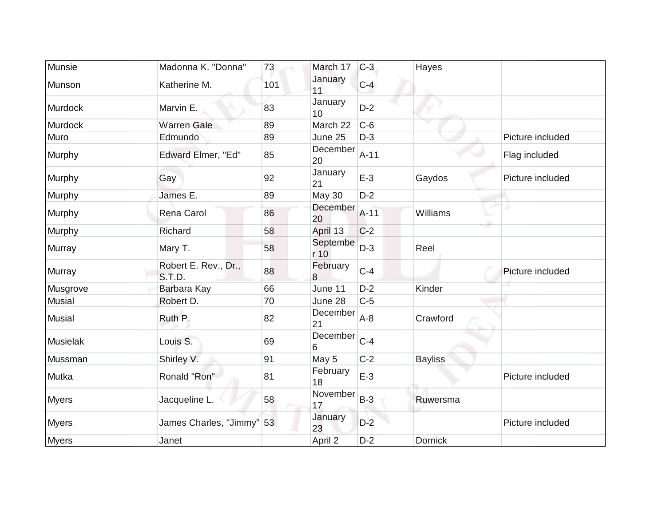| Munsie        | Madonna K. "Donna"             | 73  | March 17         | $C-3$  | Hayes          |                  |
|---------------|--------------------------------|-----|------------------|--------|----------------|------------------|
| Munson        | Katherine M.                   | 101 | January<br>11    | $C-4$  |                |                  |
| Murdock       | Marvin E.                      | 83  | January<br>10    | $D-2$  |                |                  |
| Murdock       | <b>Warren Gale</b>             | 89  | March 22         | $C-6$  |                |                  |
| Muro          | Edmundo                        | 89  | June 25          | $D-3$  |                | Picture included |
| Murphy        | Edward Elmer, "Ed"             | 85  | December<br>20   | $A-11$ |                | Flag included    |
| Murphy        | Gay                            | 92  | January<br>21    | $E-3$  | Gaydos         | Picture included |
| Murphy        | James E.                       | 89  | <b>May 30</b>    | $D-2$  |                |                  |
| Murphy        | Rena Carol                     | 86  | December<br>20   | $A-11$ | Williams       |                  |
| Murphy        | Richard                        | 58  | April 13         | $C-2$  |                |                  |
| Murray        | Mary T.                        | 58  | Septembe<br>r 10 | $D-3$  | Reel           |                  |
| Murray        | Robert E. Rev., Dr.,<br>S.T.D. | 88  | February<br>8    | $C-4$  |                | Picture included |
| Musgrove      | Barbara Kay                    | 66  | June 11          | $D-2$  | Kinder         |                  |
| <b>Musial</b> | Robert D.                      | 70  | June 28          | $C-5$  |                |                  |
| <b>Musial</b> | Ruth P.                        | 82  | December<br>21   | $A-8$  | Crawford       |                  |
| Musielak      | Louis S.                       | 69  | December<br>6    | $C-4$  |                |                  |
| Mussman       | Shirley V.                     | 91  | May 5            | $C-2$  | <b>Bayliss</b> |                  |
| Mutka         | Ronald "Ron"                   | 81  | February<br>18   | $E-3$  |                | Picture included |
| <b>Myers</b>  | Jacqueline L.                  | 58  | November<br>17   | $B-3$  | Ruwersma       |                  |
| <b>Myers</b>  | James Charles, "Jimmy" 53      |     | January<br>23    | $D-2$  |                | Picture included |
| <b>Myers</b>  | Janet                          |     | April 2          | $D-2$  | <b>Dornick</b> |                  |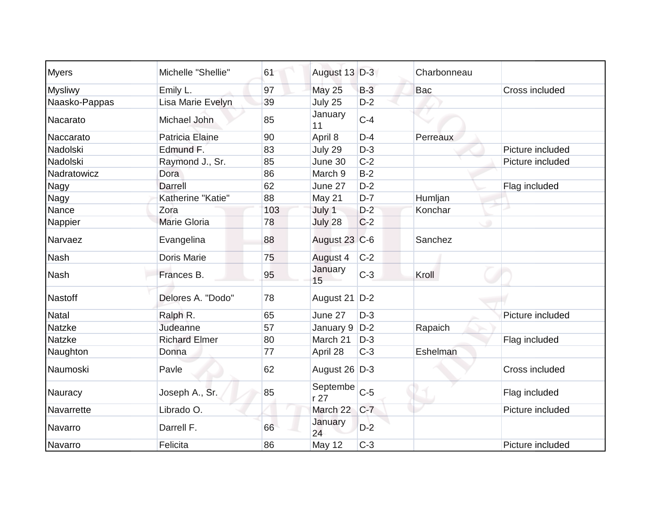| <b>Myers</b>   | Michelle "Shellie"   | 61  | August 13 D-3   |       | Charbonneau |                  |
|----------------|----------------------|-----|-----------------|-------|-------------|------------------|
| <b>Mysliwy</b> | Emily L.             | 97  | <b>May 25</b>   | $B-3$ | Bac         | Cross included   |
| Naasko-Pappas  | Lisa Marie Evelyn    | 39  | July 25         | $D-2$ |             |                  |
| Nacarato       | Michael John         | 85  | January<br>11   | $C-4$ |             |                  |
| Naccarato      | Patricia Elaine      | 90  | April 8         | $D-4$ | Perreaux    |                  |
| Nadolski       | Edmund F.            | 83  | July 29         | $D-3$ |             | Picture included |
| Nadolski       | Raymond J., Sr.      | 85  | June 30         | $C-2$ |             | Picture included |
| Nadratowicz    | Dora                 | 86  | March 9         | $B-2$ |             |                  |
| Nagy           | <b>Darrell</b>       | 62  | June 27         | $D-2$ |             | Flag included    |
| Nagy           | Katherine "Katie"    | 88  | May 21          | $D-7$ | Humljan     |                  |
| Nance          | Zora                 | 103 | July 1          | $D-2$ | Konchar     | л                |
| Nappier        | <b>Marie Gloria</b>  | 78  | July 28         | $C-2$ |             |                  |
| Narvaez        | Evangelina           | 88  | August 23 C-6   |       | Sanchez     |                  |
| <b>Nash</b>    | Doris Marie          | 75  | August 4        | $C-2$ |             |                  |
| <b>Nash</b>    | Frances B.           | 95  | January<br>15   | $C-3$ | Kroll       |                  |
| Nastoff        | Delores A. "Dodo"    | 78  | August 21       | $D-2$ |             |                  |
| <b>Natal</b>   | Ralph R.             | 65  | June 27         | $D-3$ |             | Picture included |
| Natzke         | Judeanne             | 57  | January 9       | $D-2$ | Rapaich     |                  |
| <b>Natzke</b>  | <b>Richard Elmer</b> | 80  | March 21        | $D-3$ |             | Flag included    |
| Naughton       | Donna                | 77  | April 28        | $C-3$ | Eshelman    |                  |
| Naumoski       | Pavle                | 62  | August 26 D-3   |       |             | Cross included   |
| Nauracy        | Joseph A., Sr.       | 85  | Septembe<br>r27 | $C-5$ |             | Flag included    |
| Navarrette     | Librado O.           |     | March 22        | $C-7$ |             | Picture included |
| Navarro        | Darrell F.           | 66  | January<br>24   | $D-2$ |             |                  |
| Navarro        | Felicita             | 86  | May 12          | $C-3$ |             | Picture included |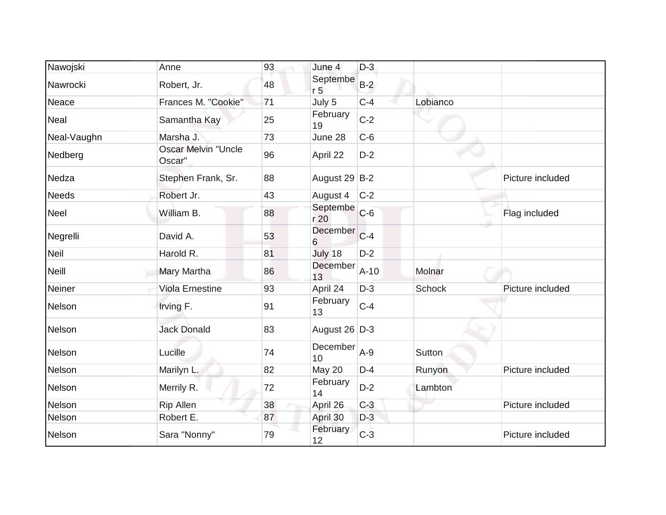| Nawojski     | Anne                                 | 93 | June 4                     | $D-3$  |               |                  |
|--------------|--------------------------------------|----|----------------------------|--------|---------------|------------------|
| Nawrocki     | Robert, Jr.                          | 48 | Septembe<br>r <sub>5</sub> | $B-2$  |               |                  |
| Neace        | Frances M. "Cookie"                  | 71 | July 5                     | $C-4$  | Lobianco      |                  |
| Neal         | Samantha Kay                         | 25 | February<br>19             | $C-2$  |               |                  |
| Neal-Vaughn  | Marsha J.                            | 73 | June 28                    | $C-6$  |               |                  |
| Nedberg      | <b>Oscar Melvin "Uncle</b><br>Oscar" | 96 | April 22                   | $D-2$  |               |                  |
| Nedza        | Stephen Frank, Sr.                   | 88 | August 29 B-2              |        |               | Picture included |
| <b>Needs</b> | Robert Jr.                           | 43 | August 4                   | $C-2$  |               |                  |
| Neel         | William B.                           | 88 | Septembe<br>r 20           | $C-6$  |               | Flag included    |
| Negrelli     | David A.                             | 53 | December<br>6              | $C-4$  |               |                  |
| Neil         | Harold R.                            | 81 | July 18                    | $D-2$  |               |                  |
| <b>Neill</b> | Mary Martha                          | 86 | December<br>13             | $A-10$ | Molnar        |                  |
| Neiner       | <b>Viola Ernestine</b>               | 93 | April 24                   | $D-3$  | <b>Schock</b> | Picture included |
| Nelson       | Irving F.                            | 91 | February<br>13             | $C-4$  |               |                  |
| Nelson       | <b>Jack Donald</b>                   | 83 | August 26 D-3              |        |               |                  |
| Nelson       | Lucille                              | 74 | December<br>10             | $A-9$  | <b>Sutton</b> |                  |
| Nelson       | Marilyn L.                           | 82 | May 20                     | $D-4$  | Runyon        | Picture included |
| Nelson       | Merrily R.                           | 72 | February<br>14             | $D-2$  | Lambton       |                  |
| Nelson       | <b>Rip Allen</b>                     | 38 | April 26                   | $C-3$  |               | Picture included |
| Nelson       | Robert E.                            | 87 | April 30                   | $D-3$  |               |                  |
| Nelson       | Sara "Nonny"                         | 79 | February<br>12             | $C-3$  |               | Picture included |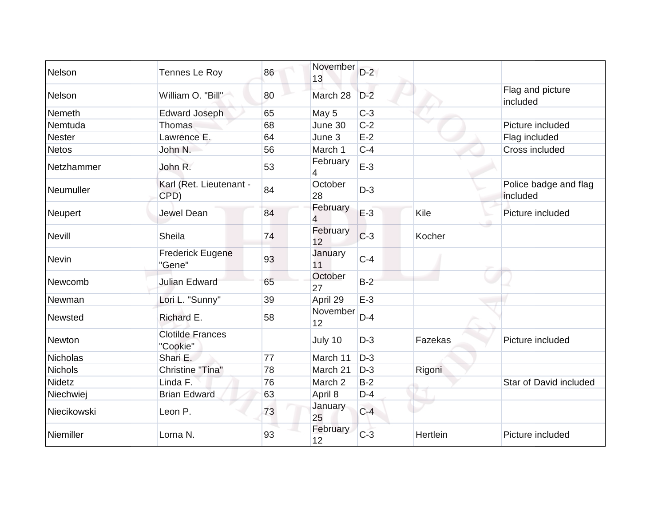| Nelson          | Tennes Le Roy                       | 86 | November<br>13 | $D-2$ |          |                                   |
|-----------------|-------------------------------------|----|----------------|-------|----------|-----------------------------------|
| Nelson          | William O. "Bill"                   | 80 | March 28       | $D-2$ |          | Flag and picture<br>included      |
| Nemeth          | <b>Edward Joseph</b>                | 65 | May 5          | $C-3$ |          |                                   |
| Nemtuda         | <b>Thomas</b>                       | 68 | June 30        | $C-2$ |          | Picture included                  |
| <b>Nester</b>   | Lawrence E.                         | 64 | June 3         | $E-2$ |          | Flag included                     |
| <b>Netos</b>    | John N.                             | 56 | March 1        | $C-4$ |          | Cross included                    |
| Netzhammer      | John R.                             | 53 | February<br>4  | $E-3$ |          |                                   |
| Neumuller       | Karl (Ret. Lieutenant -<br>CPD)     | 84 | October<br>28  | $D-3$ |          | Police badge and flag<br>included |
| Neupert         | <b>Jewel Dean</b>                   | 84 | February<br>4  | $E-3$ | Kile     | Picture included                  |
| <b>Nevill</b>   | Sheila                              | 74 | February<br>12 | $C-3$ | Kocher   |                                   |
| <b>Nevin</b>    | <b>Frederick Eugene</b><br>"Gene"   | 93 | January<br>11  | $C-4$ |          |                                   |
| Newcomb         | Julian Edward                       | 65 | October<br>27  | $B-2$ |          |                                   |
| Newman          | Lori L. "Sunny"                     | 39 | April 29       | $E-3$ |          |                                   |
| Newsted         | Richard E.                          | 58 | November<br>12 | $D-4$ |          |                                   |
| Newton          | <b>Clotilde Frances</b><br>"Cookie" |    | July 10        | $D-3$ | Fazekas  | Picture included                  |
| <b>Nicholas</b> | Shari E.                            | 77 | March 11       | $D-3$ |          |                                   |
| <b>Nichols</b>  | Christine "Tina"                    | 78 | March 21       | $D-3$ | Rigoni   |                                   |
| Nidetz          | Linda F.                            | 76 | March 2        | $B-2$ |          | <b>Star of David included</b>     |
| Niechwiej       | <b>Brian Edward</b>                 | 63 | April 8        | $D-4$ |          |                                   |
| Niecikowski     | Leon P.                             | 73 | January<br>25  | $C-4$ |          |                                   |
| Niemiller       | Lorna N.                            | 93 | February<br>12 | $C-3$ | Hertlein | Picture included                  |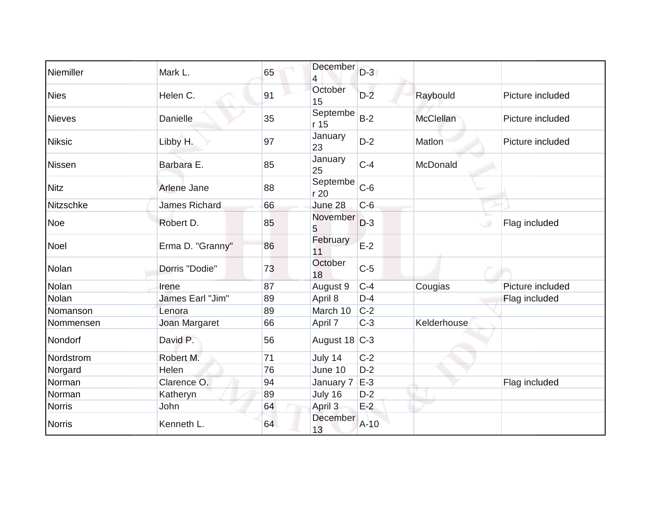| Niemiller     | Mark L.              | 65 | December<br>$\overline{4}$ | $D-3$  |                  |                  |
|---------------|----------------------|----|----------------------------|--------|------------------|------------------|
| <b>Nies</b>   | Helen C.             | 91 | October<br>15              | $D-2$  | Raybould         | Picture included |
| <b>Nieves</b> | Danielle             | 35 | Septembe<br>r 15           | $B-2$  | <b>McClellan</b> | Picture included |
| <b>Niksic</b> | Libby H.             | 97 | January<br>23              | $D-2$  | Matlon           | Picture included |
| Nissen        | Barbara E.           | 85 | January<br>25              | $C-4$  | McDonald         |                  |
| <b>Nitz</b>   | Arlene Jane          | 88 | Septembe<br>r 20           | $C-6$  |                  |                  |
| Nitzschke     | <b>James Richard</b> | 66 | June 28                    | $C-6$  |                  |                  |
| <b>Noe</b>    | Robert D.            | 85 | November<br>5              | $D-3$  |                  | Flag included    |
| <b>Noel</b>   | Erma D. "Granny"     | 86 | February<br>11             | $E-2$  |                  |                  |
| Nolan         | Dorris "Dodie"       | 73 | October<br>18              | $C-5$  |                  |                  |
| Nolan         | Irene                | 87 | August 9                   | $C-4$  | Cougias          | Picture included |
| Nolan         | James Earl "Jim"     | 89 | April 8                    | $D-4$  |                  | Flag included    |
| Nomanson      | Lenora               | 89 | March 10                   | $C-2$  |                  |                  |
| Nommensen     | Joan Margaret        | 66 | April 7                    | $C-3$  | Kelderhouse      |                  |
| Nondorf       | David P.             | 56 | August $18$ C-3            |        |                  |                  |
| Nordstrom     | Robert M.            | 71 | July 14                    | $C-2$  |                  |                  |
| Norgard       | Helen                | 76 | June 10                    | $D-2$  |                  |                  |
| Norman        | Clarence O.          | 94 | January 7                  | $E-3$  |                  | Flag included    |
| Norman        | Katheryn             | 89 | July 16                    | $D-2$  |                  |                  |
| <b>Norris</b> | John                 | 64 | April 3                    | $E-2$  |                  |                  |
| <b>Norris</b> | Kenneth L.           | 64 | December<br>13             | $A-10$ |                  |                  |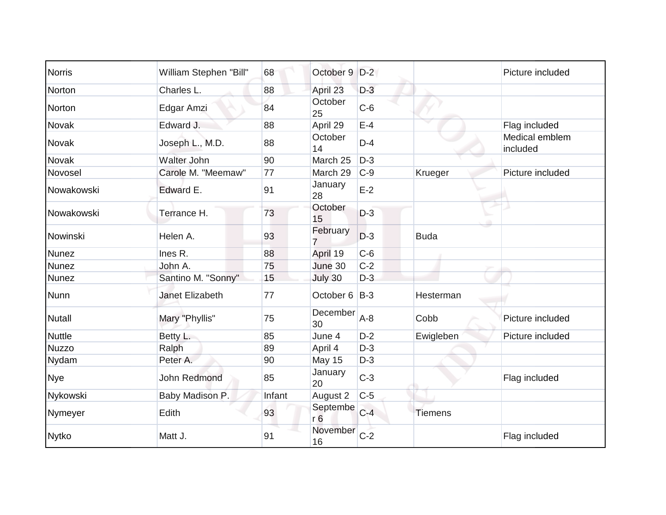| <b>Norris</b> | William Stephen "Bill" | 68     | October 9 D-2              |       |                | Picture included           |
|---------------|------------------------|--------|----------------------------|-------|----------------|----------------------------|
| Norton        | Charles L.             | 88     | April 23                   | $D-3$ |                |                            |
| Norton        | Edgar Amzi             | 84     | October<br>25              | $C-6$ |                |                            |
| Novak         | Edward J.              | 88     | April 29                   | $E-4$ |                | Flag included              |
| Novak         | Joseph L., M.D.        | 88     | October<br>14              | $D-4$ |                | Medical emblem<br>included |
| Novak         | <b>Walter John</b>     | 90     | March 25                   | $D-3$ |                |                            |
| Novosel       | Carole M. "Meemaw"     | 77     | March 29                   | $C-9$ | Krueger        | Picture included           |
| Nowakowski    | Edward E.              | 91     | January<br>28              | $E-2$ |                |                            |
| Nowakowski    | Terrance H.            | 73     | October<br>15              | $D-3$ |                |                            |
| Nowinski      | Helen A.               | 93     | February<br>7              | $D-3$ | <b>Buda</b>    |                            |
| <b>Nunez</b>  | Ines R.                | 88     | April 19                   | $C-6$ |                |                            |
| <b>Nunez</b>  | John A.                | 75     | June 30                    | $C-2$ |                |                            |
| <b>Nunez</b>  | Santino M. "Sonny"     | 15     | July 30                    | $D-3$ |                |                            |
| <b>Nunn</b>   | <b>Janet Elizabeth</b> | 77     | October 6 B-3              |       | Hesterman      |                            |
| <b>Nutall</b> | Mary "Phyllis"         | 75     | December<br>30             | $A-8$ | Cobb           | Picture included           |
| <b>Nuttle</b> | Betty L.               | 85     | June 4                     | $D-2$ | Ewigleben      | Picture included           |
| <b>Nuzzo</b>  | Ralph                  | 89     | April 4                    | $D-3$ |                |                            |
| Nydam         | Peter A.               | 90     | May 15                     | $D-3$ |                |                            |
| <b>Nye</b>    | John Redmond           | 85     | January<br>20              | $C-3$ |                | Flag included              |
| Nykowski      | Baby Madison P.        | Infant | August 2                   | $C-5$ |                |                            |
| Nymeyer       | Edith                  | 93     | Septembe<br>r <sub>6</sub> | $C-4$ | <b>Tiemens</b> |                            |
| <b>Nytko</b>  | Matt J.                | 91     | November<br>16             | $C-2$ |                | Flag included              |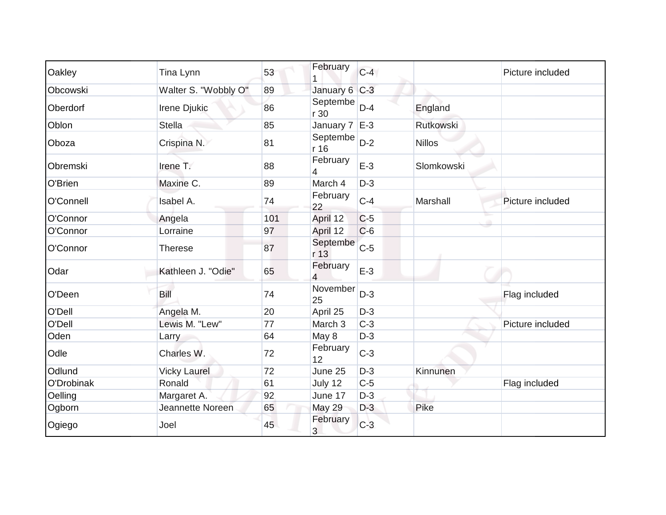| Oakley     | Tina Lynn            | 53  | February            | $C-4$ |                  | Picture included |
|------------|----------------------|-----|---------------------|-------|------------------|------------------|
| Obcowski   | Walter S. "Wobbly O" | 89  | January 6 C-3       |       |                  |                  |
| Oberdorf   | Irene Djukic         | 86  | Septembe<br>r 30    | $D-4$ | England          |                  |
| Oblon      | <b>Stella</b>        | 85  | January $7 \leq -3$ |       | <b>Rutkowski</b> |                  |
| Oboza      | Crispina N.          | 81  | Septembe<br>r 16    | $D-2$ | <b>Nillos</b>    |                  |
| Obremski   | Irene T.             | 88  | February<br>4       | $E-3$ | Slomkowski       |                  |
| O'Brien    | Maxine C.            | 89  | March 4             | $D-3$ |                  |                  |
| O'Connell  | Isabel A.            | 74  | February<br>22      | $C-4$ | Marshall         | Picture included |
| O'Connor   | Angela               | 101 | April 12            | $C-5$ |                  |                  |
| O'Connor   | Lorraine             | 97  | April 12            | $C-6$ |                  |                  |
| O'Connor   | <b>Therese</b>       | 87  | Septembe<br>r 13    | $C-5$ |                  |                  |
| Odar       | Kathleen J. "Odie"   | 65  | February<br>4       | $E-3$ |                  |                  |
| O'Deen     | Bill                 | 74  | November<br>25      | $D-3$ |                  | Flag included    |
| O'Dell     | Angela M.            | 20  | April 25            | $D-3$ |                  |                  |
| O'Dell     | Lewis M. "Lew"       | 77  | March 3             | $C-3$ |                  | Picture included |
| Oden       | Larry                | 64  | May 8               | $D-3$ |                  |                  |
| Odle       | Charles W.           | 72  | February<br>12      | $C-3$ |                  |                  |
| Odlund     | <b>Vicky Laurel</b>  | 72  | June 25             | $D-3$ | Kinnunen         |                  |
| O'Drobinak | Ronald               | 61  | July 12             | $C-5$ |                  | Flag included    |
| Oelling    | Margaret A.          | 92  | June 17             | $D-3$ |                  |                  |
| Ogborn     | Jeannette Noreen     | 65  | <b>May 29</b>       | $D-3$ | Pike             |                  |
| Ogiego     | Joel                 | 45  | February<br>3       | $C-3$ |                  |                  |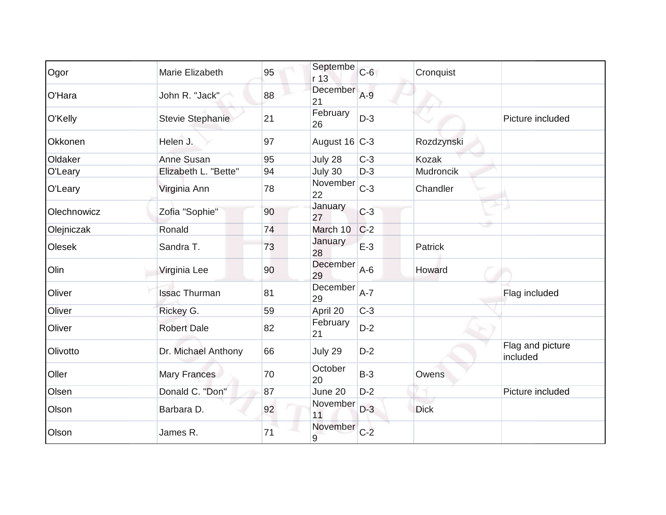| Ogor        | Marie Elizabeth         | 95 | Septembe<br>r 13 | $C-6$   | Cronquist      |                              |
|-------------|-------------------------|----|------------------|---------|----------------|------------------------------|
| O'Hara      | John R. "Jack"          | 88 | December<br>21   | $A-9$   |                |                              |
| O'Kelly     | <b>Stevie Stephanie</b> | 21 | February<br>26   | $D-3$   |                | Picture included             |
| Okkonen     | Helen J.                | 97 | August 16 C-3    |         | Rozdzynski     |                              |
| Oldaker     | Anne Susan              | 95 | July 28          | $C-3$   | Kozak          |                              |
| O'Leary     | Elizabeth L. "Bette"    | 94 | July 30          | $D-3$   | Mudroncik      |                              |
| O'Leary     | Virginia Ann            | 78 | November<br>22   | $C-3$   | Chandler       |                              |
| Olechnowicz | Zofia "Sophie"          | 90 | January<br>27    | $C-3$   |                |                              |
| Olejniczak  | Ronald                  | 74 | March 10         | $C-2$   |                |                              |
| Olesek      | Sandra T.               | 73 | January<br>28    | $E-3$   | <b>Patrick</b> |                              |
| Olin        | Virginia Lee            | 90 | December<br>29   | $A-6$   | Howard         |                              |
| Oliver      | <b>Issac Thurman</b>    | 81 | December<br>29   | $A - 7$ |                | Flag included                |
| Oliver      | Rickey G.               | 59 | April 20         | $C-3$   |                |                              |
| Oliver      | <b>Robert Dale</b>      | 82 | February<br>21   | $D-2$   |                |                              |
| Olivotto    | Dr. Michael Anthony     | 66 | July 29          | $D-2$   |                | Flag and picture<br>included |
| Oller       | <b>Mary Frances</b>     | 70 | October<br>20    | $B-3$   | Owens          |                              |
| Olsen       | Donald C. "Don"         | 87 | June 20          | $D-2$   |                | Picture included             |
| Olson       | Barbara D.              | 92 | November<br>11   | $D-3$   | <b>Dick</b>    |                              |
| Olson       | James R.                | 71 | November<br>9    | $C-2$   |                |                              |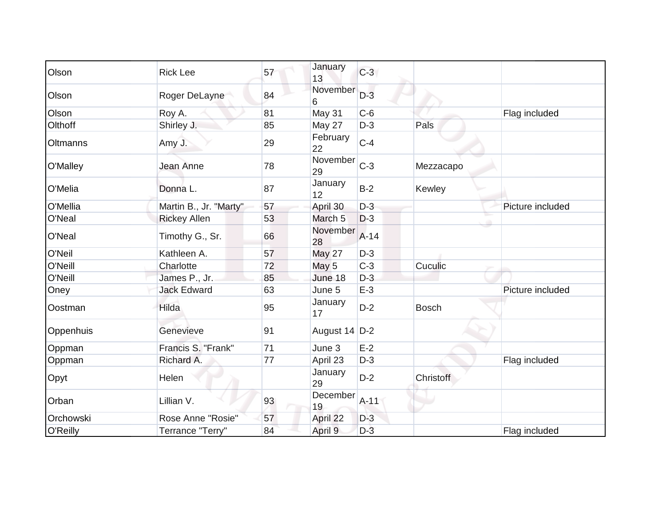| Olson     | <b>Rick Lee</b>        | 57 | January<br>13      | $C-3$  |                  |                  |
|-----------|------------------------|----|--------------------|--------|------------------|------------------|
| Olson     | Roger DeLayne          | 84 | November<br>6      | $D-3$  |                  |                  |
| Olson     | Roy A.                 | 81 | May 31             | $C-6$  |                  | Flag included    |
| Olthoff   | Shirley J.             | 85 | May 27             | $D-3$  | Pals             |                  |
| Oltmanns  | Amy J.                 | 29 | February<br>22     | $C-4$  |                  |                  |
| O'Malley  | Jean Anne              | 78 | November<br>29     | $C-3$  | Mezzacapo        |                  |
| O'Melia   | Donna L.               | 87 | January<br>12      | $B-2$  | Kewley           |                  |
| O'Mellia  | Martin B., Jr. "Marty" | 57 | April 30           | $D-3$  |                  | Picture included |
| O'Neal    | <b>Rickey Allen</b>    | 53 | March <sub>5</sub> | $D-3$  |                  |                  |
| O'Neal    | Timothy G., Sr.        | 66 | November<br>28     | $A-14$ |                  |                  |
| O'Neil    | Kathleen A.            | 57 | <b>May 27</b>      | $D-3$  |                  |                  |
| O'Neill   | Charlotte              | 72 | May 5              | $C-3$  | Cuculic          |                  |
| O'Neill   | James P., Jr.          | 85 | June 18            | $D-3$  |                  |                  |
| Oney      | <b>Jack Edward</b>     | 63 | June 5             | $E-3$  |                  | Picture included |
| Oostman   | Hilda                  | 95 | January<br>17      | $D-2$  | <b>Bosch</b>     |                  |
| Oppenhuis | Genevieve              | 91 | August 14 D-2      |        |                  |                  |
| Oppman    | Francis S. "Frank"     | 71 | June 3             | $E-2$  |                  |                  |
| Oppman    | Richard A.             | 77 | April 23           | $D-3$  |                  | Flag included    |
| Opyt      | Helen                  |    | January<br>29      | $D-2$  | <b>Christoff</b> |                  |
| Orban     | Lillian V.             | 93 | December<br>19     | $A-11$ |                  |                  |
| Orchowski | Rose Anne "Rosie"      | 57 | April 22           | $D-3$  |                  |                  |
| O'Reilly  | Terrance "Terry"       | 84 | April 9            | $D-3$  |                  | Flag included    |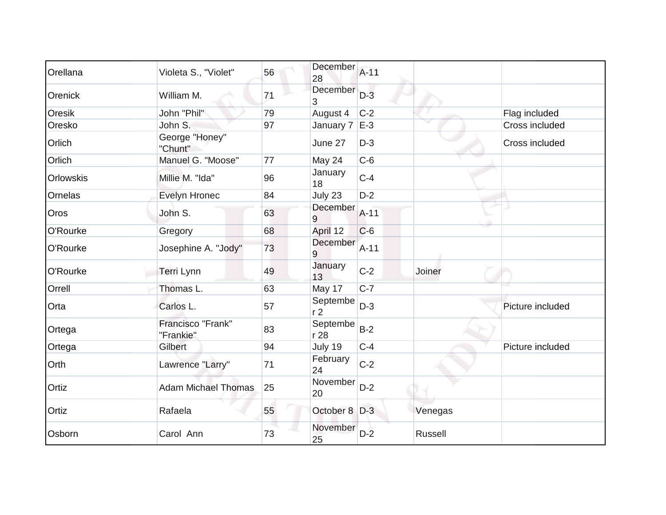| Orellana  | Violeta S., "Violet"           | 56 | December<br>28             | $A-11$ |         |                  |
|-----------|--------------------------------|----|----------------------------|--------|---------|------------------|
| Orenick   | William M.                     | 71 | December<br>3              | $D-3$  |         |                  |
| Oresik    | John "Phil"                    | 79 | August 4                   | $C-2$  |         | Flag included    |
| Oresko    | John S.                        | 97 | January $7 \leq -3$        |        |         | Cross included   |
| Orlich    | George "Honey"<br>"Chunt"      |    | June 27                    | $D-3$  |         | Cross included   |
| Orlich    | Manuel G. "Moose"              | 77 | May 24                     | $C-6$  |         |                  |
| Orlowskis | Millie M. "Ida"                | 96 | January<br>18              | $C-4$  |         |                  |
| Ornelas   | Evelyn Hronec                  | 84 | July 23                    | $D-2$  |         |                  |
| Oros      | John S.                        | 63 | December<br>9              | $A-11$ |         |                  |
| O'Rourke  | Gregory                        | 68 | April 12                   | $C-6$  |         |                  |
| O'Rourke  | Josephine A. "Jody"            | 73 | December<br>9              | $A-11$ |         |                  |
| O'Rourke  | Terri Lynn                     | 49 | January<br>13              | $C-2$  | Joiner  |                  |
| Orrell    | Thomas L.                      | 63 | May 17                     | $C-7$  |         |                  |
| Orta      | Carlos L.                      | 57 | Septembe<br>r <sub>2</sub> | $D-3$  |         | Picture included |
| Ortega    | Francisco "Frank"<br>"Frankie" | 83 | Septembe<br>r 28           | $B-2$  |         |                  |
| Ortega    | Gilbert                        | 94 | July 19                    | $C-4$  |         | Picture included |
| Orth      | Lawrence "Larry"               | 71 | February<br>24             | $C-2$  |         |                  |
| Ortiz     | <b>Adam Michael Thomas</b>     | 25 | November<br>20             | $D-2$  |         |                  |
| Ortiz     | Rafaela                        | 55 | October 8 D-3              |        | Venegas |                  |
| Osborn    | Carol Ann                      | 73 | November<br>25             | $D-2$  | Russell |                  |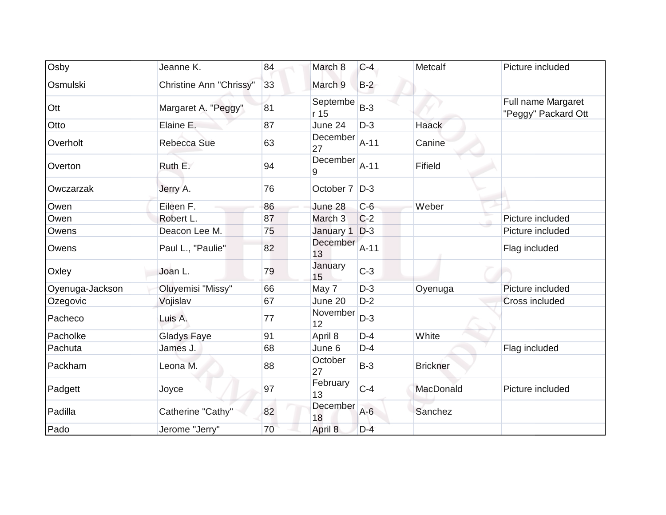| Osby            | Jeanne K.                      | 84 | March 8            | $C-4$  | Metcalf         | Picture included                          |
|-----------------|--------------------------------|----|--------------------|--------|-----------------|-------------------------------------------|
| Osmulski        | <b>Christine Ann "Chrissy"</b> | 33 | March 9            | $B-2$  |                 |                                           |
| Ott             | Margaret A. "Peggy"            | 81 | Septembe<br>r 15   | $B-3$  |                 | Full name Margaret<br>"Peggy" Packard Ott |
| Otto            | Elaine E.                      | 87 | June 24            | $D-3$  | <b>Haack</b>    |                                           |
| Overholt        | Rebecca Sue                    | 63 | December<br>27     | $A-11$ | Canine          |                                           |
| Overton         | Ruth E.                        | 94 | December<br>9      | $A-11$ | Fifield         |                                           |
| Owczarzak       | Jerry A.                       | 76 | October 7   D-3    |        |                 |                                           |
| Owen            | Eileen F.                      | 86 | June 28            | $C-6$  | Weber           |                                           |
| Owen            | Robert L.                      | 87 | March <sub>3</sub> | $C-2$  |                 | Picture included                          |
| Owens           | Deacon Lee M.                  | 75 | January 1          | $D-3$  |                 | Picture included                          |
| Owens           | Paul L., "Paulie"              | 82 | December<br>13     | $A-11$ |                 | Flag included                             |
| Oxley           | Joan L.                        | 79 | January<br>15      | $C-3$  |                 |                                           |
| Oyenuga-Jackson | Oluyemisi "Missy"              | 66 | May 7              | $D-3$  | Oyenuga         | Picture included                          |
| Ozegovic        | Vojislav                       | 67 | June 20            | $D-2$  |                 | Cross included                            |
| Pacheco         | Luis A.                        | 77 | November<br>12     | $D-3$  |                 |                                           |
| Pacholke        | <b>Gladys Faye</b>             | 91 | April 8            | $D-4$  | White           |                                           |
| Pachuta         | James J.                       | 68 | June 6             | $D-4$  |                 | Flag included                             |
| Packham         | Leona M.                       | 88 | October<br>27      | $B-3$  | <b>Brickner</b> |                                           |
| Padgett         | Joyce                          | 97 | February<br>13     | $C-4$  | MacDonald       | Picture included                          |
| Padilla         | Catherine "Cathy"              | 82 | December<br>18     | $A-6$  | Sanchez         |                                           |
| Pado            | Jerome "Jerry"                 | 70 | April 8            | $D-4$  |                 |                                           |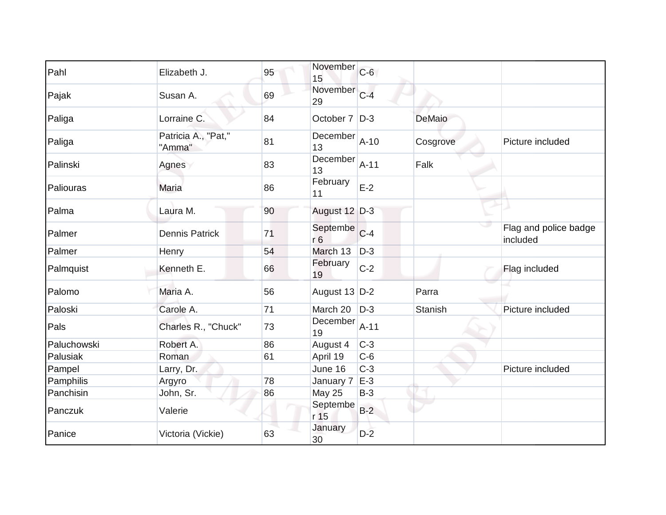| Pahl        | Elizabeth J.                  | 95 | November<br>15              | $C-6$  |                |                                   |
|-------------|-------------------------------|----|-----------------------------|--------|----------------|-----------------------------------|
| Pajak       | Susan A.                      | 69 | November C-4<br>29          |        |                |                                   |
| Paliga      | Lorraine C.                   | 84 | October 7   D-3             |        | DeMaio         |                                   |
| Paliga      | Patricia A., "Pat,"<br>"Amma" | 81 | December<br>13              | $A-10$ | Cosgrove       | Picture included                  |
| Palinski    | Agnes                         | 83 | December<br>13              | $A-11$ | Falk           |                                   |
| Paliouras   | <b>Maria</b>                  | 86 | February<br>11              | $E-2$  |                |                                   |
| Palma       | Laura M.                      | 90 | August 12 D-3               |        |                |                                   |
| Palmer      | <b>Dennis Patrick</b>         | 71 | Septembe C-4<br>r6          |        |                | Flag and police badge<br>included |
| Palmer      | Henry                         | 54 | March 13                    | $D-3$  |                |                                   |
| Palmquist   | Kenneth E.                    | 66 | February<br>19              | $C-2$  |                | Flag included                     |
| Palomo      | Maria A.                      | 56 | August 13 D-2               |        | Parra          |                                   |
| Paloski     | Carole A.                     | 71 | March 20                    | $D-3$  | <b>Stanish</b> | Picture included                  |
| Pals        | Charles R., "Chuck"           | 73 | December<br>19              | $A-11$ |                |                                   |
| Paluchowski | Robert A.                     | 86 | August 4                    | $C-3$  |                |                                   |
| Palusiak    | Roman                         | 61 | April 19                    | $C-6$  |                |                                   |
| Pampel      | Larry, Dr.                    |    | June 16                     | $C-3$  |                | Picture included                  |
| Pamphilis   | Argyro                        | 78 | January 7                   | $E-3$  |                |                                   |
| Panchisin   | John, Sr.                     | 86 | <b>May 25</b>               | $B-3$  |                |                                   |
| Panczuk     | Valerie                       |    | Septembe<br>r <sub>15</sub> | $B-2$  |                |                                   |
| Panice      | Victoria (Vickie)             | 63 | January<br>30               | $D-2$  |                |                                   |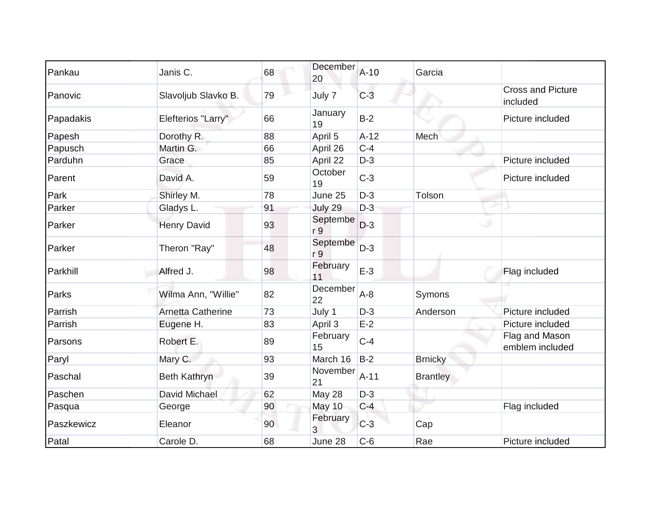| Pankau     | Janis C.                 | 68 | December<br>20  | $A-10$ | Garcia          |                                      |
|------------|--------------------------|----|-----------------|--------|-----------------|--------------------------------------|
| Panovic    | Slavoljub Slavko B.      | 79 | July 7          | $C-3$  |                 | <b>Cross and Picture</b><br>included |
| Papadakis  | Elefterios "Larry"       | 66 | January<br>19   | $B-2$  |                 | Picture included                     |
| Papesh     | Dorothy R.               | 88 | April 5         | $A-12$ | Mech            |                                      |
| Papusch    | Martin G.                | 66 | April 26        | $C-4$  |                 |                                      |
| Parduhn    | Grace                    | 85 | April 22        | $D-3$  |                 | Picture included                     |
| Parent     | David A.                 | 59 | October<br>19   | $C-3$  |                 | Picture included                     |
| Park       | Shirley M.               | 78 | June 25         | $D-3$  | Tolson          |                                      |
| Parker     | Gladys L.                | 91 | July 29         | $D-3$  |                 |                                      |
| Parker     | <b>Henry David</b>       | 93 | Septembe<br>r 9 | $D-3$  | ی               |                                      |
| Parker     | Theron "Ray"             | 48 | Septembe<br>r 9 | $D-3$  |                 |                                      |
| Parkhill   | Alfred J.                | 98 | February<br>11  | $E-3$  |                 | Flag included                        |
| Parks      | Wilma Ann, "Willie"      | 82 | December<br>22  | $A-8$  | Symons          |                                      |
| Parrish    | <b>Arnetta Catherine</b> | 73 | July 1          | $D-3$  | Anderson        | Picture included                     |
| Parrish    | Eugene H.                | 83 | April 3         | $E-2$  |                 | Picture included                     |
| Parsons    | Robert E.                | 89 | February<br>15  | $C-4$  |                 | Flag and Mason<br>emblem included    |
| Paryl      | Mary C.                  | 93 | March 16        | $B-2$  | <b>Brnicky</b>  |                                      |
| Paschal    | <b>Beth Kathryn</b>      | 39 | November<br>21  | $A-11$ | <b>Brantley</b> |                                      |
| Paschen    | David Michael            | 62 | May 28          | $D-3$  |                 |                                      |
| Pasqua     | George                   | 90 | May 10          | $C-4$  |                 | Flag included                        |
| Paszkewicz | Eleanor                  | 90 | February<br>3   | $C-3$  | Cap             |                                      |
| Patal      | Carole D.                | 68 | June 28         | $C-6$  | Rae             | Picture included                     |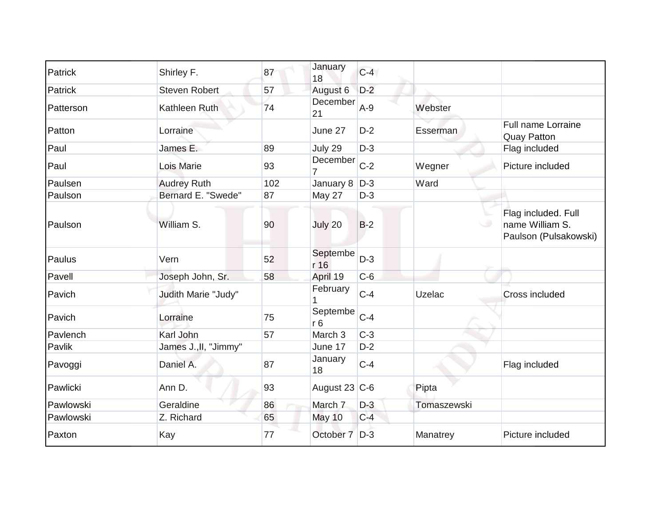| Patrick   | Shirley F.            | 87  | January<br>18              | $C-4$ |             |                                                                 |
|-----------|-----------------------|-----|----------------------------|-------|-------------|-----------------------------------------------------------------|
| Patrick   | <b>Steven Robert</b>  | 57  | August 6                   | $D-2$ |             |                                                                 |
| Patterson | Kathleen Ruth         | 74  | December<br>21             | $A-9$ | Webster     |                                                                 |
| Patton    | Lorraine              |     | June 27                    | $D-2$ | Esserman    | Full name Lorraine<br><b>Quay Patton</b>                        |
| Paul      | James E.              | 89  | July 29                    | $D-3$ |             | Flag included                                                   |
| Paul      | Lois Marie            | 93  | December                   | $C-2$ | Wegner      | Picture included                                                |
| Paulsen   | <b>Audrey Ruth</b>    | 102 | January 8                  | $D-3$ | Ward        |                                                                 |
| Paulson   | Bernard E. "Swede"    | 87  | May 27                     | $D-3$ |             |                                                                 |
| Paulson   | William S.            | 90  | July 20                    | $B-2$ |             | Flag included. Full<br>name William S.<br>Paulson (Pulsakowski) |
| Paulus    | Vern                  | 52  | Septembe<br>r 16           | $D-3$ |             |                                                                 |
| Pavell    | Joseph John, Sr.      | 58  | April 19                   | $C-6$ |             |                                                                 |
| Pavich    | Judith Marie "Judy"   |     | February                   | $C-4$ | Uzelac      | Cross included                                                  |
| Pavich    | Lorraine              | 75  | Septembe<br>r <sub>6</sub> | $C-4$ |             |                                                                 |
| Pavlench  | Karl John             | 57  | March 3                    | $C-3$ |             |                                                                 |
| Pavlik    | James J., II, "Jimmy" |     | June 17                    | $D-2$ |             |                                                                 |
| Pavoggi   | Daniel A.             | 87  | January<br>18              | $C-4$ |             | Flag included                                                   |
| Pawlicki  | Ann D.                | 93  | August 23 C-6              |       | Pipta       |                                                                 |
| Pawlowski | Geraldine             | 86  | March 7                    | $D-3$ | Tomaszewski |                                                                 |
| Pawlowski | Z. Richard            | 65  | May 10                     | $C-4$ |             |                                                                 |
| Paxton    | Kay                   | 77  | October 7                  | $D-3$ | Manatrey    | Picture included                                                |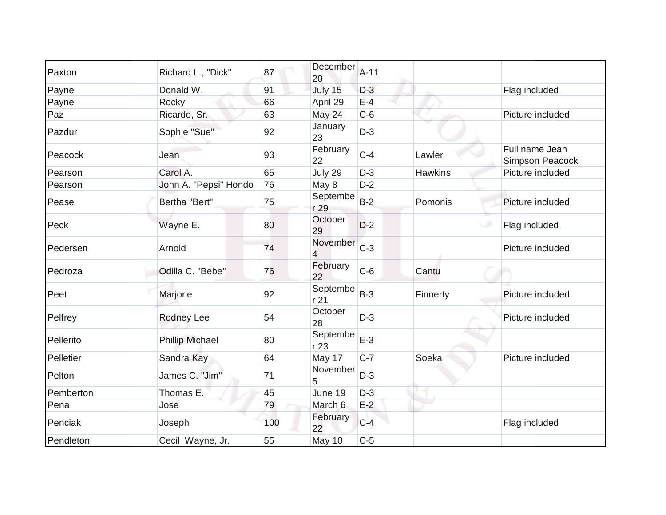| Paxton    | Richard L., "Dick"     | 87  | December<br>20                      | $A-11$ |                |                                   |
|-----------|------------------------|-----|-------------------------------------|--------|----------------|-----------------------------------|
| Payne     | Donald W.              | 91  | July 15                             | $D-3$  |                | Flag included                     |
| Payne     | Rocky                  | 66  | April 29                            | $E-4$  |                |                                   |
| Paz       | Ricardo, Sr.           | 63  | May 24                              | $C-6$  |                | Picture included                  |
| Pazdur    | Sophie "Sue"           | 92  | January<br>23                       | $D-3$  |                |                                   |
| Peacock   | Jean                   | 93  | February<br>22                      | $C-4$  | Lawler         | Full name Jean<br>Simpson Peacock |
| Pearson   | Carol A.               | 65  | July 29                             | $D-3$  | <b>Hawkins</b> | Picture included                  |
| Pearson   | John A. "Pepsi" Hondo  | 76  | May 8                               | $D-2$  |                |                                   |
| Pease     | Bertha "Bert"          | 75  | Septembe<br>r 29                    | $B-2$  | Pomonis        | Picture included                  |
| Peck      | Wayne E.               | 80  | October<br>29                       | $D-2$  |                | Flag included                     |
| Pedersen  | Arnold                 | 74  | November<br>$\overline{\mathbf{4}}$ | $C-3$  |                | Picture included                  |
| Pedroza   | Odilla C. "Bebe"       | 76  | February<br>22                      | $C-6$  | Cantu          |                                   |
| Peet      | Marjorie               | 92  | Septembe<br>r 21                    | $B-3$  | Finnerty       | Picture included                  |
| Pelfrey   | Rodney Lee             | 54  | October<br>28                       | $D-3$  |                | Picture included                  |
| Pellerito | <b>Phillip Michael</b> | 80  | Septembe<br>r 23                    | $E-3$  |                |                                   |
| Pelletier | Sandra Kay             | 64  | May 17                              | $C-7$  | Soeka          | Picture included                  |
| Pelton    | James C. "Jim"         | 71  | November<br>5                       | $D-3$  |                |                                   |
| Pemberton | Thomas E.              | 45  | June 19                             | $D-3$  |                |                                   |
| Pena      | Jose                   | 79  | March 6                             | $E-2$  |                |                                   |
| Penciak   | Joseph                 | 100 | February<br>22                      | $C-4$  |                | Flag included                     |
| Pendleton | Cecil Wayne, Jr.       | 55  | May 10                              | $C-5$  |                |                                   |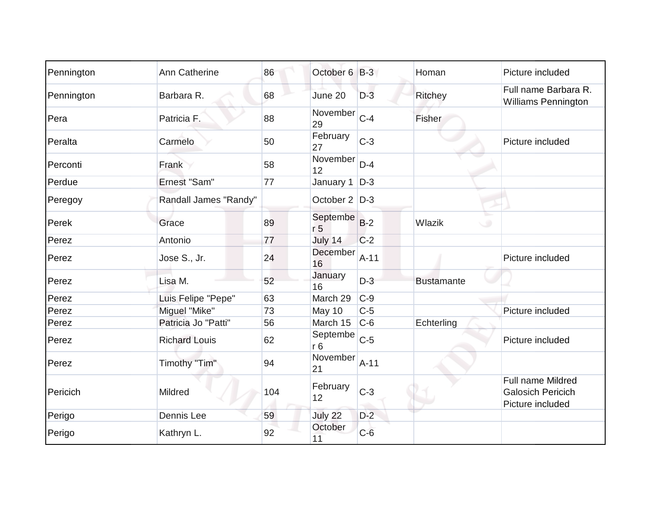| Pennington | Ann Catherine         | 86  | October 6 B-3              |        | Homan             | Picture included                                                         |
|------------|-----------------------|-----|----------------------------|--------|-------------------|--------------------------------------------------------------------------|
| Pennington | Barbara R.            | 68  | June 20                    | $D-3$  | Ritchey           | Full name Barbara R.<br><b>Williams Pennington</b>                       |
| Pera       | Patricia F.           | 88  | November<br>29             | $C-4$  | Fisher            |                                                                          |
| Peralta    | Carmelo               | 50  | February<br>27             | $C-3$  |                   | Picture included                                                         |
| Perconti   | Frank                 | 58  | November<br>12             | $D-4$  |                   |                                                                          |
| Perdue     | Ernest "Sam"          | 77  | January 1                  | $D-3$  |                   |                                                                          |
| Peregoy    | Randall James "Randy" |     | October 2   D-3            |        |                   |                                                                          |
| Perek      | Grace                 | 89  | Septembe<br>r <sub>5</sub> | $B-2$  | Wlazik<br>C.      |                                                                          |
| Perez      | Antonio               | 77  | July 14                    | $C-2$  |                   |                                                                          |
| Perez      | Jose S., Jr.          | 24  | December<br>16             | $A-11$ |                   | Picture included                                                         |
| Perez      | Lisa M.               | 52  | January<br>16              | $D-3$  | <b>Bustamante</b> |                                                                          |
| Perez      | Luis Felipe "Pepe"    | 63  | March 29                   | $C-9$  |                   |                                                                          |
| Perez      | Miguel "Mike"         | 73  | May 10                     | $C-5$  |                   | Picture included                                                         |
| Perez      | Patricia Jo "Patti"   | 56  | March 15                   | $C-6$  | Echterling        |                                                                          |
| Perez      | <b>Richard Louis</b>  | 62  | Septembe<br>r6             | $C-5$  |                   | Picture included                                                         |
| Perez      | Timothy "Tim"         | 94  | November<br>21             | $A-11$ |                   |                                                                          |
| Pericich   | Mildred               | 104 | February<br>12             | $C-3$  |                   | <b>Full name Mildred</b><br><b>Galosich Pericich</b><br>Picture included |
| Perigo     | Dennis Lee            | 59  | July 22                    | $D-2$  |                   |                                                                          |
| Perigo     | Kathryn L.            | 92  | October<br>11              | $C-6$  |                   |                                                                          |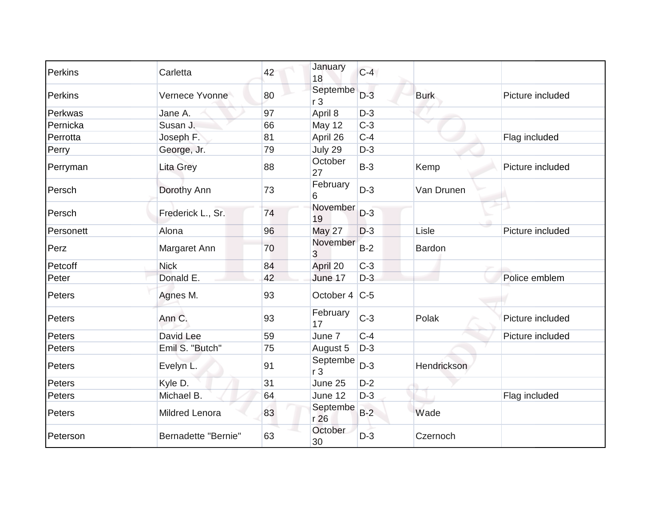| Perkins   | Carletta            | 42 | January<br>18              | $C-4$ |               |                  |
|-----------|---------------------|----|----------------------------|-------|---------------|------------------|
| Perkins   | Vernece Yvonne      | 80 | Septembe<br>r <sub>3</sub> | $D-3$ | <b>Burk</b>   | Picture included |
| Perkwas   | Jane A.             | 97 | April 8                    | $D-3$ |               |                  |
| Pernicka  | Susan J.            | 66 | May 12                     | $C-3$ |               |                  |
| Perrotta  | Joseph F.           | 81 | April 26                   | $C-4$ |               | Flag included    |
| Perry     | George, Jr.         | 79 | July 29                    | $D-3$ |               |                  |
| Perryman  | Lita Grey           | 88 | October<br>27              | $B-3$ | Kemp          | Picture included |
| Persch    | Dorothy Ann         | 73 | February<br>6              | $D-3$ | Van Drunen    |                  |
| Persch    | Frederick L., Sr.   | 74 | November<br>19             | $D-3$ |               |                  |
| Personett | Alona               | 96 | <b>May 27</b>              | $D-3$ | Lisle         | Picture included |
| Perz      | Margaret Ann        | 70 | November<br>3              | $B-2$ | <b>Bardon</b> |                  |
| Petcoff   | <b>Nick</b>         | 84 | April 20                   | $C-3$ |               |                  |
| Peter     | Donald E.           | 42 | June 17                    | $D-3$ |               | Police emblem    |
| Peters    | Agnes M.            | 93 | October 4   C-5            |       |               |                  |
| Peters    | Ann C.              | 93 | February<br>17             | $C-3$ | Polak         | Picture included |
| Peters    | David Lee           | 59 | June 7                     | $C-4$ |               | Picture included |
| Peters    | Emil S. "Butch"     | 75 | August 5                   | $D-3$ |               |                  |
| Peters    | Evelyn L.           | 91 | Septembe<br>r <sub>3</sub> | $D-3$ | Hendrickson   |                  |
| Peters    | Kyle D.             | 31 | June 25                    | $D-2$ |               |                  |
| Peters    | Michael B.          | 64 | June 12                    | $D-3$ |               | Flag included    |
| Peters    | Mildred Lenora      | 83 | Septembe<br>r 26           | $B-2$ | Wade          |                  |
| Peterson  | Bernadette "Bernie" | 63 | October<br>30              | $D-3$ | Czernoch      |                  |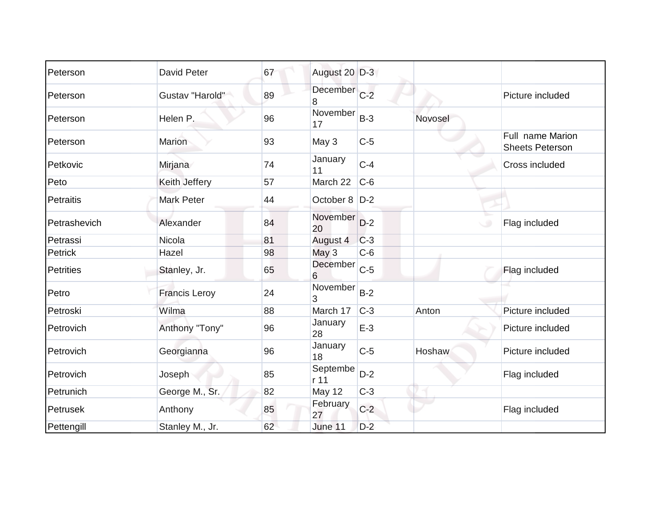| Peterson         | David Peter          | 67 | August 20 D-3     |       |         |                                            |
|------------------|----------------------|----|-------------------|-------|---------|--------------------------------------------|
| Peterson         | Gustav "Harold"      | 89 | December C-2<br>8 |       |         | Picture included                           |
| Peterson         | Helen P.             | 96 | November<br>17    | $B-3$ | Novosel |                                            |
| Peterson         | <b>Marion</b>        | 93 | May 3             | $C-5$ |         | Full name Marion<br><b>Sheets Peterson</b> |
| Petkovic         | Mirjana              | 74 | January<br>11     | $C-4$ |         | Cross included                             |
| Peto             | Keith Jeffery        | 57 | March 22          | $C-6$ |         |                                            |
| Petraitis        | <b>Mark Peter</b>    | 44 | October 8   D-2   |       |         |                                            |
| Petrashevich     | Alexander            | 84 | November<br>20    | $D-2$ |         | Flag included<br>$\circ$                   |
| Petrassi         | Nicola               | 81 | August 4          | $C-3$ |         |                                            |
| Petrick          | Hazel                | 98 | May 3             | $C-6$ |         |                                            |
| <b>Petrities</b> | Stanley, Jr.         | 65 | December<br>6     | $C-5$ |         | Flag included                              |
| Petro            | <b>Francis Leroy</b> | 24 | November<br>3     | $B-2$ |         |                                            |
| Petroski         | Wilma                | 88 | March 17          | $C-3$ | Anton   | Picture included                           |
| Petrovich        | Anthony "Tony"       | 96 | January<br>28     | $E-3$ |         | Picture included                           |
| Petrovich        | Georgianna           | 96 | January<br>18     | $C-5$ | Hoshaw  | Picture included                           |
| Petrovich        | Joseph               | 85 | Septembe<br>r 11  | $D-2$ |         | Flag included                              |
| Petrunich        | George M., Sr.       | 82 | <b>May 12</b>     | $C-3$ |         |                                            |
| Petrusek         | Anthony              | 85 | February<br>27    | $C-2$ |         | Flag included                              |
| Pettengill       | Stanley M., Jr.      | 62 | June 11           | $D-2$ |         |                                            |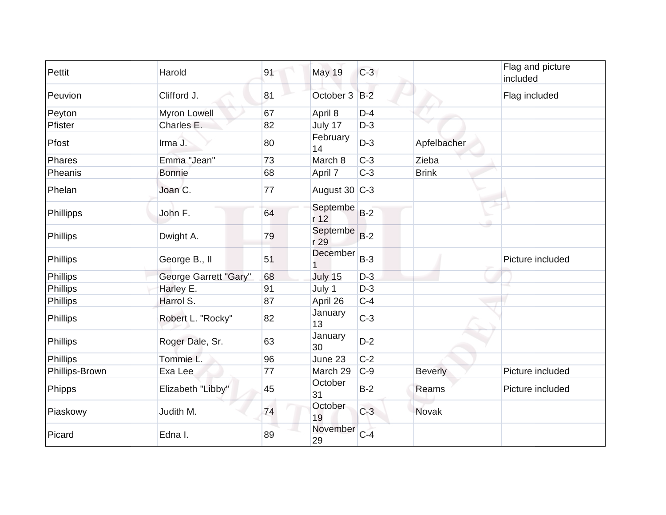| Pettit         | Harold                | 91 | <b>May 19</b>     | $C-3$ |                | Flag and picture<br>included |
|----------------|-----------------------|----|-------------------|-------|----------------|------------------------------|
| Peuvion        | Clifford J.           | 81 | October 3 B-2     |       |                | Flag included                |
| Peyton         | Myron Lowell          | 67 | April 8           | $D-4$ |                |                              |
| Pfister        | Charles E.            | 82 | July 17           | $D-3$ |                |                              |
| Pfost          | Irma J.               | 80 | February<br>14    | $D-3$ | Apfelbacher    |                              |
| Phares         | Emma "Jean"           | 73 | March 8           | $C-3$ | Zieba          |                              |
| Pheanis        | <b>Bonnie</b>         | 68 | April 7           | $C-3$ | <b>Brink</b>   |                              |
| Phelan         | Joan C.               | 77 | August 30 $ C-3 $ |       |                |                              |
| Phillipps      | John F.               | 64 | Septembe<br>r 12  | $B-2$ |                |                              |
| Phillips       | Dwight A.             | 79 | Septembe<br>r 29  | $B-2$ |                |                              |
| Phillips       | George B., II         | 51 | December          | $B-3$ |                | Picture included             |
| Phillips       | George Garrett "Gary" | 68 | July 15           | $D-3$ |                |                              |
| Phillips       | Harley E.             | 91 | July 1            | $D-3$ |                |                              |
| Phillips       | Harrol S.             | 87 | April 26          | $C-4$ |                |                              |
| Phillips       | Robert L. "Rocky"     | 82 | January<br>13     | $C-3$ |                |                              |
| Phillips       | Roger Dale, Sr.       | 63 | January<br>30     | $D-2$ |                |                              |
| Phillips       | Tommie L.             | 96 | June 23           | $C-2$ |                |                              |
| Phillips-Brown | Exa Lee               | 77 | March 29          | $C-9$ | <b>Beverly</b> | Picture included             |
| Phipps         | Elizabeth "Libby"     | 45 | October<br>31     | $B-2$ | Reams          | Picture included             |
| Piaskowy       | Judith M.             | 74 | October<br>19     | $C-3$ | Novak          |                              |
| Picard         | Edna I.               | 89 | November<br>29    | $C-4$ |                |                              |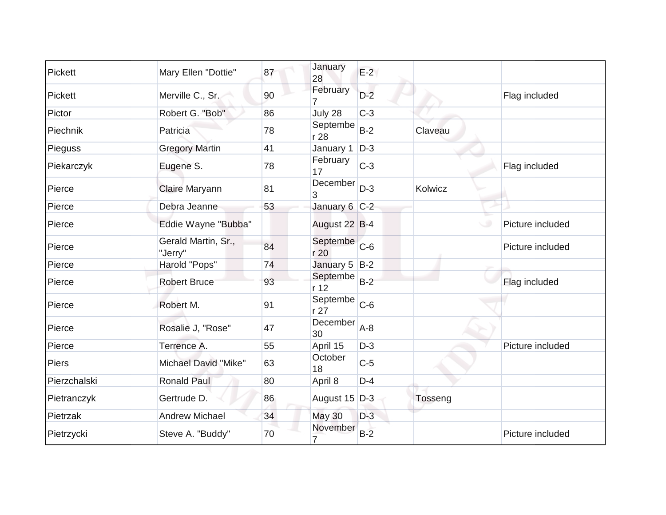| Pickett      | Mary Ellen "Dottie"            | 87 | January<br>28               | $E-2$ |         |                  |
|--------------|--------------------------------|----|-----------------------------|-------|---------|------------------|
| Pickett      | Merville C., Sr.               | 90 | February                    | $D-2$ |         | Flag included    |
| Pictor       | Robert G. "Bob"                | 86 | July 28                     | $C-3$ |         |                  |
| Piechnik     | Patricia                       | 78 | Septembe<br>r 28            | $B-2$ | Claveau |                  |
| Pieguss      | <b>Gregory Martin</b>          | 41 | January 1                   | $D-3$ |         |                  |
| Piekarczyk   | Eugene S.                      | 78 | February<br>17              | $C-3$ |         | Flag included    |
| Pierce       | Claire Maryann                 | 81 | December<br>3               | $D-3$ | Kolwicz |                  |
| Pierce       | Debra Jeanne                   | 53 | January 6 C-2               |       |         |                  |
| Pierce       | Eddie Wayne "Bubba"            |    | August 22 B-4               |       |         | Picture included |
| Pierce       | Gerald Martin, Sr.,<br>"Jerry" | 84 | Septembe<br>r 20            | $C-6$ |         | Picture included |
| Pierce       | Harold "Pops"                  | 74 | January 5 B-2               |       |         |                  |
| Pierce       | <b>Robert Bruce</b>            | 93 | Septembe<br>r <sub>12</sub> | $B-2$ |         | Flag included    |
| Pierce       | Robert M.                      | 91 | Septembe<br>r 27            | $C-6$ |         |                  |
| Pierce       | Rosalie J, "Rose"              | 47 | December<br>30              | $A-8$ |         |                  |
| Pierce       | Terrence A.                    | 55 | April 15                    | $D-3$ |         | Picture included |
| Piers        | Michael David "Mike"           | 63 | October<br>18               | $C-5$ |         |                  |
| Pierzchalski | <b>Ronald Paul</b>             | 80 | April 8                     | $D-4$ |         |                  |
| Pietranczyk  | Gertrude D.                    | 86 | August 15 D-3               |       | Tosseng |                  |
| Pietrzak     | <b>Andrew Michael</b>          | 34 | <b>May 30</b>               | $D-3$ |         |                  |
| Pietrzycki   | Steve A. "Buddy"               | 70 | November<br>7               | $B-2$ |         | Picture included |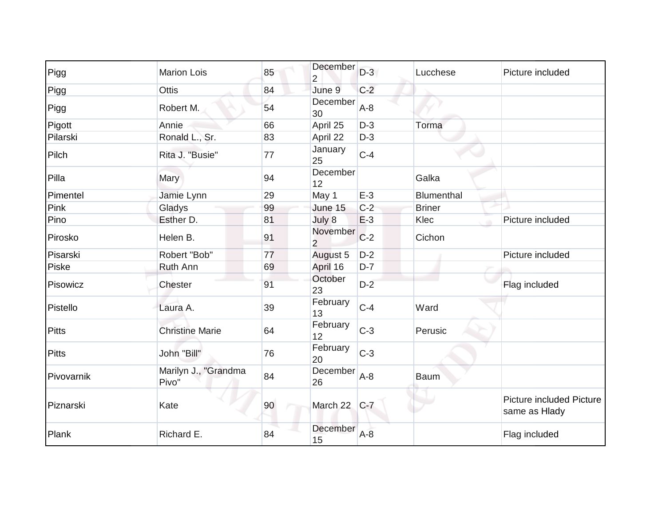| Pigg         | <b>Marion Lois</b>            | 85 | December<br>$\overline{2}$ | $D-3$   | Lucchese      | Picture included                                 |
|--------------|-------------------------------|----|----------------------------|---------|---------------|--------------------------------------------------|
| Pigg         | <b>Ottis</b>                  | 84 | June 9                     | $C-2$   |               |                                                  |
| Pigg         | Robert M.                     | 54 | December<br>30             | $A-8$   |               |                                                  |
| Pigott       | Annie                         | 66 | April 25                   | $D-3$   | Torma         |                                                  |
| Pilarski     | Ronald L., Sr.                | 83 | April 22                   | $D-3$   |               |                                                  |
| Pilch        | Rita J. "Busie"               | 77 | January<br>25              | $C-4$   |               |                                                  |
| Pilla        | Mary                          | 94 | December<br>12             |         | Galka         |                                                  |
| Pimentel     | Jamie Lynn                    | 29 | May 1                      | $E-3$   | Blumenthal    |                                                  |
| Pink         | Gladys                        | 99 | June 15                    | $C-2$   | <b>Briner</b> |                                                  |
| Pino         | Esther D.                     | 81 | July 8                     | $E-3$   | Klec          | Picture included                                 |
| Pirosko      | Helen B.                      | 91 | November<br>$\overline{2}$ | $C-2$   | Cichon        |                                                  |
| Pisarski     | Robert "Bob"                  | 77 | August 5                   | $D-2$   |               | Picture included                                 |
| Piske        | Ruth Ann                      | 69 | April 16                   | $D-7$   |               |                                                  |
| Pisowicz     | Chester                       | 91 | October<br>23              | $D-2$   |               | Flag included                                    |
| Pistello     | Laura A.                      | 39 | February<br>13             | $C-4$   | Ward          |                                                  |
| <b>Pitts</b> | <b>Christine Marie</b>        | 64 | February<br>12             | $C-3$   | Perusic       |                                                  |
| <b>Pitts</b> | John "Bill"                   | 76 | February<br>20             | $C-3$   |               |                                                  |
| Pivovarnik   | Marilyn J., "Grandma<br>Pivo" | 84 | December<br>26             | $A-8$   | <b>Baum</b>   |                                                  |
| Piznarski    | Kate                          | 90 | March 22                   | $C-7$   |               | <b>Picture included Picture</b><br>same as Hlady |
| Plank        | Richard E.                    | 84 | December<br>15             | $A - 8$ |               | Flag included                                    |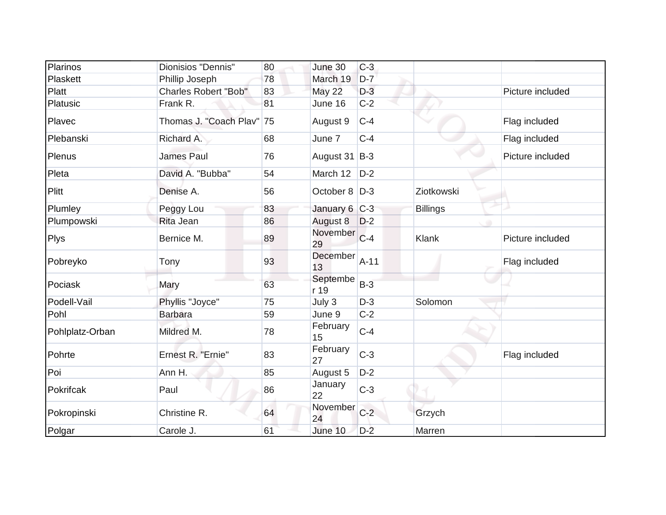| Plarinos        | Dionisios "Dennis"          | 80 | June 30          | $C-3$  |                 |                  |
|-----------------|-----------------------------|----|------------------|--------|-----------------|------------------|
| Plaskett        | Phillip Joseph              | 78 | March 19         | $D-7$  |                 |                  |
| Platt           | <b>Charles Robert "Bob"</b> | 83 | May 22           | $D-3$  |                 | Picture included |
| Platusic        | Frank R.                    | 81 | June 16          | $C-2$  |                 |                  |
| Plavec          | Thomas J. "Coach Plav"      | 75 | August 9         | $C-4$  |                 | Flag included    |
| Plebanski       | Richard A.                  | 68 | June 7           | $C-4$  |                 | Flag included    |
| Plenus          | <b>James Paul</b>           | 76 | August 31 B-3    |        |                 | Picture included |
| Pleta           | David A. "Bubba"            | 54 | March 12         | $D-2$  |                 |                  |
| Plitt           | Denise A.                   | 56 | October 8   D-3  |        | Ziotkowski      |                  |
| Plumley         | Peggy Lou                   | 83 | January 6 C-3    |        | <b>Billings</b> |                  |
| Plumpowski      | Rita Jean                   | 86 | August 8         | $D-2$  |                 |                  |
| <b>Plys</b>     | Bernice M.                  | 89 | November<br>29   | $C-4$  | Klank           | Picture included |
| Pobreyko        | Tony                        | 93 | December<br>13   | $A-11$ |                 | Flag included    |
| Pociask         | Mary                        | 63 | Septembe<br>r 19 | $B-3$  |                 |                  |
| Podell-Vail     | Phyllis "Joyce"             | 75 | July 3           | $D-3$  | Solomon         |                  |
| Pohl            | <b>Barbara</b>              | 59 | June 9           | $C-2$  |                 |                  |
| Pohlplatz-Orban | Mildred M.                  | 78 | February<br>15   | $C-4$  |                 |                  |
| Pohrte          | Ernest R. "Ernie"           | 83 | February<br>27   | $C-3$  |                 | Flag included    |
| Poi             | Ann H.                      | 85 | August 5         | $D-2$  |                 |                  |
| Pokrifcak       | Paul                        | 86 | January<br>22    | $C-3$  |                 |                  |
| Pokropinski     | Christine R.                | 64 | November<br>24   | $C-2$  | Grzych          |                  |
| Polgar          | Carole J.                   | 61 | June 10          | $D-2$  | Marren          |                  |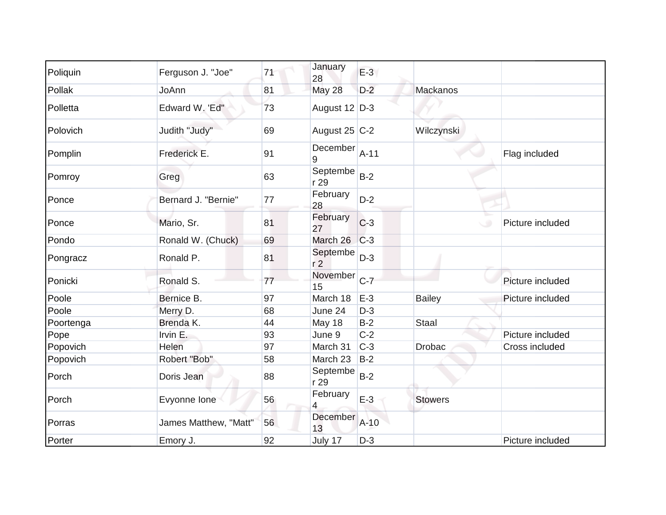| Poliquin  | Ferguson J. "Joe"     | 71 | January<br>28              | $E-3$  |                |                  |
|-----------|-----------------------|----|----------------------------|--------|----------------|------------------|
| Pollak    | JoAnn                 | 81 | May 28                     | $D-2$  | Mackanos       |                  |
| Polletta  | Edward W. 'Ed"        | 73 | August 12 D-3              |        |                |                  |
| Polovich  | Judith "Judy"         | 69 | August 25 $ C-2 $          |        | Wilczynski     |                  |
| Pomplin   | Frederick E.          | 91 | December<br>9              | $A-11$ |                | Flag included    |
| Pomroy    | Greg                  | 63 | Septembe<br>r 29           | $B-2$  |                |                  |
| Ponce     | Bernard J. "Bernie"   | 77 | February<br>28             | $D-2$  |                |                  |
| Ponce     | Mario, Sr.            | 81 | February<br>27             | $C-3$  | $\cup$         | Picture included |
| Pondo     | Ronald W. (Chuck)     | 69 | March 26                   | $C-3$  |                |                  |
| Pongracz  | Ronald P.             | 81 | Septembe<br>r <sub>2</sub> | $D-3$  |                |                  |
| Ponicki   | Ronald S.             | 77 | November<br>15             | $C-7$  |                | Picture included |
| Poole     | Bernice B.            | 97 | March 18                   | $E-3$  | <b>Bailey</b>  | Picture included |
| Poole     | Merry D.              | 68 | June 24                    | $D-3$  |                |                  |
| Poortenga | Brenda K.             | 44 | May 18                     | $B-2$  | <b>Staal</b>   |                  |
| Pope      | Irvin E.              | 93 | June 9                     | $C-2$  |                | Picture included |
| Popovich  | Helen                 | 97 | March 31                   | $C-3$  | <b>Drobac</b>  | Cross included   |
| Popovich  | Robert "Bob"          | 58 | March 23                   | $B-2$  |                |                  |
| Porch     | Doris Jean            | 88 | Septembe<br>r 29           | $B-2$  |                |                  |
| Porch     | Evyonne lone          | 56 | February<br>4              | $E-3$  | <b>Stowers</b> |                  |
| Porras    | James Matthew, "Matt" | 56 | December<br>13             | $A-10$ |                |                  |
| Porter    | Emory J.              | 92 | July 17                    | $D-3$  |                | Picture included |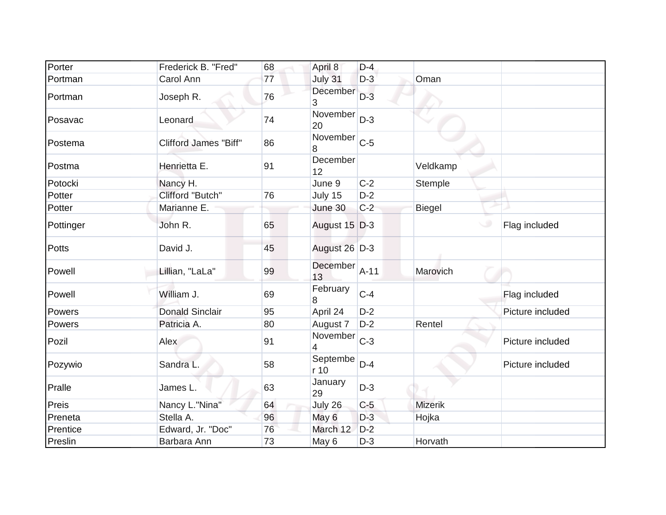| Porter    | Frederick B. "Fred"          | 68 | April 8          | $D-4$  |                |                  |
|-----------|------------------------------|----|------------------|--------|----------------|------------------|
| Portman   | Carol Ann                    | 77 | July 31          | $D-3$  | Oman           |                  |
| Portman   | Joseph R.                    | 76 | December<br>3    | $D-3$  |                |                  |
| Posavac   | Leonard                      | 74 | November<br>20   | $D-3$  |                |                  |
| Postema   | <b>Clifford James "Biff"</b> | 86 | November<br>8    | $C-5$  |                |                  |
| Postma    | Henrietta E.                 | 91 | December<br>12   |        | Veldkamp       |                  |
| Potocki   | Nancy H.                     |    | June 9           | $C-2$  | Stemple        |                  |
| Potter    | Clifford "Butch"             | 76 | July 15          | $D-2$  |                |                  |
| Potter    | Marianne E.                  |    | June 30          | $C-2$  | <b>Biegel</b>  |                  |
| Pottinger | John R.                      | 65 | August 15 D-3    |        |                | Flag included    |
| Potts     | David J.                     | 45 | August 26 D-3    |        |                |                  |
| Powell    | Lillian, "LaLa"              | 99 | December<br>13   | $A-11$ | Marovich       |                  |
| Powell    | William J.                   | 69 | February<br>8    | $C-4$  |                | Flag included    |
| Powers    | <b>Donald Sinclair</b>       | 95 | April 24         | $D-2$  |                | Picture included |
| Powers    | Patricia A.                  | 80 | August 7         | $D-2$  | Rentel         |                  |
| Pozil     | Alex                         | 91 | November<br>4    | $C-3$  |                | Picture included |
| Pozywio   | Sandra L.                    | 58 | Septembe<br>r 10 | $D-4$  |                | Picture included |
| Pralle    | James L.                     | 63 | January<br>29    | $D-3$  |                |                  |
| Preis     | Nancy L."Nina"               | 64 | July 26          | $C-5$  | <b>Mizerik</b> |                  |
| Preneta   | Stella A.                    | 96 | May 6            | $D-3$  | Hojka          |                  |
| Prentice  | Edward, Jr. "Doc"            | 76 | March 12         | $D-2$  |                |                  |
| Preslin   | Barbara Ann                  | 73 | May 6            | $D-3$  | Horvath        |                  |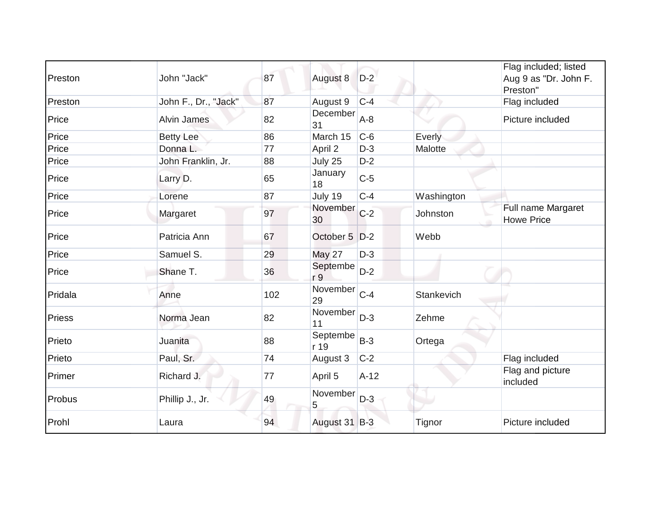| Preston | John "Jack"          | 87  | August 8         | $D-2$  |            | Flag included; listed<br>Aug 9 as "Dr. John F.<br>Preston" |
|---------|----------------------|-----|------------------|--------|------------|------------------------------------------------------------|
| Preston | John F., Dr., "Jack" | 87  | August 9         | $C-4$  |            | Flag included                                              |
| Price   | <b>Alvin James</b>   | 82  | December<br>31   | $A-8$  |            | Picture included                                           |
| Price   | <b>Betty Lee</b>     | 86  | March 15         | $C-6$  | Everly     |                                                            |
| Price   | Donna L.             | 77  | April 2          | $D-3$  | Malotte    |                                                            |
| Price   | John Franklin, Jr.   | 88  | July 25          | $D-2$  |            |                                                            |
| Price   | Larry D.             | 65  | January<br>18    | $C-5$  |            |                                                            |
| Price   | Lorene               | 87  | July 19          | $C-4$  | Washington |                                                            |
| Price   | Margaret             | 97  | November<br>30   | $C-2$  | Johnston   | Full name Margaret<br><b>Howe Price</b>                    |
| Price   | Patricia Ann         | 67  | October 5        | $D-2$  | Webb       |                                                            |
| Price   | Samuel S.            | 29  | <b>May 27</b>    | $D-3$  |            |                                                            |
| Price   | Shane T.             | 36  | Septembe<br>r 9  | $D-2$  |            |                                                            |
| Pridala | Anne                 | 102 | November<br>29   | $C-4$  | Stankevich |                                                            |
| Priess  | Norma Jean           | 82  | November<br>11   | $D-3$  | Zehme      |                                                            |
| Prieto  | Juanita              | 88  | Septembe<br>r 19 | $B-3$  | Ortega     |                                                            |
| Prieto  | Paul, Sr.            | 74  | August 3         | $C-2$  |            | Flag included                                              |
| Primer  | Richard J.           | 77  | April 5          | $A-12$ |            | Flag and picture<br>included                               |
| Probus  | Phillip J., Jr.      | 49  | November<br>5    | $D-3$  |            |                                                            |
| Prohl   | Laura                | 94  | August 31 B-3    |        | Tignor     | Picture included                                           |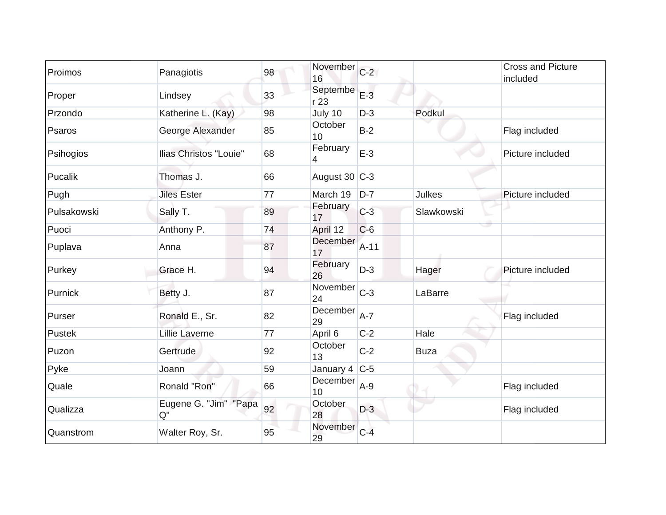| Proimos     | Panagiotis                    | 98 | November<br>16    | $C-2$  |             | <b>Cross and Picture</b><br>included |
|-------------|-------------------------------|----|-------------------|--------|-------------|--------------------------------------|
| Proper      | Lindsey                       | 33 | Septembe<br>r 23  | $E-3$  |             |                                      |
| Przondo     | Katherine L. (Kay)            | 98 | July 10           | $D-3$  | Podkul      |                                      |
| Psaros      | George Alexander              | 85 | October<br>10     | $B-2$  |             | Flag included                        |
| Psihogios   | <b>Ilias Christos "Louie"</b> | 68 | February<br>4     | $E-3$  |             | Picture included                     |
| Pucalik     | Thomas J.                     | 66 | August $30$ C-3   |        |             |                                      |
| Pugh        | <b>Jiles Ester</b>            | 77 | March 19          | $D-7$  | Julkes      | Picture included                     |
| Pulsakowski | Sally T.                      | 89 | February<br>17    | $C-3$  | Slawkowski  |                                      |
| Puoci       | Anthony P.                    | 74 | April 12          | $C-6$  |             |                                      |
| Puplava     | Anna                          | 87 | December<br>17    | $A-11$ |             |                                      |
| Purkey      | Grace H.                      | 94 | February<br>26    | $D-3$  | Hager       | Picture included                     |
| Purnick     | Betty J.                      | 87 | November<br>24    | $C-3$  | LaBarre     |                                      |
| Purser      | Ronald E., Sr.                | 82 | December<br>29    | $A-7$  |             | Flag included                        |
| Pustek      | <b>Lillie Laverne</b>         | 77 | April 6           | $C-2$  | Hale        |                                      |
| Puzon       | Gertrude                      | 92 | October<br>13     | $C-2$  | <b>Buza</b> |                                      |
| Pyke        | Joann                         | 59 | January 4 $ C-5 $ |        |             |                                      |
| Quale       | Ronald "Ron"                  | 66 | December<br>10    | $A-9$  |             | Flag included                        |
| Qualizza    | Eugene G. "Jim" "Papa<br>Q''  | 92 | October<br>28     | $D-3$  |             | Flag included                        |
| Quanstrom   | Walter Roy, Sr.               | 95 | November<br>29    | $C-4$  |             |                                      |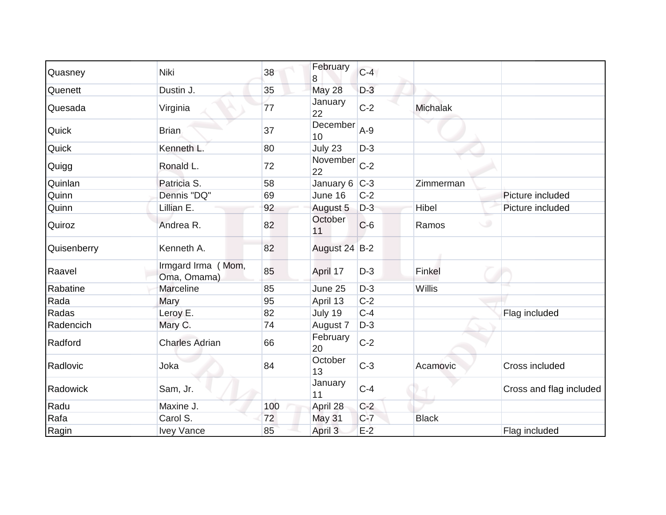| Quasney     | Niki                              | 38  | February        | $C-4$ |                 |                         |
|-------------|-----------------------------------|-----|-----------------|-------|-----------------|-------------------------|
| Quenett     | Dustin J.                         | 35  | 8<br>May 28     | $D-3$ |                 |                         |
| Quesada     | Virginia                          | 77  | January<br>22   | $C-2$ | <b>Michalak</b> |                         |
| Quick       | <b>Brian</b>                      | 37  | December<br>10  | $A-9$ |                 |                         |
| Quick       | Kenneth L.                        | 80  | July 23         | $D-3$ |                 |                         |
| Quigg       | Ronald L.                         | 72  | November<br>22  | $C-2$ |                 |                         |
| Quinlan     | Patricia S.                       | 58  | January $6$ C-3 |       | Zimmerman       |                         |
| Quinn       | Dennis "DQ"                       | 69  | June 16         | $C-2$ |                 | Picture included        |
| Quinn       | Lillian E.                        | 92  | August 5        | $D-3$ | Hibel           | Picture included        |
| Quiroz      | Andrea R.                         | 82  | October<br>11   | $C-6$ | $\cup$<br>Ramos |                         |
| Quisenberry | Kenneth A.                        | 82  | August 24 B-2   |       |                 |                         |
| Raavel      | Irmgard Irma (Mom,<br>Oma, Omama) | 85  | April 17        | $D-3$ | Finkel          |                         |
| Rabatine    | <b>Marceline</b>                  | 85  | June 25         | $D-3$ | Willis          |                         |
| Rada        | Mary                              | 95  | April 13        | $C-2$ |                 |                         |
| Radas       | Leroy E.                          | 82  | July 19         | $C-4$ |                 | Flag included           |
| Radencich   | Mary C.                           | 74  | August 7        | $D-3$ |                 |                         |
| Radford     | <b>Charles Adrian</b>             | 66  | February<br>20  | $C-2$ |                 |                         |
| Radlovic    | Joka                              | 84  | October<br>13   | $C-3$ | Acamovic        | Cross included          |
| Radowick    | Sam, Jr.                          |     | January<br>11   | $C-4$ |                 | Cross and flag included |
| Radu        | Maxine J.                         | 100 | April 28        | $C-2$ |                 |                         |
| Rafa        | Carol S.                          | 72  | May 31          | $C-7$ | <b>Black</b>    |                         |
| Ragin       | <b>Ivey Vance</b>                 | 85  | April 3         | $E-2$ |                 | Flag included           |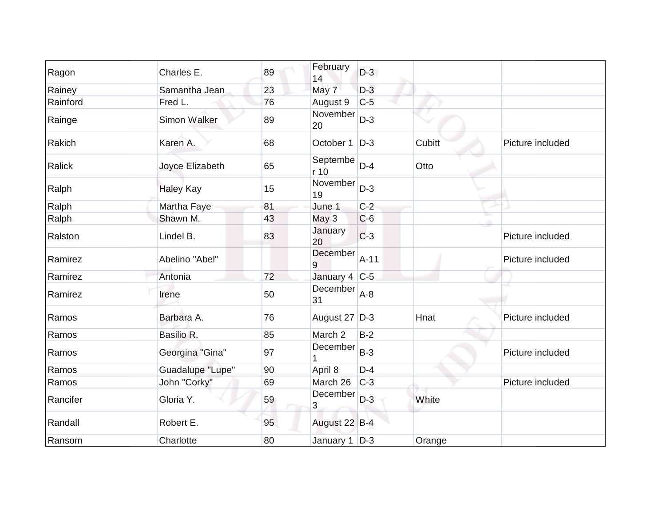| Ragon    | Charles E.          | 89 | February<br>14    | $D-3$  |        |                  |
|----------|---------------------|----|-------------------|--------|--------|------------------|
| Rainey   | Samantha Jean       | 23 | May 7             | $D-3$  |        |                  |
| Rainford | Fred L.             | 76 | August 9          | $C-5$  |        |                  |
| Rainge   | <b>Simon Walker</b> | 89 | November<br>20    | $D-3$  |        |                  |
| Rakich   | Karen A.            | 68 | October 1         | $D-3$  | Cubitt | Picture included |
| Ralick   | Joyce Elizabeth     | 65 | Septembe<br>r 10  | $D-4$  | Otto   |                  |
| Ralph    | <b>Haley Kay</b>    | 15 | November<br>19    | $D-3$  |        |                  |
| Ralph    | Martha Faye         | 81 | June 1            | $C-2$  |        |                  |
| Ralph    | Shawn M.            | 43 | May 3             | $C-6$  |        |                  |
| Ralston  | Lindel B.           | 83 | January<br>20     | $C-3$  |        | Picture included |
| Ramirez  | Abelino "Abel"      |    | December<br>9     | $A-11$ |        | Picture included |
| Ramirez  | Antonia             | 72 | January 4 $ C-5 $ |        |        |                  |
| Ramirez  | Irene               | 50 | December<br>31    | $A-8$  |        |                  |
| Ramos    | Barbara A.          | 76 | August 27 D-3     |        | Hnat   | Picture included |
| Ramos    | Basilio R.          | 85 | March 2           | $B-2$  |        |                  |
| Ramos    | Georgina "Gina"     | 97 | December          | $B-3$  |        | Picture included |
| Ramos    | Guadalupe "Lupe"    | 90 | April 8           | $D-4$  |        |                  |
| Ramos    | John "Corky"        | 69 | March 26          | $C-3$  |        | Picture included |
| Rancifer | Gloria Y.           | 59 | December<br>3     | $D-3$  | White  |                  |
| Randall  | Robert E.           | 95 | August 22 B-4     |        |        |                  |
| Ransom   | Charlotte           | 80 | January $1$ $D-3$ |        | Orange |                  |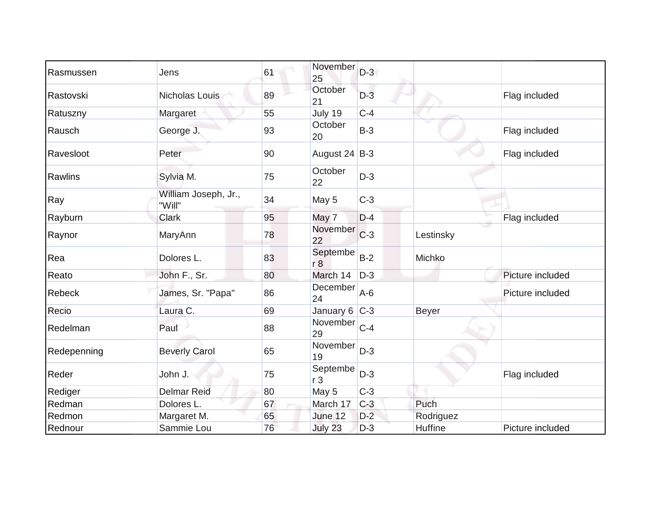| Rasmussen   | Jens                           | 61 | November<br>25             | $D-3$ |              |                  |
|-------------|--------------------------------|----|----------------------------|-------|--------------|------------------|
| Rastovski   | Nicholas Louis                 | 89 | October<br>21              | $D-3$ |              | Flag included    |
| Ratuszny    | Margaret                       | 55 | July 19                    | $C-4$ |              |                  |
| Rausch      | George J.                      | 93 | October<br>20              | $B-3$ |              | Flag included    |
| Ravesloot   | Peter                          | 90 | August 24 B-3              |       |              | Flag included    |
| Rawlins     | Sylvia M.                      | 75 | October<br>22              | $D-3$ |              |                  |
| Ray         | William Joseph, Jr.,<br>"Will" | 34 | May 5                      | $C-3$ |              |                  |
| Rayburn     | <b>Clark</b>                   | 95 | May 7                      | $D-4$ |              | Flag included    |
| Raynor      | MaryAnn                        | 78 | November<br>22             | $C-3$ | Lestinsky    |                  |
| Rea         | Dolores L.                     | 83 | Septembe<br>r8             | $B-2$ | Michko       |                  |
| Reato       | John F., Sr.                   | 80 | March 14                   | $D-3$ |              | Picture included |
| Rebeck      | James, Sr. "Papa"              | 86 | December<br>24             | $A-6$ |              | Picture included |
| Recio       | Laura C.                       | 69 | January 6 $ C-3 $          |       | <b>Beyer</b> |                  |
| Redelman    | Paul                           | 88 | November<br>29             | $C-4$ |              |                  |
| Redepenning | <b>Beverly Carol</b>           | 65 | November<br>19             | $D-3$ |              |                  |
| Reder       | John J.                        | 75 | Septembe<br>r <sub>3</sub> | $D-3$ |              | Flag included    |
| Rediger     | <b>Delmar Reid</b>             | 80 | May 5                      | $C-3$ |              |                  |
| Redman      | Dolores L.                     | 67 | March 17                   | $C-3$ | Puch         |                  |
| Redmon      | Margaret M.                    | 65 | June 12                    | $D-2$ | Rodriguez    |                  |
| Rednour     | Sammie Lou                     | 76 | July 23                    | $D-3$ | Huffine      | Picture included |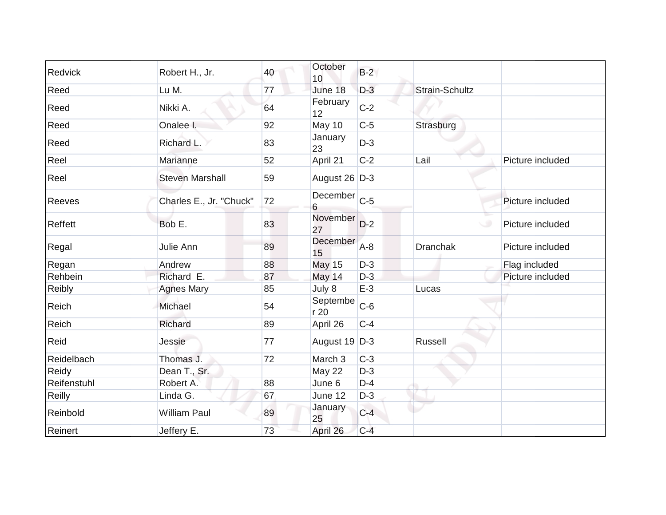| Redvick        |                         | 40 | October           | $B-2$ |                 |                  |
|----------------|-------------------------|----|-------------------|-------|-----------------|------------------|
|                | Robert H., Jr.          |    | 10                |       |                 |                  |
| Reed           | Lu M.                   | 77 | June 18           | $D-3$ | Strain-Schultz  |                  |
| Reed           | Nikki A.                | 64 | February<br>12    | $C-2$ |                 |                  |
| Reed           | Onalee I.               | 92 | May 10            | $C-5$ | Strasburg       |                  |
| Reed           | Richard L.              | 83 | January<br>23     | $D-3$ |                 |                  |
| Reel           | Marianne                | 52 | April 21          | $C-2$ | Lail            | Picture included |
| Reel           | <b>Steven Marshall</b>  | 59 | August 26 $D-3$   |       |                 |                  |
| <b>Reeves</b>  | Charles E., Jr. "Chuck" | 72 | December C-5<br>6 |       |                 | Picture included |
| <b>Reffett</b> | Bob E.                  | 83 | November<br>27    | $D-2$ | $\cup$          | Picture included |
| Regal          | Julie Ann               | 89 | December<br>15    | $A-8$ | <b>Dranchak</b> | Picture included |
| Regan          | Andrew                  | 88 | <b>May 15</b>     | $D-3$ |                 | Flag included    |
| Rehbein        | Richard E.              | 87 | May 14            | $D-3$ |                 | Picture included |
| Reibly         | <b>Agnes Mary</b>       | 85 | July 8            | $E-3$ | Lucas           |                  |
| Reich          | Michael                 | 54 | Septembe<br>r20   | $C-6$ |                 |                  |
| Reich          | Richard                 | 89 | April 26          | $C-4$ |                 |                  |
| Reid           | Jessie                  | 77 | August 19 D-3     |       | <b>Russell</b>  |                  |
| Reidelbach     | Thomas J.               | 72 | March 3           | $C-3$ |                 |                  |
| Reidy          | Dean T., Sr.            |    | May 22            | $D-3$ |                 |                  |
| Reifenstuhl    | Robert A.               | 88 | June 6            | $D-4$ |                 |                  |
| <b>Reilly</b>  | Linda G.                | 67 | June 12           | $D-3$ |                 |                  |
| Reinbold       | <b>William Paul</b>     | 89 | January<br>25     | $C-4$ |                 |                  |
| Reinert        | Jeffery E.              | 73 | April 26          | $C-4$ |                 |                  |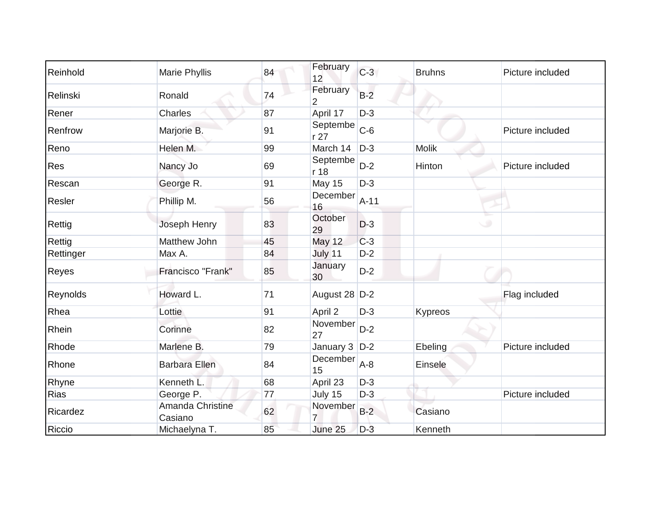| Reinhold  | Marie Phyllis               | 84 | February<br>12    | $C-3$  | <b>Bruhns</b> | Picture included |
|-----------|-----------------------------|----|-------------------|--------|---------------|------------------|
| Relinski  | Ronald                      | 74 | February<br>2     | $B-2$  |               |                  |
| Rener     | <b>Charles</b>              | 87 | April 17          | $D-3$  |               |                  |
| Renfrow   | Marjorie B.                 | 91 | Septembe<br>r 27  | $C-6$  |               | Picture included |
| Reno      | Helen M.                    | 99 | March 14          | $D-3$  | <b>Molik</b>  |                  |
| Res       | Nancy Jo                    | 69 | Septembe<br>r 18  | $D-2$  | Hinton        | Picture included |
| Rescan    | George R.                   | 91 | May 15            | $D-3$  |               |                  |
| Resler    | Phillip M.                  | 56 | December<br>16    | $A-11$ |               |                  |
| Rettig    | Joseph Henry                | 83 | October<br>29     | $D-3$  |               | ی                |
| Rettig    | Matthew John                | 45 | <b>May 12</b>     | $C-3$  |               |                  |
| Rettinger | Max A.                      | 84 | July 11           | $D-2$  |               |                  |
| Reyes     | Francisco "Frank"           | 85 | January<br>30     | $D-2$  |               |                  |
| Reynolds  | Howard L.                   | 71 | August 28 D-2     |        |               | Flag included    |
| Rhea      | Lottie                      | 91 | April 2           | $D-3$  | Kypreos       |                  |
| Rhein     | Corinne                     | 82 | November<br>27    | $D-2$  |               |                  |
| Rhode     | Marlene B.                  | 79 | January $3$ $D-2$ |        | Ebeling       | Picture included |
| Rhone     | <b>Barbara Ellen</b>        | 84 | December<br>15    | $A-8$  | Einsele       |                  |
| Rhyne     | Kenneth L.                  | 68 | April 23          | $D-3$  |               |                  |
| Rias      | George P.                   | 77 | July 15           | $D-3$  |               | Picture included |
| Ricardez  | Amanda Christine<br>Casiano | 62 | November          | $B-2$  | Casiano       |                  |
| Riccio    | Michaelyna T.               | 85 | June 25           | $D-3$  | Kenneth       |                  |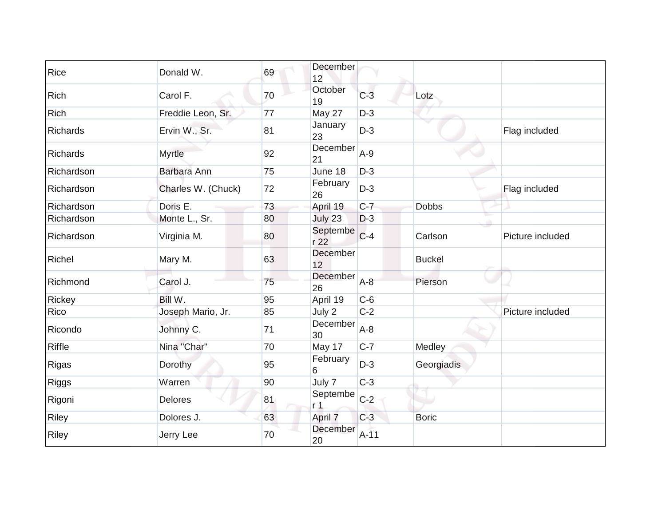| Rice         | Donald W.          | 69 | December<br>12             |         |               |                  |
|--------------|--------------------|----|----------------------------|---------|---------------|------------------|
| <b>Rich</b>  | Carol F.           | 70 | October<br>19              | $C-3$   | Lotz          |                  |
| Rich         | Freddie Leon, Sr.  | 77 | May 27                     | $D-3$   |               |                  |
| Richards     | Ervin W., Sr.      | 81 | January<br>23              | $D-3$   |               | Flag included    |
| Richards     | <b>Myrtle</b>      | 92 | December<br>21             | $A-9$   |               |                  |
| Richardson   | <b>Barbara Ann</b> | 75 | June 18                    | $D-3$   |               |                  |
| Richardson   | Charles W. (Chuck) | 72 | February<br>26             | $D-3$   |               | Flag included    |
| Richardson   | Doris E.           | 73 | April 19                   | $C-7$   | <b>Dobbs</b>  |                  |
| Richardson   | Monte L., Sr.      | 80 | July 23                    | $D-3$   |               |                  |
| Richardson   | Virginia M.        | 80 | Septembe<br>r 22           | $C-4$   | Carlson       | Picture included |
| Richel       | Mary M.            | 63 | December<br>12             |         | <b>Buckel</b> |                  |
| Richmond     | Carol J.           | 75 | December<br>26             | $A-8$   | Pierson       |                  |
| Rickey       | Bill W.            | 95 | April 19                   | $C-6$   |               |                  |
| Rico         | Joseph Mario, Jr.  | 85 | July 2                     | $C-2$   |               | Picture included |
| Ricondo      | Johnny C.          | 71 | December<br>30             | $A - 8$ |               |                  |
| Riffle       | Nina "Char"        | 70 | May 17                     | $C-7$   | Medley        |                  |
| Rigas        | Dorothy            | 95 | February<br>6              | $D-3$   | Georgiadis    |                  |
| <b>Riggs</b> | Warren             | 90 | July 7                     | $C-3$   |               |                  |
| Rigoni       | <b>Delores</b>     | 81 | Septembe<br>r <sub>1</sub> | $C-2$   |               |                  |
| Riley        | Dolores J.         | 63 | April 7                    | $C-3$   | <b>Boric</b>  |                  |
| <b>Riley</b> | Jerry Lee          | 70 | December<br>20             | $A-11$  |               |                  |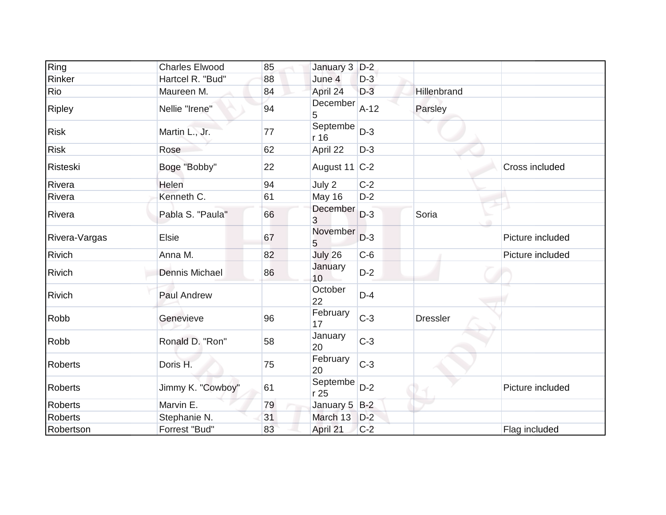| Ring           | <b>Charles Elwood</b> | 85 | January 3 D-2    |        |                 |                  |
|----------------|-----------------------|----|------------------|--------|-----------------|------------------|
| Rinker         | Hartcel R. "Bud"      | 88 | June 4           | $D-3$  |                 |                  |
| Rio            | Maureen M.            | 84 | April 24         | $D-3$  | Hillenbrand     |                  |
| <b>Ripley</b>  | Nellie "Irene"        | 94 | December<br>5    | $A-12$ | Parsley         |                  |
| <b>Risk</b>    | Martin L., Jr.        | 77 | Septembe<br>r 16 | $D-3$  |                 |                  |
| <b>Risk</b>    | Rose                  | 62 | April 22         | $D-3$  |                 |                  |
| Risteski       | Boge "Bobby"          | 22 | August 11 C-2    |        |                 | Cross included   |
| Rivera         | Helen                 | 94 | July 2           | $C-2$  |                 |                  |
| Rivera         | Kenneth C.            | 61 | May 16           | $D-2$  |                 |                  |
| Rivera         | Pabla S. "Paula"      | 66 | December<br>3    | $D-3$  | Soria           |                  |
| Rivera-Vargas  | <b>Elsie</b>          | 67 | November<br>5    | $D-3$  |                 | Picture included |
| Rivich         | Anna M.               | 82 | July 26          | $C-6$  |                 | Picture included |
| Rivich         | <b>Dennis Michael</b> | 86 | January<br>10    | $D-2$  |                 |                  |
| <b>Rivich</b>  | Paul Andrew           |    | October<br>22    | $D-4$  |                 |                  |
| Robb           | Genevieve             | 96 | February<br>17   | $C-3$  | <b>Dressler</b> |                  |
| Robb           | Ronald D. "Ron"       | 58 | January<br>20    | $C-3$  |                 |                  |
| Roberts        | Doris H.              | 75 | February<br>20   | $C-3$  |                 |                  |
| <b>Roberts</b> | Jimmy K. "Cowboy"     | 61 | Septembe<br>r 25 | $D-2$  |                 | Picture included |
| <b>Roberts</b> | Marvin E.             | 79 | January 5 B-2    |        |                 |                  |
| <b>Roberts</b> | Stephanie N.          | 31 | March 13         | $D-2$  |                 |                  |
| Robertson      | Forrest "Bud"         | 83 | April 21         | $C-2$  |                 | Flag included    |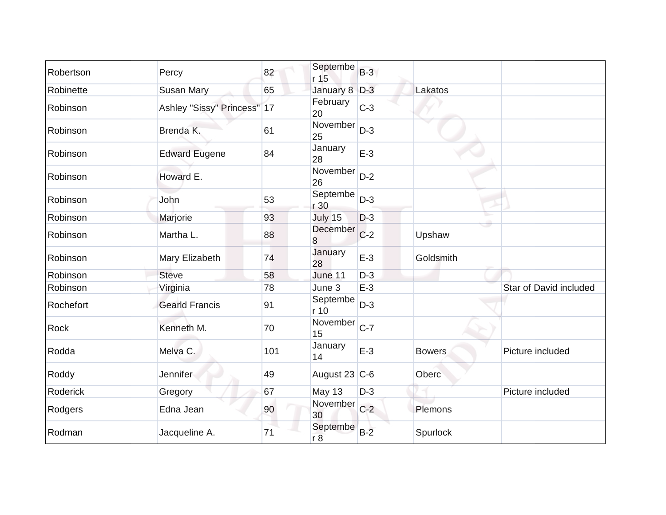| Robertson   | Percy                       | 82  | Septembe<br>r 15 | $B-3$ |               |                        |
|-------------|-----------------------------|-----|------------------|-------|---------------|------------------------|
| Robinette   | <b>Susan Mary</b>           | 65  | January 8 D-3    |       | Lakatos       |                        |
| Robinson    | Ashley "Sissy" Princess" 17 |     | February<br>20   | $C-3$ |               |                        |
| Robinson    | Brenda K.                   | 61  | November<br>25   | $D-3$ |               |                        |
| Robinson    | <b>Edward Eugene</b>        | 84  | January<br>28    | $E-3$ |               |                        |
| Robinson    | Howard E.                   |     | November<br>26   | $D-2$ |               |                        |
| Robinson    | John                        | 53  | Septembe<br>r 30 | $D-3$ |               |                        |
| Robinson    | Marjorie                    | 93  | July 15          | $D-3$ |               |                        |
| Robinson    | Martha L.                   | 88  | December<br>8    | $C-2$ | Upshaw        |                        |
| Robinson    | Mary Elizabeth              | 74  | January<br>28    | $E-3$ | Goldsmith     |                        |
| Robinson    | <b>Steve</b>                | 58  | June 11          | $D-3$ |               |                        |
| Robinson    | Virginia                    | 78  | June 3           | $E-3$ |               | Star of David included |
| Rochefort   | <b>Gearld Francis</b>       | 91  | Septembe<br>r 10 | $D-3$ |               |                        |
| <b>Rock</b> | Kenneth M.                  | 70  | November<br>15   | $C-7$ |               |                        |
| Rodda       | Melva C.                    | 101 | January<br>14    | $E-3$ | <b>Bowers</b> | Picture included       |
| Roddy       | Jennifer                    | 49  | August 23 $C-6$  |       | Oberc         |                        |
| Roderick    | Gregory                     | 67  | May 13           | $D-3$ |               | Picture included       |
| Rodgers     | Edna Jean                   | 90  | November<br>30   | $C-2$ | Plemons       |                        |
| Rodman      | Jacqueline A.               | 71  | Septembe<br>r8   | $B-2$ | Spurlock      |                        |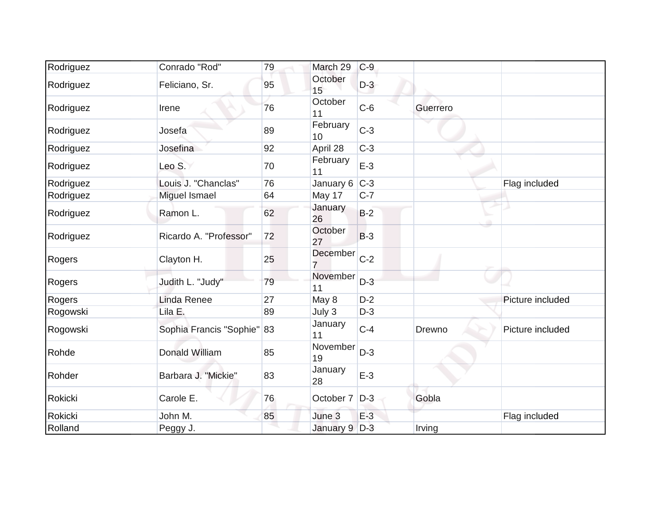| Rodriguez | Conrado "Rod"              | 79 | March 29       | $C-9$ |          |                  |
|-----------|----------------------------|----|----------------|-------|----------|------------------|
| Rodriguez | Feliciano, Sr.             | 95 | October<br>15  | $D-3$ |          |                  |
| Rodriguez | Irene                      | 76 | October<br>11  | $C-6$ | Guerrero |                  |
| Rodriguez | Josefa                     | 89 | February<br>10 | $C-3$ |          |                  |
| Rodriguez | Josefina                   | 92 | April 28       | $C-3$ |          |                  |
| Rodriguez | Leo S.                     | 70 | February<br>11 | $E-3$ |          |                  |
| Rodriguez | Louis J. "Chanclas"        | 76 | January 6      | $C-3$ |          | Flag included    |
| Rodriguez | Miguel Ismael              | 64 | May 17         | $C-7$ |          |                  |
| Rodriguez | Ramon L.                   | 62 | January<br>26  | $B-2$ |          |                  |
| Rodriguez | Ricardo A. "Professor"     | 72 | October<br>27  | $B-3$ |          |                  |
| Rogers    | Clayton H.                 | 25 | December       | $C-2$ |          |                  |
| Rogers    | Judith L. "Judy"           | 79 | November<br>11 | $D-3$ |          |                  |
| Rogers    | <b>Linda Renee</b>         | 27 | May 8          | $D-2$ |          | Picture included |
| Rogowski  | Lila E.                    | 89 | July 3         | $D-3$ |          |                  |
| Rogowski  | Sophia Francis "Sophie" 83 |    | January<br>11  | $C-4$ | Drewno   | Picture included |
| Rohde     | <b>Donald William</b>      | 85 | November<br>19 | $D-3$ |          |                  |
| Rohder    | Barbara J. "Mickie"        | 83 | January<br>28  | $E-3$ |          |                  |
| Rokicki   | Carole E.                  | 76 | October 7      | $D-3$ | Gobla    |                  |
| Rokicki   | John M.                    | 85 | June 3         | $E-3$ |          | Flag included    |
| Rolland   | Peggy J.                   |    | January 9 D-3  |       | Irving   |                  |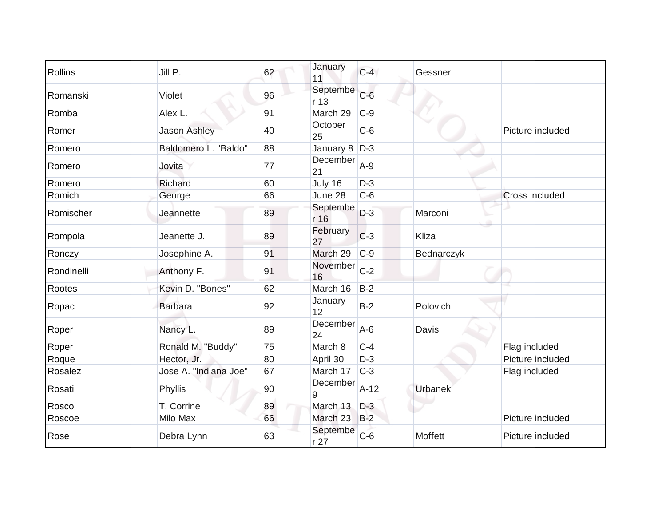| Rollins    | Jill P.               | 62 | January<br>11    | $C-4$  | Gessner        |                       |
|------------|-----------------------|----|------------------|--------|----------------|-----------------------|
| Romanski   | Violet                | 96 | Septembe<br>r 13 | $C-6$  |                |                       |
| Romba      | Alex L.               | 91 | March 29         | $C-9$  |                |                       |
| Romer      | <b>Jason Ashley</b>   | 40 | October<br>25    | $C-6$  |                | Picture included      |
| Romero     | Baldomero L. "Baldo"  | 88 | January 8        | $D-3$  |                |                       |
| Romero     | Jovita                | 77 | December<br>21   | $A-9$  |                |                       |
| Romero     | Richard               | 60 | July 16          | $D-3$  |                |                       |
| Romich     | George                | 66 | June 28          | $C-6$  |                | <b>Cross included</b> |
| Romischer  | Jeannette             | 89 | Septembe<br>r 16 | $D-3$  | Marconi        |                       |
| Rompola    | Jeanette J.           | 89 | February<br>27   | $C-3$  | Kliza          |                       |
| Ronczy     | Josephine A.          | 91 | March 29         | $C-9$  | Bednarczyk     |                       |
| Rondinelli | Anthony F.            | 91 | November<br>16   | $C-2$  |                |                       |
| Rootes     | Kevin D. "Bones"      | 62 | March 16         | $B-2$  |                |                       |
| Ropac      | <b>Barbara</b>        | 92 | January<br>12    | $B-2$  | Polovich       |                       |
| Roper      | Nancy L.              | 89 | December<br>24   | $A-6$  | Davis          |                       |
| Roper      | Ronald M. "Buddy"     | 75 | March 8          | $C-4$  |                | Flag included         |
| Roque      | Hector, Jr.           | 80 | April 30         | $D-3$  |                | Picture included      |
| Rosalez    | Jose A. "Indiana Joe" | 67 | March 17         | $C-3$  |                | Flag included         |
| Rosati     | Phyllis               | 90 | December<br>9    | $A-12$ | <b>Urbanek</b> |                       |
| Rosco      | T. Corrine            | 89 | March 13         | $D-3$  |                |                       |
| Roscoe     | Milo Max              | 66 | March 23         | $B-2$  |                | Picture included      |
| Rose       | Debra Lynn            | 63 | Septembe<br>r 27 | $C-6$  | Moffett        | Picture included      |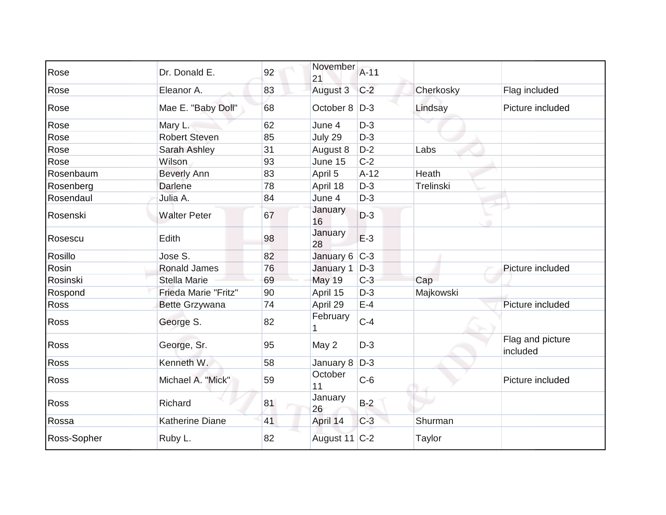| Rose        | Dr. Donald E.          | 92 | November<br>21  | $A-11$ |           |                              |
|-------------|------------------------|----|-----------------|--------|-----------|------------------------------|
| Rose        | Eleanor A.             | 83 | August 3        | $C-2$  | Cherkosky | Flag included                |
| Rose        | Mae E. "Baby Doll"     | 68 | October 8   D-3 |        | Lindsay   | Picture included             |
| Rose        | Mary L.                | 62 | June 4          | $D-3$  |           |                              |
| Rose        | <b>Robert Steven</b>   | 85 | July 29         | $D-3$  |           |                              |
| Rose        | Sarah Ashley           | 31 | August 8        | $D-2$  | Labs      |                              |
| Rose        | Wilson                 | 93 | June 15         | $C-2$  |           |                              |
| Rosenbaum   | <b>Beverly Ann</b>     | 83 | April 5         | $A-12$ | Heath     |                              |
| Rosenberg   | Darlene                | 78 | April 18        | $D-3$  | Trelinski |                              |
| Rosendaul   | Julia A.               | 84 | June 4          | $D-3$  |           |                              |
| Rosenski    | <b>Walter Peter</b>    | 67 | January<br>16   | $D-3$  |           |                              |
| Rosescu     | Edith                  | 98 | January<br>28   | $E-3$  |           |                              |
| Rosillo     | Jose S.                | 82 | January 6 C-3   |        |           |                              |
| Rosin       | <b>Ronald James</b>    | 76 | January 1       | $D-3$  |           | Picture included             |
| Rosinski    | Stella Marie           | 69 | <b>May 19</b>   | $C-3$  | Cap       |                              |
| Rospond     | Frieda Marie "Fritz"   | 90 | April 15        | $D-3$  | Majkowski |                              |
| <b>Ross</b> | Bette Grzywana         | 74 | April 29        | $E-4$  |           | Picture included             |
| Ross        | George S.              | 82 | February        | $C-4$  |           |                              |
| <b>Ross</b> | George, Sr.            | 95 | May 2           | $D-3$  |           | Flag and picture<br>included |
| Ross        | Kenneth W.             | 58 | January 8       | $D-3$  |           |                              |
| <b>Ross</b> | Michael A. "Mick"      | 59 | October<br>11   | $C-6$  |           | Picture included             |
| Ross        | Richard                | 81 | January<br>26   | $B-2$  |           |                              |
| Rossa       | <b>Katherine Diane</b> | 41 | April 14        | $C-3$  | Shurman   |                              |
| Ross-Sopher | Ruby L.                | 82 | August 11 C-2   |        | Taylor    |                              |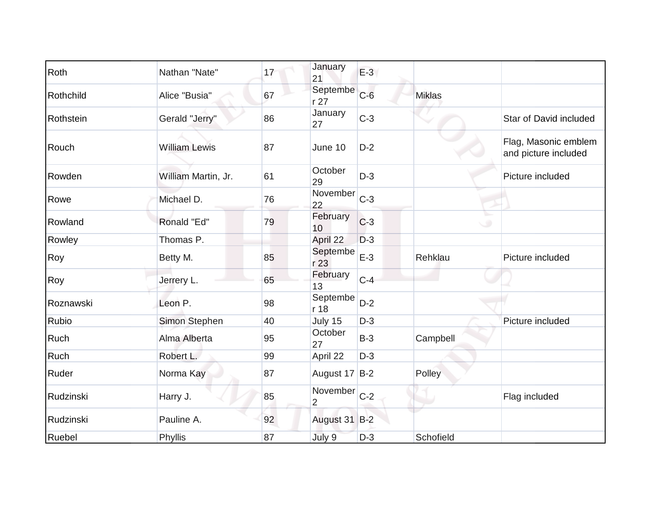| Roth      | Nathan "Nate"        | 17 | January<br>21              | $E-3$ |               |                                              |
|-----------|----------------------|----|----------------------------|-------|---------------|----------------------------------------------|
| Rothchild | Alice "Busia"        | 67 | Septembe<br>r27            | $C-6$ | <b>Miklas</b> |                                              |
| Rothstein | Gerald "Jerry"       | 86 | January<br>27              | $C-3$ |               | Star of David included                       |
| Rouch     | <b>William Lewis</b> | 87 | June 10                    | $D-2$ |               | Flag, Masonic emblem<br>and picture included |
| Rowden    | William Martin, Jr.  | 61 | October<br>29              | $D-3$ |               | Picture included                             |
| Rowe      | Michael D.           | 76 | November<br>22             | $C-3$ |               |                                              |
| Rowland   | Ronald "Ed"          | 79 | February<br>10             | $C-3$ |               | $\circ$                                      |
| Rowley    | Thomas P.            |    | April 22                   | $D-3$ |               |                                              |
| Roy       | Betty M.             | 85 | Septembe<br>r 23           | $E-3$ | Rehklau       | Picture included                             |
| Roy       | Jerrery L.           | 65 | February<br>13             | $C-4$ |               |                                              |
| Roznawski | Leon P.              | 98 | Septembe<br>r 18           | $D-2$ |               |                                              |
| Rubio     | Simon Stephen        | 40 | July 15                    | $D-3$ |               | Picture included                             |
| Ruch      | Alma Alberta         | 95 | October<br>27              | $B-3$ | Campbell      |                                              |
| Ruch      | Robert L.            | 99 | April 22                   | $D-3$ |               |                                              |
| Ruder     | Norma Kay            | 87 | August 17 B-2              |       | Polley        |                                              |
| Rudzinski | Harry J.             | 85 | November<br>$\overline{2}$ | $C-2$ |               | Flag included                                |
| Rudzinski | Pauline A.           | 92 | August 31 B-2              |       |               |                                              |
| Ruebel    | Phyllis              | 87 | July 9                     | $D-3$ | Schofield     |                                              |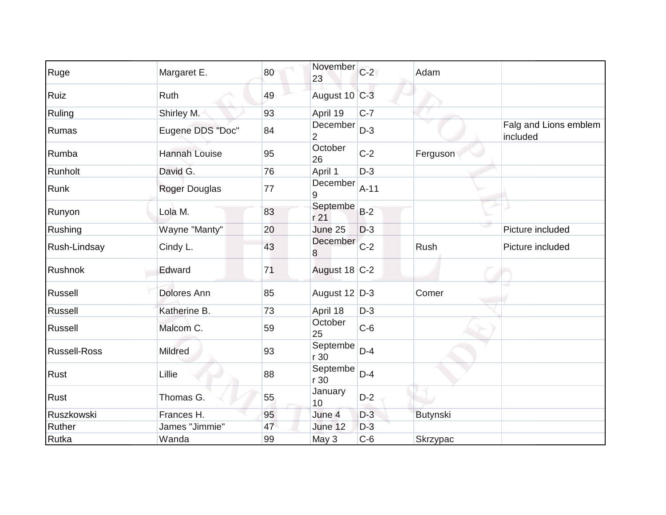| Ruge                | Margaret E.          | 80 | November<br>23             | $C-2$  | Adam     |                                   |
|---------------------|----------------------|----|----------------------------|--------|----------|-----------------------------------|
| Ruiz                | Ruth                 | 49 | August 10 C-3              |        |          |                                   |
| Ruling              | Shirley M.           | 93 | April 19                   | $C-7$  |          |                                   |
| Rumas               | Eugene DDS "Doc"     | 84 | December<br>$\overline{2}$ | $D-3$  |          | Falg and Lions emblem<br>included |
| Rumba               | <b>Hannah Louise</b> | 95 | October<br>26              | $C-2$  | Ferguson |                                   |
| Runholt             | David G.             | 76 | April 1                    | $D-3$  |          |                                   |
| Runk                | Roger Douglas        | 77 | December<br>9              | $A-11$ |          |                                   |
| Runyon              | Lola M.              | 83 | Septembe<br>r 21           | $B-2$  |          |                                   |
| Rushing             | Wayne "Manty"        | 20 | June 25                    | $D-3$  |          | Picture included                  |
| Rush-Lindsay        | Cindy L.             | 43 | December<br>8              | $C-2$  | Rush     | Picture included                  |
| Rushnok             | Edward               | 71 | August 18 C-2              |        |          |                                   |
| Russell             | <b>Dolores Ann</b>   | 85 | August 12 D-3              |        | Comer    |                                   |
| Russell             | Katherine B.         | 73 | April 18                   | $D-3$  |          |                                   |
| Russell             | Malcom C.            | 59 | October<br>25              | $C-6$  |          |                                   |
| <b>Russell-Ross</b> | Mildred              | 93 | Septembe<br>r 30           | $D-4$  |          |                                   |
| <b>Rust</b>         | Lillie               | 88 | Septembe<br>r30            | $D-4$  |          |                                   |
| <b>Rust</b>         | Thomas G.            | 55 | January<br>10              | $D-2$  |          |                                   |
| Ruszkowski          | Frances H.           | 95 | June 4                     | $D-3$  | Butynski |                                   |
| Ruther              | James "Jimmie"       | 47 | June 12                    | $D-3$  |          |                                   |
| Rutka               | Wanda                | 99 | May 3                      | $C-6$  | Skrzypac |                                   |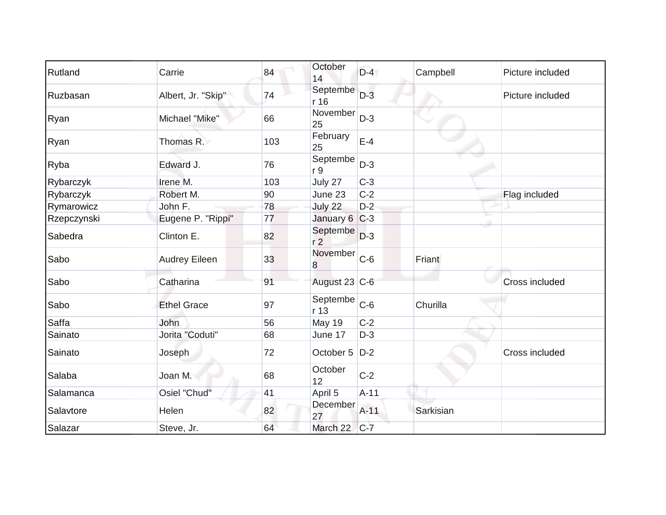| Rutland     | Carrie               | 84  | October<br>14              | $D-4$  | Campbell  | Picture included |
|-------------|----------------------|-----|----------------------------|--------|-----------|------------------|
| Ruzbasan    | Albert, Jr. "Skip"   | 74  | Septembe<br>r 16           | $D-3$  |           | Picture included |
| Ryan        | Michael "Mike"       | 66  | November<br>25             | $D-3$  |           |                  |
| Ryan        | Thomas R.            | 103 | February<br>25             | $E-4$  |           |                  |
| Ryba        | Edward J.            | 76  | Septembe<br>r 9            | $D-3$  |           |                  |
| Rybarczyk   | Irene M.             | 103 | July 27                    | $C-3$  |           |                  |
| Rybarczyk   | Robert M.            | 90  | June 23                    | $C-2$  |           | Flag included    |
| Rymarowicz  | John F.              | 78  | July 22                    | $D-2$  |           |                  |
| Rzepczynski | Eugene P. "Rippi"    | 77  | January 6 C-3              |        |           |                  |
| Sabedra     | Clinton E.           | 82  | Septembe<br>r <sub>2</sub> | $D-3$  |           |                  |
| Sabo        | <b>Audrey Eileen</b> | 33  | November<br>8              | $C-6$  | Friant    |                  |
| Sabo        | Catharina            | 91  | August 23 C-6              |        |           | Cross included   |
| Sabo        | <b>Ethel Grace</b>   | 97  | Septembe<br>r 13           | $C-6$  | Churilla  |                  |
| Saffa       | <b>John</b>          | 56  | <b>May 19</b>              | $C-2$  |           |                  |
| Sainato     | Jorita "Coduti"      | 68  | June 17                    | $D-3$  |           |                  |
| Sainato     | Joseph               | 72  | October 5                  | $D-2$  |           | Cross included   |
| Salaba      | Joan M.              | 68  | October<br>12              | $C-2$  |           |                  |
| Salamanca   | Osiel "Chud"         | 41  | April 5                    | $A-11$ |           |                  |
| Salavtore   | Helen                | 82  | December<br>27             | $A-11$ | Sarkisian |                  |
| Salazar     | Steve, Jr.           | 64  | March 22                   | $C-7$  |           |                  |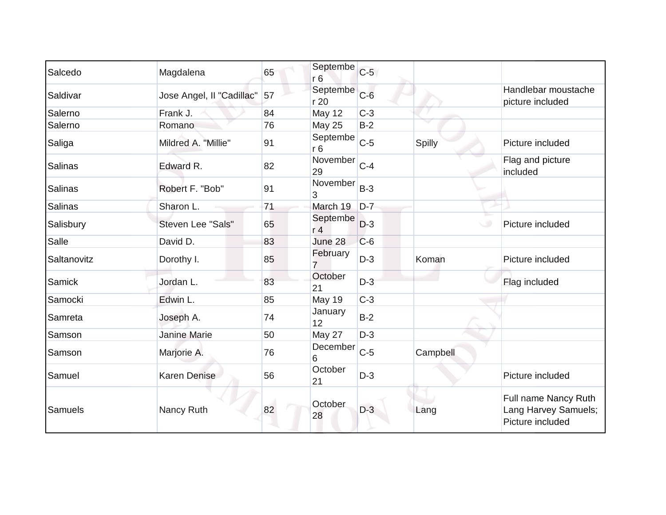| Salcedo     | Magdalena                 | 65 | Septembe<br>r <sub>6</sub> | $C-5$ |          |                                                                  |
|-------------|---------------------------|----|----------------------------|-------|----------|------------------------------------------------------------------|
| Saldivar    | Jose Angel, II "Cadillac" | 57 | Septembe<br>r 20           | $C-6$ |          | Handlebar moustache<br>picture included                          |
| Salerno     | Frank J.                  | 84 | <b>May 12</b>              | $C-3$ |          |                                                                  |
| Salerno     | Romano                    | 76 | <b>May 25</b>              | $B-2$ |          |                                                                  |
| Saliga      | Mildred A. "Millie"       | 91 | Septembe<br>r6             | $C-5$ | Spilly   | Picture included                                                 |
| Salinas     | Edward R.                 | 82 | November<br>29             | $C-4$ |          | Flag and picture<br>included                                     |
| Salinas     | Robert F. "Bob"           | 91 | November<br>3              | $B-3$ |          |                                                                  |
| Salinas     | Sharon L.                 | 71 | March 19                   | $D-7$ |          |                                                                  |
| Salisbury   | Steven Lee "Sals"         | 65 | Septembe<br>r <sub>4</sub> | $D-3$ |          | Picture included                                                 |
| Salle       | David D.                  | 83 | June 28                    | $C-6$ |          |                                                                  |
| Saltanovitz | Dorothy I.                | 85 | February<br>7              | $D-3$ | Koman    | Picture included                                                 |
| Samick      | Jordan L.                 | 83 | October<br>21              | $D-3$ |          | Flag included                                                    |
| Samocki     | Edwin L.                  | 85 | <b>May 19</b>              | $C-3$ |          |                                                                  |
| Samreta     | Joseph A.                 | 74 | January<br>12              | $B-2$ |          |                                                                  |
| Samson      | <b>Janine Marie</b>       | 50 | May 27                     | $D-3$ |          |                                                                  |
| Samson      | Marjorie A.               | 76 | December<br>6              | $C-5$ | Campbell |                                                                  |
| Samuel      | <b>Karen Denise</b>       | 56 | October<br>21              | $D-3$ |          | Picture included                                                 |
| Samuels     | Nancy Ruth                | 82 | October<br>28              | $D-3$ | Lang     | Full name Nancy Ruth<br>Lang Harvey Samuels;<br>Picture included |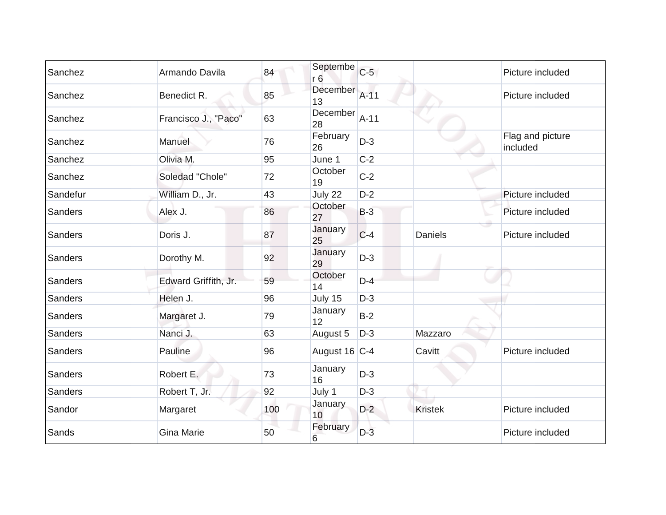| Sanchez  | Armando Davila       | 84  | Septembe<br>r <sub>6</sub> | $C-5$  |                | Picture included             |
|----------|----------------------|-----|----------------------------|--------|----------------|------------------------------|
| Sanchez  | Benedict R.          | 85  | December<br>13             | $A-11$ |                | Picture included             |
| Sanchez  | Francisco J., "Paco" | 63  | December<br>28             | $A-11$ |                |                              |
| Sanchez  | Manuel               | 76  | February<br>26             | $D-3$  |                | Flag and picture<br>included |
| Sanchez  | Olivia M.            | 95  | June 1                     | $C-2$  |                |                              |
| Sanchez  | Soledad "Chole"      | 72  | October<br>19              | $C-2$  |                |                              |
| Sandefur | William D., Jr.      | 43  | July 22                    | $D-2$  |                | Picture included             |
| Sanders  | Alex J.              | 86  | October<br>27              | $B-3$  |                | Picture included             |
| Sanders  | Doris J.             | 87  | January<br>25              | $C-4$  | <b>Daniels</b> | Picture included             |
| Sanders  | Dorothy M.           | 92  | January<br>29              | $D-3$  |                |                              |
| Sanders  | Edward Griffith, Jr. | 59  | October<br>14              | $D-4$  |                |                              |
| Sanders  | Helen J.             | 96  | July 15                    | $D-3$  |                |                              |
| Sanders  | Margaret J.          | 79  | January<br>12              | $B-2$  |                |                              |
| Sanders  | Nanci J.             | 63  | August 5                   | $D-3$  | Mazzaro        |                              |
| Sanders  | Pauline              | 96  | August 16 C-4              |        | Cavitt         | Picture included             |
| Sanders  | Robert E.            | 73  | January<br>16              | $D-3$  |                |                              |
| Sanders  | Robert T, Jr.        | 92  | July 1                     | $D-3$  |                |                              |
| Sandor   | Margaret             | 100 | January<br>10 <sup>1</sup> | $D-2$  | <b>Kristek</b> | Picture included             |
| Sands    | <b>Gina Marie</b>    | 50  | February<br>6              | $D-3$  |                | Picture included             |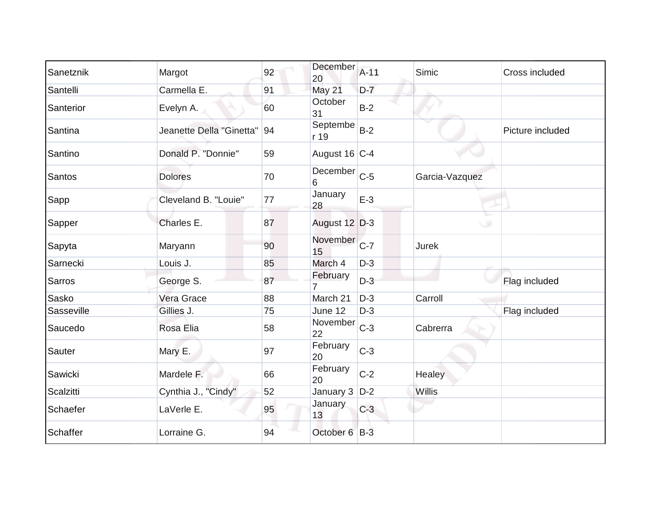| Sanetznik     | Margot                   | 92 | December<br>20     | $A-11$ | Simic          | Cross included   |
|---------------|--------------------------|----|--------------------|--------|----------------|------------------|
| Santelli      | Carmella E.              | 91 | May 21             | $D-7$  |                |                  |
| Santerior     | Evelyn A.                | 60 | October<br>31      | $B-2$  |                |                  |
| Santina       | Jeanette Della "Ginetta" | 94 | Septembe<br>r 19   | $B-2$  |                | Picture included |
| Santino       | Donald P. "Donnie"       | 59 | August 16 C-4      |        |                |                  |
| <b>Santos</b> | <b>Dolores</b>           | 70 | December C-5<br>6  |        | Garcia-Vazquez |                  |
| Sapp          | Cleveland B. "Louie"     | 77 | January<br>28      | $E-3$  |                |                  |
| Sapper        | Charles E.               | 87 | August 12 D-3      |        | پ              |                  |
| Sapyta        | Maryann                  | 90 | November C-7<br>15 |        | Jurek          |                  |
| Sarnecki      | Louis J.                 | 85 | March 4            | $D-3$  |                |                  |
| Sarros        | George S.                | 87 | February           | $D-3$  |                | Flag included    |
| Sasko         | Vera Grace               | 88 | March 21           | $D-3$  | Carroll        |                  |
| Sasseville    | Gillies J.               | 75 | June 12            | $D-3$  |                | Flag included    |
| Saucedo       | Rosa Elia                | 58 | November<br>22     | $C-3$  | Cabrerra       |                  |
| Sauter        | Mary E.                  | 97 | February<br>20     | $C-3$  |                |                  |
| Sawicki       | Mardele F.               | 66 | February<br>20     | $C-2$  | Healey         |                  |
| Scalzitti     | Cynthia J., "Cindy"      | 52 | January $3$ $D-2$  |        | Willis         |                  |
| Schaefer      | LaVerle E.               | 95 | January<br>13      | $C-3$  |                |                  |
| Schaffer      | Lorraine G.              | 94 | October 6 B-3      |        |                |                  |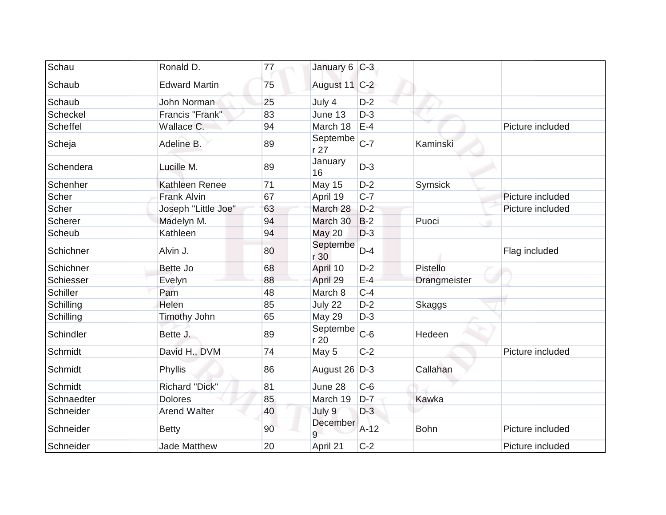| Schau           | Ronald D.             | 77 | January 6 C-3    |        |              |                  |
|-----------------|-----------------------|----|------------------|--------|--------------|------------------|
| Schaub          | <b>Edward Martin</b>  | 75 | August 11 C-2    |        |              |                  |
| Schaub          | <b>John Norman</b>    | 25 | July 4           | $D-2$  |              |                  |
| Scheckel        | Francis "Frank"       | 83 | June 13          | $D-3$  |              |                  |
| Scheffel        | Wallace C.            | 94 | March 18         | $E-4$  |              | Picture included |
| Scheja          | Adeline B.            | 89 | Septembe<br>r27  | $C-7$  | Kaminski     |                  |
| Schendera       | Lucille M.            | 89 | January<br>16    | $D-3$  |              |                  |
| Schenher        | Kathleen Renee        | 71 | May 15           | $D-2$  | Symsick      |                  |
| Scher           | <b>Frank Alvin</b>    | 67 | April 19         | $C-7$  |              | Picture included |
| Scher           | Joseph "Little Joe"   | 63 | March 28         | $D-2$  |              | Picture included |
| Scherer         | Madelyn M.            | 94 | March 30         | $B-2$  | Puoci        |                  |
| Scheub          | Kathleen              | 94 | <b>May 20</b>    | $D-3$  |              |                  |
| Schichner       | Alvin J.              | 80 | Septembe<br>r 30 | $D-4$  |              | Flag included    |
| Schichner       | Bette Jo              | 68 | April 10         | $D-2$  | Pistello     |                  |
| Schiesser       | Evelyn                | 88 | April 29         | $E-4$  | Drangmeister |                  |
| <b>Schiller</b> | Pam                   | 48 | March 8          | $C-4$  |              |                  |
| Schilling       | Helen                 | 85 | July 22          | $D-2$  | Skaggs       |                  |
| Schilling       | Timothy John          | 65 | May 29           | $D-3$  |              |                  |
| Schindler       | Bette J.              | 89 | Septembe<br>r 20 | $C-6$  | Hedeen       |                  |
| Schmidt         | David H., DVM         | 74 | May 5            | $C-2$  |              | Picture included |
| Schmidt         | Phyllis               | 86 | August 26 D-3    |        | Callahan     |                  |
| <b>Schmidt</b>  | <b>Richard "Dick"</b> | 81 | June 28          | $C-6$  |              |                  |
| Schnaedter      | <b>Dolores</b>        | 85 | March 19         | $D-7$  | Kawka        |                  |
| Schneider       | <b>Arend Walter</b>   | 40 | July 9           | $D-3$  |              |                  |
| Schneider       | <b>Betty</b>          | 90 | December<br>q    | $A-12$ | <b>Bohn</b>  | Picture included |
| Schneider       | <b>Jade Matthew</b>   | 20 | April 21         | $C-2$  |              | Picture included |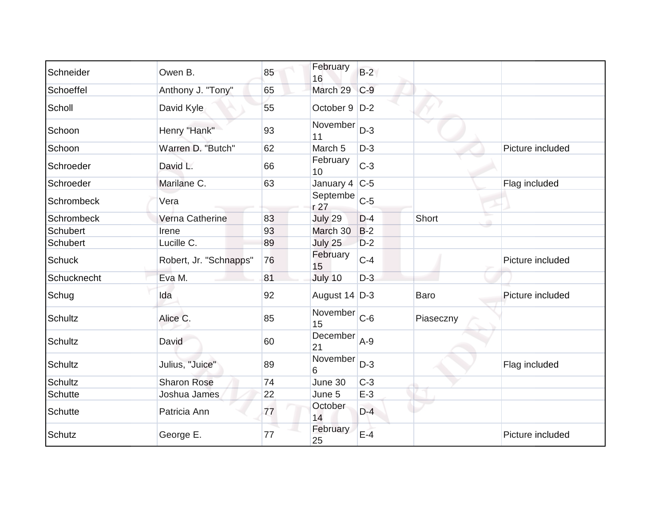| Schneider      | Owen B.                | 85 | February<br>16    | $B-2$ |             |                  |
|----------------|------------------------|----|-------------------|-------|-------------|------------------|
| Schoeffel      | Anthony J. "Tony"      | 65 | March 29          | $C-9$ |             |                  |
| Scholl         | David Kyle             | 55 | October 9   D-2   |       |             |                  |
| Schoon         | Henry "Hank"           | 93 | November<br>11    | $D-3$ |             |                  |
| Schoon         | Warren D. "Butch"      | 62 | March 5           | $D-3$ |             | Picture included |
| Schroeder      | David L.               | 66 | February<br>10    | $C-3$ |             |                  |
| Schroeder      | Marilane C.            | 63 | January 4 $ C-5 $ |       |             | Flag included    |
| Schrombeck     | Vera                   |    | Septembe<br>r 27  | $C-5$ |             |                  |
| Schrombeck     | Verna Catherine        | 83 | July 29           | $D-4$ | Short       |                  |
| Schubert       | Irene                  | 93 | March 30          | $B-2$ |             |                  |
| Schubert       | Lucille C.             | 89 | July 25           | $D-2$ |             |                  |
| <b>Schuck</b>  | Robert, Jr. "Schnapps" | 76 | February<br>15    | $C-4$ |             | Picture included |
| Schucknecht    | Eva M.                 | 81 | July 10           | $D-3$ |             |                  |
| Schug          | Ida                    | 92 | August $14$ D-3   |       | <b>Baro</b> | Picture included |
| <b>Schultz</b> | Alice C.               | 85 | November<br>15    | $C-6$ | Piaseczny   |                  |
| Schultz        | David                  | 60 | December<br>21    | $A-9$ |             |                  |
| Schultz        | Julius, "Juice"        | 89 | November<br>6     | $D-3$ |             | Flag included    |
| <b>Schultz</b> | <b>Sharon Rose</b>     | 74 | June 30           | $C-3$ |             |                  |
| <b>Schutte</b> | Joshua James           | 22 | June 5            | $E-3$ |             |                  |
| Schutte        | Patricia Ann           | 77 | October<br>14     | $D-4$ |             |                  |
| Schutz         | George E.              | 77 | February<br>25    | $E-4$ |             | Picture included |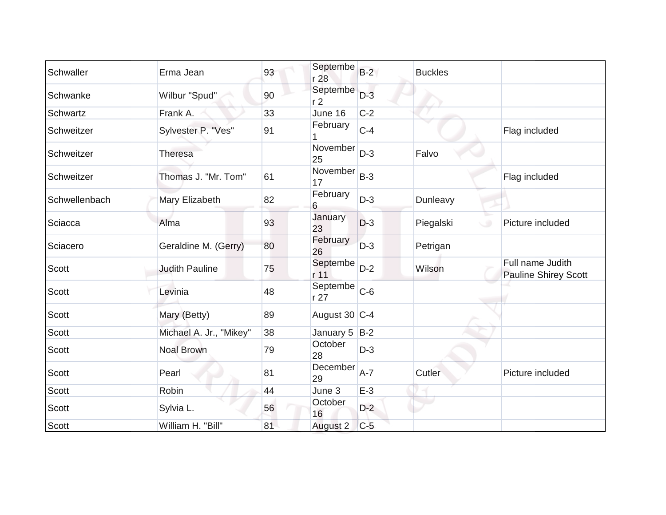| Schwaller     | Erma Jean               | 93 | Septembe<br>r 28           | $B-2$ | <b>Buckles</b>                |                                                 |
|---------------|-------------------------|----|----------------------------|-------|-------------------------------|-------------------------------------------------|
| Schwanke      | Wilbur "Spud"           | 90 | Septembe<br>r <sub>2</sub> | $D-3$ |                               |                                                 |
| Schwartz      | Frank A.                | 33 | June 16                    | $C-2$ |                               |                                                 |
| Schweitzer    | Sylvester P. "Ves"      | 91 | February                   | $C-4$ |                               | Flag included                                   |
| Schweitzer    | Theresa                 |    | November<br>25             | $D-3$ | Falvo                         |                                                 |
| Schweitzer    | Thomas J. "Mr. Tom"     | 61 | November<br>17             | $B-3$ |                               | Flag included                                   |
| Schwellenbach | Mary Elizabeth          | 82 | February<br>6              | $D-3$ | Dunleavy                      |                                                 |
| Sciacca       | Alma                    | 93 | January<br>23              | $D-3$ | $\sim$<br>Piegalski<br>$\cup$ | Picture included                                |
| Sciacero      | Geraldine M. (Gerry)    | 80 | February<br>26             | $D-3$ | Petrigan                      |                                                 |
| Scott         | <b>Judith Pauline</b>   | 75 | Septembe<br>r 11           | $D-2$ | Wilson                        | Full name Judith<br><b>Pauline Shirey Scott</b> |
| <b>Scott</b>  | Levinia                 | 48 | Septembe<br>r 27           | $C-6$ |                               |                                                 |
| <b>Scott</b>  | Mary (Betty)            | 89 | August 30 C-4              |       |                               |                                                 |
| Scott         | Michael A. Jr., "Mikey" | 38 | January $5$ B-2            |       |                               |                                                 |
| <b>Scott</b>  | <b>Noal Brown</b>       | 79 | October<br>28              | $D-3$ |                               |                                                 |
| Scott         | Pearl                   | 81 | December A-7<br>29         |       | Cutler                        | Picture included                                |
| Scott         | Robin                   | 44 | June 3                     | $E-3$ |                               |                                                 |
| <b>Scott</b>  | Sylvia L.               | 56 | October<br>16              | $D-2$ |                               |                                                 |
| <b>Scott</b>  | William H. "Bill"       | 81 | August 2                   | $C-5$ |                               |                                                 |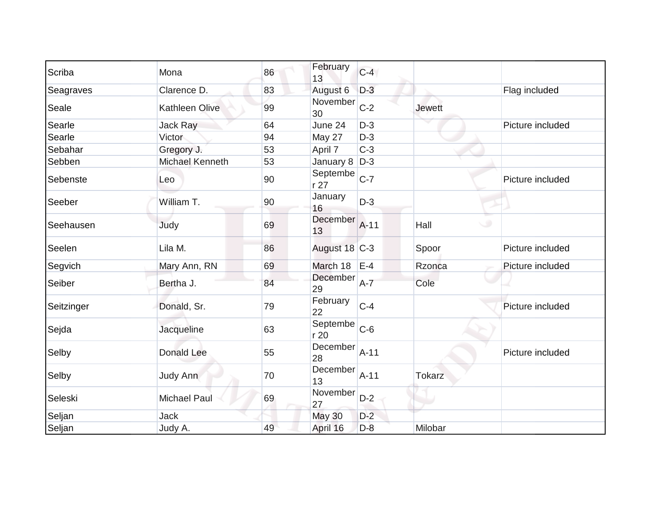| Scriba     | Mona            | 86 | February<br>13    | $C-4$  |               |                  |
|------------|-----------------|----|-------------------|--------|---------------|------------------|
| Seagraves  | Clarence D.     | 83 | August 6          | $D-3$  |               | Flag included    |
| Seale      | Kathleen Olive  | 99 | November<br>30    | $C-2$  | <b>Jewett</b> |                  |
| Searle     | <b>Jack Ray</b> | 64 | June 24           | $D-3$  |               | Picture included |
| Searle     | Victor          | 94 | May 27            | $D-3$  |               |                  |
| Sebahar    | Gregory J.      | 53 | April 7           | $C-3$  |               |                  |
| Sebben     | Michael Kenneth | 53 | January $8$ $D-3$ |        |               |                  |
| Sebenste   | Leo             | 90 | Septembe<br>r 27  | $C-7$  |               | Picture included |
| Seeber     | William T.      | 90 | January<br>16     | $D-3$  |               |                  |
| Seehausen  | Judy            | 69 | December<br>13    | $A-11$ | ی<br>Hall     |                  |
| Seelen     | Lila M.         | 86 | August 18 C-3     |        | Spoor         | Picture included |
| Segvich    | Mary Ann, RN    | 69 | March 18          | $E-4$  | Rzonca        | Picture included |
| Seiber     | Bertha J.       | 84 | December<br>29    | $A-7$  | Cole          |                  |
| Seitzinger | Donald, Sr.     | 79 | February<br>22    | $C-4$  |               | Picture included |
| Sejda      | Jacqueline      | 63 | Septembe<br>r 20  | $C-6$  |               |                  |
| Selby      | Donald Lee      | 55 | December<br>28    | $A-11$ |               | Picture included |
| Selby      | Judy Ann        | 70 | December<br>13    | $A-11$ | <b>Tokarz</b> |                  |
| Seleski    | Michael Paul    | 69 | November<br>27    | $D-2$  |               |                  |
| Seljan     | Jack            |    | <b>May 30</b>     | $D-2$  |               |                  |
| Seljan     | Judy A.         | 49 | April 16          | $D-8$  | Milobar       |                  |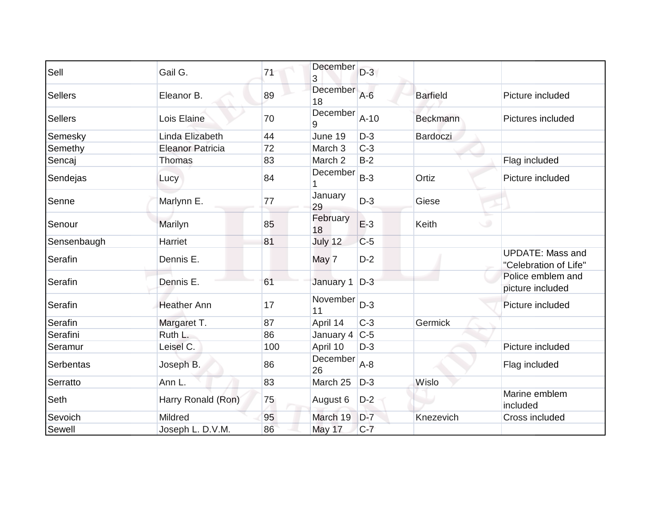| Sell           | Gail G.                 | 71  | December<br>3     | $D-3$  |                 |                                                  |
|----------------|-------------------------|-----|-------------------|--------|-----------------|--------------------------------------------------|
| <b>Sellers</b> | Eleanor B.              | 89  | December<br>18    | $A-6$  | <b>Barfield</b> | Picture included                                 |
| <b>Sellers</b> | Lois Elaine             | 70  | December<br>9     | $A-10$ | <b>Beckmann</b> | Pictures included                                |
| Semesky        | Linda Elizabeth         | 44  | June 19           | $D-3$  | Bardoczi        |                                                  |
| Semethy        | <b>Eleanor Patricia</b> | 72  | March 3           | $C-3$  |                 |                                                  |
| Sencaj         | Thomas                  | 83  | March 2           | $B-2$  |                 | Flag included                                    |
| Sendejas       | Lucy                    | 84  | December          | $B-3$  | Ortiz           | Picture included                                 |
| Senne          | Marlynn E.              | 77  | January<br>29     | $D-3$  | Giese           |                                                  |
| Senour         | Marilyn                 | 85  | February<br>18    | $E-3$  | Keith           |                                                  |
| Sensenbaugh    | Harriet                 | 81  | July 12           | $C-5$  |                 |                                                  |
| Serafin        | Dennis E.               |     | May 7             | $D-2$  |                 | <b>UPDATE: Mass and</b><br>"Celebration of Life" |
| Serafin        | Dennis E.               | 61  | January 1         | $D-3$  |                 | Police emblem and<br>picture included            |
| Serafin        | <b>Heather Ann</b>      | 17  | November<br>11    | $D-3$  |                 | Picture included                                 |
| Serafin        | Margaret T.             | 87  | April 14          | $C-3$  | Germick         |                                                  |
| Serafini       | Ruth L.                 | 86  | January 4 $ C-5 $ |        |                 |                                                  |
| Seramur        | Leisel C.               | 100 | April 10          | $D-3$  |                 | Picture included                                 |
| Serbentas      | Joseph B.               | 86  | December<br>26    | $A-8$  |                 | Flag included                                    |
| Serratto       | Ann L.                  | 83  | March 25          | $D-3$  | Wislo           |                                                  |
| Seth           | Harry Ronald (Ron)      | 75  | August 6          | $D-2$  |                 | Marine emblem<br>included                        |
| Sevoich        | Mildred                 | 95  | March 19          | $D-7$  | Knezevich       | Cross included                                   |
| Sewell         | Joseph L. D.V.M.        | 86  | May 17            | $C-7$  |                 |                                                  |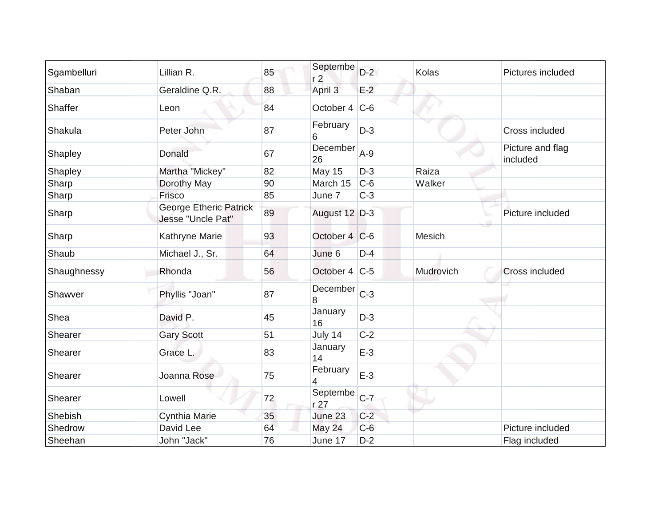| Sgambelluri | Lillian R.                                         | 85 | Septembe<br>r <sub>2</sub>  | $D-2$ | <b>Kolas</b> | Pictures included            |
|-------------|----------------------------------------------------|----|-----------------------------|-------|--------------|------------------------------|
| Shaban      | Geraldine Q.R.                                     | 88 | April 3                     | $E-2$ |              |                              |
| Shaffer     | Leon                                               | 84 | October 4 $ C-6 $           |       |              |                              |
| Shakula     | Peter John                                         | 87 | February<br>6               | $D-3$ |              | Cross included               |
| Shapley     | Donald                                             | 67 | December<br>26              | $A-9$ |              | Picture and flag<br>included |
| Shapley     | Martha "Mickey"                                    | 82 | <b>May 15</b>               | $D-3$ | Raiza        |                              |
| Sharp       | Dorothy May                                        | 90 | March 15                    | $C-6$ | Walker       |                              |
| Sharp       | Frisco                                             | 85 | June 7                      | $C-3$ |              |                              |
| Sharp       | <b>George Etheric Patrick</b><br>Jesse "Uncle Pat" | 89 | August 12 D-3               |       |              | Picture included             |
| Sharp       | Kathryne Marie                                     | 93 | October 4 C-6               |       | Mesich       |                              |
| Shaub       | Michael J., Sr.                                    | 64 | June 6                      | $D-4$ |              |                              |
| Shaughnessy | Rhonda                                             | 56 | October 4 C-5               |       | Mudrovich    | Cross included               |
| Shawver     | Phyllis "Joan"                                     | 87 | December<br>8               | $C-3$ |              |                              |
| Shea        | David P.                                           | 45 | January<br>16               | $D-3$ |              |                              |
| Shearer     | <b>Gary Scott</b>                                  | 51 | July 14                     | $C-2$ |              |                              |
| Shearer     | Grace L.                                           | 83 | January<br>14               | $E-3$ |              |                              |
| Shearer     | Joanna Rose                                        | 75 | February<br>4               | $E-3$ |              |                              |
| Shearer     | Lowell                                             | 72 | Septembe<br>r <sub>27</sub> | $C-7$ |              |                              |
| Shebish     | Cynthia Marie                                      | 35 | June 23                     | $C-2$ |              |                              |
| Shedrow     | David Lee                                          | 64 | May 24                      | $C-6$ |              | Picture included             |
| Sheehan     | John "Jack"                                        | 76 | June 17                     | $D-2$ |              | Flag included                |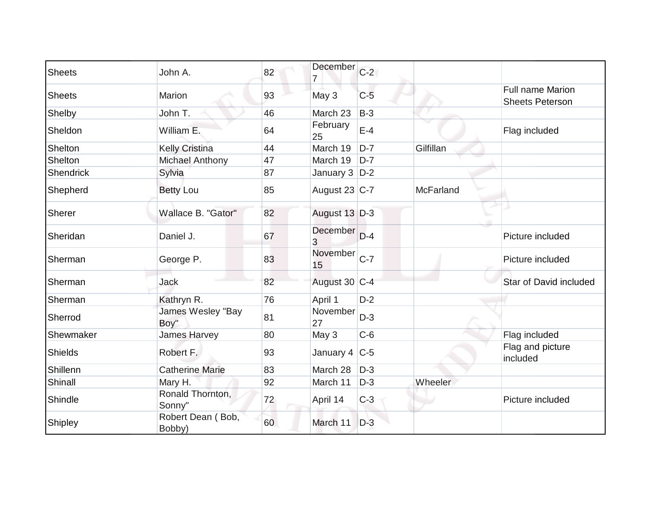| Sheets        | John A.                     | 82 | December           | $C-2$ |           |                                            |
|---------------|-----------------------------|----|--------------------|-------|-----------|--------------------------------------------|
| <b>Sheets</b> | Marion                      | 93 | May 3              | $C-5$ |           | Full name Marion<br><b>Sheets Peterson</b> |
| Shelby        | John T.                     | 46 | March 23           | $B-3$ |           |                                            |
| Sheldon       | William E.                  | 64 | February<br>25     | $E-4$ |           | Flag included                              |
| Shelton       | <b>Kelly Cristina</b>       | 44 | March 19           | $D-7$ | Gilfillan |                                            |
| Shelton       | Michael Anthony             | 47 | March 19           | $D-7$ |           |                                            |
| Shendrick     | Sylvia                      | 87 | January $3$ $D-2$  |       |           |                                            |
| Shepherd      | <b>Betty Lou</b>            | 85 | August 23 C-7      |       | McFarland |                                            |
| Sherer        | Wallace B. "Gator"          | 82 | August 13 D-3      |       |           |                                            |
| Sheridan      | Daniel J.                   | 67 | December<br>3      | $D-4$ |           | Picture included                           |
| Sherman       | George P.                   | 83 | November C-7<br>15 |       |           | Picture included                           |
| Sherman       | Jack                        | 82 | August 30 C-4      |       |           | <b>Star of David included</b>              |
| Sherman       | Kathryn R.                  | 76 | April 1            | $D-2$ |           |                                            |
| Sherrod       | James Wesley "Bay<br>Boy"   | 81 | November<br>27     | $D-3$ |           |                                            |
| Shewmaker     | James Harvey                | 80 | May 3              | $C-6$ |           | Flag included                              |
| Shields       | Robert F.                   | 93 | January 4 $ C-5 $  |       |           | Flag and picture<br>included               |
| Shillenn      | <b>Catherine Marie</b>      | 83 | March 28           | $D-3$ |           |                                            |
| Shinall       | Mary H.                     | 92 | March 11           | $D-3$ | Wheeler   |                                            |
| Shindle       | Ronald Thornton,<br>Sonny"  | 72 | April 14           | $C-3$ |           | Picture included                           |
| Shipley       | Robert Dean (Bob,<br>Bobby) | 60 | March 11           | $D-3$ |           |                                            |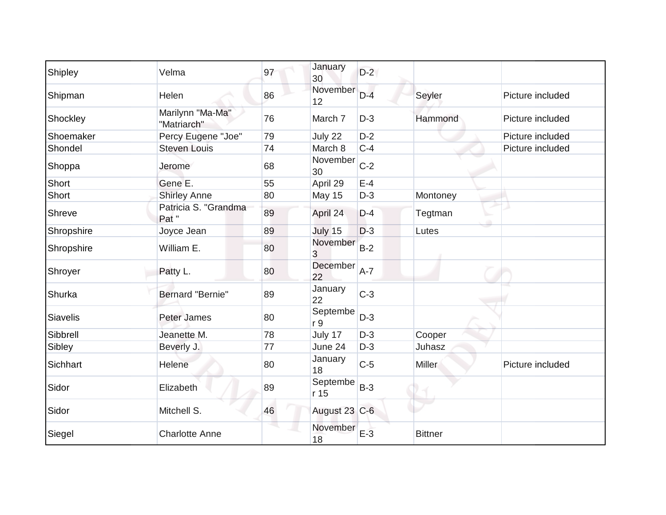| Shipley    | Velma                           | 97 | January<br>30              | $D-2$ |                |                  |
|------------|---------------------------------|----|----------------------------|-------|----------------|------------------|
| Shipman    | Helen                           | 86 | November<br>12             | $D-4$ | Seyler         | Picture included |
| Shockley   | Marilynn "Ma-Ma"<br>"Matriarch" | 76 | March 7                    | $D-3$ | Hammond        | Picture included |
| Shoemaker  | Percy Eugene "Joe"              | 79 | July 22                    | $D-2$ |                | Picture included |
| Shondel    | <b>Steven Louis</b>             | 74 | March 8                    | $C-4$ |                | Picture included |
| Shoppa     | Jerome                          | 68 | November<br>30             | $C-2$ |                |                  |
| Short      | Gene E.                         | 55 | April 29                   | $E-4$ |                |                  |
| Short      | <b>Shirley Anne</b>             | 80 | <b>May 15</b>              | $D-3$ | Montoney       |                  |
| Shreve     | Patricia S. "Grandma<br>Pat "   | 89 | April 24                   | $D-4$ | Tegtman        |                  |
| Shropshire | Joyce Jean                      | 89 | July 15                    | $D-3$ | Lutes          |                  |
| Shropshire | William E.                      | 80 | November<br>3              | $B-2$ |                |                  |
| Shroyer    | Patty L.                        | 80 | December<br>22             | $A-7$ |                |                  |
| Shurka     | Bernard "Bernie"                | 89 | January<br>22              | $C-3$ |                |                  |
| Siavelis   | Peter James                     | 80 | Septembe<br>r <sub>9</sub> | $D-3$ |                |                  |
| Sibbrell   | Jeanette M.                     | 78 | July 17                    | $D-3$ | Cooper         |                  |
| Sibley     | Beverly J.                      | 77 | June 24                    | $D-3$ | Juhasz         |                  |
| Sichhart   | Helene                          | 80 | January<br>18              | $C-5$ | <b>Miller</b>  | Picture included |
| Sidor      | Elizabeth                       | 89 | Septembe<br>r 15           | $B-3$ |                |                  |
| Sidor      | Mitchell S.                     | 46 | August 23 C-6              |       |                |                  |
| Siegel     | <b>Charlotte Anne</b>           |    | November<br>18             | $E-3$ | <b>Bittner</b> |                  |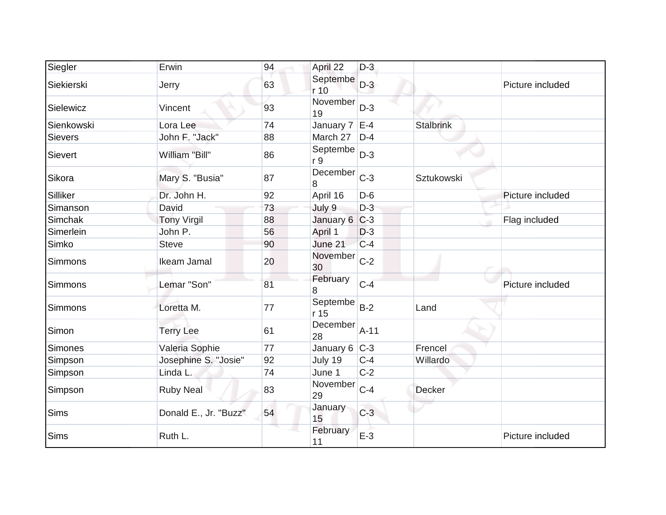| Siegler        | Erwin                 | 94 | April 22                  | $D-3$  |                  |                  |
|----------------|-----------------------|----|---------------------------|--------|------------------|------------------|
| Siekierski     | Jerry                 | 63 | Septembe<br>r 10          | $D-3$  |                  | Picture included |
| Sielewicz      | Vincent               | 93 | November<br>19            | $D-3$  |                  |                  |
| Sienkowski     | Lora Lee              | 74 | January $7 \, \text{E-4}$ |        | <b>Stalbrink</b> |                  |
| <b>Sievers</b> | John F. "Jack"        | 88 | March 27                  | $D-4$  |                  |                  |
| Sievert        | William "Bill"        | 86 | Septembe<br>r 9           | $D-3$  |                  |                  |
| Sikora         | Mary S. "Busia"       | 87 | December<br>8             | $C-3$  | Sztukowski       |                  |
| Silliker       | Dr. John H.           | 92 | April 16                  | $D-6$  |                  | Picture included |
| Simanson       | David                 | 73 | July 9                    | $D-3$  |                  |                  |
| Simchak        | <b>Tony Virgil</b>    | 88 | January 6 C-3             |        |                  | Flag included    |
| Simerlein      | John P.               | 56 | April 1                   | $D-3$  |                  |                  |
| Simko          | <b>Steve</b>          | 90 | June 21                   | $C-4$  |                  |                  |
| Simmons        | Ikeam Jamal           | 20 | November<br>30            | $C-2$  |                  |                  |
| <b>Simmons</b> | Lemar "Son"           | 81 | February<br>8             | $C-4$  |                  | Picture included |
| <b>Simmons</b> | Loretta M.            | 77 | Septembe<br>r 15          | $B-2$  | Land             |                  |
| Simon          | <b>Terry Lee</b>      | 61 | December<br>28            | $A-11$ |                  |                  |
| Simones        | Valeria Sophie        | 77 | January 6 C-3             |        | Frencel          |                  |
| Simpson        | Josephine S. "Josie"  | 92 | July 19                   | $C-4$  | Willardo         |                  |
| Simpson        | Linda L.              | 74 | June 1                    | $C-2$  |                  |                  |
| Simpson        | <b>Ruby Neal</b>      | 83 | November<br>29            | $C-4$  | <b>Decker</b>    |                  |
| <b>Sims</b>    | Donald E., Jr. "Buzz" | 54 | January<br>15             | $C-3$  |                  |                  |
| <b>Sims</b>    | Ruth L.               |    | February<br>11            | $E-3$  |                  | Picture included |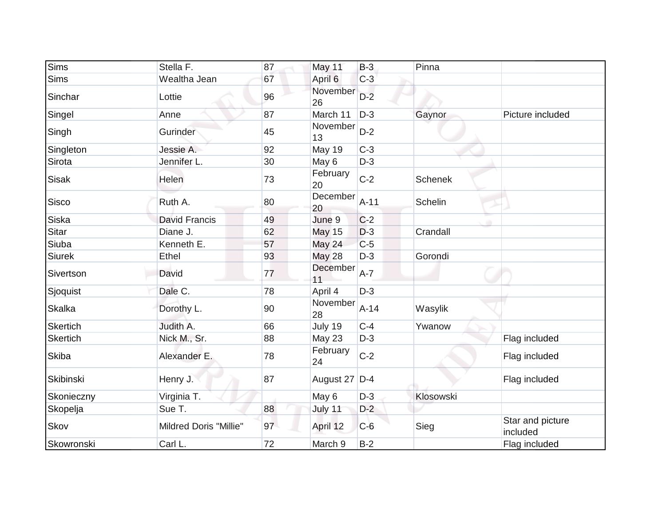| <b>Sims</b>     | Stella F.                     | 87 | May 11         | $B-3$  | Pinna          |                              |
|-----------------|-------------------------------|----|----------------|--------|----------------|------------------------------|
| Sims            | Wealtha Jean                  | 67 | April 6        | $C-3$  |                |                              |
| Sinchar         | Lottie                        | 96 | November<br>26 | $D-2$  |                |                              |
| Singel          | Anne                          | 87 | March 11       | $D-3$  | Gaynor         | Picture included             |
| Singh           | Gurinder                      | 45 | November<br>13 | $D-2$  |                |                              |
| Singleton       | Jessie A.                     | 92 | <b>May 19</b>  | $C-3$  |                |                              |
| Sirota          | Jennifer L.                   | 30 | May 6          | $D-3$  |                |                              |
| <b>Sisak</b>    | Helen                         | 73 | February<br>20 | $C-2$  | <b>Schenek</b> |                              |
| Sisco           | Ruth A.                       | 80 | December<br>20 | $A-11$ | Schelin        |                              |
| Siska           | <b>David Francis</b>          | 49 | June 9         | $C-2$  |                |                              |
| Sitar           | Diane J.                      | 62 | <b>May 15</b>  | $D-3$  | Crandall       |                              |
| Siuba           | Kenneth E.                    | 57 | May 24         | $C-5$  |                |                              |
| Siurek          | Ethel                         | 93 | <b>May 28</b>  | $D-3$  | Gorondi        |                              |
| Sivertson       | David                         | 77 | December<br>11 | $A-7$  |                |                              |
| Sjoquist        | Dale C.                       | 78 | April 4        | $D-3$  |                |                              |
| <b>Skalka</b>   | Dorothy L.                    | 90 | November<br>28 | $A-14$ | Wasylik        |                              |
| <b>Skertich</b> | Judith A.                     | 66 | July 19        | $C-4$  | Ywanow         |                              |
| <b>Skertich</b> | Nick M., Sr.                  | 88 | May 23         | $D-3$  |                | Flag included                |
| <b>Skiba</b>    | Alexander E.                  | 78 | February<br>24 | $C-2$  |                | Flag included                |
| Skibinski       | Henry J.                      | 87 | August 27 D-4  |        |                | Flag included                |
| Skonieczny      | Virginia T.                   |    | May 6          | $D-3$  | Klosowski      |                              |
| Skopelja        | Sue T.                        | 88 | July 11        | $D-2$  |                |                              |
| Skov            | <b>Mildred Doris "Millie"</b> | 97 | April 12       | $C-6$  | Sieg           | Star and picture<br>included |
| Skowronski      | Carl L.                       | 72 | March 9        | $B-2$  |                | Flag included                |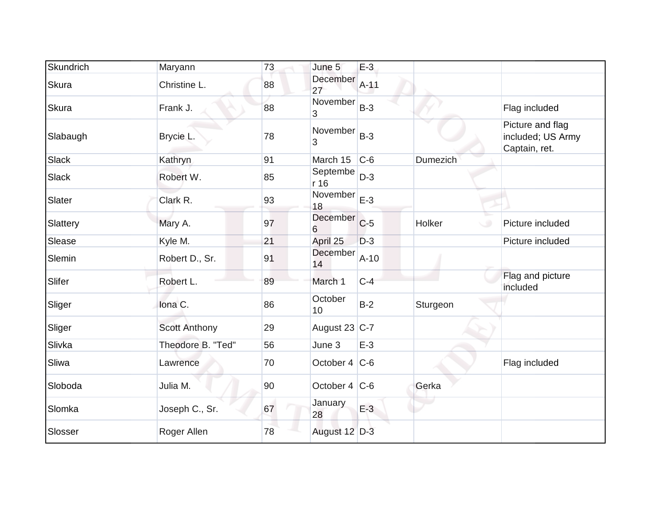| Skundrich    | Maryann              | 73 | June 5            | $E-3$  |                 |                                                        |
|--------------|----------------------|----|-------------------|--------|-----------------|--------------------------------------------------------|
| <b>Skura</b> | Christine L.         | 88 | December<br>27    | $A-11$ |                 |                                                        |
| Skura        | Frank J.             | 88 | November<br>3     | $B-3$  |                 | Flag included                                          |
| Slabaugh     | Brycie L.            | 78 | November<br>3     | $B-3$  |                 | Picture and flag<br>included; US Army<br>Captain, ret. |
| <b>Slack</b> | Kathryn              | 91 | March 15          | $C-6$  | <b>Dumezich</b> |                                                        |
| Slack        | Robert W.            | 85 | Septembe<br>r 16  | $D-3$  |                 |                                                        |
| Slater       | Clark R.             | 93 | November<br>18    | $E-3$  |                 |                                                        |
| Slattery     | Mary A.              | 97 | December C-5<br>6 |        | Holker          | Picture included                                       |
| Slease       | Kyle M.              | 21 | April 25          | $D-3$  |                 | Picture included                                       |
| Slemin       | Robert D., Sr.       | 91 | December<br>14    | $A-10$ |                 |                                                        |
| Slifer       | Robert L.            | 89 | March 1           | $C-4$  |                 | Flag and picture<br>included                           |
| Sliger       | Iona C.              | 86 | October<br>10     | $B-2$  | Sturgeon        |                                                        |
| Sliger       | <b>Scott Anthony</b> | 29 | August 23 $ C-7 $ |        |                 |                                                        |
| Slivka       | Theodore B. "Ted"    | 56 | June 3            | $E-3$  |                 |                                                        |
| Sliwa        | Lawrence             | 70 | October 4 $ C-6 $ |        |                 | Flag included                                          |
| Sloboda      | Julia M.             | 90 | October 4 $ C-6 $ |        | Gerka           |                                                        |
| Slomka       | Joseph C., Sr.       | 67 | January<br>28     | $E-3$  |                 |                                                        |
| Slosser      | Roger Allen          | 78 | August 12 D-3     |        |                 |                                                        |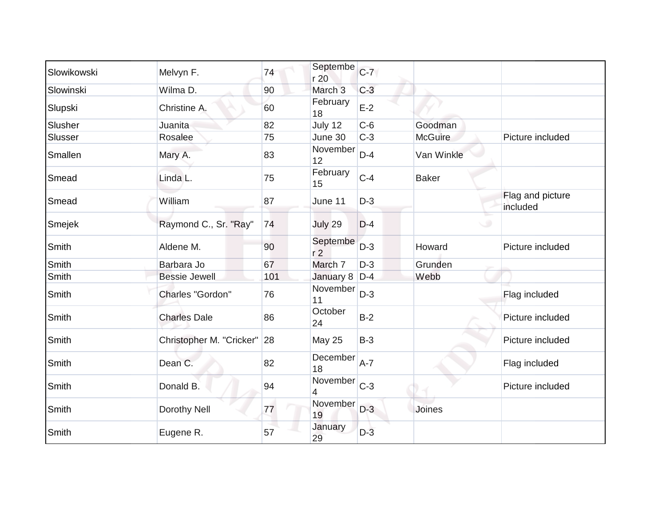| Slowikowski  | Melvyn F.                   | 74  | Septembe<br>r 20           | $C-7$ |                |                              |
|--------------|-----------------------------|-----|----------------------------|-------|----------------|------------------------------|
| Slowinski    | Wilma D.                    | 90  | March <sub>3</sub>         | $C-3$ |                |                              |
| Slupski      | Christine A.                | 60  | February<br>18             | $E-2$ |                |                              |
| Slusher      | Juanita                     | 82  | July 12                    | $C-6$ | Goodman        |                              |
| Slusser      | Rosalee                     | 75  | June 30                    | $C-3$ | <b>McGuire</b> | Picture included             |
| Smallen      | Mary A.                     | 83  | November<br>12             | $D-4$ | Van Winkle     |                              |
| Smead        | Linda L.                    | 75  | February<br>15             | $C-4$ | <b>Baker</b>   |                              |
| Smead        | William                     | 87  | June 11                    | $D-3$ |                | Flag and picture<br>included |
| Smejek       | Raymond C., Sr. "Ray"       | 74  | July 29                    | $D-4$ | $\circ$        |                              |
| Smith        | Aldene M.                   | 90  | Septembe<br>r <sub>2</sub> | $D-3$ | Howard         | Picture included             |
| Smith        | Barbara Jo                  | 67  | March 7                    | $D-3$ | Grunden        |                              |
| Smith        | <b>Bessie Jewell</b>        | 101 | January 8                  | $D-4$ | Webb           |                              |
| Smith        | Charles "Gordon"            | 76  | November<br>11             | $D-3$ |                | Flag included                |
| <b>Smith</b> | <b>Charles Dale</b>         | 86  | October<br>24              | $B-2$ |                | Picture included             |
| Smith        | Christopher M. "Cricker" 28 |     | <b>May 25</b>              | $B-3$ |                | Picture included             |
| Smith        | Dean C.                     | 82  | December<br>18             | $A-7$ |                | Flag included                |
| Smith        | Donald B.                   | 94  | November<br>4              | $C-3$ |                | Picture included             |
| Smith        | Dorothy Nell                | 77  | November<br>19             | $D-3$ | Joines         |                              |
| Smith        | Eugene R.                   | 57  | January<br>29              | $D-3$ |                |                              |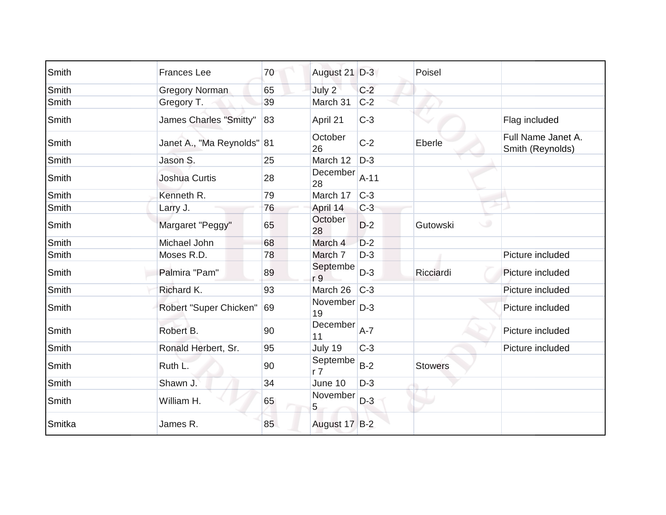| Smith  | <b>Frances Lee</b>         | 70 | August 21 D-3              |         | Poisel         |                                        |
|--------|----------------------------|----|----------------------------|---------|----------------|----------------------------------------|
| Smith  | <b>Gregory Norman</b>      | 65 | July 2                     | $C-2$   |                |                                        |
| Smith  | Gregory T.                 | 39 | March 31                   | $C-2$   |                |                                        |
| Smith  | James Charles "Smitty"     | 83 | April 21                   | $C-3$   |                | Flag included                          |
| Smith  | Janet A., "Ma Reynolds" 81 |    | October<br>26              | $C-2$   | Eberle         | Full Name Janet A.<br>Smith (Reynolds) |
| Smith  | Jason S.                   | 25 | March 12                   | $D-3$   |                |                                        |
| Smith  | <b>Joshua Curtis</b>       | 28 | December<br>28             | $A-11$  |                |                                        |
| Smith  | Kenneth R.                 | 79 | March 17                   | $C-3$   |                |                                        |
| Smith  | Larry J.                   | 76 | April 14                   | $C-3$   |                |                                        |
| Smith  | Margaret "Peggy"           | 65 | October<br>28              | $D-2$   | Gutowski       |                                        |
| Smith  | Michael John               | 68 | March 4                    | $D-2$   |                |                                        |
| Smith  | Moses R.D.                 | 78 | March 7                    | $D-3$   |                | Picture included                       |
| Smith  | Palmira "Pam"              | 89 | Septembe<br>r 9            | $D-3$   | Ricciardi      | Picture included                       |
| Smith  | Richard K.                 | 93 | March 26                   | $C-3$   |                | Picture included                       |
| Smith  | Robert "Super Chicken"     | 69 | November<br>19             | $D-3$   |                | Picture included                       |
| Smith  | Robert B.                  | 90 | December<br>11             | $A - 7$ |                | Picture included                       |
| Smith  | Ronald Herbert, Sr.        | 95 | July 19                    | $C-3$   |                | Picture included                       |
| Smith  | Ruth L.                    | 90 | Septembe<br>r <sub>7</sub> | $B-2$   | <b>Stowers</b> |                                        |
| Smith  | Shawn J.                   | 34 | June 10                    | $D-3$   |                |                                        |
| Smith  | William H.                 | 65 | November<br>5 <sub>1</sub> | $D-3$   |                |                                        |
| Smitka | James R.                   | 85 | August 17 B-2              |         |                |                                        |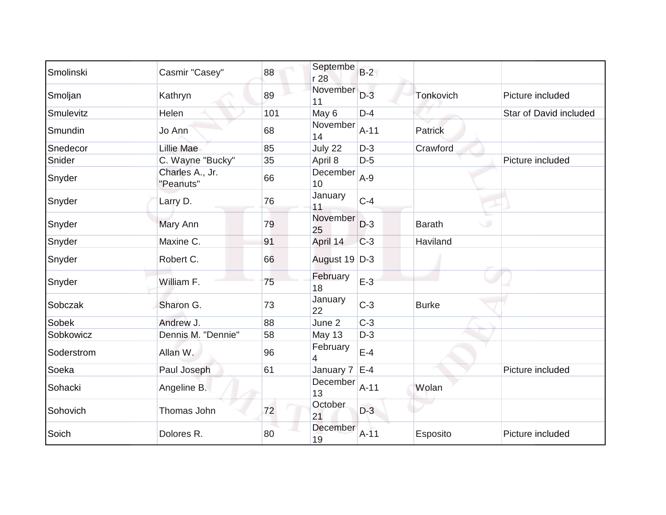| Smolinski  | Casmir "Casey"               | 88  | Septembe<br>r 28 | $B-2$  |                          |                        |
|------------|------------------------------|-----|------------------|--------|--------------------------|------------------------|
| Smoljan    | Kathryn                      | 89  | November<br>11   | $D-3$  | Tonkovich                | Picture included       |
| Smulevitz  | Helen                        | 101 | May 6            | $D-4$  |                          | Star of David included |
| Smundin    | Jo Ann                       | 68  | November<br>14   | $A-11$ | <b>Patrick</b>           |                        |
| Snedecor   | Lillie Mae                   | 85  | July 22          | $D-3$  | Crawford                 |                        |
| Snider     | C. Wayne "Bucky"             | 35  | April 8          | $D-5$  |                          | Picture included       |
| Snyder     | Charles A., Jr.<br>"Peanuts" | 66  | December<br>10   | $A-9$  |                          |                        |
| Snyder     | Larry D.                     | 76  | January<br>11    | $C-4$  |                          |                        |
| Snyder     | Mary Ann                     | 79  | November<br>25   | $D-3$  | <b>Barath</b><br>$\circ$ |                        |
| Snyder     | Maxine C.                    | 91  | April 14         | $C-3$  | Haviland                 |                        |
| Snyder     | Robert C.                    | 66  | August 19 D-3    |        |                          |                        |
| Snyder     | William F.                   | 75  | February<br>18   | $E-3$  |                          |                        |
| Sobczak    | Sharon G.                    | 73  | January<br>22    | $C-3$  | <b>Burke</b>             |                        |
| Sobek      | Andrew J.                    | 88  | June 2           | $C-3$  |                          |                        |
| Sobkowicz  | Dennis M. "Dennie"           | 58  | May 13           | $D-3$  |                          |                        |
| Soderstrom | Allan W.                     | 96  | February<br>4    | $E-4$  |                          |                        |
| Soeka      | Paul Joseph                  | 61  | January 7        | $E-4$  |                          | Picture included       |
| Sohacki    | Angeline B.                  |     | December<br>13   | $A-11$ | Wolan                    |                        |
| Sohovich   | Thomas John                  | 72  | October<br>21    | $D-3$  |                          |                        |
| Soich      | Dolores R.                   | 80  | December<br>19   | $A-11$ | Esposito                 | Picture included       |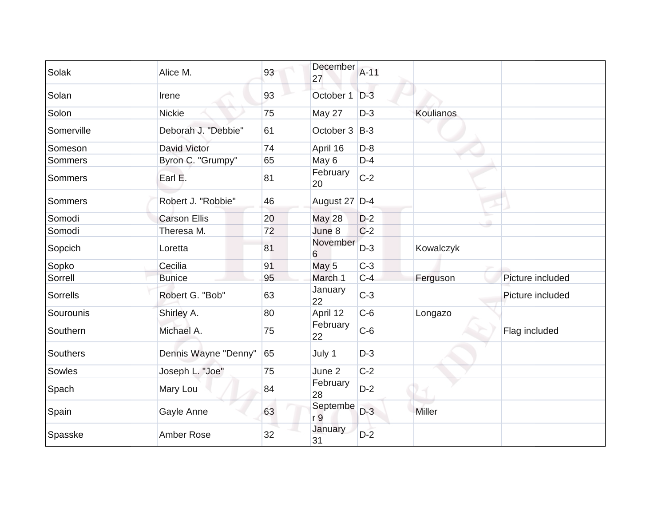| Solak      | Alice M.             | 93 | December<br>27  | $A-11$ |                  |                  |
|------------|----------------------|----|-----------------|--------|------------------|------------------|
| Solan      | Irene                | 93 | October 1 D-3   |        |                  |                  |
| Solon      | <b>Nickie</b>        | 75 | May 27          | $D-3$  | <b>Koulianos</b> |                  |
| Somerville | Deborah J. "Debbie"  | 61 | October 3 B-3   |        |                  |                  |
| Someson    | David Victor         | 74 | April 16        | $D-8$  |                  |                  |
| Sommers    | Byron C. "Grumpy"    | 65 | May 6           | $D-4$  |                  |                  |
| Sommers    | Earl E.              | 81 | February<br>20  | $C-2$  |                  |                  |
| Sommers    | Robert J. "Robbie"   | 46 | August 27 D-4   |        |                  |                  |
| Somodi     | <b>Carson Ellis</b>  | 20 | <b>May 28</b>   | $D-2$  |                  |                  |
| Somodi     | Theresa M.           | 72 | June 8          | $C-2$  |                  |                  |
| Sopcich    | Loretta              | 81 | November<br>6   | $D-3$  | Kowalczyk        |                  |
| Sopko      | Cecilia              | 91 | May 5           | $C-3$  |                  |                  |
| Sorrell    | <b>Bunice</b>        | 95 | March 1         | $C-4$  | Ferguson         | Picture included |
| Sorrells   | Robert G. "Bob"      | 63 | January<br>22   | $C-3$  |                  | Picture included |
| Sourounis  | Shirley A.           | 80 | April 12        | $C-6$  | Longazo          |                  |
| Southern   | Michael A.           | 75 | February<br>22  | $C-6$  |                  | Flag included    |
| Southers   | Dennis Wayne "Denny" | 65 | July 1          | $D-3$  |                  |                  |
| Sowles     | Joseph L. "Joe"      | 75 | June 2          | $C-2$  |                  |                  |
| Spach      | Mary Lou             | 84 | February<br>28  | $D-2$  |                  |                  |
| Spain      | Gayle Anne           | 63 | Septembe<br>r 9 | $D-3$  | Miller           |                  |
| Spasske    | <b>Amber Rose</b>    | 32 | January<br>31   | $D-2$  |                  |                  |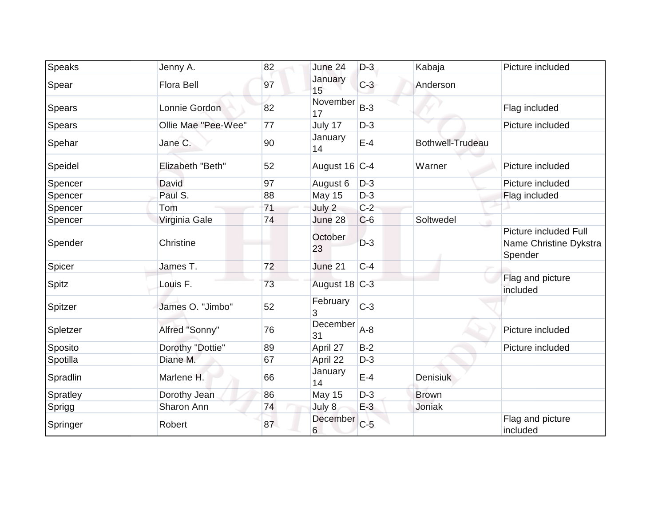| Speaks        | Jenny A.            | 82 | June 24        | $D-3$ | Kabaja           | Picture included                                           |
|---------------|---------------------|----|----------------|-------|------------------|------------------------------------------------------------|
| Spear         | <b>Flora Bell</b>   | 97 | January<br>15  | $C-3$ | Anderson         |                                                            |
| <b>Spears</b> | Lonnie Gordon       | 82 | November<br>17 | $B-3$ |                  | Flag included                                              |
| Spears        | Ollie Mae "Pee-Wee" | 77 | July 17        | $D-3$ |                  | Picture included                                           |
| Spehar        | Jane C.             | 90 | January<br>14  | $E-4$ | Bothwell-Trudeau |                                                            |
| Speidel       | Elizabeth "Beth"    | 52 | August 16 C-4  |       | Warner           | Picture included                                           |
| Spencer       | David               | 97 | August 6       | $D-3$ |                  | Picture included                                           |
| Spencer       | Paul S.             | 88 | <b>May 15</b>  | $D-3$ |                  | Flag included                                              |
| Spencer       | Tom                 | 71 | July 2         | $C-2$ |                  |                                                            |
| Spencer       | Virginia Gale       | 74 | June 28        | $C-6$ | Soltwedel        |                                                            |
| Spender       | Christine           |    | October<br>23  | $D-3$ |                  | Picture included Full<br>Name Christine Dykstra<br>Spender |
| Spicer        | James T.            | 72 | June 21        | $C-4$ |                  |                                                            |
| <b>Spitz</b>  | Louis F.            | 73 | August 18 C-3  |       |                  | Flag and picture<br>included                               |
| Spitzer       | James O. "Jimbo"    | 52 | February<br>3  | $C-3$ |                  |                                                            |
| Spletzer      | Alfred "Sonny"      | 76 | December<br>31 | $A-8$ |                  | Picture included                                           |
| Sposito       | Dorothy "Dottie"    | 89 | April 27       | $B-2$ |                  | Picture included                                           |
| Spotilla      | Diane M.            | 67 | April 22       | $D-3$ |                  |                                                            |
| Spradlin      | Marlene H.          | 66 | January<br>14  | $E-4$ | <b>Denisiuk</b>  |                                                            |
| Spratley      | Dorothy Jean        | 86 | <b>May 15</b>  | $D-3$ | <b>Brown</b>     |                                                            |
| Sprigg        | Sharon Ann          | 74 | July 8         | $E-3$ | Joniak           |                                                            |
| Springer      | Robert              | 87 | December<br>6  | $C-5$ |                  | Flag and picture<br>included                               |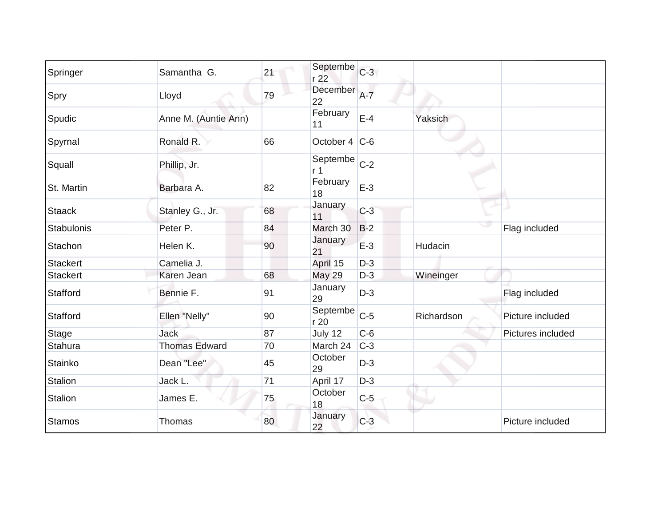| Springer        | Samantha G.          | 21 | Septembe<br>r 22           | $C-3$ |            |                   |
|-----------------|----------------------|----|----------------------------|-------|------------|-------------------|
| Spry            | Lloyd                | 79 | December<br>22             | $A-7$ |            |                   |
| Spudic          | Anne M. (Auntie Ann) |    | February<br>11             | $E-4$ | Yaksich    |                   |
| Spyrnal         | Ronald R.            | 66 | October 4 C-6              |       |            |                   |
| Squall          | Phillip, Jr.         |    | Septembe<br>r <sub>1</sub> | $C-2$ |            |                   |
| St. Martin      | Barbara A.           | 82 | February<br>18             | $E-3$ |            |                   |
| <b>Staack</b>   | Stanley G., Jr.      | 68 | January<br>11              | $C-3$ |            |                   |
| Stabulonis      | Peter P.             | 84 | March 30                   | $B-2$ |            | Flag included     |
| Stachon         | Helen K.             | 90 | January<br>21              | $E-3$ | Hudacin    |                   |
| <b>Stackert</b> | Camelia J.           |    | April 15                   | $D-3$ |            |                   |
| <b>Stackert</b> | Karen Jean           | 68 | <b>May 29</b>              | $D-3$ | Wineinger  |                   |
| Stafford        | Bennie F.            | 91 | January<br>29              | $D-3$ |            | Flag included     |
| Stafford        | Ellen "Nelly"        | 90 | Septembe<br>r 20           | $C-5$ | Richardson | Picture included  |
| <b>Stage</b>    | <b>Jack</b>          | 87 | July 12                    | $C-6$ |            | Pictures included |
| Stahura         | <b>Thomas Edward</b> | 70 | March 24                   | $C-3$ |            |                   |
| Stainko         | Dean "Lee"           | 45 | October<br>29              | $D-3$ |            |                   |
| Stalion         | Jack L.              | 71 | April 17                   | $D-3$ |            |                   |
| Stalion         | James E.             | 75 | October<br>18              | $C-5$ |            |                   |
| <b>Stamos</b>   | <b>Thomas</b>        | 80 | January<br>22              | $C-3$ |            | Picture included  |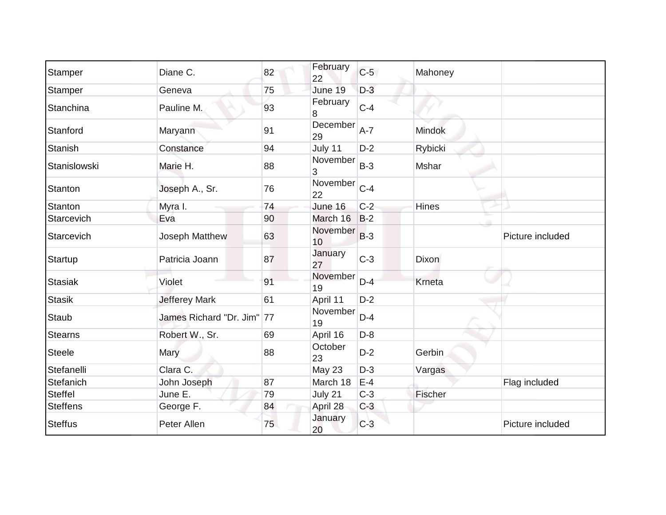| Stamper         | Diane C.                   | 82 | February<br>22 | $C-5$ | Mahoney      |                  |
|-----------------|----------------------------|----|----------------|-------|--------------|------------------|
| Stamper         | Geneva                     | 75 | June 19        | $D-3$ |              |                  |
| Stanchina       | Pauline M.                 | 93 | February<br>8  | $C-4$ |              |                  |
| Stanford        | Maryann                    | 91 | December<br>29 | $A-7$ | Mindok       |                  |
| Stanish         | Constance                  | 94 | July 11        | $D-2$ | Rybicki      |                  |
| Stanislowski    | Marie H.                   | 88 | November<br>3  | $B-3$ | Mshar        |                  |
| Stanton         | Joseph A., Sr.             | 76 | November<br>22 | $C-4$ |              |                  |
| Stanton         | Myra I.                    | 74 | June 16        | $C-2$ | <b>Hines</b> |                  |
| Starcevich      | Eva                        | 90 | March 16       | $B-2$ |              |                  |
| Starcevich      | Joseph Matthew             | 63 | November<br>10 | $B-3$ |              | Picture included |
| Startup         | Patricia Joann             | 87 | January<br>27  | $C-3$ | <b>Dixon</b> |                  |
| Stasiak         | Violet                     | 91 | November<br>19 | $D-4$ | Krneta       |                  |
| <b>Stasik</b>   | <b>Jefferey Mark</b>       | 61 | April 11       | $D-2$ |              |                  |
| Staub           | James Richard "Dr. Jim" 77 |    | November<br>19 | $D-4$ |              |                  |
| <b>Stearns</b>  | Robert W., Sr.             | 69 | April 16       | $D-8$ |              |                  |
| <b>Steele</b>   | Mary                       | 88 | October<br>23  | $D-2$ | Gerbin       |                  |
| Stefanelli      | Clara C.                   |    | May 23         | $D-3$ | Vargas       |                  |
| Stefanich       | John Joseph                | 87 | March 18       | $E-4$ |              | Flag included    |
| <b>Steffel</b>  | June E.                    | 79 | July 21        | $C-3$ | Fischer      |                  |
| <b>Steffens</b> | George F.                  | 84 | April 28       | $C-3$ |              |                  |
| <b>Steffus</b>  | Peter Allen                | 75 | January<br>20  | $C-3$ |              | Picture included |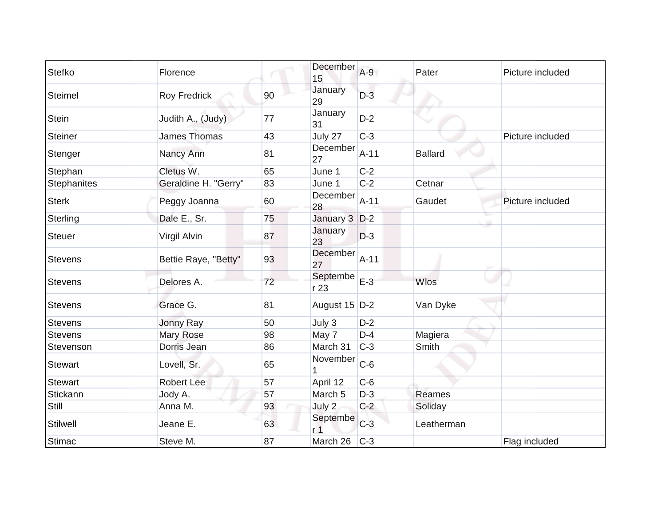| Stefko          | Florence             |    | December<br>15             | $A-9$  | Pater          | Picture included |
|-----------------|----------------------|----|----------------------------|--------|----------------|------------------|
| Steimel         | <b>Roy Fredrick</b>  | 90 | January<br>29              | $D-3$  |                |                  |
| <b>Stein</b>    | Judith A., (Judy)    | 77 | January<br>31              | $D-2$  |                |                  |
| Steiner         | <b>James Thomas</b>  | 43 | July 27                    | $C-3$  |                | Picture included |
| Stenger         | Nancy Ann            | 81 | December<br>27             | $A-11$ | <b>Ballard</b> |                  |
| Stephan         | Cletus W.            | 65 | June 1                     | $C-2$  |                |                  |
| Stephanites     | Geraldine H. "Gerry" | 83 | June 1                     | $C-2$  | Cetnar         |                  |
| <b>Sterk</b>    | Peggy Joanna         | 60 | December<br>28             | $A-11$ | Gaudet         | Picture included |
| Sterling        | Dale E., Sr.         | 75 | January 3 D-2              |        |                |                  |
| <b>Steuer</b>   | Virgil Alvin         | 87 | January<br>23              | $D-3$  |                |                  |
| <b>Stevens</b>  | Bettie Raye, "Betty" | 93 | December<br>27             | $A-11$ |                |                  |
| Stevens         | Delores A.           | 72 | Septembe<br>r 23           | $E-3$  | Wlos           |                  |
| <b>Stevens</b>  | Grace G.             | 81 | August 15 D-2              |        | Van Dyke       |                  |
| <b>Stevens</b>  | Jonny Ray            | 50 | July 3                     | $D-2$  |                |                  |
| <b>Stevens</b>  | <b>Mary Rose</b>     | 98 | May 7                      | $D-4$  | Magiera        |                  |
| Stevenson       | Dorris Jean          | 86 | March 31                   | $C-3$  | Smith          |                  |
| <b>Stewart</b>  | Lovell, Sr.          | 65 | November                   | $C-6$  |                |                  |
| <b>Stewart</b>  | <b>Robert Lee</b>    | 57 | April 12                   | $C-6$  |                |                  |
| Stickann        | Jody A.              | 57 | March <sub>5</sub>         | $D-3$  | Reames         |                  |
| Still           | Anna M.              | 93 | July 2                     | $C-2$  | Soliday        |                  |
| <b>Stilwell</b> | Jeane E.             | 63 | Septembe<br>r <sub>1</sub> | $C-3$  | Leatherman     |                  |
| <b>Stimac</b>   | Steve M.             | 87 | March 26                   | $C-3$  |                | Flag included    |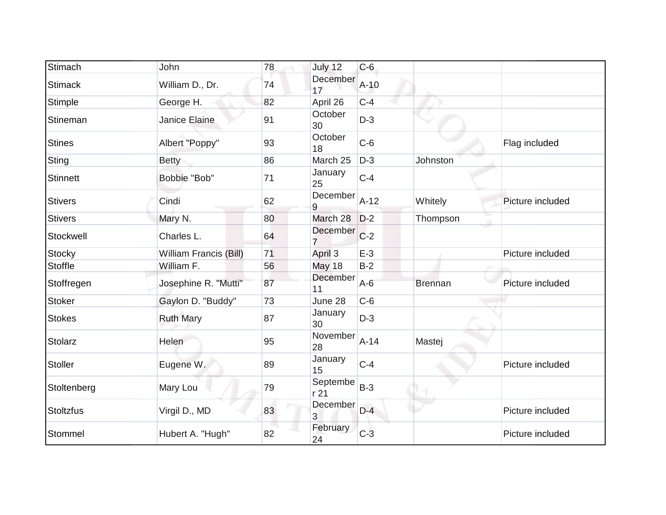| Stimach          | John                   | 78 | July 12                     | $C-6$  |                |                  |
|------------------|------------------------|----|-----------------------------|--------|----------------|------------------|
| <b>Stimack</b>   | William D., Dr.        | 74 | December<br>17              | $A=10$ |                |                  |
| <b>Stimple</b>   | George H.              | 82 | April 26                    | $C-4$  |                |                  |
| Stineman         | Janice Elaine          | 91 | October<br>30               | $D-3$  |                |                  |
| <b>Stines</b>    | Albert "Poppy"         | 93 | October<br>18               | $C-6$  |                | Flag included    |
| Sting            | <b>Betty</b>           | 86 | March 25                    | $D-3$  | Johnston       |                  |
| <b>Stinnett</b>  | Bobbie "Bob"           | 71 | January<br>25               | $C-4$  |                |                  |
| <b>Stivers</b>   | Cindi                  | 62 | December<br>9               | $A-12$ | Whitely        | Picture included |
| <b>Stivers</b>   | Mary N.                | 80 | March 28                    | $D-2$  | Thompson       |                  |
| Stockwell        | Charles L.             | 64 | December                    | $C-2$  |                |                  |
| <b>Stocky</b>    | William Francis (Bill) | 71 | April 3                     | $E-3$  |                | Picture included |
| Stoffle          | William F.             | 56 | <b>May 18</b>               | $B-2$  |                |                  |
| Stoffregen       | Josephine R. "Mutti"   | 87 | December<br>11              | $A-6$  | <b>Brennan</b> | Picture included |
| <b>Stoker</b>    | Gaylon D. "Buddy"      | 73 | June 28                     | $C-6$  |                |                  |
| <b>Stokes</b>    | <b>Ruth Mary</b>       | 87 | January<br>30               | $D-3$  |                |                  |
| Stolarz          | Helen                  | 95 | November<br>28              | $A-14$ | Mastej         |                  |
| <b>Stoller</b>   | Eugene W.              | 89 | January<br>15               | $C-4$  |                | Picture included |
| Stoltenberg      | Mary Lou               | 79 | Septembe<br>r <sub>21</sub> | $B-3$  |                |                  |
| <b>Stoltzfus</b> | Virgil D., MD          | 83 | December<br>3               | $D-4$  |                | Picture included |
| Stommel          | Hubert A. "Hugh"       | 82 | February<br>24              | $C-3$  |                | Picture included |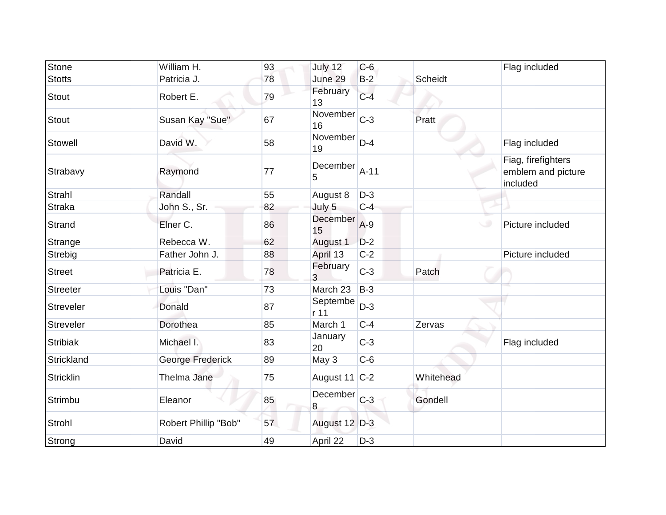| <b>Stone</b>     | William H.           | 93 | July 12           | $C-6$  |                | Flag included                                        |
|------------------|----------------------|----|-------------------|--------|----------------|------------------------------------------------------|
| <b>Stotts</b>    | Patricia J.          | 78 | June 29           | $B-2$  | <b>Scheidt</b> |                                                      |
| <b>Stout</b>     | Robert E.            | 79 | February<br>13    | $C-4$  |                |                                                      |
| <b>Stout</b>     | Susan Kay "Sue"      | 67 | November<br>16    | $C-3$  | Pratt          |                                                      |
| Stowell          | David W.             | 58 | November<br>19    | $D-4$  |                | Flag included                                        |
| Strabavy         | Raymond              | 77 | December<br>5     | $A-11$ |                | Fiag, firefighters<br>emblem and picture<br>included |
| Strahl           | Randall              | 55 | August 8          | $D-3$  |                |                                                      |
| <b>Straka</b>    | John S., Sr.         | 82 | July 5            | $C-4$  |                |                                                      |
| Strand           | Elner C.             | 86 | December<br>15    | $A-9$  |                | Picture included                                     |
| Strange          | Rebecca W.           | 62 | August 1          | $D-2$  |                |                                                      |
| Strebig          | Father John J.       | 88 | April 13          | $C-2$  |                | Picture included                                     |
| Street           | Patricia E.          | 78 | February<br>3     | $C-3$  | Patch          |                                                      |
| <b>Streeter</b>  | Louis "Dan"          | 73 | March 23          | $B-3$  |                |                                                      |
| Streveler        | Donald               | 87 | Septembe<br>r 11  | $D-3$  |                |                                                      |
| <b>Streveler</b> | Dorothea             | 85 | March 1           | $C-4$  | Zervas         |                                                      |
| <b>Stribiak</b>  | Michael I.           | 83 | January<br>20     | $C-3$  |                | Flag included                                        |
| Strickland       | George Frederick     | 89 | May 3             | $C-6$  |                |                                                      |
| Stricklin        | Thelma Jane          | 75 | August 11 $ C-2 $ |        | Whitehead      |                                                      |
| Strimbu          | Eleanor              | 85 | December C-3<br>8 |        | Gondell        |                                                      |
| Strohl           | Robert Phillip "Bob" | 57 | August 12 D-3     |        |                |                                                      |
| Strong           | David                | 49 | April 22          | $D-3$  |                |                                                      |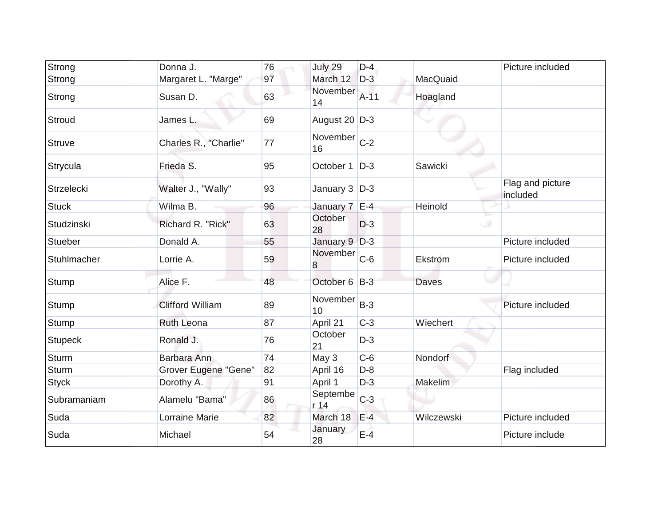| Strong         | Donna J.                | 76 | July 29            | $D-4$  |            | Picture included             |
|----------------|-------------------------|----|--------------------|--------|------------|------------------------------|
| Strong         | Margaret L. "Marge"     | 97 | March 12           | $D-3$  | MacQuaid   |                              |
| Strong         | Susan D.                | 63 | November<br>14     | $A-11$ | Hoagland   |                              |
| Stroud         | James L.                | 69 | August 20 D-3      |        |            |                              |
| <b>Struve</b>  | Charles R., "Charlie"   | 77 | November C-2<br>16 |        |            |                              |
| Strycula       | Frieda S.               | 95 | October 1          | $D-3$  | Sawicki    |                              |
| Strzelecki     | Walter J., "Wally"      | 93 | January 3   D-3    |        |            | Flag and picture<br>included |
| <b>Stuck</b>   | Wilma B.                | 96 | January 7 E-4      |        | Heinold    |                              |
| Studzinski     | Richard R. "Rick"       | 63 | October<br>28      | $D-3$  |            | $\circ$                      |
| <b>Stueber</b> | Donald A.               | 55 | January 9 D-3      |        |            | Picture included             |
| Stuhlmacher    | Lorrie A.               | 59 | November<br>8      | $C-6$  | Ekstrom    | Picture included             |
| Stump          | Alice F.                | 48 | October 6 B-3      |        | Daves      |                              |
| Stump          | <b>Clifford William</b> | 89 | November<br>10     | $B-3$  |            | Picture included             |
| Stump          | <b>Ruth Leona</b>       | 87 | April 21           | $C-3$  | Wiechert   |                              |
| <b>Stupeck</b> | Ronald J.               | 76 | October<br>21      | $D-3$  |            |                              |
| <b>Sturm</b>   | Barbara Ann             | 74 | May 3              | $C-6$  | Nondorf    |                              |
| <b>Sturm</b>   | Grover Eugene "Gene"    | 82 | April 16           | $D-8$  |            | Flag included                |
| <b>Styck</b>   | Dorothy A.              | 91 | April 1            | $D-3$  | Makelim    |                              |
| Subramaniam    | Alamelu "Bama"          | 86 | Septembe<br>r 14   | $C-3$  |            |                              |
| Suda           | Lorraine Marie          | 82 | March 18           | $E-4$  | Wilczewski | Picture included             |
| Suda           | Michael                 | 54 | January<br>28      | $E-4$  |            | Picture include              |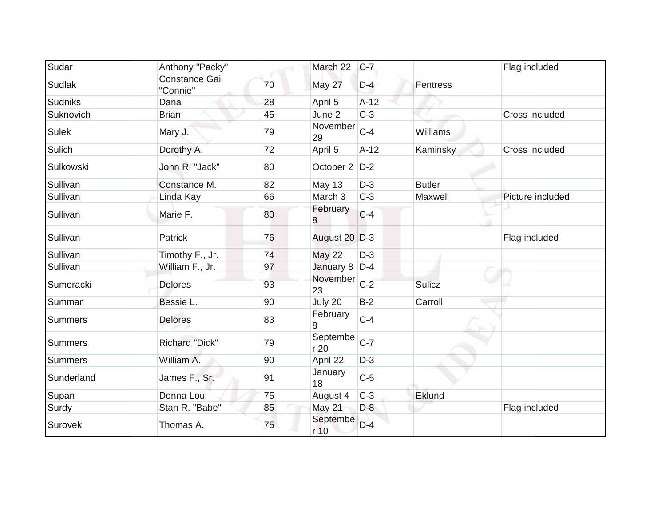| Sudar          | Anthony "Packy"                   |    | March 22         | $C-7$  |               | Flag included    |
|----------------|-----------------------------------|----|------------------|--------|---------------|------------------|
| <b>Sudlak</b>  | <b>Constance Gail</b><br>"Connie" | 70 | May 27           | $D-4$  | Fentress      |                  |
| <b>Sudniks</b> | Dana                              | 28 | April 5          | $A-12$ |               |                  |
| Suknovich      | <b>Brian</b>                      | 45 | June 2           | $C-3$  |               | Cross included   |
| <b>Sulek</b>   | Mary J.                           | 79 | November<br>29   | $C-4$  | Williams      |                  |
| Sulich         | Dorothy A.                        | 72 | April 5          | $A-12$ | Kaminsky      | Cross included   |
| Sulkowski      | John R. "Jack"                    | 80 | October 2   D-2  |        |               |                  |
| Sullivan       | Constance M.                      | 82 | May 13           | $D-3$  | <b>Butler</b> |                  |
| Sullivan       | Linda Kay                         | 66 | March 3          | $C-3$  | Maxwell       | Picture included |
| Sullivan       | Marie F.                          | 80 | February<br>8    | $C-4$  |               |                  |
| Sullivan       | Patrick                           | 76 | August 20 D-3    |        |               | Flag included    |
| Sullivan       | Timothy F., Jr.                   | 74 | <b>May 22</b>    | $D-3$  |               |                  |
| Sullivan       | William F., Jr.                   | 97 | January 8 D-4    |        |               |                  |
| Sumeracki      | <b>Dolores</b>                    | 93 | November<br>23   | $C-2$  | Sulicz        |                  |
| Summar         | Bessie L.                         | 90 | July 20          | $B-2$  | Carroll       |                  |
| <b>Summers</b> | <b>Delores</b>                    | 83 | February<br>8    | $C-4$  |               |                  |
| <b>Summers</b> | <b>Richard "Dick"</b>             | 79 | Septembe<br>r 20 | $C-7$  |               |                  |
| <b>Summers</b> | William A.                        | 90 | April 22         | $D-3$  |               |                  |
| Sunderland     | James F., Sr.                     | 91 | January<br>18    | $C-5$  |               |                  |
| Supan          | Donna Lou                         | 75 | August 4         | $C-3$  | Eklund        |                  |
| Surdy          | Stan R. "Babe"                    | 85 | May 21           | $D-8$  |               | Flag included    |
| Surovek        | Thomas A.                         | 75 | Septembe<br>r 10 | $D-4$  |               |                  |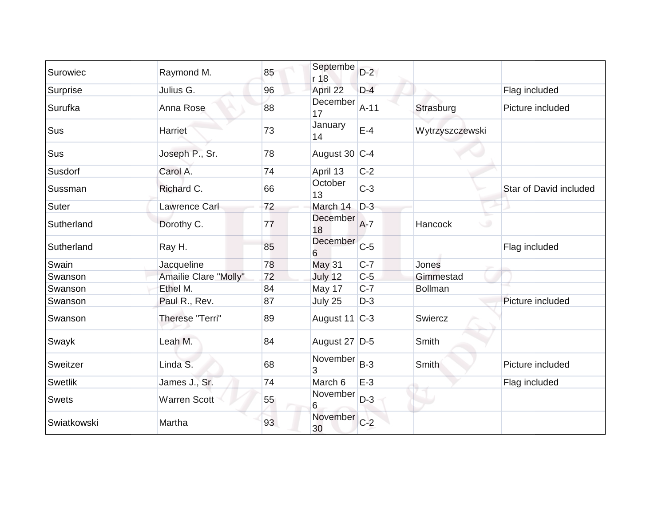| Surowiec       | Raymond M.            | 85 | Septembe<br>r 18   | $D-2$  |                 |                        |
|----------------|-----------------------|----|--------------------|--------|-----------------|------------------------|
| Surprise       | Julius G.             | 96 | April 22           | $D-4$  |                 | Flag included          |
| Surufka        | Anna Rose             | 88 | December<br>17     | $A-11$ | Strasburg       | Picture included       |
| Sus            | <b>Harriet</b>        | 73 | January<br>14      | $E-4$  | Wytrzyszczewski |                        |
| Sus            | Joseph P., Sr.        | 78 | August 30   C-4    |        |                 |                        |
| Susdorf        | Carol A.              | 74 | April 13           | $C-2$  |                 |                        |
| Sussman        | Richard C.            | 66 | October<br>13      | $C-3$  |                 | Star of David included |
| Suter          | Lawrence Carl         | 72 | March 14           | $D-3$  |                 |                        |
| Sutherland     | Dorothy C.            | 77 | December<br>18     | $A-7$  | Hancock<br>w    |                        |
| Sutherland     | Ray H.                | 85 | December<br>6      | $C-5$  |                 | Flag included          |
| Swain          | Jacqueline            | 78 | <b>May 31</b>      | $C-7$  | Jones           |                        |
| Swanson        | Amailie Clare "Molly" | 72 | July 12            | $C-5$  | Gimmestad       |                        |
| Swanson        | Ethel M.              | 84 | May 17             | $C-7$  | <b>Bollman</b>  |                        |
| Swanson        | Paul R., Rev.         | 87 | July 25            | $D-3$  |                 | Picture included       |
| Swanson        | Therese "Terri"       | 89 | August 11 C-3      |        | Swiercz         |                        |
| Swayk          | Leah M.               | 84 | August 27 D-5      |        | Smith           |                        |
| Sweitzer       | Linda S.              | 68 | November<br>3      | $B-3$  | <b>Smith</b>    | Picture included       |
| <b>Swetlik</b> | James J., Sr.         | 74 | March 6            | $E-3$  |                 | Flag included          |
| <b>Swets</b>   | Warren Scott          | 55 | November<br>6      | $D-3$  |                 |                        |
| Swiatkowski    | Martha                | 93 | November C-2<br>30 |        |                 |                        |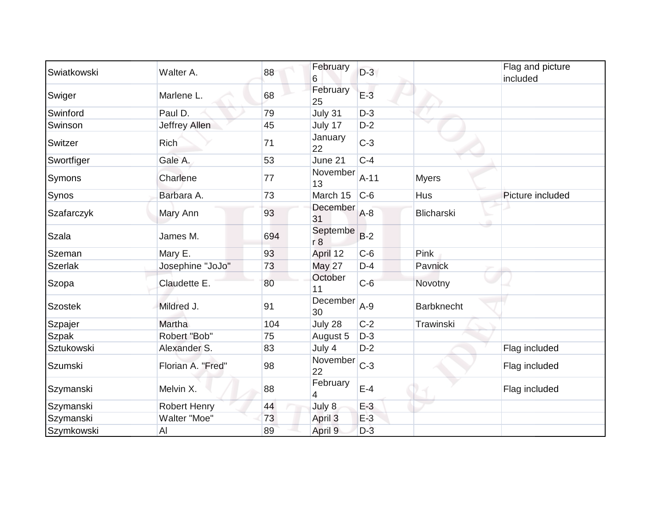| Swiatkowski       | Walter A.           | 88  | February<br>6  | $D-3$  |                   | Flag and picture<br>included |
|-------------------|---------------------|-----|----------------|--------|-------------------|------------------------------|
| Swiger            | Marlene L.          | 68  | February<br>25 | $E-3$  |                   |                              |
| Swinford          | Paul D.             | 79  | July 31        | $D-3$  |                   |                              |
| Swinson           | Jeffrey Allen       | 45  | July 17        | $D-2$  |                   |                              |
| Switzer           | <b>Rich</b>         | 71  | January<br>22  | $C-3$  |                   |                              |
| Swortfiger        | Gale A.             | 53  | June 21        | $C-4$  |                   |                              |
| Symons            | Charlene            | 77  | November<br>13 | $A-11$ | <b>Myers</b>      |                              |
| Synos             | Barbara A.          | 73  | March 15       | $C-6$  | Hus               | Picture included             |
| Szafarczyk        | Mary Ann            | 93  | December<br>31 | $A-8$  | Blicharski        |                              |
| <b>Szala</b>      | James M.            | 694 | Septembe<br>r8 | $B-2$  |                   |                              |
| Szeman            | Mary E.             | 93  | April 12       | $C-6$  | Pink              |                              |
| <b>Szerlak</b>    | Josephine "JoJo"    | 73  | <b>May 27</b>  | $D-4$  | Pavnick           |                              |
| Szopa             | Claudette E.        | 80  | October<br>11  | $C-6$  | Novotny           |                              |
| <b>Szostek</b>    | Mildred J.          | 91  | December<br>30 | $A-9$  | <b>Barbknecht</b> |                              |
| Szpajer           | Martha              | 104 | July 28        | $C-2$  | Trawinski         |                              |
| Szpak             | Robert "Bob"        | 75  | August 5       | $D-3$  |                   |                              |
| <b>Sztukowski</b> | Alexander S.        | 83  | July 4         | $D-2$  |                   | Flag included                |
| Szumski           | Florian A. "Fred"   | 98  | November<br>22 | $C-3$  |                   | Flag included                |
| Szymanski         | Melvin X.           | 88  | February<br>4  | $E-4$  |                   | Flag included                |
| Szymanski         | <b>Robert Henry</b> | 44  | July 8         | $E-3$  |                   |                              |
| Szymanski         | Walter "Moe"        | 73  | April 3        | $E-3$  |                   |                              |
| Szymkowski        | AI                  | 89  | April 9        | $D-3$  |                   |                              |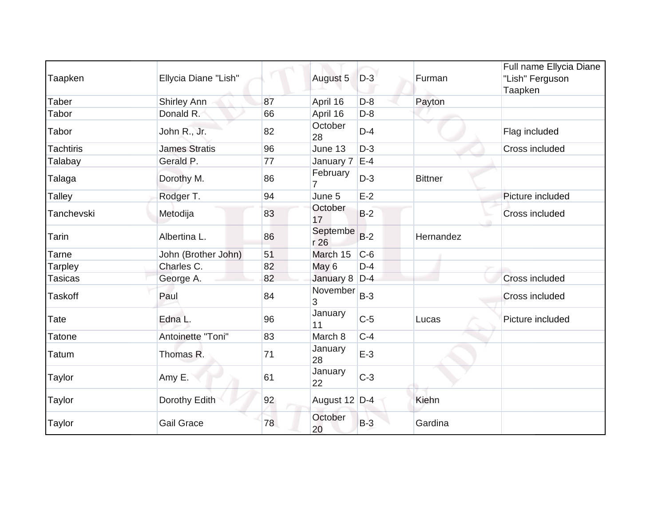| Taapken          | Ellycia Diane "Lish" |    | August 5         | $D-3$ | Furman         | Full name Ellycia Diane<br>"Lish" Ferguson<br>Taapken |
|------------------|----------------------|----|------------------|-------|----------------|-------------------------------------------------------|
| Taber            | Shirley Ann          | 87 | April 16         | $D-8$ | Payton         |                                                       |
| Tabor            | Donald R.            | 66 | April 16         | $D-8$ |                |                                                       |
| Tabor            | John R., Jr.         | 82 | October<br>28    | $D-4$ |                | Flag included                                         |
| <b>Tachtiris</b> | <b>James Stratis</b> | 96 | June 13          | $D-3$ |                | Cross included                                        |
| Talabay          | Gerald P.            | 77 | January 7        | $E-4$ |                |                                                       |
| Talaga           | Dorothy M.           | 86 | February         | $D-3$ | <b>Bittner</b> |                                                       |
| <b>Talley</b>    | Rodger T.            | 94 | June 5           | $E-2$ |                | Picture included                                      |
| Tanchevski       | Metodija             | 83 | October<br>17    | $B-2$ |                | Cross included                                        |
| Tarin            | Albertina L.         | 86 | Septembe<br>r 26 | $B-2$ | Hernandez      |                                                       |
| Tarne            | John (Brother John)  | 51 | March 15         | $C-6$ |                |                                                       |
| Tarpley          | Charles C.           | 82 | May 6            | $D-4$ |                |                                                       |
| <b>Tasicas</b>   | George A.            | 82 | January 8        | $D-4$ |                | <b>Cross included</b>                                 |
| <b>Taskoff</b>   | Paul                 | 84 | November<br>3    | $B-3$ |                | Cross included                                        |
| Tate             | Edna L.              | 96 | January<br>11    | $C-5$ | Lucas          | Picture included                                      |
| <b>Tatone</b>    | Antoinette "Toni"    | 83 | March 8          | $C-4$ |                |                                                       |
| Tatum            | Thomas R.            | 71 | January<br>28    | $E-3$ |                |                                                       |
| Taylor           | Amy E.               | 61 | January<br>22    | $C-3$ |                |                                                       |
| Taylor           | Dorothy Edith        | 92 | August 12 D-4    |       | Kiehn          |                                                       |
| Taylor           | <b>Gail Grace</b>    | 78 | October<br>20    | $B-3$ | Gardina        |                                                       |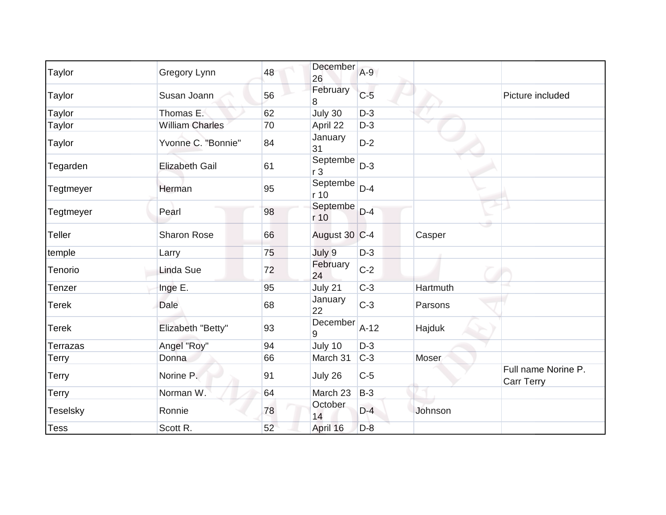| Taylor          | Gregory Lynn           | 48 | December<br>26             | $A-9$  |                                          |
|-----------------|------------------------|----|----------------------------|--------|------------------------------------------|
| Taylor          | Susan Joann            | 56 | February<br>8              | $C-5$  | Picture included                         |
| Taylor          | Thomas E.              | 62 | July 30                    | $D-3$  |                                          |
| Taylor          | <b>William Charles</b> | 70 | April 22                   | $D-3$  |                                          |
| Taylor          | Yvonne C. "Bonnie"     | 84 | January<br>31              | $D-2$  |                                          |
| Tegarden        | <b>Elizabeth Gail</b>  | 61 | Septembe<br>r <sub>3</sub> | $D-3$  |                                          |
| Tegtmeyer       | Herman                 | 95 | Septembe<br>r 10           | $D-4$  |                                          |
| Tegtmeyer       | Pearl                  | 98 | Septembe<br>r 10           | $D-4$  |                                          |
| <b>Teller</b>   | <b>Sharon Rose</b>     | 66 | August 30 C-4              |        | Casper                                   |
| temple          | Larry                  | 75 | July 9                     | $D-3$  |                                          |
| Tenorio         | <b>Linda Sue</b>       | 72 | February<br>24             | $C-2$  |                                          |
| Tenzer          | Inge E.                | 95 | July 21                    | $C-3$  | Hartmuth                                 |
| <b>Terek</b>    | Dale                   | 68 | January<br>22              | $C-3$  | Parsons                                  |
| <b>Terek</b>    | Elizabeth "Betty"      | 93 | December<br>9              | $A-12$ | Hajduk                                   |
| Terrazas        | Angel "Roy"            | 94 | July 10                    | $D-3$  |                                          |
| Terry           | Donna                  | 66 | March 31                   | $C-3$  | Moser                                    |
| Terry           | Norine P.              | 91 | July 26                    | $C-5$  | Full name Norine P.<br><b>Carr Terry</b> |
| Terry           | Norman W.              | 64 | March 23                   | $B-3$  |                                          |
| <b>Teselsky</b> | Ronnie                 | 78 | October<br>14              | $D-4$  | Johnson                                  |
| <b>Tess</b>     | Scott R.               | 52 | April 16                   | $D-8$  |                                          |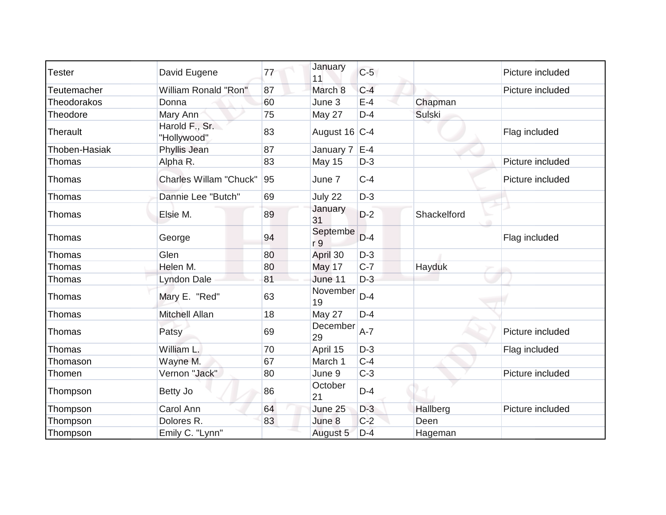| <b>Tester</b>      | David Eugene                  | 77 | January<br>11   | $C-5$ |               | Picture included |
|--------------------|-------------------------------|----|-----------------|-------|---------------|------------------|
| <b>Teutemacher</b> | <b>William Ronald "Ron"</b>   | 87 | March 8         | $C-4$ |               | Picture included |
| Theodorakos        | Donna                         | 60 | June 3          | $E-4$ | Chapman       |                  |
| Theodore           | Mary Ann                      | 75 | May 27          | $D-4$ | <b>Sulski</b> |                  |
| Therault           | Harold F., Sr.<br>"Hollywood" | 83 | August 16 C-4   |       |               | Flag included    |
| Thoben-Hasiak      | Phyllis Jean                  | 87 | January 7       | $E-4$ |               |                  |
| Thomas             | Alpha R.                      | 83 | May 15          | $D-3$ |               | Picture included |
| Thomas             | <b>Charles Willam "Chuck"</b> | 95 | June 7          | $C-4$ |               | Picture included |
| Thomas             | Dannie Lee "Butch"            | 69 | July 22         | $D-3$ |               |                  |
| Thomas             | Elsie M.                      | 89 | January<br>31   | $D-2$ | Shackelford   |                  |
| Thomas             | George                        | 94 | Septembe<br>r 9 | $D-4$ |               | Flag included    |
| Thomas             | Glen                          | 80 | April 30        | $D-3$ |               |                  |
| Thomas             | Helen M.                      | 80 | May 17          | $C-7$ | Hayduk        |                  |
| Thomas             | Lyndon Dale                   | 81 | June 11         | $D-3$ |               |                  |
| Thomas             | Mary E. "Red"                 | 63 | November<br>19  | $D-4$ |               |                  |
| Thomas             | Mitchell Allan                | 18 | May 27          | $D-4$ |               |                  |
| Thomas             | Patsy                         | 69 | December<br>29  | $A-7$ |               | Picture included |
| Thomas             | William L.                    | 70 | April 15        | $D-3$ |               | Flag included    |
| Thomason           | Wayne M.                      | 67 | March 1         | $C-4$ |               |                  |
| Thomen             | Vernon "Jack"                 | 80 | June 9          | $C-3$ |               | Picture included |
| Thompson           | Betty Jo                      | 86 | October<br>21   | $D-4$ |               |                  |
| Thompson           | Carol Ann                     | 64 | June 25         | $D-3$ | Hallberg      | Picture included |
| Thompson           | Dolores R.                    | 83 | June 8          | $C-2$ | Deen          |                  |
| Thompson           | Emily C. "Lynn"               |    | August 5        | $D-4$ | Hageman       |                  |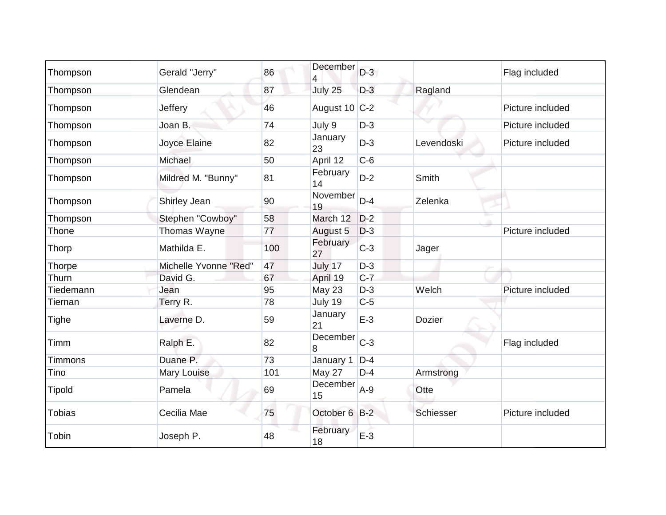| Thompson       | Gerald "Jerry"        | 86  | December<br>4  | $D-3$ |               | Flag included    |
|----------------|-----------------------|-----|----------------|-------|---------------|------------------|
| Thompson       | Glendean              | 87  | July 25        | $D-3$ | Ragland       |                  |
| Thompson       | Jeffery               | 46  | August 10 C-2  |       |               | Picture included |
| Thompson       | Joan B.               | 74  | July 9         | $D-3$ |               | Picture included |
| Thompson       | Joyce Elaine          | 82  | January<br>23  | $D-3$ | Levendoski    | Picture included |
| Thompson       | Michael               | 50  | April 12       | $C-6$ |               |                  |
| Thompson       | Mildred M. "Bunny"    | 81  | February<br>14 | $D-2$ | Smith         |                  |
| Thompson       | Shirley Jean          | 90  | November<br>19 | $D-4$ | Zelenka       |                  |
| Thompson       | Stephen "Cowboy"      | 58  | March 12       | $D-2$ |               |                  |
| Thone          | Thomas Wayne          | 77  | August 5       | $D-3$ |               | Picture included |
| Thorp          | Mathilda E.           | 100 | February<br>27 | $C-3$ | Jager         |                  |
| Thorpe         | Michelle Yvonne "Red" | 47  | July 17        | $D-3$ |               |                  |
| Thurn          | David G.              | 67  | April 19       | $C-7$ |               |                  |
| Tiedemann      | Jean                  | 95  | May 23         | $D-3$ | Welch         | Picture included |
| Tiernan        | Terry R.              | 78  | July 19        | $C-5$ |               |                  |
| Tighe          | Laverne D.            | 59  | January<br>21  | $E-3$ | <b>Dozier</b> |                  |
| Timm           | Ralph E.              | 82  | December<br>8  | $C-3$ |               | Flag included    |
| <b>Timmons</b> | Duane P.              | 73  | January 1      | $D-4$ |               |                  |
| Tino           | <b>Mary Louise</b>    | 101 | May 27         | $D-4$ | Armstrong     |                  |
| <b>Tipold</b>  | Pamela                | 69  | December<br>15 | $A-9$ | Otte          |                  |
| <b>Tobias</b>  | Cecilia Mae           | 75  | October 6 B-2  |       | Schiesser     | Picture included |
| Tobin          | Joseph P.             | 48  | February<br>18 | $E-3$ |               |                  |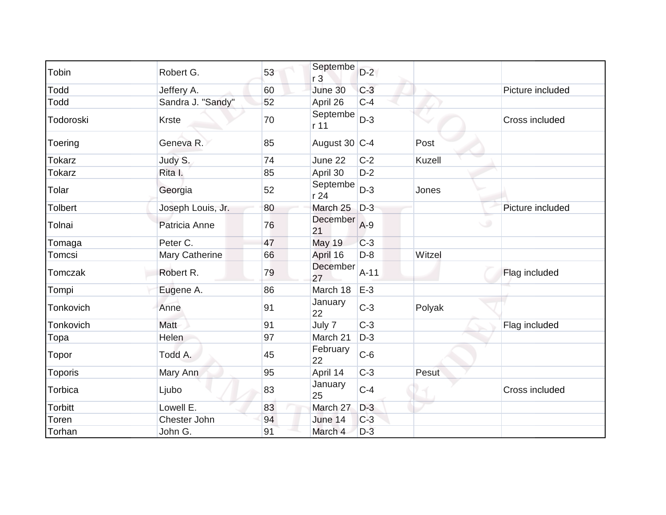| Tobin          | Robert G.         | 53 | Septembe<br>r <sub>3</sub> | $D-2$  |        |                  |
|----------------|-------------------|----|----------------------------|--------|--------|------------------|
| Todd           | Jeffery A.        | 60 | June 30                    | $C-3$  |        | Picture included |
| Todd           | Sandra J. "Sandy" | 52 | April 26                   | $C-4$  |        |                  |
| Todoroski      | <b>Krste</b>      | 70 | Septembe<br>r 11           | $D-3$  |        | Cross included   |
| Toering        | Geneva R.         | 85 | August 30 C-4              |        | Post   |                  |
| <b>Tokarz</b>  | Judy S.           | 74 | June 22                    | $C-2$  | Kuzell |                  |
| <b>Tokarz</b>  | Rita I.           | 85 | April 30                   | $D-2$  |        |                  |
| Tolar          | Georgia           | 52 | Septembe<br>r 24           | $D-3$  | Jones  |                  |
| <b>Tolbert</b> | Joseph Louis, Jr. | 80 | March 25                   | $D-3$  |        | Picture included |
| Tolnai         | Patricia Anne     | 76 | December<br>21             | $A-9$  |        | $\cup$           |
| Tomaga         | Peter C.          | 47 | <b>May 19</b>              | $C-3$  |        |                  |
| Tomcsi         | Mary Catherine    | 66 | April 16                   | $D-8$  | Witzel |                  |
| Tomczak        | Robert R.         | 79 | December<br>27             | $A-11$ |        | Flag included    |
| Tompi          | Eugene A.         | 86 | March 18                   | $E-3$  |        |                  |
| Tonkovich      | Anne              | 91 | January<br>22              | $C-3$  | Polyak |                  |
| Tonkovich      | Matt              | 91 | July 7                     | $C-3$  |        | Flag included    |
| Topa           | Helen             | 97 | March 21                   | $D-3$  |        |                  |
| Topor          | Todd A.           | 45 | February<br>22             | $C-6$  |        |                  |
| Toporis        | Mary Ann          | 95 | April 14                   | $C-3$  | Pesut  |                  |
| Torbica        | Ljubo             | 83 | January<br>25              | $C-4$  |        | Cross included   |
| <b>Torbitt</b> | Lowell E.         | 83 | March 27                   | $D-3$  |        |                  |
| Toren          | Chester John      | 94 | June 14                    | $C-3$  |        |                  |
| Torhan         | John G.           | 91 | March 4                    | $D-3$  |        |                  |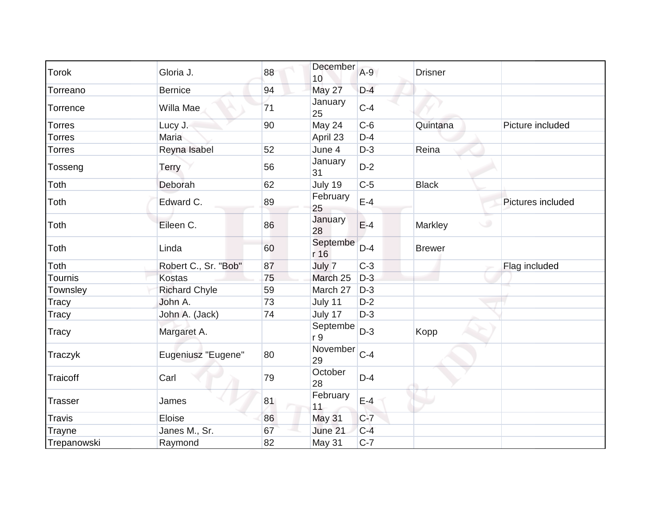| <b>Torok</b>   | Gloria J.            | 88 | December<br>10   | $A-9$ | <b>Drisner</b>    |                   |
|----------------|----------------------|----|------------------|-------|-------------------|-------------------|
| Torreano       | <b>Bernice</b>       | 94 | May 27           | $D-4$ |                   |                   |
| Torrence       | Willa Mae            | 71 | January<br>25    | $C-4$ |                   |                   |
| <b>Torres</b>  | Lucy J.              | 90 | May 24           | $C-6$ | Quintana          | Picture included  |
| <b>Torres</b>  | <b>Maria</b>         |    | April 23         | $D-4$ |                   |                   |
| <b>Torres</b>  | Reyna Isabel         | 52 | June 4           | $D-3$ | Reina             |                   |
| Tosseng        | <b>Terry</b>         | 56 | January<br>31    | $D-2$ |                   |                   |
| Toth           | Deborah              | 62 | July 19          | $C-5$ | <b>Black</b>      |                   |
| Toth           | Edward C.            | 89 | February<br>25   | $E-4$ |                   | Pictures included |
| Toth           | Eileen C.            | 86 | January<br>28    | $E-4$ | $\cup$<br>Markley |                   |
| Toth           | Linda                | 60 | Septembe<br>r 16 | $D-4$ | <b>Brewer</b>     |                   |
| Toth           | Robert C., Sr. "Bob" | 87 | July 7           | $C-3$ |                   | Flag included     |
| Tournis        | <b>Kostas</b>        | 75 | March 25         | $D-3$ |                   |                   |
| Townsley       | <b>Richard Chyle</b> | 59 | March 27         | $D-3$ |                   |                   |
| <b>Tracy</b>   | John A.              | 73 | July 11          | $D-2$ |                   |                   |
| <b>Tracy</b>   | John A. (Jack)       | 74 | July 17          | $D-3$ |                   |                   |
| <b>Tracy</b>   | Margaret A.          |    | Septembe<br>r 9  | $D-3$ | Kopp              |                   |
| Traczyk        | Eugeniusz "Eugene"   | 80 | November<br>29   | $C-4$ |                   |                   |
| Traicoff       | Carl                 | 79 | October<br>28    | $D-4$ |                   |                   |
| <b>Trasser</b> | James                | 81 | February<br>11   | $E-4$ |                   |                   |
| <b>Travis</b>  | Eloise               | 86 | May 31           | $C-7$ |                   |                   |
| Trayne         | Janes M., Sr.        | 67 | June 21          | $C-4$ |                   |                   |
| Trepanowski    | Raymond              | 82 | May 31           | $C-7$ |                   |                   |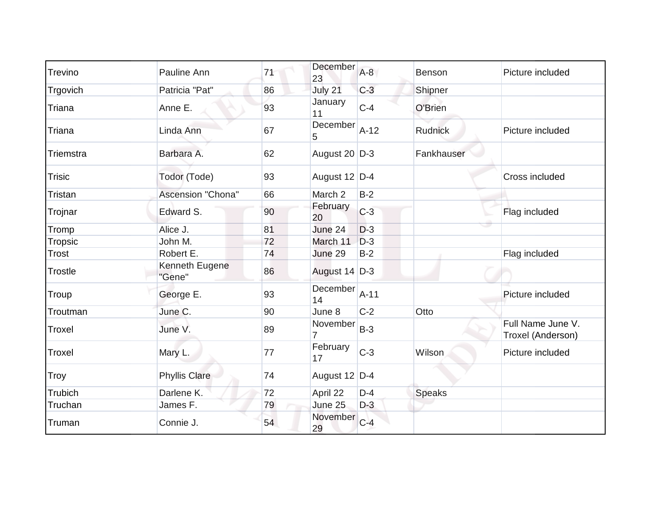| Trevino        | Pauline Ann              | 71 | December<br>23 | $A-8$  | Benson         | Picture included                       |
|----------------|--------------------------|----|----------------|--------|----------------|----------------------------------------|
| Trgovich       | Patricia "Pat"           | 86 | July 21        | $C-3$  | Shipner        |                                        |
| Triana         | Anne E.                  | 93 | January<br>11  | $C-4$  | O'Brien        |                                        |
| Triana         | Linda Ann                | 67 | December<br>5  | $A-12$ | <b>Rudnick</b> | Picture included                       |
| Triemstra      | Barbara A.               | 62 | August 20 D-3  |        | Fankhauser     |                                        |
| <b>Trisic</b>  | Todor (Tode)             | 93 | August 12 D-4  |        |                | Cross included                         |
| <b>Tristan</b> | Ascension "Chona"        | 66 | March 2        | $B-2$  |                |                                        |
| Trojnar        | Edward S.                | 90 | February<br>20 | $C-3$  |                | Flag included                          |
| Tromp          | Alice J.                 | 81 | June 24        | $D-3$  |                |                                        |
| Tropsic        | John M.                  | 72 | March 11       | $D-3$  |                |                                        |
| <b>Trost</b>   | Robert E.                | 74 | June 29        | $B-2$  |                | Flag included                          |
| <b>Trostle</b> | Kenneth Eugene<br>"Gene" | 86 | August 14 D-3  |        |                |                                        |
| Troup          | George E.                | 93 | December<br>14 | $A-11$ |                | Picture included                       |
| Troutman       | June C.                  | 90 | June 8         | $C-2$  | Otto           |                                        |
| Troxel         | June V.                  | 89 | November<br>7  | $B-3$  |                | Full Name June V.<br>Troxel (Anderson) |
| Troxel         | Mary L.                  | 77 | February<br>17 | $C-3$  | Wilson         | Picture included                       |
| <b>Troy</b>    | <b>Phyllis Clare</b>     | 74 | August 12 D-4  |        |                |                                        |
| Trubich        | Darlene K.               | 72 | April 22       | $D-4$  | <b>Speaks</b>  |                                        |
| Truchan        | James F.                 | 79 | June 25        | $D-3$  |                |                                        |
| Truman         | Connie J.                | 54 | November<br>29 | $C-4$  |                |                                        |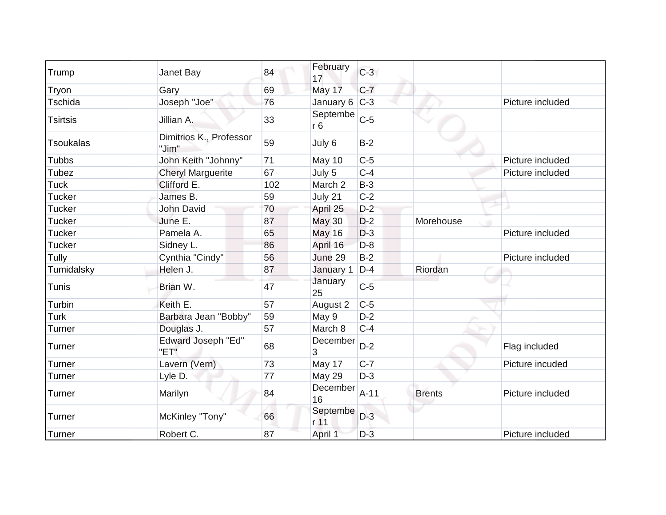| Trump            | Janet Bay                         | 84  | February<br>17              | $C-3$  |               |                  |
|------------------|-----------------------------------|-----|-----------------------------|--------|---------------|------------------|
| Tryon            | Gary                              | 69  | May 17                      | $C-7$  |               |                  |
| Tschida          | Joseph "Joe"                      | 76  | January 6 C-3               |        |               | Picture included |
| <b>Tsirtsis</b>  | Jillian A.                        | 33  | Septembe<br>r <sub>6</sub>  | $C-5$  |               |                  |
| <b>Tsoukalas</b> | Dimitrios K., Professor<br>"Jim"  | 59  | July 6                      | $B-2$  |               |                  |
| <b>Tubbs</b>     | John Keith "Johnny"               | 71  | May 10                      | $C-5$  |               | Picture included |
| Tubez            | <b>Cheryl Marguerite</b>          | 67  | July 5                      | $C-4$  |               | Picture included |
| <b>Tuck</b>      | Clifford E.                       | 102 | March 2                     | $B-3$  |               |                  |
| <b>Tucker</b>    | James B.                          | 59  | July 21                     | $C-2$  |               |                  |
| <b>Tucker</b>    | John David                        | 70  | April 25                    | $D-2$  |               |                  |
| <b>Tucker</b>    | June E.                           | 87  | <b>May 30</b>               | $D-2$  | Morehouse     |                  |
| <b>Tucker</b>    | Pamela A.                         | 65  | May 16                      | $D-3$  |               | Picture included |
| <b>Tucker</b>    | Sidney L.                         | 86  | April 16                    | $D-8$  |               |                  |
| Tully            | Cynthia "Cindy"                   | 56  | June 29                     | $B-2$  |               | Picture included |
| Tumidalsky       | Helen J.                          | 87  | January 1                   | $D-4$  | Riordan       |                  |
| <b>Tunis</b>     | Brian W.                          | 47  | January<br>25               | $C-5$  |               |                  |
| Turbin           | Keith E.                          | 57  | August 2                    | $C-5$  |               |                  |
| <b>Turk</b>      | Barbara Jean "Bobby"              | 59  | May 9                       | $D-2$  |               |                  |
| <b>Turner</b>    | Douglas J.                        | 57  | March 8                     | $C-4$  |               |                  |
| Turner           | <b>Edward Joseph "Ed"</b><br>"ET" | 68  | December<br>3               | $D-2$  |               | Flag included    |
| <b>Turner</b>    | Lavern (Vern)                     | 73  | May 17                      | $C-7$  |               | Picture incuded  |
| Turner           | Lyle D.                           | 77  | May 29                      | $D-3$  |               |                  |
| Turner           | Marilyn                           | 84  | December<br>16              | $A-11$ | <b>Brents</b> | Picture included |
| Turner           | McKinley "Tony"                   | 66  | Septembe<br>r <sub>11</sub> | $D-3$  |               |                  |
| Turner           | Robert C.                         | 87  | April 1                     | $D-3$  |               | Picture included |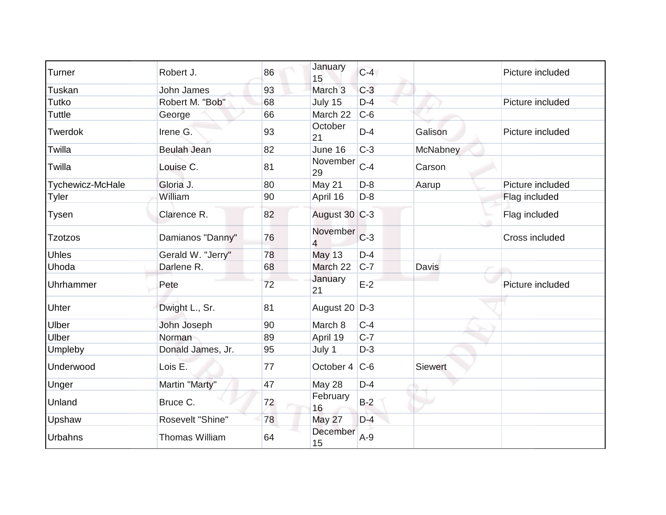| Turner           | Robert J.             | 86 | January<br>15              | $C-4$ |          | Picture included |
|------------------|-----------------------|----|----------------------------|-------|----------|------------------|
| Tuskan           | <b>John James</b>     | 93 | March <sub>3</sub>         | $C-3$ |          |                  |
| Tutko            | Robert M. "Bob"       | 68 | July 15                    | $D-4$ |          | Picture included |
| <b>Tuttle</b>    | George                | 66 | March 22                   | $C-6$ |          |                  |
| Twerdok          | Irene G.              | 93 | October<br>21              | $D-4$ | Galison  | Picture included |
| Twilla           | <b>Beulah Jean</b>    | 82 | June 16                    | $C-3$ | McNabney |                  |
| Twilla           | Louise C.             | 81 | November<br>29             | $C-4$ | Carson   |                  |
| Tychewicz-McHale | Gloria J.             | 80 | May 21                     | $D-8$ | Aarup    | Picture included |
| <b>Tyler</b>     | William               | 90 | April 16                   | $D-8$ |          | Flag included    |
| Tysen            | Clarence R.           | 82 | August 30 C-3              |       |          | Flag included    |
| <b>Tzotzos</b>   | Damianos "Danny"      | 76 | November<br>$\overline{4}$ | $C-3$ |          | Cross included   |
| <b>Uhles</b>     | Gerald W. "Jerry"     | 78 | <b>May 13</b>              | $D-4$ |          |                  |
| Uhoda            | Darlene R.            | 68 | March 22                   | $C-7$ | Davis    |                  |
| Uhrhammer        | Pete                  | 72 | January<br>21              | $E-2$ |          | Picture included |
| Uhter            | Dwight L., Sr.        | 81 | August 20 D-3              |       |          |                  |
| Ulber            | John Joseph           | 90 | March 8                    | $C-4$ |          |                  |
| <b>Ulber</b>     | Norman                | 89 | April 19                   | $C-7$ |          |                  |
| Umpleby          | Donald James, Jr.     | 95 | July 1                     | $D-3$ |          |                  |
| Underwood        | Lois E.               | 77 | October 4 C-6              |       | Siewert  |                  |
| Unger            | Martin "Marty"        | 47 | May 28                     | $D-4$ |          |                  |
| Unland           | Bruce C.              | 72 | February<br>16             | $B-2$ |          |                  |
| Upshaw           | Rosevelt "Shine"      | 78 | May 27                     | $D-4$ |          |                  |
| Urbahns          | <b>Thomas William</b> | 64 | December<br>15             | $A-9$ |          |                  |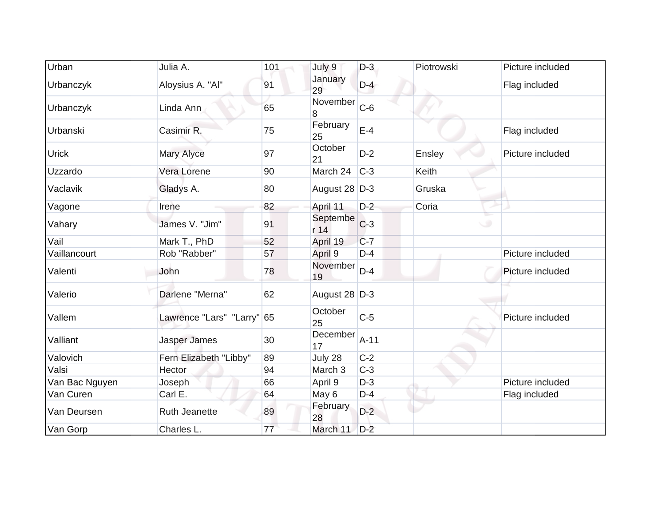| Urban          | Julia A.                   | 101 | July 9           | $D-3$  | Piotrowski | Picture included |
|----------------|----------------------------|-----|------------------|--------|------------|------------------|
| Urbanczyk      | Aloysius A. "Al"           | 91  | January<br>29    | $D-4$  |            | Flag included    |
| Urbanczyk      | Linda Ann                  | 65  | November<br>8    | $C-6$  |            |                  |
| Urbanski       | Casimir R.                 | 75  | February<br>25   | $E-4$  |            | Flag included    |
| <b>Urick</b>   | Mary Alyce                 | 97  | October<br>21    | $D-2$  | Ensley     | Picture included |
| Uzzardo        | Vera Lorene                | 90  | March 24         | $C-3$  | Keith      |                  |
| Vaclavik       | Gladys A.                  | 80  | August 28 D-3    |        | Gruska     |                  |
| Vagone         | Irene                      | 82  | April 11         | $D-2$  | Coria      |                  |
| Vahary         | James V. "Jim"             | 91  | Septembe<br>r 14 | $C-3$  | C.         |                  |
| Vail           | Mark T., PhD               | 52  | April 19         | $C-7$  |            |                  |
| Vaillancourt   | Rob "Rabber"               | 57  | April 9          | $D-4$  |            | Picture included |
| Valenti        | John                       | 78  | November<br>19   | $D-4$  |            | Picture included |
| Valerio        | Darlene "Merna"            | 62  | August 28 D-3    |        |            |                  |
| Vallem         | Lawrence "Lars" "Larry" 65 |     | October<br>25    | $C-5$  |            | Picture included |
| Valliant       | Jasper James               | 30  | December<br>17   | $A-11$ |            |                  |
| Valovich       | Fern Elizabeth "Libby"     | 89  | July 28          | $C-2$  |            |                  |
| Valsi          | Hector                     | 94  | March 3          | $C-3$  |            |                  |
| Van Bac Nguyen | Joseph                     | 66  | April 9          | $D-3$  |            | Picture included |
| Van Curen      | Carl E.                    | 64  | May 6            | $D-4$  |            | Flag included    |
| Van Deursen    | <b>Ruth Jeanette</b>       | 89  | February<br>28   | $D-2$  |            |                  |
| Van Gorp       | Charles L.                 | 77  | March 11         | $D-2$  |            |                  |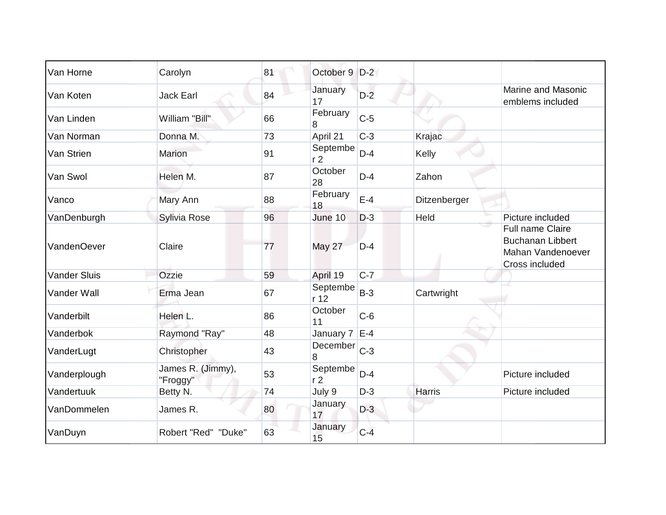| Van Horne           | Carolyn                       | 81 | October 9                  | $D-2$ |               |                                                                                           |
|---------------------|-------------------------------|----|----------------------------|-------|---------------|-------------------------------------------------------------------------------------------|
| Van Koten           | <b>Jack Earl</b>              | 84 | January<br>17              | $D-2$ |               | <b>Marine and Masonic</b><br>emblems included                                             |
| Van Linden          | William "Bill"                | 66 | February<br>8              | $C-5$ |               |                                                                                           |
| Van Norman          | Donna M.                      | 73 | April 21                   | $C-3$ | Krajac        |                                                                                           |
| Van Strien          | <b>Marion</b>                 | 91 | Septembe<br>r <sub>2</sub> | $D-4$ | Kelly         |                                                                                           |
| Van Swol            | Helen M.                      | 87 | October<br>28              | $D-4$ | Zahon         |                                                                                           |
| Vanco               | Mary Ann                      | 88 | February<br>18             | $E-4$ | Ditzenberger  |                                                                                           |
| VanDenburgh         | Sylivia Rose                  | 96 | June 10                    | $D-3$ | Held          | Picture included                                                                          |
| <b>VandenOever</b>  | Claire                        | 77 | <b>May 27</b>              | $D-4$ |               | <b>Full name Claire</b><br><b>Buchanan Libbert</b><br>Mahan Vandenoever<br>Cross included |
| <b>Vander Sluis</b> | Ozzie                         | 59 | April 19                   | $C-7$ |               |                                                                                           |
| Vander Wall         | Erma Jean                     | 67 | Septembe<br>r 12           | $B-3$ | Cartwright    |                                                                                           |
| Vanderbilt          | Helen L.                      | 86 | October<br>11              | $C-6$ |               |                                                                                           |
| Vanderbok           | Raymond "Ray"                 | 48 | January $7$ E-4            |       |               |                                                                                           |
| VanderLugt          | Christopher                   | 43 | December<br>8              | $C-3$ |               |                                                                                           |
| Vanderplough        | James R. (Jimmy),<br>"Froggy" | 53 | Septembe<br>r <sub>2</sub> | $D-4$ |               | Picture included                                                                          |
| Vandertuuk          | Betty N.                      | 74 | July 9                     | $D-3$ | <b>Harris</b> | Picture included                                                                          |
| VanDommelen         | James R.                      | 80 | January<br>17              | $D-3$ |               |                                                                                           |
| VanDuyn             | Robert "Red" "Duke"           | 63 | January<br>15              | $C-4$ |               |                                                                                           |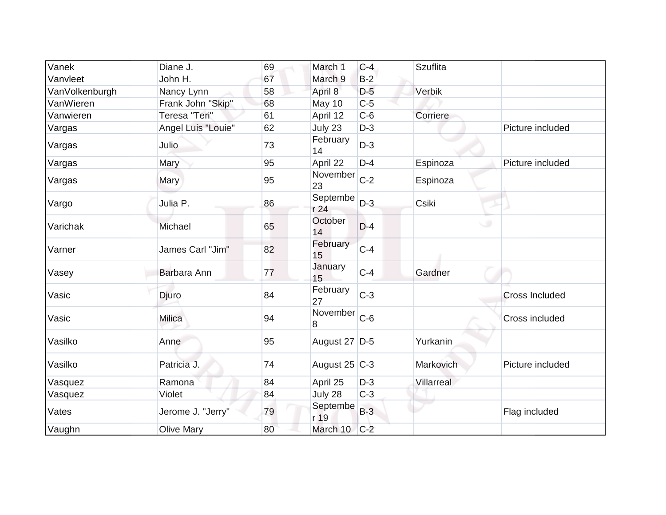| Vanek          | Diane J.           | 69 | March 1            | $C-4$ | <b>Szuflita</b> |                       |
|----------------|--------------------|----|--------------------|-------|-----------------|-----------------------|
| Vanvleet       | John H.            | 67 | March <sub>9</sub> | $B-2$ |                 |                       |
| VanVolkenburgh | Nancy Lynn         | 58 | April 8            | $D-5$ | Verbik          |                       |
| VanWieren      | Frank John "Skip"  | 68 | May 10             | $C-5$ |                 |                       |
| Vanwieren      | Teresa "Teri"      | 61 | April 12           | $C-6$ | Corriere        |                       |
| Vargas         | Angel Luis "Louie" | 62 | July 23            | $D-3$ |                 | Picture included      |
| Vargas         | Julio              | 73 | February<br>14     | $D-3$ |                 |                       |
| Vargas         | Mary               | 95 | April 22           | $D-4$ | Espinoza        | Picture included      |
| Vargas         | Mary               | 95 | November<br>23     | $C-2$ | Espinoza        |                       |
| Vargo          | Julia P.           | 86 | Septembe<br>r 24   | $D-3$ | Csiki           |                       |
| Varichak       | Michael            | 65 | October<br>14      | $D-4$ |                 | ی                     |
| Varner         | James Carl "Jim"   | 82 | February<br>15     | $C-4$ |                 |                       |
| Vasey          | Barbara Ann        | 77 | January<br>15      | $C-4$ | Gardner         |                       |
| Vasic          | Djuro              | 84 | February<br>27     | $C-3$ |                 | <b>Cross Included</b> |
| Vasic          | <b>Milica</b>      | 94 | November<br>8      | $C-6$ |                 | Cross included        |
| Vasilko        | Anne               | 95 | August 27 D-5      |       | Yurkanin        |                       |
| Vasilko        | Patricia J.        | 74 | August 25 $ C-3 $  |       | Markovich       | Picture included      |
| Vasquez        | Ramona             | 84 | April 25           | $D-3$ | Villarreal      |                       |
| Vasquez        | Violet             | 84 | July 28            | $C-3$ |                 |                       |
| Vates          | Jerome J. "Jerry"  | 79 | Septembe<br>r 19   | $B-3$ |                 | Flag included         |
| Vaughn         | <b>Olive Mary</b>  | 80 | March 10           | $C-2$ |                 |                       |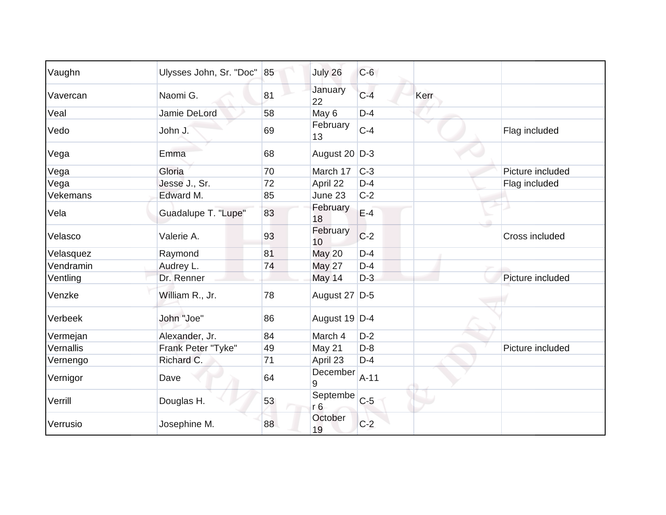| Vaughn    | Ulysses John, Sr. "Doc" | 85 | July 26        | $C-6$  |      |                  |
|-----------|-------------------------|----|----------------|--------|------|------------------|
| Vavercan  | Naomi G.                | 81 | January<br>22  | $C-4$  | Kerr |                  |
| Veal      | Jamie DeLord            | 58 | May 6          | $D-4$  |      |                  |
| Vedo      | John J.                 | 69 | February<br>13 | $C-4$  |      | Flag included    |
| Vega      | Emma                    | 68 | August 20 D-3  |        |      |                  |
| Vega      | Gloria                  | 70 | March 17       | $C-3$  |      | Picture included |
| Vega      | Jesse J., Sr.           | 72 | April 22       | $D-4$  |      | Flag included    |
| Vekemans  | Edward M.               | 85 | June 23        | $C-2$  |      |                  |
| Vela      | Guadalupe T. "Lupe"     | 83 | February<br>18 | $E-4$  |      |                  |
| Velasco   | Valerie A.              | 93 | February<br>10 | $C-2$  |      | Cross included   |
| Velasquez | Raymond                 | 81 | <b>May 20</b>  | $D-4$  |      |                  |
| Vendramin | Audrey L.               | 74 | <b>May 27</b>  | $D-4$  |      |                  |
| Ventling  | Dr. Renner              |    | May 14         | $D-3$  |      | Picture included |
| Venzke    | William R., Jr.         | 78 | August 27 D-5  |        |      |                  |
| Verbeek   | John "Joe"              | 86 | August 19 D-4  |        |      |                  |
| Vermejan  | Alexander, Jr.          | 84 | March 4        | $D-2$  |      |                  |
| Vernallis | Frank Peter "Tyke"      | 49 | <b>May 21</b>  | $D-8$  |      | Picture included |
| Vernengo  | Richard C.              | 71 | April 23       | $D-4$  |      |                  |
| Vernigor  | Dave                    | 64 | December<br>9  | $A-11$ |      |                  |
| Verrill   | Douglas H.              | 53 | Septembe<br>r6 | $C-5$  |      |                  |
| Verrusio  | Josephine M.            | 88 | October<br>19  | $C-2$  |      |                  |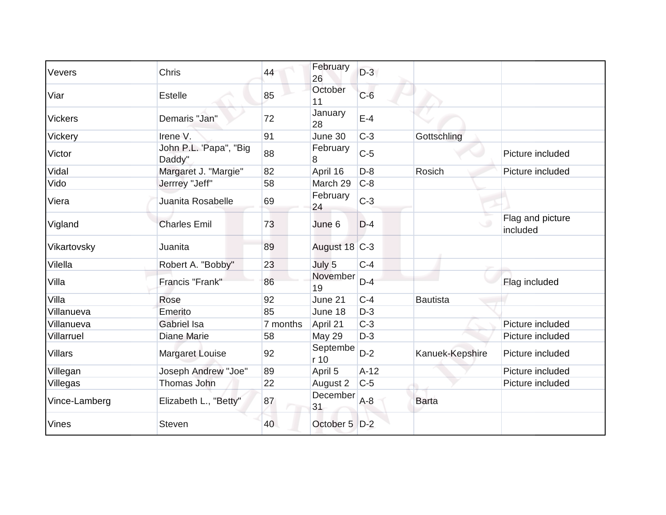| Vevers         | <b>Chris</b>                     | 44       | February<br>26   | $D-3$  |                 |                              |
|----------------|----------------------------------|----------|------------------|--------|-----------------|------------------------------|
| Viar           | <b>Estelle</b>                   | 85       | October<br>11    | $C-6$  |                 |                              |
| <b>Vickers</b> | Demaris "Jan"                    | 72       | January<br>28    | $E-4$  |                 |                              |
| Vickery        | Irene V.                         | 91       | June 30          | $C-3$  | Gottschling     |                              |
| Victor         | John P.L. 'Papa", "Big<br>Daddy" | 88       | February<br>8    | $C-5$  |                 | Picture included             |
| Vidal          | Margaret J. "Margie"             | 82       | April 16         | $D-8$  | Rosich          | Picture included             |
| Vido           | Jerrrey "Jeff"                   | 58       | March 29         | $C-8$  |                 |                              |
| Viera          | Juanita Rosabelle                | 69       | February<br>24   | $C-3$  |                 |                              |
| Vigland        | <b>Charles Emil</b>              | 73       | June 6           | $D-4$  |                 | Flag and picture<br>included |
| Vikartovsky    | Juanita                          | 89       | August 18 C-3    |        |                 |                              |
| Vilella        | Robert A. "Bobby"                | 23       | July 5           | $C-4$  |                 |                              |
| Villa          | Francis "Frank"                  | 86       | November<br>19   | $D-4$  |                 | Flag included                |
| Villa          | Rose                             | 92       | June 21          | $C-4$  | <b>Bautista</b> |                              |
| Villanueva     | Emerito                          | 85       | June 18          | $D-3$  |                 |                              |
| Villanueva     | <b>Gabriel Isa</b>               | 7 months | April 21         | $C-3$  |                 | Picture included             |
| Villarruel     | Diane Marie                      | 58       | <b>May 29</b>    | $D-3$  |                 | Picture included             |
| <b>Villars</b> | <b>Margaret Louise</b>           | 92       | Septembe<br>r 10 | $D-2$  | Kanuek-Kepshire | Picture included             |
| Villegan       | Joseph Andrew "Joe"              | 89       | April 5          | $A-12$ |                 | Picture included             |
| Villegas       | Thomas John                      | 22       | August 2         | $C-5$  |                 | Picture included             |
| Vince-Lamberg  | Elizabeth L., "Betty"            | 87       | December<br>31   | $A-8$  | <b>Barta</b>    |                              |
| <b>Vines</b>   | <b>Steven</b>                    | 40       | October 5 D-2    |        |                 |                              |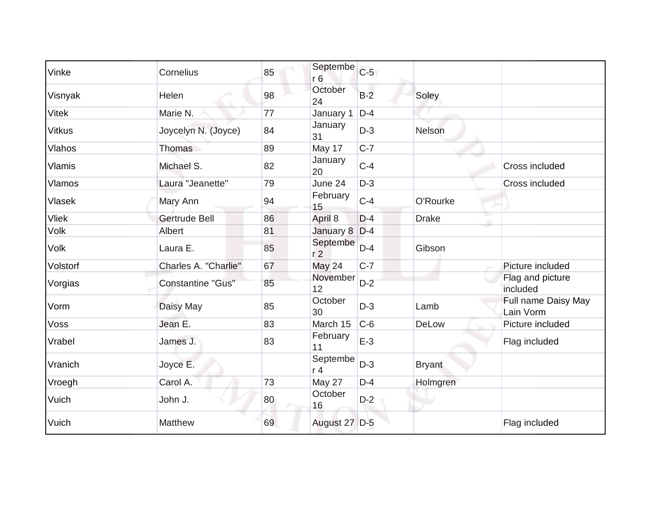| Vinke         | Cornelius                | 85 | Septembe<br>r6             | $C-5$ |               |                                  |
|---------------|--------------------------|----|----------------------------|-------|---------------|----------------------------------|
| Visnyak       | Helen                    | 98 | October<br>24              | $B-2$ | Soley         |                                  |
| <b>Vitek</b>  | Marie N.                 | 77 | January 1                  | $D-4$ |               |                                  |
| <b>Vitkus</b> | Joycelyn N. (Joyce)      | 84 | January<br>31              | $D-3$ | Nelson        |                                  |
| <b>Vlahos</b> | <b>Thomas</b>            | 89 | May 17                     | $C-7$ |               |                                  |
| <b>Vlamis</b> | Michael S.               | 82 | January<br>20              | $C-4$ |               | Cross included                   |
| <b>Vlamos</b> | Laura "Jeanette"         | 79 | June 24                    | $D-3$ |               | Cross included                   |
| Vlasek        | Mary Ann                 | 94 | February<br>15             | $C-4$ | O'Rourke      |                                  |
| <b>Vliek</b>  | <b>Gertrude Bell</b>     | 86 | April 8                    | $D-4$ | <b>Drake</b>  |                                  |
| <b>Volk</b>   | Albert                   | 81 | January 8 D-4              |       |               |                                  |
| Volk          | Laura E.                 | 85 | Septembe<br>r <sub>2</sub> | $D-4$ | Gibson        |                                  |
| Volstorf      | Charles A. "Charlie"     | 67 | May 24                     | $C-7$ |               | Picture included                 |
| Vorgias       | <b>Constantine "Gus"</b> | 85 | November<br>12             | $D-2$ |               | Flag and picture<br>included     |
| Vorm          | Daisy May                | 85 | October<br>30              | $D-3$ | Lamb          | Full name Daisy May<br>Lain Vorm |
| Voss          | Jean E.                  | 83 | March 15                   | $C-6$ | DeLow         | Picture included                 |
| Vrabel        | James J.                 | 83 | February<br>11             | $E-3$ |               | Flag included                    |
| Vranich       | Joyce E.                 |    | Septembe<br>r <sub>4</sub> | $D-3$ | <b>Bryant</b> |                                  |
| Vroegh        | Carol A.                 | 73 | May 27                     | $D-4$ | Holmgren      |                                  |
| Vuich         | John J.                  | 80 | October<br>16              | $D-2$ |               |                                  |
| Vuich         | Matthew                  | 69 | August 27 D-5              |       |               | Flag included                    |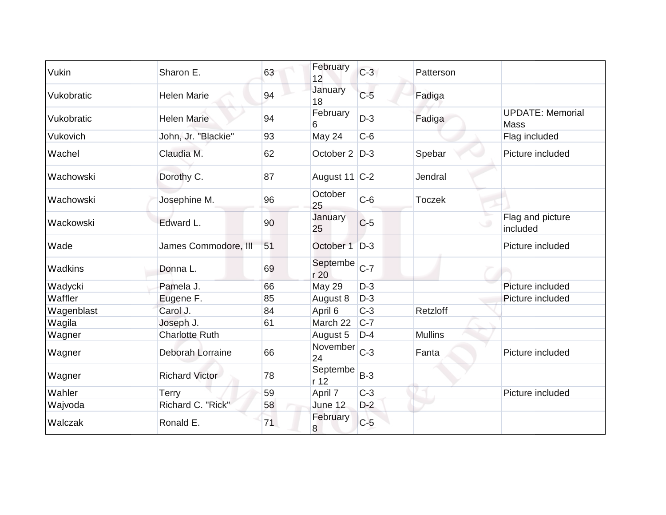| Vukin      | Sharon E.             | 63 | February<br>12   | $C-3$ | Patterson      |                                        |
|------------|-----------------------|----|------------------|-------|----------------|----------------------------------------|
| Vukobratic | <b>Helen Marie</b>    | 94 | January<br>18    | $C-5$ | Fadiga         |                                        |
| Vukobratic | <b>Helen Marie</b>    | 94 | February<br>6    | $D-3$ | Fadiga         | <b>UPDATE: Memorial</b><br><b>Mass</b> |
| Vukovich   | John, Jr. "Blackie"   | 93 | May 24           | $C-6$ |                | Flag included                          |
| Wachel     | Claudia M.            | 62 | October 2   D-3  |       | Spebar         | Picture included                       |
| Wachowski  | Dorothy C.            | 87 | August 11 C-2    |       | Jendral        |                                        |
| Wachowski  | Josephine M.          | 96 | October<br>25    | $C-6$ | <b>Toczek</b>  |                                        |
| Wackowski  | Edward L.             | 90 | January<br>25    | $C-5$ |                | Flag and picture<br>included           |
| Wade       | James Commodore, III  | 51 | October 1        | $D-3$ |                | Picture included                       |
| Wadkins    | Donna L.              | 69 | Septembe<br>r 20 | $C-7$ |                |                                        |
| Wadycki    | Pamela J.             | 66 | May 29           | $D-3$ |                | Picture included                       |
| Waffler    | Eugene F.             | 85 | August 8         | $D-3$ |                | Picture included                       |
| Wagenblast | Carol J.              | 84 | April 6          | $C-3$ | Retzloff       |                                        |
| Wagila     | Joseph J.             | 61 | March 22         | $C-7$ |                |                                        |
| Wagner     | <b>Charlotte Ruth</b> |    | August 5         | $D-4$ | <b>Mullins</b> |                                        |
| Wagner     | Deborah Lorraine      | 66 | November<br>24   | $C-3$ | Fanta          | Picture included                       |
| Wagner     | <b>Richard Victor</b> | 78 | Septembe<br>r 12 | $B-3$ |                |                                        |
| Wahler     | <b>Terry</b>          | 59 | April 7          | $C-3$ |                | Picture included                       |
| Wajvoda    | Richard C. "Rick"     | 58 | June 12          | $D-2$ |                |                                        |
| Walczak    | Ronald E.             | 71 | February<br>8    | $C-5$ |                |                                        |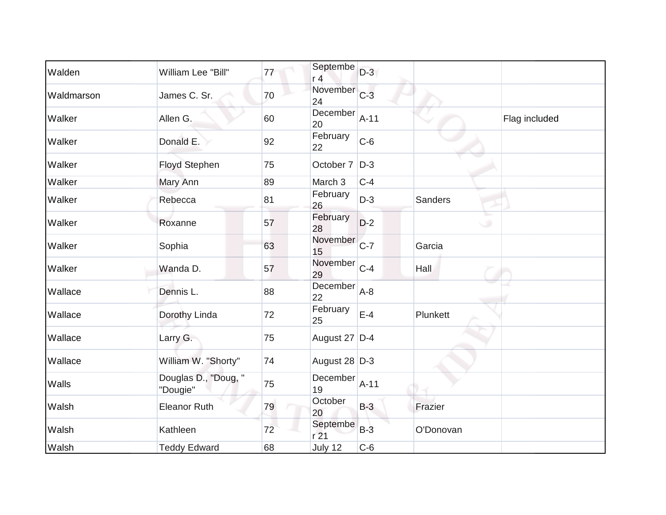| Walden     | William Lee "Bill"               | 77 | Septembe<br>r <sub>4</sub>    | $D-3$  |                |               |
|------------|----------------------------------|----|-------------------------------|--------|----------------|---------------|
| Waldmarson | James C. Sr.                     | 70 | November <sub>C-3</sub><br>24 |        |                |               |
| Walker     | Allen G.                         | 60 | December<br>20                | $A-11$ |                | Flag included |
| Walker     | Donald E.                        | 92 | February<br>22                | $C-6$  |                |               |
| Walker     | Floyd Stephen                    | 75 | October 7                     | $D-3$  |                |               |
| Walker     | Mary Ann                         | 89 | March 3                       | $C-4$  |                |               |
| Walker     | Rebecca                          | 81 | February<br>26                | $D-3$  | <b>Sanders</b> |               |
| Walker     | Roxanne                          | 57 | February<br>28                | $D-2$  |                | $\circ$       |
| Walker     | Sophia                           | 63 | November<br>15                | $C-7$  | Garcia         |               |
| Walker     | Wanda D.                         | 57 | November<br>29                | $C-4$  | Hall           |               |
| Wallace    | Dennis L.                        | 88 | December<br>22                | $A-8$  |                |               |
| Wallace    | Dorothy Linda                    | 72 | February<br>25                | $E-4$  | Plunkett       |               |
| Wallace    | Larry G.                         | 75 | August 27 D-4                 |        |                |               |
| Wallace    | William W. "Shorty"              | 74 | August 28 $D-3$               |        |                |               |
| Walls      | Douglas D., "Doug, "<br>"Dougie" | 75 | December<br>19                | $A-11$ |                |               |
| Walsh      | <b>Eleanor Ruth</b>              | 79 | October<br>20                 | $B-3$  | Frazier        |               |
| Walsh      | Kathleen                         | 72 | Septembe<br>r <sub>21</sub>   | $B-3$  | O'Donovan      |               |
| Walsh      | <b>Teddy Edward</b>              | 68 | <b>July 12</b>                | $C-6$  |                |               |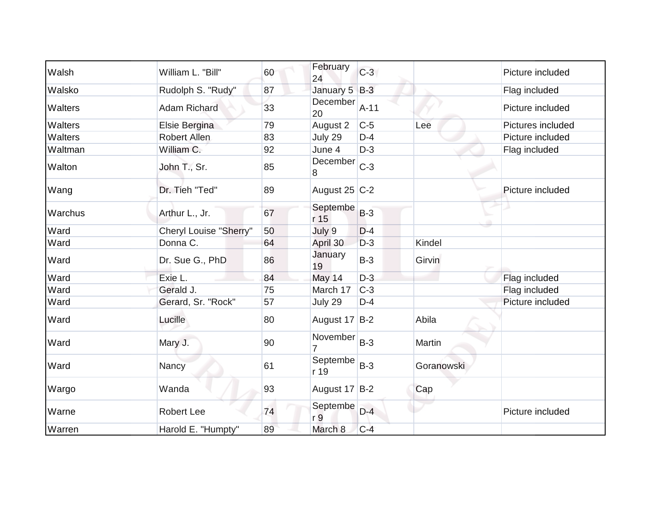| Walsh          | William L. "Bill"      | 60 | February<br>24             | $C-3$  |            | Picture included  |
|----------------|------------------------|----|----------------------------|--------|------------|-------------------|
| Walsko         | Rudolph S. "Rudy"      | 87 | January 5 B-3              |        |            | Flag included     |
| <b>Walters</b> | <b>Adam Richard</b>    | 33 | December<br>20             | $A-11$ |            | Picture included  |
| Walters        | Elsie Bergina          | 79 | August 2                   | $C-5$  | Lee        | Pictures included |
| Walters        | Robert Allen           | 83 | July 29                    | $D-4$  |            | Picture included  |
| Waltman        | William C.             | 92 | June 4                     | $D-3$  |            | Flag included     |
| Walton         | John T., Sr.           | 85 | December<br>8              | $C-3$  |            |                   |
| Wang           | Dr. Tieh "Ted"         | 89 | August 25 C-2              |        |            | Picture included  |
| Warchus        | Arthur L., Jr.         | 67 | Septembe<br>r 15           | $B-3$  |            |                   |
| Ward           | Cheryl Louise "Sherry" | 50 | July 9                     | $D-4$  |            |                   |
| Ward           | Donna C.               | 64 | April 30                   | $D-3$  | Kindel     |                   |
| Ward           | Dr. Sue G., PhD        | 86 | January<br>19              | $B-3$  | Girvin     |                   |
| Ward           | Exie L.                | 84 | May 14                     | $D-3$  |            | Flag included     |
| Ward           | Gerald J.              | 75 | March 17                   | $C-3$  |            | Flag included     |
| Ward           | Gerard, Sr. "Rock"     | 57 | July 29                    | $D-4$  |            | Picture included  |
| Ward           | Lucille                | 80 | August 17 B-2              |        | Abila      |                   |
| Ward           | Mary J.                | 90 | November                   | $B-3$  | Martin     |                   |
| Ward           | Nancy                  | 61 | Septembe<br>r 19           | $B-3$  | Goranowski |                   |
| Wargo          | Wanda                  | 93 | August 17 B-2              |        | Cap        |                   |
| Warne          | <b>Robert Lee</b>      | 74 | Septembe<br>r <sub>9</sub> | $D-4$  |            | Picture included  |
| Warren         | Harold E. "Humpty"     | 89 | March 8                    | $C-4$  |            |                   |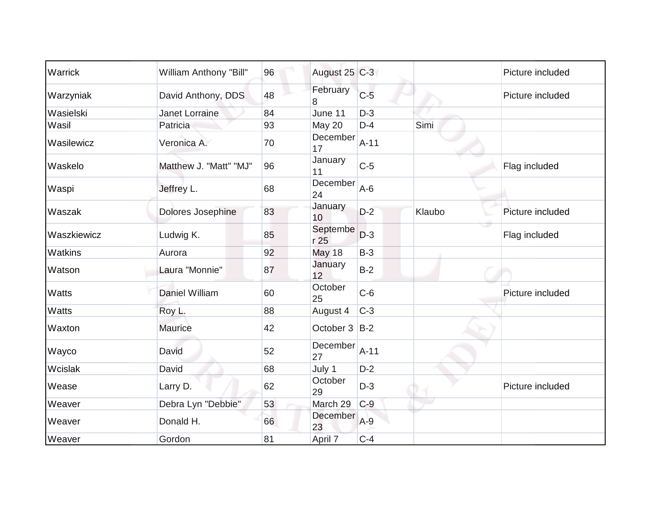| Warrick        | <b>William Anthony "Bill"</b> | 96 | August 25 C-3    |        |        | Picture included |
|----------------|-------------------------------|----|------------------|--------|--------|------------------|
| Warzyniak      | David Anthony, DDS            | 48 | February<br>8    | $C-5$  |        | Picture included |
| Wasielski      | Janet Lorraine                | 84 | June 11          | $D-3$  |        |                  |
| Wasil          | Patricia                      | 93 | May 20           | $D-4$  | Simi   |                  |
| Wasilewicz     | Veronica A.                   | 70 | December<br>17   | $A-11$ |        |                  |
| Waskelo        | Matthew J. "Matt" "MJ"        | 96 | January<br>11    | $C-5$  |        | Flag included    |
| Waspi          | Jeffrey L.                    | 68 | December<br>24   | $A-6$  |        |                  |
| Waszak         | Dolores Josephine             | 83 | January<br>10    | $D-2$  | Klaubo | Picture included |
| Waszkiewicz    | Ludwig K.                     | 85 | Septembe<br>r 25 | $D-3$  |        | Flag included    |
| <b>Watkins</b> | Aurora                        | 92 | <b>May 18</b>    | $B-3$  |        |                  |
| Watson         | Laura "Monnie"                | 87 | January<br>12    | $B-2$  |        |                  |
| Watts          | Daniel William                | 60 | October<br>25    | $C-6$  |        | Picture included |
| Watts          | Roy L.                        | 88 | August 4         | $C-3$  |        |                  |
| Waxton         | <b>Maurice</b>                | 42 | October 3 B-2    |        |        |                  |
| Wayco          | David                         | 52 | December<br>27   | $A-11$ |        |                  |
| Wcislak        | David                         | 68 | July 1           | $D-2$  |        |                  |
| Wease          | Larry D.                      | 62 | October<br>29    | $D-3$  |        | Picture included |
| Weaver         | Debra Lyn "Debbie"            | 53 | March 29         | $C-9$  |        |                  |
| Weaver         | Donald H.                     | 66 | December<br>23   | $A-9$  |        |                  |
| Weaver         | Gordon                        | 81 | April 7          | $C-4$  |        |                  |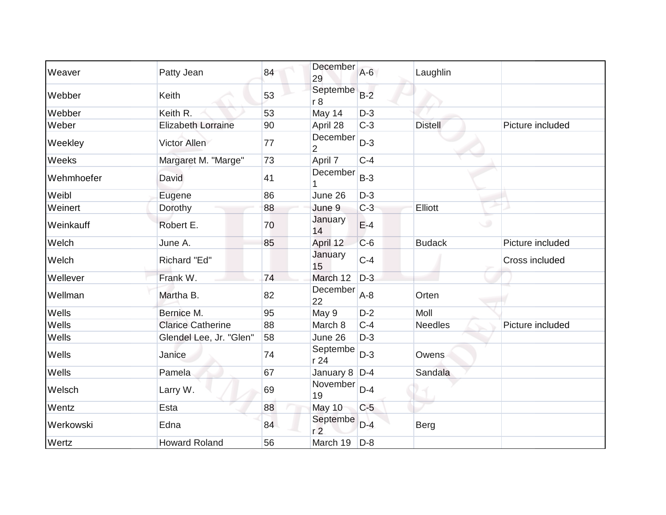| Weaver     | Patty Jean                | 84 | December<br>29             | $A-6$ | Laughlin       |                  |
|------------|---------------------------|----|----------------------------|-------|----------------|------------------|
| Webber     | Keith                     | 53 | Septembe<br>r8             | $B-2$ |                |                  |
| Webber     | Keith R.                  | 53 | May 14                     | $D-3$ |                |                  |
| Weber      | <b>Elizabeth Lorraine</b> | 90 | April 28                   | $C-3$ | <b>Distell</b> | Picture included |
| Weekley    | <b>Victor Allen</b>       | 77 | December<br>$\overline{2}$ | $D-3$ |                |                  |
| Weeks      | Margaret M. "Marge"       | 73 | April 7                    | $C-4$ |                |                  |
| Wehmhoefer | <b>David</b>              | 41 | December                   | $B-3$ |                |                  |
| Weibl      | Eugene                    | 86 | June 26                    | $D-3$ |                |                  |
| Weinert    | Dorothy                   | 88 | June 9                     | $C-3$ | Elliott        |                  |
| Weinkauff  | Robert E.                 | 70 | January<br>14              | $E-4$ | $\cup$         |                  |
| Welch      | June A.                   | 85 | April 12                   | $C-6$ | <b>Budack</b>  | Picture included |
| Welch      | Richard "Ed"              |    | January<br>15              | $C-4$ |                | Cross included   |
| Wellever   | Frank W.                  | 74 | March 12                   | $D-3$ |                |                  |
| Wellman    | Martha B.                 | 82 | December<br>22             | $A-8$ | Orten          |                  |
| Wells      | Bernice M.                | 95 | May 9                      | $D-2$ | Moll           |                  |
| Wells      | <b>Clarice Catherine</b>  | 88 | March 8                    | $C-4$ | <b>Needles</b> | Picture included |
| Wells      | Glendel Lee, Jr. "Glen"   | 58 | June 26                    | $D-3$ |                |                  |
| Wells      | Janice                    | 74 | Septembe<br>r 24           | $D-3$ | Owens          |                  |
| Wells      | Pamela                    | 67 | January $8$ D-4            |       | Sandala        |                  |
| Welsch     | Larry W.                  | 69 | November<br>19             | $D-4$ |                |                  |
| Wentz      | Esta                      | 88 | May 10                     | $C-5$ |                |                  |
| Werkowski  | Edna                      | 84 | Septembe<br>r <sub>2</sub> | $D-4$ | <b>Berg</b>    |                  |
| Wertz      | <b>Howard Roland</b>      | 56 | March 19                   | $D-8$ |                |                  |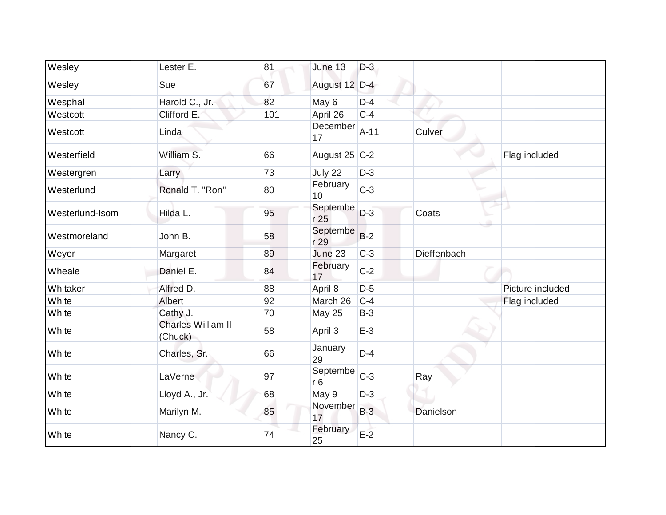| Wesley          | Lester E.                            | 81  | June 13                    | $D-3$  |             |                  |
|-----------------|--------------------------------------|-----|----------------------------|--------|-------------|------------------|
| Wesley          | Sue                                  | 67  | August 12 D-4              |        |             |                  |
| Wesphal         | Harold C., Jr.                       | 82  | May 6                      | $D-4$  |             |                  |
| Westcott        | Clifford E.                          | 101 | April 26                   | $C-4$  |             |                  |
| Westcott        | Linda                                |     | December<br>17             | $A-11$ | Culver      |                  |
| Westerfield     | William S.                           | 66  | August $25$ C-2            |        |             | Flag included    |
| Westergren      | Larry                                | 73  | July 22                    | $D-3$  |             |                  |
| Westerlund      | Ronald T. "Ron"                      | 80  | February<br>10             | $C-3$  |             |                  |
| Westerlund-Isom | Hilda L.                             | 95  | Septembe<br>r 25           | $D-3$  | Coats       |                  |
| Westmoreland    | John B.                              | 58  | Septembe<br>r 29           | $B-2$  |             |                  |
| Weyer           | Margaret                             | 89  | June 23                    | $C-3$  | Dieffenbach |                  |
| Wheale          | Daniel E.                            | 84  | February<br>17             | $C-2$  |             |                  |
| Whitaker        | Alfred D.                            | 88  | April 8                    | $D-5$  |             | Picture included |
| White           | Albert                               | 92  | March 26                   | $C-4$  |             | Flag included    |
| White           | Cathy J.                             | 70  | <b>May 25</b>              | $B-3$  |             |                  |
| White           | <b>Charles William II</b><br>(Chuck) | 58  | April 3                    | $E-3$  |             |                  |
| White           | Charles, Sr.                         | 66  | January<br>29              | $D-4$  |             |                  |
| White           | LaVerne                              | 97  | Septembe<br>r <sub>6</sub> | $C-3$  | Ray         |                  |
| White           | Lloyd A., Jr.                        | 68  | May 9                      | $D-3$  |             |                  |
| White           | Marilyn M.                           | 85  | November<br>17             | $B-3$  | Danielson   |                  |
| White           | Nancy C.                             | 74  | February<br>25             | $E-2$  |             |                  |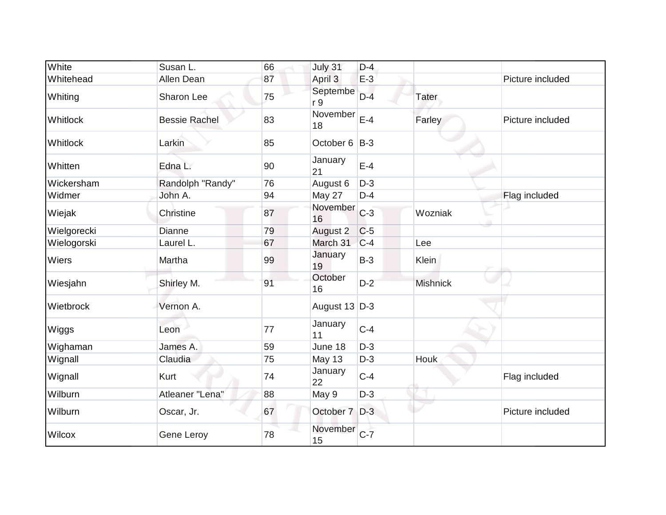| White        | Susan L.             | 66 | July 31         | $D-4$ |                 |                  |
|--------------|----------------------|----|-----------------|-------|-----------------|------------------|
| Whitehead    | Allen Dean           | 87 | April 3         | $E-3$ |                 | Picture included |
| Whiting      | Sharon Lee           | 75 | Septembe<br>r 9 | $D-4$ | Tater           |                  |
| Whitlock     | <b>Bessie Rachel</b> | 83 | November<br>18  | $E-4$ | Farley          | Picture included |
| Whitlock     | Larkin               | 85 | October 6       | $B-3$ |                 |                  |
| Whitten      | Edna L.              | 90 | January<br>21   | $E-4$ |                 |                  |
| Wickersham   | Randolph "Randy"     | 76 | August 6        | $D-3$ |                 |                  |
| Widmer       | John A.              | 94 | May 27          | $D-4$ |                 | Flag included    |
| Wiejak       | Christine            | 87 | November<br>16  | $C-3$ | Wozniak         |                  |
| Wielgorecki  | Dianne               | 79 | August 2        | $C-5$ |                 |                  |
| Wielogorski  | Laurel L.            | 67 | March 31        | $C-4$ | Lee             |                  |
| <b>Wiers</b> | Martha               | 99 | January<br>19   | $B-3$ | Klein           |                  |
| Wiesjahn     | Shirley M.           | 91 | October<br>16   | $D-2$ | <b>Mishnick</b> |                  |
| Wietbrock    | Vernon A.            |    | August 13 D-3   |       |                 |                  |
| Wiggs        | Leon                 | 77 | January<br>11   | $C-4$ |                 |                  |
| Wighaman     | James A.             | 59 | June 18         | $D-3$ |                 |                  |
| Wignall      | Claudia              | 75 | <b>May 13</b>   | $D-3$ | Houk            |                  |
| Wignall      | Kurt                 | 74 | January<br>22   | $C-4$ |                 | Flag included    |
| Wilburn      | Atleaner "Lena"      | 88 | May 9           | $D-3$ |                 |                  |
| Wilburn      | Oscar, Jr.           | 67 | October 7 D-3   |       |                 | Picture included |
| Wilcox       | Gene Leroy           | 78 | November<br>15  | $C-7$ |                 |                  |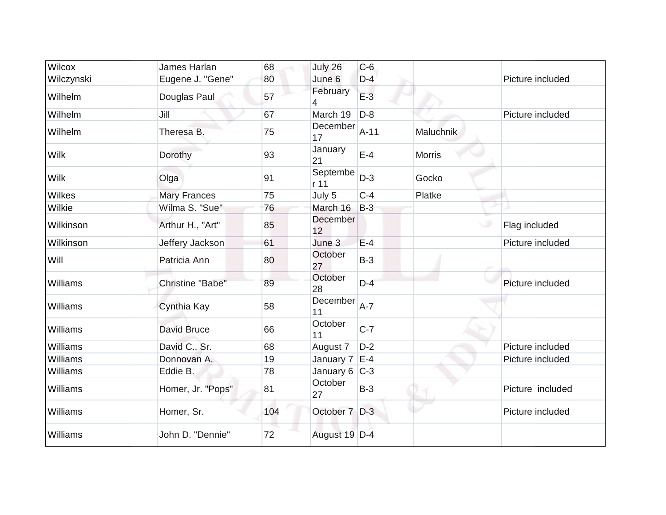| Wilcox        | James Harlan            | 68  | July 26          | $C-6$  |                  |                  |
|---------------|-------------------------|-----|------------------|--------|------------------|------------------|
| Wilczynski    | Eugene J. "Gene"        | 80  | June 6           | $D-4$  |                  | Picture included |
| Wilhelm       | Douglas Paul            | 57  | February<br>4    | $E-3$  |                  |                  |
| Wilhelm       | Jill                    | 67  | March 19         | $D-8$  |                  | Picture included |
| Wilhelm       | Theresa B.              | 75  | December<br>17   | $A-11$ | <b>Maluchnik</b> |                  |
| <b>Wilk</b>   | Dorothy                 | 93  | January<br>21    | $E-4$  | <b>Morris</b>    |                  |
| <b>Wilk</b>   | Olga                    | 91  | Septembe<br>r 11 | $D-3$  | Gocko            |                  |
| <b>Wilkes</b> | <b>Mary Frances</b>     | 75  | July 5           | $C-4$  | Platke           |                  |
| Wilkie        | Wilma S. "Sue"          | 76  | March 16         | $B-3$  |                  |                  |
| Wilkinson     | Arthur H., "Art"        | 85  | December<br>12   |        |                  | Flag included    |
| Wilkinson     | Jeffery Jackson         | 61  | June 3           | $E-4$  |                  | Picture included |
| Will          | Patricia Ann            | 80  | October<br>27    | $B-3$  |                  |                  |
| Williams      | <b>Christine "Babe"</b> | 89  | October<br>28    | $D-4$  |                  | Picture included |
| Williams      | Cynthia Kay             | 58  | December<br>11   | $A-7$  |                  |                  |
| Williams      | David Bruce             | 66  | October<br>11    | $C-7$  |                  |                  |
| Williams      | David C., Sr.           | 68  | August 7         | $D-2$  |                  | Picture included |
| Williams      | Donnovan A.             | 19  | January 7        | $E-4$  |                  | Picture included |
| Williams      | Eddie B.                | 78  | January $6$ C-3  |        |                  |                  |
| Williams      | Homer, Jr. "Pops"       | 81  | October<br>27    | $B-3$  |                  | Picture included |
| Williams      | Homer, Sr.              | 104 | October 7 D-3    |        |                  | Picture included |
| Williams      | John D. "Dennie"        | 72  | August 19 D-4    |        |                  |                  |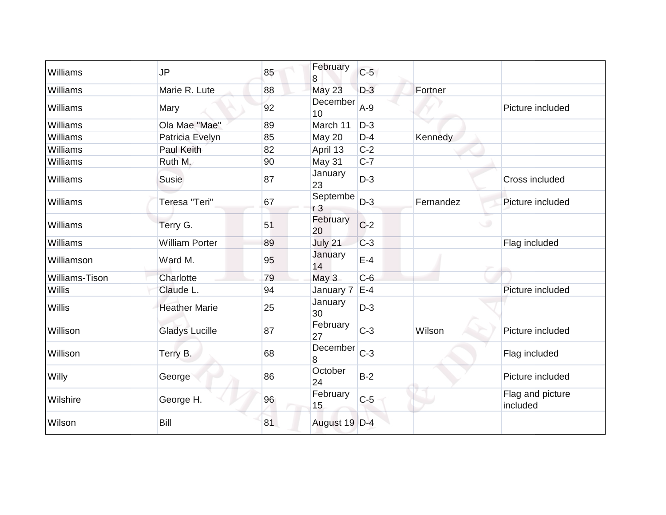| Williams              | <b>JP</b>             | 85 | February<br>8              | $C-5$ |           |                              |
|-----------------------|-----------------------|----|----------------------------|-------|-----------|------------------------------|
| Williams              | Marie R. Lute         | 88 | <b>May 23</b>              | $D-3$ | Fortner   |                              |
| Williams              | Mary                  | 92 | December<br>10             | $A-9$ |           | Picture included             |
| Williams              | Ola Mae "Mae"         | 89 | March 11                   | $D-3$ |           |                              |
| Williams              | Patricia Evelyn       | 85 | May 20                     | $D-4$ | Kennedy   |                              |
| Williams              | Paul Keith            | 82 | April 13                   | $C-2$ |           |                              |
| Williams              | Ruth M.               | 90 | May 31                     | $C-7$ |           |                              |
| Williams              | <b>Susie</b>          | 87 | January<br>23              | $D-3$ |           | Cross included               |
| Williams              | Teresa "Teri"         | 67 | Septembe<br>r <sub>3</sub> | $D-3$ | Fernandez | Picture included             |
| Williams              | Terry G.              | 51 | February<br>20             | $C-2$ | $\cup$    |                              |
| Williams              | <b>William Porter</b> | 89 | July 21                    | $C-3$ |           | Flag included                |
| Williamson            | Ward M.               | 95 | January<br>14              | $E-4$ |           |                              |
| <b>Williams-Tison</b> | Charlotte             | 79 | May 3                      | $C-6$ |           |                              |
| Willis                | Claude L.             | 94 | January 7                  | $E-4$ |           | Picture included             |
| Willis                | <b>Heather Marie</b>  | 25 | January<br>30              | $D-3$ |           |                              |
| Willison              | <b>Gladys Lucille</b> | 87 | February<br>27             | $C-3$ | Wilson    | Picture included             |
| Willison              | Terry B.              | 68 | December<br>8              | $C-3$ |           | Flag included                |
| Willy                 | George                | 86 | October<br>24              | $B-2$ |           | Picture included             |
| Wilshire              | George H.             | 96 | February<br>15             | $C-5$ |           | Flag and picture<br>included |
| Wilson                | Bill                  | 81 | August 19 D-4              |       |           |                              |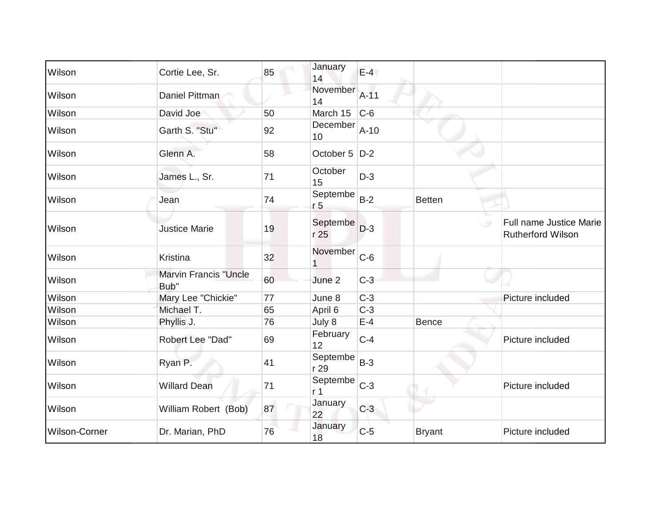| Wilson        | Cortie Lee, Sr.                      | 85 | January<br>14              | $E-4$  |               |                                                     |
|---------------|--------------------------------------|----|----------------------------|--------|---------------|-----------------------------------------------------|
| Wilson        | Daniel Pittman                       |    | November<br>14             | $A-11$ |               |                                                     |
| Wilson        | David Joe                            | 50 | March 15                   | $C-6$  |               |                                                     |
| Wilson        | Garth S. "Stu"                       | 92 | December<br>10             | $A-10$ |               |                                                     |
| Wilson        | Glenn A.                             | 58 | October 5   D-2            |        |               |                                                     |
| Wilson        | James L., Sr.                        | 71 | October<br>15              | $D-3$  |               |                                                     |
| Wilson        | Jean                                 | 74 | Septembe<br>r <sub>5</sub> | $B-2$  | <b>Betten</b> |                                                     |
| Wilson        | <b>Justice Marie</b>                 | 19 | Septembe<br>r 25           | $D-3$  | $\cup$        | Full name Justice Marie<br><b>Rutherford Wilson</b> |
| Wilson        | Kristina                             | 32 | November                   | $C-6$  |               |                                                     |
| Wilson        | <b>Marvin Francis "Uncle</b><br>Bub" | 60 | June 2                     | $C-3$  |               |                                                     |
| Wilson        | Mary Lee "Chickie"                   | 77 | June 8                     | $C-3$  |               | Picture included                                    |
| Wilson        | Michael T.                           | 65 | April 6                    | $C-3$  |               |                                                     |
| Wilson        | Phyllis J.                           | 76 | July 8                     | $E-4$  | <b>Bence</b>  |                                                     |
| Wilson        | Robert Lee "Dad"                     | 69 | February<br>12             | $C-4$  |               | Picture included                                    |
| Wilson        | Ryan P.                              | 41 | Septembe<br>r 29           | $B-3$  |               |                                                     |
| Wilson        | <b>Willard Dean</b>                  | 71 | Septembe<br>r <sub>1</sub> | $C-3$  |               | Picture included                                    |
| Wilson        | William Robert (Bob)                 | 87 | January<br>22              | $C-3$  |               |                                                     |
| Wilson-Corner | Dr. Marian, PhD                      | 76 | January<br>18              | $C-5$  | <b>Bryant</b> | Picture included                                    |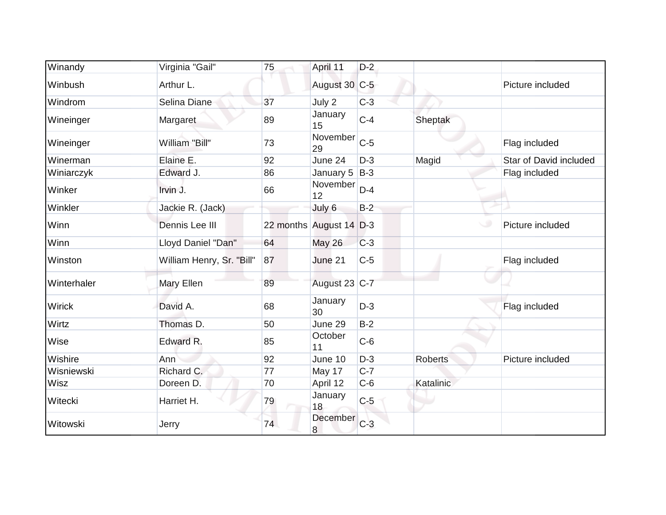| Winandy       | Virginia "Gail"           | 75 | April 11                | $D-2$ |                |                        |
|---------------|---------------------------|----|-------------------------|-------|----------------|------------------------|
| Winbush       | Arthur L.                 |    | August 30 C-5           |       |                | Picture included       |
| Windrom       | Selina Diane              | 37 | July 2                  | $C-3$ |                |                        |
| Wineinger     | Margaret                  | 89 | January<br>15           | $C-4$ | Sheptak        |                        |
| Wineinger     | William "Bill"            | 73 | November<br>29          | $C-5$ |                | Flag included          |
| Winerman      | Elaine E.                 | 92 | June 24                 | $D-3$ | Magid          | Star of David included |
| Winiarczyk    | Edward J.                 | 86 | January $5 B-3 $        |       |                | Flag included          |
| Winker        | Irvin J.                  | 66 | November<br>12          | $D-4$ |                |                        |
| Winkler       | Jackie R. (Jack)          |    | July 6                  | $B-2$ |                |                        |
| Winn          | Dennis Lee III            |    | 22 months August 14 D-3 |       | w              | Picture included       |
| Winn          | Lloyd Daniel "Dan"        | 64 | <b>May 26</b>           | $C-3$ |                |                        |
| Winston       | William Henry, Sr. "Bill" | 87 | June 21                 | $C-5$ |                | Flag included          |
| Winterhaler   | Mary Ellen                | 89 | August 23 C-7           |       |                |                        |
| <b>Wirick</b> | David A.                  | 68 | January<br>30           | $D-3$ |                | Flag included          |
| Wirtz         | Thomas D.                 | 50 | June 29                 | $B-2$ |                |                        |
| Wise          | Edward R.                 | 85 | October<br>11           | $C-6$ |                |                        |
| Wishire       | Ann                       | 92 | June 10                 | $D-3$ | <b>Roberts</b> | Picture included       |
| Wisniewski    | Richard C.                | 77 | May 17                  | $C-7$ |                |                        |
| Wisz          | Doreen D.                 | 70 | April 12                | $C-6$ | Katalinic      |                        |
| Witecki       | Harriet H.                | 79 | January<br>18           | $C-5$ |                |                        |
| Witowski      | Jerry                     | 74 | December<br>8           | $C-3$ |                |                        |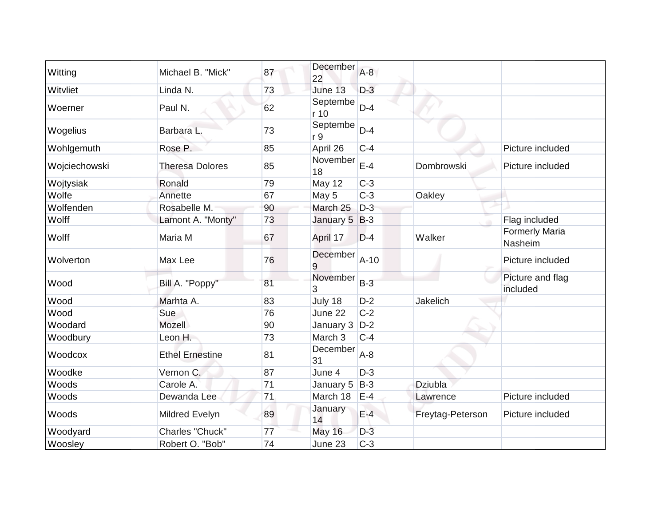| Witting       | Michael B. "Mick"      | 87 | December<br>22   | $A-8$  |                  |                                  |
|---------------|------------------------|----|------------------|--------|------------------|----------------------------------|
| Witvliet      | Linda N.               | 73 | June 13          | $D-3$  |                  |                                  |
| Woerner       | Paul N.                | 62 | Septembe<br>r 10 | $D-4$  |                  |                                  |
| Wogelius      | Barbara L.             | 73 | Septembe<br>r 9  | $D-4$  |                  |                                  |
| Wohlgemuth    | Rose P.                | 85 | April 26         | $C-4$  |                  | Picture included                 |
| Wojciechowski | <b>Theresa Dolores</b> | 85 | November<br>18   | $E-4$  | Dombrowski       | Picture included                 |
| Wojtysiak     | Ronald                 | 79 | May 12           | $C-3$  |                  |                                  |
| Wolfe         | Annette                | 67 | May 5            | $C-3$  | Oakley           |                                  |
| Wolfenden     | Rosabelle M.           | 90 | March 25         | $D-3$  |                  |                                  |
| Wolff         | Lamont A. "Monty"      | 73 | January 5        | $B-3$  |                  | Flag included                    |
| Wolff         | Maria M                | 67 | April 17         | $D-4$  | Walker           | <b>Formerly Maria</b><br>Nasheim |
| Wolverton     | Max Lee                | 76 | December<br>9    | $A-10$ |                  | Picture included                 |
| Wood          | Bill A. "Poppy"        | 81 | November<br>3    | $B-3$  |                  | Picture and flag<br>included     |
| Wood          | Marhta A.              | 83 | July 18          | $D-2$  | Jakelich         |                                  |
| Wood          | Sue                    | 76 | June 22          | $C-2$  |                  |                                  |
| Woodard       | Mozell                 | 90 | January 3        | $D-2$  |                  |                                  |
| Woodbury      | Leon H.                | 73 | March 3          | $C-4$  |                  |                                  |
| Woodcox       | <b>Ethel Ernestine</b> | 81 | December<br>31   | $A-8$  |                  |                                  |
| Woodke        | Vernon C.              | 87 | June 4           | $D-3$  |                  |                                  |
| Woods         | Carole A.              | 71 | January 5        | $B-3$  | Dziubla          |                                  |
| Woods         | Dewanda Lee            | 71 | March 18         | $E-4$  | Lawrence         | Picture included                 |
| Woods         | Mildred Evelyn         | 89 | January<br>14    | $E-4$  | Freytag-Peterson | Picture included                 |
| Woodyard      | Charles "Chuck"        | 77 | <b>May 16</b>    | $D-3$  |                  |                                  |
| Woosley       | Robert O. "Bob"        | 74 | June 23          | $C-3$  |                  |                                  |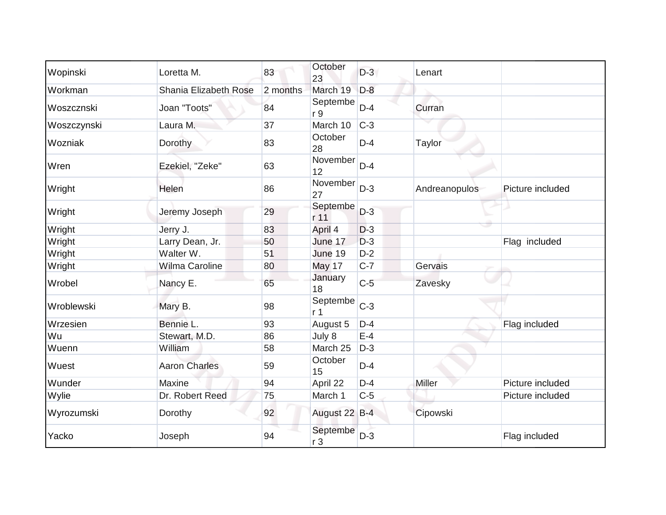| Wopinski    | Loretta M.                   | 83       | October<br>23              | $D-3$ | Lenart        |                  |
|-------------|------------------------------|----------|----------------------------|-------|---------------|------------------|
| Workman     | <b>Shania Elizabeth Rose</b> | 2 months | March 19                   | $D-8$ |               |                  |
| Woszcznski  | Joan "Toots"                 | 84       | Septembe<br>r 9            | $D-4$ | Curran        |                  |
| Woszczynski | Laura M.                     | 37       | March 10                   | $C-3$ |               |                  |
| Wozniak     | Dorothy                      | 83       | October<br>28              | $D-4$ | Taylor        |                  |
| Wren        | Ezekiel, "Zeke"              | 63       | November<br>12             | $D-4$ |               |                  |
| Wright      | Helen                        | 86       | November<br>27             | $D-3$ | Andreanopulos | Picture included |
| Wright      | Jeremy Joseph                | 29       | Septembe<br>r 11           | $D-3$ |               |                  |
| Wright      | Jerry J.                     | 83       | April 4                    | $D-3$ |               |                  |
| Wright      | Larry Dean, Jr.              | 50       | June 17                    | $D-3$ |               | Flag included    |
| Wright      | Walter W.                    | 51       | June 19                    | $D-2$ |               |                  |
| Wright      | <b>Wilma Caroline</b>        | 80       | May 17                     | $C-7$ | Gervais       |                  |
| Wrobel      | Nancy E.                     | 65       | January<br>18              | $C-5$ | Zavesky       |                  |
| Wroblewski  | Mary B.                      | 98       | Septembe<br>r <sub>1</sub> | $C-3$ |               |                  |
| Wrzesien    | Bennie L.                    | 93       | August 5                   | $D-4$ |               | Flag included    |
| Wu          | Stewart, M.D.                | 86       | July 8                     | $E-4$ |               |                  |
| Wuenn       | William                      | 58       | March 25                   | $D-3$ |               |                  |
| Wuest       | <b>Aaron Charles</b>         | 59       | October<br>15              | $D-4$ |               |                  |
| Wunder      | Maxine                       | 94       | April 22                   | $D-4$ | Miller        | Picture included |
| Wylie       | Dr. Robert Reed              | 75       | March 1                    | $C-5$ |               | Picture included |
| Wyrozumski  | Dorothy                      | 92       | August 22 B-4              |       | Cipowski      |                  |
| Yacko       | Joseph                       | 94       | Septembe<br>r <sub>3</sub> | $D-3$ |               | Flag included    |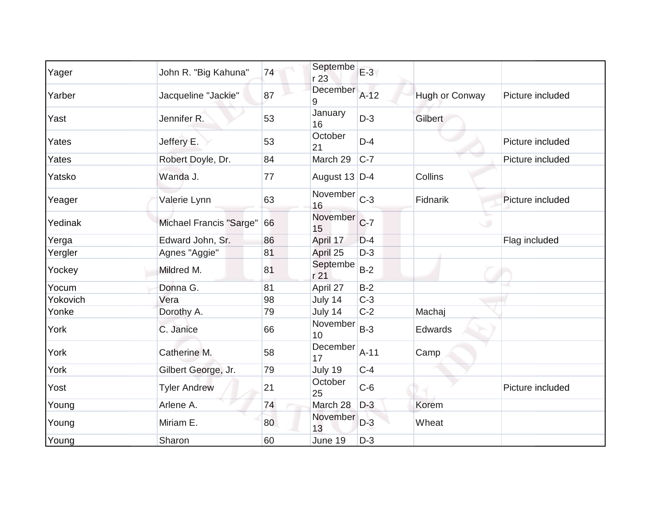| Yager    | John R. "Big Kahuna"    | 74 | Septembe<br>r 23                                  | $E-3$  |                |                  |
|----------|-------------------------|----|---------------------------------------------------|--------|----------------|------------------|
| Yarber   | Jacqueline "Jackie"     | 87 | December<br>9                                     | $A-12$ | Hugh or Conway | Picture included |
| Yast     | Jennifer <sub>R.</sub>  | 53 | January<br>16                                     | $D-3$  | Gilbert        |                  |
| Yates    | Jeffery E.              | 53 | October<br>21                                     | $D-4$  |                | Picture included |
| Yates    | Robert Doyle, Dr.       | 84 | March 29                                          | $C-7$  |                | Picture included |
| Yatsko   | Wanda J.                | 77 | August 13 D-4                                     |        | Collins        |                  |
| Yeager   | Valerie Lynn            | 63 | $\overline{\text{November}}$ <sub>C-3</sub><br>16 |        | Fidnarik       | Picture included |
| Yedinak  | Michael Francis "Sarge" | 66 | November<br>15                                    | $C-7$  | ⊾<br>$\circ$   |                  |
| Yerga    | Edward John, Sr.        | 86 | April 17                                          | $D-4$  |                | Flag included    |
| Yergler  | Agnes "Aggie"           | 81 | April 25                                          | $D-3$  |                |                  |
| Yockey   | Mildred M.              | 81 | Septembe<br>r 21                                  | $B-2$  |                |                  |
| Yocum    | Donna G.                | 81 | April 27                                          | $B-2$  |                |                  |
| Yokovich | Vera                    | 98 | July 14                                           | $C-3$  |                |                  |
| Yonke    | Dorothy A.              | 79 | July 14                                           | $C-2$  | Machaj         |                  |
| York     | C. Janice               | 66 | November<br>10                                    | $B-3$  | Edwards        |                  |
| York     | Catherine M.            | 58 | December<br>17                                    | $A-11$ | Camp           |                  |
| York     | Gilbert George, Jr.     | 79 | July 19                                           | $C-4$  |                |                  |
| Yost     | <b>Tyler Andrew</b>     | 21 | October<br>25                                     | $C-6$  |                | Picture included |
| Young    | Arlene A.               | 74 | March 28                                          | $D-3$  | Korem          |                  |
| Young    | Miriam E.               | 80 | November<br>13                                    | $D-3$  | Wheat          |                  |
| Young    | Sharon                  | 60 | June 19                                           | $D-3$  |                |                  |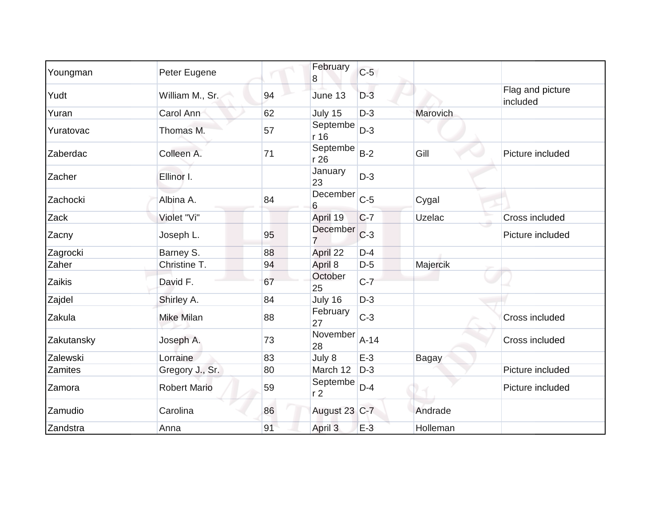| Youngman   | Peter Eugene        |    | February<br>8                             | $C-5$  |                 |                              |
|------------|---------------------|----|-------------------------------------------|--------|-----------------|------------------------------|
| Yudt       | William M., Sr.     | 94 | June 13                                   | $D-3$  |                 | Flag and picture<br>included |
| Yuran      | Carol Ann           | 62 | July 15                                   | $D-3$  | <b>Marovich</b> |                              |
| Yuratovac  | Thomas M.           | 57 | Septembe<br>r 16                          | $D-3$  |                 |                              |
| Zaberdac   | Colleen A.          | 71 | Septembe<br>r 26                          | $B-2$  | Gill            | Picture included             |
| Zacher     | Ellinor I.          |    | January<br>23                             | $D-3$  |                 |                              |
| Zachocki   | Albina A.           | 84 | $\overline{December}$ <sub>C-5</sub><br>6 |        | Cygal           |                              |
| Zack       | Violet "Vi"         |    | April 19                                  | $C-7$  | Uzelac          | Cross included               |
| Zacny      | Joseph L.           | 95 | December<br>7                             | $C-3$  |                 | Picture included             |
| Zagrocki   | Barney S.           | 88 | April 22                                  | $D-4$  |                 |                              |
| Zaher      | Christine T.        | 94 | April 8                                   | $D-5$  | Majercik        |                              |
| Zaikis     | David F.            | 67 | October<br>25                             | $C-7$  |                 |                              |
| Zajdel     | Shirley A.          | 84 | July 16                                   | $D-3$  |                 |                              |
| Zakula     | Mike Milan          | 88 | February<br>27                            | $C-3$  |                 | <b>Cross included</b>        |
| Zakutansky | Joseph A.           | 73 | November<br>28                            | $A-14$ |                 | Cross included               |
| Zalewski   | Lorraine            | 83 | July 8                                    | $E-3$  | <b>Bagay</b>    |                              |
| Zamites    | Gregory J., Sr.     | 80 | March 12                                  | $D-3$  |                 | Picture included             |
| Zamora     | <b>Robert Mario</b> | 59 | Septembe<br>r <sub>2</sub>                | $D-4$  |                 | Picture included             |
| Zamudio    | Carolina            | 86 | August 23 C-7                             |        | Andrade         |                              |
| Zandstra   | Anna                | 91 | April 3                                   | $E-3$  | Holleman        |                              |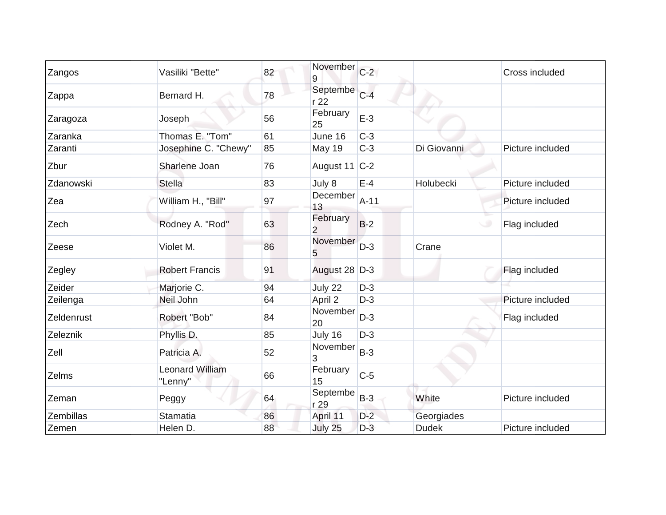| Zangos     | Vasiliki "Bette"                  | 82 | November<br>9              | $C-2$  |              | Cross included   |
|------------|-----------------------------------|----|----------------------------|--------|--------------|------------------|
| Zappa      | Bernard H.                        | 78 | Septembe<br>r 22           | $C-4$  |              |                  |
| Zaragoza   | Joseph                            | 56 | February<br>25             | $E-3$  |              |                  |
| Zaranka    | Thomas E. "Tom"                   | 61 | June 16                    | $C-3$  |              |                  |
| Zaranti    | Josephine C. "Chewy"              | 85 | <b>May 19</b>              | $C-3$  | Di Giovanni  | Picture included |
| Zbur       | Sharlene Joan                     | 76 | August 11 $ C-2 $          |        |              |                  |
| Zdanowski  | <b>Stella</b>                     | 83 | July 8                     | $E-4$  | Holubecki    | Picture included |
| Zea        | William H., "Bill"                | 97 | December<br>13             | $A-11$ |              | Picture included |
| Zech       | Rodney A. "Rod"                   | 63 | February<br>$\overline{2}$ | $B-2$  |              | Flag included    |
| Zeese      | Violet M.                         | 86 | November<br>5              | $D-3$  | Crane        |                  |
| Zegley     | <b>Robert Francis</b>             | 91 | August 28 D-3              |        |              | Flag included    |
| Zeider     | Marjorie C.                       | 94 | July 22                    | $D-3$  |              |                  |
| Zeilenga   | Neil John                         | 64 | April 2                    | $D-3$  |              | Picture included |
| Zeldenrust | Robert "Bob"                      | 84 | November<br>20             | $D-3$  |              | Flag included    |
| Zeleznik   | Phyllis D.                        | 85 | July 16                    | $D-3$  |              |                  |
| Zell       | Patricia A.                       | 52 | November<br>3              | $B-3$  |              |                  |
| Zelms      | <b>Leonard William</b><br>"Lenny" | 66 | February<br>15             | $C-5$  |              |                  |
| Zeman      | Peggy                             | 64 | Septembe<br>r 29           | $B-3$  | White        | Picture included |
| Zembillas  | <b>Stamatia</b>                   | 86 | April 11                   | $D-2$  | Georgiades   |                  |
| Zemen      | Helen D.                          | 88 | July 25                    | $D-3$  | <b>Dudek</b> | Picture included |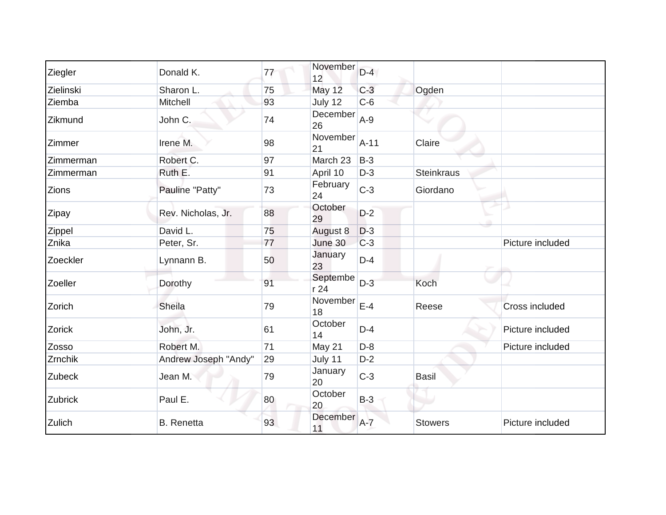| Ziegler      | Donald K.            | 77 | November<br>12  | $D-4$   |                |                       |
|--------------|----------------------|----|-----------------|---------|----------------|-----------------------|
| Zielinski    | Sharon L.            | 75 | May 12          | $C-3$   | Ogden          |                       |
| Ziemba       | Mitchell             | 93 | July 12         | $C-6$   |                |                       |
| Zikmund      | John C.              | 74 | December<br>26  | $A-9$   |                |                       |
| Zimmer       | Irene M.             | 98 | November<br>21  | $A-11$  | Claire         |                       |
| Zimmerman    | Robert C.            | 97 | March 23        | $B-3$   |                |                       |
| Zimmerman    | Ruth E.              | 91 | April 10        | $D-3$   | Steinkraus     |                       |
| <b>Zions</b> | Pauline "Patty"      | 73 | February<br>24  | $C-3$   | Giordano       |                       |
| Zipay        | Rev. Nicholas, Jr.   | 88 | October<br>29   | $D-2$   |                |                       |
| Zippel       | David L.             | 75 | August 8        | $D-3$   |                |                       |
| Znika        | Peter, Sr.           | 77 | June 30         | $C-3$   |                | Picture included      |
| Zoeckler     | Lynnann B.           | 50 | January<br>23   | $D-4$   |                |                       |
| Zoeller      | Dorothy              | 91 | Septembe<br>r24 | $D-3$   | Koch           |                       |
| Zorich       | Sheila               | 79 | November<br>18  | $E-4$   | Reese          | <b>Cross included</b> |
| Zorick       | John, Jr.            | 61 | October<br>14   | $D-4$   |                | Picture included      |
| Zosso        | Robert M.            | 71 | May 21          | $D-8$   |                | Picture included      |
| Zrnchik      | Andrew Joseph "Andy" | 29 | July 11         | $D-2$   |                |                       |
| Zubeck       | Jean M.              | 79 | January<br>20   | $C-3$   | Basil          |                       |
| Zubrick      | Paul E.              | 80 | October<br>20   | $B-3$   |                |                       |
| Zulich       | <b>B.</b> Renetta    | 93 | December<br>11  | $A - 7$ | <b>Stowers</b> | Picture included      |